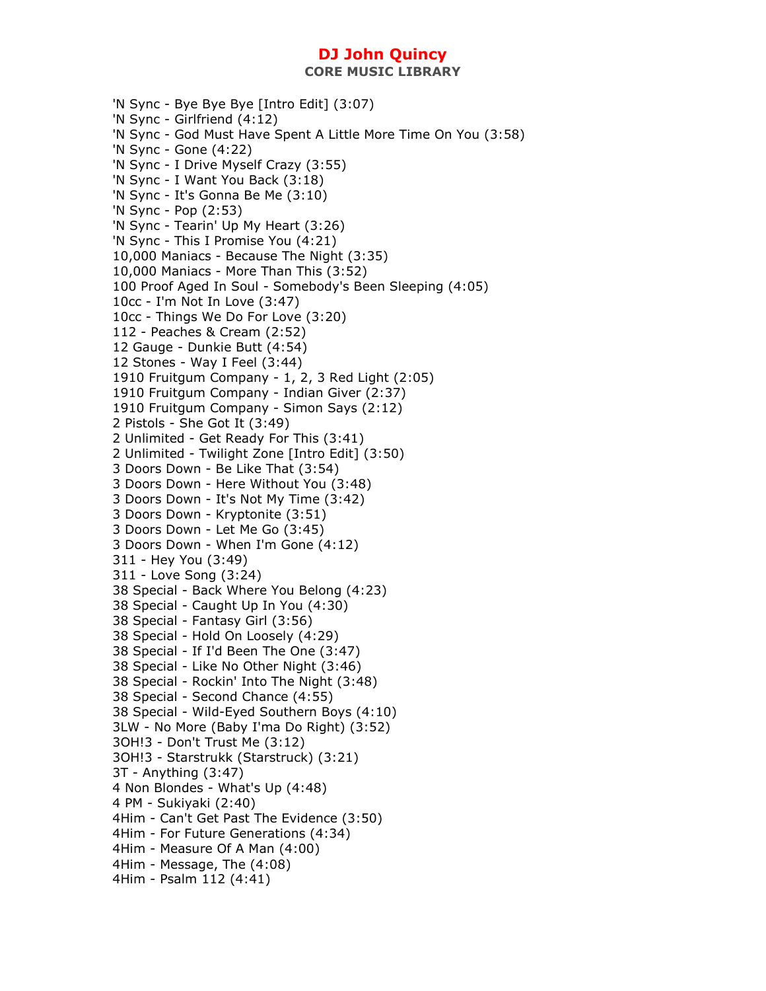'N Sync - Bye Bye Bye [Intro Edit] (3:07) 'N Sync - Girlfriend (4:12) 'N Sync - God Must Have Spent A Little More Time On You (3:58) 'N Sync - Gone (4:22) 'N Sync - I Drive Myself Crazy (3:55) 'N Sync - I Want You Back (3:18) 'N Sync - It's Gonna Be Me (3:10) 'N Sync - Pop (2:53) 'N Sync - Tearin' Up My Heart (3:26) 'N Sync - This I Promise You (4:21) 10,000 Maniacs - Because The Night (3:35) 10,000 Maniacs - More Than This (3:52) 100 Proof Aged In Soul - Somebody's Been Sleeping (4:05) 10cc - I'm Not In Love (3:47) 10cc - Things We Do For Love (3:20) 112 - Peaches & Cream (2:52) 12 Gauge - Dunkie Butt (4:54) 12 Stones - Way I Feel (3:44) 1910 Fruitgum Company - 1, 2, 3 Red Light (2:05) 1910 Fruitgum Company - Indian Giver (2:37) 1910 Fruitgum Company - Simon Says (2:12) 2 Pistols - She Got It (3:49) 2 Unlimited - Get Ready For This (3:41) 2 Unlimited - Twilight Zone [Intro Edit] (3:50) 3 Doors Down - Be Like That (3:54) 3 Doors Down - Here Without You (3:48) 3 Doors Down - It's Not My Time (3:42) 3 Doors Down - Kryptonite (3:51) 3 Doors Down - Let Me Go (3:45) 3 Doors Down - When I'm Gone (4:12) 311 - Hey You (3:49) 311 - Love Song (3:24) 38 Special - Back Where You Belong (4:23) 38 Special - Caught Up In You (4:30) 38 Special - Fantasy Girl (3:56) 38 Special - Hold On Loosely (4:29) 38 Special - If I'd Been The One (3:47) 38 Special - Like No Other Night (3:46) 38 Special - Rockin' Into The Night (3:48) 38 Special - Second Chance (4:55) 38 Special - Wild-Eyed Southern Boys (4:10) 3LW - No More (Baby I'ma Do Right) (3:52) 3OH!3 - Don't Trust Me (3:12) 3OH!3 - Starstrukk (Starstruck) (3:21) 3T - Anything (3:47) 4 Non Blondes - What's Up (4:48) 4 PM - Sukiyaki (2:40) 4Him - Can't Get Past The Evidence (3:50) 4Him - For Future Generations (4:34) 4Him - Measure Of A Man (4:00) 4Him - Message, The (4:08) 4Him - Psalm 112 (4:41)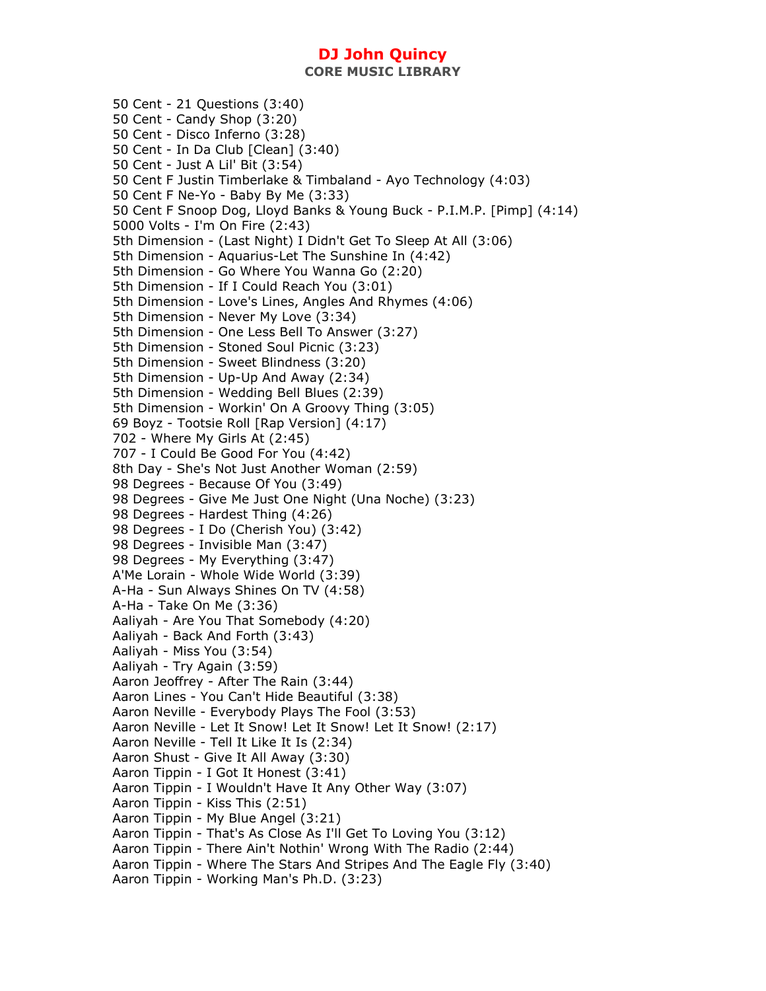**CORE MUSIC LIBRARY** 

50 Cent - 21 Questions (3:40) 50 Cent - Candy Shop (3:20) 50 Cent - Disco Inferno (3:28) 50 Cent - In Da Club [Clean] (3:40) 50 Cent - Just A Lil' Bit (3:54) 50 Cent F Justin Timberlake & Timbaland - Ayo Technology (4:03) 50 Cent F Ne-Yo - Baby By Me (3:33) 50 Cent F Snoop Dog, Lloyd Banks & Young Buck - P.I.M.P. [Pimp] (4:14) 5000 Volts - I'm On Fire (2:43) 5th Dimension - (Last Night) I Didn't Get To Sleep At All (3:06) 5th Dimension - Aquarius-Let The Sunshine In (4:42) 5th Dimension - Go Where You Wanna Go (2:20) 5th Dimension - If I Could Reach You (3:01) 5th Dimension - Love's Lines, Angles And Rhymes (4:06) 5th Dimension - Never My Love (3:34) 5th Dimension - One Less Bell To Answer (3:27) 5th Dimension - Stoned Soul Picnic (3:23) 5th Dimension - Sweet Blindness (3:20) 5th Dimension - Up-Up And Away (2:34) 5th Dimension - Wedding Bell Blues (2:39) 5th Dimension - Workin' On A Groovy Thing (3:05) 69 Boyz - Tootsie Roll [Rap Version] (4:17) 702 - Where My Girls At (2:45) 707 - I Could Be Good For You (4:42) 8th Day - She's Not Just Another Woman (2:59) 98 Degrees - Because Of You (3:49) 98 Degrees - Give Me Just One Night (Una Noche) (3:23) 98 Degrees - Hardest Thing (4:26) 98 Degrees - I Do (Cherish You) (3:42) 98 Degrees - Invisible Man (3:47) 98 Degrees - My Everything (3:47) A'Me Lorain - Whole Wide World (3:39) A-Ha - Sun Always Shines On TV (4:58) A-Ha - Take On Me (3:36) Aaliyah - Are You That Somebody (4:20) Aaliyah - Back And Forth (3:43) Aaliyah - Miss You (3:54) Aaliyah - Try Again (3:59) Aaron Jeoffrey - After The Rain (3:44) Aaron Lines - You Can't Hide Beautiful (3:38) Aaron Neville - Everybody Plays The Fool (3:53) Aaron Neville - Let It Snow! Let It Snow! Let It Snow! (2:17) Aaron Neville - Tell It Like It Is (2:34) Aaron Shust - Give It All Away (3:30) Aaron Tippin - I Got It Honest (3:41) Aaron Tippin - I Wouldn't Have It Any Other Way (3:07) Aaron Tippin - Kiss This (2:51) Aaron Tippin - My Blue Angel (3:21) Aaron Tippin - That's As Close As I'll Get To Loving You (3:12) Aaron Tippin - There Ain't Nothin' Wrong With The Radio (2:44) Aaron Tippin - Where The Stars And Stripes And The Eagle Fly (3:40) Aaron Tippin - Working Man's Ph.D. (3:23)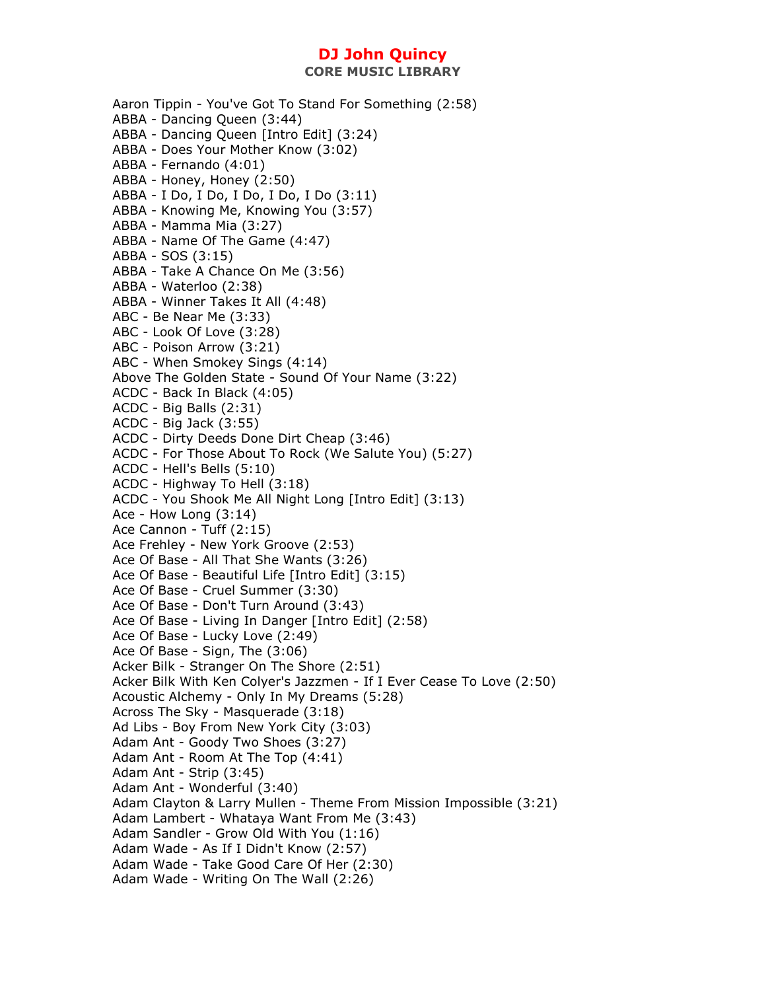Aaron Tippin - You've Got To Stand For Something (2:58) ABBA - Dancing Queen (3:44) ABBA - Dancing Queen [Intro Edit] (3:24) ABBA - Does Your Mother Know (3:02) ABBA - Fernando (4:01) ABBA - Honey, Honey (2:50) ABBA - I Do, I Do, I Do, I Do, I Do (3:11) ABBA - Knowing Me, Knowing You (3:57) ABBA - Mamma Mia (3:27) ABBA - Name Of The Game (4:47) ABBA - SOS (3:15) ABBA - Take A Chance On Me (3:56) ABBA - Waterloo (2:38) ABBA - Winner Takes It All (4:48) ABC - Be Near Me (3:33) ABC - Look Of Love (3:28) ABC - Poison Arrow (3:21) ABC - When Smokey Sings (4:14) Above The Golden State - Sound Of Your Name (3:22) ACDC - Back In Black (4:05) ACDC - Big Balls (2:31) ACDC - Big Jack (3:55) ACDC - Dirty Deeds Done Dirt Cheap (3:46) ACDC - For Those About To Rock (We Salute You) (5:27) ACDC - Hell's Bells (5:10) ACDC - Highway To Hell (3:18) ACDC - You Shook Me All Night Long [Intro Edit] (3:13) Ace - How Long (3:14) Ace Cannon - Tuff (2:15) Ace Frehley - New York Groove (2:53) Ace Of Base - All That She Wants (3:26) Ace Of Base - Beautiful Life [Intro Edit] (3:15) Ace Of Base - Cruel Summer (3:30) Ace Of Base - Don't Turn Around (3:43) Ace Of Base - Living In Danger [Intro Edit] (2:58) Ace Of Base - Lucky Love (2:49) Ace Of Base - Sign, The (3:06) Acker Bilk - Stranger On The Shore (2:51) Acker Bilk With Ken Colyer's Jazzmen - If I Ever Cease To Love (2:50) Acoustic Alchemy - Only In My Dreams (5:28) Across The Sky - Masquerade (3:18) Ad Libs - Boy From New York City (3:03) Adam Ant - Goody Two Shoes (3:27) Adam Ant - Room At The Top (4:41) Adam Ant - Strip (3:45) Adam Ant - Wonderful (3:40) Adam Clayton & Larry Mullen - Theme From Mission Impossible (3:21) Adam Lambert - Whataya Want From Me (3:43) Adam Sandler - Grow Old With You (1:16) Adam Wade - As If I Didn't Know (2:57) Adam Wade - Take Good Care Of Her (2:30) Adam Wade - Writing On The Wall (2:26)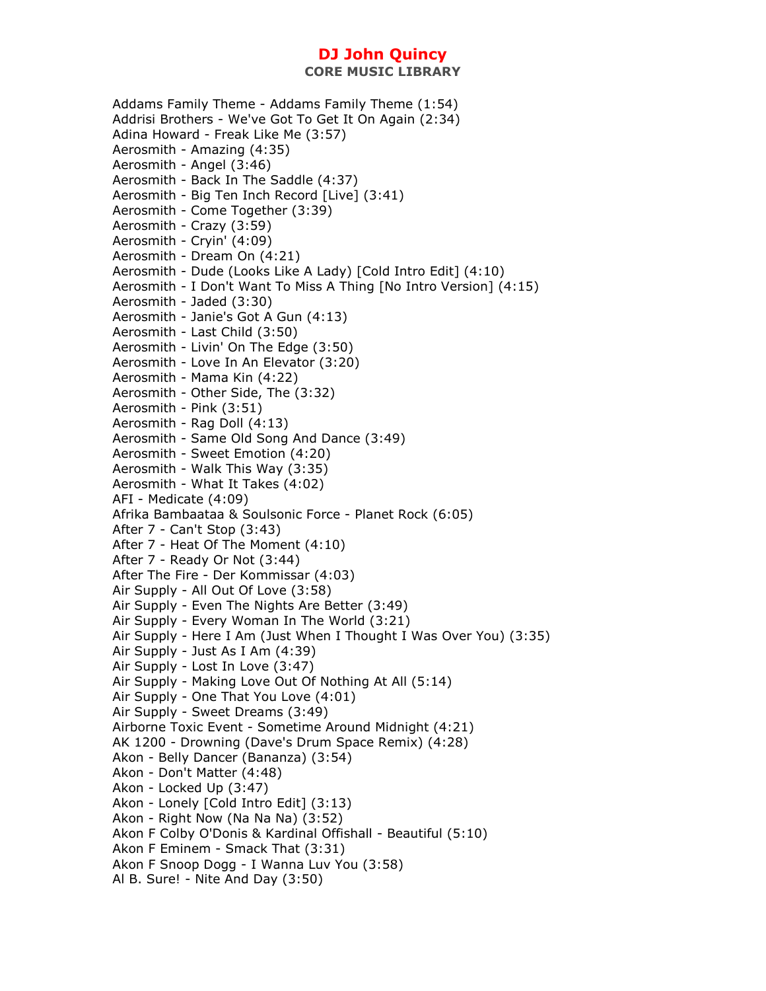Addams Family Theme - Addams Family Theme (1:54) Addrisi Brothers - We've Got To Get It On Again (2:34) Adina Howard - Freak Like Me (3:57) Aerosmith - Amazing (4:35) Aerosmith - Angel (3:46) Aerosmith - Back In The Saddle (4:37) Aerosmith - Big Ten Inch Record [Live] (3:41) Aerosmith - Come Together (3:39) Aerosmith - Crazy (3:59) Aerosmith - Cryin' (4:09) Aerosmith - Dream On (4:21) Aerosmith - Dude (Looks Like A Lady) [Cold Intro Edit] (4:10) Aerosmith - I Don't Want To Miss A Thing [No Intro Version] (4:15) Aerosmith - Jaded (3:30) Aerosmith - Janie's Got A Gun (4:13) Aerosmith - Last Child (3:50) Aerosmith - Livin' On The Edge (3:50) Aerosmith - Love In An Elevator (3:20) Aerosmith - Mama Kin (4:22) Aerosmith - Other Side, The (3:32) Aerosmith - Pink (3:51) Aerosmith - Rag Doll (4:13) Aerosmith - Same Old Song And Dance (3:49) Aerosmith - Sweet Emotion (4:20) Aerosmith - Walk This Way (3:35) Aerosmith - What It Takes (4:02) AFI - Medicate (4:09) Afrika Bambaataa & Soulsonic Force - Planet Rock (6:05) After 7 - Can't Stop (3:43) After 7 - Heat Of The Moment (4:10) After 7 - Ready Or Not (3:44) After The Fire - Der Kommissar (4:03) Air Supply - All Out Of Love (3:58) Air Supply - Even The Nights Are Better (3:49) Air Supply - Every Woman In The World (3:21) Air Supply - Here I Am (Just When I Thought I Was Over You) (3:35) Air Supply - Just As I Am (4:39) Air Supply - Lost In Love (3:47) Air Supply - Making Love Out Of Nothing At All (5:14) Air Supply - One That You Love (4:01) Air Supply - Sweet Dreams (3:49) Airborne Toxic Event - Sometime Around Midnight (4:21) AK 1200 - Drowning (Dave's Drum Space Remix) (4:28) Akon - Belly Dancer (Bananza) (3:54) Akon - Don't Matter (4:48) Akon - Locked Up (3:47) Akon - Lonely [Cold Intro Edit] (3:13) Akon - Right Now (Na Na Na) (3:52) Akon F Colby O'Donis & Kardinal Offishall - Beautiful (5:10) Akon F Eminem - Smack That (3:31) Akon F Snoop Dogg - I Wanna Luv You (3:58) Al B. Sure! - Nite And Day (3:50)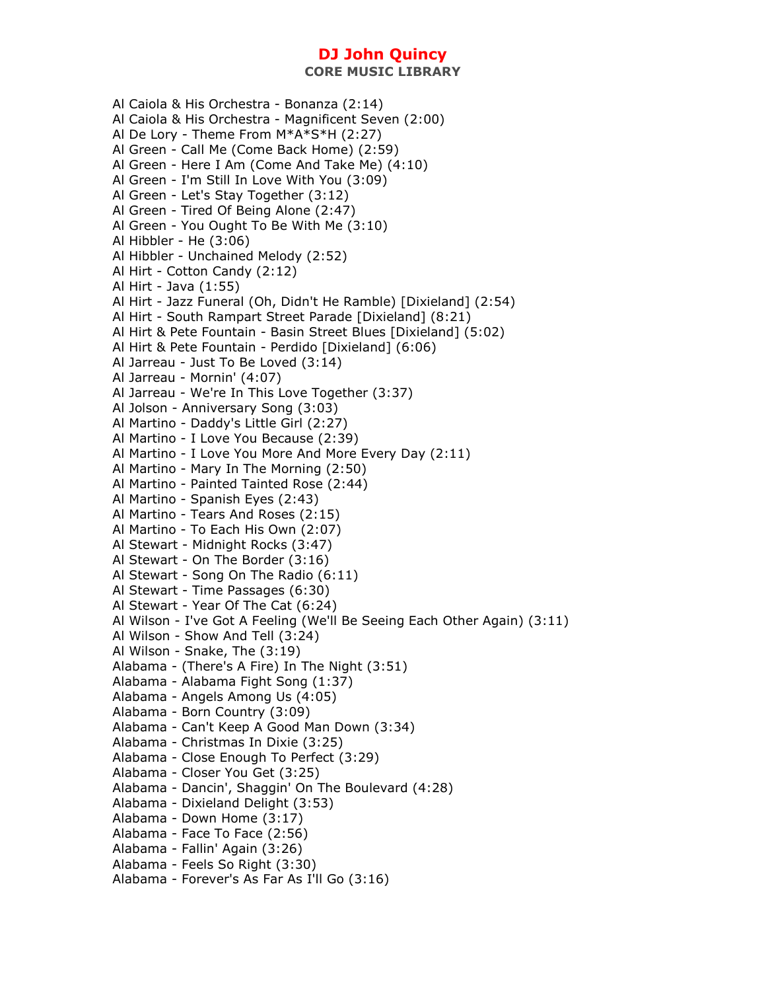**CORE MUSIC LIBRARY** 

Al Caiola & His Orchestra - Bonanza (2:14) Al Caiola & His Orchestra - Magnificent Seven (2:00) Al De Lory - Theme From M\*A\*S\*H (2:27) Al Green - Call Me (Come Back Home) (2:59) Al Green - Here I Am (Come And Take Me) (4:10) Al Green - I'm Still In Love With You (3:09) Al Green - Let's Stay Together (3:12) Al Green - Tired Of Being Alone (2:47) Al Green - You Ought To Be With Me (3:10) Al Hibbler - He (3:06) Al Hibbler - Unchained Melody (2:52) Al Hirt - Cotton Candy (2:12) Al Hirt - Java (1:55) Al Hirt - Jazz Funeral (Oh, Didn't He Ramble) [Dixieland] (2:54) Al Hirt - South Rampart Street Parade [Dixieland] (8:21) Al Hirt & Pete Fountain - Basin Street Blues [Dixieland] (5:02) Al Hirt & Pete Fountain - Perdido [Dixieland] (6:06) Al Jarreau - Just To Be Loved (3:14) Al Jarreau - Mornin' (4:07) Al Jarreau - We're In This Love Together (3:37) Al Jolson - Anniversary Song (3:03) Al Martino - Daddy's Little Girl (2:27) Al Martino - I Love You Because (2:39) Al Martino - I Love You More And More Every Day (2:11) Al Martino - Mary In The Morning (2:50) Al Martino - Painted Tainted Rose (2:44) Al Martino - Spanish Eyes (2:43) Al Martino - Tears And Roses (2:15) Al Martino - To Each His Own (2:07) Al Stewart - Midnight Rocks (3:47) Al Stewart - On The Border (3:16) Al Stewart - Song On The Radio (6:11) Al Stewart - Time Passages (6:30) Al Stewart - Year Of The Cat (6:24) Al Wilson - I've Got A Feeling (We'll Be Seeing Each Other Again) (3:11) Al Wilson - Show And Tell (3:24) Al Wilson - Snake, The (3:19) Alabama - (There's A Fire) In The Night (3:51) Alabama - Alabama Fight Song (1:37) Alabama - Angels Among Us (4:05) Alabama - Born Country (3:09) Alabama - Can't Keep A Good Man Down (3:34) Alabama - Christmas In Dixie (3:25) Alabama - Close Enough To Perfect (3:29) Alabama - Closer You Get (3:25) Alabama - Dancin', Shaggin' On The Boulevard (4:28) Alabama - Dixieland Delight (3:53) Alabama - Down Home (3:17) Alabama - Face To Face (2:56) Alabama - Fallin' Again (3:26) Alabama - Feels So Right (3:30) Alabama - Forever's As Far As I'll Go (3:16)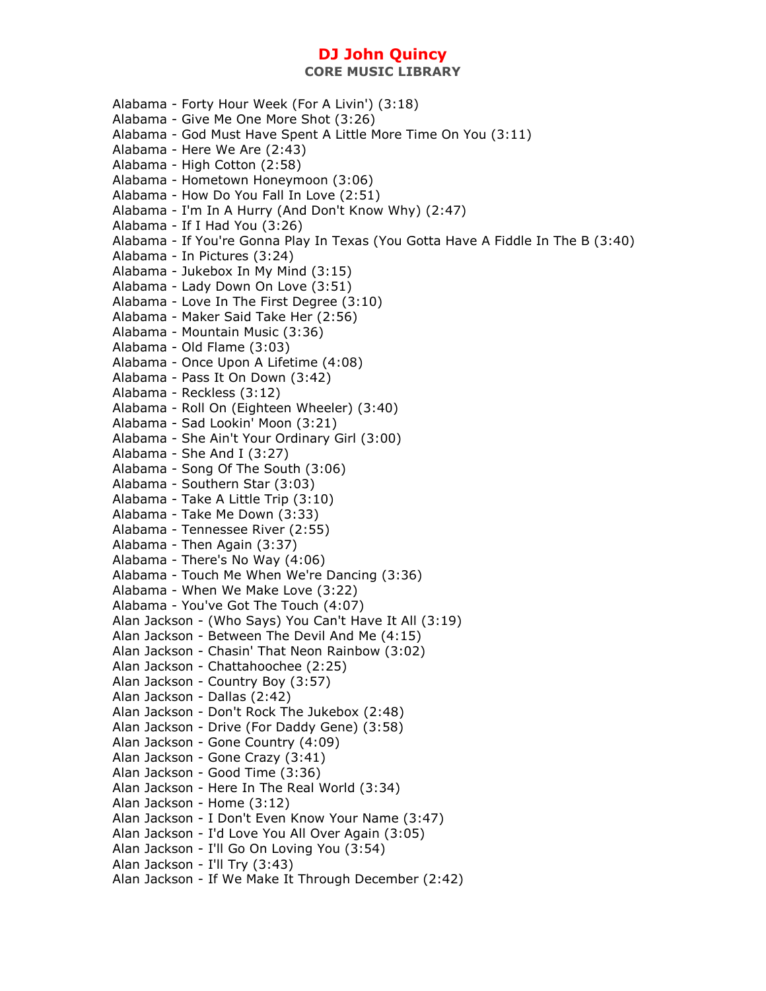Alabama - Forty Hour Week (For A Livin') (3:18) Alabama - Give Me One More Shot (3:26) Alabama - God Must Have Spent A Little More Time On You (3:11) Alabama - Here We Are (2:43) Alabama - High Cotton (2:58) Alabama - Hometown Honeymoon (3:06) Alabama - How Do You Fall In Love (2:51) Alabama - I'm In A Hurry (And Don't Know Why) (2:47) Alabama - If I Had You (3:26) Alabama - If You're Gonna Play In Texas (You Gotta Have A Fiddle In The B (3:40) Alabama - In Pictures (3:24) Alabama - Jukebox In My Mind (3:15) Alabama - Lady Down On Love (3:51) Alabama - Love In The First Degree (3:10) Alabama - Maker Said Take Her (2:56) Alabama - Mountain Music (3:36) Alabama - Old Flame (3:03) Alabama - Once Upon A Lifetime (4:08) Alabama - Pass It On Down (3:42) Alabama - Reckless (3:12) Alabama - Roll On (Eighteen Wheeler) (3:40) Alabama - Sad Lookin' Moon (3:21) Alabama - She Ain't Your Ordinary Girl (3:00) Alabama - She And I (3:27) Alabama - Song Of The South (3:06) Alabama - Southern Star (3:03) Alabama - Take A Little Trip (3:10) Alabama - Take Me Down (3:33) Alabama - Tennessee River (2:55) Alabama - Then Again (3:37) Alabama - There's No Way (4:06) Alabama - Touch Me When We're Dancing (3:36) Alabama - When We Make Love (3:22) Alabama - You've Got The Touch (4:07) Alan Jackson - (Who Says) You Can't Have It All (3:19) Alan Jackson - Between The Devil And Me (4:15) Alan Jackson - Chasin' That Neon Rainbow (3:02) Alan Jackson - Chattahoochee (2:25) Alan Jackson - Country Boy (3:57) Alan Jackson - Dallas (2:42) Alan Jackson - Don't Rock The Jukebox (2:48) Alan Jackson - Drive (For Daddy Gene) (3:58) Alan Jackson - Gone Country (4:09) Alan Jackson - Gone Crazy (3:41) Alan Jackson - Good Time (3:36) Alan Jackson - Here In The Real World (3:34) Alan Jackson - Home (3:12) Alan Jackson - I Don't Even Know Your Name (3:47) Alan Jackson - I'd Love You All Over Again (3:05) Alan Jackson - I'll Go On Loving You (3:54) Alan Jackson - I'll Try (3:43) Alan Jackson - If We Make It Through December (2:42)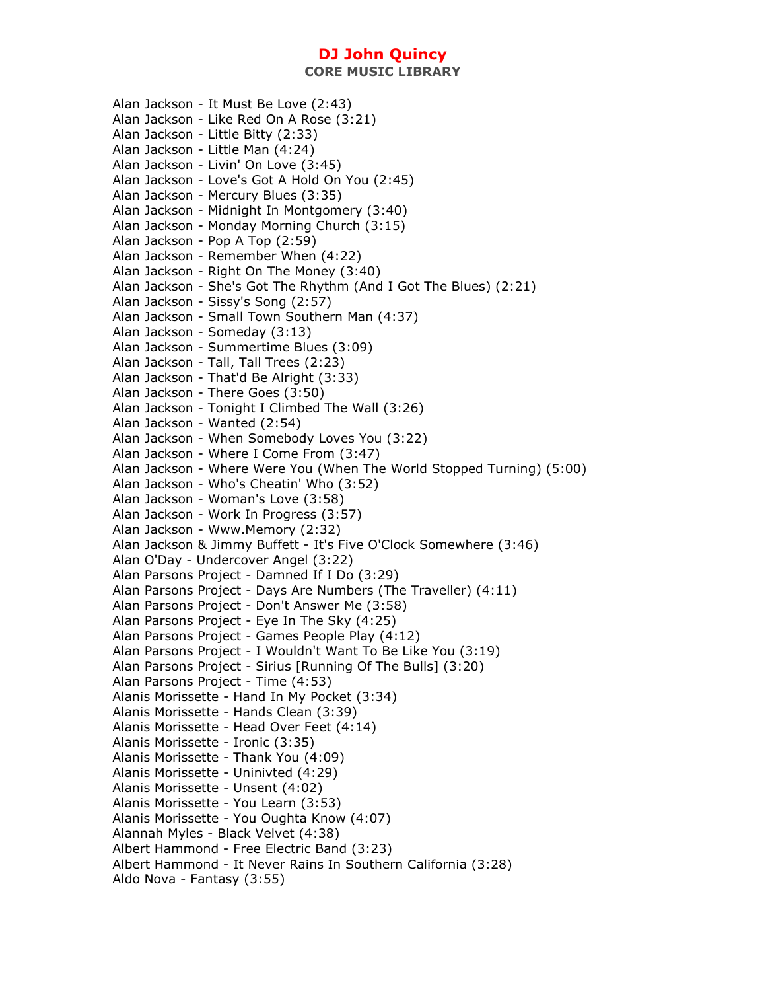**CORE MUSIC LIBRARY** 

Alan Jackson - It Must Be Love (2:43) Alan Jackson - Like Red On A Rose (3:21) Alan Jackson - Little Bitty (2:33) Alan Jackson - Little Man (4:24) Alan Jackson - Livin' On Love (3:45) Alan Jackson - Love's Got A Hold On You (2:45) Alan Jackson - Mercury Blues (3:35) Alan Jackson - Midnight In Montgomery (3:40) Alan Jackson - Monday Morning Church (3:15) Alan Jackson - Pop A Top (2:59) Alan Jackson - Remember When (4:22) Alan Jackson - Right On The Money (3:40) Alan Jackson - She's Got The Rhythm (And I Got The Blues) (2:21) Alan Jackson - Sissy's Song (2:57) Alan Jackson - Small Town Southern Man (4:37) Alan Jackson - Someday (3:13) Alan Jackson - Summertime Blues (3:09) Alan Jackson - Tall, Tall Trees (2:23) Alan Jackson - That'd Be Alright (3:33) Alan Jackson - There Goes (3:50) Alan Jackson - Tonight I Climbed The Wall (3:26) Alan Jackson - Wanted (2:54) Alan Jackson - When Somebody Loves You (3:22) Alan Jackson - Where I Come From (3:47) Alan Jackson - Where Were You (When The World Stopped Turning) (5:00) Alan Jackson - Who's Cheatin' Who (3:52) Alan Jackson - Woman's Love (3:58) Alan Jackson - Work In Progress (3:57) Alan Jackson - Www.Memory (2:32) Alan Jackson & Jimmy Buffett - It's Five O'Clock Somewhere (3:46) Alan O'Day - Undercover Angel (3:22) Alan Parsons Project - Damned If I Do (3:29) Alan Parsons Project - Days Are Numbers (The Traveller) (4:11) Alan Parsons Project - Don't Answer Me (3:58) Alan Parsons Project - Eye In The Sky (4:25) Alan Parsons Project - Games People Play (4:12) Alan Parsons Project - I Wouldn't Want To Be Like You (3:19) Alan Parsons Project - Sirius [Running Of The Bulls] (3:20) Alan Parsons Project - Time (4:53) Alanis Morissette - Hand In My Pocket (3:34) Alanis Morissette - Hands Clean (3:39) Alanis Morissette - Head Over Feet (4:14) Alanis Morissette - Ironic (3:35) Alanis Morissette - Thank You (4:09) Alanis Morissette - Uninivted (4:29) Alanis Morissette - Unsent (4:02) Alanis Morissette - You Learn (3:53) Alanis Morissette - You Oughta Know (4:07) Alannah Myles - Black Velvet (4:38) Albert Hammond - Free Electric Band (3:23) Albert Hammond - It Never Rains In Southern California (3:28) Aldo Nova - Fantasy (3:55)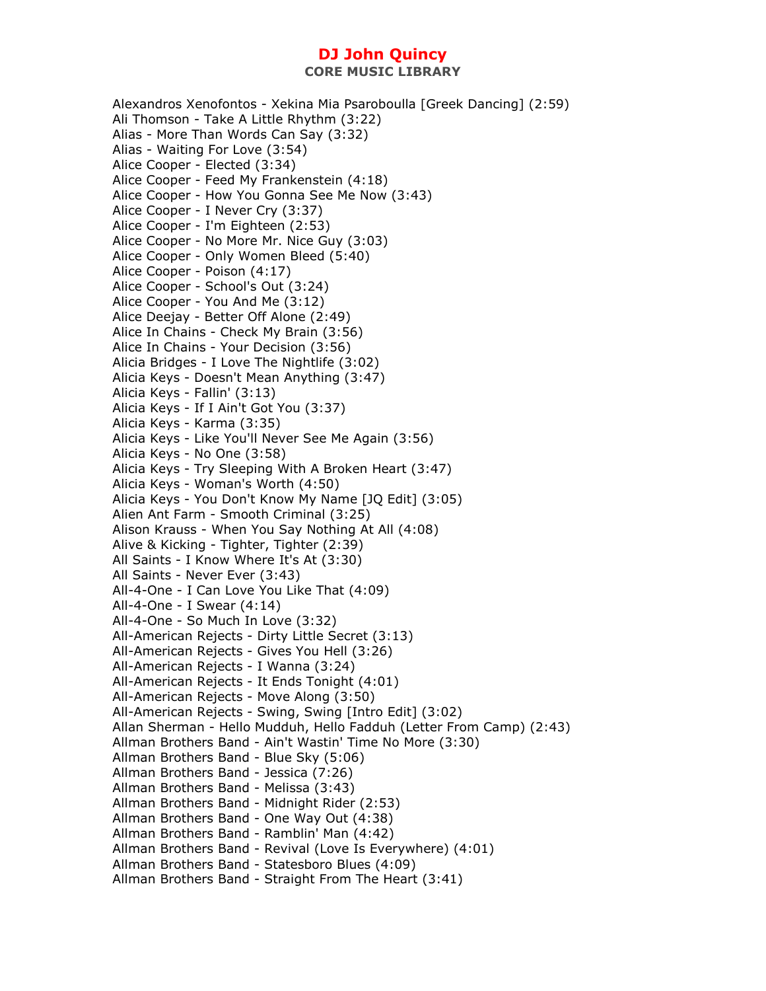Alexandros Xenofontos - Xekina Mia Psaroboulla [Greek Dancing] (2:59) Ali Thomson - Take A Little Rhythm (3:22) Alias - More Than Words Can Say (3:32) Alias - Waiting For Love (3:54) Alice Cooper - Elected (3:34) Alice Cooper - Feed My Frankenstein (4:18) Alice Cooper - How You Gonna See Me Now (3:43) Alice Cooper - I Never Cry (3:37) Alice Cooper - I'm Eighteen (2:53) Alice Cooper - No More Mr. Nice Guy (3:03) Alice Cooper - Only Women Bleed (5:40) Alice Cooper - Poison (4:17) Alice Cooper - School's Out (3:24) Alice Cooper - You And Me (3:12) Alice Deejay - Better Off Alone (2:49) Alice In Chains - Check My Brain (3:56) Alice In Chains - Your Decision (3:56) Alicia Bridges - I Love The Nightlife (3:02) Alicia Keys - Doesn't Mean Anything (3:47) Alicia Keys - Fallin' (3:13) Alicia Keys - If I Ain't Got You (3:37) Alicia Keys - Karma (3:35) Alicia Keys - Like You'll Never See Me Again (3:56) Alicia Keys - No One (3:58) Alicia Keys - Try Sleeping With A Broken Heart (3:47) Alicia Keys - Woman's Worth (4:50) Alicia Keys - You Don't Know My Name [JQ Edit] (3:05) Alien Ant Farm - Smooth Criminal (3:25) Alison Krauss - When You Say Nothing At All (4:08) Alive & Kicking - Tighter, Tighter (2:39) All Saints - I Know Where It's At (3:30) All Saints - Never Ever (3:43) All-4-One - I Can Love You Like That (4:09) All-4-One - I Swear (4:14) All-4-One - So Much In Love (3:32) All-American Rejects - Dirty Little Secret (3:13) All-American Rejects - Gives You Hell (3:26) All-American Rejects - I Wanna (3:24) All-American Rejects - It Ends Tonight (4:01) All-American Rejects - Move Along (3:50) All-American Rejects - Swing, Swing [Intro Edit] (3:02) Allan Sherman - Hello Mudduh, Hello Fadduh (Letter From Camp) (2:43) Allman Brothers Band - Ain't Wastin' Time No More (3:30) Allman Brothers Band - Blue Sky (5:06) Allman Brothers Band - Jessica (7:26) Allman Brothers Band - Melissa (3:43) Allman Brothers Band - Midnight Rider (2:53) Allman Brothers Band - One Way Out (4:38) Allman Brothers Band - Ramblin' Man (4:42) Allman Brothers Band - Revival (Love Is Everywhere) (4:01) Allman Brothers Band - Statesboro Blues (4:09) Allman Brothers Band - Straight From The Heart (3:41)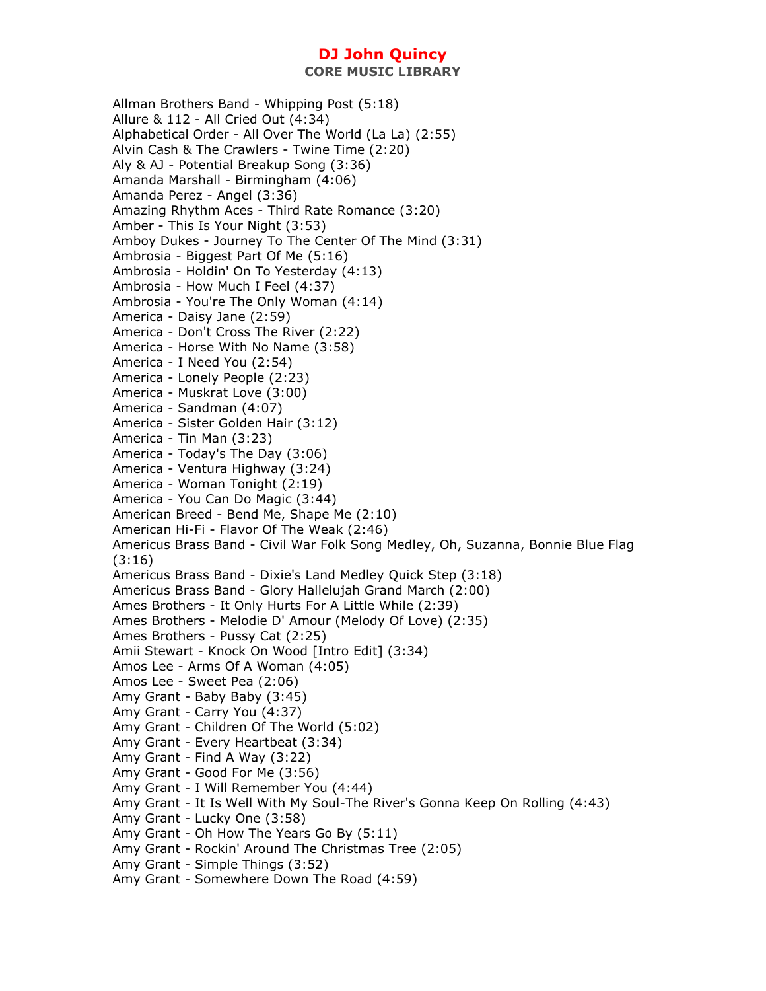Allman Brothers Band - Whipping Post (5:18) Allure & 112 - All Cried Out (4:34) Alphabetical Order - All Over The World (La La) (2:55) Alvin Cash & The Crawlers - Twine Time (2:20) Aly & AJ - Potential Breakup Song (3:36) Amanda Marshall - Birmingham (4:06) Amanda Perez - Angel (3:36) Amazing Rhythm Aces - Third Rate Romance (3:20) Amber - This Is Your Night (3:53) Amboy Dukes - Journey To The Center Of The Mind (3:31) Ambrosia - Biggest Part Of Me (5:16) Ambrosia - Holdin' On To Yesterday (4:13) Ambrosia - How Much I Feel (4:37) Ambrosia - You're The Only Woman (4:14) America - Daisy Jane (2:59) America - Don't Cross The River (2:22) America - Horse With No Name (3:58) America - I Need You (2:54) America - Lonely People (2:23) America - Muskrat Love (3:00) America - Sandman (4:07) America - Sister Golden Hair (3:12) America - Tin Man (3:23) America - Today's The Day (3:06) America - Ventura Highway (3:24) America - Woman Tonight (2:19) America - You Can Do Magic (3:44) American Breed - Bend Me, Shape Me (2:10) American Hi-Fi - Flavor Of The Weak (2:46) Americus Brass Band - Civil War Folk Song Medley, Oh, Suzanna, Bonnie Blue Flag (3:16) Americus Brass Band - Dixie's Land Medley Quick Step (3:18) Americus Brass Band - Glory Hallelujah Grand March (2:00) Ames Brothers - It Only Hurts For A Little While (2:39) Ames Brothers - Melodie D' Amour (Melody Of Love) (2:35) Ames Brothers - Pussy Cat (2:25) Amii Stewart - Knock On Wood [Intro Edit] (3:34) Amos Lee - Arms Of A Woman (4:05) Amos Lee - Sweet Pea (2:06) Amy Grant - Baby Baby (3:45) Amy Grant - Carry You (4:37) Amy Grant - Children Of The World (5:02) Amy Grant - Every Heartbeat (3:34) Amy Grant - Find A Way (3:22) Amy Grant - Good For Me (3:56) Amy Grant - I Will Remember You (4:44) Amy Grant - It Is Well With My Soul-The River's Gonna Keep On Rolling (4:43) Amy Grant - Lucky One (3:58) Amy Grant - Oh How The Years Go By (5:11) Amy Grant - Rockin' Around The Christmas Tree (2:05) Amy Grant - Simple Things (3:52) Amy Grant - Somewhere Down The Road (4:59)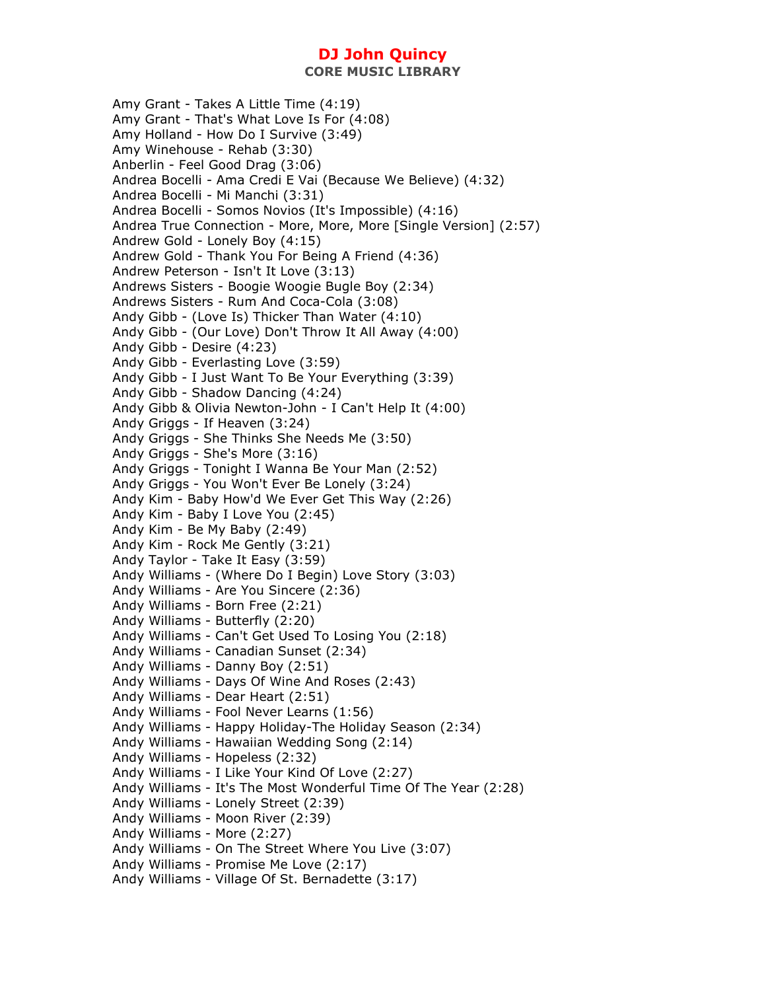Amy Grant - Takes A Little Time (4:19) Amy Grant - That's What Love Is For (4:08) Amy Holland - How Do I Survive (3:49) Amy Winehouse - Rehab (3:30) Anberlin - Feel Good Drag (3:06) Andrea Bocelli - Ama Credi E Vai (Because We Believe) (4:32) Andrea Bocelli - Mi Manchi (3:31) Andrea Bocelli - Somos Novios (It's Impossible) (4:16) Andrea True Connection - More, More, More [Single Version] (2:57) Andrew Gold - Lonely Boy (4:15) Andrew Gold - Thank You For Being A Friend (4:36) Andrew Peterson - Isn't It Love (3:13) Andrews Sisters - Boogie Woogie Bugle Boy (2:34) Andrews Sisters - Rum And Coca-Cola (3:08) Andy Gibb - (Love Is) Thicker Than Water (4:10) Andy Gibb - (Our Love) Don't Throw It All Away (4:00) Andy Gibb - Desire (4:23) Andy Gibb - Everlasting Love (3:59) Andy Gibb - I Just Want To Be Your Everything (3:39) Andy Gibb - Shadow Dancing (4:24) Andy Gibb & Olivia Newton-John - I Can't Help It (4:00) Andy Griggs - If Heaven (3:24) Andy Griggs - She Thinks She Needs Me (3:50) Andy Griggs - She's More (3:16) Andy Griggs - Tonight I Wanna Be Your Man (2:52) Andy Griggs - You Won't Ever Be Lonely (3:24) Andy Kim - Baby How'd We Ever Get This Way (2:26) Andy Kim - Baby I Love You (2:45) Andy Kim - Be My Baby (2:49) Andy Kim - Rock Me Gently (3:21) Andy Taylor - Take It Easy (3:59) Andy Williams - (Where Do I Begin) Love Story (3:03) Andy Williams - Are You Sincere (2:36) Andy Williams - Born Free (2:21) Andy Williams - Butterfly (2:20) Andy Williams - Can't Get Used To Losing You (2:18) Andy Williams - Canadian Sunset (2:34) Andy Williams - Danny Boy (2:51) Andy Williams - Days Of Wine And Roses (2:43) Andy Williams - Dear Heart (2:51) Andy Williams - Fool Never Learns (1:56) Andy Williams - Happy Holiday-The Holiday Season (2:34) Andy Williams - Hawaiian Wedding Song (2:14) Andy Williams - Hopeless (2:32) Andy Williams - I Like Your Kind Of Love (2:27) Andy Williams - It's The Most Wonderful Time Of The Year (2:28) Andy Williams - Lonely Street (2:39) Andy Williams - Moon River (2:39) Andy Williams - More (2:27) Andy Williams - On The Street Where You Live (3:07) Andy Williams - Promise Me Love (2:17) Andy Williams - Village Of St. Bernadette (3:17)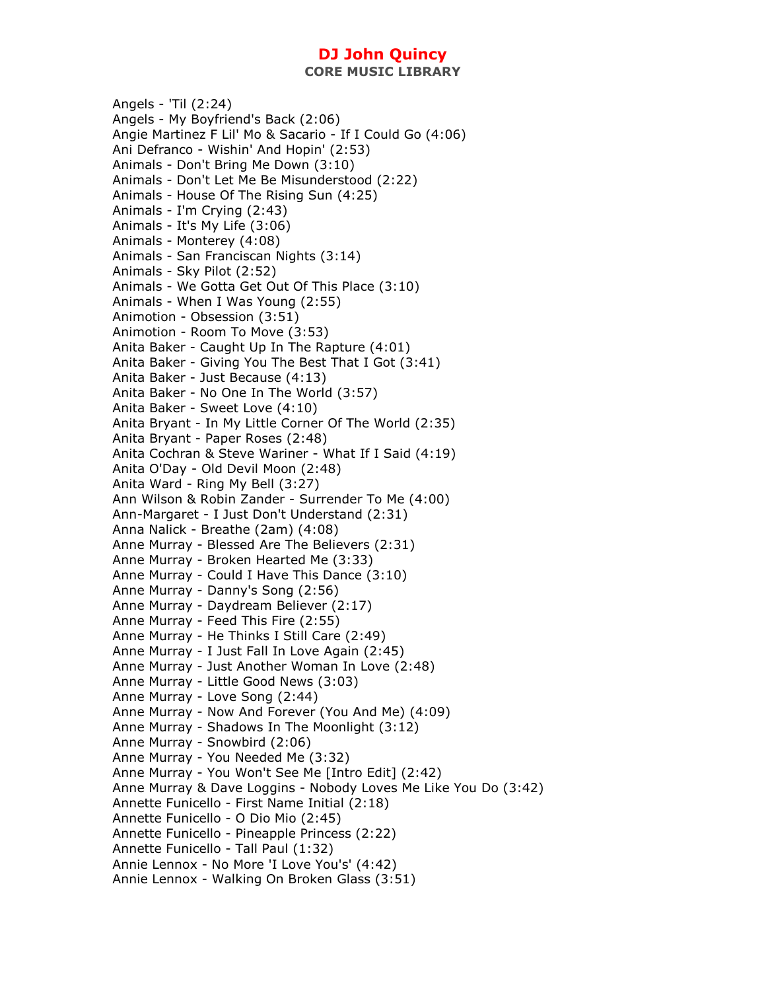**CORE MUSIC LIBRARY** 

Angels - 'Til (2:24) Angels - My Boyfriend's Back (2:06) Angie Martinez F Lil' Mo & Sacario - If I Could Go (4:06) Ani Defranco - Wishin' And Hopin' (2:53) Animals - Don't Bring Me Down (3:10) Animals - Don't Let Me Be Misunderstood (2:22) Animals - House Of The Rising Sun (4:25) Animals - I'm Crying (2:43) Animals - It's My Life (3:06) Animals - Monterey (4:08) Animals - San Franciscan Nights (3:14) Animals - Sky Pilot (2:52) Animals - We Gotta Get Out Of This Place (3:10) Animals - When I Was Young (2:55) Animotion - Obsession (3:51) Animotion - Room To Move (3:53) Anita Baker - Caught Up In The Rapture (4:01) Anita Baker - Giving You The Best That I Got (3:41) Anita Baker - Just Because (4:13) Anita Baker - No One In The World (3:57) Anita Baker - Sweet Love (4:10) Anita Bryant - In My Little Corner Of The World (2:35) Anita Bryant - Paper Roses (2:48) Anita Cochran & Steve Wariner - What If I Said (4:19) Anita O'Day - Old Devil Moon (2:48) Anita Ward - Ring My Bell (3:27) Ann Wilson & Robin Zander - Surrender To Me (4:00) Ann-Margaret - I Just Don't Understand (2:31) Anna Nalick - Breathe (2am) (4:08) Anne Murray - Blessed Are The Believers (2:31) Anne Murray - Broken Hearted Me (3:33) Anne Murray - Could I Have This Dance (3:10) Anne Murray - Danny's Song (2:56) Anne Murray - Daydream Believer (2:17) Anne Murray - Feed This Fire (2:55) Anne Murray - He Thinks I Still Care (2:49) Anne Murray - I Just Fall In Love Again (2:45) Anne Murray - Just Another Woman In Love (2:48) Anne Murray - Little Good News (3:03) Anne Murray - Love Song (2:44) Anne Murray - Now And Forever (You And Me) (4:09) Anne Murray - Shadows In The Moonlight (3:12) Anne Murray - Snowbird (2:06) Anne Murray - You Needed Me (3:32) Anne Murray - You Won't See Me [Intro Edit] (2:42) Anne Murray & Dave Loggins - Nobody Loves Me Like You Do (3:42) Annette Funicello - First Name Initial (2:18) Annette Funicello - O Dio Mio (2:45) Annette Funicello - Pineapple Princess (2:22) Annette Funicello - Tall Paul (1:32) Annie Lennox - No More 'I Love You's' (4:42) Annie Lennox - Walking On Broken Glass (3:51)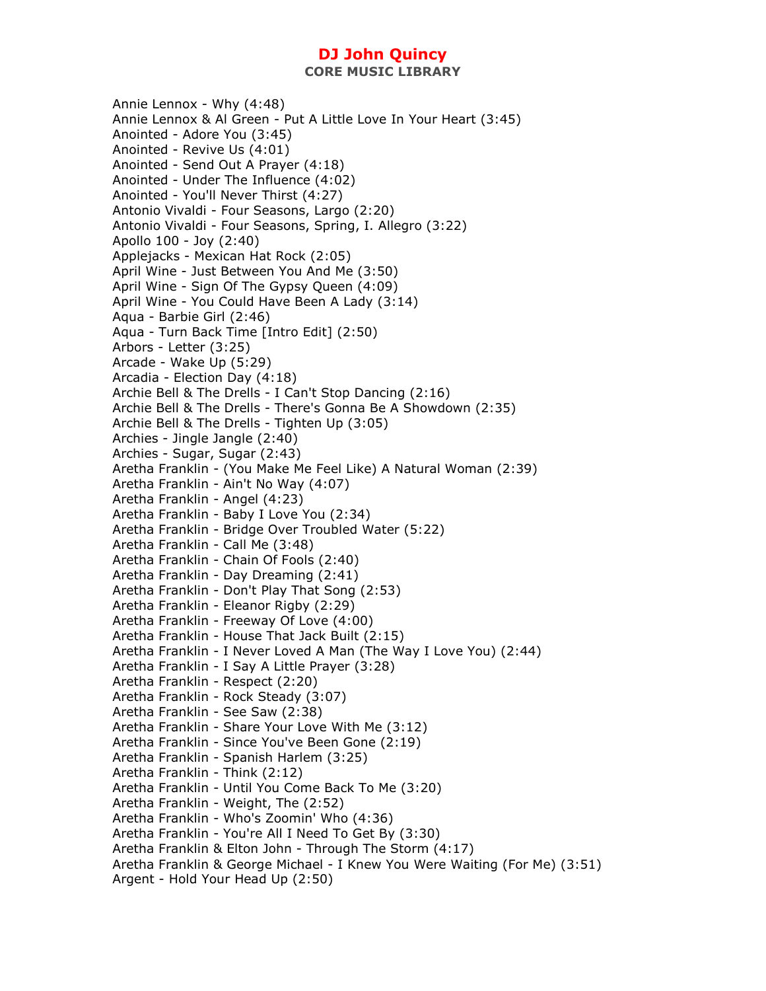Annie Lennox - Why (4:48) Annie Lennox & Al Green - Put A Little Love In Your Heart (3:45) Anointed - Adore You (3:45) Anointed - Revive Us (4:01) Anointed - Send Out A Prayer (4:18) Anointed - Under The Influence (4:02) Anointed - You'll Never Thirst (4:27) Antonio Vivaldi - Four Seasons, Largo (2:20) Antonio Vivaldi - Four Seasons, Spring, I. Allegro (3:22) Apollo 100 - Joy (2:40) Applejacks - Mexican Hat Rock (2:05) April Wine - Just Between You And Me (3:50) April Wine - Sign Of The Gypsy Queen (4:09) April Wine - You Could Have Been A Lady (3:14) Aqua - Barbie Girl (2:46) Aqua - Turn Back Time [Intro Edit] (2:50) Arbors - Letter (3:25) Arcade - Wake Up (5:29) Arcadia - Election Day (4:18) Archie Bell & The Drells - I Can't Stop Dancing (2:16) Archie Bell & The Drells - There's Gonna Be A Showdown (2:35) Archie Bell & The Drells - Tighten Up (3:05) Archies - Jingle Jangle (2:40) Archies - Sugar, Sugar (2:43) Aretha Franklin - (You Make Me Feel Like) A Natural Woman (2:39) Aretha Franklin - Ain't No Way (4:07) Aretha Franklin - Angel (4:23) Aretha Franklin - Baby I Love You (2:34) Aretha Franklin - Bridge Over Troubled Water (5:22) Aretha Franklin - Call Me (3:48) Aretha Franklin - Chain Of Fools (2:40) Aretha Franklin - Day Dreaming (2:41) Aretha Franklin - Don't Play That Song (2:53) Aretha Franklin - Eleanor Rigby (2:29) Aretha Franklin - Freeway Of Love (4:00) Aretha Franklin - House That Jack Built (2:15) Aretha Franklin - I Never Loved A Man (The Way I Love You) (2:44) Aretha Franklin - I Say A Little Prayer (3:28) Aretha Franklin - Respect (2:20) Aretha Franklin - Rock Steady (3:07) Aretha Franklin - See Saw (2:38) Aretha Franklin - Share Your Love With Me (3:12) Aretha Franklin - Since You've Been Gone (2:19) Aretha Franklin - Spanish Harlem (3:25) Aretha Franklin - Think (2:12) Aretha Franklin - Until You Come Back To Me (3:20) Aretha Franklin - Weight, The (2:52) Aretha Franklin - Who's Zoomin' Who (4:36) Aretha Franklin - You're All I Need To Get By (3:30) Aretha Franklin & Elton John - Through The Storm (4:17) Aretha Franklin & George Michael - I Knew You Were Waiting (For Me) (3:51) Argent - Hold Your Head Up (2:50)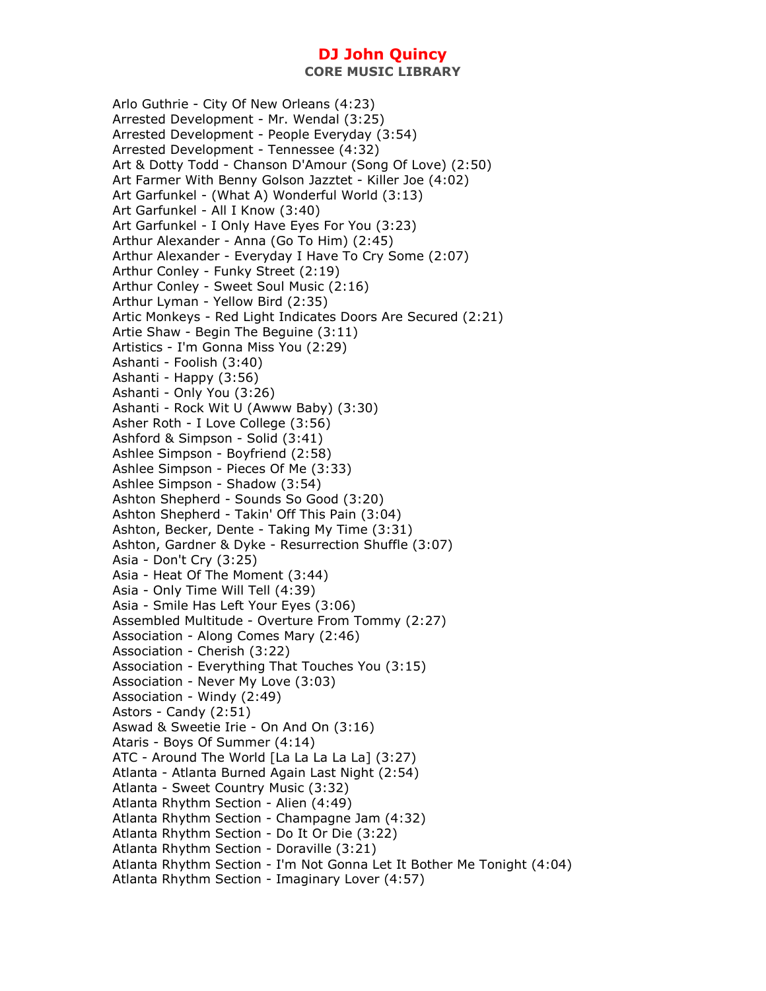Arlo Guthrie - City Of New Orleans (4:23) Arrested Development - Mr. Wendal (3:25) Arrested Development - People Everyday (3:54) Arrested Development - Tennessee (4:32) Art & Dotty Todd - Chanson D'Amour (Song Of Love) (2:50) Art Farmer With Benny Golson Jazztet - Killer Joe (4:02) Art Garfunkel - (What A) Wonderful World (3:13) Art Garfunkel - All I Know (3:40) Art Garfunkel - I Only Have Eyes For You (3:23) Arthur Alexander - Anna (Go To Him) (2:45) Arthur Alexander - Everyday I Have To Cry Some (2:07) Arthur Conley - Funky Street (2:19) Arthur Conley - Sweet Soul Music (2:16) Arthur Lyman - Yellow Bird (2:35) Artic Monkeys - Red Light Indicates Doors Are Secured (2:21) Artie Shaw - Begin The Beguine (3:11) Artistics - I'm Gonna Miss You (2:29) Ashanti - Foolish (3:40) Ashanti - Happy (3:56) Ashanti - Only You (3:26) Ashanti - Rock Wit U (Awww Baby) (3:30) Asher Roth - I Love College (3:56) Ashford & Simpson - Solid (3:41) Ashlee Simpson - Boyfriend (2:58) Ashlee Simpson - Pieces Of Me (3:33) Ashlee Simpson - Shadow (3:54) Ashton Shepherd - Sounds So Good (3:20) Ashton Shepherd - Takin' Off This Pain (3:04) Ashton, Becker, Dente - Taking My Time (3:31) Ashton, Gardner & Dyke - Resurrection Shuffle (3:07) Asia - Don't Cry (3:25) Asia - Heat Of The Moment (3:44) Asia - Only Time Will Tell (4:39) Asia - Smile Has Left Your Eyes (3:06) Assembled Multitude - Overture From Tommy (2:27) Association - Along Comes Mary (2:46) Association - Cherish (3:22) Association - Everything That Touches You (3:15) Association - Never My Love (3:03) Association - Windy (2:49) Astors - Candy (2:51) Aswad & Sweetie Irie - On And On (3:16) Ataris - Boys Of Summer (4:14) ATC - Around The World [La La La La La] (3:27) Atlanta - Atlanta Burned Again Last Night (2:54) Atlanta - Sweet Country Music (3:32) Atlanta Rhythm Section - Alien (4:49) Atlanta Rhythm Section - Champagne Jam (4:32) Atlanta Rhythm Section - Do It Or Die (3:22) Atlanta Rhythm Section - Doraville (3:21) Atlanta Rhythm Section - I'm Not Gonna Let It Bother Me Tonight (4:04) Atlanta Rhythm Section - Imaginary Lover (4:57)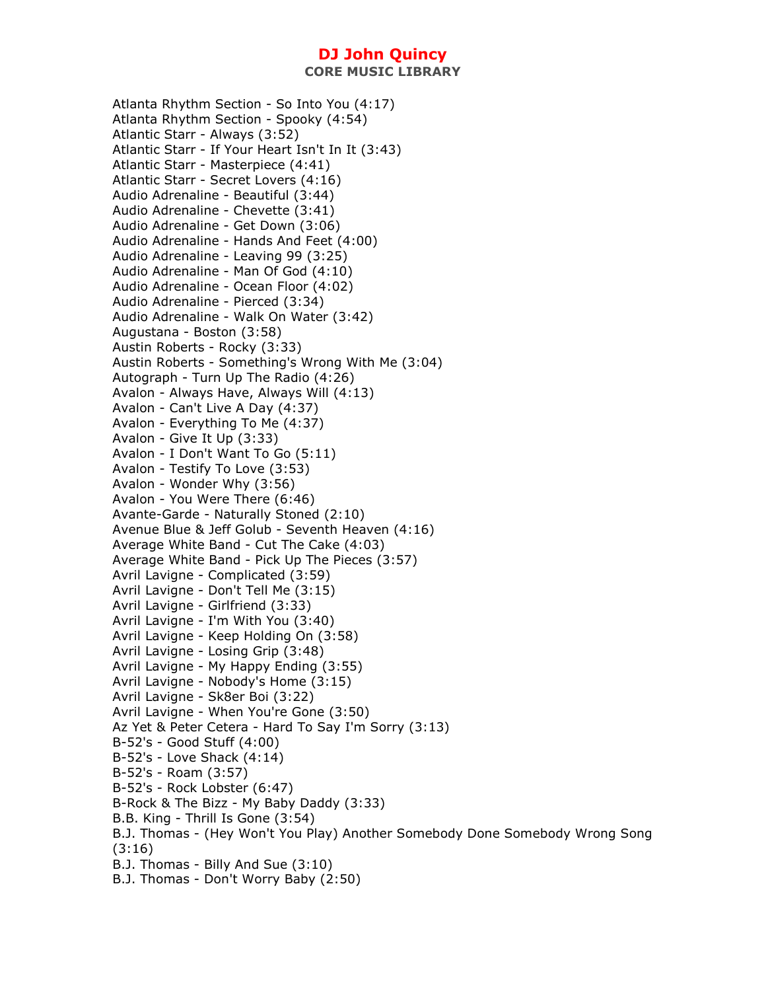Atlanta Rhythm Section - So Into You (4:17) Atlanta Rhythm Section - Spooky (4:54) Atlantic Starr - Always (3:52) Atlantic Starr - If Your Heart Isn't In It (3:43) Atlantic Starr - Masterpiece (4:41) Atlantic Starr - Secret Lovers (4:16) Audio Adrenaline - Beautiful (3:44) Audio Adrenaline - Chevette (3:41) Audio Adrenaline - Get Down (3:06) Audio Adrenaline - Hands And Feet (4:00) Audio Adrenaline - Leaving 99 (3:25) Audio Adrenaline - Man Of God (4:10) Audio Adrenaline - Ocean Floor (4:02) Audio Adrenaline - Pierced (3:34) Audio Adrenaline - Walk On Water (3:42) Augustana - Boston (3:58) Austin Roberts - Rocky (3:33) Austin Roberts - Something's Wrong With Me (3:04) Autograph - Turn Up The Radio (4:26) Avalon - Always Have, Always Will (4:13) Avalon - Can't Live A Day (4:37) Avalon - Everything To Me (4:37) Avalon - Give It Up (3:33) Avalon - I Don't Want To Go (5:11) Avalon - Testify To Love (3:53) Avalon - Wonder Why (3:56) Avalon - You Were There (6:46) Avante-Garde - Naturally Stoned (2:10) Avenue Blue & Jeff Golub - Seventh Heaven (4:16) Average White Band - Cut The Cake (4:03) Average White Band - Pick Up The Pieces (3:57) Avril Lavigne - Complicated (3:59) Avril Lavigne - Don't Tell Me (3:15) Avril Lavigne - Girlfriend (3:33) Avril Lavigne - I'm With You (3:40) Avril Lavigne - Keep Holding On (3:58) Avril Lavigne - Losing Grip (3:48) Avril Lavigne - My Happy Ending (3:55) Avril Lavigne - Nobody's Home (3:15) Avril Lavigne - Sk8er Boi (3:22) Avril Lavigne - When You're Gone (3:50) Az Yet & Peter Cetera - Hard To Say I'm Sorry (3:13) B-52's - Good Stuff (4:00) B-52's - Love Shack (4:14) B-52's - Roam (3:57) B-52's - Rock Lobster (6:47) B-Rock & The Bizz - My Baby Daddy (3:33) B.B. King - Thrill Is Gone (3:54) B.J. Thomas - (Hey Won't You Play) Another Somebody Done Somebody Wrong Song (3:16) B.J. Thomas - Billy And Sue (3:10) B.J. Thomas - Don't Worry Baby (2:50)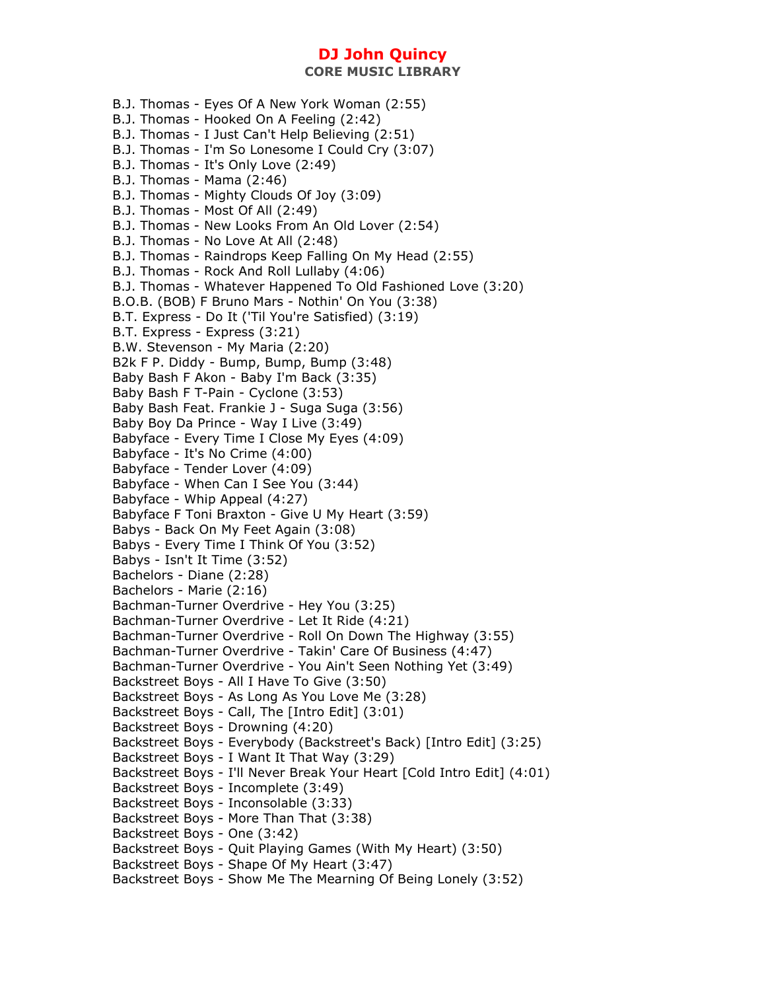- B.J. Thomas Eyes Of A New York Woman (2:55)
- B.J. Thomas Hooked On A Feeling (2:42)
- B.J. Thomas I Just Can't Help Believing (2:51)
- B.J. Thomas I'm So Lonesome I Could Cry (3:07)
- B.J. Thomas It's Only Love (2:49)
- B.J. Thomas Mama (2:46)
- B.J. Thomas Mighty Clouds Of Joy (3:09)
- B.J. Thomas Most Of All (2:49)
- B.J. Thomas New Looks From An Old Lover (2:54)
- B.J. Thomas No Love At All (2:48)
- B.J. Thomas Raindrops Keep Falling On My Head (2:55)
- B.J. Thomas Rock And Roll Lullaby (4:06)
- B.J. Thomas Whatever Happened To Old Fashioned Love (3:20)
- B.O.B. (BOB) F Bruno Mars Nothin' On You (3:38)
- B.T. Express Do It ('Til You're Satisfied) (3:19)
- B.T. Express Express (3:21)
- B.W. Stevenson My Maria (2:20)
- B2k F P. Diddy Bump, Bump, Bump (3:48)
- Baby Bash F Akon Baby I'm Back (3:35)
- Baby Bash F T-Pain Cyclone (3:53)
- Baby Bash Feat. Frankie J Suga Suga (3:56)
- Baby Boy Da Prince Way I Live (3:49)
- Babyface Every Time I Close My Eyes (4:09)
- Babyface It's No Crime (4:00)
- Babyface Tender Lover (4:09)
- Babyface When Can I See You (3:44)
- Babyface Whip Appeal (4:27)
- Babyface F Toni Braxton Give U My Heart (3:59)
- Babys Back On My Feet Again (3:08)
- Babys Every Time I Think Of You (3:52)
- Babys Isn't It Time (3:52)
- Bachelors Diane (2:28)
- Bachelors Marie (2:16)
- Bachman-Turner Overdrive Hey You (3:25)
- Bachman-Turner Overdrive Let It Ride (4:21)
- Bachman-Turner Overdrive Roll On Down The Highway (3:55)
- Bachman-Turner Overdrive Takin' Care Of Business (4:47)
- Bachman-Turner Overdrive You Ain't Seen Nothing Yet (3:49)
- Backstreet Boys All I Have To Give (3:50)
- Backstreet Boys As Long As You Love Me (3:28)
- Backstreet Boys Call, The [Intro Edit] (3:01)
- Backstreet Boys Drowning (4:20)
- Backstreet Boys Everybody (Backstreet's Back) [Intro Edit] (3:25)
- Backstreet Boys I Want It That Way (3:29)
- Backstreet Boys I'll Never Break Your Heart [Cold Intro Edit] (4:01)
- Backstreet Boys Incomplete (3:49)
- Backstreet Boys Inconsolable (3:33)
- Backstreet Boys More Than That (3:38)
- Backstreet Boys One (3:42)
- Backstreet Boys Quit Playing Games (With My Heart) (3:50)
- Backstreet Boys Shape Of My Heart (3:47)
- Backstreet Boys Show Me The Mearning Of Being Lonely (3:52)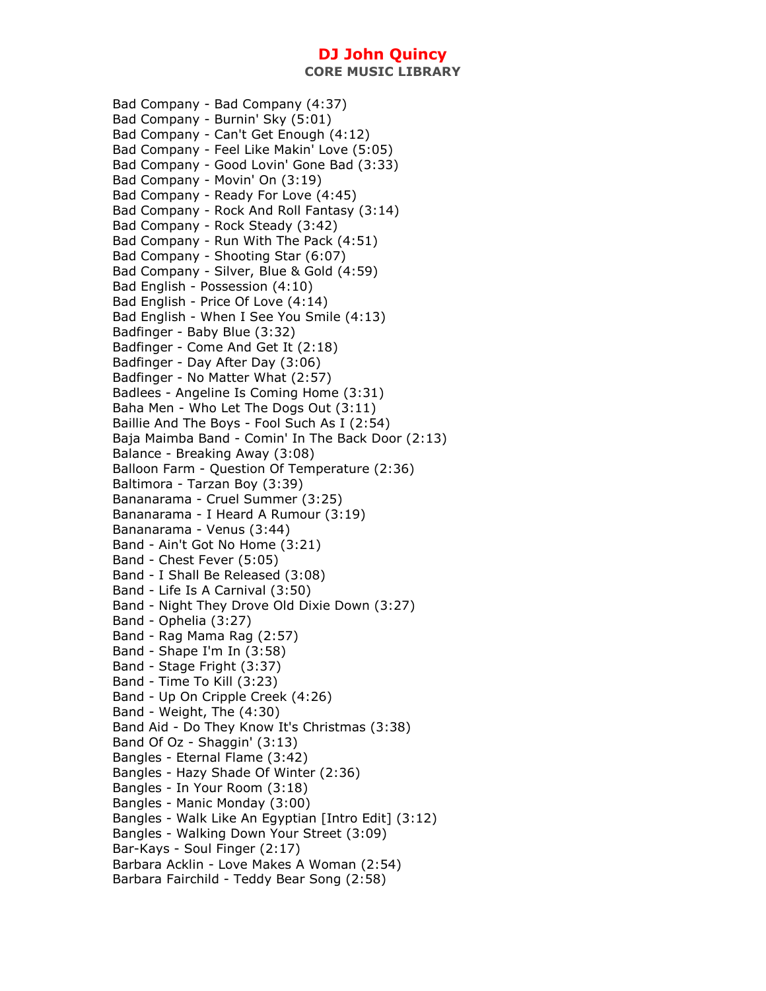**CORE MUSIC LIBRARY** 

Bad Company - Bad Company (4:37) Bad Company - Burnin' Sky (5:01) Bad Company - Can't Get Enough (4:12) Bad Company - Feel Like Makin' Love (5:05) Bad Company - Good Lovin' Gone Bad (3:33) Bad Company - Movin' On (3:19) Bad Company - Ready For Love (4:45) Bad Company - Rock And Roll Fantasy (3:14) Bad Company - Rock Steady (3:42) Bad Company - Run With The Pack (4:51) Bad Company - Shooting Star (6:07) Bad Company - Silver, Blue & Gold (4:59) Bad English - Possession (4:10) Bad English - Price Of Love (4:14) Bad English - When I See You Smile (4:13) Badfinger - Baby Blue (3:32) Badfinger - Come And Get It (2:18) Badfinger - Day After Day (3:06) Badfinger - No Matter What (2:57) Badlees - Angeline Is Coming Home (3:31) Baha Men - Who Let The Dogs Out (3:11) Baillie And The Boys - Fool Such As I (2:54) Baja Maimba Band - Comin' In The Back Door (2:13) Balance - Breaking Away (3:08) Balloon Farm - Question Of Temperature (2:36) Baltimora - Tarzan Boy (3:39) Bananarama - Cruel Summer (3:25) Bananarama - I Heard A Rumour (3:19) Bananarama - Venus (3:44) Band - Ain't Got No Home (3:21) Band - Chest Fever (5:05) Band - I Shall Be Released (3:08) Band - Life Is A Carnival (3:50) Band - Night They Drove Old Dixie Down (3:27) Band - Ophelia (3:27) Band - Rag Mama Rag (2:57) Band - Shape I'm In (3:58) Band - Stage Fright (3:37) Band - Time To Kill (3:23) Band - Up On Cripple Creek (4:26) Band - Weight, The (4:30) Band Aid - Do They Know It's Christmas (3:38) Band Of Oz - Shaggin' (3:13) Bangles - Eternal Flame (3:42) Bangles - Hazy Shade Of Winter (2:36) Bangles - In Your Room (3:18) Bangles - Manic Monday (3:00) Bangles - Walk Like An Egyptian [Intro Edit] (3:12) Bangles - Walking Down Your Street (3:09) Bar-Kays - Soul Finger (2:17) Barbara Acklin - Love Makes A Woman (2:54) Barbara Fairchild - Teddy Bear Song (2:58)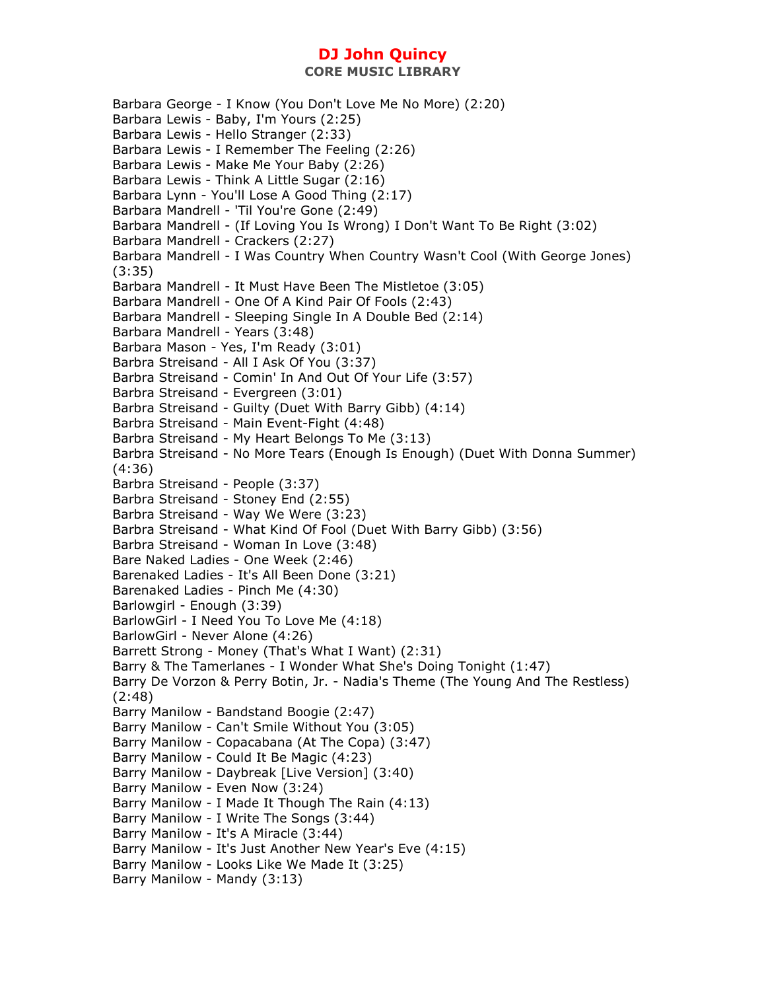**CORE MUSIC LIBRARY** 

Barbara George - I Know (You Don't Love Me No More) (2:20) Barbara Lewis - Baby, I'm Yours (2:25) Barbara Lewis - Hello Stranger (2:33) Barbara Lewis - I Remember The Feeling (2:26) Barbara Lewis - Make Me Your Baby (2:26) Barbara Lewis - Think A Little Sugar (2:16) Barbara Lynn - You'll Lose A Good Thing (2:17) Barbara Mandrell - 'Til You're Gone (2:49) Barbara Mandrell - (If Loving You Is Wrong) I Don't Want To Be Right (3:02) Barbara Mandrell - Crackers (2:27) Barbara Mandrell - I Was Country When Country Wasn't Cool (With George Jones) (3:35) Barbara Mandrell - It Must Have Been The Mistletoe (3:05) Barbara Mandrell - One Of A Kind Pair Of Fools (2:43) Barbara Mandrell - Sleeping Single In A Double Bed (2:14) Barbara Mandrell - Years (3:48) Barbara Mason - Yes, I'm Ready (3:01) Barbra Streisand - All I Ask Of You (3:37) Barbra Streisand - Comin' In And Out Of Your Life (3:57) Barbra Streisand - Evergreen (3:01) Barbra Streisand - Guilty (Duet With Barry Gibb) (4:14) Barbra Streisand - Main Event-Fight (4:48) Barbra Streisand - My Heart Belongs To Me (3:13) Barbra Streisand - No More Tears (Enough Is Enough) (Duet With Donna Summer) (4:36) Barbra Streisand - People (3:37) Barbra Streisand - Stoney End (2:55) Barbra Streisand - Way We Were (3:23) Barbra Streisand - What Kind Of Fool (Duet With Barry Gibb) (3:56) Barbra Streisand - Woman In Love (3:48) Bare Naked Ladies - One Week (2:46) Barenaked Ladies - It's All Been Done (3:21) Barenaked Ladies - Pinch Me (4:30) Barlowgirl - Enough (3:39) BarlowGirl - I Need You To Love Me (4:18) BarlowGirl - Never Alone (4:26) Barrett Strong - Money (That's What I Want) (2:31) Barry & The Tamerlanes - I Wonder What She's Doing Tonight (1:47) Barry De Vorzon & Perry Botin, Jr. - Nadia's Theme (The Young And The Restless) (2:48) Barry Manilow - Bandstand Boogie (2:47) Barry Manilow - Can't Smile Without You (3:05) Barry Manilow - Copacabana (At The Copa) (3:47) Barry Manilow - Could It Be Magic (4:23) Barry Manilow - Daybreak [Live Version] (3:40) Barry Manilow - Even Now (3:24) Barry Manilow - I Made It Though The Rain (4:13) Barry Manilow - I Write The Songs (3:44) Barry Manilow - It's A Miracle (3:44) Barry Manilow - It's Just Another New Year's Eve (4:15) Barry Manilow - Looks Like We Made It (3:25) Barry Manilow - Mandy (3:13)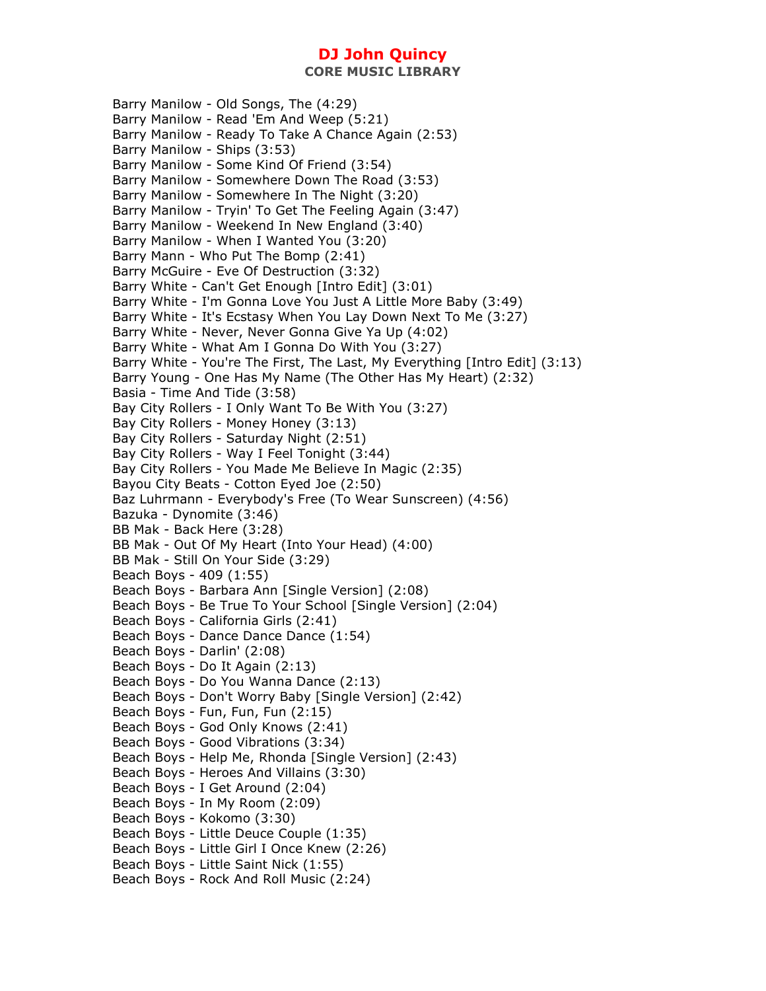**CORE MUSIC LIBRARY** 

Barry Manilow - Old Songs, The (4:29) Barry Manilow - Read 'Em And Weep (5:21) Barry Manilow - Ready To Take A Chance Again (2:53) Barry Manilow - Ships (3:53) Barry Manilow - Some Kind Of Friend (3:54) Barry Manilow - Somewhere Down The Road (3:53) Barry Manilow - Somewhere In The Night (3:20) Barry Manilow - Tryin' To Get The Feeling Again (3:47) Barry Manilow - Weekend In New England (3:40) Barry Manilow - When I Wanted You (3:20) Barry Mann - Who Put The Bomp (2:41) Barry McGuire - Eve Of Destruction (3:32) Barry White - Can't Get Enough [Intro Edit] (3:01) Barry White - I'm Gonna Love You Just A Little More Baby (3:49) Barry White - It's Ecstasy When You Lay Down Next To Me (3:27) Barry White - Never, Never Gonna Give Ya Up (4:02) Barry White - What Am I Gonna Do With You (3:27) Barry White - You're The First, The Last, My Everything [Intro Edit] (3:13) Barry Young - One Has My Name (The Other Has My Heart) (2:32) Basia - Time And Tide (3:58) Bay City Rollers - I Only Want To Be With You (3:27) Bay City Rollers - Money Honey (3:13) Bay City Rollers - Saturday Night (2:51) Bay City Rollers - Way I Feel Tonight (3:44) Bay City Rollers - You Made Me Believe In Magic (2:35) Bayou City Beats - Cotton Eyed Joe (2:50) Baz Luhrmann - Everybody's Free (To Wear Sunscreen) (4:56) Bazuka - Dynomite (3:46) BB Mak - Back Here (3:28) BB Mak - Out Of My Heart (Into Your Head) (4:00) BB Mak - Still On Your Side (3:29) Beach Boys - 409 (1:55) Beach Boys - Barbara Ann [Single Version] (2:08) Beach Boys - Be True To Your School [Single Version] (2:04) Beach Boys - California Girls (2:41) Beach Boys - Dance Dance Dance (1:54) Beach Boys - Darlin' (2:08) Beach Boys - Do It Again (2:13) Beach Boys - Do You Wanna Dance (2:13) Beach Boys - Don't Worry Baby [Single Version] (2:42) Beach Boys - Fun, Fun, Fun (2:15) Beach Boys - God Only Knows (2:41) Beach Boys - Good Vibrations (3:34) Beach Boys - Help Me, Rhonda [Single Version] (2:43) Beach Boys - Heroes And Villains (3:30) Beach Boys - I Get Around (2:04) Beach Boys - In My Room (2:09) Beach Boys - Kokomo (3:30) Beach Boys - Little Deuce Couple (1:35) Beach Boys - Little Girl I Once Knew (2:26) Beach Boys - Little Saint Nick (1:55) Beach Boys - Rock And Roll Music (2:24)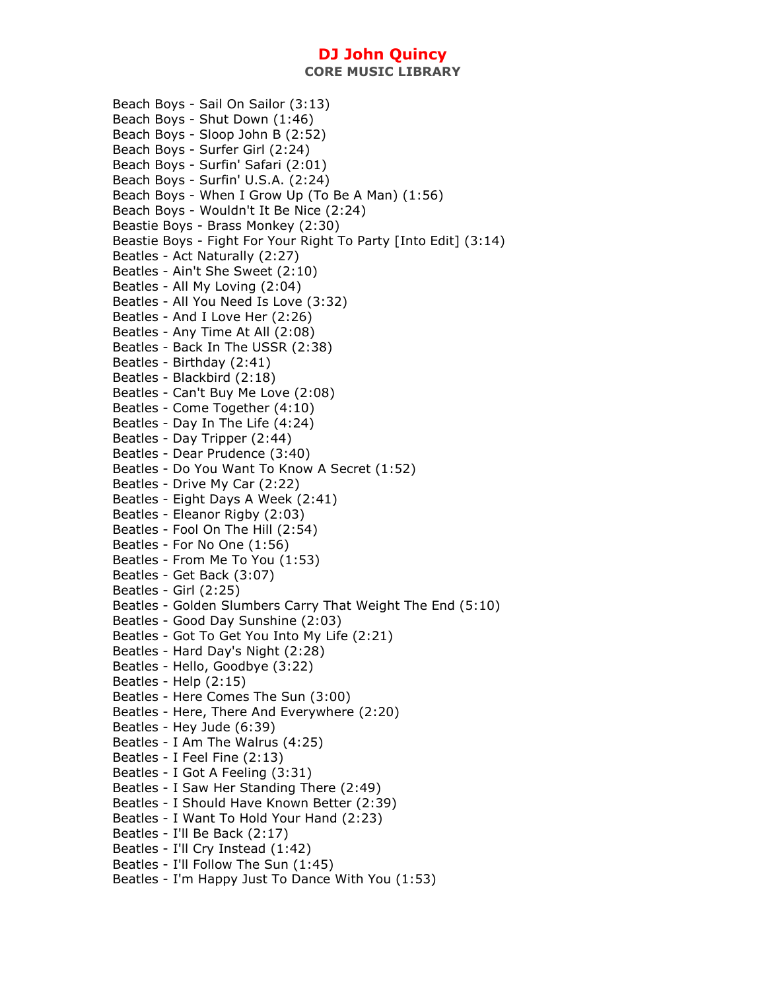**CORE MUSIC LIBRARY** 

Beach Boys - Sail On Sailor (3:13) Beach Boys - Shut Down (1:46) Beach Boys - Sloop John B (2:52) Beach Boys - Surfer Girl (2:24) Beach Boys - Surfin' Safari (2:01) Beach Boys - Surfin' U.S.A. (2:24) Beach Boys - When I Grow Up (To Be A Man) (1:56) Beach Boys - Wouldn't It Be Nice (2:24) Beastie Boys - Brass Monkey (2:30) Beastie Boys - Fight For Your Right To Party [Into Edit] (3:14) Beatles - Act Naturally (2:27) Beatles - Ain't She Sweet (2:10) Beatles - All My Loving (2:04) Beatles - All You Need Is Love (3:32) Beatles - And I Love Her (2:26) Beatles - Any Time At All (2:08) Beatles - Back In The USSR (2:38) Beatles - Birthday (2:41) Beatles - Blackbird (2:18) Beatles - Can't Buy Me Love (2:08) Beatles - Come Together (4:10) Beatles - Day In The Life (4:24) Beatles - Day Tripper (2:44) Beatles - Dear Prudence (3:40) Beatles - Do You Want To Know A Secret (1:52) Beatles - Drive My Car (2:22) Beatles - Eight Days A Week (2:41) Beatles - Eleanor Rigby (2:03) Beatles - Fool On The Hill (2:54) Beatles - For No One (1:56) Beatles - From Me To You (1:53) Beatles - Get Back (3:07) Beatles - Girl (2:25) Beatles - Golden Slumbers Carry That Weight The End (5:10) Beatles - Good Day Sunshine (2:03) Beatles - Got To Get You Into My Life (2:21) Beatles - Hard Day's Night (2:28) Beatles - Hello, Goodbye (3:22) Beatles - Help (2:15) Beatles - Here Comes The Sun (3:00) Beatles - Here, There And Everywhere (2:20) Beatles - Hey Jude (6:39) Beatles - I Am The Walrus (4:25) Beatles - I Feel Fine (2:13) Beatles - I Got A Feeling (3:31) Beatles - I Saw Her Standing There (2:49) Beatles - I Should Have Known Better (2:39) Beatles - I Want To Hold Your Hand (2:23) Beatles - I'll Be Back (2:17) Beatles - I'll Cry Instead (1:42) Beatles - I'll Follow The Sun (1:45) Beatles - I'm Happy Just To Dance With You (1:53)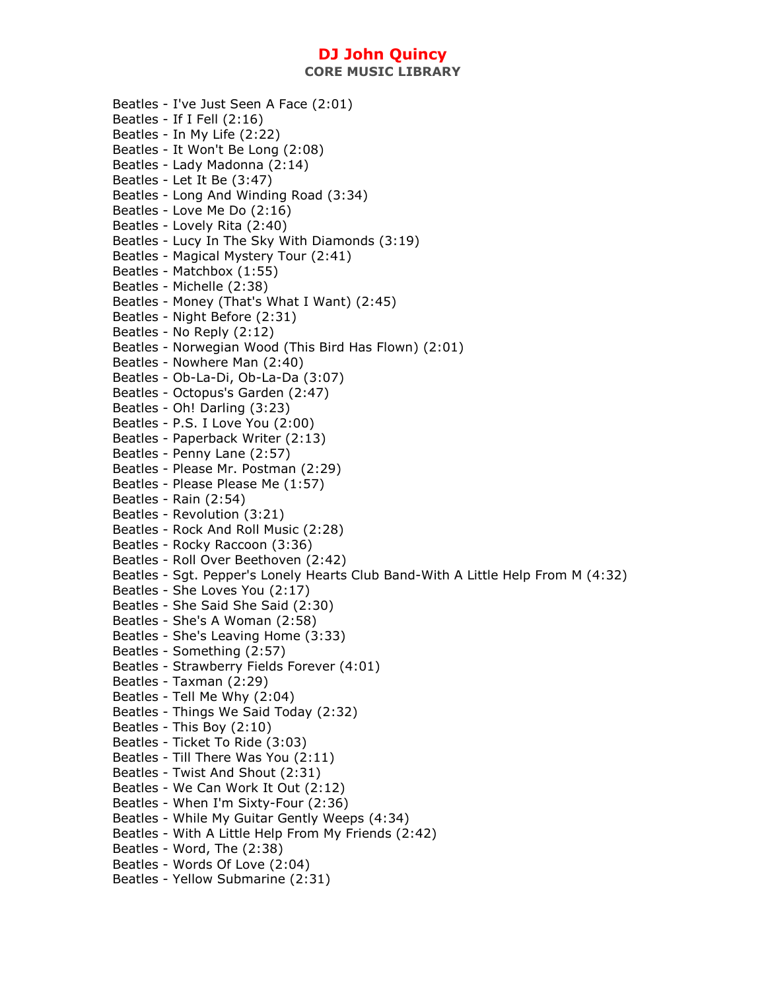**CORE MUSIC LIBRARY** 

Beatles - I've Just Seen A Face (2:01) Beatles - If I Fell (2:16) Beatles - In My Life (2:22) Beatles - It Won't Be Long (2:08) Beatles - Lady Madonna (2:14) Beatles - Let It Be (3:47) Beatles - Long And Winding Road (3:34) Beatles - Love Me Do (2:16) Beatles - Lovely Rita (2:40) Beatles - Lucy In The Sky With Diamonds (3:19) Beatles - Magical Mystery Tour (2:41) Beatles - Matchbox (1:55) Beatles - Michelle (2:38) Beatles - Money (That's What I Want) (2:45) Beatles - Night Before (2:31) Beatles - No Reply (2:12) Beatles - Norwegian Wood (This Bird Has Flown) (2:01) Beatles - Nowhere Man (2:40) Beatles - Ob-La-Di, Ob-La-Da (3:07) Beatles - Octopus's Garden (2:47) Beatles - Oh! Darling (3:23) Beatles - P.S. I Love You (2:00) Beatles - Paperback Writer (2:13) Beatles - Penny Lane (2:57) Beatles - Please Mr. Postman (2:29) Beatles - Please Please Me (1:57) Beatles - Rain (2:54) Beatles - Revolution (3:21) Beatles - Rock And Roll Music (2:28) Beatles - Rocky Raccoon (3:36) Beatles - Roll Over Beethoven (2:42) Beatles - Sgt. Pepper's Lonely Hearts Club Band-With A Little Help From M (4:32) Beatles - She Loves You (2:17) Beatles - She Said She Said (2:30) Beatles - She's A Woman (2:58) Beatles - She's Leaving Home (3:33) Beatles - Something (2:57) Beatles - Strawberry Fields Forever (4:01) Beatles - Taxman (2:29) Beatles - Tell Me Why (2:04) Beatles - Things We Said Today (2:32) Beatles - This Boy (2:10) Beatles - Ticket To Ride (3:03) Beatles - Till There Was You (2:11) Beatles - Twist And Shout (2:31) Beatles - We Can Work It Out (2:12) Beatles - When I'm Sixty-Four (2:36) Beatles - While My Guitar Gently Weeps (4:34) Beatles - With A Little Help From My Friends (2:42) Beatles - Word, The (2:38) Beatles - Words Of Love (2:04) Beatles - Yellow Submarine (2:31)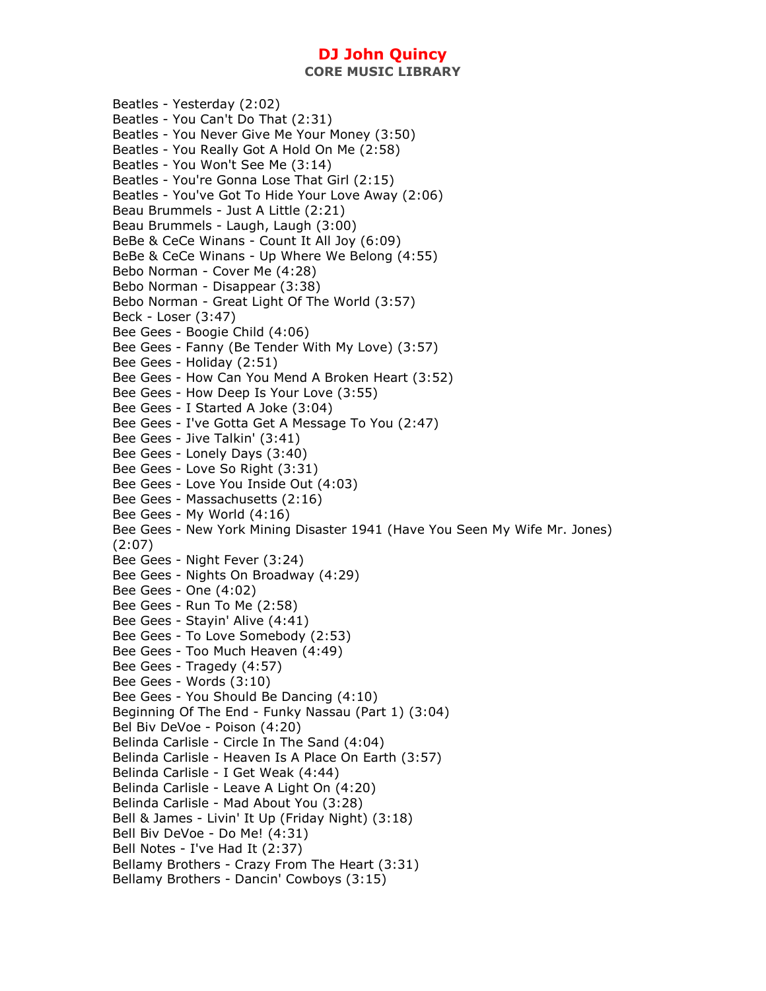**CORE MUSIC LIBRARY** 

Beatles - Yesterday (2:02) Beatles - You Can't Do That (2:31) Beatles - You Never Give Me Your Money (3:50) Beatles - You Really Got A Hold On Me (2:58) Beatles - You Won't See Me (3:14) Beatles - You're Gonna Lose That Girl (2:15) Beatles - You've Got To Hide Your Love Away (2:06) Beau Brummels - Just A Little (2:21) Beau Brummels - Laugh, Laugh (3:00) BeBe & CeCe Winans - Count It All Joy (6:09) BeBe & CeCe Winans - Up Where We Belong (4:55) Bebo Norman - Cover Me (4:28) Bebo Norman - Disappear (3:38) Bebo Norman - Great Light Of The World (3:57) Beck - Loser (3:47) Bee Gees - Boogie Child (4:06) Bee Gees - Fanny (Be Tender With My Love) (3:57) Bee Gees - Holiday (2:51) Bee Gees - How Can You Mend A Broken Heart (3:52) Bee Gees - How Deep Is Your Love (3:55) Bee Gees - I Started A Joke (3:04) Bee Gees - I've Gotta Get A Message To You (2:47) Bee Gees - Jive Talkin' (3:41) Bee Gees - Lonely Days (3:40) Bee Gees - Love So Right (3:31) Bee Gees - Love You Inside Out (4:03) Bee Gees - Massachusetts (2:16) Bee Gees - My World (4:16) Bee Gees - New York Mining Disaster 1941 (Have You Seen My Wife Mr. Jones) (2:07) Bee Gees - Night Fever (3:24) Bee Gees - Nights On Broadway (4:29) Bee Gees - One (4:02) Bee Gees - Run To Me (2:58) Bee Gees - Stayin' Alive (4:41) Bee Gees - To Love Somebody (2:53) Bee Gees - Too Much Heaven (4:49) Bee Gees - Tragedy (4:57) Bee Gees - Words (3:10) Bee Gees - You Should Be Dancing (4:10) Beginning Of The End - Funky Nassau (Part 1) (3:04) Bel Biv DeVoe - Poison (4:20) Belinda Carlisle - Circle In The Sand (4:04) Belinda Carlisle - Heaven Is A Place On Earth (3:57) Belinda Carlisle - I Get Weak (4:44) Belinda Carlisle - Leave A Light On (4:20) Belinda Carlisle - Mad About You (3:28) Bell & James - Livin' It Up (Friday Night) (3:18) Bell Biv DeVoe - Do Me! (4:31) Bell Notes - I've Had It (2:37) Bellamy Brothers - Crazy From The Heart (3:31) Bellamy Brothers - Dancin' Cowboys (3:15)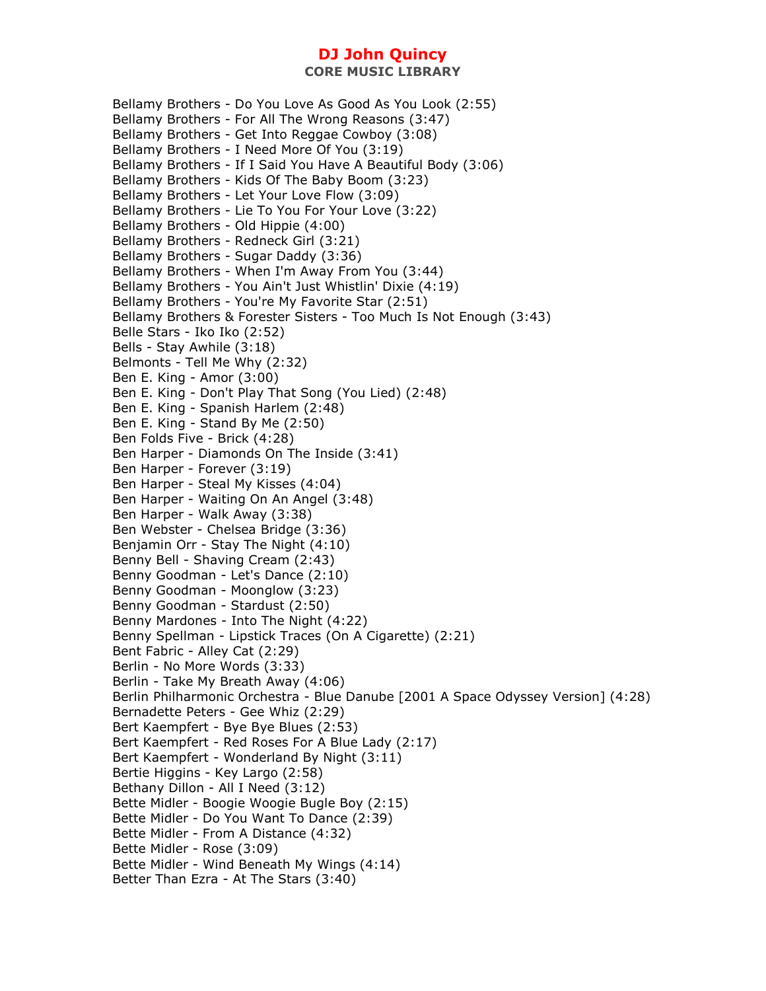Bellamy Brothers - Do You Love As Good As You Look (2:55) Bellamy Brothers - For All The Wrong Reasons (3:47) Bellamy Brothers - Get Into Reggae Cowboy (3:08) Bellamy Brothers - I Need More Of You (3:19) Bellamy Brothers - If I Said You Have A Beautiful Body (3:06) Bellamy Brothers - Kids Of The Baby Boom (3:23) Bellamy Brothers - Let Your Love Flow (3:09) Bellamy Brothers - Lie To You For Your Love (3:22) Bellamy Brothers - Old Hippie (4:00) Bellamy Brothers - Redneck Girl (3:21) Bellamy Brothers - Sugar Daddy (3:36) Bellamy Brothers - When I'm Away From You (3:44) Bellamy Brothers - You Ain't Just Whistlin' Dixie (4:19) Bellamy Brothers - You're My Favorite Star (2:51) Bellamy Brothers & Forester Sisters - Too Much Is Not Enough (3:43) Belle Stars - Iko Iko (2:52) Bells - Stay Awhile (3:18) Belmonts - Tell Me Why (2:32) Ben E. King - Amor (3:00) Ben E. King - Don't Play That Song (You Lied) (2:48) Ben E. King - Spanish Harlem (2:48) Ben E. King - Stand By Me (2:50) Ben Folds Five - Brick (4:28) Ben Harper - Diamonds On The Inside (3:41) Ben Harper - Forever (3:19) Ben Harper - Steal My Kisses (4:04) Ben Harper - Waiting On An Angel (3:48) Ben Harper - Walk Away (3:38) Ben Webster - Chelsea Bridge (3:36) Benjamin Orr - Stay The Night (4:10) Benny Bell - Shaving Cream (2:43) Benny Goodman - Let's Dance (2:10) Benny Goodman - Moonglow (3:23) Benny Goodman - Stardust (2:50) Benny Mardones - Into The Night (4:22) Benny Spellman - Lipstick Traces (On A Cigarette) (2:21) Bent Fabric - Alley Cat (2:29) Berlin - No More Words (3:33) Berlin - Take My Breath Away (4:06) Berlin Philharmonic Orchestra - Blue Danube [2001 A Space Odyssey Version] (4:28) Bernadette Peters - Gee Whiz (2:29) Bert Kaempfert - Bye Bye Blues (2:53) Bert Kaempfert - Red Roses For A Blue Lady (2:17) Bert Kaempfert - Wonderland By Night (3:11) Bertie Higgins - Key Largo (2:58) Bethany Dillon - All I Need (3:12) Bette Midler - Boogie Woogie Bugle Boy (2:15) Bette Midler - Do You Want To Dance (2:39) Bette Midler - From A Distance (4:32) Bette Midler - Rose (3:09) Bette Midler - Wind Beneath My Wings (4:14) Better Than Ezra - At The Stars (3:40)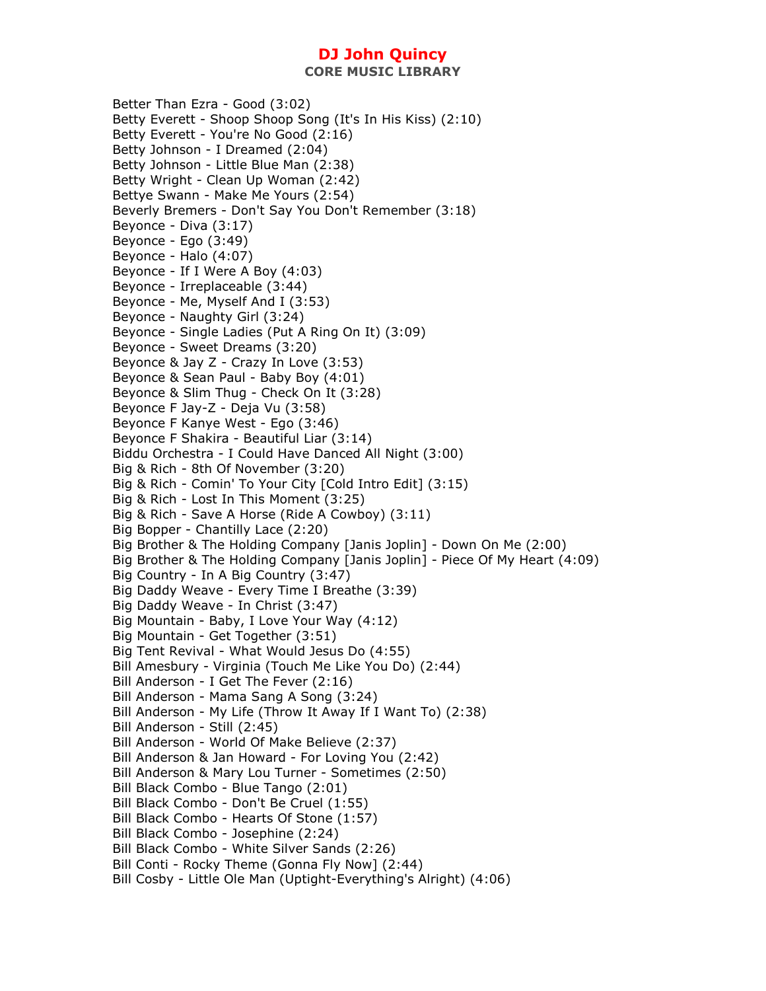**CORE MUSIC LIBRARY** 

Better Than Ezra - Good (3:02) Betty Everett - Shoop Shoop Song (It's In His Kiss) (2:10) Betty Everett - You're No Good (2:16) Betty Johnson - I Dreamed (2:04) Betty Johnson - Little Blue Man (2:38) Betty Wright - Clean Up Woman (2:42) Bettye Swann - Make Me Yours (2:54) Beverly Bremers - Don't Say You Don't Remember (3:18) Beyonce - Diva (3:17) Beyonce - Ego (3:49) Beyonce - Halo (4:07) Beyonce - If I Were A Boy (4:03) Beyonce - Irreplaceable (3:44) Beyonce - Me, Myself And I (3:53) Beyonce - Naughty Girl (3:24) Beyonce - Single Ladies (Put A Ring On It) (3:09) Beyonce - Sweet Dreams (3:20) Beyonce & Jay Z - Crazy In Love (3:53) Beyonce & Sean Paul - Baby Boy (4:01) Beyonce & Slim Thug - Check On It (3:28) Beyonce F Jay-Z - Deja Vu (3:58) Beyonce F Kanye West - Ego (3:46) Beyonce F Shakira - Beautiful Liar (3:14) Biddu Orchestra - I Could Have Danced All Night (3:00) Big & Rich - 8th Of November (3:20) Big & Rich - Comin' To Your City [Cold Intro Edit] (3:15) Big & Rich - Lost In This Moment (3:25) Big & Rich - Save A Horse (Ride A Cowboy) (3:11) Big Bopper - Chantilly Lace (2:20) Big Brother & The Holding Company [Janis Joplin] - Down On Me (2:00) Big Brother & The Holding Company [Janis Joplin] - Piece Of My Heart (4:09) Big Country - In A Big Country (3:47) Big Daddy Weave - Every Time I Breathe (3:39) Big Daddy Weave - In Christ (3:47) Big Mountain - Baby, I Love Your Way (4:12) Big Mountain - Get Together (3:51) Big Tent Revival - What Would Jesus Do (4:55) Bill Amesbury - Virginia (Touch Me Like You Do) (2:44) Bill Anderson - I Get The Fever (2:16) Bill Anderson - Mama Sang A Song (3:24) Bill Anderson - My Life (Throw It Away If I Want To) (2:38) Bill Anderson - Still (2:45) Bill Anderson - World Of Make Believe (2:37) Bill Anderson & Jan Howard - For Loving You (2:42) Bill Anderson & Mary Lou Turner - Sometimes (2:50) Bill Black Combo - Blue Tango (2:01) Bill Black Combo - Don't Be Cruel (1:55) Bill Black Combo - Hearts Of Stone (1:57) Bill Black Combo - Josephine (2:24) Bill Black Combo - White Silver Sands (2:26) Bill Conti - Rocky Theme (Gonna Fly Now] (2:44) Bill Cosby - Little Ole Man (Uptight-Everything's Alright) (4:06)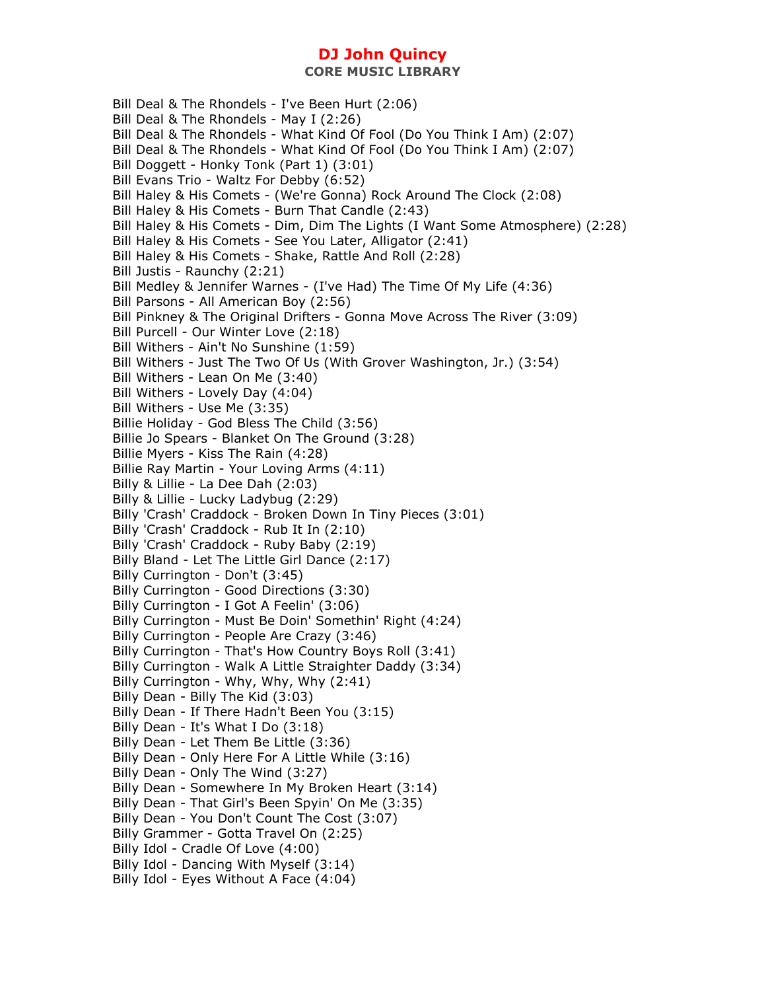Bill Deal & The Rhondels - I've Been Hurt (2:06) Bill Deal & The Rhondels - May I (2:26) Bill Deal & The Rhondels - What Kind Of Fool (Do You Think I Am) (2:07) Bill Deal & The Rhondels - What Kind Of Fool (Do You Think I Am) (2:07) Bill Doggett - Honky Tonk (Part 1) (3:01) Bill Evans Trio - Waltz For Debby (6:52) Bill Haley & His Comets - (We're Gonna) Rock Around The Clock (2:08) Bill Haley & His Comets - Burn That Candle (2:43) Bill Haley & His Comets - Dim, Dim The Lights (I Want Some Atmosphere) (2:28) Bill Haley & His Comets - See You Later, Alligator (2:41) Bill Haley & His Comets - Shake, Rattle And Roll (2:28) Bill Justis - Raunchy (2:21) Bill Medley & Jennifer Warnes - (I've Had) The Time Of My Life (4:36) Bill Parsons - All American Boy (2:56) Bill Pinkney & The Original Drifters - Gonna Move Across The River (3:09) Bill Purcell - Our Winter Love (2:18) Bill Withers - Ain't No Sunshine (1:59) Bill Withers - Just The Two Of Us (With Grover Washington, Jr.) (3:54) Bill Withers - Lean On Me (3:40) Bill Withers - Lovely Day (4:04) Bill Withers - Use Me (3:35) Billie Holiday - God Bless The Child (3:56) Billie Jo Spears - Blanket On The Ground (3:28) Billie Myers - Kiss The Rain (4:28) Billie Ray Martin - Your Loving Arms (4:11) Billy & Lillie - La Dee Dah (2:03) Billy & Lillie - Lucky Ladybug (2:29) Billy 'Crash' Craddock - Broken Down In Tiny Pieces (3:01) Billy 'Crash' Craddock - Rub It In (2:10) Billy 'Crash' Craddock - Ruby Baby (2:19) Billy Bland - Let The Little Girl Dance (2:17) Billy Currington - Don't (3:45) Billy Currington - Good Directions (3:30) Billy Currington - I Got A Feelin' (3:06) Billy Currington - Must Be Doin' Somethin' Right (4:24) Billy Currington - People Are Crazy (3:46) Billy Currington - That's How Country Boys Roll (3:41) Billy Currington - Walk A Little Straighter Daddy (3:34) Billy Currington - Why, Why, Why (2:41) Billy Dean - Billy The Kid (3:03) Billy Dean - If There Hadn't Been You (3:15) Billy Dean - It's What I Do (3:18) Billy Dean - Let Them Be Little (3:36) Billy Dean - Only Here For A Little While (3:16) Billy Dean - Only The Wind (3:27) Billy Dean - Somewhere In My Broken Heart (3:14) Billy Dean - That Girl's Been Spyin' On Me (3:35) Billy Dean - You Don't Count The Cost (3:07) Billy Grammer - Gotta Travel On (2:25) Billy Idol - Cradle Of Love (4:00) Billy Idol - Dancing With Myself (3:14) Billy Idol - Eyes Without A Face (4:04)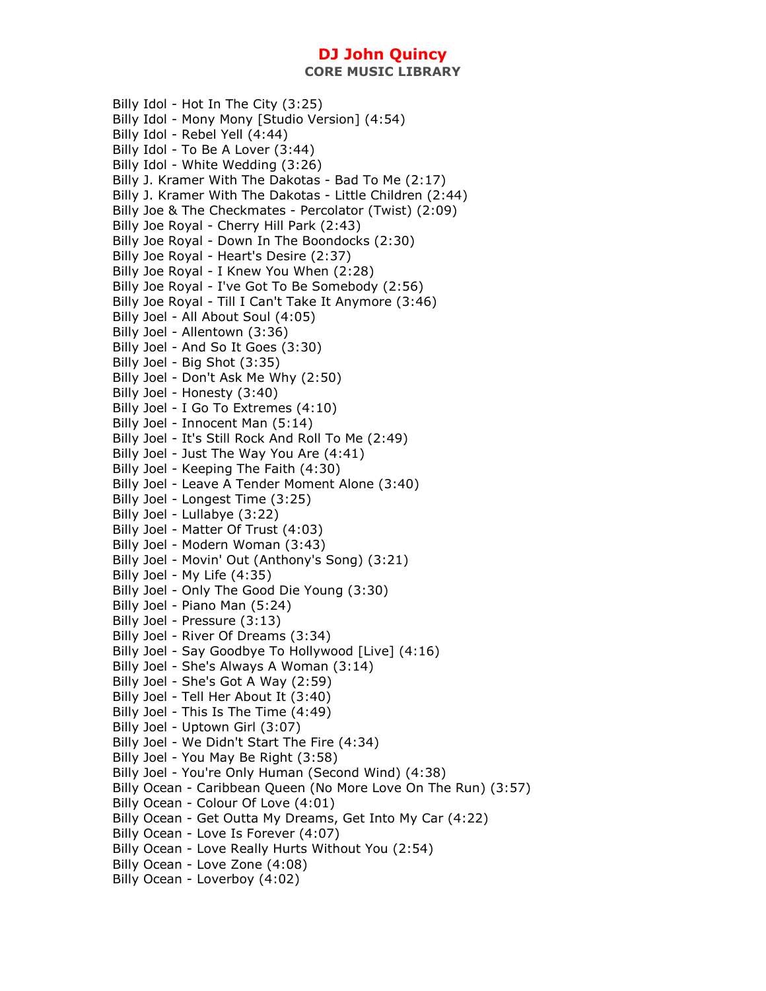Billy Idol - Hot In The City (3:25) Billy Idol - Mony Mony [Studio Version] (4:54) Billy Idol - Rebel Yell (4:44) Billy Idol - To Be A Lover (3:44) Billy Idol - White Wedding (3:26) Billy J. Kramer With The Dakotas - Bad To Me (2:17) Billy J. Kramer With The Dakotas - Little Children (2:44) Billy Joe & The Checkmates - Percolator (Twist) (2:09) Billy Joe Royal - Cherry Hill Park (2:43) Billy Joe Royal - Down In The Boondocks (2:30) Billy Joe Royal - Heart's Desire (2:37) Billy Joe Royal - I Knew You When (2:28) Billy Joe Royal - I've Got To Be Somebody (2:56) Billy Joe Royal - Till I Can't Take It Anymore (3:46) Billy Joel - All About Soul (4:05) Billy Joel - Allentown (3:36) Billy Joel - And So It Goes (3:30) Billy Joel - Big Shot (3:35) Billy Joel - Don't Ask Me Why (2:50) Billy Joel - Honesty (3:40) Billy Joel - I Go To Extremes (4:10) Billy Joel - Innocent Man (5:14) Billy Joel - It's Still Rock And Roll To Me (2:49) Billy Joel - Just The Way You Are (4:41) Billy Joel - Keeping The Faith (4:30) Billy Joel - Leave A Tender Moment Alone (3:40) Billy Joel - Longest Time (3:25) Billy Joel - Lullabye (3:22) Billy Joel - Matter Of Trust (4:03) Billy Joel - Modern Woman (3:43) Billy Joel - Movin' Out (Anthony's Song) (3:21) Billy Joel - My Life (4:35) Billy Joel - Only The Good Die Young (3:30) Billy Joel - Piano Man (5:24) Billy Joel - Pressure (3:13) Billy Joel - River Of Dreams (3:34) Billy Joel - Say Goodbye To Hollywood [Live] (4:16) Billy Joel - She's Always A Woman (3:14) Billy Joel - She's Got A Way (2:59) Billy Joel - Tell Her About It (3:40) Billy Joel - This Is The Time (4:49) Billy Joel - Uptown Girl (3:07) Billy Joel - We Didn't Start The Fire (4:34) Billy Joel - You May Be Right (3:58) Billy Joel - You're Only Human (Second Wind) (4:38) Billy Ocean - Caribbean Queen (No More Love On The Run) (3:57) Billy Ocean - Colour Of Love (4:01) Billy Ocean - Get Outta My Dreams, Get Into My Car (4:22) Billy Ocean - Love Is Forever (4:07) Billy Ocean - Love Really Hurts Without You (2:54) Billy Ocean - Love Zone (4:08) Billy Ocean - Loverboy (4:02)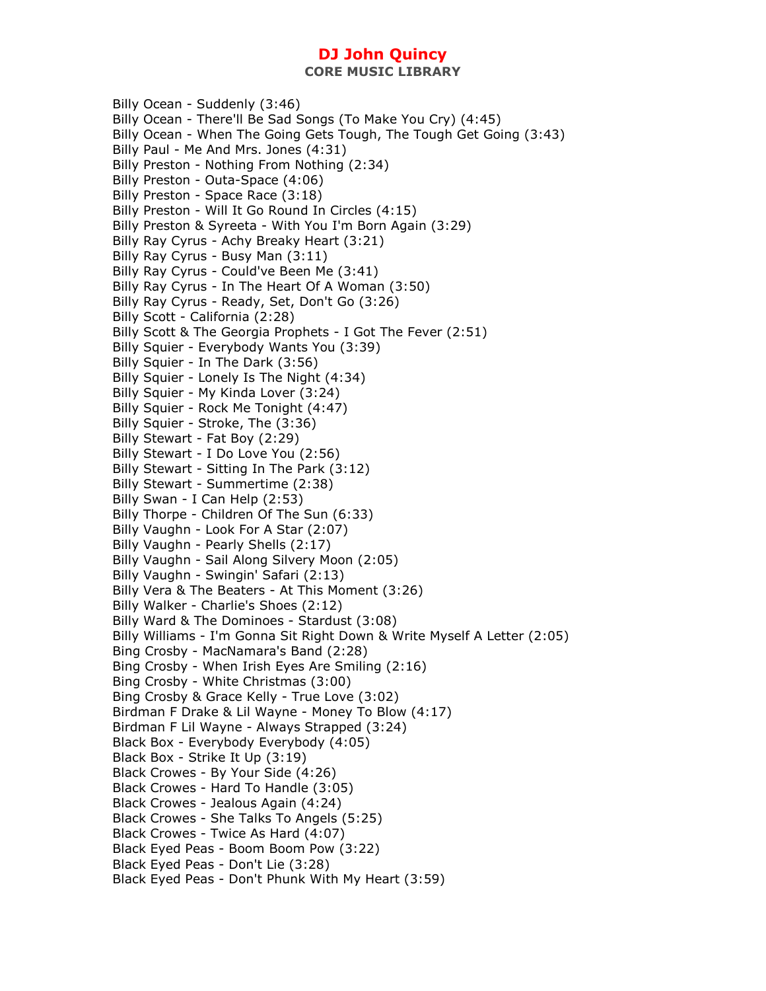**CORE MUSIC LIBRARY** 

Billy Ocean - Suddenly (3:46) Billy Ocean - There'll Be Sad Songs (To Make You Cry) (4:45) Billy Ocean - When The Going Gets Tough, The Tough Get Going (3:43) Billy Paul - Me And Mrs. Jones (4:31) Billy Preston - Nothing From Nothing (2:34) Billy Preston - Outa-Space (4:06) Billy Preston - Space Race (3:18) Billy Preston - Will It Go Round In Circles (4:15) Billy Preston & Syreeta - With You I'm Born Again (3:29) Billy Ray Cyrus - Achy Breaky Heart (3:21) Billy Ray Cyrus - Busy Man (3:11) Billy Ray Cyrus - Could've Been Me (3:41) Billy Ray Cyrus - In The Heart Of A Woman (3:50) Billy Ray Cyrus - Ready, Set, Don't Go (3:26) Billy Scott - California (2:28) Billy Scott & The Georgia Prophets - I Got The Fever (2:51) Billy Squier - Everybody Wants You (3:39) Billy Squier - In The Dark (3:56) Billy Squier - Lonely Is The Night (4:34) Billy Squier - My Kinda Lover (3:24) Billy Squier - Rock Me Tonight (4:47) Billy Squier - Stroke, The (3:36) Billy Stewart - Fat Boy (2:29) Billy Stewart - I Do Love You (2:56) Billy Stewart - Sitting In The Park (3:12) Billy Stewart - Summertime (2:38) Billy Swan - I Can Help (2:53) Billy Thorpe - Children Of The Sun (6:33) Billy Vaughn - Look For A Star (2:07) Billy Vaughn - Pearly Shells (2:17) Billy Vaughn - Sail Along Silvery Moon (2:05) Billy Vaughn - Swingin' Safari (2:13) Billy Vera & The Beaters - At This Moment (3:26) Billy Walker - Charlie's Shoes (2:12) Billy Ward & The Dominoes - Stardust (3:08) Billy Williams - I'm Gonna Sit Right Down & Write Myself A Letter (2:05) Bing Crosby - MacNamara's Band (2:28) Bing Crosby - When Irish Eyes Are Smiling (2:16) Bing Crosby - White Christmas (3:00) Bing Crosby & Grace Kelly - True Love (3:02) Birdman F Drake & Lil Wayne - Money To Blow (4:17) Birdman F Lil Wayne - Always Strapped (3:24) Black Box - Everybody Everybody (4:05) Black Box - Strike It Up (3:19) Black Crowes - By Your Side (4:26) Black Crowes - Hard To Handle (3:05) Black Crowes - Jealous Again (4:24) Black Crowes - She Talks To Angels (5:25) Black Crowes - Twice As Hard (4:07) Black Eyed Peas - Boom Boom Pow (3:22) Black Eyed Peas - Don't Lie (3:28) Black Eyed Peas - Don't Phunk With My Heart (3:59)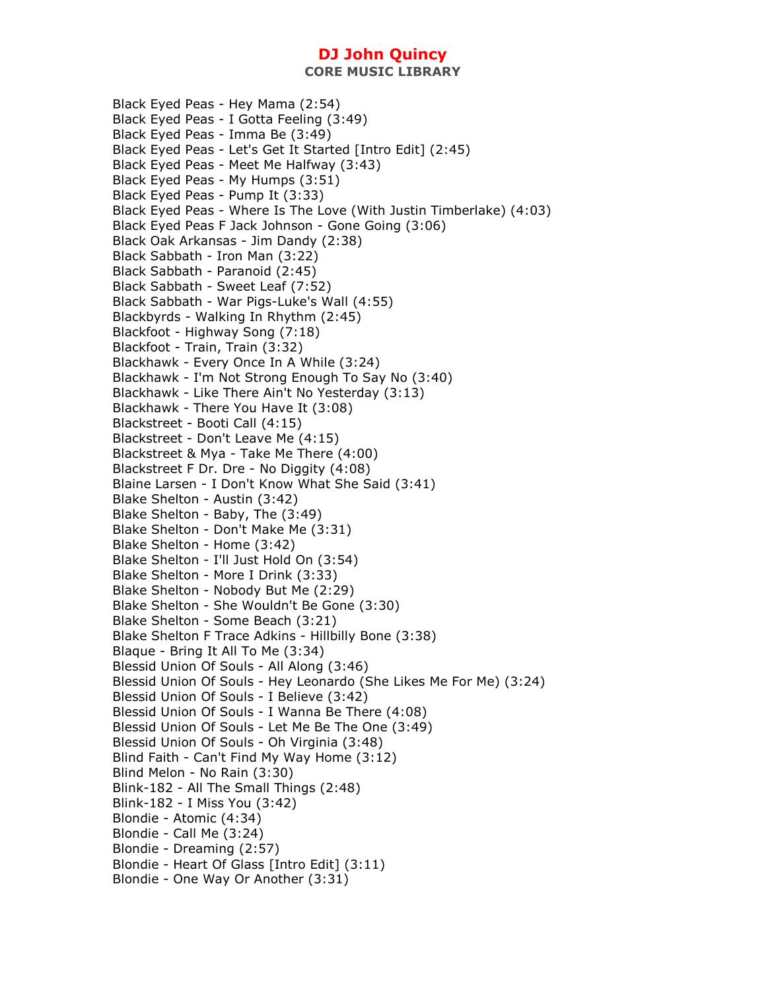**CORE MUSIC LIBRARY** 

Black Eyed Peas - Hey Mama (2:54) Black Eyed Peas - I Gotta Feeling (3:49) Black Eyed Peas - Imma Be (3:49) Black Eyed Peas - Let's Get It Started [Intro Edit] (2:45) Black Eyed Peas - Meet Me Halfway (3:43) Black Eyed Peas - My Humps (3:51) Black Eyed Peas - Pump It (3:33) Black Eyed Peas - Where Is The Love (With Justin Timberlake) (4:03) Black Eyed Peas F Jack Johnson - Gone Going (3:06) Black Oak Arkansas - Jim Dandy (2:38) Black Sabbath - Iron Man (3:22) Black Sabbath - Paranoid (2:45) Black Sabbath - Sweet Leaf (7:52) Black Sabbath - War Pigs-Luke's Wall (4:55) Blackbyrds - Walking In Rhythm (2:45) Blackfoot - Highway Song (7:18) Blackfoot - Train, Train (3:32) Blackhawk - Every Once In A While (3:24) Blackhawk - I'm Not Strong Enough To Say No (3:40) Blackhawk - Like There Ain't No Yesterday (3:13) Blackhawk - There You Have It (3:08) Blackstreet - Booti Call (4:15) Blackstreet - Don't Leave Me (4:15) Blackstreet & Mya - Take Me There (4:00) Blackstreet F Dr. Dre - No Diggity (4:08) Blaine Larsen - I Don't Know What She Said (3:41) Blake Shelton - Austin (3:42) Blake Shelton - Baby, The (3:49) Blake Shelton - Don't Make Me (3:31) Blake Shelton - Home (3:42) Blake Shelton - I'll Just Hold On (3:54) Blake Shelton - More I Drink (3:33) Blake Shelton - Nobody But Me (2:29) Blake Shelton - She Wouldn't Be Gone (3:30) Blake Shelton - Some Beach (3:21) Blake Shelton F Trace Adkins - Hillbilly Bone (3:38) Blaque - Bring It All To Me (3:34) Blessid Union Of Souls - All Along (3:46) Blessid Union Of Souls - Hey Leonardo (She Likes Me For Me) (3:24) Blessid Union Of Souls - I Believe (3:42) Blessid Union Of Souls - I Wanna Be There (4:08) Blessid Union Of Souls - Let Me Be The One (3:49) Blessid Union Of Souls - Oh Virginia (3:48) Blind Faith - Can't Find My Way Home (3:12) Blind Melon - No Rain (3:30) Blink-182 - All The Small Things (2:48) Blink-182 - I Miss You (3:42) Blondie - Atomic (4:34) Blondie - Call Me (3:24) Blondie - Dreaming (2:57) Blondie - Heart Of Glass [Intro Edit] (3:11) Blondie - One Way Or Another (3:31)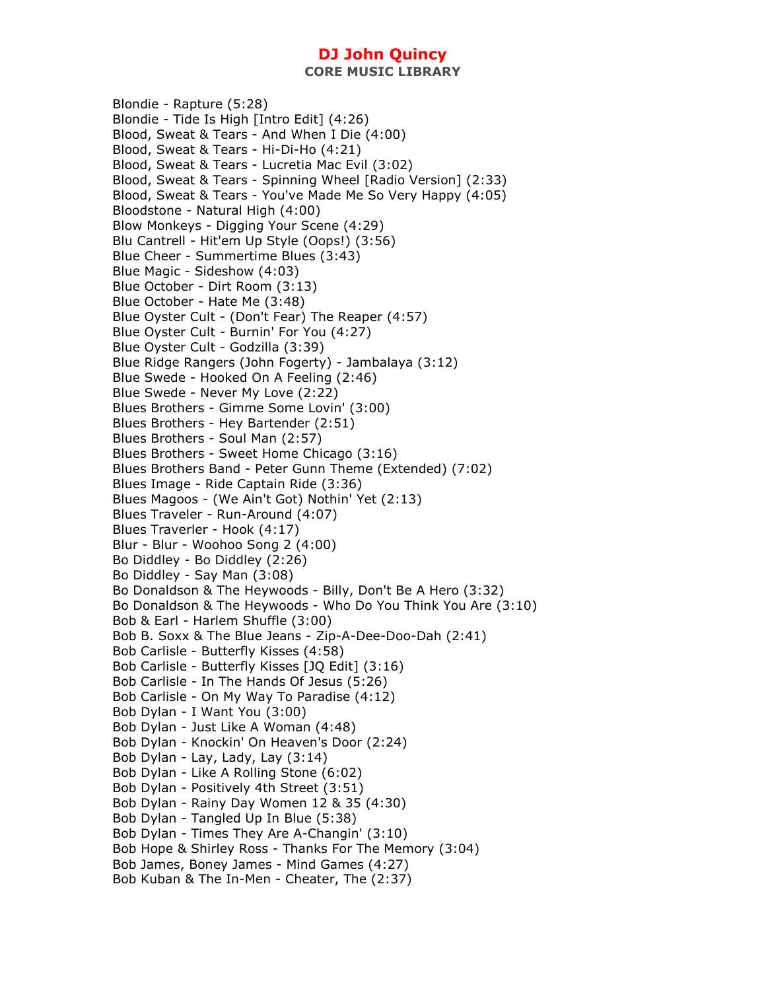Blondie - Rapture (5:28) Blondie - Tide Is High [Intro Edit] (4:26) Blood, Sweat & Tears - And When I Die (4:00) Blood, Sweat & Tears - Hi-Di-Ho (4:21) Blood, Sweat & Tears - Lucretia Mac Evil (3:02) Blood, Sweat & Tears - Spinning Wheel [Radio Version] (2:33) Blood, Sweat & Tears - You've Made Me So Very Happy (4:05) Bloodstone - Natural High (4:00) Blow Monkeys - Digging Your Scene (4:29) Blu Cantrell - Hit'em Up Style (Oops!) (3:56) Blue Cheer - Summertime Blues (3:43) Blue Magic - Sideshow (4:03) Blue October - Dirt Room (3:13) Blue October - Hate Me (3:48) Blue Oyster Cult - (Don't Fear) The Reaper (4:57) Blue Oyster Cult - Burnin' For You (4:27) Blue Oyster Cult - Godzilla (3:39) Blue Ridge Rangers (John Fogerty) - Jambalaya (3:12) Blue Swede - Hooked On A Feeling (2:46) Blue Swede - Never My Love (2:22) Blues Brothers - Gimme Some Lovin' (3:00) Blues Brothers - Hey Bartender (2:51) Blues Brothers - Soul Man (2:57) Blues Brothers - Sweet Home Chicago (3:16) Blues Brothers Band - Peter Gunn Theme (Extended) (7:02) Blues Image - Ride Captain Ride (3:36) Blues Magoos - (We Ain't Got) Nothin' Yet (2:13) Blues Traveler - Run-Around (4:07) Blues Traverler - Hook (4:17) Blur - Blur - Woohoo Song 2 (4:00) Bo Diddley - Bo Diddley (2:26) Bo Diddley - Say Man (3:08) Bo Donaldson & The Heywoods - Billy, Don't Be A Hero (3:32) Bo Donaldson & The Heywoods - Who Do You Think You Are (3:10) Bob & Earl - Harlem Shuffle (3:00) Bob B. Soxx & The Blue Jeans - Zip-A-Dee-Doo-Dah (2:41) Bob Carlisle - Butterfly Kisses (4:58) Bob Carlisle - Butterfly Kisses [JQ Edit] (3:16) Bob Carlisle - In The Hands Of Jesus (5:26) Bob Carlisle - On My Way To Paradise (4:12) Bob Dylan - I Want You (3:00) Bob Dylan - Just Like A Woman (4:48) Bob Dylan - Knockin' On Heaven's Door (2:24) Bob Dylan - Lay, Lady, Lay (3:14) Bob Dylan - Like A Rolling Stone (6:02) Bob Dylan - Positively 4th Street (3:51) Bob Dylan - Rainy Day Women 12 & 35 (4:30) Bob Dylan - Tangled Up In Blue (5:38) Bob Dylan - Times They Are A-Changin' (3:10) Bob Hope & Shirley Ross - Thanks For The Memory (3:04) Bob James, Boney James - Mind Games (4:27) Bob Kuban & The In-Men - Cheater, The (2:37)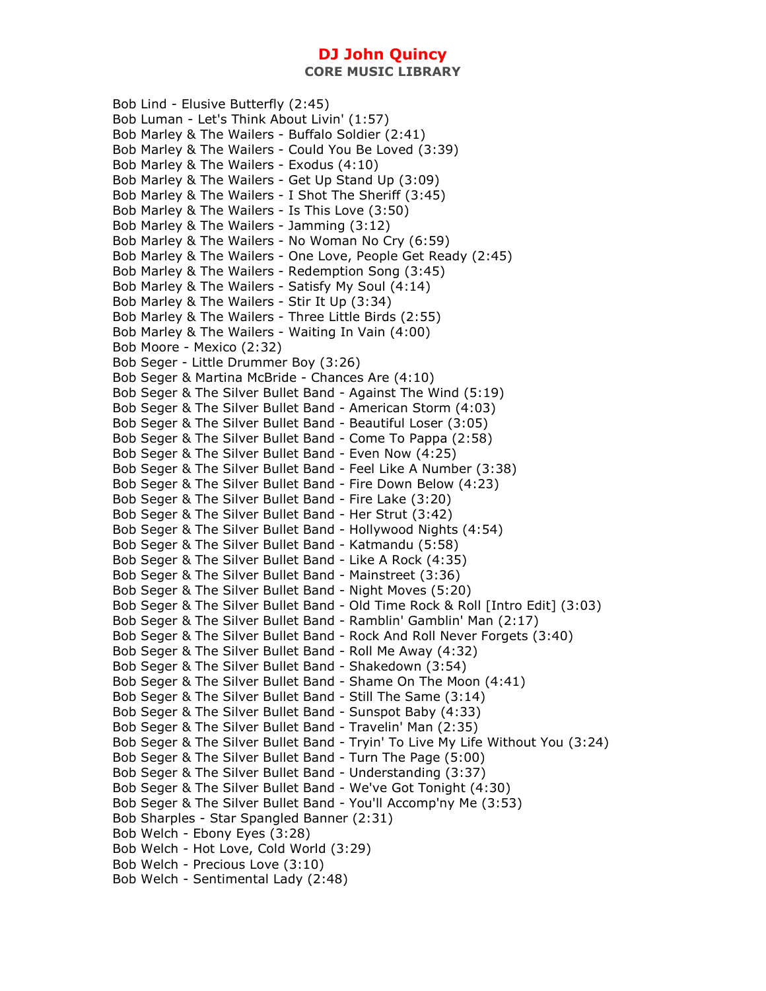**CORE MUSIC LIBRARY** 

Bob Lind - Elusive Butterfly (2:45) Bob Luman - Let's Think About Livin' (1:57) Bob Marley & The Wailers - Buffalo Soldier (2:41) Bob Marley & The Wailers - Could You Be Loved (3:39) Bob Marley & The Wailers - Exodus (4:10) Bob Marley & The Wailers - Get Up Stand Up (3:09) Bob Marley & The Wailers - I Shot The Sheriff (3:45) Bob Marley & The Wailers - Is This Love (3:50) Bob Marley & The Wailers - Jamming (3:12) Bob Marley & The Wailers - No Woman No Cry (6:59) Bob Marley & The Wailers - One Love, People Get Ready (2:45) Bob Marley & The Wailers - Redemption Song (3:45) Bob Marley & The Wailers - Satisfy My Soul (4:14) Bob Marley & The Wailers - Stir It Up (3:34) Bob Marley & The Wailers - Three Little Birds (2:55) Bob Marley & The Wailers - Waiting In Vain (4:00) Bob Moore - Mexico (2:32) Bob Seger - Little Drummer Boy (3:26) Bob Seger & Martina McBride - Chances Are (4:10) Bob Seger & The Silver Bullet Band - Against The Wind (5:19) Bob Seger & The Silver Bullet Band - American Storm (4:03) Bob Seger & The Silver Bullet Band - Beautiful Loser (3:05) Bob Seger & The Silver Bullet Band - Come To Pappa (2:58) Bob Seger & The Silver Bullet Band - Even Now (4:25) Bob Seger & The Silver Bullet Band - Feel Like A Number (3:38) Bob Seger & The Silver Bullet Band - Fire Down Below (4:23) Bob Seger & The Silver Bullet Band - Fire Lake (3:20) Bob Seger & The Silver Bullet Band - Her Strut (3:42) Bob Seger & The Silver Bullet Band - Hollywood Nights (4:54) Bob Seger & The Silver Bullet Band - Katmandu (5:58) Bob Seger & The Silver Bullet Band - Like A Rock (4:35) Bob Seger & The Silver Bullet Band - Mainstreet (3:36) Bob Seger & The Silver Bullet Band - Night Moves (5:20) Bob Seger & The Silver Bullet Band - Old Time Rock & Roll [Intro Edit] (3:03) Bob Seger & The Silver Bullet Band - Ramblin' Gamblin' Man (2:17) Bob Seger & The Silver Bullet Band - Rock And Roll Never Forgets (3:40) Bob Seger & The Silver Bullet Band - Roll Me Away (4:32) Bob Seger & The Silver Bullet Band - Shakedown (3:54) Bob Seger & The Silver Bullet Band - Shame On The Moon (4:41) Bob Seger & The Silver Bullet Band - Still The Same (3:14) Bob Seger & The Silver Bullet Band - Sunspot Baby (4:33) Bob Seger & The Silver Bullet Band - Travelin' Man (2:35) Bob Seger & The Silver Bullet Band - Tryin' To Live My Life Without You (3:24) Bob Seger & The Silver Bullet Band - Turn The Page (5:00) Bob Seger & The Silver Bullet Band - Understanding (3:37) Bob Seger & The Silver Bullet Band - We've Got Tonight (4:30) Bob Seger & The Silver Bullet Band - You'll Accomp'ny Me (3:53) Bob Sharples - Star Spangled Banner (2:31) Bob Welch - Ebony Eyes (3:28) Bob Welch - Hot Love, Cold World (3:29) Bob Welch - Precious Love (3:10) Bob Welch - Sentimental Lady (2:48)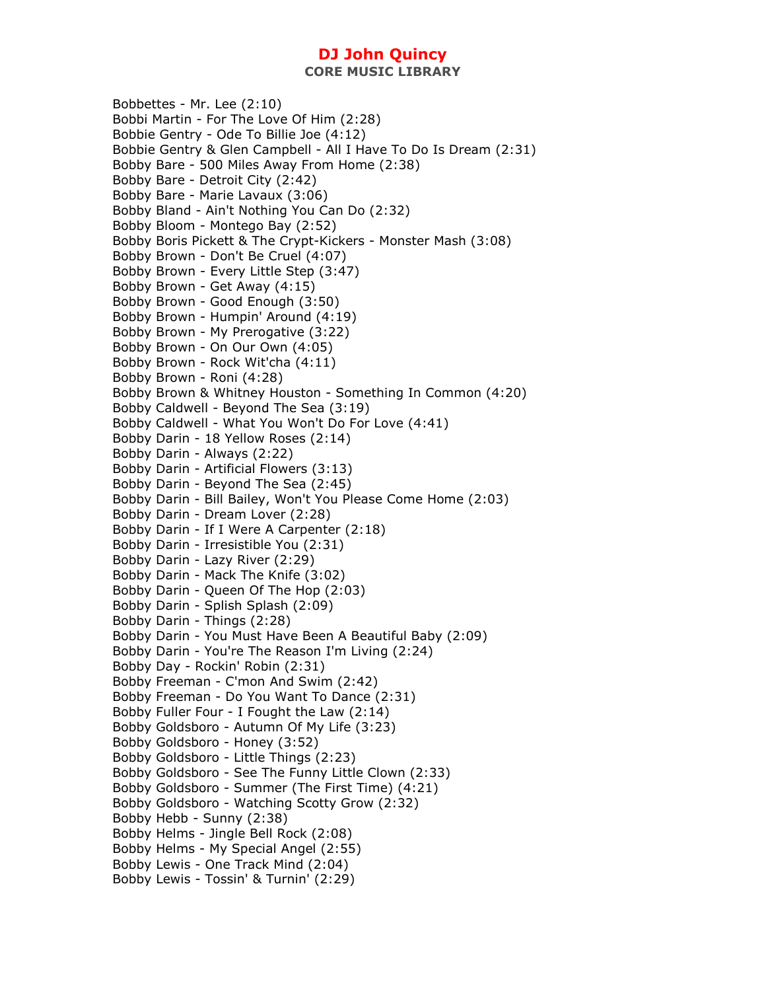**CORE MUSIC LIBRARY** 

Bobbettes - Mr. Lee (2:10) Bobbi Martin - For The Love Of Him (2:28) Bobbie Gentry - Ode To Billie Joe (4:12) Bobbie Gentry & Glen Campbell - All I Have To Do Is Dream (2:31) Bobby Bare - 500 Miles Away From Home (2:38) Bobby Bare - Detroit City (2:42) Bobby Bare - Marie Lavaux (3:06) Bobby Bland - Ain't Nothing You Can Do (2:32) Bobby Bloom - Montego Bay (2:52) Bobby Boris Pickett & The Crypt-Kickers - Monster Mash (3:08) Bobby Brown - Don't Be Cruel (4:07) Bobby Brown - Every Little Step (3:47) Bobby Brown - Get Away (4:15) Bobby Brown - Good Enough (3:50) Bobby Brown - Humpin' Around (4:19) Bobby Brown - My Prerogative (3:22) Bobby Brown - On Our Own (4:05) Bobby Brown - Rock Wit'cha (4:11) Bobby Brown - Roni (4:28) Bobby Brown & Whitney Houston - Something In Common (4:20) Bobby Caldwell - Beyond The Sea (3:19) Bobby Caldwell - What You Won't Do For Love (4:41) Bobby Darin - 18 Yellow Roses (2:14) Bobby Darin - Always (2:22) Bobby Darin - Artificial Flowers (3:13) Bobby Darin - Beyond The Sea (2:45) Bobby Darin - Bill Bailey, Won't You Please Come Home (2:03) Bobby Darin - Dream Lover (2:28) Bobby Darin - If I Were A Carpenter (2:18) Bobby Darin - Irresistible You (2:31) Bobby Darin - Lazy River (2:29) Bobby Darin - Mack The Knife (3:02) Bobby Darin - Queen Of The Hop (2:03) Bobby Darin - Splish Splash (2:09) Bobby Darin - Things (2:28) Bobby Darin - You Must Have Been A Beautiful Baby (2:09) Bobby Darin - You're The Reason I'm Living (2:24) Bobby Day - Rockin' Robin (2:31) Bobby Freeman - C'mon And Swim (2:42) Bobby Freeman - Do You Want To Dance (2:31) Bobby Fuller Four - I Fought the Law (2:14) Bobby Goldsboro - Autumn Of My Life (3:23) Bobby Goldsboro - Honey (3:52) Bobby Goldsboro - Little Things (2:23) Bobby Goldsboro - See The Funny Little Clown (2:33) Bobby Goldsboro - Summer (The First Time) (4:21) Bobby Goldsboro - Watching Scotty Grow (2:32) Bobby Hebb - Sunny (2:38) Bobby Helms - Jingle Bell Rock (2:08) Bobby Helms - My Special Angel (2:55) Bobby Lewis - One Track Mind (2:04) Bobby Lewis - Tossin' & Turnin' (2:29)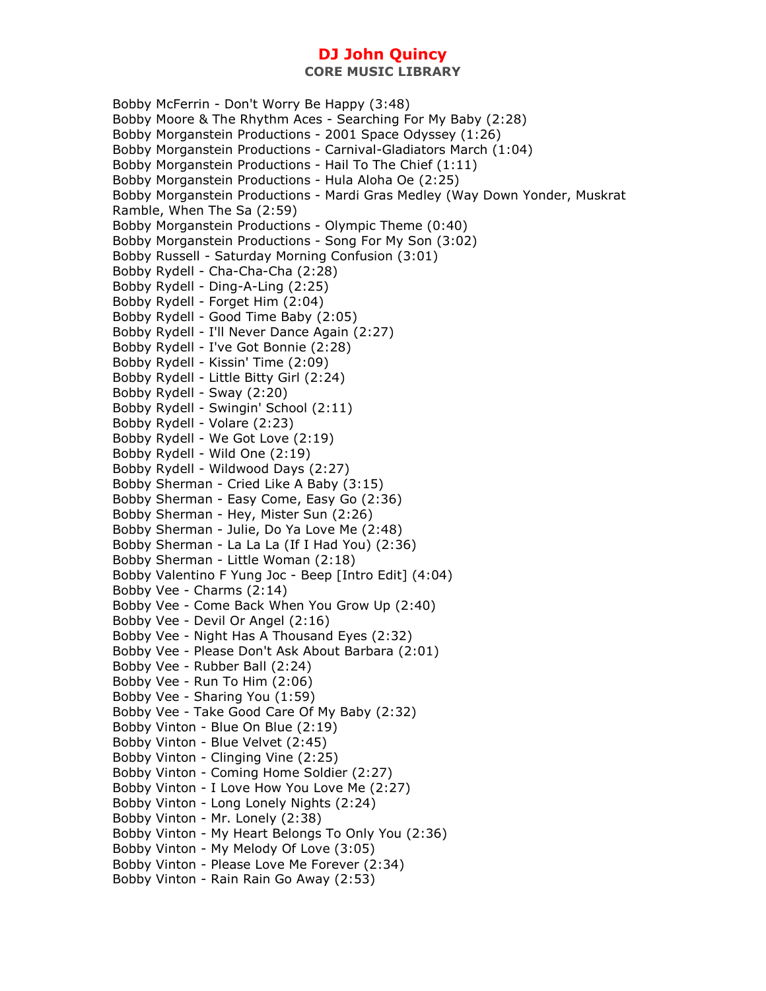**CORE MUSIC LIBRARY** 

Bobby McFerrin - Don't Worry Be Happy (3:48) Bobby Moore & The Rhythm Aces - Searching For My Baby (2:28) Bobby Morganstein Productions - 2001 Space Odyssey (1:26) Bobby Morganstein Productions - Carnival-Gladiators March (1:04) Bobby Morganstein Productions - Hail To The Chief (1:11) Bobby Morganstein Productions - Hula Aloha Oe (2:25) Bobby Morganstein Productions - Mardi Gras Medley (Way Down Yonder, Muskrat Ramble, When The Sa (2:59) Bobby Morganstein Productions - Olympic Theme (0:40) Bobby Morganstein Productions - Song For My Son (3:02) Bobby Russell - Saturday Morning Confusion (3:01) Bobby Rydell - Cha-Cha-Cha (2:28) Bobby Rydell - Ding-A-Ling (2:25) Bobby Rydell - Forget Him (2:04) Bobby Rydell - Good Time Baby (2:05) Bobby Rydell - I'll Never Dance Again (2:27) Bobby Rydell - I've Got Bonnie (2:28) Bobby Rydell - Kissin' Time (2:09) Bobby Rydell - Little Bitty Girl (2:24) Bobby Rydell - Sway (2:20) Bobby Rydell - Swingin' School (2:11) Bobby Rydell - Volare (2:23) Bobby Rydell - We Got Love (2:19) Bobby Rydell - Wild One (2:19) Bobby Rydell - Wildwood Days (2:27) Bobby Sherman - Cried Like A Baby (3:15) Bobby Sherman - Easy Come, Easy Go (2:36) Bobby Sherman - Hey, Mister Sun (2:26) Bobby Sherman - Julie, Do Ya Love Me (2:48) Bobby Sherman - La La La (If I Had You) (2:36) Bobby Sherman - Little Woman (2:18) Bobby Valentino F Yung Joc - Beep [Intro Edit] (4:04) Bobby Vee - Charms (2:14) Bobby Vee - Come Back When You Grow Up (2:40) Bobby Vee - Devil Or Angel (2:16) Bobby Vee - Night Has A Thousand Eyes (2:32) Bobby Vee - Please Don't Ask About Barbara (2:01) Bobby Vee - Rubber Ball (2:24) Bobby Vee - Run To Him (2:06) Bobby Vee - Sharing You (1:59) Bobby Vee - Take Good Care Of My Baby (2:32) Bobby Vinton - Blue On Blue (2:19) Bobby Vinton - Blue Velvet (2:45) Bobby Vinton - Clinging Vine (2:25) Bobby Vinton - Coming Home Soldier (2:27) Bobby Vinton - I Love How You Love Me (2:27) Bobby Vinton - Long Lonely Nights (2:24) Bobby Vinton - Mr. Lonely (2:38) Bobby Vinton - My Heart Belongs To Only You (2:36) Bobby Vinton - My Melody Of Love (3:05) Bobby Vinton - Please Love Me Forever (2:34) Bobby Vinton - Rain Rain Go Away (2:53)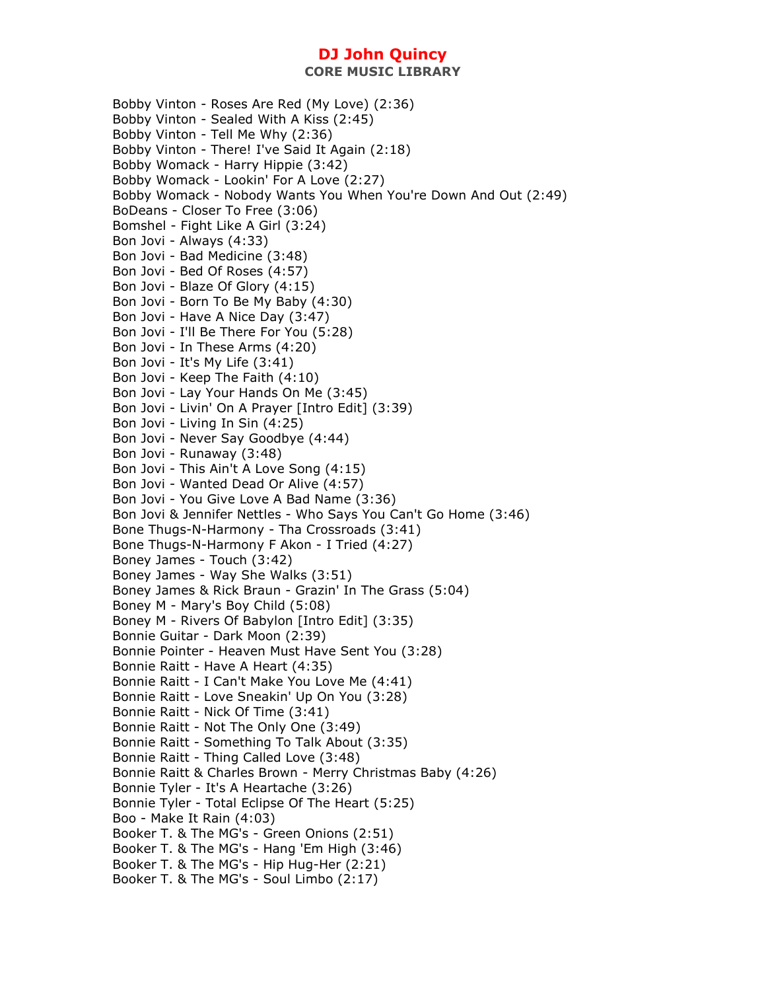Bobby Vinton - Roses Are Red (My Love) (2:36) Bobby Vinton - Sealed With A Kiss (2:45) Bobby Vinton - Tell Me Why (2:36) Bobby Vinton - There! I've Said It Again (2:18) Bobby Womack - Harry Hippie (3:42) Bobby Womack - Lookin' For A Love (2:27) Bobby Womack - Nobody Wants You When You're Down And Out (2:49) BoDeans - Closer To Free (3:06) Bomshel - Fight Like A Girl (3:24) Bon Jovi - Always (4:33) Bon Jovi - Bad Medicine (3:48) Bon Jovi - Bed Of Roses (4:57) Bon Jovi - Blaze Of Glory (4:15) Bon Jovi - Born To Be My Baby (4:30) Bon Jovi - Have A Nice Day (3:47) Bon Jovi - I'll Be There For You (5:28) Bon Jovi - In These Arms (4:20) Bon Jovi - It's My Life (3:41) Bon Jovi - Keep The Faith (4:10) Bon Jovi - Lay Your Hands On Me (3:45) Bon Jovi - Livin' On A Prayer [Intro Edit] (3:39) Bon Jovi - Living In Sin (4:25) Bon Jovi - Never Say Goodbye (4:44) Bon Jovi - Runaway (3:48) Bon Jovi - This Ain't A Love Song (4:15) Bon Jovi - Wanted Dead Or Alive (4:57) Bon Jovi - You Give Love A Bad Name (3:36) Bon Jovi & Jennifer Nettles - Who Says You Can't Go Home (3:46) Bone Thugs-N-Harmony - Tha Crossroads (3:41) Bone Thugs-N-Harmony F Akon - I Tried (4:27) Boney James - Touch (3:42) Boney James - Way She Walks (3:51) Boney James & Rick Braun - Grazin' In The Grass (5:04) Boney M - Mary's Boy Child (5:08) Boney M - Rivers Of Babylon [Intro Edit] (3:35) Bonnie Guitar - Dark Moon (2:39) Bonnie Pointer - Heaven Must Have Sent You (3:28) Bonnie Raitt - Have A Heart (4:35) Bonnie Raitt - I Can't Make You Love Me (4:41) Bonnie Raitt - Love Sneakin' Up On You (3:28) Bonnie Raitt - Nick Of Time (3:41) Bonnie Raitt - Not The Only One (3:49) Bonnie Raitt - Something To Talk About (3:35) Bonnie Raitt - Thing Called Love (3:48) Bonnie Raitt & Charles Brown - Merry Christmas Baby (4:26) Bonnie Tyler - It's A Heartache (3:26) Bonnie Tyler - Total Eclipse Of The Heart (5:25) Boo - Make It Rain (4:03) Booker T. & The MG's - Green Onions (2:51) Booker T. & The MG's - Hang 'Em High (3:46) Booker T. & The MG's - Hip Hug-Her (2:21) Booker T. & The MG's - Soul Limbo (2:17)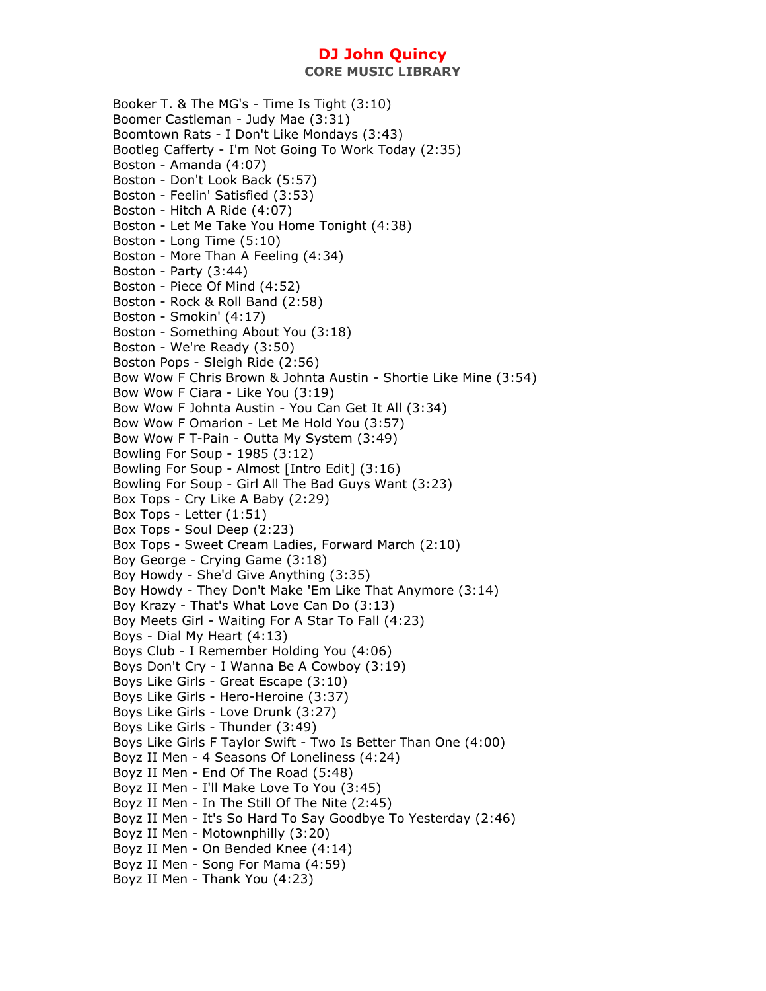Booker T. & The MG's - Time Is Tight (3:10) Boomer Castleman - Judy Mae (3:31) Boomtown Rats - I Don't Like Mondays (3:43) Bootleg Cafferty - I'm Not Going To Work Today (2:35) Boston - Amanda (4:07) Boston - Don't Look Back (5:57) Boston - Feelin' Satisfied (3:53) Boston - Hitch A Ride (4:07) Boston - Let Me Take You Home Tonight (4:38) Boston - Long Time (5:10) Boston - More Than A Feeling (4:34) Boston - Party (3:44) Boston - Piece Of Mind (4:52) Boston - Rock & Roll Band (2:58) Boston - Smokin' (4:17) Boston - Something About You (3:18) Boston - We're Ready (3:50) Boston Pops - Sleigh Ride (2:56) Bow Wow F Chris Brown & Johnta Austin - Shortie Like Mine (3:54) Bow Wow F Ciara - Like You (3:19) Bow Wow F Johnta Austin - You Can Get It All (3:34) Bow Wow F Omarion - Let Me Hold You (3:57) Bow Wow F T-Pain - Outta My System (3:49) Bowling For Soup - 1985 (3:12) Bowling For Soup - Almost [Intro Edit] (3:16) Bowling For Soup - Girl All The Bad Guys Want (3:23) Box Tops - Cry Like A Baby (2:29) Box Tops - Letter (1:51) Box Tops - Soul Deep (2:23) Box Tops - Sweet Cream Ladies, Forward March (2:10) Boy George - Crying Game (3:18) Boy Howdy - She'd Give Anything (3:35) Boy Howdy - They Don't Make 'Em Like That Anymore (3:14) Boy Krazy - That's What Love Can Do (3:13) Boy Meets Girl - Waiting For A Star To Fall (4:23) Boys - Dial My Heart (4:13) Boys Club - I Remember Holding You (4:06) Boys Don't Cry - I Wanna Be A Cowboy (3:19) Boys Like Girls - Great Escape (3:10) Boys Like Girls - Hero-Heroine (3:37) Boys Like Girls - Love Drunk (3:27) Boys Like Girls - Thunder (3:49) Boys Like Girls F Taylor Swift - Two Is Better Than One (4:00) Boyz II Men - 4 Seasons Of Loneliness (4:24) Boyz II Men - End Of The Road (5:48) Boyz II Men - I'll Make Love To You (3:45) Boyz II Men - In The Still Of The Nite (2:45) Boyz II Men - It's So Hard To Say Goodbye To Yesterday (2:46) Boyz II Men - Motownphilly (3:20) Boyz II Men - On Bended Knee (4:14) Boyz II Men - Song For Mama (4:59) Boyz II Men - Thank You (4:23)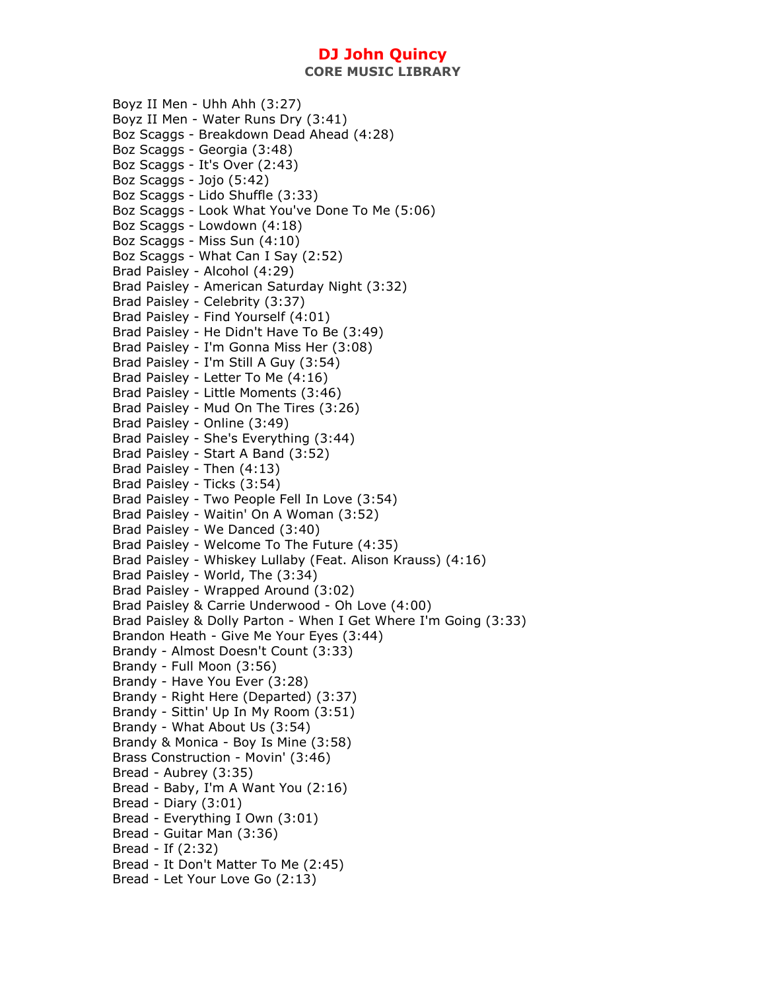**CORE MUSIC LIBRARY** 

Boyz II Men - Uhh Ahh (3:27) Boyz II Men - Water Runs Dry (3:41) Boz Scaggs - Breakdown Dead Ahead (4:28) Boz Scaggs - Georgia (3:48) Boz Scaggs - It's Over (2:43) Boz Scaggs - Jojo (5:42) Boz Scaggs - Lido Shuffle (3:33) Boz Scaggs - Look What You've Done To Me (5:06) Boz Scaggs - Lowdown (4:18) Boz Scaggs - Miss Sun (4:10) Boz Scaggs - What Can I Say (2:52) Brad Paisley - Alcohol (4:29) Brad Paisley - American Saturday Night (3:32) Brad Paisley - Celebrity (3:37) Brad Paisley - Find Yourself (4:01) Brad Paisley - He Didn't Have To Be (3:49) Brad Paisley - I'm Gonna Miss Her (3:08) Brad Paisley - I'm Still A Guy (3:54) Brad Paisley - Letter To Me (4:16) Brad Paisley - Little Moments (3:46) Brad Paisley - Mud On The Tires (3:26) Brad Paisley - Online (3:49) Brad Paisley - She's Everything (3:44) Brad Paisley - Start A Band (3:52) Brad Paisley - Then (4:13) Brad Paisley - Ticks (3:54) Brad Paisley - Two People Fell In Love (3:54) Brad Paisley - Waitin' On A Woman (3:52) Brad Paisley - We Danced (3:40) Brad Paisley - Welcome To The Future (4:35) Brad Paisley - Whiskey Lullaby (Feat. Alison Krauss) (4:16) Brad Paisley - World, The (3:34) Brad Paisley - Wrapped Around (3:02) Brad Paisley & Carrie Underwood - Oh Love (4:00) Brad Paisley & Dolly Parton - When I Get Where I'm Going (3:33) Brandon Heath - Give Me Your Eyes (3:44) Brandy - Almost Doesn't Count (3:33) Brandy - Full Moon (3:56) Brandy - Have You Ever (3:28) Brandy - Right Here (Departed) (3:37) Brandy - Sittin' Up In My Room (3:51) Brandy - What About Us (3:54) Brandy & Monica - Boy Is Mine (3:58) Brass Construction - Movin' (3:46) Bread - Aubrey (3:35) Bread - Baby, I'm A Want You (2:16) Bread - Diary (3:01) Bread - Everything I Own (3:01) Bread - Guitar Man (3:36) Bread - If (2:32) Bread - It Don't Matter To Me (2:45) Bread - Let Your Love Go (2:13)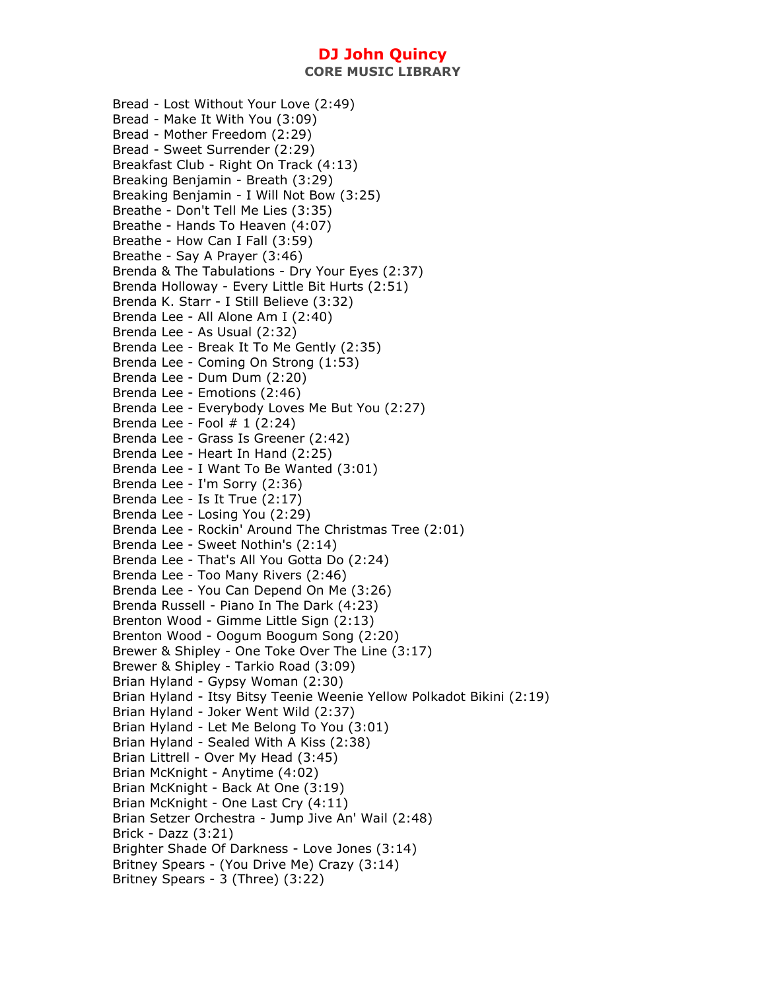**CORE MUSIC LIBRARY** 

Bread - Lost Without Your Love (2:49) Bread - Make It With You (3:09) Bread - Mother Freedom (2:29) Bread - Sweet Surrender (2:29) Breakfast Club - Right On Track (4:13) Breaking Benjamin - Breath (3:29) Breaking Benjamin - I Will Not Bow (3:25) Breathe - Don't Tell Me Lies (3:35) Breathe - Hands To Heaven (4:07) Breathe - How Can I Fall (3:59) Breathe - Say A Prayer (3:46) Brenda & The Tabulations - Dry Your Eyes (2:37) Brenda Holloway - Every Little Bit Hurts (2:51) Brenda K. Starr - I Still Believe (3:32) Brenda Lee - All Alone Am I (2:40) Brenda Lee - As Usual (2:32) Brenda Lee - Break It To Me Gently (2:35) Brenda Lee - Coming On Strong (1:53) Brenda Lee - Dum Dum (2:20) Brenda Lee - Emotions (2:46) Brenda Lee - Everybody Loves Me But You (2:27) Brenda Lee - Fool  $# 1 (2:24)$ Brenda Lee - Grass Is Greener (2:42) Brenda Lee - Heart In Hand (2:25) Brenda Lee - I Want To Be Wanted (3:01) Brenda Lee - I'm Sorry (2:36) Brenda Lee - Is It True (2:17) Brenda Lee - Losing You (2:29) Brenda Lee - Rockin' Around The Christmas Tree (2:01) Brenda Lee - Sweet Nothin's (2:14) Brenda Lee - That's All You Gotta Do (2:24) Brenda Lee - Too Many Rivers (2:46) Brenda Lee - You Can Depend On Me (3:26) Brenda Russell - Piano In The Dark (4:23) Brenton Wood - Gimme Little Sign (2:13) Brenton Wood - Oogum Boogum Song (2:20) Brewer & Shipley - One Toke Over The Line (3:17) Brewer & Shipley - Tarkio Road (3:09) Brian Hyland - Gypsy Woman (2:30) Brian Hyland - Itsy Bitsy Teenie Weenie Yellow Polkadot Bikini (2:19) Brian Hyland - Joker Went Wild (2:37) Brian Hyland - Let Me Belong To You (3:01) Brian Hyland - Sealed With A Kiss (2:38) Brian Littrell - Over My Head (3:45) Brian McKnight - Anytime (4:02) Brian McKnight - Back At One (3:19) Brian McKnight - One Last Cry (4:11) Brian Setzer Orchestra - Jump Jive An' Wail (2:48) Brick - Dazz (3:21) Brighter Shade Of Darkness - Love Jones (3:14) Britney Spears - (You Drive Me) Crazy (3:14) Britney Spears - 3 (Three) (3:22)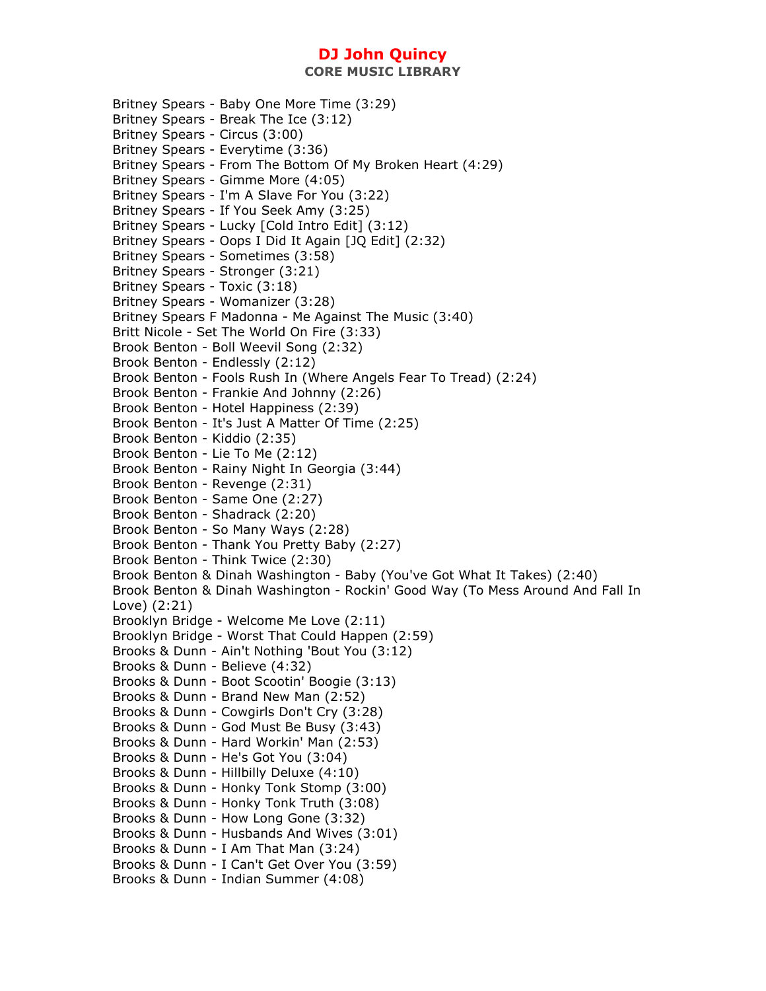Britney Spears - Baby One More Time (3:29) Britney Spears - Break The Ice (3:12) Britney Spears - Circus (3:00) Britney Spears - Everytime (3:36) Britney Spears - From The Bottom Of My Broken Heart (4:29) Britney Spears - Gimme More (4:05) Britney Spears - I'm A Slave For You (3:22) Britney Spears - If You Seek Amy (3:25) Britney Spears - Lucky [Cold Intro Edit] (3:12) Britney Spears - Oops I Did It Again [JQ Edit] (2:32) Britney Spears - Sometimes (3:58) Britney Spears - Stronger (3:21) Britney Spears - Toxic (3:18) Britney Spears - Womanizer (3:28) Britney Spears F Madonna - Me Against The Music (3:40) Britt Nicole - Set The World On Fire (3:33) Brook Benton - Boll Weevil Song (2:32) Brook Benton - Endlessly (2:12) Brook Benton - Fools Rush In (Where Angels Fear To Tread) (2:24) Brook Benton - Frankie And Johnny (2:26) Brook Benton - Hotel Happiness (2:39) Brook Benton - It's Just A Matter Of Time (2:25) Brook Benton - Kiddio (2:35) Brook Benton - Lie To Me (2:12) Brook Benton - Rainy Night In Georgia (3:44) Brook Benton - Revenge (2:31) Brook Benton - Same One (2:27) Brook Benton - Shadrack (2:20) Brook Benton - So Many Ways (2:28) Brook Benton - Thank You Pretty Baby (2:27) Brook Benton - Think Twice (2:30) Brook Benton & Dinah Washington - Baby (You've Got What It Takes) (2:40) Brook Benton & Dinah Washington - Rockin' Good Way (To Mess Around And Fall In Love) (2:21) Brooklyn Bridge - Welcome Me Love (2:11) Brooklyn Bridge - Worst That Could Happen (2:59) Brooks & Dunn - Ain't Nothing 'Bout You (3:12) Brooks & Dunn - Believe (4:32) Brooks & Dunn - Boot Scootin' Boogie (3:13) Brooks & Dunn - Brand New Man (2:52) Brooks & Dunn - Cowgirls Don't Cry (3:28) Brooks & Dunn - God Must Be Busy (3:43) Brooks & Dunn - Hard Workin' Man (2:53) Brooks & Dunn - He's Got You (3:04) Brooks & Dunn - Hillbilly Deluxe (4:10) Brooks & Dunn - Honky Tonk Stomp (3:00) Brooks & Dunn - Honky Tonk Truth (3:08) Brooks & Dunn - How Long Gone (3:32) Brooks & Dunn - Husbands And Wives (3:01) Brooks & Dunn - I Am That Man (3:24) Brooks & Dunn - I Can't Get Over You (3:59) Brooks & Dunn - Indian Summer (4:08)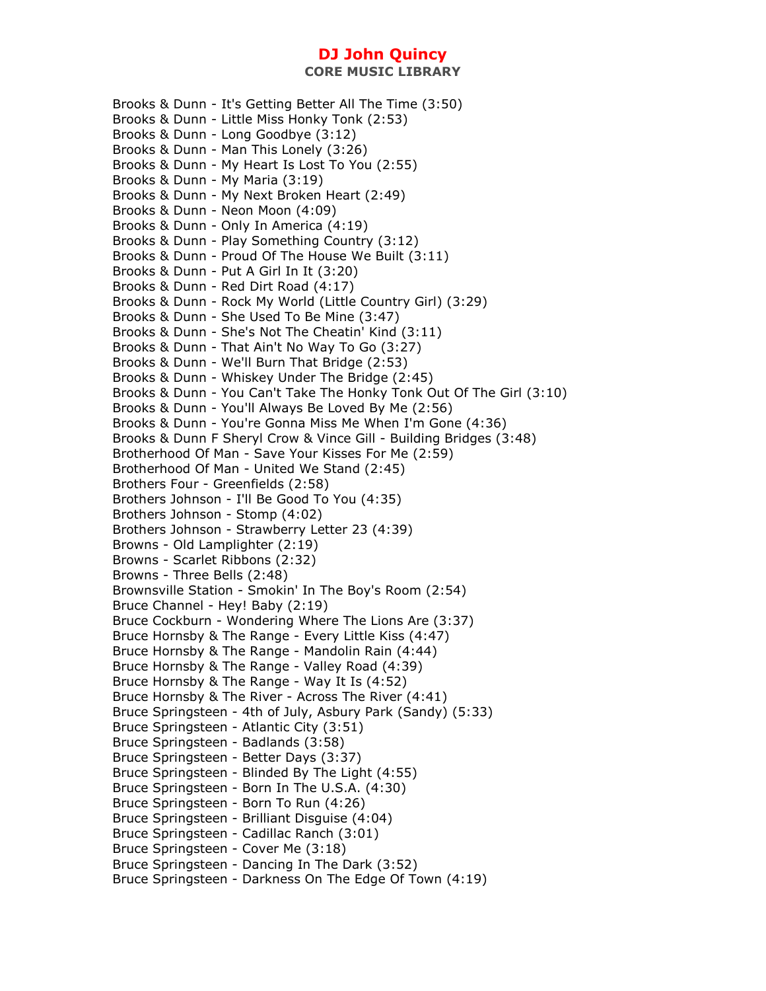Brooks & Dunn - It's Getting Better All The Time (3:50) Brooks & Dunn - Little Miss Honky Tonk (2:53) Brooks & Dunn - Long Goodbye (3:12) Brooks & Dunn - Man This Lonely (3:26) Brooks & Dunn - My Heart Is Lost To You (2:55) Brooks & Dunn - My Maria (3:19) Brooks & Dunn - My Next Broken Heart (2:49) Brooks & Dunn - Neon Moon (4:09) Brooks & Dunn - Only In America (4:19) Brooks & Dunn - Play Something Country (3:12) Brooks & Dunn - Proud Of The House We Built (3:11) Brooks & Dunn - Put A Girl In It (3:20) Brooks & Dunn - Red Dirt Road (4:17) Brooks & Dunn - Rock My World (Little Country Girl) (3:29) Brooks & Dunn - She Used To Be Mine (3:47) Brooks & Dunn - She's Not The Cheatin' Kind (3:11) Brooks & Dunn - That Ain't No Way To Go (3:27) Brooks & Dunn - We'll Burn That Bridge (2:53) Brooks & Dunn - Whiskey Under The Bridge (2:45) Brooks & Dunn - You Can't Take The Honky Tonk Out Of The Girl (3:10) Brooks & Dunn - You'll Always Be Loved By Me (2:56) Brooks & Dunn - You're Gonna Miss Me When I'm Gone (4:36) Brooks & Dunn F Sheryl Crow & Vince Gill - Building Bridges (3:48) Brotherhood Of Man - Save Your Kisses For Me (2:59) Brotherhood Of Man - United We Stand (2:45) Brothers Four - Greenfields (2:58) Brothers Johnson - I'll Be Good To You (4:35) Brothers Johnson - Stomp (4:02) Brothers Johnson - Strawberry Letter 23 (4:39) Browns - Old Lamplighter (2:19) Browns - Scarlet Ribbons (2:32) Browns - Three Bells (2:48) Brownsville Station - Smokin' In The Boy's Room (2:54) Bruce Channel - Hey! Baby (2:19) Bruce Cockburn - Wondering Where The Lions Are (3:37) Bruce Hornsby & The Range - Every Little Kiss (4:47) Bruce Hornsby & The Range - Mandolin Rain (4:44) Bruce Hornsby & The Range - Valley Road (4:39) Bruce Hornsby & The Range - Way It Is (4:52) Bruce Hornsby & The River - Across The River (4:41) Bruce Springsteen - 4th of July, Asbury Park (Sandy) (5:33) Bruce Springsteen - Atlantic City (3:51) Bruce Springsteen - Badlands (3:58) Bruce Springsteen - Better Days (3:37) Bruce Springsteen - Blinded By The Light (4:55) Bruce Springsteen - Born In The U.S.A. (4:30) Bruce Springsteen - Born To Run (4:26) Bruce Springsteen - Brilliant Disguise (4:04) Bruce Springsteen - Cadillac Ranch (3:01) Bruce Springsteen - Cover Me (3:18) Bruce Springsteen - Dancing In The Dark (3:52) Bruce Springsteen - Darkness On The Edge Of Town (4:19)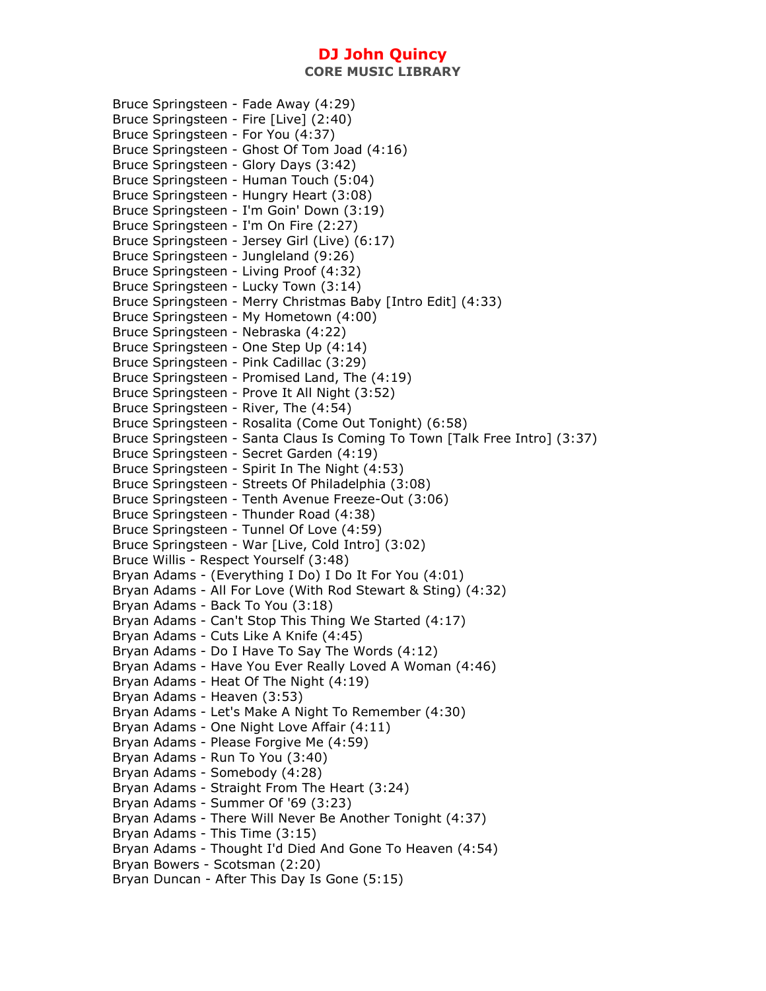Bruce Springsteen - Fade Away (4:29) Bruce Springsteen - Fire [Live] (2:40) Bruce Springsteen - For You (4:37) Bruce Springsteen - Ghost Of Tom Joad (4:16) Bruce Springsteen - Glory Days (3:42) Bruce Springsteen - Human Touch (5:04) Bruce Springsteen - Hungry Heart (3:08) Bruce Springsteen - I'm Goin' Down (3:19) Bruce Springsteen - I'm On Fire (2:27) Bruce Springsteen - Jersey Girl (Live) (6:17) Bruce Springsteen - Jungleland (9:26) Bruce Springsteen - Living Proof (4:32) Bruce Springsteen - Lucky Town (3:14) Bruce Springsteen - Merry Christmas Baby [Intro Edit] (4:33) Bruce Springsteen - My Hometown (4:00) Bruce Springsteen - Nebraska (4:22) Bruce Springsteen - One Step Up (4:14) Bruce Springsteen - Pink Cadillac (3:29) Bruce Springsteen - Promised Land, The (4:19) Bruce Springsteen - Prove It All Night (3:52) Bruce Springsteen - River, The (4:54) Bruce Springsteen - Rosalita (Come Out Tonight) (6:58) Bruce Springsteen - Santa Claus Is Coming To Town [Talk Free Intro] (3:37) Bruce Springsteen - Secret Garden (4:19) Bruce Springsteen - Spirit In The Night (4:53) Bruce Springsteen - Streets Of Philadelphia (3:08) Bruce Springsteen - Tenth Avenue Freeze-Out (3:06) Bruce Springsteen - Thunder Road (4:38) Bruce Springsteen - Tunnel Of Love (4:59) Bruce Springsteen - War [Live, Cold Intro] (3:02) Bruce Willis - Respect Yourself (3:48) Bryan Adams - (Everything I Do) I Do It For You (4:01) Bryan Adams - All For Love (With Rod Stewart & Sting) (4:32) Bryan Adams - Back To You (3:18) Bryan Adams - Can't Stop This Thing We Started (4:17) Bryan Adams - Cuts Like A Knife (4:45) Bryan Adams - Do I Have To Say The Words (4:12) Bryan Adams - Have You Ever Really Loved A Woman (4:46) Bryan Adams - Heat Of The Night (4:19) Bryan Adams - Heaven (3:53) Bryan Adams - Let's Make A Night To Remember (4:30) Bryan Adams - One Night Love Affair (4:11) Bryan Adams - Please Forgive Me (4:59) Bryan Adams - Run To You (3:40) Bryan Adams - Somebody (4:28) Bryan Adams - Straight From The Heart (3:24) Bryan Adams - Summer Of '69 (3:23) Bryan Adams - There Will Never Be Another Tonight (4:37) Bryan Adams - This Time (3:15) Bryan Adams - Thought I'd Died And Gone To Heaven (4:54) Bryan Bowers - Scotsman (2:20) Bryan Duncan - After This Day Is Gone (5:15)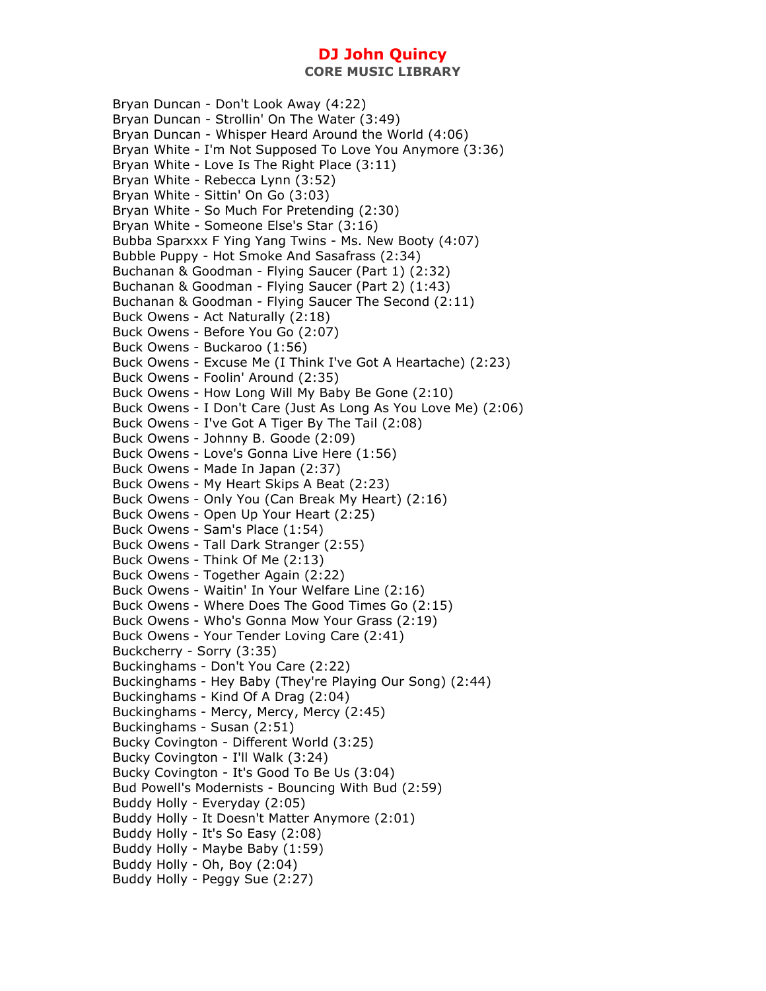**CORE MUSIC LIBRARY** 

Bryan Duncan - Don't Look Away (4:22) Bryan Duncan - Strollin' On The Water (3:49) Bryan Duncan - Whisper Heard Around the World (4:06) Bryan White - I'm Not Supposed To Love You Anymore (3:36) Bryan White - Love Is The Right Place (3:11) Bryan White - Rebecca Lynn (3:52) Bryan White - Sittin' On Go (3:03) Bryan White - So Much For Pretending (2:30) Bryan White - Someone Else's Star (3:16) Bubba Sparxxx F Ying Yang Twins - Ms. New Booty (4:07) Bubble Puppy - Hot Smoke And Sasafrass (2:34) Buchanan & Goodman - Flying Saucer (Part 1) (2:32) Buchanan & Goodman - Flying Saucer (Part 2) (1:43) Buchanan & Goodman - Flying Saucer The Second (2:11) Buck Owens - Act Naturally (2:18) Buck Owens - Before You Go (2:07) Buck Owens - Buckaroo (1:56) Buck Owens - Excuse Me (I Think I've Got A Heartache) (2:23) Buck Owens - Foolin' Around (2:35) Buck Owens - How Long Will My Baby Be Gone (2:10) Buck Owens - I Don't Care (Just As Long As You Love Me) (2:06) Buck Owens - I've Got A Tiger By The Tail (2:08) Buck Owens - Johnny B. Goode (2:09) Buck Owens - Love's Gonna Live Here (1:56) Buck Owens - Made In Japan (2:37) Buck Owens - My Heart Skips A Beat (2:23) Buck Owens - Only You (Can Break My Heart) (2:16) Buck Owens - Open Up Your Heart (2:25) Buck Owens - Sam's Place (1:54) Buck Owens - Tall Dark Stranger (2:55) Buck Owens - Think Of Me (2:13) Buck Owens - Together Again (2:22) Buck Owens - Waitin' In Your Welfare Line (2:16) Buck Owens - Where Does The Good Times Go (2:15) Buck Owens - Who's Gonna Mow Your Grass (2:19) Buck Owens - Your Tender Loving Care (2:41) Buckcherry - Sorry (3:35) Buckinghams - Don't You Care (2:22) Buckinghams - Hey Baby (They're Playing Our Song) (2:44) Buckinghams - Kind Of A Drag (2:04) Buckinghams - Mercy, Mercy, Mercy (2:45) Buckinghams - Susan (2:51) Bucky Covington - Different World (3:25) Bucky Covington - I'll Walk (3:24) Bucky Covington - It's Good To Be Us (3:04) Bud Powell's Modernists - Bouncing With Bud (2:59) Buddy Holly - Everyday (2:05) Buddy Holly - It Doesn't Matter Anymore (2:01) Buddy Holly - It's So Easy (2:08) Buddy Holly - Maybe Baby (1:59) Buddy Holly - Oh, Boy (2:04) Buddy Holly - Peggy Sue (2:27)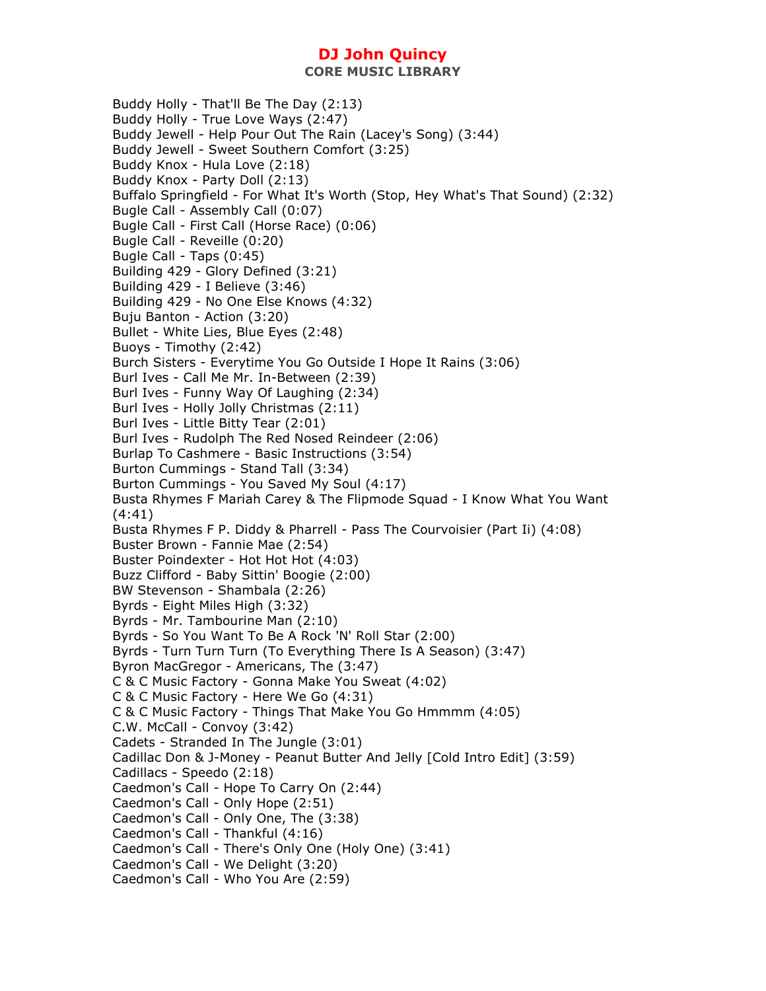**CORE MUSIC LIBRARY** 

Buddy Holly - That'll Be The Day (2:13) Buddy Holly - True Love Ways (2:47) Buddy Jewell - Help Pour Out The Rain (Lacey's Song) (3:44) Buddy Jewell - Sweet Southern Comfort (3:25) Buddy Knox - Hula Love (2:18) Buddy Knox - Party Doll (2:13) Buffalo Springfield - For What It's Worth (Stop, Hey What's That Sound) (2:32) Bugle Call - Assembly Call (0:07) Bugle Call - First Call (Horse Race) (0:06) Bugle Call - Reveille (0:20) Bugle Call - Taps (0:45) Building 429 - Glory Defined (3:21) Building 429 - I Believe (3:46) Building 429 - No One Else Knows (4:32) Buju Banton - Action (3:20) Bullet - White Lies, Blue Eyes (2:48) Buoys - Timothy (2:42) Burch Sisters - Everytime You Go Outside I Hope It Rains (3:06) Burl Ives - Call Me Mr. In-Between (2:39) Burl Ives - Funny Way Of Laughing (2:34) Burl Ives - Holly Jolly Christmas (2:11) Burl Ives - Little Bitty Tear (2:01) Burl Ives - Rudolph The Red Nosed Reindeer (2:06) Burlap To Cashmere - Basic Instructions (3:54) Burton Cummings - Stand Tall (3:34) Burton Cummings - You Saved My Soul (4:17) Busta Rhymes F Mariah Carey & The Flipmode Squad - I Know What You Want (4:41) Busta Rhymes F P. Diddy & Pharrell - Pass The Courvoisier (Part Ii) (4:08) Buster Brown - Fannie Mae (2:54) Buster Poindexter - Hot Hot Hot (4:03) Buzz Clifford - Baby Sittin' Boogie (2:00) BW Stevenson - Shambala (2:26) Byrds - Eight Miles High (3:32) Byrds - Mr. Tambourine Man (2:10) Byrds - So You Want To Be A Rock 'N' Roll Star (2:00) Byrds - Turn Turn Turn (To Everything There Is A Season) (3:47) Byron MacGregor - Americans, The (3:47) C & C Music Factory - Gonna Make You Sweat (4:02) C & C Music Factory - Here We Go (4:31) C & C Music Factory - Things That Make You Go Hmmmm (4:05) C.W. McCall - Convoy (3:42) Cadets - Stranded In The Jungle (3:01) Cadillac Don & J-Money - Peanut Butter And Jelly [Cold Intro Edit] (3:59) Cadillacs - Speedo (2:18) Caedmon's Call - Hope To Carry On (2:44) Caedmon's Call - Only Hope (2:51) Caedmon's Call - Only One, The (3:38) Caedmon's Call - Thankful (4:16) Caedmon's Call - There's Only One (Holy One) (3:41) Caedmon's Call - We Delight (3:20) Caedmon's Call - Who You Are (2:59)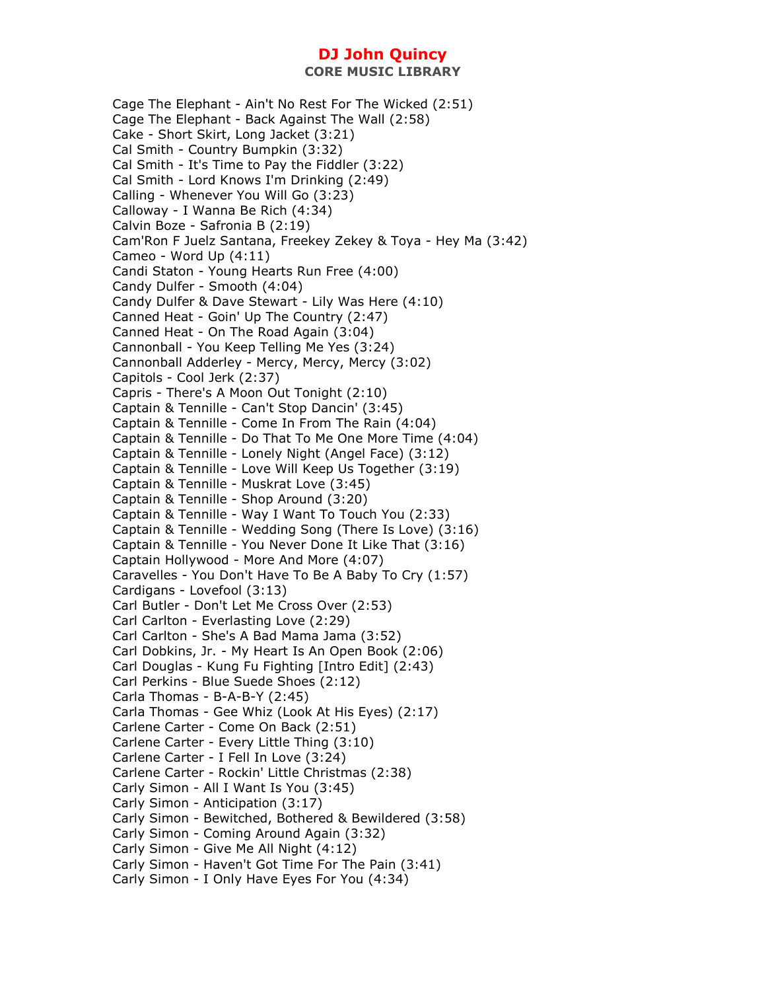Cage The Elephant - Ain't No Rest For The Wicked (2:51) Cage The Elephant - Back Against The Wall (2:58) Cake - Short Skirt, Long Jacket (3:21) Cal Smith - Country Bumpkin (3:32) Cal Smith - It's Time to Pay the Fiddler (3:22) Cal Smith - Lord Knows I'm Drinking (2:49) Calling - Whenever You Will Go (3:23) Calloway - I Wanna Be Rich (4:34) Calvin Boze - Safronia B (2:19) Cam'Ron F Juelz Santana, Freekey Zekey & Toya - Hey Ma (3:42) Cameo - Word Up (4:11) Candi Staton - Young Hearts Run Free (4:00) Candy Dulfer - Smooth (4:04) Candy Dulfer & Dave Stewart - Lily Was Here (4:10) Canned Heat - Goin' Up The Country (2:47) Canned Heat - On The Road Again (3:04) Cannonball - You Keep Telling Me Yes (3:24) Cannonball Adderley - Mercy, Mercy, Mercy (3:02) Capitols - Cool Jerk (2:37) Capris - There's A Moon Out Tonight (2:10) Captain & Tennille - Can't Stop Dancin' (3:45) Captain & Tennille - Come In From The Rain (4:04) Captain & Tennille - Do That To Me One More Time (4:04) Captain & Tennille - Lonely Night (Angel Face) (3:12) Captain & Tennille - Love Will Keep Us Together (3:19) Captain & Tennille - Muskrat Love (3:45) Captain & Tennille - Shop Around (3:20) Captain & Tennille - Way I Want To Touch You (2:33) Captain & Tennille - Wedding Song (There Is Love) (3:16) Captain & Tennille - You Never Done It Like That (3:16) Captain Hollywood - More And More (4:07) Caravelles - You Don't Have To Be A Baby To Cry (1:57) Cardigans - Lovefool (3:13) Carl Butler - Don't Let Me Cross Over (2:53) Carl Carlton - Everlasting Love (2:29) Carl Carlton - She's A Bad Mama Jama (3:52) Carl Dobkins, Jr. - My Heart Is An Open Book (2:06) Carl Douglas - Kung Fu Fighting [Intro Edit] (2:43) Carl Perkins - Blue Suede Shoes (2:12) Carla Thomas - B-A-B-Y (2:45) Carla Thomas - Gee Whiz (Look At His Eyes) (2:17) Carlene Carter - Come On Back (2:51) Carlene Carter - Every Little Thing (3:10) Carlene Carter - I Fell In Love (3:24) Carlene Carter - Rockin' Little Christmas (2:38) Carly Simon - All I Want Is You (3:45) Carly Simon - Anticipation (3:17) Carly Simon - Bewitched, Bothered & Bewildered (3:58) Carly Simon - Coming Around Again (3:32) Carly Simon - Give Me All Night (4:12) Carly Simon - Haven't Got Time For The Pain (3:41) Carly Simon - I Only Have Eyes For You (4:34)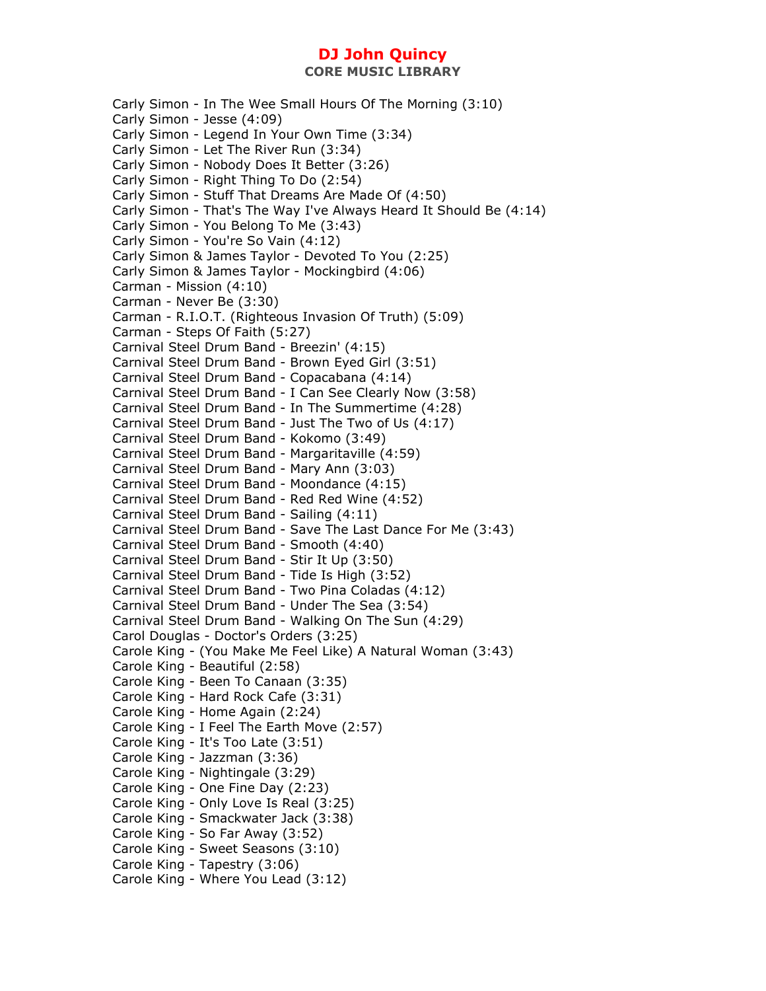**CORE MUSIC LIBRARY** 

Carly Simon - In The Wee Small Hours Of The Morning (3:10) Carly Simon - Jesse (4:09) Carly Simon - Legend In Your Own Time (3:34) Carly Simon - Let The River Run (3:34) Carly Simon - Nobody Does It Better (3:26) Carly Simon - Right Thing To Do (2:54) Carly Simon - Stuff That Dreams Are Made Of (4:50) Carly Simon - That's The Way I've Always Heard It Should Be (4:14) Carly Simon - You Belong To Me (3:43) Carly Simon - You're So Vain (4:12) Carly Simon & James Taylor - Devoted To You (2:25) Carly Simon & James Taylor - Mockingbird (4:06) Carman - Mission (4:10) Carman - Never Be (3:30) Carman - R.I.O.T. (Righteous Invasion Of Truth) (5:09) Carman - Steps Of Faith (5:27) Carnival Steel Drum Band - Breezin' (4:15) Carnival Steel Drum Band - Brown Eyed Girl (3:51) Carnival Steel Drum Band - Copacabana (4:14) Carnival Steel Drum Band - I Can See Clearly Now (3:58) Carnival Steel Drum Band - In The Summertime (4:28) Carnival Steel Drum Band - Just The Two of Us (4:17) Carnival Steel Drum Band - Kokomo (3:49) Carnival Steel Drum Band - Margaritaville (4:59) Carnival Steel Drum Band - Mary Ann (3:03) Carnival Steel Drum Band - Moondance (4:15) Carnival Steel Drum Band - Red Red Wine (4:52) Carnival Steel Drum Band - Sailing (4:11) Carnival Steel Drum Band - Save The Last Dance For Me (3:43) Carnival Steel Drum Band - Smooth (4:40) Carnival Steel Drum Band - Stir It Up (3:50) Carnival Steel Drum Band - Tide Is High (3:52) Carnival Steel Drum Band - Two Pina Coladas (4:12) Carnival Steel Drum Band - Under The Sea (3:54) Carnival Steel Drum Band - Walking On The Sun (4:29) Carol Douglas - Doctor's Orders (3:25) Carole King - (You Make Me Feel Like) A Natural Woman (3:43) Carole King - Beautiful (2:58) Carole King - Been To Canaan (3:35) Carole King - Hard Rock Cafe (3:31) Carole King - Home Again (2:24) Carole King - I Feel The Earth Move (2:57) Carole King - It's Too Late (3:51) Carole King - Jazzman (3:36) Carole King - Nightingale (3:29) Carole King - One Fine Day (2:23) Carole King - Only Love Is Real (3:25) Carole King - Smackwater Jack (3:38) Carole King - So Far Away (3:52) Carole King - Sweet Seasons (3:10) Carole King - Tapestry (3:06) Carole King - Where You Lead (3:12)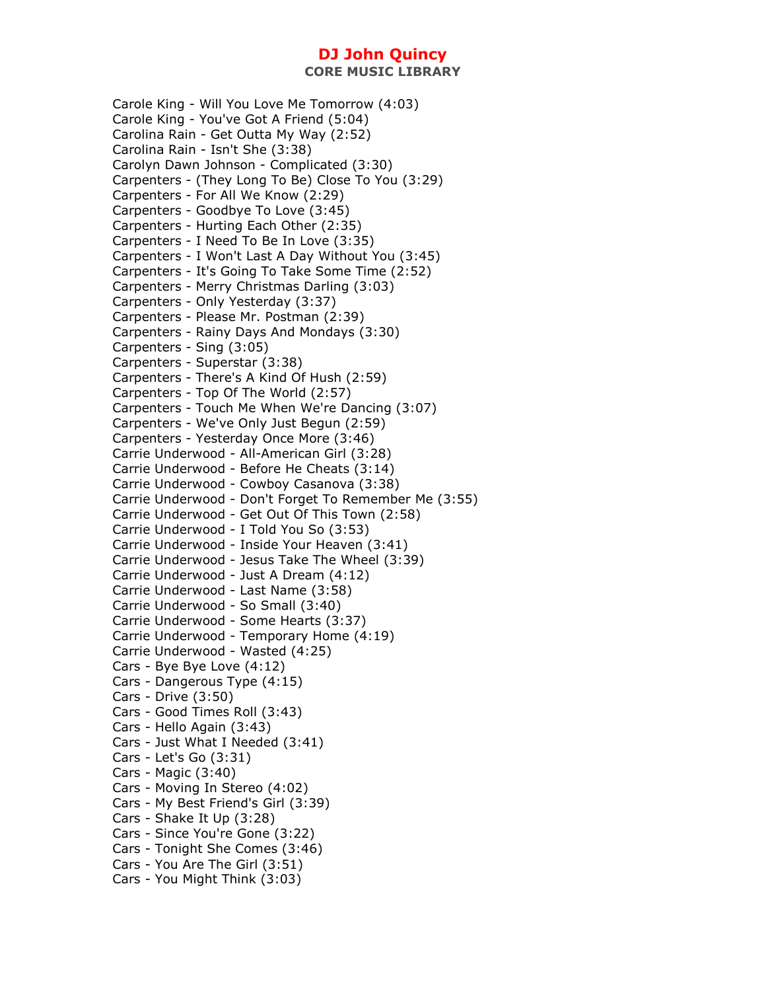Carole King - Will You Love Me Tomorrow (4:03) Carole King - You've Got A Friend (5:04) Carolina Rain - Get Outta My Way (2:52) Carolina Rain - Isn't She (3:38) Carolyn Dawn Johnson - Complicated (3:30) Carpenters - (They Long To Be) Close To You (3:29) Carpenters - For All We Know (2:29) Carpenters - Goodbye To Love (3:45) Carpenters - Hurting Each Other (2:35) Carpenters - I Need To Be In Love (3:35) Carpenters - I Won't Last A Day Without You (3:45) Carpenters - It's Going To Take Some Time (2:52) Carpenters - Merry Christmas Darling (3:03) Carpenters - Only Yesterday (3:37) Carpenters - Please Mr. Postman (2:39) Carpenters - Rainy Days And Mondays (3:30) Carpenters - Sing (3:05) Carpenters - Superstar (3:38) Carpenters - There's A Kind Of Hush (2:59) Carpenters - Top Of The World (2:57) Carpenters - Touch Me When We're Dancing (3:07) Carpenters - We've Only Just Begun (2:59) Carpenters - Yesterday Once More (3:46) Carrie Underwood - All-American Girl (3:28) Carrie Underwood - Before He Cheats (3:14) Carrie Underwood - Cowboy Casanova (3:38) Carrie Underwood - Don't Forget To Remember Me (3:55) Carrie Underwood - Get Out Of This Town (2:58) Carrie Underwood - I Told You So (3:53) Carrie Underwood - Inside Your Heaven (3:41) Carrie Underwood - Jesus Take The Wheel (3:39) Carrie Underwood - Just A Dream (4:12) Carrie Underwood - Last Name (3:58) Carrie Underwood - So Small (3:40) Carrie Underwood - Some Hearts (3:37) Carrie Underwood - Temporary Home (4:19) Carrie Underwood - Wasted (4:25) Cars - Bye Bye Love (4:12) Cars - Dangerous Type (4:15) Cars - Drive (3:50) Cars - Good Times Roll (3:43) Cars - Hello Again (3:43) Cars - Just What I Needed (3:41) Cars - Let's Go (3:31) Cars - Magic (3:40) Cars - Moving In Stereo (4:02) Cars - My Best Friend's Girl (3:39) Cars - Shake It Up (3:28) Cars - Since You're Gone (3:22) Cars - Tonight She Comes (3:46) Cars - You Are The Girl (3:51) Cars - You Might Think (3:03)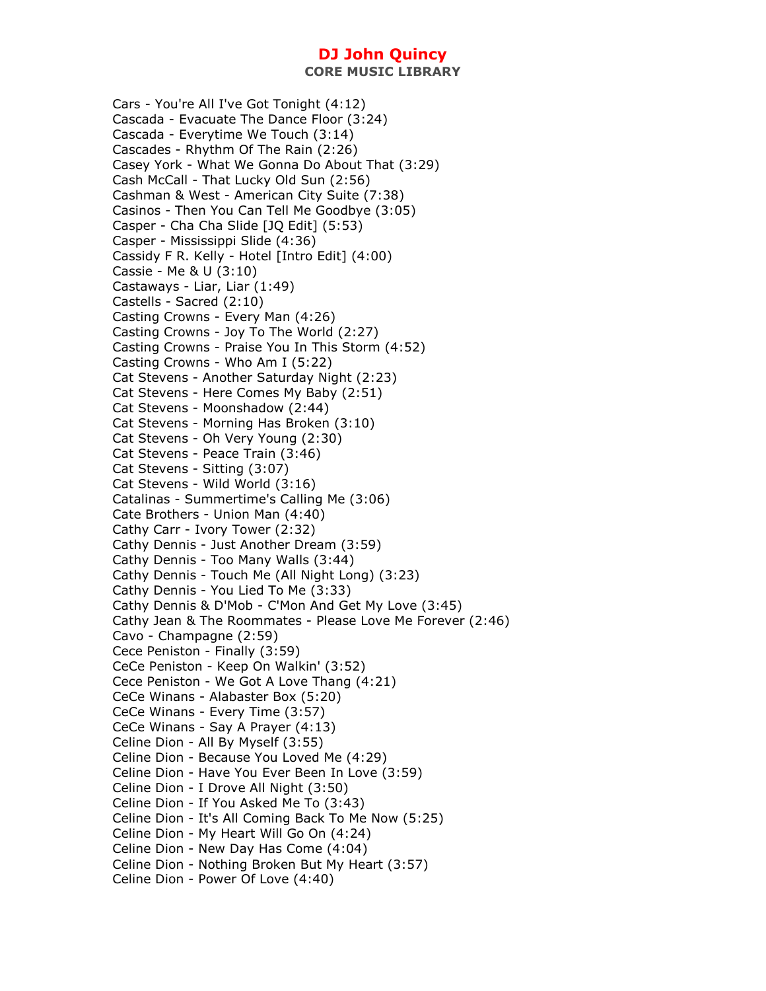Cars - You're All I've Got Tonight (4:12) Cascada - Evacuate The Dance Floor (3:24) Cascada - Everytime We Touch (3:14) Cascades - Rhythm Of The Rain (2:26) Casey York - What We Gonna Do About That (3:29) Cash McCall - That Lucky Old Sun (2:56) Cashman & West - American City Suite (7:38) Casinos - Then You Can Tell Me Goodbye (3:05) Casper - Cha Cha Slide [JQ Edit] (5:53) Casper - Mississippi Slide (4:36) Cassidy F R. Kelly - Hotel [Intro Edit] (4:00) Cassie - Me & U (3:10) Castaways - Liar, Liar (1:49) Castells - Sacred (2:10) Casting Crowns - Every Man (4:26) Casting Crowns - Joy To The World (2:27) Casting Crowns - Praise You In This Storm (4:52) Casting Crowns - Who Am I (5:22) Cat Stevens - Another Saturday Night (2:23) Cat Stevens - Here Comes My Baby (2:51) Cat Stevens - Moonshadow (2:44) Cat Stevens - Morning Has Broken (3:10) Cat Stevens - Oh Very Young (2:30) Cat Stevens - Peace Train (3:46) Cat Stevens - Sitting (3:07) Cat Stevens - Wild World (3:16) Catalinas - Summertime's Calling Me (3:06) Cate Brothers - Union Man (4:40) Cathy Carr - Ivory Tower (2:32) Cathy Dennis - Just Another Dream (3:59) Cathy Dennis - Too Many Walls (3:44) Cathy Dennis - Touch Me (All Night Long) (3:23) Cathy Dennis - You Lied To Me (3:33) Cathy Dennis & D'Mob - C'Mon And Get My Love (3:45) Cathy Jean & The Roommates - Please Love Me Forever (2:46) Cavo - Champagne (2:59) Cece Peniston - Finally (3:59) CeCe Peniston - Keep On Walkin' (3:52) Cece Peniston - We Got A Love Thang (4:21) CeCe Winans - Alabaster Box (5:20) CeCe Winans - Every Time (3:57) CeCe Winans - Say A Prayer (4:13) Celine Dion - All By Myself (3:55) Celine Dion - Because You Loved Me (4:29) Celine Dion - Have You Ever Been In Love (3:59) Celine Dion - I Drove All Night (3:50) Celine Dion - If You Asked Me To (3:43) Celine Dion - It's All Coming Back To Me Now (5:25) Celine Dion - My Heart Will Go On (4:24) Celine Dion - New Day Has Come (4:04) Celine Dion - Nothing Broken But My Heart (3:57) Celine Dion - Power Of Love (4:40)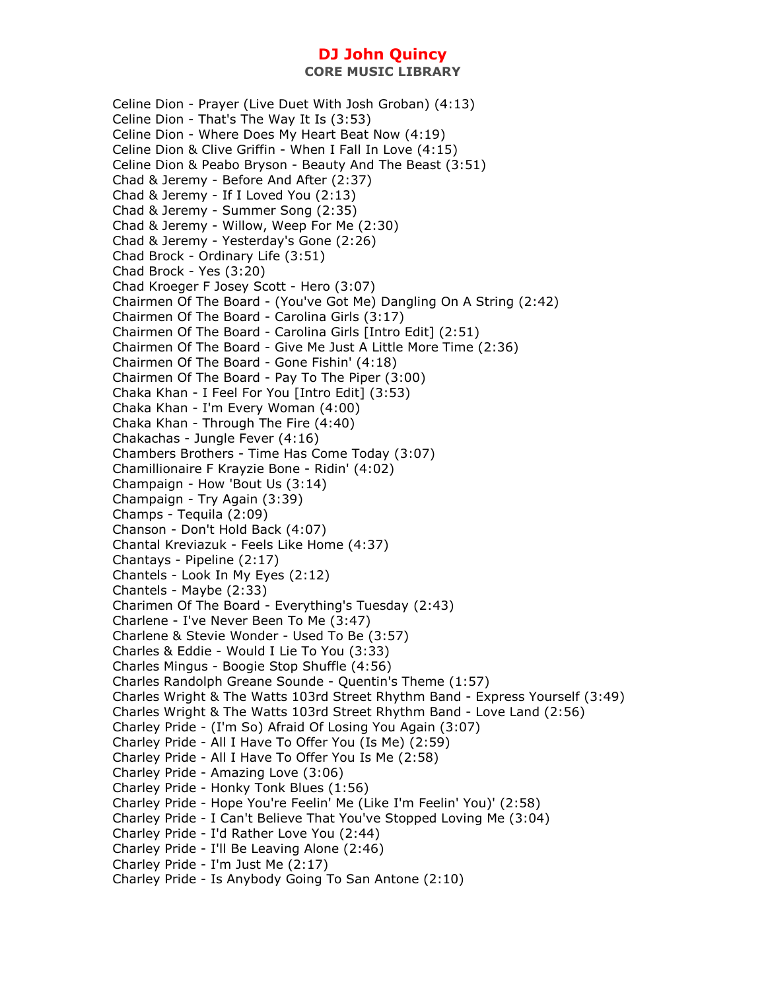**CORE MUSIC LIBRARY** 

Celine Dion - Prayer (Live Duet With Josh Groban) (4:13) Celine Dion - That's The Way It Is (3:53) Celine Dion - Where Does My Heart Beat Now (4:19) Celine Dion & Clive Griffin - When I Fall In Love (4:15) Celine Dion & Peabo Bryson - Beauty And The Beast (3:51) Chad & Jeremy - Before And After (2:37) Chad & Jeremy - If I Loved You (2:13) Chad & Jeremy - Summer Song (2:35) Chad & Jeremy - Willow, Weep For Me (2:30) Chad & Jeremy - Yesterday's Gone (2:26) Chad Brock - Ordinary Life (3:51) Chad Brock - Yes (3:20) Chad Kroeger F Josey Scott - Hero (3:07) Chairmen Of The Board - (You've Got Me) Dangling On A String (2:42) Chairmen Of The Board - Carolina Girls (3:17) Chairmen Of The Board - Carolina Girls [Intro Edit] (2:51) Chairmen Of The Board - Give Me Just A Little More Time (2:36) Chairmen Of The Board - Gone Fishin' (4:18) Chairmen Of The Board - Pay To The Piper (3:00) Chaka Khan - I Feel For You [Intro Edit] (3:53) Chaka Khan - I'm Every Woman (4:00) Chaka Khan - Through The Fire (4:40) Chakachas - Jungle Fever (4:16) Chambers Brothers - Time Has Come Today (3:07) Chamillionaire F Krayzie Bone - Ridin' (4:02) Champaign - How 'Bout Us (3:14) Champaign - Try Again (3:39) Champs - Tequila (2:09) Chanson - Don't Hold Back (4:07) Chantal Kreviazuk - Feels Like Home (4:37) Chantays - Pipeline (2:17) Chantels - Look In My Eyes (2:12) Chantels - Maybe (2:33) Charimen Of The Board - Everything's Tuesday (2:43) Charlene - I've Never Been To Me (3:47) Charlene & Stevie Wonder - Used To Be (3:57) Charles & Eddie - Would I Lie To You (3:33) Charles Mingus - Boogie Stop Shuffle (4:56) Charles Randolph Greane Sounde - Quentin's Theme (1:57) Charles Wright & The Watts 103rd Street Rhythm Band - Express Yourself (3:49) Charles Wright & The Watts 103rd Street Rhythm Band - Love Land (2:56) Charley Pride - (I'm So) Afraid Of Losing You Again (3:07) Charley Pride - All I Have To Offer You (Is Me) (2:59) Charley Pride - All I Have To Offer You Is Me (2:58) Charley Pride - Amazing Love (3:06) Charley Pride - Honky Tonk Blues (1:56) Charley Pride - Hope You're Feelin' Me (Like I'm Feelin' You)' (2:58) Charley Pride - I Can't Believe That You've Stopped Loving Me (3:04) Charley Pride - I'd Rather Love You (2:44) Charley Pride - I'll Be Leaving Alone (2:46) Charley Pride - I'm Just Me (2:17) Charley Pride - Is Anybody Going To San Antone (2:10)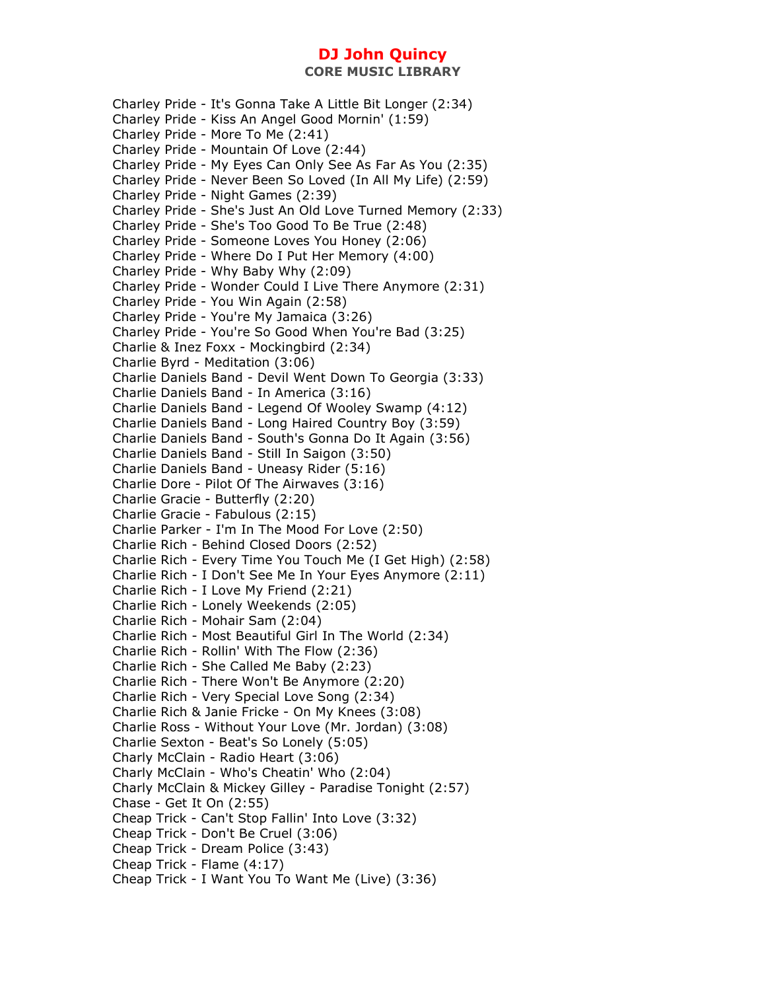**CORE MUSIC LIBRARY** 

Charley Pride - It's Gonna Take A Little Bit Longer (2:34) Charley Pride - Kiss An Angel Good Mornin' (1:59) Charley Pride - More To Me (2:41) Charley Pride - Mountain Of Love (2:44) Charley Pride - My Eyes Can Only See As Far As You (2:35) Charley Pride - Never Been So Loved (In All My Life) (2:59) Charley Pride - Night Games (2:39) Charley Pride - She's Just An Old Love Turned Memory (2:33) Charley Pride - She's Too Good To Be True (2:48) Charley Pride - Someone Loves You Honey (2:06) Charley Pride - Where Do I Put Her Memory (4:00) Charley Pride - Why Baby Why (2:09) Charley Pride - Wonder Could I Live There Anymore (2:31) Charley Pride - You Win Again (2:58) Charley Pride - You're My Jamaica (3:26) Charley Pride - You're So Good When You're Bad (3:25) Charlie & Inez Foxx - Mockingbird (2:34) Charlie Byrd - Meditation (3:06) Charlie Daniels Band - Devil Went Down To Georgia (3:33) Charlie Daniels Band - In America (3:16) Charlie Daniels Band - Legend Of Wooley Swamp (4:12) Charlie Daniels Band - Long Haired Country Boy (3:59) Charlie Daniels Band - South's Gonna Do It Again (3:56) Charlie Daniels Band - Still In Saigon (3:50) Charlie Daniels Band - Uneasy Rider (5:16) Charlie Dore - Pilot Of The Airwaves (3:16) Charlie Gracie - Butterfly (2:20) Charlie Gracie - Fabulous (2:15) Charlie Parker - I'm In The Mood For Love (2:50) Charlie Rich - Behind Closed Doors (2:52) Charlie Rich - Every Time You Touch Me (I Get High) (2:58) Charlie Rich - I Don't See Me In Your Eyes Anymore (2:11) Charlie Rich - I Love My Friend (2:21) Charlie Rich - Lonely Weekends (2:05) Charlie Rich - Mohair Sam (2:04) Charlie Rich - Most Beautiful Girl In The World (2:34) Charlie Rich - Rollin' With The Flow (2:36) Charlie Rich - She Called Me Baby (2:23) Charlie Rich - There Won't Be Anymore (2:20) Charlie Rich - Very Special Love Song (2:34) Charlie Rich & Janie Fricke - On My Knees (3:08) Charlie Ross - Without Your Love (Mr. Jordan) (3:08) Charlie Sexton - Beat's So Lonely (5:05) Charly McClain - Radio Heart (3:06) Charly McClain - Who's Cheatin' Who (2:04) Charly McClain & Mickey Gilley - Paradise Tonight (2:57) Chase - Get It On (2:55) Cheap Trick - Can't Stop Fallin' Into Love (3:32) Cheap Trick - Don't Be Cruel (3:06) Cheap Trick - Dream Police (3:43) Cheap Trick - Flame (4:17) Cheap Trick - I Want You To Want Me (Live) (3:36)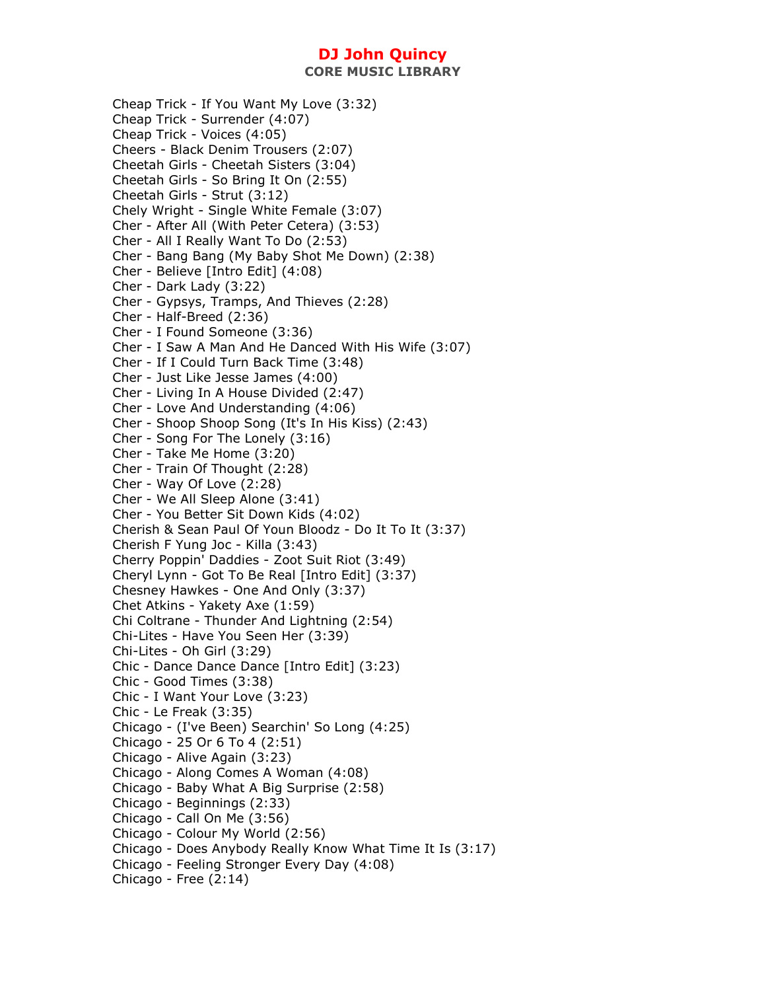**CORE MUSIC LIBRARY** 

Cheap Trick - If You Want My Love (3:32) Cheap Trick - Surrender (4:07) Cheap Trick - Voices (4:05) Cheers - Black Denim Trousers (2:07) Cheetah Girls - Cheetah Sisters (3:04) Cheetah Girls - So Bring It On (2:55) Cheetah Girls - Strut (3:12) Chely Wright - Single White Female (3:07) Cher - After All (With Peter Cetera) (3:53) Cher - All I Really Want To Do (2:53) Cher - Bang Bang (My Baby Shot Me Down) (2:38) Cher - Believe [Intro Edit] (4:08) Cher - Dark Lady (3:22) Cher - Gypsys, Tramps, And Thieves (2:28) Cher - Half-Breed (2:36) Cher - I Found Someone (3:36) Cher - I Saw A Man And He Danced With His Wife (3:07) Cher - If I Could Turn Back Time (3:48) Cher - Just Like Jesse James (4:00) Cher - Living In A House Divided (2:47) Cher - Love And Understanding (4:06) Cher - Shoop Shoop Song (It's In His Kiss) (2:43) Cher - Song For The Lonely (3:16) Cher - Take Me Home (3:20) Cher - Train Of Thought (2:28) Cher - Way Of Love (2:28) Cher - We All Sleep Alone (3:41) Cher - You Better Sit Down Kids (4:02) Cherish & Sean Paul Of Youn Bloodz - Do It To It (3:37) Cherish F Yung Joc - Killa (3:43) Cherry Poppin' Daddies - Zoot Suit Riot (3:49) Cheryl Lynn - Got To Be Real [Intro Edit] (3:37) Chesney Hawkes - One And Only (3:37) Chet Atkins - Yakety Axe (1:59) Chi Coltrane - Thunder And Lightning (2:54) Chi-Lites - Have You Seen Her (3:39) Chi-Lites - Oh Girl (3:29) Chic - Dance Dance Dance [Intro Edit] (3:23) Chic - Good Times (3:38) Chic - I Want Your Love (3:23) Chic - Le Freak (3:35) Chicago - (I've Been) Searchin' So Long (4:25) Chicago - 25 Or 6 To 4 (2:51) Chicago - Alive Again (3:23) Chicago - Along Comes A Woman (4:08) Chicago - Baby What A Big Surprise (2:58) Chicago - Beginnings (2:33) Chicago - Call On Me (3:56) Chicago - Colour My World (2:56) Chicago - Does Anybody Really Know What Time It Is (3:17) Chicago - Feeling Stronger Every Day (4:08) Chicago - Free (2:14)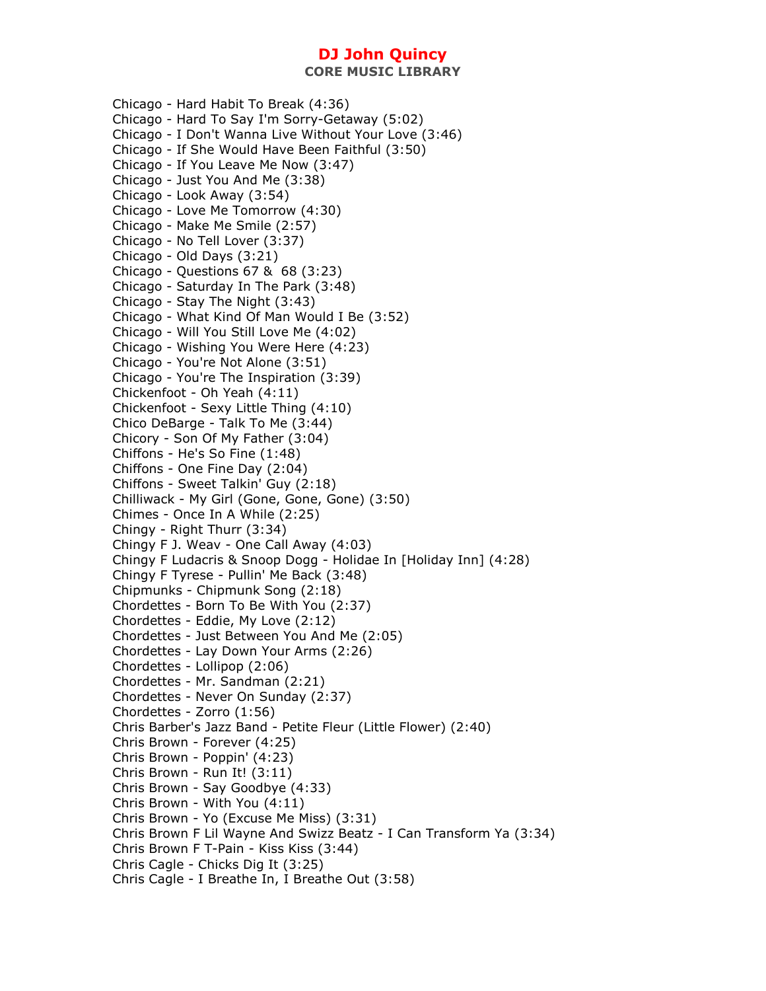**CORE MUSIC LIBRARY** 

Chicago - Hard Habit To Break (4:36) Chicago - Hard To Say I'm Sorry-Getaway (5:02) Chicago - I Don't Wanna Live Without Your Love (3:46) Chicago - If She Would Have Been Faithful (3:50) Chicago - If You Leave Me Now (3:47) Chicago - Just You And Me (3:38) Chicago - Look Away (3:54) Chicago - Love Me Tomorrow (4:30) Chicago - Make Me Smile (2:57) Chicago - No Tell Lover (3:37) Chicago - Old Days (3:21) Chicago - Questions 67 & 68 (3:23) Chicago - Saturday In The Park (3:48) Chicago - Stay The Night (3:43) Chicago - What Kind Of Man Would I Be (3:52) Chicago - Will You Still Love Me (4:02) Chicago - Wishing You Were Here (4:23) Chicago - You're Not Alone (3:51) Chicago - You're The Inspiration (3:39) Chickenfoot - Oh Yeah (4:11) Chickenfoot - Sexy Little Thing (4:10) Chico DeBarge - Talk To Me (3:44) Chicory - Son Of My Father (3:04) Chiffons - He's So Fine (1:48) Chiffons - One Fine Day (2:04) Chiffons - Sweet Talkin' Guy (2:18) Chilliwack - My Girl (Gone, Gone, Gone) (3:50) Chimes - Once In A While (2:25) Chingy - Right Thurr (3:34) Chingy F J. Weav - One Call Away (4:03) Chingy F Ludacris & Snoop Dogg - Holidae In [Holiday Inn] (4:28) Chingy F Tyrese - Pullin' Me Back (3:48) Chipmunks - Chipmunk Song (2:18) Chordettes - Born To Be With You (2:37) Chordettes - Eddie, My Love (2:12) Chordettes - Just Between You And Me (2:05) Chordettes - Lay Down Your Arms (2:26) Chordettes - Lollipop (2:06) Chordettes - Mr. Sandman (2:21) Chordettes - Never On Sunday (2:37) Chordettes - Zorro (1:56) Chris Barber's Jazz Band - Petite Fleur (Little Flower) (2:40) Chris Brown - Forever (4:25) Chris Brown - Poppin' (4:23) Chris Brown - Run It! (3:11) Chris Brown - Say Goodbye (4:33) Chris Brown - With You (4:11) Chris Brown - Yo (Excuse Me Miss) (3:31) Chris Brown F Lil Wayne And Swizz Beatz - I Can Transform Ya (3:34) Chris Brown F T-Pain - Kiss Kiss (3:44) Chris Cagle - Chicks Dig It (3:25) Chris Cagle - I Breathe In, I Breathe Out (3:58)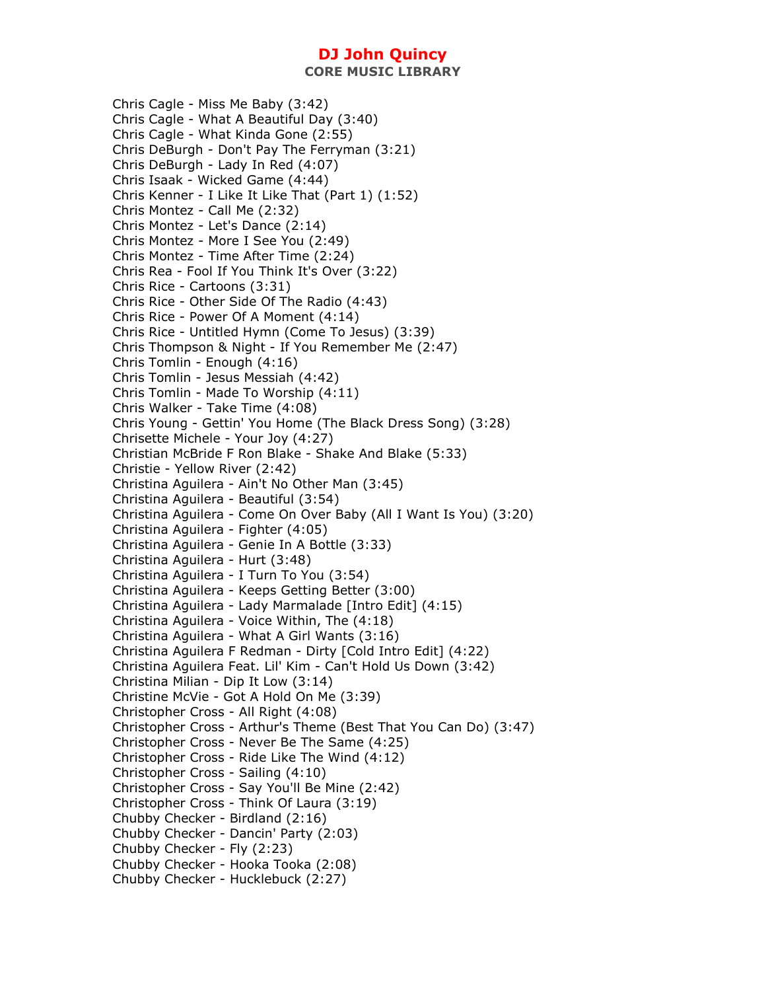**CORE MUSIC LIBRARY** 

Chris Cagle - Miss Me Baby (3:42) Chris Cagle - What A Beautiful Day (3:40) Chris Cagle - What Kinda Gone (2:55) Chris DeBurgh - Don't Pay The Ferryman (3:21) Chris DeBurgh - Lady In Red (4:07) Chris Isaak - Wicked Game (4:44) Chris Kenner - I Like It Like That (Part 1) (1:52) Chris Montez - Call Me (2:32) Chris Montez - Let's Dance (2:14) Chris Montez - More I See You (2:49) Chris Montez - Time After Time (2:24) Chris Rea - Fool If You Think It's Over (3:22) Chris Rice - Cartoons (3:31) Chris Rice - Other Side Of The Radio (4:43) Chris Rice - Power Of A Moment (4:14) Chris Rice - Untitled Hymn (Come To Jesus) (3:39) Chris Thompson & Night - If You Remember Me (2:47) Chris Tomlin - Enough (4:16) Chris Tomlin - Jesus Messiah (4:42) Chris Tomlin - Made To Worship (4:11) Chris Walker - Take Time (4:08) Chris Young - Gettin' You Home (The Black Dress Song) (3:28) Chrisette Michele - Your Joy (4:27) Christian McBride F Ron Blake - Shake And Blake (5:33) Christie - Yellow River (2:42) Christina Aguilera - Ain't No Other Man (3:45) Christina Aguilera - Beautiful (3:54) Christina Aguilera - Come On Over Baby (All I Want Is You) (3:20) Christina Aguilera - Fighter (4:05) Christina Aguilera - Genie In A Bottle (3:33) Christina Aguilera - Hurt (3:48) Christina Aguilera - I Turn To You (3:54) Christina Aguilera - Keeps Getting Better (3:00) Christina Aguilera - Lady Marmalade [Intro Edit] (4:15) Christina Aguilera - Voice Within, The (4:18) Christina Aguilera - What A Girl Wants (3:16) Christina Aguilera F Redman - Dirty [Cold Intro Edit] (4:22) Christina Aguilera Feat. Lil' Kim - Can't Hold Us Down (3:42) Christina Milian - Dip It Low (3:14) Christine McVie - Got A Hold On Me (3:39) Christopher Cross - All Right (4:08) Christopher Cross - Arthur's Theme (Best That You Can Do) (3:47) Christopher Cross - Never Be The Same (4:25) Christopher Cross - Ride Like The Wind (4:12) Christopher Cross - Sailing (4:10) Christopher Cross - Say You'll Be Mine (2:42) Christopher Cross - Think Of Laura (3:19) Chubby Checker - Birdland (2:16) Chubby Checker - Dancin' Party (2:03) Chubby Checker - Fly (2:23) Chubby Checker - Hooka Tooka (2:08) Chubby Checker - Hucklebuck (2:27)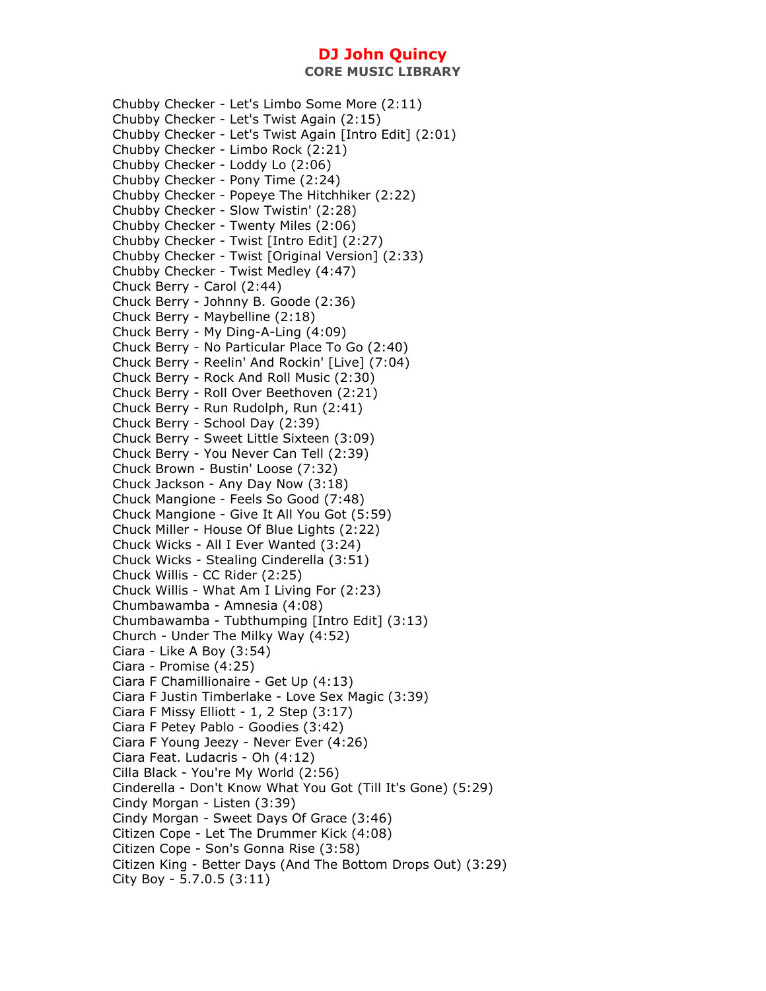Chubby Checker - Let's Limbo Some More (2:11) Chubby Checker - Let's Twist Again (2:15) Chubby Checker - Let's Twist Again [Intro Edit] (2:01) Chubby Checker - Limbo Rock (2:21) Chubby Checker - Loddy Lo (2:06) Chubby Checker - Pony Time (2:24) Chubby Checker - Popeye The Hitchhiker (2:22) Chubby Checker - Slow Twistin' (2:28) Chubby Checker - Twenty Miles (2:06) Chubby Checker - Twist [Intro Edit] (2:27) Chubby Checker - Twist [Original Version] (2:33) Chubby Checker - Twist Medley (4:47) Chuck Berry - Carol (2:44) Chuck Berry - Johnny B. Goode (2:36) Chuck Berry - Maybelline (2:18) Chuck Berry - My Ding-A-Ling (4:09) Chuck Berry - No Particular Place To Go (2:40) Chuck Berry - Reelin' And Rockin' [Live] (7:04) Chuck Berry - Rock And Roll Music (2:30) Chuck Berry - Roll Over Beethoven (2:21) Chuck Berry - Run Rudolph, Run (2:41) Chuck Berry - School Day (2:39) Chuck Berry - Sweet Little Sixteen (3:09) Chuck Berry - You Never Can Tell (2:39) Chuck Brown - Bustin' Loose (7:32) Chuck Jackson - Any Day Now (3:18) Chuck Mangione - Feels So Good (7:48) Chuck Mangione - Give It All You Got (5:59) Chuck Miller - House Of Blue Lights (2:22) Chuck Wicks - All I Ever Wanted (3:24) Chuck Wicks - Stealing Cinderella (3:51) Chuck Willis - CC Rider (2:25) Chuck Willis - What Am I Living For (2:23) Chumbawamba - Amnesia (4:08) Chumbawamba - Tubthumping [Intro Edit] (3:13) Church - Under The Milky Way (4:52) Ciara - Like A Boy (3:54) Ciara - Promise (4:25) Ciara F Chamillionaire - Get Up (4:13) Ciara F Justin Timberlake - Love Sex Magic (3:39) Ciara F Missy Elliott - 1, 2 Step (3:17) Ciara F Petey Pablo - Goodies (3:42) Ciara F Young Jeezy - Never Ever (4:26) Ciara Feat. Ludacris - Oh (4:12) Cilla Black - You're My World (2:56) Cinderella - Don't Know What You Got (Till It's Gone) (5:29) Cindy Morgan - Listen (3:39) Cindy Morgan - Sweet Days Of Grace (3:46) Citizen Cope - Let The Drummer Kick (4:08) Citizen Cope - Son's Gonna Rise (3:58) Citizen King - Better Days (And The Bottom Drops Out) (3:29) City Boy - 5.7.0.5 (3:11)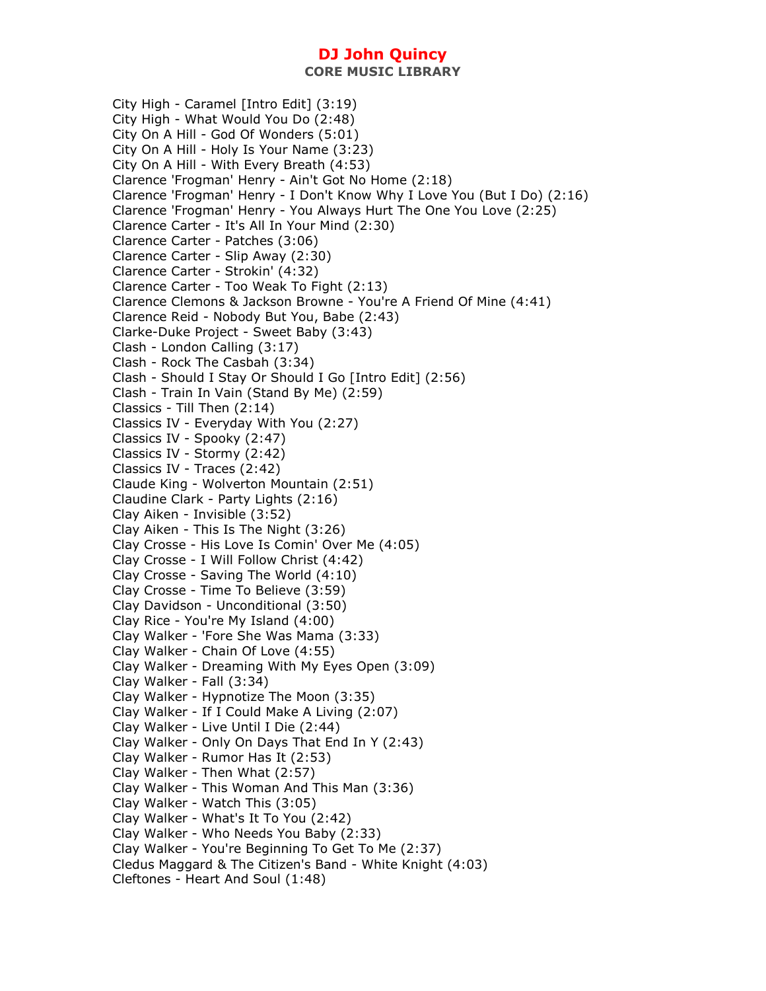City High - Caramel [Intro Edit] (3:19) City High - What Would You Do (2:48) City On A Hill - God Of Wonders (5:01) City On A Hill - Holy Is Your Name (3:23) City On A Hill - With Every Breath (4:53) Clarence 'Frogman' Henry - Ain't Got No Home (2:18) Clarence 'Frogman' Henry - I Don't Know Why I Love You (But I Do) (2:16) Clarence 'Frogman' Henry - You Always Hurt The One You Love (2:25) Clarence Carter - It's All In Your Mind (2:30) Clarence Carter - Patches (3:06) Clarence Carter - Slip Away (2:30) Clarence Carter - Strokin' (4:32) Clarence Carter - Too Weak To Fight (2:13) Clarence Clemons & Jackson Browne - You're A Friend Of Mine (4:41) Clarence Reid - Nobody But You, Babe (2:43) Clarke-Duke Project - Sweet Baby (3:43) Clash - London Calling (3:17) Clash - Rock The Casbah (3:34) Clash - Should I Stay Or Should I Go [Intro Edit] (2:56) Clash - Train In Vain (Stand By Me) (2:59) Classics - Till Then (2:14) Classics IV - Everyday With You (2:27) Classics IV - Spooky (2:47) Classics IV - Stormy (2:42) Classics IV - Traces (2:42) Claude King - Wolverton Mountain (2:51) Claudine Clark - Party Lights (2:16) Clay Aiken - Invisible (3:52) Clay Aiken - This Is The Night (3:26) Clay Crosse - His Love Is Comin' Over Me (4:05) Clay Crosse - I Will Follow Christ (4:42) Clay Crosse - Saving The World (4:10) Clay Crosse - Time To Believe (3:59) Clay Davidson - Unconditional (3:50) Clay Rice - You're My Island (4:00) Clay Walker - 'Fore She Was Mama (3:33) Clay Walker - Chain Of Love (4:55) Clay Walker - Dreaming With My Eyes Open (3:09) Clay Walker - Fall (3:34) Clay Walker - Hypnotize The Moon (3:35) Clay Walker - If I Could Make A Living (2:07) Clay Walker - Live Until I Die (2:44) Clay Walker - Only On Days That End In Y (2:43) Clay Walker - Rumor Has It (2:53) Clay Walker - Then What (2:57) Clay Walker - This Woman And This Man (3:36) Clay Walker - Watch This (3:05) Clay Walker - What's It To You (2:42) Clay Walker - Who Needs You Baby (2:33) Clay Walker - You're Beginning To Get To Me (2:37) Cledus Maggard & The Citizen's Band - White Knight (4:03) Cleftones - Heart And Soul (1:48)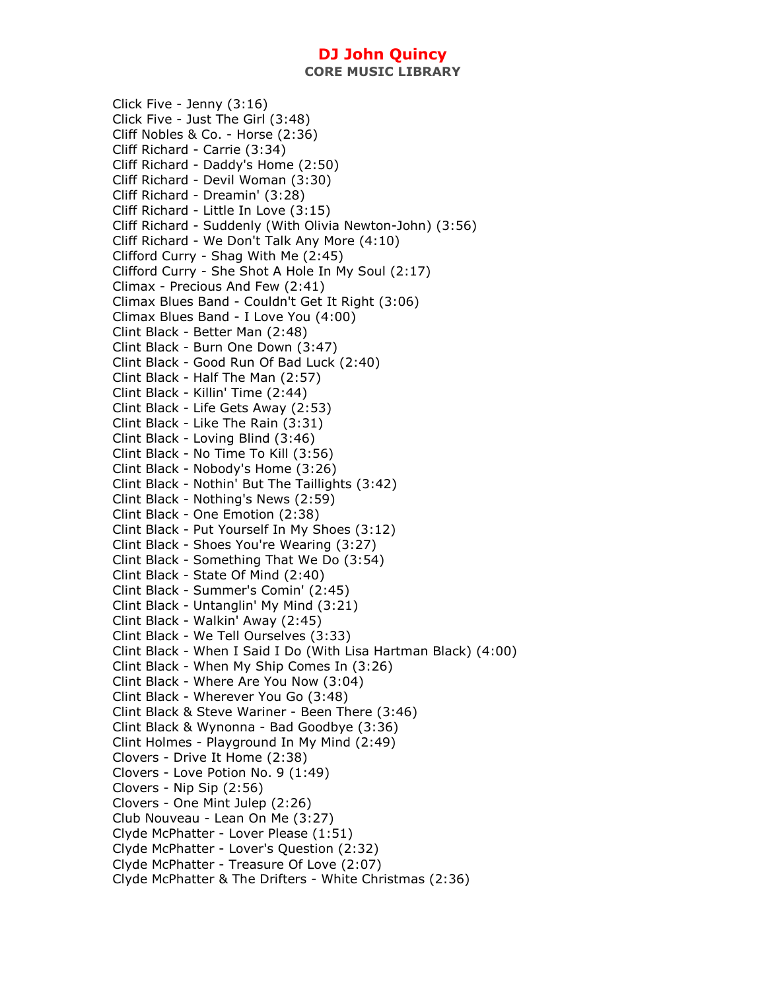**CORE MUSIC LIBRARY** 

Click Five - Jenny (3:16) Click Five - Just The Girl (3:48) Cliff Nobles & Co. - Horse (2:36) Cliff Richard - Carrie (3:34) Cliff Richard - Daddy's Home (2:50) Cliff Richard - Devil Woman (3:30) Cliff Richard - Dreamin' (3:28) Cliff Richard - Little In Love (3:15) Cliff Richard - Suddenly (With Olivia Newton-John) (3:56) Cliff Richard - We Don't Talk Any More (4:10) Clifford Curry - Shag With Me (2:45) Clifford Curry - She Shot A Hole In My Soul (2:17) Climax - Precious And Few (2:41) Climax Blues Band - Couldn't Get It Right (3:06) Climax Blues Band - I Love You (4:00) Clint Black - Better Man (2:48) Clint Black - Burn One Down (3:47) Clint Black - Good Run Of Bad Luck (2:40) Clint Black - Half The Man (2:57) Clint Black - Killin' Time (2:44) Clint Black - Life Gets Away (2:53) Clint Black - Like The Rain (3:31) Clint Black - Loving Blind (3:46) Clint Black - No Time To Kill (3:56) Clint Black - Nobody's Home (3:26) Clint Black - Nothin' But The Taillights (3:42) Clint Black - Nothing's News (2:59) Clint Black - One Emotion (2:38) Clint Black - Put Yourself In My Shoes (3:12) Clint Black - Shoes You're Wearing (3:27) Clint Black - Something That We Do (3:54) Clint Black - State Of Mind (2:40) Clint Black - Summer's Comin' (2:45) Clint Black - Untanglin' My Mind (3:21) Clint Black - Walkin' Away (2:45) Clint Black - We Tell Ourselves (3:33) Clint Black - When I Said I Do (With Lisa Hartman Black) (4:00) Clint Black - When My Ship Comes In (3:26) Clint Black - Where Are You Now (3:04) Clint Black - Wherever You Go (3:48) Clint Black & Steve Wariner - Been There (3:46) Clint Black & Wynonna - Bad Goodbye (3:36) Clint Holmes - Playground In My Mind (2:49) Clovers - Drive It Home (2:38) Clovers - Love Potion No. 9 (1:49) Clovers - Nip Sip (2:56) Clovers - One Mint Julep (2:26) Club Nouveau - Lean On Me (3:27) Clyde McPhatter - Lover Please (1:51) Clyde McPhatter - Lover's Question (2:32) Clyde McPhatter - Treasure Of Love (2:07) Clyde McPhatter & The Drifters - White Christmas (2:36)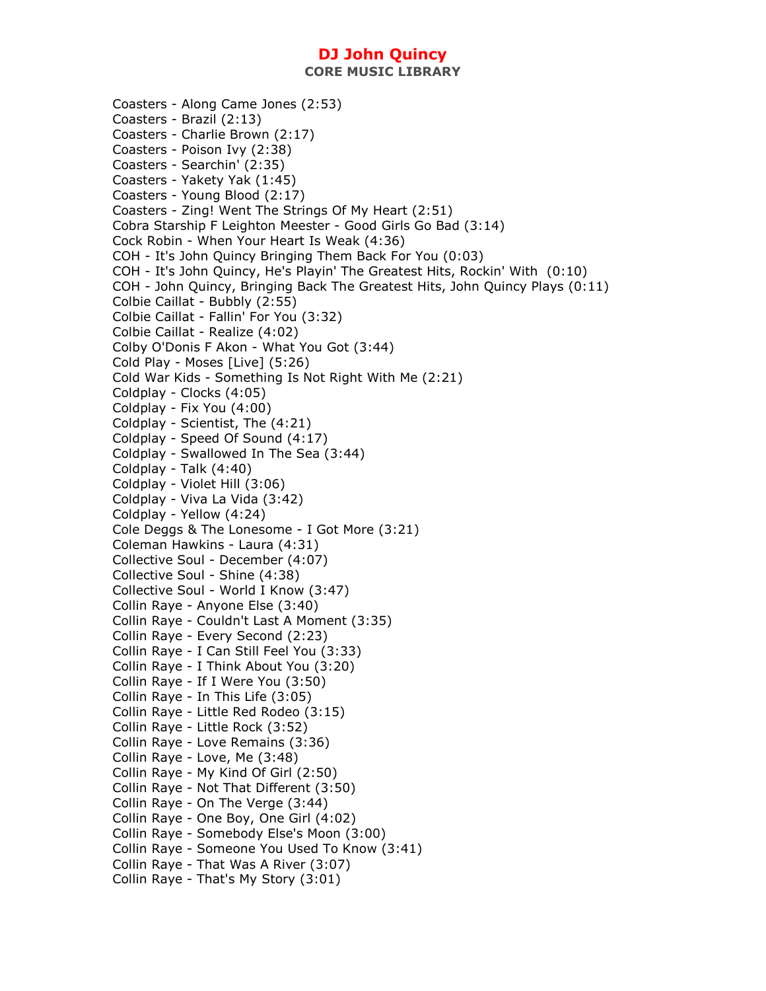**CORE MUSIC LIBRARY** 

Coasters - Along Came Jones (2:53) Coasters - Brazil (2:13) Coasters - Charlie Brown (2:17) Coasters - Poison Ivy (2:38) Coasters - Searchin' (2:35) Coasters - Yakety Yak (1:45) Coasters - Young Blood (2:17) Coasters - Zing! Went The Strings Of My Heart (2:51) Cobra Starship F Leighton Meester - Good Girls Go Bad (3:14) Cock Robin - When Your Heart Is Weak (4:36) COH - It's John Quincy Bringing Them Back For You (0:03) COH - It's John Quincy, He's Playin' The Greatest Hits, Rockin' With (0:10) COH - John Quincy, Bringing Back The Greatest Hits, John Quincy Plays (0:11) Colbie Caillat - Bubbly (2:55) Colbie Caillat - Fallin' For You (3:32) Colbie Caillat - Realize (4:02) Colby O'Donis F Akon - What You Got (3:44) Cold Play - Moses [Live] (5:26) Cold War Kids - Something Is Not Right With Me (2:21) Coldplay - Clocks (4:05) Coldplay - Fix You (4:00) Coldplay - Scientist, The (4:21) Coldplay - Speed Of Sound (4:17) Coldplay - Swallowed In The Sea (3:44) Coldplay - Talk (4:40) Coldplay - Violet Hill (3:06) Coldplay - Viva La Vida (3:42) Coldplay - Yellow (4:24) Cole Deggs & The Lonesome - I Got More (3:21) Coleman Hawkins - Laura (4:31) Collective Soul - December (4:07) Collective Soul - Shine (4:38) Collective Soul - World I Know (3:47) Collin Raye - Anyone Else (3:40) Collin Raye - Couldn't Last A Moment (3:35) Collin Raye - Every Second (2:23) Collin Raye - I Can Still Feel You (3:33) Collin Raye - I Think About You (3:20) Collin Raye - If I Were You (3:50) Collin Raye - In This Life (3:05) Collin Raye - Little Red Rodeo (3:15) Collin Raye - Little Rock (3:52) Collin Raye - Love Remains (3:36) Collin Raye - Love, Me (3:48) Collin Raye - My Kind Of Girl (2:50) Collin Raye - Not That Different (3:50) Collin Raye - On The Verge (3:44) Collin Raye - One Boy, One Girl (4:02) Collin Raye - Somebody Else's Moon (3:00) Collin Raye - Someone You Used To Know (3:41) Collin Raye - That Was A River (3:07) Collin Raye - That's My Story (3:01)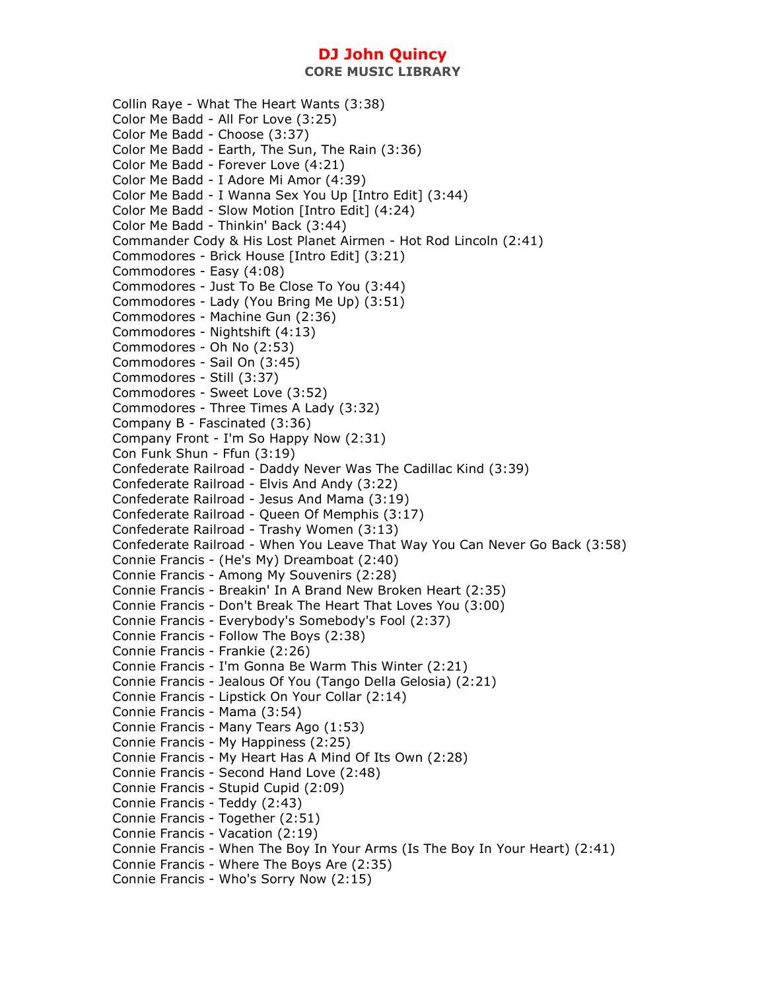**CORE MUSIC LIBRARY** 

Collin Raye - What The Heart Wants (3:38) Color Me Badd - All For Love (3:25) Color Me Badd - Choose (3:37) Color Me Badd - Earth, The Sun, The Rain (3:36) Color Me Badd - Forever Love (4:21) Color Me Badd - I Adore Mi Amor (4:39) Color Me Badd - I Wanna Sex You Up [Intro Edit] (3:44) Color Me Badd - Slow Motion [Intro Edit] (4:24) Color Me Badd - Thinkin' Back (3:44) Commander Cody & His Lost Planet Airmen - Hot Rod Lincoln (2:41) Commodores - Brick House [Intro Edit] (3:21) Commodores - Easy (4:08) Commodores - Just To Be Close To You (3:44) Commodores - Lady (You Bring Me Up) (3:51) Commodores - Machine Gun (2:36) Commodores - Nightshift (4:13) Commodores - Oh No (2:53) Commodores - Sail On (3:45) Commodores - Still (3:37) Commodores - Sweet Love (3:52) Commodores - Three Times A Lady (3:32) Company B - Fascinated (3:36) Company Front - I'm So Happy Now (2:31) Con Funk Shun - Ffun (3:19) Confederate Railroad - Daddy Never Was The Cadillac Kind (3:39) Confederate Railroad - Elvis And Andy (3:22) Confederate Railroad - Jesus And Mama (3:19) Confederate Railroad - Queen Of Memphis (3:17) Confederate Railroad - Trashy Women (3:13) Confederate Railroad - When You Leave That Way You Can Never Go Back (3:58) Connie Francis - (He's My) Dreamboat (2:40) Connie Francis - Among My Souvenirs (2:28) Connie Francis - Breakin' In A Brand New Broken Heart (2:35) Connie Francis - Don't Break The Heart That Loves You (3:00) Connie Francis - Everybody's Somebody's Fool (2:37) Connie Francis - Follow The Boys (2:38) Connie Francis - Frankie (2:26) Connie Francis - I'm Gonna Be Warm This Winter (2:21) Connie Francis - Jealous Of You (Tango Della Gelosia) (2:21) Connie Francis - Lipstick On Your Collar (2:14) Connie Francis - Mama (3:54) Connie Francis - Many Tears Ago (1:53) Connie Francis - My Happiness (2:25) Connie Francis - My Heart Has A Mind Of Its Own (2:28) Connie Francis - Second Hand Love (2:48) Connie Francis - Stupid Cupid (2:09) Connie Francis - Teddy (2:43) Connie Francis - Together (2:51) Connie Francis - Vacation (2:19) Connie Francis - When The Boy In Your Arms (Is The Boy In Your Heart) (2:41) Connie Francis - Where The Boys Are (2:35) Connie Francis - Who's Sorry Now (2:15)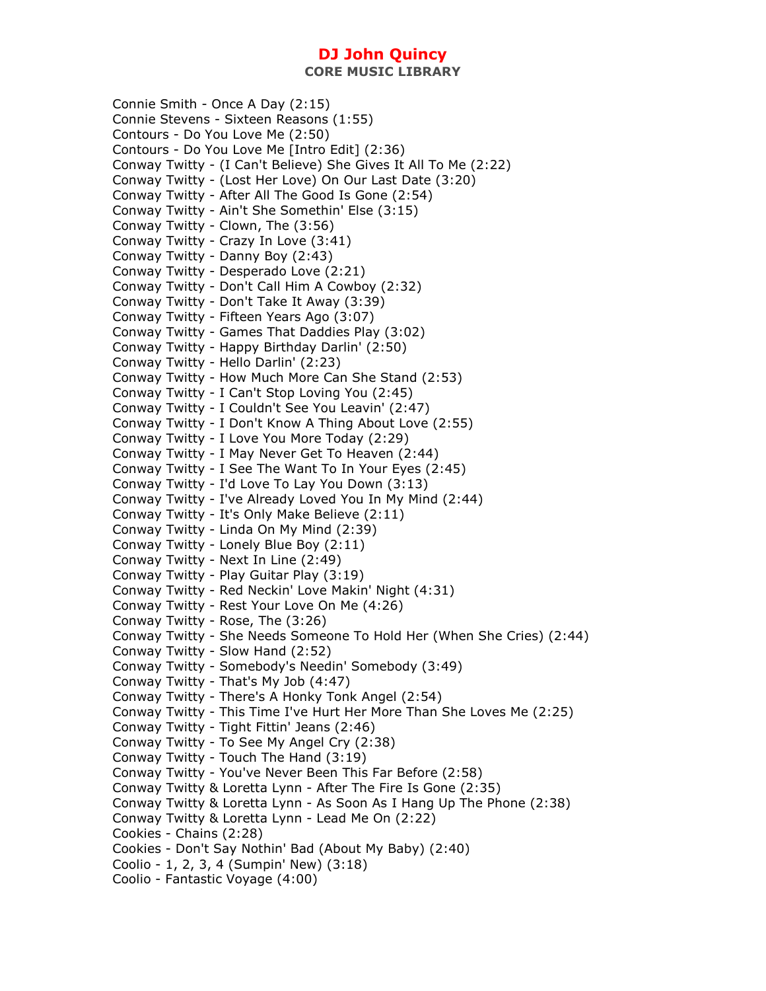**CORE MUSIC LIBRARY** 

Connie Smith - Once A Day (2:15) Connie Stevens - Sixteen Reasons (1:55) Contours - Do You Love Me (2:50) Contours - Do You Love Me [Intro Edit] (2:36) Conway Twitty - (I Can't Believe) She Gives It All To Me (2:22) Conway Twitty - (Lost Her Love) On Our Last Date (3:20) Conway Twitty - After All The Good Is Gone (2:54) Conway Twitty - Ain't She Somethin' Else (3:15) Conway Twitty - Clown, The (3:56) Conway Twitty - Crazy In Love (3:41) Conway Twitty - Danny Boy (2:43) Conway Twitty - Desperado Love (2:21) Conway Twitty - Don't Call Him A Cowboy (2:32) Conway Twitty - Don't Take It Away (3:39) Conway Twitty - Fifteen Years Ago (3:07) Conway Twitty - Games That Daddies Play (3:02) Conway Twitty - Happy Birthday Darlin' (2:50) Conway Twitty - Hello Darlin' (2:23) Conway Twitty - How Much More Can She Stand (2:53) Conway Twitty - I Can't Stop Loving You (2:45) Conway Twitty - I Couldn't See You Leavin' (2:47) Conway Twitty - I Don't Know A Thing About Love (2:55) Conway Twitty - I Love You More Today (2:29) Conway Twitty - I May Never Get To Heaven (2:44) Conway Twitty - I See The Want To In Your Eyes (2:45) Conway Twitty - I'd Love To Lay You Down (3:13) Conway Twitty - I've Already Loved You In My Mind (2:44) Conway Twitty - It's Only Make Believe (2:11) Conway Twitty - Linda On My Mind (2:39) Conway Twitty - Lonely Blue Boy (2:11) Conway Twitty - Next In Line (2:49) Conway Twitty - Play Guitar Play (3:19) Conway Twitty - Red Neckin' Love Makin' Night (4:31) Conway Twitty - Rest Your Love On Me (4:26) Conway Twitty - Rose, The (3:26) Conway Twitty - She Needs Someone To Hold Her (When She Cries) (2:44) Conway Twitty - Slow Hand (2:52) Conway Twitty - Somebody's Needin' Somebody (3:49) Conway Twitty - That's My Job (4:47) Conway Twitty - There's A Honky Tonk Angel (2:54) Conway Twitty - This Time I've Hurt Her More Than She Loves Me (2:25) Conway Twitty - Tight Fittin' Jeans (2:46) Conway Twitty - To See My Angel Cry (2:38) Conway Twitty - Touch The Hand (3:19) Conway Twitty - You've Never Been This Far Before (2:58) Conway Twitty & Loretta Lynn - After The Fire Is Gone (2:35) Conway Twitty & Loretta Lynn - As Soon As I Hang Up The Phone (2:38) Conway Twitty & Loretta Lynn - Lead Me On (2:22) Cookies - Chains (2:28) Cookies - Don't Say Nothin' Bad (About My Baby) (2:40) Coolio - 1, 2, 3, 4 (Sumpin' New) (3:18) Coolio - Fantastic Voyage (4:00)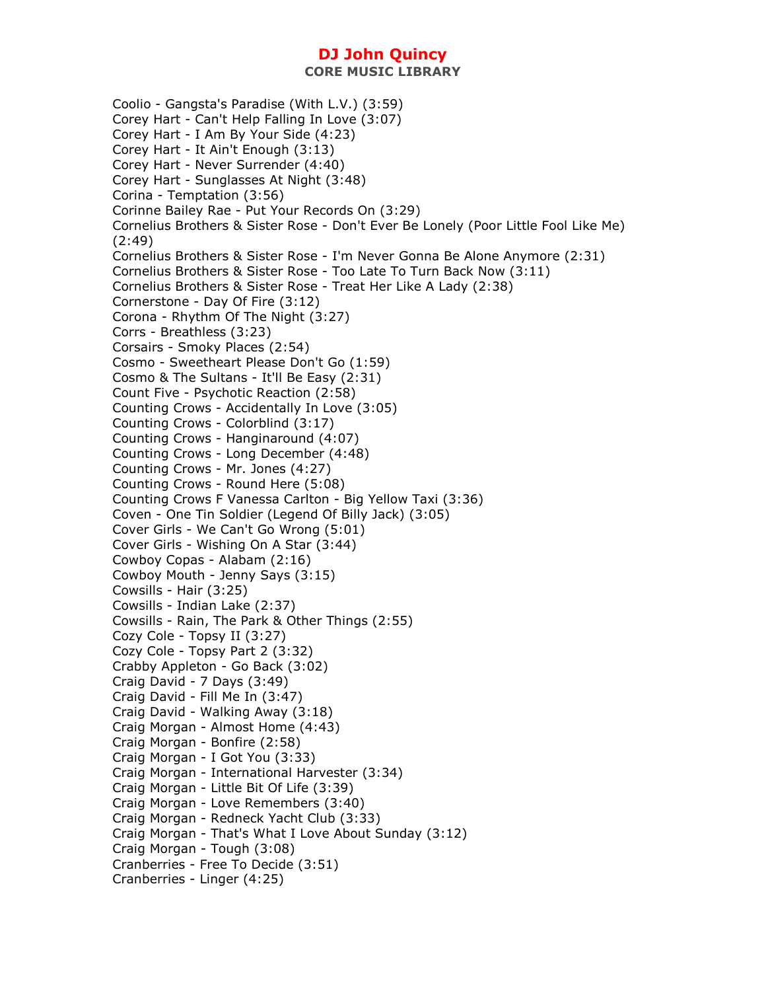Coolio - Gangsta's Paradise (With L.V.) (3:59) Corey Hart - Can't Help Falling In Love (3:07) Corey Hart - I Am By Your Side (4:23) Corey Hart - It Ain't Enough (3:13) Corey Hart - Never Surrender (4:40) Corey Hart - Sunglasses At Night (3:48) Corina - Temptation (3:56) Corinne Bailey Rae - Put Your Records On (3:29) Cornelius Brothers & Sister Rose - Don't Ever Be Lonely (Poor Little Fool Like Me) (2:49) Cornelius Brothers & Sister Rose - I'm Never Gonna Be Alone Anymore (2:31) Cornelius Brothers & Sister Rose - Too Late To Turn Back Now (3:11) Cornelius Brothers & Sister Rose - Treat Her Like A Lady (2:38) Cornerstone - Day Of Fire (3:12) Corona - Rhythm Of The Night (3:27) Corrs - Breathless (3:23) Corsairs - Smoky Places (2:54) Cosmo - Sweetheart Please Don't Go (1:59) Cosmo & The Sultans - It'll Be Easy (2:31) Count Five - Psychotic Reaction (2:58) Counting Crows - Accidentally In Love (3:05) Counting Crows - Colorblind (3:17) Counting Crows - Hanginaround (4:07) Counting Crows - Long December (4:48) Counting Crows - Mr. Jones (4:27) Counting Crows - Round Here (5:08) Counting Crows F Vanessa Carlton - Big Yellow Taxi (3:36) Coven - One Tin Soldier (Legend Of Billy Jack) (3:05) Cover Girls - We Can't Go Wrong (5:01) Cover Girls - Wishing On A Star (3:44) Cowboy Copas - Alabam (2:16) Cowboy Mouth - Jenny Says (3:15) Cowsills - Hair (3:25) Cowsills - Indian Lake (2:37) Cowsills - Rain, The Park & Other Things (2:55) Cozy Cole - Topsy II (3:27) Cozy Cole - Topsy Part 2 (3:32) Crabby Appleton - Go Back (3:02) Craig David - 7 Days (3:49) Craig David - Fill Me In (3:47) Craig David - Walking Away (3:18) Craig Morgan - Almost Home (4:43) Craig Morgan - Bonfire (2:58) Craig Morgan - I Got You (3:33) Craig Morgan - International Harvester (3:34) Craig Morgan - Little Bit Of Life (3:39) Craig Morgan - Love Remembers (3:40) Craig Morgan - Redneck Yacht Club (3:33) Craig Morgan - That's What I Love About Sunday (3:12) Craig Morgan - Tough (3:08) Cranberries - Free To Decide (3:51) Cranberries - Linger (4:25)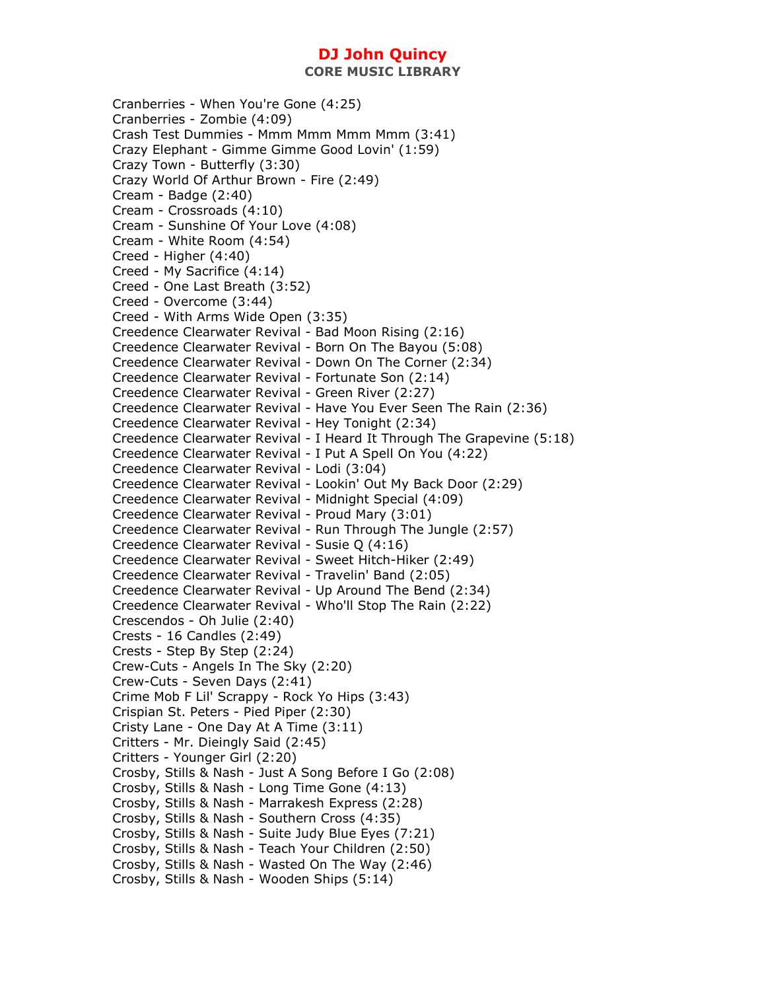Cranberries - When You're Gone (4:25) Cranberries - Zombie (4:09) Crash Test Dummies - Mmm Mmm Mmm Mmm (3:41) Crazy Elephant - Gimme Gimme Good Lovin' (1:59) Crazy Town - Butterfly (3:30) Crazy World Of Arthur Brown - Fire (2:49) Cream - Badge (2:40) Cream - Crossroads (4:10) Cream - Sunshine Of Your Love (4:08) Cream - White Room (4:54) Creed - Higher (4:40) Creed - My Sacrifice (4:14) Creed - One Last Breath (3:52) Creed - Overcome (3:44) Creed - With Arms Wide Open (3:35) Creedence Clearwater Revival - Bad Moon Rising (2:16) Creedence Clearwater Revival - Born On The Bayou (5:08) Creedence Clearwater Revival - Down On The Corner (2:34) Creedence Clearwater Revival - Fortunate Son (2:14) Creedence Clearwater Revival - Green River (2:27) Creedence Clearwater Revival - Have You Ever Seen The Rain (2:36) Creedence Clearwater Revival - Hey Tonight (2:34) Creedence Clearwater Revival - I Heard It Through The Grapevine (5:18) Creedence Clearwater Revival - I Put A Spell On You (4:22) Creedence Clearwater Revival - Lodi (3:04) Creedence Clearwater Revival - Lookin' Out My Back Door (2:29) Creedence Clearwater Revival - Midnight Special (4:09) Creedence Clearwater Revival - Proud Mary (3:01) Creedence Clearwater Revival - Run Through The Jungle (2:57) Creedence Clearwater Revival - Susie Q (4:16) Creedence Clearwater Revival - Sweet Hitch-Hiker (2:49) Creedence Clearwater Revival - Travelin' Band (2:05) Creedence Clearwater Revival - Up Around The Bend (2:34) Creedence Clearwater Revival - Who'll Stop The Rain (2:22) Crescendos - Oh Julie (2:40) Crests - 16 Candles (2:49) Crests - Step By Step (2:24) Crew-Cuts - Angels In The Sky (2:20) Crew-Cuts - Seven Days (2:41) Crime Mob F Lil' Scrappy - Rock Yo Hips (3:43) Crispian St. Peters - Pied Piper (2:30) Cristy Lane - One Day At A Time (3:11) Critters - Mr. Dieingly Said (2:45) Critters - Younger Girl (2:20) Crosby, Stills & Nash - Just A Song Before I Go (2:08) Crosby, Stills & Nash - Long Time Gone (4:13) Crosby, Stills & Nash - Marrakesh Express (2:28) Crosby, Stills & Nash - Southern Cross (4:35) Crosby, Stills & Nash - Suite Judy Blue Eyes (7:21) Crosby, Stills & Nash - Teach Your Children (2:50) Crosby, Stills & Nash - Wasted On The Way (2:46) Crosby, Stills & Nash - Wooden Ships (5:14)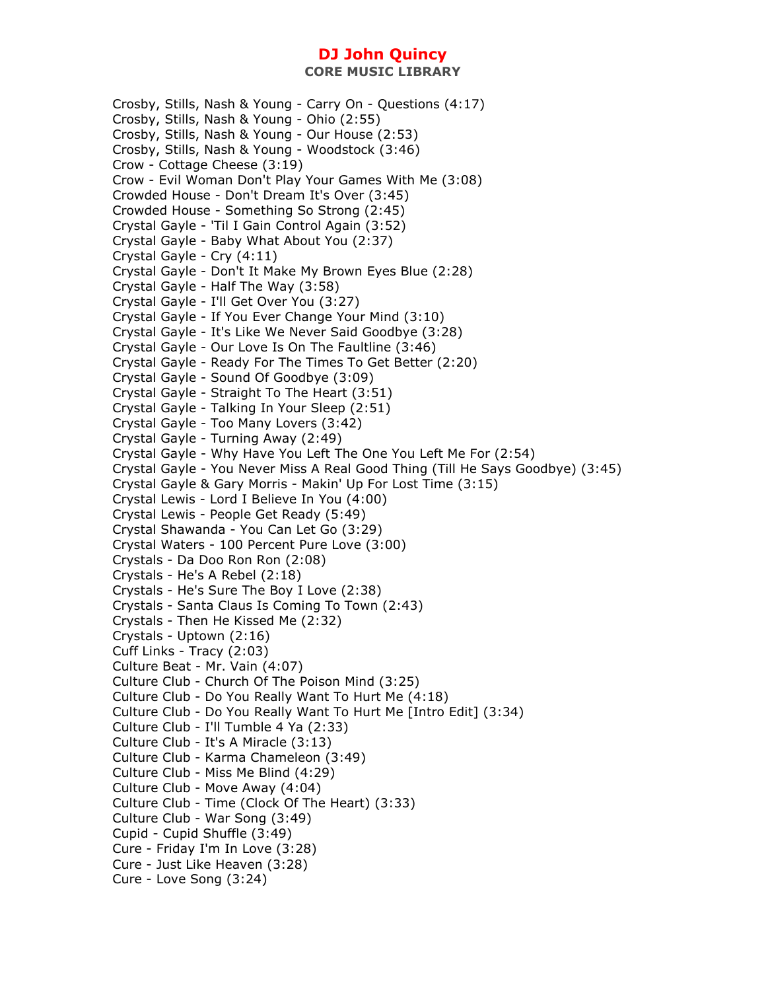**CORE MUSIC LIBRARY** 

Crosby, Stills, Nash & Young - Carry On - Questions (4:17) Crosby, Stills, Nash & Young - Ohio (2:55) Crosby, Stills, Nash & Young - Our House (2:53) Crosby, Stills, Nash & Young - Woodstock (3:46) Crow - Cottage Cheese (3:19) Crow - Evil Woman Don't Play Your Games With Me (3:08) Crowded House - Don't Dream It's Over (3:45) Crowded House - Something So Strong (2:45) Crystal Gayle - 'Til I Gain Control Again (3:52) Crystal Gayle - Baby What About You (2:37) Crystal Gayle - Cry (4:11) Crystal Gayle - Don't It Make My Brown Eyes Blue (2:28) Crystal Gayle - Half The Way (3:58) Crystal Gayle - I'll Get Over You (3:27) Crystal Gayle - If You Ever Change Your Mind (3:10) Crystal Gayle - It's Like We Never Said Goodbye (3:28) Crystal Gayle - Our Love Is On The Faultline (3:46) Crystal Gayle - Ready For The Times To Get Better (2:20) Crystal Gayle - Sound Of Goodbye (3:09) Crystal Gayle - Straight To The Heart (3:51) Crystal Gayle - Talking In Your Sleep (2:51) Crystal Gayle - Too Many Lovers (3:42) Crystal Gayle - Turning Away (2:49) Crystal Gayle - Why Have You Left The One You Left Me For (2:54) Crystal Gayle - You Never Miss A Real Good Thing (Till He Says Goodbye) (3:45) Crystal Gayle & Gary Morris - Makin' Up For Lost Time (3:15) Crystal Lewis - Lord I Believe In You (4:00) Crystal Lewis - People Get Ready (5:49) Crystal Shawanda - You Can Let Go (3:29) Crystal Waters - 100 Percent Pure Love (3:00) Crystals - Da Doo Ron Ron (2:08) Crystals - He's A Rebel (2:18) Crystals - He's Sure The Boy I Love (2:38) Crystals - Santa Claus Is Coming To Town (2:43) Crystals - Then He Kissed Me (2:32) Crystals - Uptown (2:16) Cuff Links - Tracy (2:03) Culture Beat - Mr. Vain (4:07) Culture Club - Church Of The Poison Mind (3:25) Culture Club - Do You Really Want To Hurt Me (4:18) Culture Club - Do You Really Want To Hurt Me [Intro Edit] (3:34) Culture Club - I'll Tumble 4 Ya (2:33) Culture Club - It's A Miracle (3:13) Culture Club - Karma Chameleon (3:49) Culture Club - Miss Me Blind (4:29) Culture Club - Move Away (4:04) Culture Club - Time (Clock Of The Heart) (3:33) Culture Club - War Song (3:49) Cupid - Cupid Shuffle (3:49) Cure - Friday I'm In Love (3:28) Cure - Just Like Heaven (3:28) Cure - Love Song (3:24)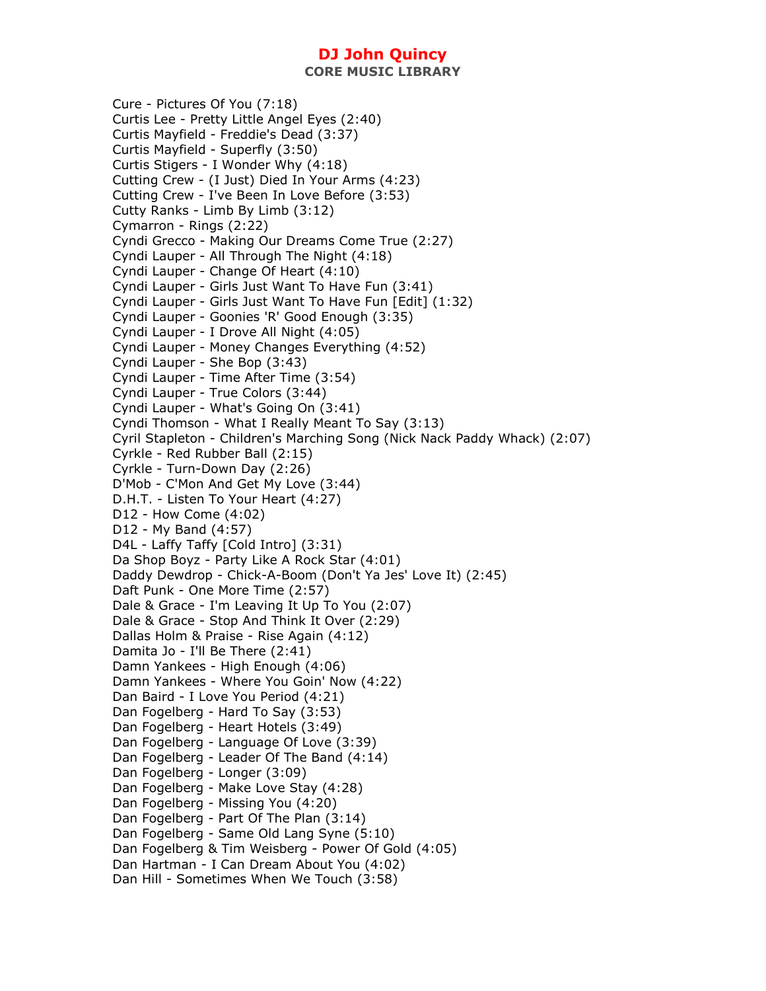**CORE MUSIC LIBRARY** 

Cure - Pictures Of You (7:18) Curtis Lee - Pretty Little Angel Eyes (2:40) Curtis Mayfield - Freddie's Dead (3:37) Curtis Mayfield - Superfly (3:50) Curtis Stigers - I Wonder Why (4:18) Cutting Crew - (I Just) Died In Your Arms (4:23) Cutting Crew - I've Been In Love Before (3:53) Cutty Ranks - Limb By Limb (3:12) Cymarron - Rings (2:22) Cyndi Grecco - Making Our Dreams Come True (2:27) Cyndi Lauper - All Through The Night (4:18) Cyndi Lauper - Change Of Heart (4:10) Cyndi Lauper - Girls Just Want To Have Fun (3:41) Cyndi Lauper - Girls Just Want To Have Fun [Edit] (1:32) Cyndi Lauper - Goonies 'R' Good Enough (3:35) Cyndi Lauper - I Drove All Night (4:05) Cyndi Lauper - Money Changes Everything (4:52) Cyndi Lauper - She Bop (3:43) Cyndi Lauper - Time After Time (3:54) Cyndi Lauper - True Colors (3:44) Cyndi Lauper - What's Going On (3:41) Cyndi Thomson - What I Really Meant To Say (3:13) Cyril Stapleton - Children's Marching Song (Nick Nack Paddy Whack) (2:07) Cyrkle - Red Rubber Ball (2:15) Cyrkle - Turn-Down Day (2:26) D'Mob - C'Mon And Get My Love (3:44) D.H.T. - Listen To Your Heart (4:27) D12 - How Come (4:02) D12 - My Band (4:57) D4L - Laffy Taffy [Cold Intro] (3:31) Da Shop Boyz - Party Like A Rock Star (4:01) Daddy Dewdrop - Chick-A-Boom (Don't Ya Jes' Love It) (2:45) Daft Punk - One More Time (2:57) Dale & Grace - I'm Leaving It Up To You (2:07) Dale & Grace - Stop And Think It Over (2:29) Dallas Holm & Praise - Rise Again (4:12) Damita Jo - I'll Be There (2:41) Damn Yankees - High Enough (4:06) Damn Yankees - Where You Goin' Now (4:22) Dan Baird - I Love You Period (4:21) Dan Fogelberg - Hard To Say (3:53) Dan Fogelberg - Heart Hotels (3:49) Dan Fogelberg - Language Of Love (3:39) Dan Fogelberg - Leader Of The Band (4:14) Dan Fogelberg - Longer (3:09) Dan Fogelberg - Make Love Stay (4:28) Dan Fogelberg - Missing You (4:20) Dan Fogelberg - Part Of The Plan (3:14) Dan Fogelberg - Same Old Lang Syne (5:10) Dan Fogelberg & Tim Weisberg - Power Of Gold (4:05) Dan Hartman - I Can Dream About You (4:02) Dan Hill - Sometimes When We Touch (3:58)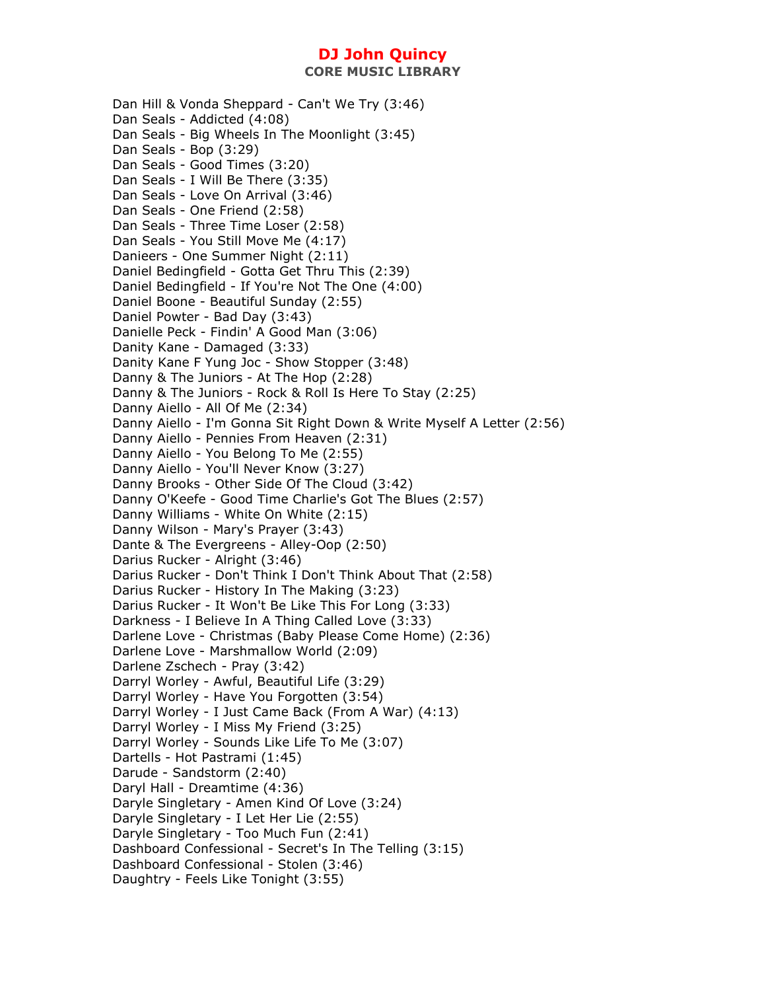Dan Hill & Vonda Sheppard - Can't We Try (3:46) Dan Seals - Addicted (4:08) Dan Seals - Big Wheels In The Moonlight (3:45) Dan Seals - Bop (3:29) Dan Seals - Good Times (3:20) Dan Seals - I Will Be There (3:35) Dan Seals - Love On Arrival (3:46) Dan Seals - One Friend (2:58) Dan Seals - Three Time Loser (2:58) Dan Seals - You Still Move Me (4:17) Danieers - One Summer Night (2:11) Daniel Bedingfield - Gotta Get Thru This (2:39) Daniel Bedingfield - If You're Not The One (4:00) Daniel Boone - Beautiful Sunday (2:55) Daniel Powter - Bad Day (3:43) Danielle Peck - Findin' A Good Man (3:06) Danity Kane - Damaged (3:33) Danity Kane F Yung Joc - Show Stopper (3:48) Danny & The Juniors - At The Hop (2:28) Danny & The Juniors - Rock & Roll Is Here To Stay (2:25) Danny Aiello - All Of Me (2:34) Danny Aiello - I'm Gonna Sit Right Down & Write Myself A Letter (2:56) Danny Aiello - Pennies From Heaven (2:31) Danny Aiello - You Belong To Me (2:55) Danny Aiello - You'll Never Know (3:27) Danny Brooks - Other Side Of The Cloud (3:42) Danny O'Keefe - Good Time Charlie's Got The Blues (2:57) Danny Williams - White On White (2:15) Danny Wilson - Mary's Prayer (3:43) Dante & The Evergreens - Alley-Oop (2:50) Darius Rucker - Alright (3:46) Darius Rucker - Don't Think I Don't Think About That (2:58) Darius Rucker - History In The Making (3:23) Darius Rucker - It Won't Be Like This For Long (3:33) Darkness - I Believe In A Thing Called Love (3:33) Darlene Love - Christmas (Baby Please Come Home) (2:36) Darlene Love - Marshmallow World (2:09) Darlene Zschech - Pray (3:42) Darryl Worley - Awful, Beautiful Life (3:29) Darryl Worley - Have You Forgotten (3:54) Darryl Worley - I Just Came Back (From A War) (4:13) Darryl Worley - I Miss My Friend (3:25) Darryl Worley - Sounds Like Life To Me (3:07) Dartells - Hot Pastrami (1:45) Darude - Sandstorm (2:40) Daryl Hall - Dreamtime (4:36) Daryle Singletary - Amen Kind Of Love (3:24) Daryle Singletary - I Let Her Lie (2:55) Daryle Singletary - Too Much Fun (2:41) Dashboard Confessional - Secret's In The Telling (3:15) Dashboard Confessional - Stolen (3:46) Daughtry - Feels Like Tonight (3:55)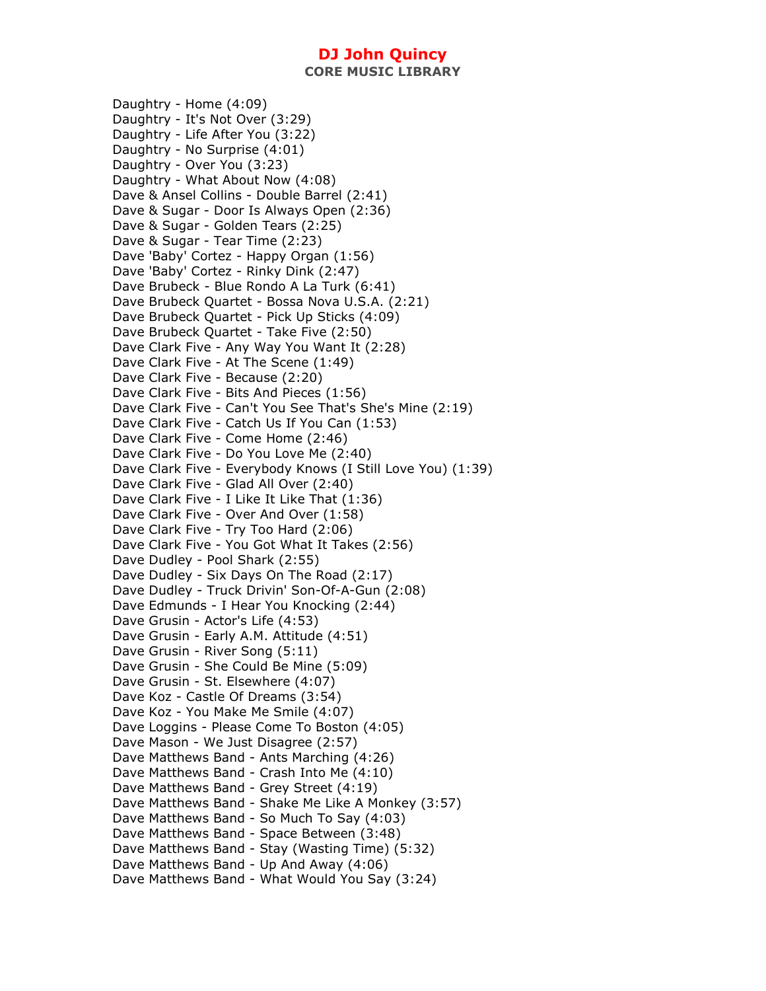Daughtry - Home (4:09) Daughtry - It's Not Over (3:29) Daughtry - Life After You (3:22) Daughtry - No Surprise (4:01) Daughtry - Over You (3:23) Daughtry - What About Now (4:08) Dave & Ansel Collins - Double Barrel (2:41) Dave & Sugar - Door Is Always Open (2:36) Dave & Sugar - Golden Tears (2:25) Dave & Sugar - Tear Time (2:23) Dave 'Baby' Cortez - Happy Organ (1:56) Dave 'Baby' Cortez - Rinky Dink (2:47) Dave Brubeck - Blue Rondo A La Turk (6:41) Dave Brubeck Quartet - Bossa Nova U.S.A. (2:21) Dave Brubeck Quartet - Pick Up Sticks (4:09) Dave Brubeck Quartet - Take Five (2:50) Dave Clark Five - Any Way You Want It (2:28) Dave Clark Five - At The Scene (1:49) Dave Clark Five - Because (2:20) Dave Clark Five - Bits And Pieces (1:56) Dave Clark Five - Can't You See That's She's Mine (2:19) Dave Clark Five - Catch Us If You Can (1:53) Dave Clark Five - Come Home (2:46) Dave Clark Five - Do You Love Me (2:40) Dave Clark Five - Everybody Knows (I Still Love You) (1:39) Dave Clark Five - Glad All Over (2:40) Dave Clark Five - I Like It Like That (1:36) Dave Clark Five - Over And Over (1:58) Dave Clark Five - Try Too Hard (2:06) Dave Clark Five - You Got What It Takes (2:56) Dave Dudley - Pool Shark (2:55) Dave Dudley - Six Days On The Road (2:17) Dave Dudley - Truck Drivin' Son-Of-A-Gun (2:08) Dave Edmunds - I Hear You Knocking (2:44) Dave Grusin - Actor's Life (4:53) Dave Grusin - Early A.M. Attitude (4:51) Dave Grusin - River Song (5:11) Dave Grusin - She Could Be Mine (5:09) Dave Grusin - St. Elsewhere (4:07) Dave Koz - Castle Of Dreams (3:54) Dave Koz - You Make Me Smile (4:07) Dave Loggins - Please Come To Boston (4:05) Dave Mason - We Just Disagree (2:57) Dave Matthews Band - Ants Marching (4:26) Dave Matthews Band - Crash Into Me (4:10) Dave Matthews Band - Grey Street (4:19) Dave Matthews Band - Shake Me Like A Monkey (3:57) Dave Matthews Band - So Much To Say (4:03) Dave Matthews Band - Space Between (3:48) Dave Matthews Band - Stay (Wasting Time) (5:32) Dave Matthews Band - Up And Away (4:06) Dave Matthews Band - What Would You Say (3:24)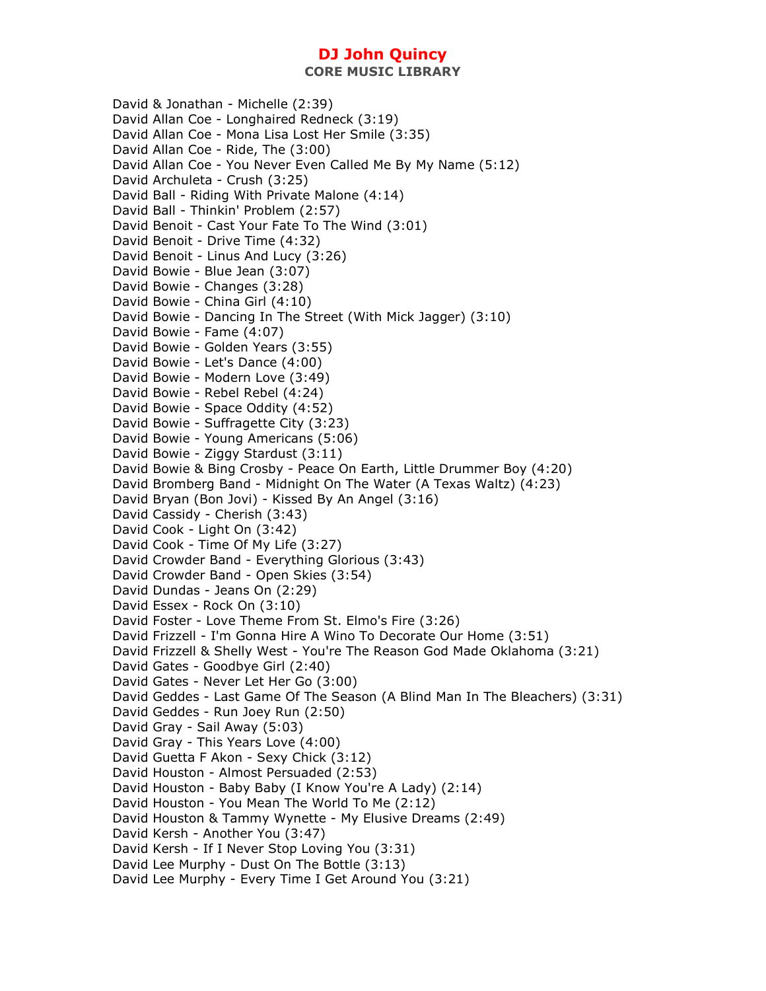**CORE MUSIC LIBRARY** 

David & Jonathan - Michelle (2:39) David Allan Coe - Longhaired Redneck (3:19) David Allan Coe - Mona Lisa Lost Her Smile (3:35) David Allan Coe - Ride, The (3:00) David Allan Coe - You Never Even Called Me By My Name (5:12) David Archuleta - Crush (3:25) David Ball - Riding With Private Malone (4:14) David Ball - Thinkin' Problem (2:57) David Benoit - Cast Your Fate To The Wind (3:01) David Benoit - Drive Time (4:32) David Benoit - Linus And Lucy (3:26) David Bowie - Blue Jean (3:07) David Bowie - Changes (3:28) David Bowie - China Girl (4:10) David Bowie - Dancing In The Street (With Mick Jagger) (3:10) David Bowie - Fame (4:07) David Bowie - Golden Years (3:55) David Bowie - Let's Dance (4:00) David Bowie - Modern Love (3:49) David Bowie - Rebel Rebel (4:24) David Bowie - Space Oddity (4:52) David Bowie - Suffragette City (3:23) David Bowie - Young Americans (5:06) David Bowie - Ziggy Stardust (3:11) David Bowie & Bing Crosby - Peace On Earth, Little Drummer Boy (4:20) David Bromberg Band - Midnight On The Water (A Texas Waltz) (4:23) David Bryan (Bon Jovi) - Kissed By An Angel (3:16) David Cassidy - Cherish (3:43) David Cook - Light On (3:42) David Cook - Time Of My Life (3:27) David Crowder Band - Everything Glorious (3:43) David Crowder Band - Open Skies (3:54) David Dundas - Jeans On (2:29) David Essex - Rock On (3:10) David Foster - Love Theme From St. Elmo's Fire (3:26) David Frizzell - I'm Gonna Hire A Wino To Decorate Our Home (3:51) David Frizzell & Shelly West - You're The Reason God Made Oklahoma (3:21) David Gates - Goodbye Girl (2:40) David Gates - Never Let Her Go (3:00) David Geddes - Last Game Of The Season (A Blind Man In The Bleachers) (3:31) David Geddes - Run Joey Run (2:50) David Gray - Sail Away (5:03) David Gray - This Years Love (4:00) David Guetta F Akon - Sexy Chick (3:12) David Houston - Almost Persuaded (2:53) David Houston - Baby Baby (I Know You're A Lady) (2:14) David Houston - You Mean The World To Me (2:12) David Houston & Tammy Wynette - My Elusive Dreams (2:49) David Kersh - Another You (3:47) David Kersh - If I Never Stop Loving You (3:31) David Lee Murphy - Dust On The Bottle (3:13) David Lee Murphy - Every Time I Get Around You (3:21)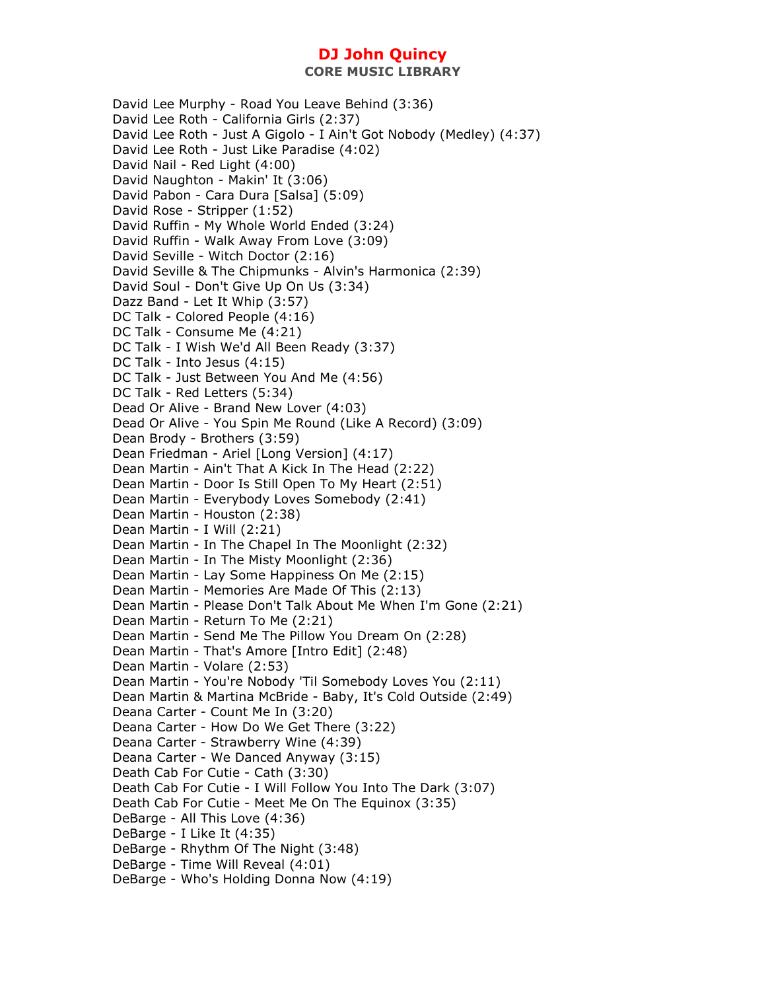David Lee Murphy - Road You Leave Behind (3:36) David Lee Roth - California Girls (2:37) David Lee Roth - Just A Gigolo - I Ain't Got Nobody (Medley) (4:37) David Lee Roth - Just Like Paradise (4:02) David Nail - Red Light (4:00) David Naughton - Makin' It (3:06) David Pabon - Cara Dura [Salsa] (5:09) David Rose - Stripper (1:52) David Ruffin - My Whole World Ended (3:24) David Ruffin - Walk Away From Love (3:09) David Seville - Witch Doctor (2:16) David Seville & The Chipmunks - Alvin's Harmonica (2:39) David Soul - Don't Give Up On Us (3:34) Dazz Band - Let It Whip (3:57) DC Talk - Colored People (4:16) DC Talk - Consume Me (4:21) DC Talk - I Wish We'd All Been Ready (3:37) DC Talk - Into Jesus (4:15) DC Talk - Just Between You And Me (4:56) DC Talk - Red Letters (5:34) Dead Or Alive - Brand New Lover (4:03) Dead Or Alive - You Spin Me Round (Like A Record) (3:09) Dean Brody - Brothers (3:59) Dean Friedman - Ariel [Long Version] (4:17) Dean Martin - Ain't That A Kick In The Head (2:22) Dean Martin - Door Is Still Open To My Heart (2:51) Dean Martin - Everybody Loves Somebody (2:41) Dean Martin - Houston (2:38) Dean Martin - I Will (2:21) Dean Martin - In The Chapel In The Moonlight (2:32) Dean Martin - In The Misty Moonlight (2:36) Dean Martin - Lay Some Happiness On Me (2:15) Dean Martin - Memories Are Made Of This (2:13) Dean Martin - Please Don't Talk About Me When I'm Gone (2:21) Dean Martin - Return To Me (2:21) Dean Martin - Send Me The Pillow You Dream On (2:28) Dean Martin - That's Amore [Intro Edit] (2:48) Dean Martin - Volare (2:53) Dean Martin - You're Nobody 'Til Somebody Loves You (2:11) Dean Martin & Martina McBride - Baby, It's Cold Outside (2:49) Deana Carter - Count Me In (3:20) Deana Carter - How Do We Get There (3:22) Deana Carter - Strawberry Wine (4:39) Deana Carter - We Danced Anyway (3:15) Death Cab For Cutie - Cath (3:30) Death Cab For Cutie - I Will Follow You Into The Dark (3:07) Death Cab For Cutie - Meet Me On The Equinox (3:35) DeBarge - All This Love (4:36) DeBarge - I Like It (4:35) DeBarge - Rhythm Of The Night (3:48) DeBarge - Time Will Reveal (4:01) DeBarge - Who's Holding Donna Now (4:19)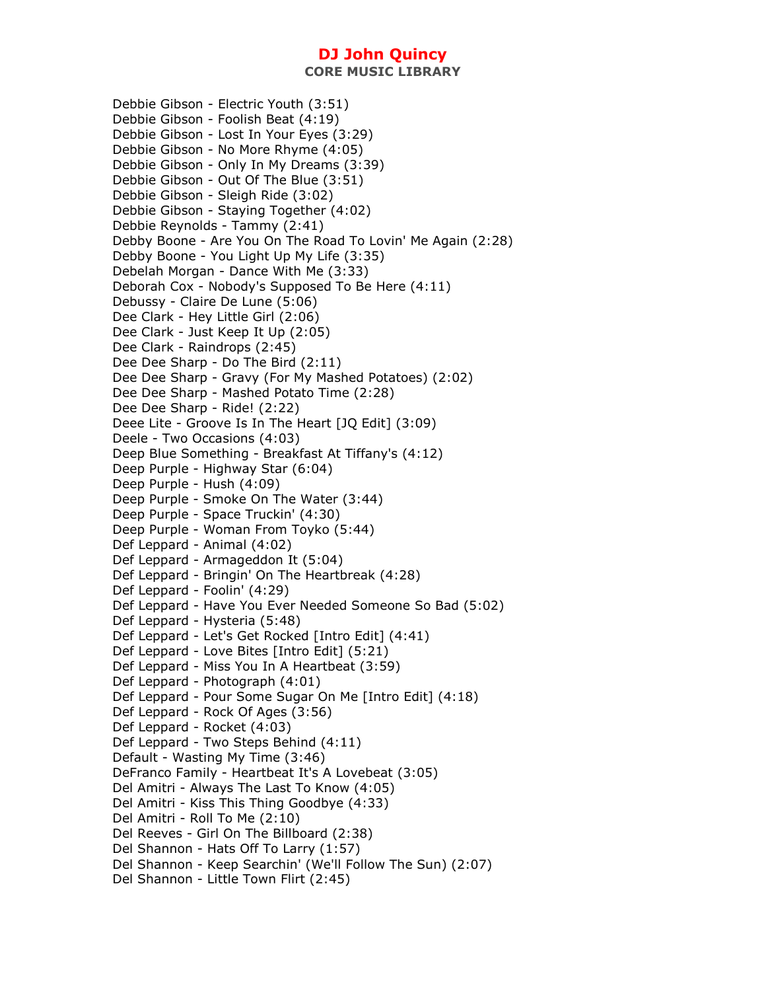**CORE MUSIC LIBRARY** 

Debbie Gibson - Electric Youth (3:51) Debbie Gibson - Foolish Beat (4:19) Debbie Gibson - Lost In Your Eyes (3:29) Debbie Gibson - No More Rhyme (4:05) Debbie Gibson - Only In My Dreams (3:39) Debbie Gibson - Out Of The Blue (3:51) Debbie Gibson - Sleigh Ride (3:02) Debbie Gibson - Staying Together (4:02) Debbie Reynolds - Tammy (2:41) Debby Boone - Are You On The Road To Lovin' Me Again (2:28) Debby Boone - You Light Up My Life (3:35) Debelah Morgan - Dance With Me (3:33) Deborah Cox - Nobody's Supposed To Be Here (4:11) Debussy - Claire De Lune (5:06) Dee Clark - Hey Little Girl (2:06) Dee Clark - Just Keep It Up (2:05) Dee Clark - Raindrops (2:45) Dee Dee Sharp - Do The Bird (2:11) Dee Dee Sharp - Gravy (For My Mashed Potatoes) (2:02) Dee Dee Sharp - Mashed Potato Time (2:28) Dee Dee Sharp - Ride! (2:22) Deee Lite - Groove Is In The Heart [JQ Edit] (3:09) Deele - Two Occasions (4:03) Deep Blue Something - Breakfast At Tiffany's (4:12) Deep Purple - Highway Star (6:04) Deep Purple - Hush (4:09) Deep Purple - Smoke On The Water (3:44) Deep Purple - Space Truckin' (4:30) Deep Purple - Woman From Toyko (5:44) Def Leppard - Animal (4:02) Def Leppard - Armageddon It (5:04) Def Leppard - Bringin' On The Heartbreak (4:28) Def Leppard - Foolin' (4:29) Def Leppard - Have You Ever Needed Someone So Bad (5:02) Def Leppard - Hysteria (5:48) Def Leppard - Let's Get Rocked [Intro Edit] (4:41) Def Leppard - Love Bites [Intro Edit] (5:21) Def Leppard - Miss You In A Heartbeat (3:59) Def Leppard - Photograph (4:01) Def Leppard - Pour Some Sugar On Me [Intro Edit] (4:18) Def Leppard - Rock Of Ages (3:56) Def Leppard - Rocket (4:03) Def Leppard - Two Steps Behind (4:11) Default - Wasting My Time (3:46) DeFranco Family - Heartbeat It's A Lovebeat (3:05) Del Amitri - Always The Last To Know (4:05) Del Amitri - Kiss This Thing Goodbye (4:33) Del Amitri - Roll To Me (2:10) Del Reeves - Girl On The Billboard (2:38) Del Shannon - Hats Off To Larry (1:57) Del Shannon - Keep Searchin' (We'll Follow The Sun) (2:07) Del Shannon - Little Town Flirt (2:45)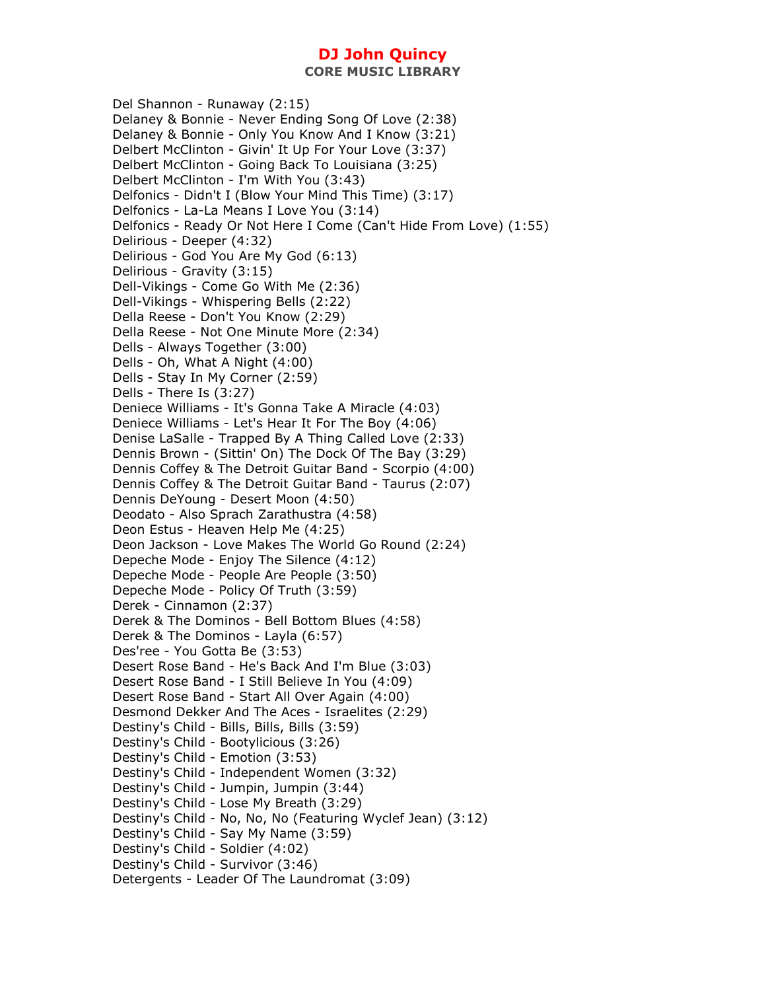**CORE MUSIC LIBRARY** 

Del Shannon - Runaway (2:15) Delaney & Bonnie - Never Ending Song Of Love (2:38) Delaney & Bonnie - Only You Know And I Know (3:21) Delbert McClinton - Givin' It Up For Your Love (3:37) Delbert McClinton - Going Back To Louisiana (3:25) Delbert McClinton - I'm With You (3:43) Delfonics - Didn't I (Blow Your Mind This Time) (3:17) Delfonics - La-La Means I Love You (3:14) Delfonics - Ready Or Not Here I Come (Can't Hide From Love) (1:55) Delirious - Deeper (4:32) Delirious - God You Are My God (6:13) Delirious - Gravity (3:15) Dell-Vikings - Come Go With Me (2:36) Dell-Vikings - Whispering Bells (2:22) Della Reese - Don't You Know (2:29) Della Reese - Not One Minute More (2:34) Dells - Always Together (3:00) Dells - Oh, What A Night (4:00) Dells - Stay In My Corner (2:59) Dells - There Is (3:27) Deniece Williams - It's Gonna Take A Miracle (4:03) Deniece Williams - Let's Hear It For The Boy (4:06) Denise LaSalle - Trapped By A Thing Called Love (2:33) Dennis Brown - (Sittin' On) The Dock Of The Bay (3:29) Dennis Coffey & The Detroit Guitar Band - Scorpio (4:00) Dennis Coffey & The Detroit Guitar Band - Taurus (2:07) Dennis DeYoung - Desert Moon (4:50) Deodato - Also Sprach Zarathustra (4:58) Deon Estus - Heaven Help Me (4:25) Deon Jackson - Love Makes The World Go Round (2:24) Depeche Mode - Enjoy The Silence (4:12) Depeche Mode - People Are People (3:50) Depeche Mode - Policy Of Truth (3:59) Derek - Cinnamon (2:37) Derek & The Dominos - Bell Bottom Blues (4:58) Derek & The Dominos - Layla (6:57) Des'ree - You Gotta Be (3:53) Desert Rose Band - He's Back And I'm Blue (3:03) Desert Rose Band - I Still Believe In You (4:09) Desert Rose Band - Start All Over Again (4:00) Desmond Dekker And The Aces - Israelites (2:29) Destiny's Child - Bills, Bills, Bills (3:59) Destiny's Child - Bootylicious (3:26) Destiny's Child - Emotion (3:53) Destiny's Child - Independent Women (3:32) Destiny's Child - Jumpin, Jumpin (3:44) Destiny's Child - Lose My Breath (3:29) Destiny's Child - No, No, No (Featuring Wyclef Jean) (3:12) Destiny's Child - Say My Name (3:59) Destiny's Child - Soldier (4:02) Destiny's Child - Survivor (3:46) Detergents - Leader Of The Laundromat (3:09)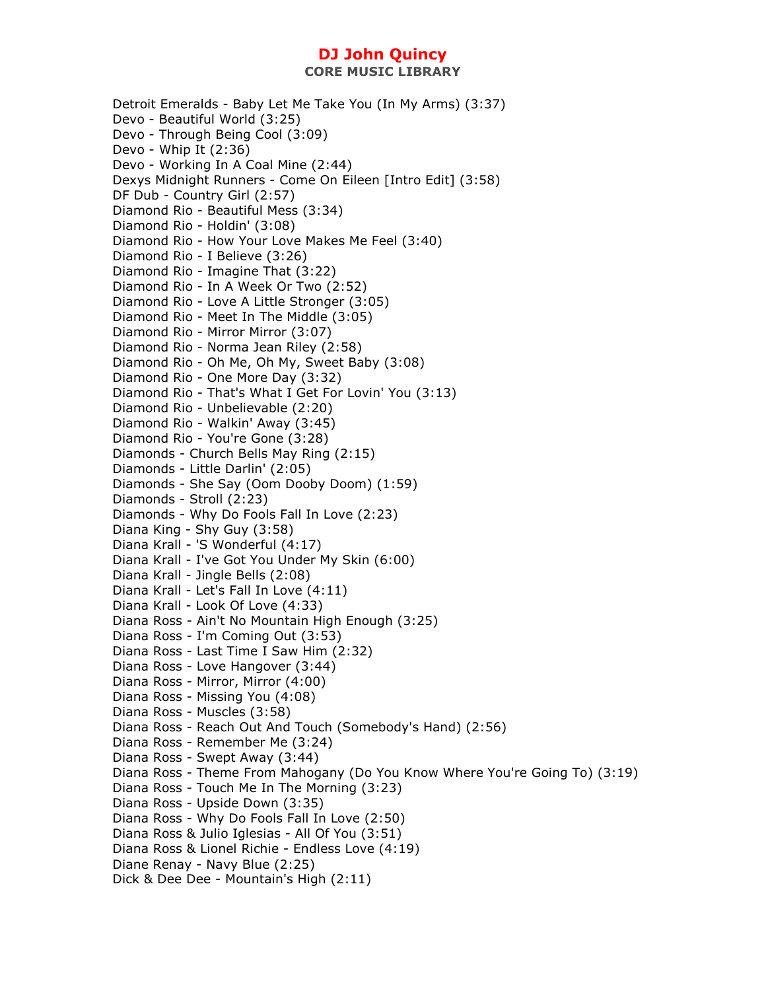Detroit Emeralds - Baby Let Me Take You (In My Arms) (3:37) Devo - Beautiful World (3:25) Devo - Through Being Cool (3:09) Devo - Whip It (2:36) Devo - Working In A Coal Mine (2:44) Dexys Midnight Runners - Come On Eileen [Intro Edit] (3:58) DF Dub - Country Girl (2:57) Diamond Rio - Beautiful Mess (3:34) Diamond Rio - Holdin' (3:08) Diamond Rio - How Your Love Makes Me Feel (3:40) Diamond Rio - I Believe (3:26) Diamond Rio - Imagine That (3:22) Diamond Rio - In A Week Or Two (2:52) Diamond Rio - Love A Little Stronger (3:05) Diamond Rio - Meet In The Middle (3:05) Diamond Rio - Mirror Mirror (3:07) Diamond Rio - Norma Jean Riley (2:58) Diamond Rio - Oh Me, Oh My, Sweet Baby (3:08) Diamond Rio - One More Day (3:32) Diamond Rio - That's What I Get For Lovin' You (3:13) Diamond Rio - Unbelievable (2:20) Diamond Rio - Walkin' Away (3:45) Diamond Rio - You're Gone (3:28) Diamonds - Church Bells May Ring (2:15) Diamonds - Little Darlin' (2:05) Diamonds - She Say (Oom Dooby Doom) (1:59) Diamonds - Stroll (2:23) Diamonds - Why Do Fools Fall In Love (2:23) Diana King - Shy Guy (3:58) Diana Krall - 'S Wonderful (4:17) Diana Krall - I've Got You Under My Skin (6:00) Diana Krall - Jingle Bells (2:08) Diana Krall - Let's Fall In Love (4:11) Diana Krall - Look Of Love (4:33) Diana Ross - Ain't No Mountain High Enough (3:25) Diana Ross - I'm Coming Out (3:53) Diana Ross - Last Time I Saw Him (2:32) Diana Ross - Love Hangover (3:44) Diana Ross - Mirror, Mirror (4:00) Diana Ross - Missing You (4:08) Diana Ross - Muscles (3:58) Diana Ross - Reach Out And Touch (Somebody's Hand) (2:56) Diana Ross - Remember Me (3:24) Diana Ross - Swept Away (3:44) Diana Ross - Theme From Mahogany (Do You Know Where You're Going To) (3:19) Diana Ross - Touch Me In The Morning (3:23) Diana Ross - Upside Down (3:35) Diana Ross - Why Do Fools Fall In Love (2:50) Diana Ross & Julio Iglesias - All Of You (3:51) Diana Ross & Lionel Richie - Endless Love (4:19) Diane Renay - Navy Blue (2:25) Dick & Dee Dee - Mountain's High (2:11)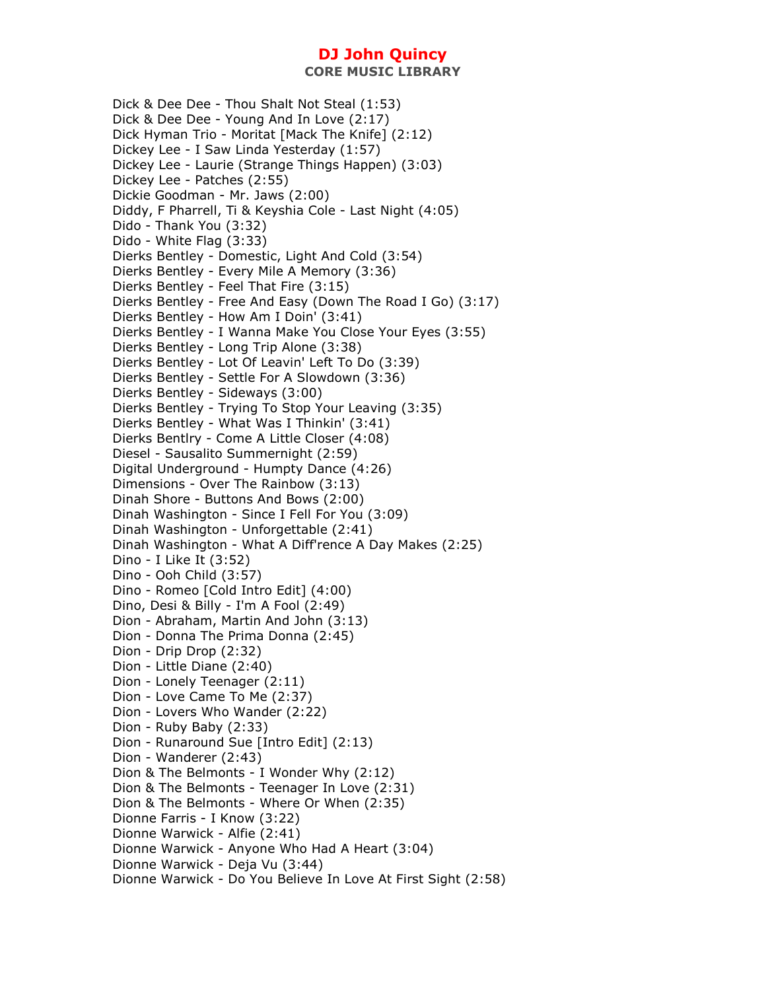Dick & Dee Dee - Thou Shalt Not Steal (1:53) Dick & Dee Dee - Young And In Love (2:17) Dick Hyman Trio - Moritat [Mack The Knife] (2:12) Dickey Lee - I Saw Linda Yesterday (1:57) Dickey Lee - Laurie (Strange Things Happen) (3:03) Dickey Lee - Patches (2:55) Dickie Goodman - Mr. Jaws (2:00) Diddy, F Pharrell, Ti & Keyshia Cole - Last Night (4:05) Dido - Thank You (3:32) Dido - White Flag (3:33) Dierks Bentley - Domestic, Light And Cold (3:54) Dierks Bentley - Every Mile A Memory (3:36) Dierks Bentley - Feel That Fire (3:15) Dierks Bentley - Free And Easy (Down The Road I Go) (3:17) Dierks Bentley - How Am I Doin' (3:41) Dierks Bentley - I Wanna Make You Close Your Eyes (3:55) Dierks Bentley - Long Trip Alone (3:38) Dierks Bentley - Lot Of Leavin' Left To Do (3:39) Dierks Bentley - Settle For A Slowdown (3:36) Dierks Bentley - Sideways (3:00) Dierks Bentley - Trying To Stop Your Leaving (3:35) Dierks Bentley - What Was I Thinkin' (3:41) Dierks Bentlry - Come A Little Closer (4:08) Diesel - Sausalito Summernight (2:59) Digital Underground - Humpty Dance (4:26) Dimensions - Over The Rainbow (3:13) Dinah Shore - Buttons And Bows (2:00) Dinah Washington - Since I Fell For You (3:09) Dinah Washington - Unforgettable (2:41) Dinah Washington - What A Diff'rence A Day Makes (2:25) Dino - I Like It (3:52) Dino - Ooh Child (3:57) Dino - Romeo [Cold Intro Edit] (4:00) Dino, Desi & Billy - I'm A Fool (2:49) Dion - Abraham, Martin And John (3:13) Dion - Donna The Prima Donna (2:45) Dion - Drip Drop (2:32) Dion - Little Diane (2:40) Dion - Lonely Teenager (2:11) Dion - Love Came To Me (2:37) Dion - Lovers Who Wander (2:22) Dion - Ruby Baby (2:33) Dion - Runaround Sue [Intro Edit] (2:13) Dion - Wanderer (2:43) Dion & The Belmonts - I Wonder Why (2:12) Dion & The Belmonts - Teenager In Love (2:31) Dion & The Belmonts - Where Or When (2:35) Dionne Farris - I Know (3:22) Dionne Warwick - Alfie (2:41) Dionne Warwick - Anyone Who Had A Heart (3:04) Dionne Warwick - Deja Vu (3:44) Dionne Warwick - Do You Believe In Love At First Sight (2:58)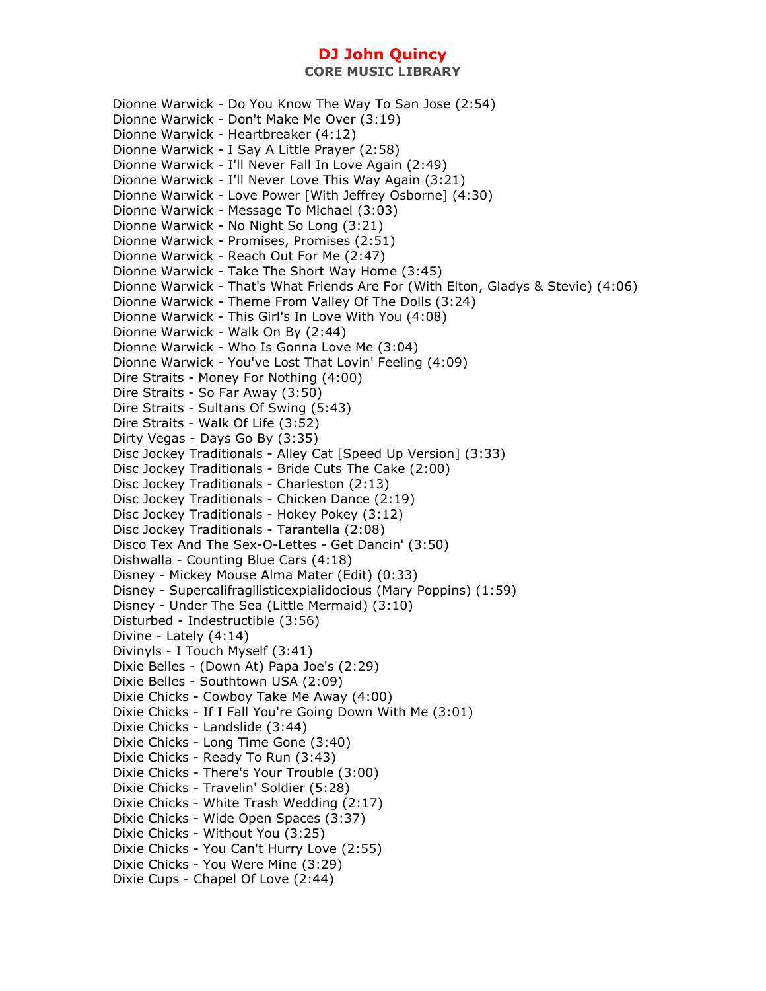Dionne Warwick - Do You Know The Way To San Jose (2:54) Dionne Warwick - Don't Make Me Over (3:19) Dionne Warwick - Heartbreaker (4:12) Dionne Warwick - I Say A Little Prayer (2:58) Dionne Warwick - I'll Never Fall In Love Again (2:49) Dionne Warwick - I'll Never Love This Way Again (3:21) Dionne Warwick - Love Power [With Jeffrey Osborne] (4:30) Dionne Warwick - Message To Michael (3:03) Dionne Warwick - No Night So Long (3:21) Dionne Warwick - Promises, Promises (2:51) Dionne Warwick - Reach Out For Me (2:47) Dionne Warwick - Take The Short Way Home (3:45) Dionne Warwick - That's What Friends Are For (With Elton, Gladys & Stevie) (4:06) Dionne Warwick - Theme From Valley Of The Dolls (3:24) Dionne Warwick - This Girl's In Love With You (4:08) Dionne Warwick - Walk On By (2:44) Dionne Warwick - Who Is Gonna Love Me (3:04) Dionne Warwick - You've Lost That Lovin' Feeling (4:09) Dire Straits - Money For Nothing (4:00) Dire Straits - So Far Away (3:50) Dire Straits - Sultans Of Swing (5:43) Dire Straits - Walk Of Life (3:52) Dirty Vegas - Days Go By (3:35) Disc Jockey Traditionals - Alley Cat [Speed Up Version] (3:33) Disc Jockey Traditionals - Bride Cuts The Cake (2:00) Disc Jockey Traditionals - Charleston (2:13) Disc Jockey Traditionals - Chicken Dance (2:19) Disc Jockey Traditionals - Hokey Pokey (3:12) Disc Jockey Traditionals - Tarantella (2:08) Disco Tex And The Sex-O-Lettes - Get Dancin' (3:50) Dishwalla - Counting Blue Cars (4:18) Disney - Mickey Mouse Alma Mater (Edit) (0:33) Disney - Supercalifragilisticexpialidocious (Mary Poppins) (1:59) Disney - Under The Sea (Little Mermaid) (3:10) Disturbed - Indestructible (3:56) Divine - Lately (4:14) Divinyls - I Touch Myself (3:41) Dixie Belles - (Down At) Papa Joe's (2:29) Dixie Belles - Southtown USA (2:09) Dixie Chicks - Cowboy Take Me Away (4:00) Dixie Chicks - If I Fall You're Going Down With Me (3:01) Dixie Chicks - Landslide (3:44) Dixie Chicks - Long Time Gone (3:40) Dixie Chicks - Ready To Run (3:43) Dixie Chicks - There's Your Trouble (3:00) Dixie Chicks - Travelin' Soldier (5:28) Dixie Chicks - White Trash Wedding (2:17) Dixie Chicks - Wide Open Spaces (3:37) Dixie Chicks - Without You (3:25) Dixie Chicks - You Can't Hurry Love (2:55) Dixie Chicks - You Were Mine (3:29) Dixie Cups - Chapel Of Love (2:44)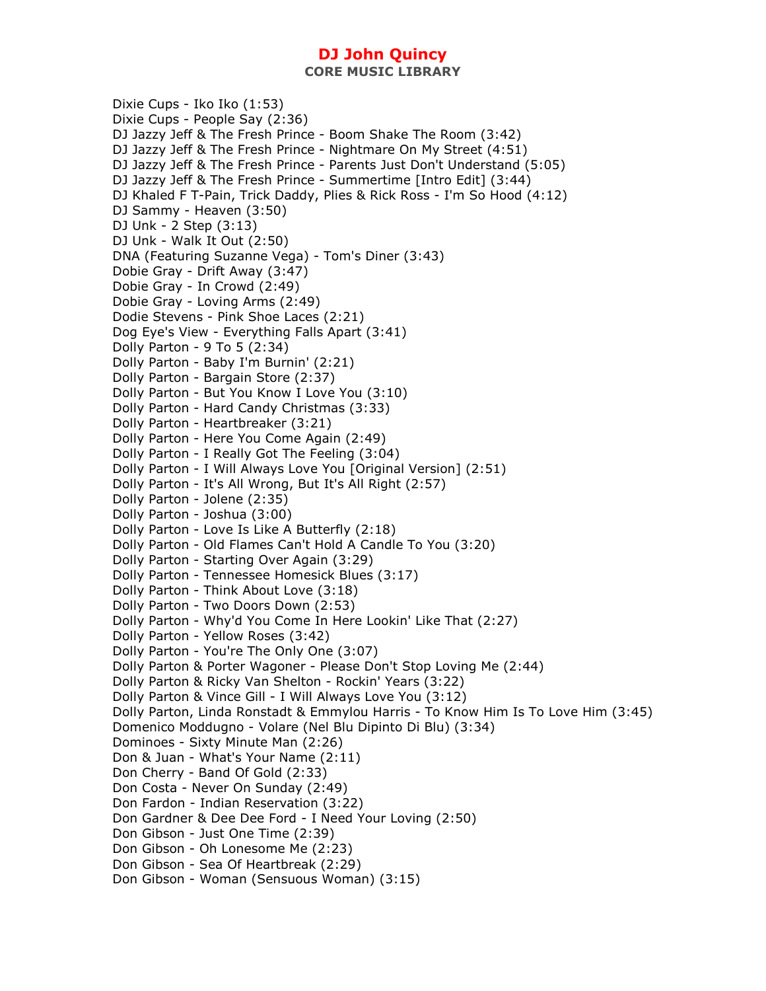**CORE MUSIC LIBRARY** 

Dixie Cups - Iko Iko (1:53) Dixie Cups - People Say (2:36) DJ Jazzy Jeff & The Fresh Prince - Boom Shake The Room (3:42) DJ Jazzy Jeff & The Fresh Prince - Nightmare On My Street (4:51) DJ Jazzy Jeff & The Fresh Prince - Parents Just Don't Understand (5:05) DJ Jazzy Jeff & The Fresh Prince - Summertime [Intro Edit] (3:44) DJ Khaled F T-Pain, Trick Daddy, Plies & Rick Ross - I'm So Hood (4:12) DJ Sammy - Heaven (3:50) DJ Unk - 2 Step (3:13) DJ Unk - Walk It Out (2:50) DNA (Featuring Suzanne Vega) - Tom's Diner (3:43) Dobie Gray - Drift Away (3:47) Dobie Gray - In Crowd (2:49) Dobie Gray - Loving Arms (2:49) Dodie Stevens - Pink Shoe Laces (2:21) Dog Eye's View - Everything Falls Apart (3:41) Dolly Parton - 9 To 5 (2:34) Dolly Parton - Baby I'm Burnin' (2:21) Dolly Parton - Bargain Store (2:37) Dolly Parton - But You Know I Love You (3:10) Dolly Parton - Hard Candy Christmas (3:33) Dolly Parton - Heartbreaker (3:21) Dolly Parton - Here You Come Again (2:49) Dolly Parton - I Really Got The Feeling (3:04) Dolly Parton - I Will Always Love You [Original Version] (2:51) Dolly Parton - It's All Wrong, But It's All Right (2:57) Dolly Parton - Jolene (2:35) Dolly Parton - Joshua (3:00) Dolly Parton - Love Is Like A Butterfly (2:18) Dolly Parton - Old Flames Can't Hold A Candle To You (3:20) Dolly Parton - Starting Over Again (3:29) Dolly Parton - Tennessee Homesick Blues (3:17) Dolly Parton - Think About Love (3:18) Dolly Parton - Two Doors Down (2:53) Dolly Parton - Why'd You Come In Here Lookin' Like That (2:27) Dolly Parton - Yellow Roses (3:42) Dolly Parton - You're The Only One (3:07) Dolly Parton & Porter Wagoner - Please Don't Stop Loving Me (2:44) Dolly Parton & Ricky Van Shelton - Rockin' Years (3:22) Dolly Parton & Vince Gill - I Will Always Love You (3:12) Dolly Parton, Linda Ronstadt & Emmylou Harris - To Know Him Is To Love Him (3:45) Domenico Moddugno - Volare (Nel Blu Dipinto Di Blu) (3:34) Dominoes - Sixty Minute Man (2:26) Don & Juan - What's Your Name (2:11) Don Cherry - Band Of Gold (2:33) Don Costa - Never On Sunday (2:49) Don Fardon - Indian Reservation (3:22) Don Gardner & Dee Dee Ford - I Need Your Loving (2:50) Don Gibson - Just One Time (2:39) Don Gibson - Oh Lonesome Me (2:23) Don Gibson - Sea Of Heartbreak (2:29) Don Gibson - Woman (Sensuous Woman) (3:15)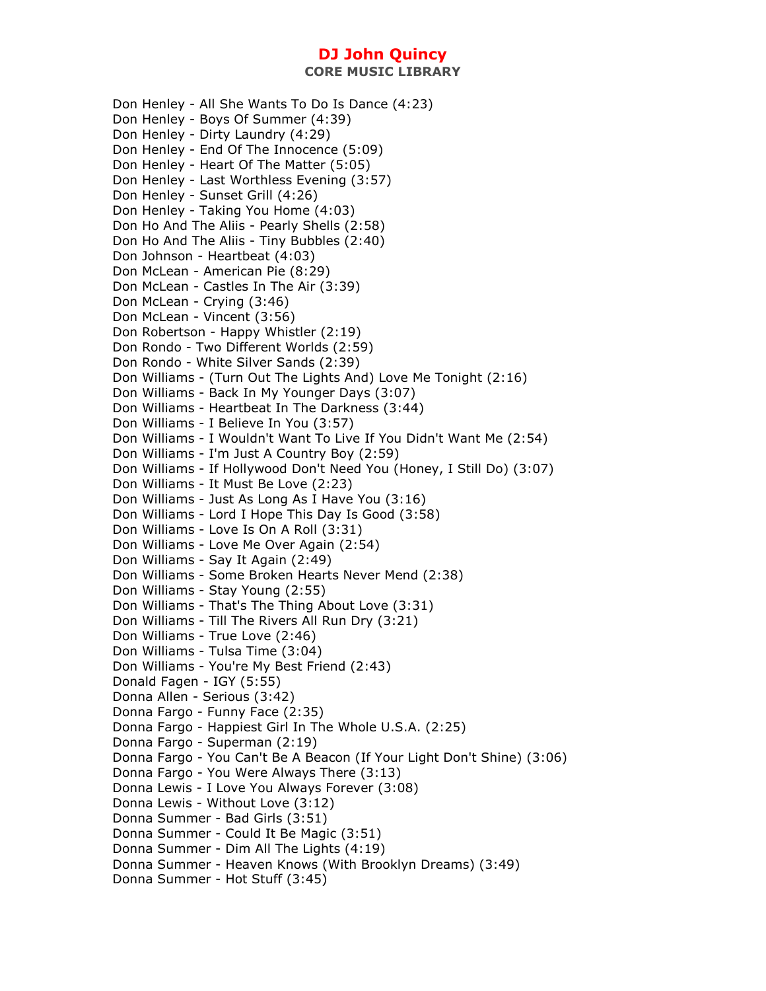**CORE MUSIC LIBRARY** 

Don Henley - All She Wants To Do Is Dance (4:23) Don Henley - Boys Of Summer (4:39) Don Henley - Dirty Laundry (4:29) Don Henley - End Of The Innocence (5:09) Don Henley - Heart Of The Matter (5:05) Don Henley - Last Worthless Evening (3:57) Don Henley - Sunset Grill (4:26) Don Henley - Taking You Home (4:03) Don Ho And The Aliis - Pearly Shells (2:58) Don Ho And The Aliis - Tiny Bubbles (2:40) Don Johnson - Heartbeat (4:03) Don McLean - American Pie (8:29) Don McLean - Castles In The Air (3:39) Don McLean - Crying (3:46) Don McLean - Vincent (3:56) Don Robertson - Happy Whistler (2:19) Don Rondo - Two Different Worlds (2:59) Don Rondo - White Silver Sands (2:39) Don Williams - (Turn Out The Lights And) Love Me Tonight (2:16) Don Williams - Back In My Younger Days (3:07) Don Williams - Heartbeat In The Darkness (3:44) Don Williams - I Believe In You (3:57) Don Williams - I Wouldn't Want To Live If You Didn't Want Me (2:54) Don Williams - I'm Just A Country Boy (2:59) Don Williams - If Hollywood Don't Need You (Honey, I Still Do) (3:07) Don Williams - It Must Be Love (2:23) Don Williams - Just As Long As I Have You (3:16) Don Williams - Lord I Hope This Day Is Good (3:58) Don Williams - Love Is On A Roll (3:31) Don Williams - Love Me Over Again (2:54) Don Williams - Say It Again (2:49) Don Williams - Some Broken Hearts Never Mend (2:38) Don Williams - Stay Young (2:55) Don Williams - That's The Thing About Love (3:31) Don Williams - Till The Rivers All Run Dry (3:21) Don Williams - True Love (2:46) Don Williams - Tulsa Time (3:04) Don Williams - You're My Best Friend (2:43) Donald Fagen - IGY (5:55) Donna Allen - Serious (3:42) Donna Fargo - Funny Face (2:35) Donna Fargo - Happiest Girl In The Whole U.S.A. (2:25) Donna Fargo - Superman (2:19) Donna Fargo - You Can't Be A Beacon (If Your Light Don't Shine) (3:06) Donna Fargo - You Were Always There (3:13) Donna Lewis - I Love You Always Forever (3:08) Donna Lewis - Without Love (3:12) Donna Summer - Bad Girls (3:51) Donna Summer - Could It Be Magic (3:51) Donna Summer - Dim All The Lights (4:19) Donna Summer - Heaven Knows (With Brooklyn Dreams) (3:49) Donna Summer - Hot Stuff (3:45)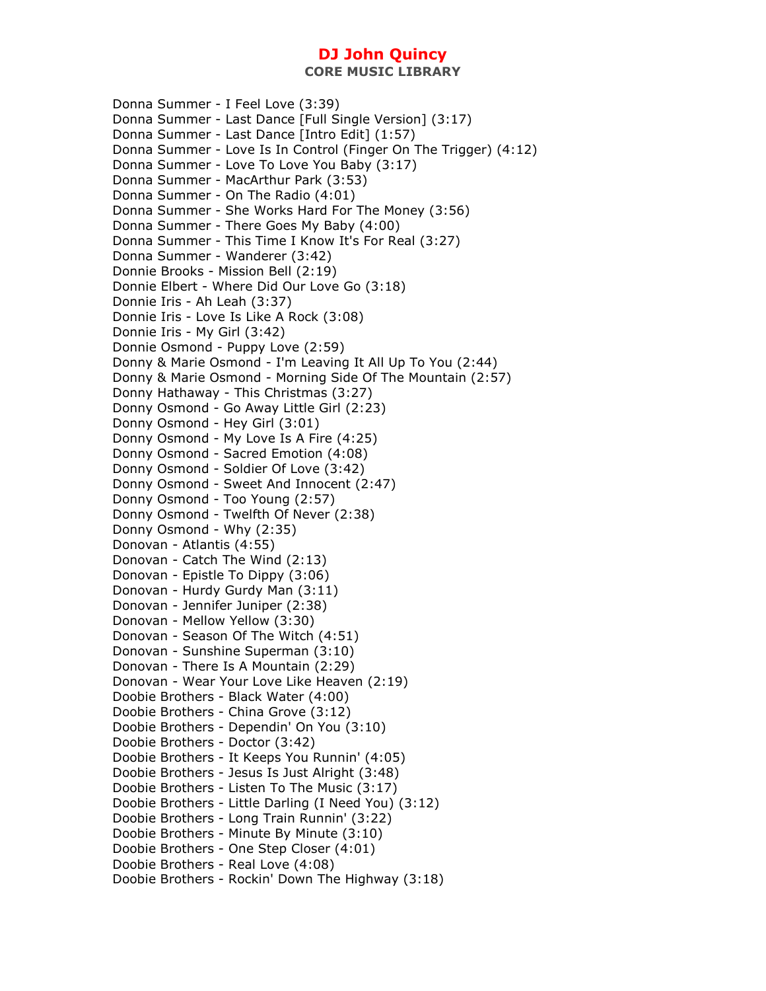**CORE MUSIC LIBRARY** 

Donna Summer - I Feel Love (3:39) Donna Summer - Last Dance [Full Single Version] (3:17) Donna Summer - Last Dance [Intro Edit] (1:57) Donna Summer - Love Is In Control (Finger On The Trigger) (4:12) Donna Summer - Love To Love You Baby (3:17) Donna Summer - MacArthur Park (3:53) Donna Summer - On The Radio (4:01) Donna Summer - She Works Hard For The Money (3:56) Donna Summer - There Goes My Baby (4:00) Donna Summer - This Time I Know It's For Real (3:27) Donna Summer - Wanderer (3:42) Donnie Brooks - Mission Bell (2:19) Donnie Elbert - Where Did Our Love Go (3:18) Donnie Iris - Ah Leah (3:37) Donnie Iris - Love Is Like A Rock (3:08) Donnie Iris - My Girl (3:42) Donnie Osmond - Puppy Love (2:59) Donny & Marie Osmond - I'm Leaving It All Up To You (2:44) Donny & Marie Osmond - Morning Side Of The Mountain (2:57) Donny Hathaway - This Christmas (3:27) Donny Osmond - Go Away Little Girl (2:23) Donny Osmond - Hey Girl (3:01) Donny Osmond - My Love Is A Fire (4:25) Donny Osmond - Sacred Emotion (4:08) Donny Osmond - Soldier Of Love (3:42) Donny Osmond - Sweet And Innocent (2:47) Donny Osmond - Too Young (2:57) Donny Osmond - Twelfth Of Never (2:38) Donny Osmond - Why (2:35) Donovan - Atlantis (4:55) Donovan - Catch The Wind (2:13) Donovan - Epistle To Dippy (3:06) Donovan - Hurdy Gurdy Man (3:11) Donovan - Jennifer Juniper (2:38) Donovan - Mellow Yellow (3:30) Donovan - Season Of The Witch (4:51) Donovan - Sunshine Superman (3:10) Donovan - There Is A Mountain (2:29) Donovan - Wear Your Love Like Heaven (2:19) Doobie Brothers - Black Water (4:00) Doobie Brothers - China Grove (3:12) Doobie Brothers - Dependin' On You (3:10) Doobie Brothers - Doctor (3:42) Doobie Brothers - It Keeps You Runnin' (4:05) Doobie Brothers - Jesus Is Just Alright (3:48) Doobie Brothers - Listen To The Music (3:17) Doobie Brothers - Little Darling (I Need You) (3:12) Doobie Brothers - Long Train Runnin' (3:22) Doobie Brothers - Minute By Minute (3:10) Doobie Brothers - One Step Closer (4:01) Doobie Brothers - Real Love (4:08) Doobie Brothers - Rockin' Down The Highway (3:18)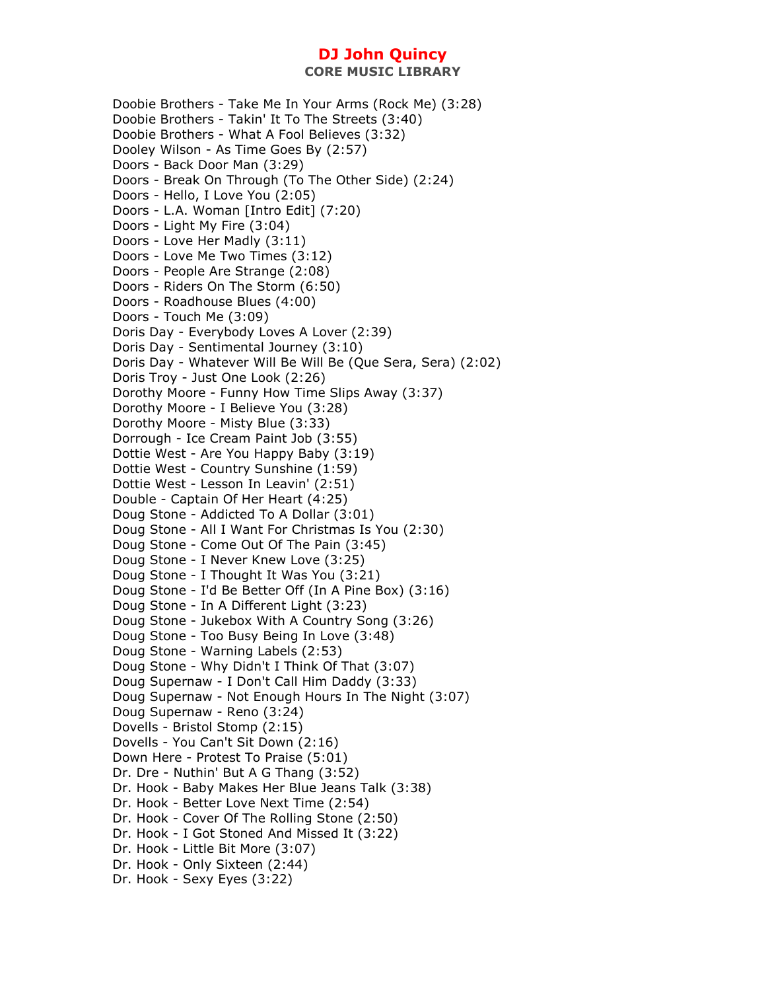Doobie Brothers - Take Me In Your Arms (Rock Me) (3:28) Doobie Brothers - Takin' It To The Streets (3:40) Doobie Brothers - What A Fool Believes (3:32) Dooley Wilson - As Time Goes By (2:57) Doors - Back Door Man (3:29) Doors - Break On Through (To The Other Side) (2:24) Doors - Hello, I Love You (2:05) Doors - L.A. Woman [Intro Edit] (7:20) Doors - Light My Fire (3:04) Doors - Love Her Madly (3:11) Doors - Love Me Two Times (3:12) Doors - People Are Strange (2:08) Doors - Riders On The Storm (6:50) Doors - Roadhouse Blues (4:00) Doors - Touch Me (3:09) Doris Day - Everybody Loves A Lover (2:39) Doris Day - Sentimental Journey (3:10) Doris Day - Whatever Will Be Will Be (Que Sera, Sera) (2:02) Doris Troy - Just One Look (2:26) Dorothy Moore - Funny How Time Slips Away (3:37) Dorothy Moore - I Believe You (3:28) Dorothy Moore - Misty Blue (3:33) Dorrough - Ice Cream Paint Job (3:55) Dottie West - Are You Happy Baby (3:19) Dottie West - Country Sunshine (1:59) Dottie West - Lesson In Leavin' (2:51) Double - Captain Of Her Heart (4:25) Doug Stone - Addicted To A Dollar (3:01) Doug Stone - All I Want For Christmas Is You (2:30) Doug Stone - Come Out Of The Pain (3:45) Doug Stone - I Never Knew Love (3:25) Doug Stone - I Thought It Was You (3:21) Doug Stone - I'd Be Better Off (In A Pine Box) (3:16) Doug Stone - In A Different Light (3:23) Doug Stone - Jukebox With A Country Song (3:26) Doug Stone - Too Busy Being In Love (3:48) Doug Stone - Warning Labels (2:53) Doug Stone - Why Didn't I Think Of That (3:07) Doug Supernaw - I Don't Call Him Daddy (3:33) Doug Supernaw - Not Enough Hours In The Night (3:07) Doug Supernaw - Reno (3:24) Dovells - Bristol Stomp (2:15) Dovells - You Can't Sit Down (2:16) Down Here - Protest To Praise (5:01) Dr. Dre - Nuthin' But A G Thang (3:52) Dr. Hook - Baby Makes Her Blue Jeans Talk (3:38) Dr. Hook - Better Love Next Time (2:54) Dr. Hook - Cover Of The Rolling Stone (2:50) Dr. Hook - I Got Stoned And Missed It (3:22) Dr. Hook - Little Bit More (3:07) Dr. Hook - Only Sixteen (2:44) Dr. Hook - Sexy Eyes (3:22)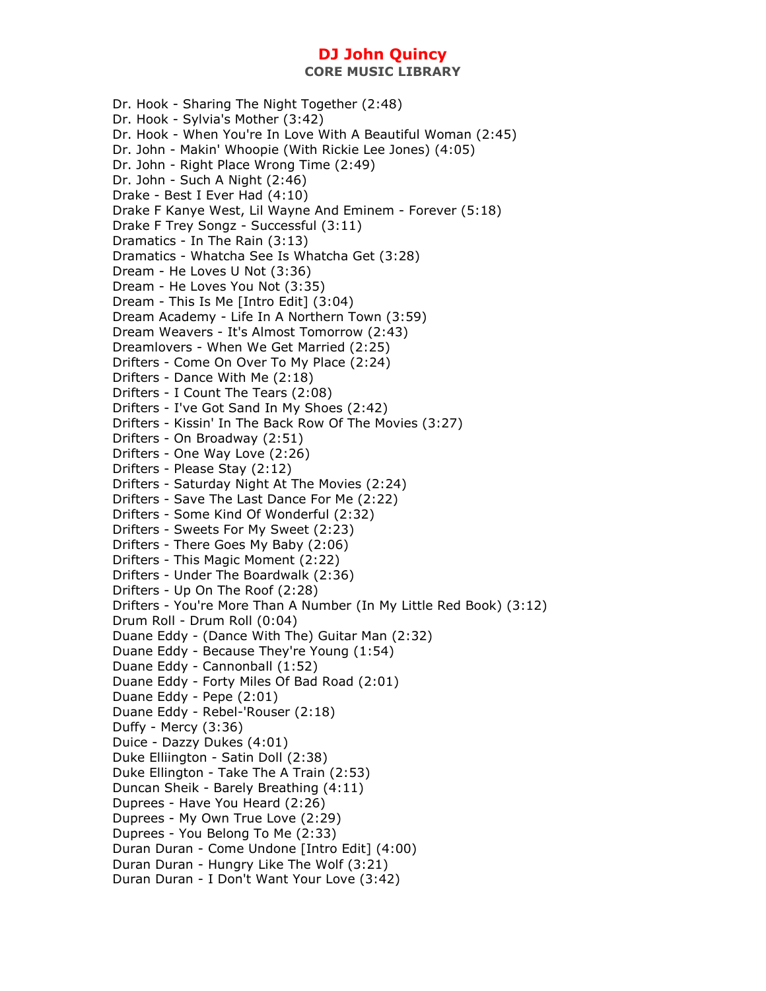Dr. Hook - Sharing The Night Together (2:48) Dr. Hook - Sylvia's Mother (3:42) Dr. Hook - When You're In Love With A Beautiful Woman (2:45) Dr. John - Makin' Whoopie (With Rickie Lee Jones) (4:05) Dr. John - Right Place Wrong Time (2:49) Dr. John - Such A Night (2:46) Drake - Best I Ever Had (4:10) Drake F Kanye West, Lil Wayne And Eminem - Forever (5:18) Drake F Trey Songz - Successful (3:11) Dramatics - In The Rain (3:13) Dramatics - Whatcha See Is Whatcha Get (3:28) Dream - He Loves U Not (3:36) Dream - He Loves You Not (3:35) Dream - This Is Me [Intro Edit] (3:04) Dream Academy - Life In A Northern Town (3:59) Dream Weavers - It's Almost Tomorrow (2:43) Dreamlovers - When We Get Married (2:25) Drifters - Come On Over To My Place (2:24) Drifters - Dance With Me (2:18) Drifters - I Count The Tears (2:08) Drifters - I've Got Sand In My Shoes (2:42) Drifters - Kissin' In The Back Row Of The Movies (3:27) Drifters - On Broadway (2:51) Drifters - One Way Love (2:26) Drifters - Please Stay (2:12) Drifters - Saturday Night At The Movies (2:24) Drifters - Save The Last Dance For Me (2:22) Drifters - Some Kind Of Wonderful (2:32) Drifters - Sweets For My Sweet (2:23) Drifters - There Goes My Baby (2:06) Drifters - This Magic Moment (2:22) Drifters - Under The Boardwalk (2:36) Drifters - Up On The Roof (2:28) Drifters - You're More Than A Number (In My Little Red Book) (3:12) Drum Roll - Drum Roll (0:04) Duane Eddy - (Dance With The) Guitar Man (2:32) Duane Eddy - Because They're Young (1:54) Duane Eddy - Cannonball (1:52) Duane Eddy - Forty Miles Of Bad Road (2:01) Duane Eddy - Pepe (2:01) Duane Eddy - Rebel-'Rouser (2:18) Duffy - Mercy (3:36) Duice - Dazzy Dukes (4:01) Duke Elliington - Satin Doll (2:38) Duke Ellington - Take The A Train (2:53) Duncan Sheik - Barely Breathing (4:11) Duprees - Have You Heard (2:26) Duprees - My Own True Love (2:29) Duprees - You Belong To Me (2:33) Duran Duran - Come Undone [Intro Edit] (4:00) Duran Duran - Hungry Like The Wolf (3:21) Duran Duran - I Don't Want Your Love (3:42)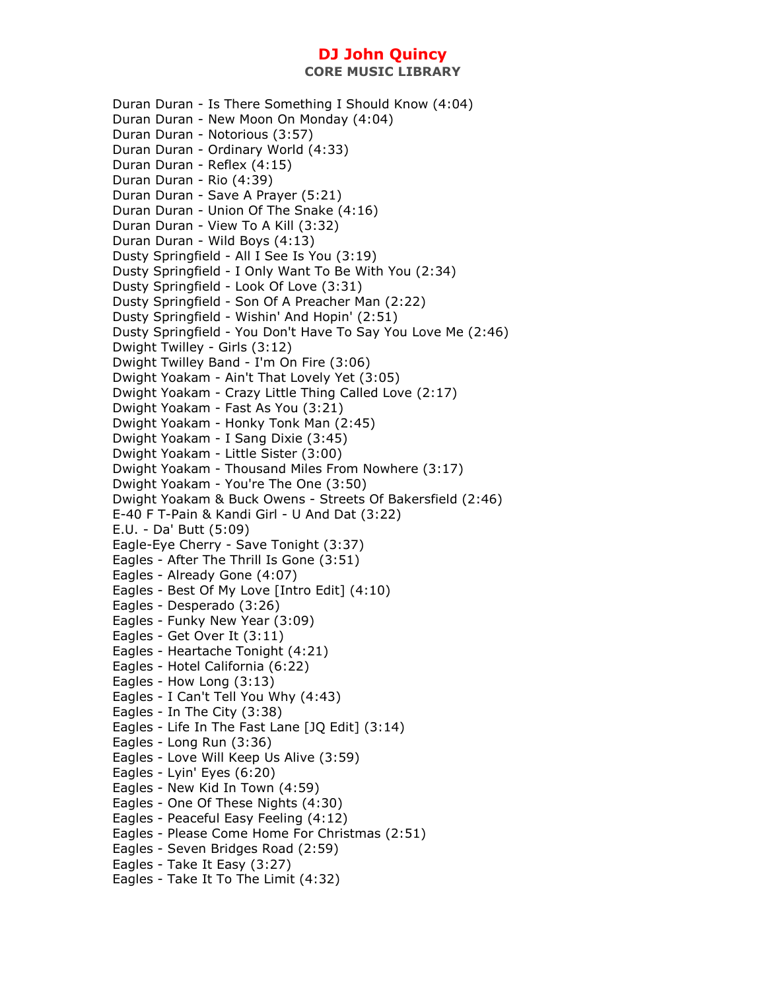Duran Duran - Is There Something I Should Know (4:04) Duran Duran - New Moon On Monday (4:04) Duran Duran - Notorious (3:57) Duran Duran - Ordinary World (4:33) Duran Duran - Reflex (4:15) Duran Duran - Rio (4:39) Duran Duran - Save A Prayer (5:21) Duran Duran - Union Of The Snake (4:16) Duran Duran - View To A Kill (3:32) Duran Duran - Wild Boys (4:13) Dusty Springfield - All I See Is You (3:19) Dusty Springfield - I Only Want To Be With You (2:34) Dusty Springfield - Look Of Love (3:31) Dusty Springfield - Son Of A Preacher Man (2:22) Dusty Springfield - Wishin' And Hopin' (2:51) Dusty Springfield - You Don't Have To Say You Love Me (2:46) Dwight Twilley - Girls (3:12) Dwight Twilley Band - I'm On Fire (3:06) Dwight Yoakam - Ain't That Lovely Yet (3:05) Dwight Yoakam - Crazy Little Thing Called Love (2:17) Dwight Yoakam - Fast As You (3:21) Dwight Yoakam - Honky Tonk Man (2:45) Dwight Yoakam - I Sang Dixie (3:45) Dwight Yoakam - Little Sister (3:00) Dwight Yoakam - Thousand Miles From Nowhere (3:17) Dwight Yoakam - You're The One (3:50) Dwight Yoakam & Buck Owens - Streets Of Bakersfield (2:46) E-40 F T-Pain & Kandi Girl - U And Dat (3:22) E.U. - Da' Butt (5:09) Eagle-Eye Cherry - Save Tonight (3:37) Eagles - After The Thrill Is Gone (3:51) Eagles - Already Gone (4:07) Eagles - Best Of My Love [Intro Edit] (4:10) Eagles - Desperado (3:26) Eagles - Funky New Year (3:09) Eagles - Get Over It (3:11) Eagles - Heartache Tonight (4:21) Eagles - Hotel California (6:22) Eagles - How Long (3:13) Eagles - I Can't Tell You Why (4:43) Eagles - In The City (3:38) Eagles - Life In The Fast Lane [JQ Edit] (3:14) Eagles - Long Run (3:36) Eagles - Love Will Keep Us Alive (3:59) Eagles - Lyin' Eyes (6:20) Eagles - New Kid In Town (4:59) Eagles - One Of These Nights (4:30) Eagles - Peaceful Easy Feeling (4:12) Eagles - Please Come Home For Christmas (2:51) Eagles - Seven Bridges Road (2:59) Eagles - Take It Easy (3:27) Eagles - Take It To The Limit (4:32)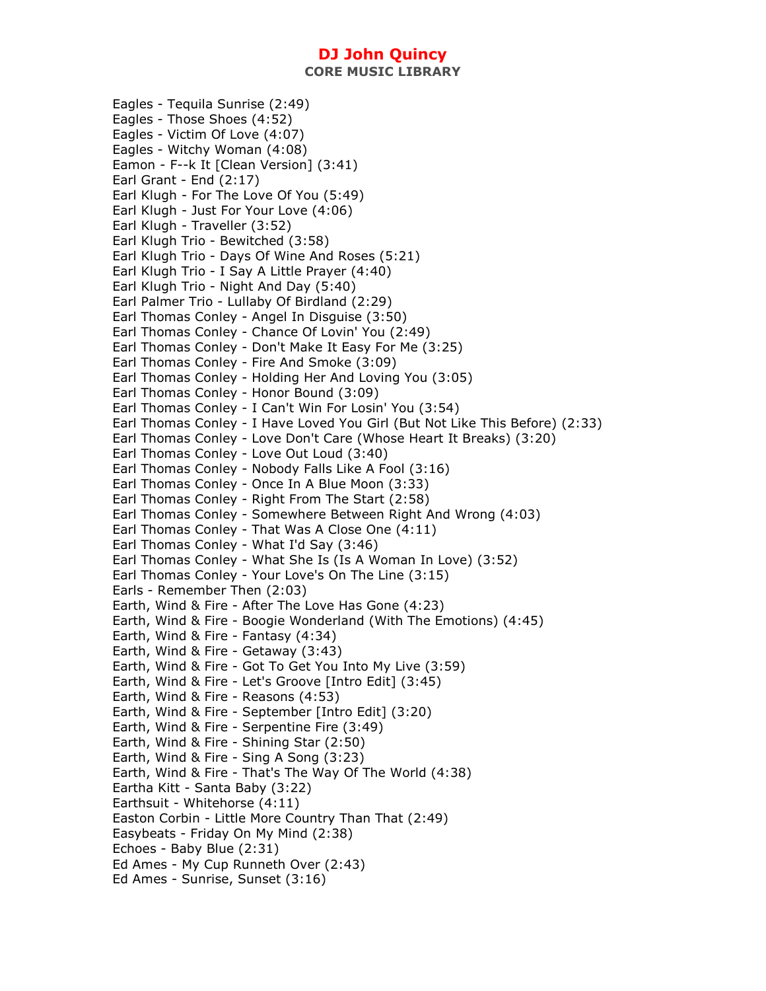**CORE MUSIC LIBRARY** 

Eagles - Tequila Sunrise (2:49) Eagles - Those Shoes (4:52) Eagles - Victim Of Love (4:07) Eagles - Witchy Woman (4:08) Eamon - F--k It [Clean Version] (3:41) Earl Grant - End (2:17) Earl Klugh - For The Love Of You (5:49) Earl Klugh - Just For Your Love (4:06) Earl Klugh - Traveller (3:52) Earl Klugh Trio - Bewitched (3:58) Earl Klugh Trio - Days Of Wine And Roses (5:21) Earl Klugh Trio - I Say A Little Prayer (4:40) Earl Klugh Trio - Night And Day (5:40) Earl Palmer Trio - Lullaby Of Birdland (2:29) Earl Thomas Conley - Angel In Disguise (3:50) Earl Thomas Conley - Chance Of Lovin' You (2:49) Earl Thomas Conley - Don't Make It Easy For Me (3:25) Earl Thomas Conley - Fire And Smoke (3:09) Earl Thomas Conley - Holding Her And Loving You (3:05) Earl Thomas Conley - Honor Bound (3:09) Earl Thomas Conley - I Can't Win For Losin' You (3:54) Earl Thomas Conley - I Have Loved You Girl (But Not Like This Before) (2:33) Earl Thomas Conley - Love Don't Care (Whose Heart It Breaks) (3:20) Earl Thomas Conley - Love Out Loud (3:40) Earl Thomas Conley - Nobody Falls Like A Fool (3:16) Earl Thomas Conley - Once In A Blue Moon (3:33) Earl Thomas Conley - Right From The Start (2:58) Earl Thomas Conley - Somewhere Between Right And Wrong (4:03) Earl Thomas Conley - That Was A Close One (4:11) Earl Thomas Conley - What I'd Say (3:46) Earl Thomas Conley - What She Is (Is A Woman In Love) (3:52) Earl Thomas Conley - Your Love's On The Line (3:15) Earls - Remember Then (2:03) Earth, Wind & Fire - After The Love Has Gone (4:23) Earth, Wind & Fire - Boogie Wonderland (With The Emotions) (4:45) Earth, Wind & Fire - Fantasy (4:34) Earth, Wind & Fire - Getaway (3:43) Earth, Wind & Fire - Got To Get You Into My Live (3:59) Earth, Wind & Fire - Let's Groove [Intro Edit] (3:45) Earth, Wind & Fire - Reasons (4:53) Earth, Wind & Fire - September [Intro Edit] (3:20) Earth, Wind & Fire - Serpentine Fire (3:49) Earth, Wind & Fire - Shining Star (2:50) Earth, Wind & Fire - Sing A Song (3:23) Earth, Wind & Fire - That's The Way Of The World (4:38) Eartha Kitt - Santa Baby (3:22) Earthsuit - Whitehorse (4:11) Easton Corbin - Little More Country Than That (2:49) Easybeats - Friday On My Mind (2:38) Echoes - Baby Blue (2:31) Ed Ames - My Cup Runneth Over (2:43) Ed Ames - Sunrise, Sunset (3:16)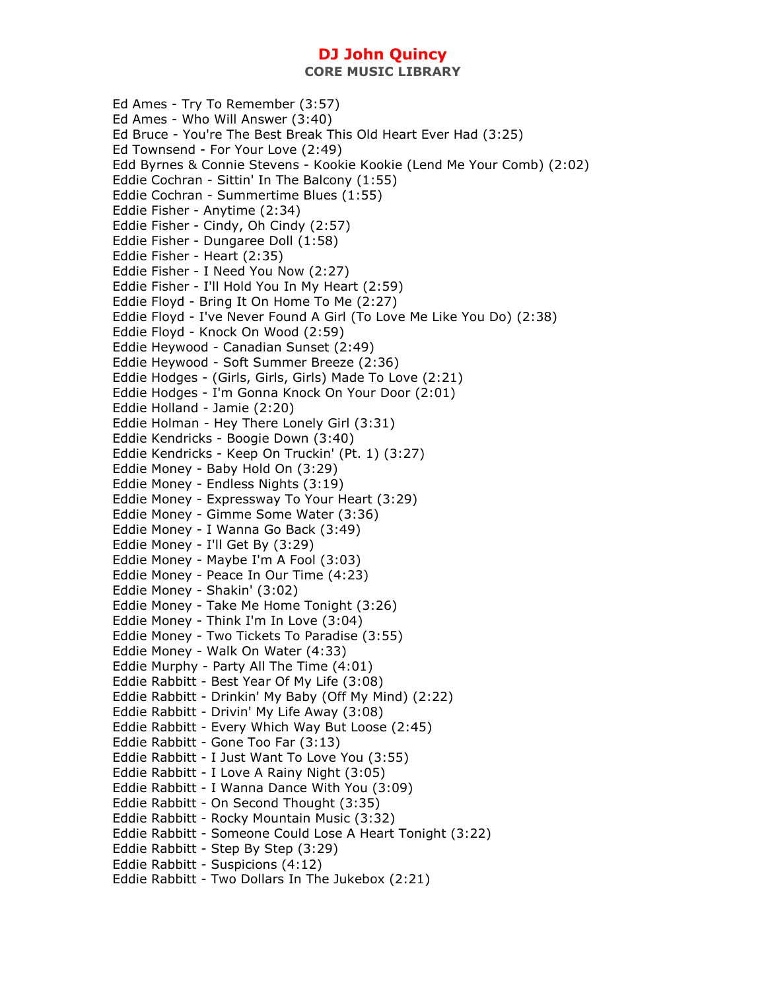**CORE MUSIC LIBRARY** 

Ed Ames - Try To Remember (3:57) Ed Ames - Who Will Answer (3:40) Ed Bruce - You're The Best Break This Old Heart Ever Had (3:25) Ed Townsend - For Your Love (2:49) Edd Byrnes & Connie Stevens - Kookie Kookie (Lend Me Your Comb) (2:02) Eddie Cochran - Sittin' In The Balcony (1:55) Eddie Cochran - Summertime Blues (1:55) Eddie Fisher - Anytime (2:34) Eddie Fisher - Cindy, Oh Cindy (2:57) Eddie Fisher - Dungaree Doll (1:58) Eddie Fisher - Heart (2:35) Eddie Fisher - I Need You Now (2:27) Eddie Fisher - I'll Hold You In My Heart (2:59) Eddie Floyd - Bring It On Home To Me (2:27) Eddie Floyd - I've Never Found A Girl (To Love Me Like You Do) (2:38) Eddie Floyd - Knock On Wood (2:59) Eddie Heywood - Canadian Sunset (2:49) Eddie Heywood - Soft Summer Breeze (2:36) Eddie Hodges - (Girls, Girls, Girls) Made To Love (2:21) Eddie Hodges - I'm Gonna Knock On Your Door (2:01) Eddie Holland - Jamie (2:20) Eddie Holman - Hey There Lonely Girl (3:31) Eddie Kendricks - Boogie Down (3:40) Eddie Kendricks - Keep On Truckin' (Pt. 1) (3:27) Eddie Money - Baby Hold On (3:29) Eddie Money - Endless Nights (3:19) Eddie Money - Expressway To Your Heart (3:29) Eddie Money - Gimme Some Water (3:36) Eddie Money - I Wanna Go Back (3:49) Eddie Money - I'll Get By (3:29) Eddie Money - Maybe I'm A Fool (3:03) Eddie Money - Peace In Our Time (4:23) Eddie Money - Shakin' (3:02) Eddie Money - Take Me Home Tonight (3:26) Eddie Money - Think I'm In Love (3:04) Eddie Money - Two Tickets To Paradise (3:55) Eddie Money - Walk On Water (4:33) Eddie Murphy - Party All The Time (4:01) Eddie Rabbitt - Best Year Of My Life (3:08) Eddie Rabbitt - Drinkin' My Baby (Off My Mind) (2:22) Eddie Rabbitt - Drivin' My Life Away (3:08) Eddie Rabbitt - Every Which Way But Loose (2:45) Eddie Rabbitt - Gone Too Far (3:13) Eddie Rabbitt - I Just Want To Love You (3:55) Eddie Rabbitt - I Love A Rainy Night (3:05) Eddie Rabbitt - I Wanna Dance With You (3:09) Eddie Rabbitt - On Second Thought (3:35) Eddie Rabbitt - Rocky Mountain Music (3:32) Eddie Rabbitt - Someone Could Lose A Heart Tonight (3:22) Eddie Rabbitt - Step By Step (3:29) Eddie Rabbitt - Suspicions (4:12) Eddie Rabbitt - Two Dollars In The Jukebox (2:21)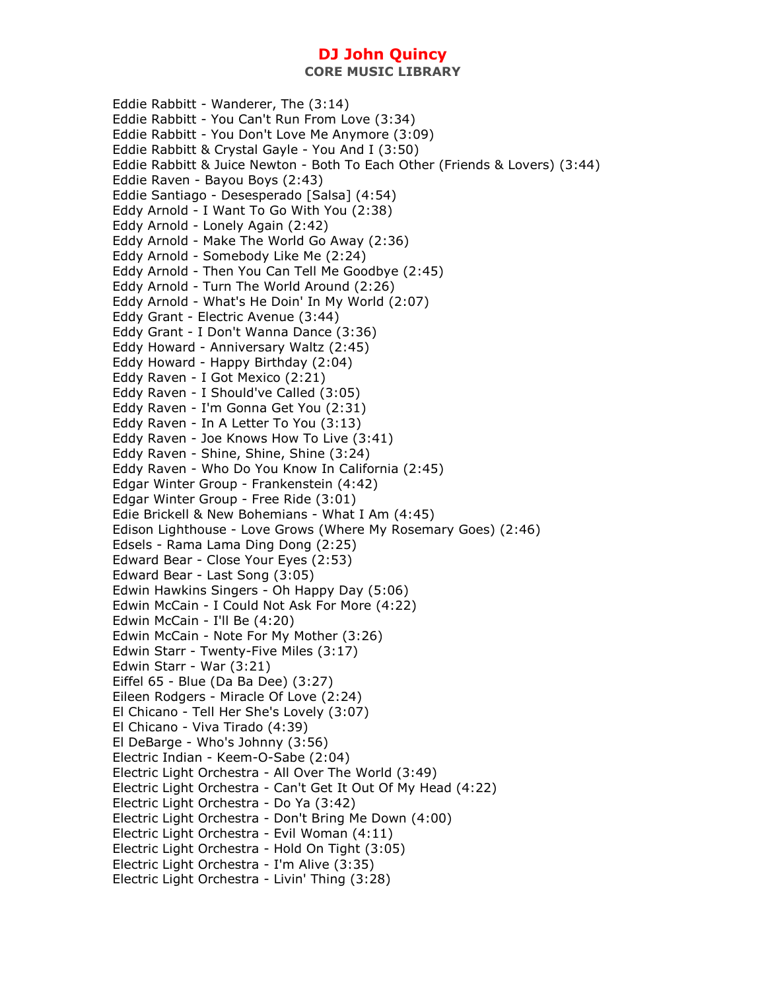Eddie Rabbitt - Wanderer, The (3:14) Eddie Rabbitt - You Can't Run From Love (3:34) Eddie Rabbitt - You Don't Love Me Anymore (3:09) Eddie Rabbitt & Crystal Gayle - You And I (3:50) Eddie Rabbitt & Juice Newton - Both To Each Other (Friends & Lovers) (3:44) Eddie Raven - Bayou Boys (2:43) Eddie Santiago - Desesperado [Salsa] (4:54) Eddy Arnold - I Want To Go With You (2:38) Eddy Arnold - Lonely Again (2:42) Eddy Arnold - Make The World Go Away (2:36) Eddy Arnold - Somebody Like Me (2:24) Eddy Arnold - Then You Can Tell Me Goodbye (2:45) Eddy Arnold - Turn The World Around (2:26) Eddy Arnold - What's He Doin' In My World (2:07) Eddy Grant - Electric Avenue (3:44) Eddy Grant - I Don't Wanna Dance (3:36) Eddy Howard - Anniversary Waltz (2:45) Eddy Howard - Happy Birthday (2:04) Eddy Raven - I Got Mexico (2:21) Eddy Raven - I Should've Called (3:05) Eddy Raven - I'm Gonna Get You (2:31) Eddy Raven - In A Letter To You (3:13) Eddy Raven - Joe Knows How To Live (3:41) Eddy Raven - Shine, Shine, Shine (3:24) Eddy Raven - Who Do You Know In California (2:45) Edgar Winter Group - Frankenstein (4:42) Edgar Winter Group - Free Ride (3:01) Edie Brickell & New Bohemians - What I Am (4:45) Edison Lighthouse - Love Grows (Where My Rosemary Goes) (2:46) Edsels - Rama Lama Ding Dong (2:25) Edward Bear - Close Your Eyes (2:53) Edward Bear - Last Song (3:05) Edwin Hawkins Singers - Oh Happy Day (5:06) Edwin McCain - I Could Not Ask For More (4:22) Edwin McCain - I'll Be (4:20) Edwin McCain - Note For My Mother (3:26) Edwin Starr - Twenty-Five Miles (3:17) Edwin Starr - War (3:21) Eiffel 65 - Blue (Da Ba Dee) (3:27) Eileen Rodgers - Miracle Of Love (2:24) El Chicano - Tell Her She's Lovely (3:07) El Chicano - Viva Tirado (4:39) El DeBarge - Who's Johnny (3:56) Electric Indian - Keem-O-Sabe (2:04) Electric Light Orchestra - All Over The World (3:49) Electric Light Orchestra - Can't Get It Out Of My Head (4:22) Electric Light Orchestra - Do Ya (3:42) Electric Light Orchestra - Don't Bring Me Down (4:00) Electric Light Orchestra - Evil Woman (4:11) Electric Light Orchestra - Hold On Tight (3:05) Electric Light Orchestra - I'm Alive (3:35) Electric Light Orchestra - Livin' Thing (3:28)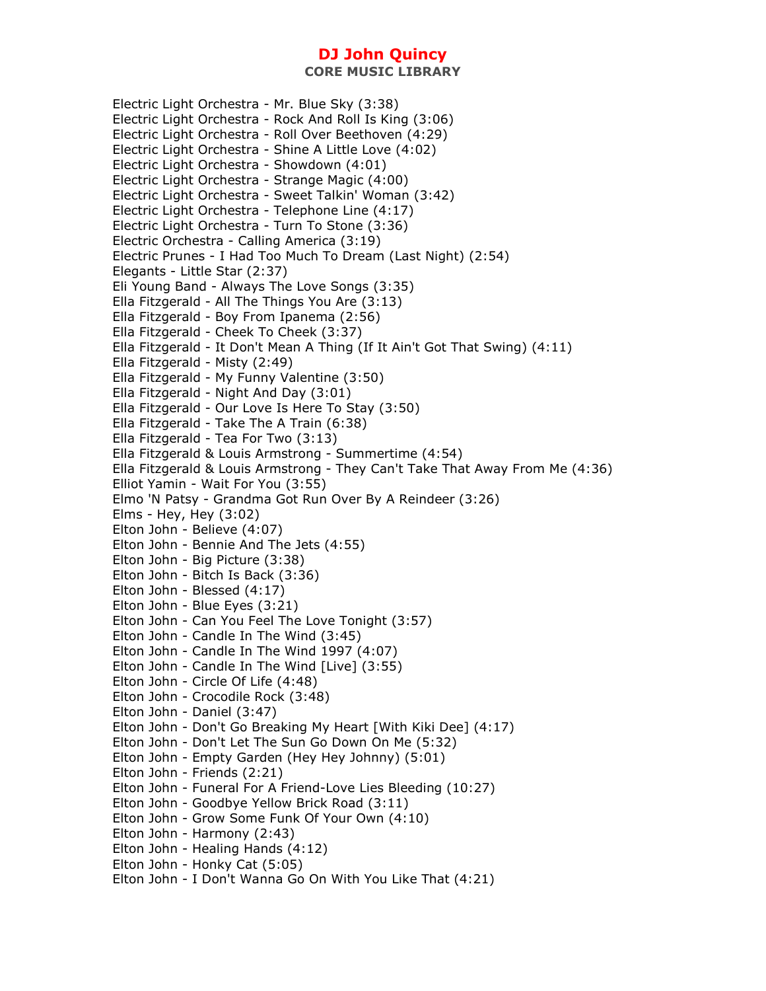**CORE MUSIC LIBRARY** 

Electric Light Orchestra - Mr. Blue Sky (3:38) Electric Light Orchestra - Rock And Roll Is King (3:06) Electric Light Orchestra - Roll Over Beethoven (4:29) Electric Light Orchestra - Shine A Little Love (4:02) Electric Light Orchestra - Showdown (4:01) Electric Light Orchestra - Strange Magic (4:00) Electric Light Orchestra - Sweet Talkin' Woman (3:42) Electric Light Orchestra - Telephone Line (4:17) Electric Light Orchestra - Turn To Stone (3:36) Electric Orchestra - Calling America (3:19) Electric Prunes - I Had Too Much To Dream (Last Night) (2:54) Elegants - Little Star (2:37) Eli Young Band - Always The Love Songs (3:35) Ella Fitzgerald - All The Things You Are (3:13) Ella Fitzgerald - Boy From Ipanema (2:56) Ella Fitzgerald - Cheek To Cheek (3:37) Ella Fitzgerald - It Don't Mean A Thing (If It Ain't Got That Swing) (4:11) Ella Fitzgerald - Misty (2:49) Ella Fitzgerald - My Funny Valentine (3:50) Ella Fitzgerald - Night And Day (3:01) Ella Fitzgerald - Our Love Is Here To Stay (3:50) Ella Fitzgerald - Take The A Train (6:38) Ella Fitzgerald - Tea For Two (3:13) Ella Fitzgerald & Louis Armstrong - Summertime (4:54) Ella Fitzgerald & Louis Armstrong - They Can't Take That Away From Me (4:36) Elliot Yamin - Wait For You (3:55) Elmo 'N Patsy - Grandma Got Run Over By A Reindeer (3:26) Elms - Hey, Hey (3:02) Elton John - Believe (4:07) Elton John - Bennie And The Jets (4:55) Elton John - Big Picture (3:38) Elton John - Bitch Is Back (3:36) Elton John - Blessed (4:17) Elton John - Blue Eyes (3:21) Elton John - Can You Feel The Love Tonight (3:57) Elton John - Candle In The Wind (3:45) Elton John - Candle In The Wind 1997 (4:07) Elton John - Candle In The Wind [Live] (3:55) Elton John - Circle Of Life (4:48) Elton John - Crocodile Rock (3:48) Elton John - Daniel (3:47) Elton John - Don't Go Breaking My Heart [With Kiki Dee] (4:17) Elton John - Don't Let The Sun Go Down On Me (5:32) Elton John - Empty Garden (Hey Hey Johnny) (5:01) Elton John - Friends (2:21) Elton John - Funeral For A Friend-Love Lies Bleeding (10:27) Elton John - Goodbye Yellow Brick Road (3:11) Elton John - Grow Some Funk Of Your Own (4:10) Elton John - Harmony (2:43) Elton John - Healing Hands (4:12) Elton John - Honky Cat (5:05) Elton John - I Don't Wanna Go On With You Like That (4:21)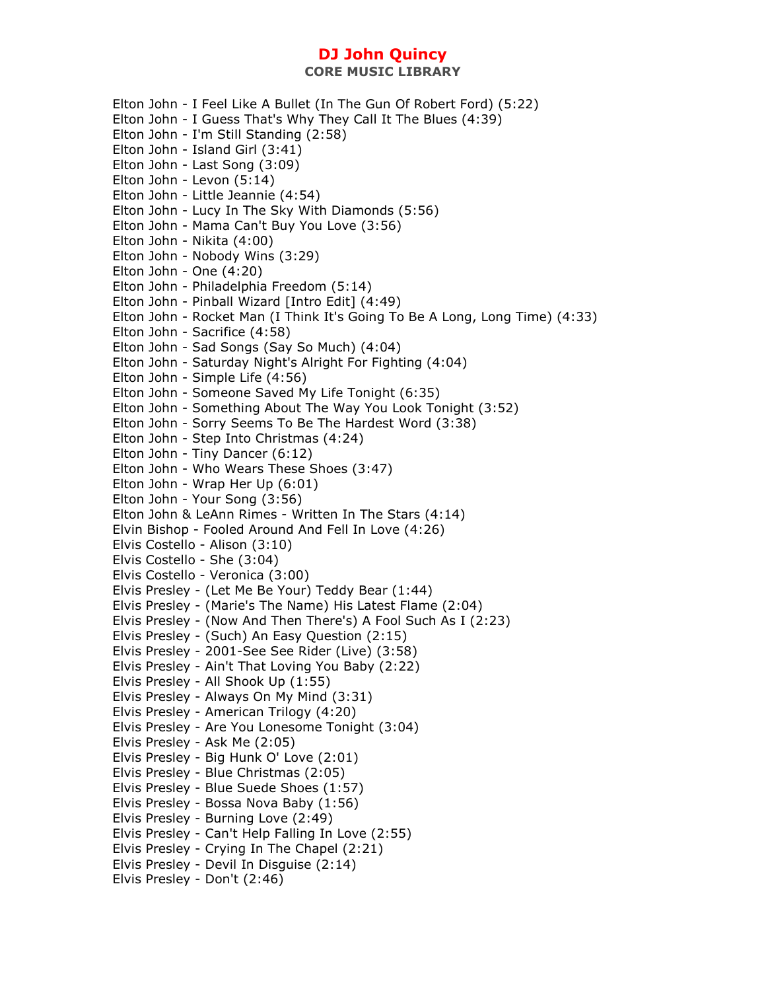Elton John - I Feel Like A Bullet (In The Gun Of Robert Ford) (5:22) Elton John - I Guess That's Why They Call It The Blues (4:39) Elton John - I'm Still Standing (2:58) Elton John - Island Girl (3:41) Elton John - Last Song (3:09) Elton John - Levon (5:14) Elton John - Little Jeannie (4:54) Elton John - Lucy In The Sky With Diamonds (5:56) Elton John - Mama Can't Buy You Love (3:56) Elton John - Nikita (4:00) Elton John - Nobody Wins (3:29) Elton John - One (4:20) Elton John - Philadelphia Freedom (5:14) Elton John - Pinball Wizard [Intro Edit] (4:49) Elton John - Rocket Man (I Think It's Going To Be A Long, Long Time) (4:33) Elton John - Sacrifice (4:58) Elton John - Sad Songs (Say So Much) (4:04) Elton John - Saturday Night's Alright For Fighting (4:04) Elton John - Simple Life (4:56) Elton John - Someone Saved My Life Tonight (6:35) Elton John - Something About The Way You Look Tonight (3:52) Elton John - Sorry Seems To Be The Hardest Word (3:38) Elton John - Step Into Christmas (4:24) Elton John - Tiny Dancer (6:12) Elton John - Who Wears These Shoes (3:47) Elton John - Wrap Her Up (6:01) Elton John - Your Song (3:56) Elton John & LeAnn Rimes - Written In The Stars (4:14) Elvin Bishop - Fooled Around And Fell In Love (4:26) Elvis Costello - Alison (3:10) Elvis Costello - She (3:04) Elvis Costello - Veronica (3:00) Elvis Presley - (Let Me Be Your) Teddy Bear (1:44) Elvis Presley - (Marie's The Name) His Latest Flame (2:04) Elvis Presley - (Now And Then There's) A Fool Such As I (2:23) Elvis Presley - (Such) An Easy Question (2:15) Elvis Presley - 2001-See See Rider (Live) (3:58) Elvis Presley - Ain't That Loving You Baby (2:22) Elvis Presley - All Shook Up (1:55) Elvis Presley - Always On My Mind (3:31) Elvis Presley - American Trilogy (4:20) Elvis Presley - Are You Lonesome Tonight (3:04) Elvis Presley - Ask Me (2:05) Elvis Presley - Big Hunk O' Love (2:01) Elvis Presley - Blue Christmas (2:05) Elvis Presley - Blue Suede Shoes (1:57) Elvis Presley - Bossa Nova Baby (1:56) Elvis Presley - Burning Love (2:49) Elvis Presley - Can't Help Falling In Love (2:55) Elvis Presley - Crying In The Chapel (2:21) Elvis Presley - Devil In Disguise (2:14) Elvis Presley - Don't (2:46)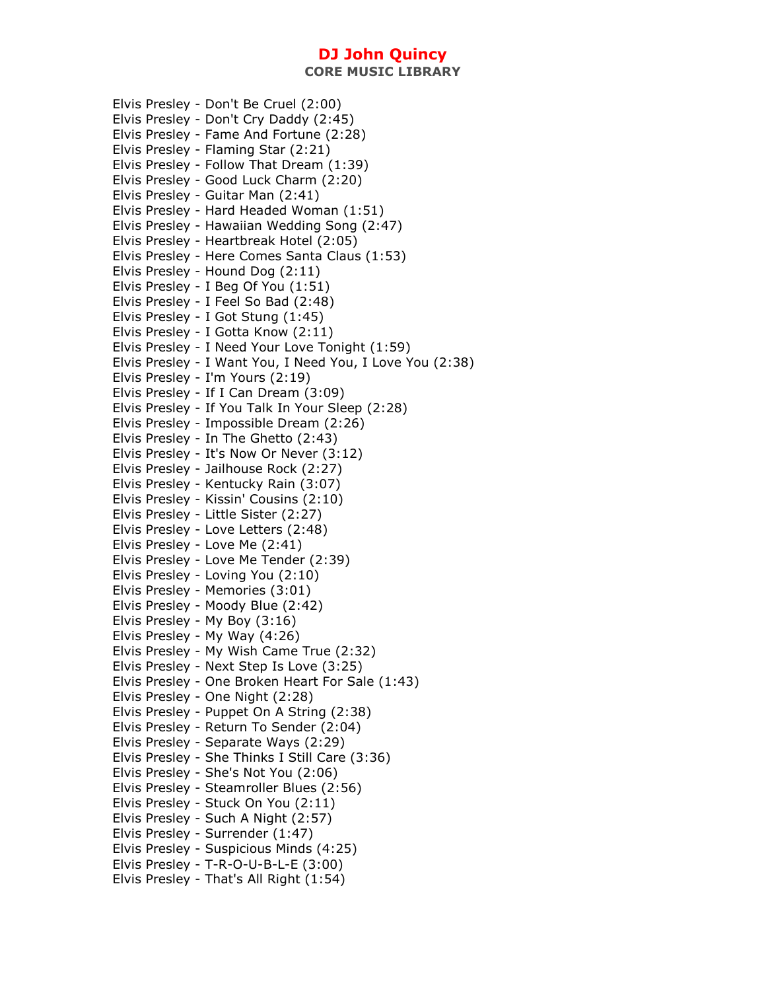**CORE MUSIC LIBRARY** 

Elvis Presley - Don't Be Cruel (2:00) Elvis Presley - Don't Cry Daddy (2:45) Elvis Presley - Fame And Fortune (2:28) Elvis Presley - Flaming Star (2:21) Elvis Presley - Follow That Dream (1:39) Elvis Presley - Good Luck Charm (2:20) Elvis Presley - Guitar Man (2:41) Elvis Presley - Hard Headed Woman (1:51) Elvis Presley - Hawaiian Wedding Song (2:47) Elvis Presley - Heartbreak Hotel (2:05) Elvis Presley - Here Comes Santa Claus (1:53) Elvis Presley - Hound Dog (2:11) Elvis Presley - I Beg Of You (1:51) Elvis Presley - I Feel So Bad (2:48) Elvis Presley - I Got Stung (1:45) Elvis Presley - I Gotta Know (2:11) Elvis Presley - I Need Your Love Tonight (1:59) Elvis Presley - I Want You, I Need You, I Love You (2:38) Elvis Presley - I'm Yours (2:19) Elvis Presley - If I Can Dream (3:09) Elvis Presley - If You Talk In Your Sleep (2:28) Elvis Presley - Impossible Dream (2:26) Elvis Presley - In The Ghetto (2:43) Elvis Presley - It's Now Or Never (3:12) Elvis Presley - Jailhouse Rock (2:27) Elvis Presley - Kentucky Rain (3:07) Elvis Presley - Kissin' Cousins (2:10) Elvis Presley - Little Sister (2:27) Elvis Presley - Love Letters (2:48) Elvis Presley - Love Me (2:41) Elvis Presley - Love Me Tender (2:39) Elvis Presley - Loving You (2:10) Elvis Presley - Memories (3:01) Elvis Presley - Moody Blue (2:42) Elvis Presley - My Boy (3:16) Elvis Presley - My Way (4:26) Elvis Presley - My Wish Came True (2:32) Elvis Presley - Next Step Is Love (3:25) Elvis Presley - One Broken Heart For Sale (1:43) Elvis Presley - One Night (2:28) Elvis Presley - Puppet On A String (2:38) Elvis Presley - Return To Sender (2:04) Elvis Presley - Separate Ways (2:29) Elvis Presley - She Thinks I Still Care (3:36) Elvis Presley - She's Not You (2:06) Elvis Presley - Steamroller Blues (2:56) Elvis Presley - Stuck On You (2:11) Elvis Presley - Such A Night (2:57) Elvis Presley - Surrender (1:47) Elvis Presley - Suspicious Minds (4:25) Elvis Presley - T-R-O-U-B-L-E (3:00) Elvis Presley - That's All Right (1:54)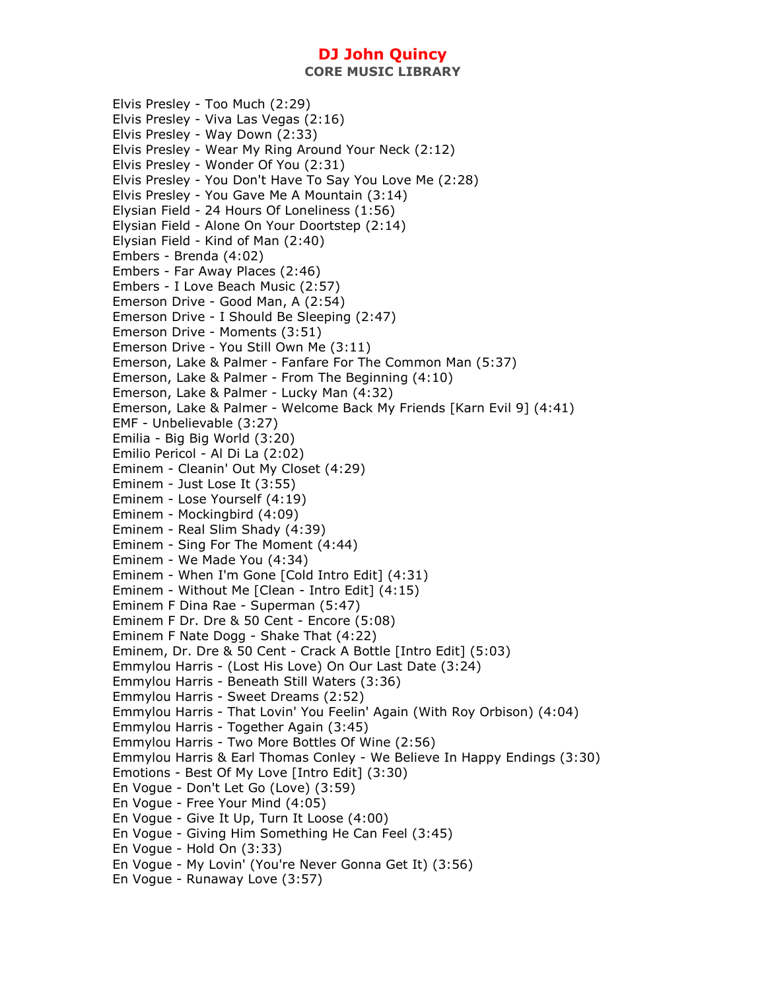**CORE MUSIC LIBRARY** 

Elvis Presley - Too Much (2:29) Elvis Presley - Viva Las Vegas (2:16) Elvis Presley - Way Down (2:33) Elvis Presley - Wear My Ring Around Your Neck (2:12) Elvis Presley - Wonder Of You (2:31) Elvis Presley - You Don't Have To Say You Love Me (2:28) Elvis Presley - You Gave Me A Mountain (3:14) Elysian Field - 24 Hours Of Loneliness (1:56) Elysian Field - Alone On Your Doortstep (2:14) Elysian Field - Kind of Man (2:40) Embers - Brenda (4:02) Embers - Far Away Places (2:46) Embers - I Love Beach Music (2:57) Emerson Drive - Good Man, A (2:54) Emerson Drive - I Should Be Sleeping (2:47) Emerson Drive - Moments (3:51) Emerson Drive - You Still Own Me (3:11) Emerson, Lake & Palmer - Fanfare For The Common Man (5:37) Emerson, Lake & Palmer - From The Beginning (4:10) Emerson, Lake & Palmer - Lucky Man (4:32) Emerson, Lake & Palmer - Welcome Back My Friends [Karn Evil 9] (4:41) EMF - Unbelievable (3:27) Emilia - Big Big World (3:20) Emilio Pericol - Al Di La (2:02) Eminem - Cleanin' Out My Closet (4:29) Eminem - Just Lose It (3:55) Eminem - Lose Yourself (4:19) Eminem - Mockingbird (4:09) Eminem - Real Slim Shady (4:39) Eminem - Sing For The Moment (4:44) Eminem - We Made You (4:34) Eminem - When I'm Gone [Cold Intro Edit] (4:31) Eminem - Without Me [Clean - Intro Edit] (4:15) Eminem F Dina Rae - Superman (5:47) Eminem F Dr. Dre & 50 Cent - Encore (5:08) Eminem F Nate Dogg - Shake That (4:22) Eminem, Dr. Dre & 50 Cent - Crack A Bottle [Intro Edit] (5:03) Emmylou Harris - (Lost His Love) On Our Last Date (3:24) Emmylou Harris - Beneath Still Waters (3:36) Emmylou Harris - Sweet Dreams (2:52) Emmylou Harris - That Lovin' You Feelin' Again (With Roy Orbison) (4:04) Emmylou Harris - Together Again (3:45) Emmylou Harris - Two More Bottles Of Wine (2:56) Emmylou Harris & Earl Thomas Conley - We Believe In Happy Endings (3:30) Emotions - Best Of My Love [Intro Edit] (3:30) En Vogue - Don't Let Go (Love) (3:59) En Vogue - Free Your Mind (4:05) En Vogue - Give It Up, Turn It Loose (4:00) En Vogue - Giving Him Something He Can Feel (3:45) En Vogue - Hold On (3:33) En Vogue - My Lovin' (You're Never Gonna Get It) (3:56) En Vogue - Runaway Love (3:57)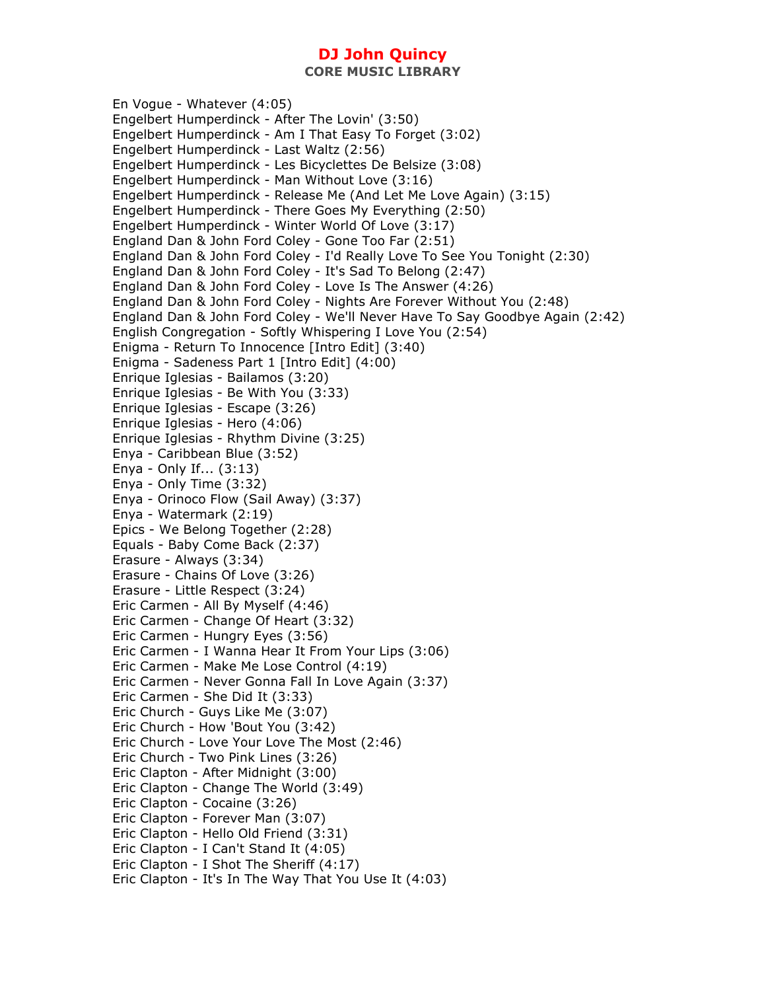En Vogue - Whatever (4:05) Engelbert Humperdinck - After The Lovin' (3:50) Engelbert Humperdinck - Am I That Easy To Forget (3:02) Engelbert Humperdinck - Last Waltz (2:56) Engelbert Humperdinck - Les Bicyclettes De Belsize (3:08) Engelbert Humperdinck - Man Without Love (3:16) Engelbert Humperdinck - Release Me (And Let Me Love Again) (3:15) Engelbert Humperdinck - There Goes My Everything (2:50) Engelbert Humperdinck - Winter World Of Love (3:17) England Dan & John Ford Coley - Gone Too Far (2:51) England Dan & John Ford Coley - I'd Really Love To See You Tonight (2:30) England Dan & John Ford Coley - It's Sad To Belong (2:47) England Dan & John Ford Coley - Love Is The Answer (4:26) England Dan & John Ford Coley - Nights Are Forever Without You (2:48) England Dan & John Ford Coley - We'll Never Have To Say Goodbye Again (2:42) English Congregation - Softly Whispering I Love You (2:54) Enigma - Return To Innocence [Intro Edit] (3:40) Enigma - Sadeness Part 1 [Intro Edit] (4:00) Enrique Iglesias - Bailamos (3:20) Enrique Iglesias - Be With You (3:33) Enrique Iglesias - Escape (3:26) Enrique Iglesias - Hero (4:06) Enrique Iglesias - Rhythm Divine (3:25) Enya - Caribbean Blue (3:52) Enya - Only If... (3:13) Enya - Only Time (3:32) Enya - Orinoco Flow (Sail Away) (3:37) Enya - Watermark (2:19) Epics - We Belong Together (2:28) Equals - Baby Come Back (2:37) Erasure - Always (3:34) Erasure - Chains Of Love (3:26) Erasure - Little Respect (3:24) Eric Carmen - All By Myself (4:46) Eric Carmen - Change Of Heart (3:32) Eric Carmen - Hungry Eyes (3:56) Eric Carmen - I Wanna Hear It From Your Lips (3:06) Eric Carmen - Make Me Lose Control (4:19) Eric Carmen - Never Gonna Fall In Love Again (3:37) Eric Carmen - She Did It (3:33) Eric Church - Guys Like Me (3:07) Eric Church - How 'Bout You (3:42) Eric Church - Love Your Love The Most (2:46) Eric Church - Two Pink Lines (3:26) Eric Clapton - After Midnight (3:00) Eric Clapton - Change The World (3:49) Eric Clapton - Cocaine (3:26) Eric Clapton - Forever Man (3:07) Eric Clapton - Hello Old Friend (3:31) Eric Clapton - I Can't Stand It (4:05) Eric Clapton - I Shot The Sheriff (4:17) Eric Clapton - It's In The Way That You Use It (4:03)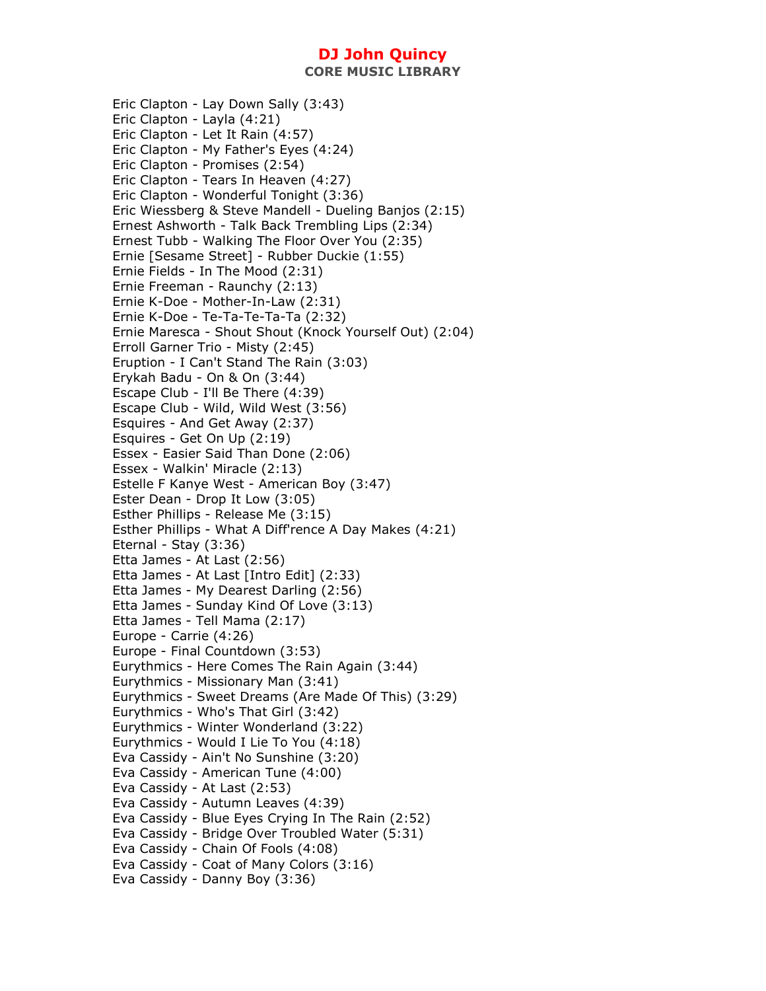**CORE MUSIC LIBRARY** 

Eric Clapton - Lay Down Sally (3:43) Eric Clapton - Layla (4:21) Eric Clapton - Let It Rain (4:57) Eric Clapton - My Father's Eyes (4:24) Eric Clapton - Promises (2:54) Eric Clapton - Tears In Heaven (4:27) Eric Clapton - Wonderful Tonight (3:36) Eric Wiessberg & Steve Mandell - Dueling Banjos (2:15) Ernest Ashworth - Talk Back Trembling Lips (2:34) Ernest Tubb - Walking The Floor Over You (2:35) Ernie [Sesame Street] - Rubber Duckie (1:55) Ernie Fields - In The Mood (2:31) Ernie Freeman - Raunchy (2:13) Ernie K-Doe - Mother-In-Law (2:31) Ernie K-Doe - Te-Ta-Te-Ta-Ta (2:32) Ernie Maresca - Shout Shout (Knock Yourself Out) (2:04) Erroll Garner Trio - Misty (2:45) Eruption - I Can't Stand The Rain (3:03) Erykah Badu - On & On (3:44) Escape Club - I'll Be There (4:39) Escape Club - Wild, Wild West (3:56) Esquires - And Get Away (2:37) Esquires - Get On Up (2:19) Essex - Easier Said Than Done (2:06) Essex - Walkin' Miracle (2:13) Estelle F Kanye West - American Boy (3:47) Ester Dean - Drop It Low (3:05) Esther Phillips - Release Me (3:15) Esther Phillips - What A Diff'rence A Day Makes (4:21) Eternal - Stay (3:36) Etta James - At Last (2:56) Etta James - At Last [Intro Edit] (2:33) Etta James - My Dearest Darling (2:56) Etta James - Sunday Kind Of Love (3:13) Etta James - Tell Mama (2:17) Europe - Carrie (4:26) Europe - Final Countdown (3:53) Eurythmics - Here Comes The Rain Again (3:44) Eurythmics - Missionary Man (3:41) Eurythmics - Sweet Dreams (Are Made Of This) (3:29) Eurythmics - Who's That Girl (3:42) Eurythmics - Winter Wonderland (3:22) Eurythmics - Would I Lie To You (4:18) Eva Cassidy - Ain't No Sunshine (3:20) Eva Cassidy - American Tune (4:00) Eva Cassidy - At Last (2:53) Eva Cassidy - Autumn Leaves (4:39) Eva Cassidy - Blue Eyes Crying In The Rain (2:52) Eva Cassidy - Bridge Over Troubled Water (5:31) Eva Cassidy - Chain Of Fools (4:08) Eva Cassidy - Coat of Many Colors (3:16) Eva Cassidy - Danny Boy (3:36)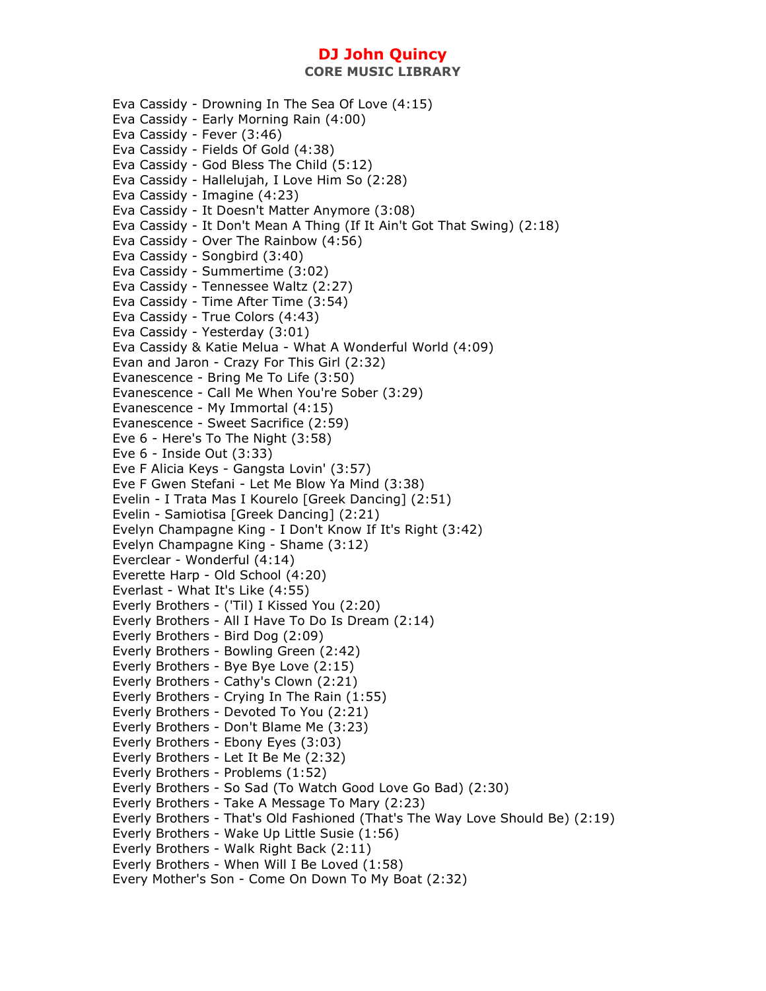Eva Cassidy - Drowning In The Sea Of Love (4:15) Eva Cassidy - Early Morning Rain (4:00) Eva Cassidy - Fever (3:46) Eva Cassidy - Fields Of Gold (4:38) Eva Cassidy - God Bless The Child (5:12) Eva Cassidy - Hallelujah, I Love Him So (2:28) Eva Cassidy - Imagine (4:23) Eva Cassidy - It Doesn't Matter Anymore (3:08) Eva Cassidy - It Don't Mean A Thing (If It Ain't Got That Swing) (2:18) Eva Cassidy - Over The Rainbow (4:56) Eva Cassidy - Songbird (3:40) Eva Cassidy - Summertime (3:02) Eva Cassidy - Tennessee Waltz (2:27) Eva Cassidy - Time After Time (3:54) Eva Cassidy - True Colors (4:43) Eva Cassidy - Yesterday (3:01) Eva Cassidy & Katie Melua - What A Wonderful World (4:09) Evan and Jaron - Crazy For This Girl (2:32) Evanescence - Bring Me To Life (3:50) Evanescence - Call Me When You're Sober (3:29) Evanescence - My Immortal (4:15) Evanescence - Sweet Sacrifice (2:59) Eve 6 - Here's To The Night (3:58) Eve 6 - Inside Out (3:33) Eve F Alicia Keys - Gangsta Lovin' (3:57) Eve F Gwen Stefani - Let Me Blow Ya Mind (3:38) Evelin - I Trata Mas I Kourelo [Greek Dancing] (2:51) Evelin - Samiotisa [Greek Dancing] (2:21) Evelyn Champagne King - I Don't Know If It's Right (3:42) Evelyn Champagne King - Shame (3:12) Everclear - Wonderful (4:14) Everette Harp - Old School (4:20) Everlast - What It's Like (4:55) Everly Brothers - ('Til) I Kissed You (2:20) Everly Brothers - All I Have To Do Is Dream (2:14) Everly Brothers - Bird Dog (2:09) Everly Brothers - Bowling Green (2:42) Everly Brothers - Bye Bye Love (2:15) Everly Brothers - Cathy's Clown (2:21) Everly Brothers - Crying In The Rain (1:55) Everly Brothers - Devoted To You (2:21) Everly Brothers - Don't Blame Me (3:23) Everly Brothers - Ebony Eyes (3:03) Everly Brothers - Let It Be Me (2:32) Everly Brothers - Problems (1:52) Everly Brothers - So Sad (To Watch Good Love Go Bad) (2:30) Everly Brothers - Take A Message To Mary (2:23) Everly Brothers - That's Old Fashioned (That's The Way Love Should Be) (2:19) Everly Brothers - Wake Up Little Susie (1:56) Everly Brothers - Walk Right Back (2:11) Everly Brothers - When Will I Be Loved (1:58) Every Mother's Son - Come On Down To My Boat (2:32)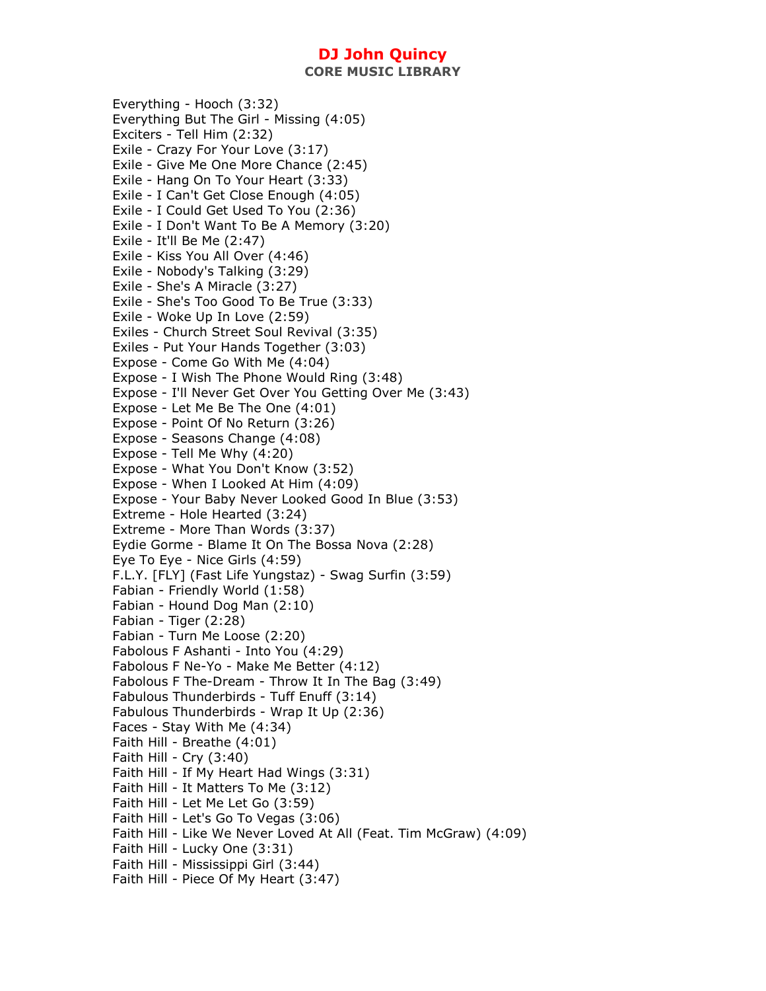**CORE MUSIC LIBRARY** 

Everything - Hooch (3:32) Everything But The Girl - Missing (4:05) Exciters - Tell Him (2:32) Exile - Crazy For Your Love (3:17) Exile - Give Me One More Chance (2:45) Exile - Hang On To Your Heart (3:33) Exile - I Can't Get Close Enough (4:05) Exile - I Could Get Used To You (2:36) Exile - I Don't Want To Be A Memory (3:20) Exile - It'll Be Me (2:47) Exile - Kiss You All Over (4:46) Exile - Nobody's Talking (3:29) Exile - She's A Miracle (3:27) Exile - She's Too Good To Be True (3:33) Exile - Woke Up In Love (2:59) Exiles - Church Street Soul Revival (3:35) Exiles - Put Your Hands Together (3:03) Expose - Come Go With Me (4:04) Expose - I Wish The Phone Would Ring (3:48) Expose - I'll Never Get Over You Getting Over Me (3:43) Expose - Let Me Be The One (4:01) Expose - Point Of No Return (3:26) Expose - Seasons Change (4:08) Expose - Tell Me Why (4:20) Expose - What You Don't Know (3:52) Expose - When I Looked At Him (4:09) Expose - Your Baby Never Looked Good In Blue (3:53) Extreme - Hole Hearted (3:24) Extreme - More Than Words (3:37) Eydie Gorme - Blame It On The Bossa Nova (2:28) Eye To Eye - Nice Girls (4:59) F.L.Y. [FLY] (Fast Life Yungstaz) - Swag Surfin (3:59) Fabian - Friendly World (1:58) Fabian - Hound Dog Man (2:10) Fabian - Tiger (2:28) Fabian - Turn Me Loose (2:20) Fabolous F Ashanti - Into You (4:29) Fabolous F Ne-Yo - Make Me Better (4:12) Fabolous F The-Dream - Throw It In The Bag (3:49) Fabulous Thunderbirds - Tuff Enuff (3:14) Fabulous Thunderbirds - Wrap It Up (2:36) Faces - Stay With Me (4:34) Faith Hill - Breathe (4:01) Faith Hill - Cry  $(3:40)$ Faith Hill - If My Heart Had Wings (3:31) Faith Hill - It Matters To Me (3:12) Faith Hill - Let Me Let Go (3:59) Faith Hill - Let's Go To Vegas (3:06) Faith Hill - Like We Never Loved At All (Feat. Tim McGraw) (4:09) Faith Hill - Lucky One (3:31) Faith Hill - Mississippi Girl (3:44) Faith Hill - Piece Of My Heart (3:47)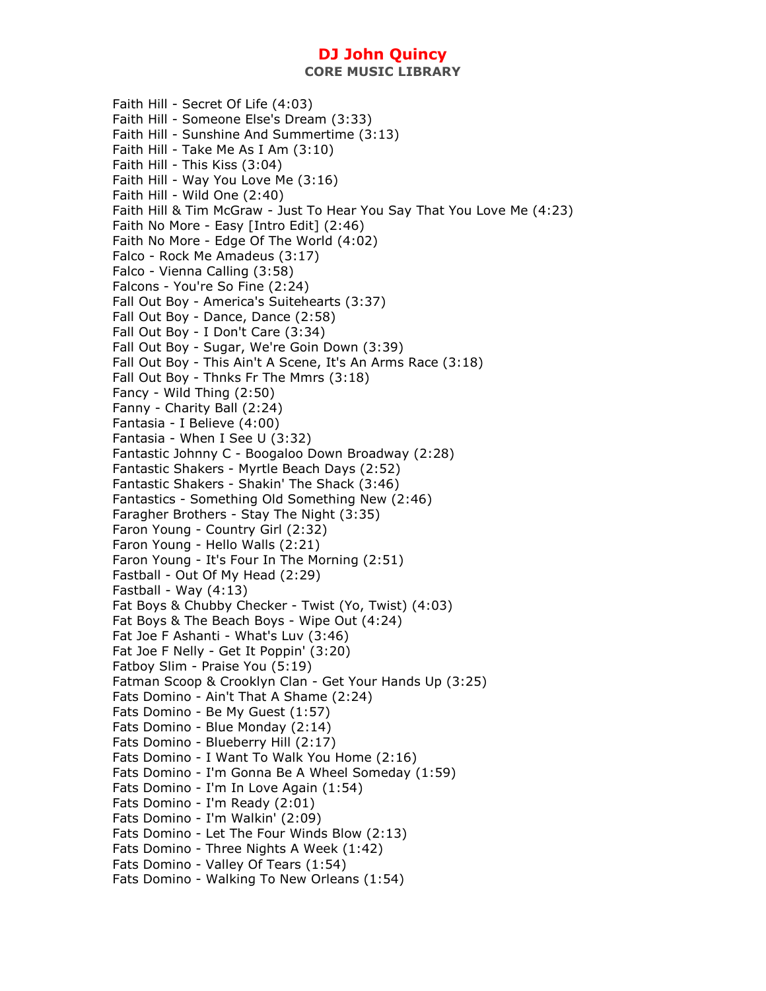Faith Hill - Secret Of Life (4:03) Faith Hill - Someone Else's Dream (3:33) Faith Hill - Sunshine And Summertime (3:13) Faith Hill - Take Me As I Am (3:10) Faith Hill - This Kiss (3:04) Faith Hill - Way You Love Me (3:16) Faith Hill - Wild One (2:40) Faith Hill & Tim McGraw - Just To Hear You Say That You Love Me (4:23) Faith No More - Easy [Intro Edit] (2:46) Faith No More - Edge Of The World (4:02) Falco - Rock Me Amadeus (3:17) Falco - Vienna Calling (3:58) Falcons - You're So Fine (2:24) Fall Out Boy - America's Suitehearts (3:37) Fall Out Boy - Dance, Dance (2:58) Fall Out Boy - I Don't Care (3:34) Fall Out Boy - Sugar, We're Goin Down (3:39) Fall Out Boy - This Ain't A Scene, It's An Arms Race (3:18) Fall Out Boy - Thnks Fr The Mmrs (3:18) Fancy - Wild Thing (2:50) Fanny - Charity Ball (2:24) Fantasia - I Believe (4:00) Fantasia - When I See U (3:32) Fantastic Johnny C - Boogaloo Down Broadway (2:28) Fantastic Shakers - Myrtle Beach Days (2:52) Fantastic Shakers - Shakin' The Shack (3:46) Fantastics - Something Old Something New (2:46) Faragher Brothers - Stay The Night (3:35) Faron Young - Country Girl (2:32) Faron Young - Hello Walls (2:21) Faron Young - It's Four In The Morning (2:51) Fastball - Out Of My Head (2:29) Fastball - Way (4:13) Fat Boys & Chubby Checker - Twist (Yo, Twist) (4:03) Fat Boys & The Beach Boys - Wipe Out (4:24) Fat Joe F Ashanti - What's Luv (3:46) Fat Joe F Nelly - Get It Poppin' (3:20) Fatboy Slim - Praise You (5:19) Fatman Scoop & Crooklyn Clan - Get Your Hands Up (3:25) Fats Domino - Ain't That A Shame (2:24) Fats Domino - Be My Guest (1:57) Fats Domino - Blue Monday (2:14) Fats Domino - Blueberry Hill (2:17) Fats Domino - I Want To Walk You Home (2:16) Fats Domino - I'm Gonna Be A Wheel Someday (1:59) Fats Domino - I'm In Love Again (1:54) Fats Domino - I'm Ready (2:01) Fats Domino - I'm Walkin' (2:09) Fats Domino - Let The Four Winds Blow (2:13) Fats Domino - Three Nights A Week (1:42) Fats Domino - Valley Of Tears (1:54) Fats Domino - Walking To New Orleans (1:54)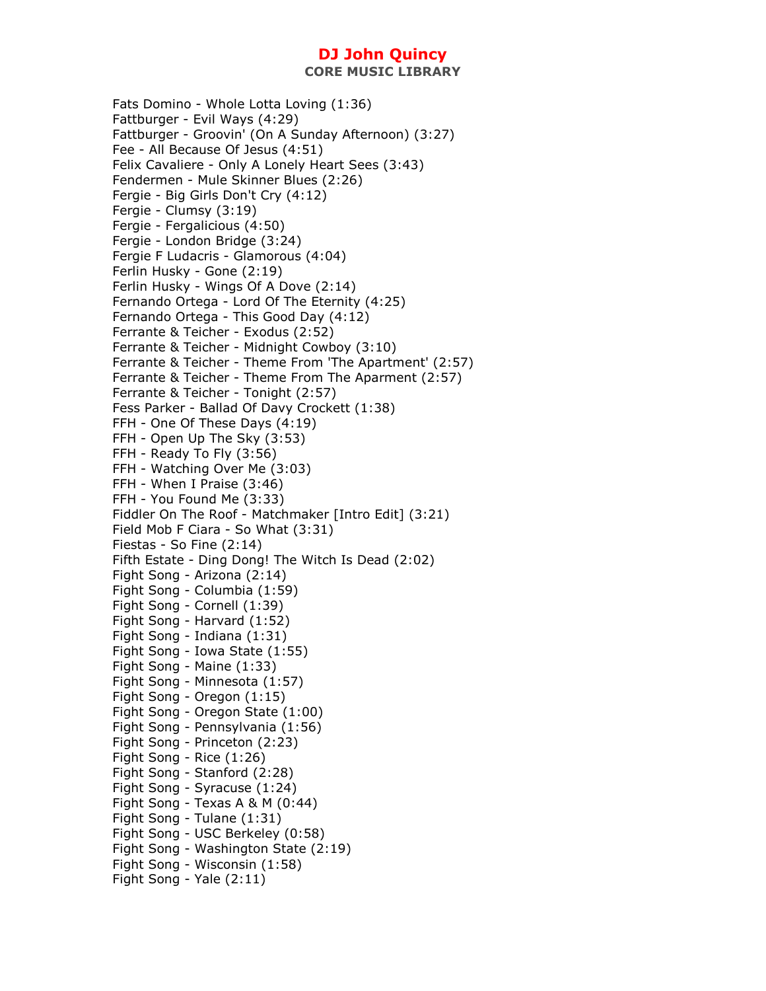Fats Domino - Whole Lotta Loving (1:36) Fattburger - Evil Ways (4:29) Fattburger - Groovin' (On A Sunday Afternoon) (3:27) Fee - All Because Of Jesus (4:51) Felix Cavaliere - Only A Lonely Heart Sees (3:43) Fendermen - Mule Skinner Blues (2:26) Fergie - Big Girls Don't Cry (4:12) Fergie - Clumsy (3:19) Fergie - Fergalicious (4:50) Fergie - London Bridge (3:24) Fergie F Ludacris - Glamorous (4:04) Ferlin Husky - Gone (2:19) Ferlin Husky - Wings Of A Dove (2:14) Fernando Ortega - Lord Of The Eternity (4:25) Fernando Ortega - This Good Day (4:12) Ferrante & Teicher - Exodus (2:52) Ferrante & Teicher - Midnight Cowboy (3:10) Ferrante & Teicher - Theme From 'The Apartment' (2:57) Ferrante & Teicher - Theme From The Aparment (2:57) Ferrante & Teicher - Tonight (2:57) Fess Parker - Ballad Of Davy Crockett (1:38) FFH - One Of These Days (4:19) FFH - Open Up The Sky (3:53) FFH - Ready To Fly (3:56) FFH - Watching Over Me (3:03) FFH - When I Praise (3:46) FFH - You Found Me (3:33) Fiddler On The Roof - Matchmaker [Intro Edit] (3:21) Field Mob F Ciara - So What (3:31) Fiestas - So Fine (2:14) Fifth Estate - Ding Dong! The Witch Is Dead (2:02) Fight Song - Arizona (2:14) Fight Song - Columbia (1:59) Fight Song - Cornell (1:39) Fight Song - Harvard (1:52) Fight Song - Indiana (1:31) Fight Song - Iowa State (1:55) Fight Song - Maine (1:33) Fight Song - Minnesota (1:57) Fight Song - Oregon (1:15) Fight Song - Oregon State (1:00) Fight Song - Pennsylvania (1:56) Fight Song - Princeton (2:23) Fight Song - Rice (1:26) Fight Song - Stanford (2:28) Fight Song - Syracuse (1:24) Fight Song - Texas A & M (0:44) Fight Song - Tulane (1:31) Fight Song - USC Berkeley (0:58) Fight Song - Washington State (2:19) Fight Song - Wisconsin (1:58) Fight Song - Yale (2:11)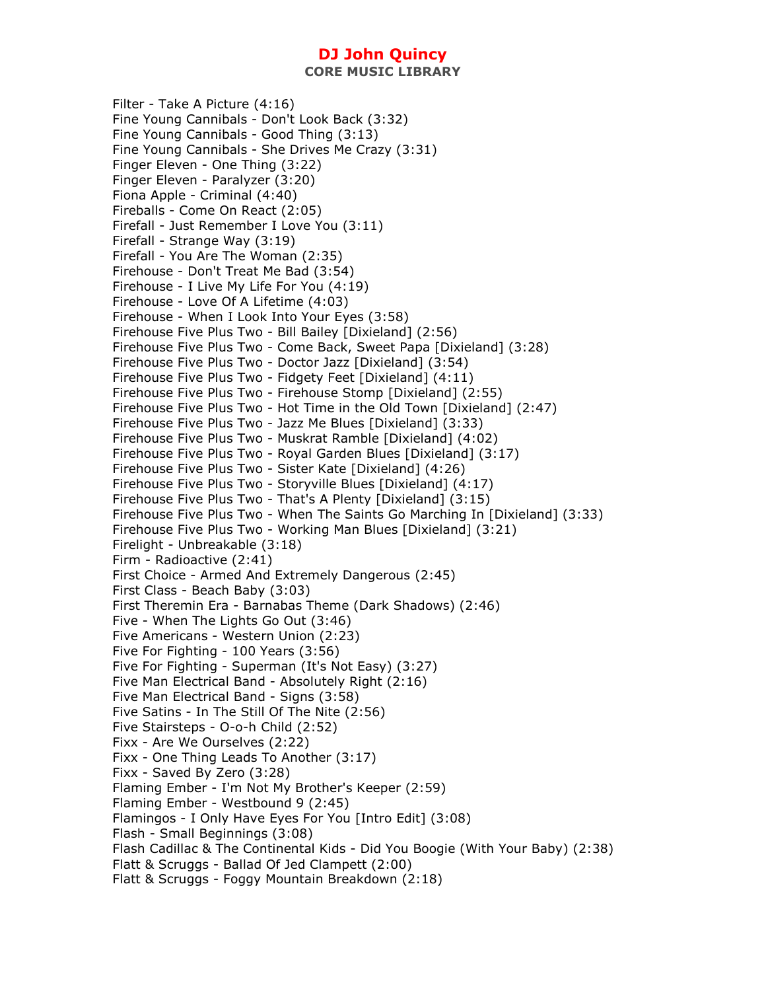Filter - Take A Picture (4:16) Fine Young Cannibals - Don't Look Back (3:32) Fine Young Cannibals - Good Thing (3:13) Fine Young Cannibals - She Drives Me Crazy (3:31) Finger Eleven - One Thing (3:22) Finger Eleven - Paralyzer (3:20) Fiona Apple - Criminal (4:40) Fireballs - Come On React (2:05) Firefall - Just Remember I Love You (3:11) Firefall - Strange Way (3:19) Firefall - You Are The Woman (2:35) Firehouse - Don't Treat Me Bad (3:54) Firehouse - I Live My Life For You (4:19) Firehouse - Love Of A Lifetime (4:03) Firehouse - When I Look Into Your Eyes (3:58) Firehouse Five Plus Two - Bill Bailey [Dixieland] (2:56) Firehouse Five Plus Two - Come Back, Sweet Papa [Dixieland] (3:28) Firehouse Five Plus Two - Doctor Jazz [Dixieland] (3:54) Firehouse Five Plus Two - Fidgety Feet [Dixieland] (4:11) Firehouse Five Plus Two - Firehouse Stomp [Dixieland] (2:55) Firehouse Five Plus Two - Hot Time in the Old Town [Dixieland] (2:47) Firehouse Five Plus Two - Jazz Me Blues [Dixieland] (3:33) Firehouse Five Plus Two - Muskrat Ramble [Dixieland] (4:02) Firehouse Five Plus Two - Royal Garden Blues [Dixieland] (3:17) Firehouse Five Plus Two - Sister Kate [Dixieland] (4:26) Firehouse Five Plus Two - Storyville Blues [Dixieland] (4:17) Firehouse Five Plus Two - That's A Plenty [Dixieland] (3:15) Firehouse Five Plus Two - When The Saints Go Marching In [Dixieland] (3:33) Firehouse Five Plus Two - Working Man Blues [Dixieland] (3:21) Firelight - Unbreakable (3:18) Firm - Radioactive (2:41) First Choice - Armed And Extremely Dangerous (2:45) First Class - Beach Baby (3:03) First Theremin Era - Barnabas Theme (Dark Shadows) (2:46) Five - When The Lights Go Out (3:46) Five Americans - Western Union (2:23) Five For Fighting - 100 Years (3:56) Five For Fighting - Superman (It's Not Easy) (3:27) Five Man Electrical Band - Absolutely Right (2:16) Five Man Electrical Band - Signs (3:58) Five Satins - In The Still Of The Nite (2:56) Five Stairsteps - O-o-h Child (2:52) Fixx - Are We Ourselves (2:22) Fixx - One Thing Leads To Another (3:17) Fixx - Saved By Zero (3:28) Flaming Ember - I'm Not My Brother's Keeper (2:59) Flaming Ember - Westbound 9 (2:45) Flamingos - I Only Have Eyes For You [Intro Edit] (3:08) Flash - Small Beginnings (3:08) Flash Cadillac & The Continental Kids - Did You Boogie (With Your Baby) (2:38) Flatt & Scruggs - Ballad Of Jed Clampett (2:00) Flatt & Scruggs - Foggy Mountain Breakdown (2:18)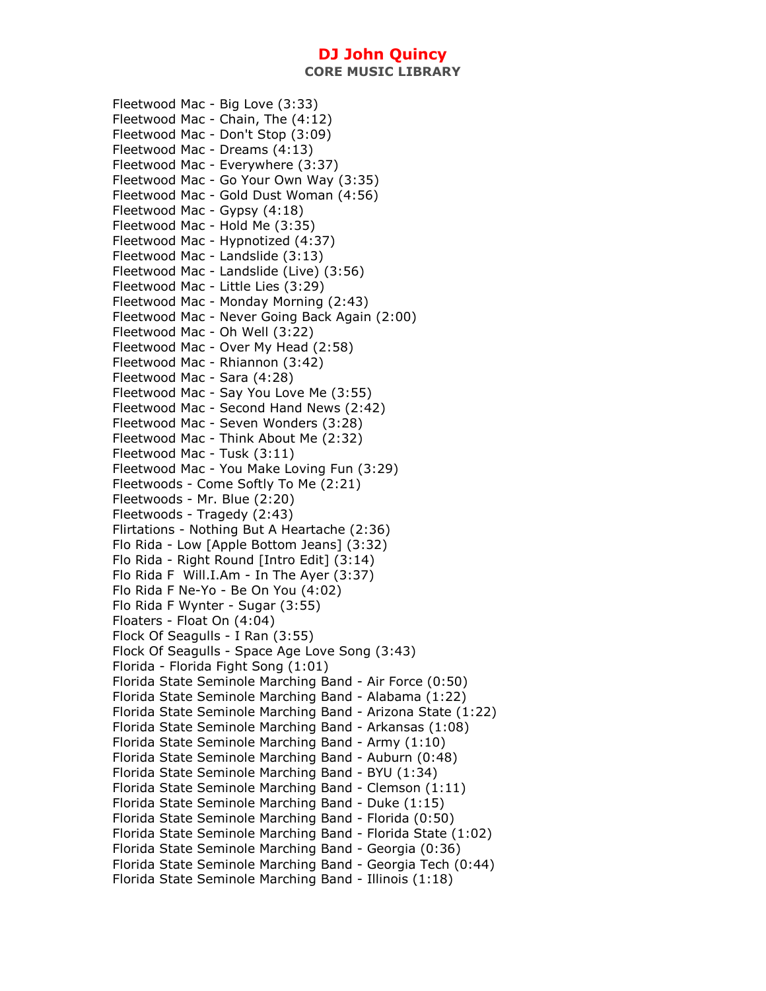Fleetwood Mac - Big Love (3:33) Fleetwood Mac - Chain, The (4:12) Fleetwood Mac - Don't Stop (3:09) Fleetwood Mac - Dreams (4:13) Fleetwood Mac - Everywhere (3:37) Fleetwood Mac - Go Your Own Way (3:35) Fleetwood Mac - Gold Dust Woman (4:56) Fleetwood Mac - Gypsy (4:18) Fleetwood Mac - Hold Me (3:35) Fleetwood Mac - Hypnotized (4:37) Fleetwood Mac - Landslide (3:13) Fleetwood Mac - Landslide (Live) (3:56) Fleetwood Mac - Little Lies (3:29) Fleetwood Mac - Monday Morning (2:43) Fleetwood Mac - Never Going Back Again (2:00) Fleetwood Mac - Oh Well (3:22) Fleetwood Mac - Over My Head (2:58) Fleetwood Mac - Rhiannon (3:42) Fleetwood Mac - Sara (4:28) Fleetwood Mac - Say You Love Me (3:55) Fleetwood Mac - Second Hand News (2:42) Fleetwood Mac - Seven Wonders (3:28) Fleetwood Mac - Think About Me (2:32) Fleetwood Mac - Tusk (3:11) Fleetwood Mac - You Make Loving Fun (3:29) Fleetwoods - Come Softly To Me (2:21) Fleetwoods - Mr. Blue (2:20) Fleetwoods - Tragedy (2:43) Flirtations - Nothing But A Heartache (2:36) Flo Rida - Low [Apple Bottom Jeans] (3:32) Flo Rida - Right Round [Intro Edit] (3:14) Flo Rida F Will.I.Am - In The Ayer (3:37) Flo Rida F Ne-Yo - Be On You (4:02) Flo Rida F Wynter - Sugar (3:55) Floaters - Float On (4:04) Flock Of Seagulls - I Ran (3:55) Flock Of Seagulls - Space Age Love Song (3:43) Florida - Florida Fight Song (1:01) Florida State Seminole Marching Band - Air Force (0:50) Florida State Seminole Marching Band - Alabama (1:22) Florida State Seminole Marching Band - Arizona State (1:22) Florida State Seminole Marching Band - Arkansas (1:08) Florida State Seminole Marching Band - Army (1:10) Florida State Seminole Marching Band - Auburn (0:48) Florida State Seminole Marching Band - BYU (1:34) Florida State Seminole Marching Band - Clemson (1:11) Florida State Seminole Marching Band - Duke (1:15) Florida State Seminole Marching Band - Florida (0:50) Florida State Seminole Marching Band - Florida State (1:02) Florida State Seminole Marching Band - Georgia (0:36) Florida State Seminole Marching Band - Georgia Tech (0:44) Florida State Seminole Marching Band - Illinois (1:18)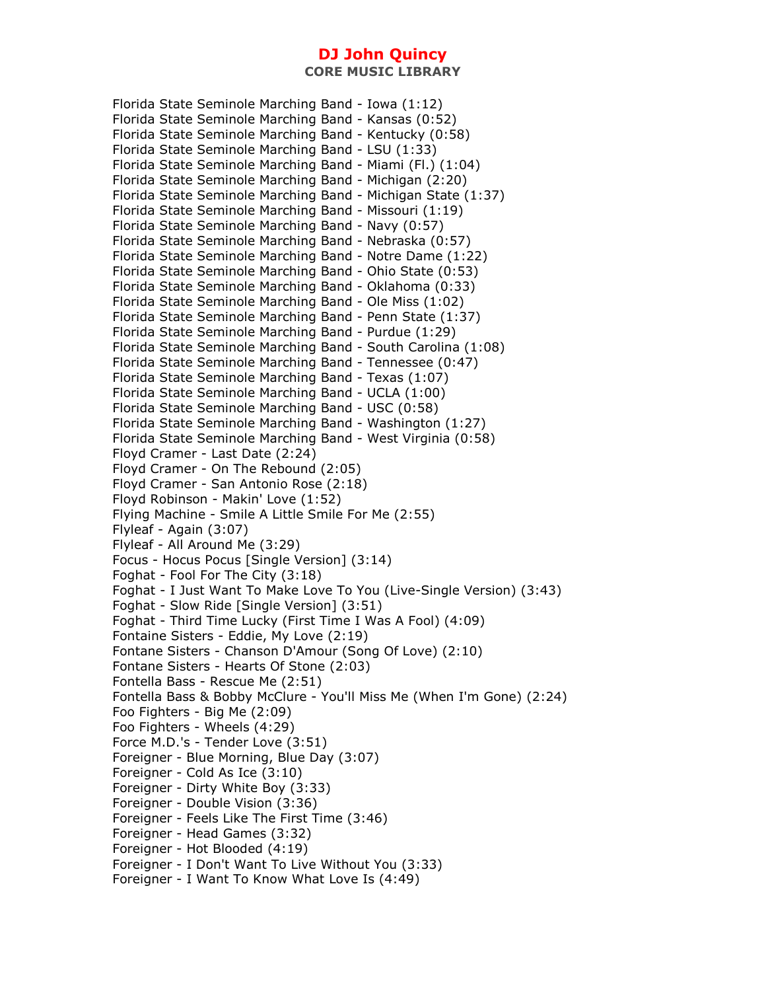Florida State Seminole Marching Band - Iowa (1:12) Florida State Seminole Marching Band - Kansas (0:52) Florida State Seminole Marching Band - Kentucky (0:58) Florida State Seminole Marching Band - LSU (1:33) Florida State Seminole Marching Band - Miami (Fl.) (1:04) Florida State Seminole Marching Band - Michigan (2:20) Florida State Seminole Marching Band - Michigan State (1:37) Florida State Seminole Marching Band - Missouri (1:19) Florida State Seminole Marching Band - Navy (0:57) Florida State Seminole Marching Band - Nebraska (0:57) Florida State Seminole Marching Band - Notre Dame (1:22) Florida State Seminole Marching Band - Ohio State (0:53) Florida State Seminole Marching Band - Oklahoma (0:33) Florida State Seminole Marching Band - Ole Miss (1:02) Florida State Seminole Marching Band - Penn State (1:37) Florida State Seminole Marching Band - Purdue (1:29) Florida State Seminole Marching Band - South Carolina (1:08) Florida State Seminole Marching Band - Tennessee (0:47) Florida State Seminole Marching Band - Texas (1:07) Florida State Seminole Marching Band - UCLA (1:00) Florida State Seminole Marching Band - USC (0:58) Florida State Seminole Marching Band - Washington (1:27) Florida State Seminole Marching Band - West Virginia (0:58) Floyd Cramer - Last Date (2:24) Floyd Cramer - On The Rebound (2:05) Floyd Cramer - San Antonio Rose (2:18) Floyd Robinson - Makin' Love (1:52) Flying Machine - Smile A Little Smile For Me (2:55) Flyleaf - Again (3:07) Flyleaf - All Around Me (3:29) Focus - Hocus Pocus [Single Version] (3:14) Foghat - Fool For The City (3:18) Foghat - I Just Want To Make Love To You (Live-Single Version) (3:43) Foghat - Slow Ride [Single Version] (3:51) Foghat - Third Time Lucky (First Time I Was A Fool) (4:09) Fontaine Sisters - Eddie, My Love (2:19) Fontane Sisters - Chanson D'Amour (Song Of Love) (2:10) Fontane Sisters - Hearts Of Stone (2:03) Fontella Bass - Rescue Me (2:51) Fontella Bass & Bobby McClure - You'll Miss Me (When I'm Gone) (2:24) Foo Fighters - Big Me (2:09) Foo Fighters - Wheels (4:29) Force M.D.'s - Tender Love (3:51) Foreigner - Blue Morning, Blue Day (3:07) Foreigner - Cold As Ice (3:10) Foreigner - Dirty White Boy (3:33) Foreigner - Double Vision (3:36) Foreigner - Feels Like The First Time (3:46) Foreigner - Head Games (3:32) Foreigner - Hot Blooded (4:19) Foreigner - I Don't Want To Live Without You (3:33) Foreigner - I Want To Know What Love Is (4:49)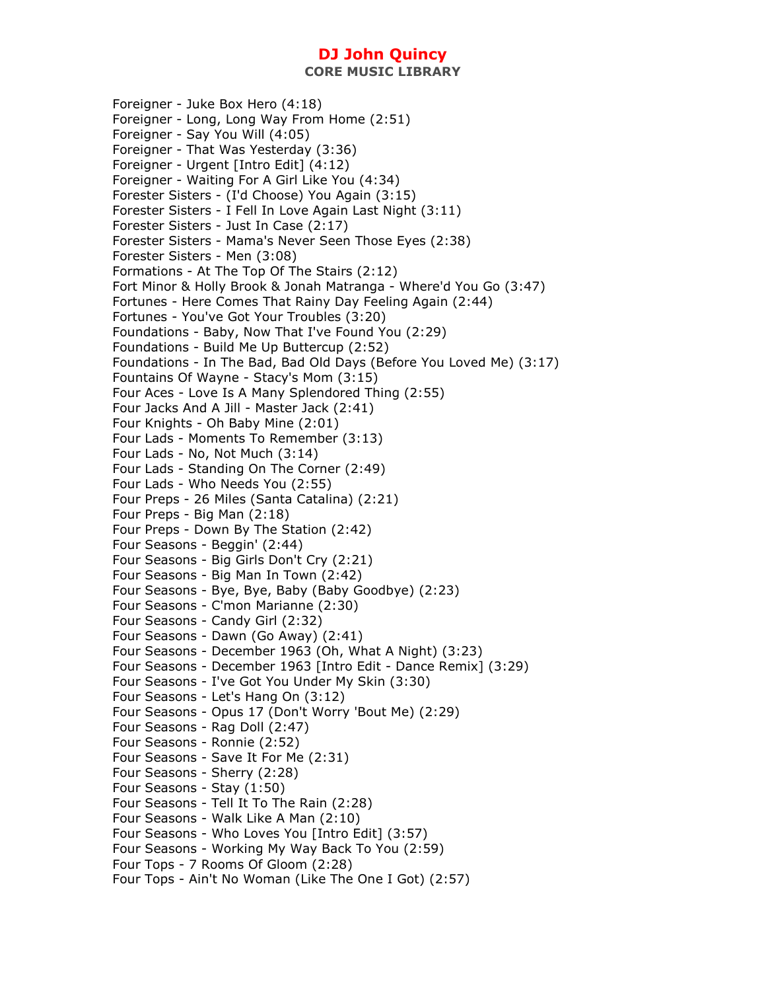**CORE MUSIC LIBRARY** 

Foreigner - Juke Box Hero (4:18) Foreigner - Long, Long Way From Home (2:51) Foreigner - Say You Will (4:05) Foreigner - That Was Yesterday (3:36) Foreigner - Urgent [Intro Edit] (4:12) Foreigner - Waiting For A Girl Like You (4:34) Forester Sisters - (I'd Choose) You Again (3:15) Forester Sisters - I Fell In Love Again Last Night (3:11) Forester Sisters - Just In Case (2:17) Forester Sisters - Mama's Never Seen Those Eyes (2:38) Forester Sisters - Men (3:08) Formations - At The Top Of The Stairs (2:12) Fort Minor & Holly Brook & Jonah Matranga - Where'd You Go (3:47) Fortunes - Here Comes That Rainy Day Feeling Again (2:44) Fortunes - You've Got Your Troubles (3:20) Foundations - Baby, Now That I've Found You (2:29) Foundations - Build Me Up Buttercup (2:52) Foundations - In The Bad, Bad Old Days (Before You Loved Me) (3:17) Fountains Of Wayne - Stacy's Mom (3:15) Four Aces - Love Is A Many Splendored Thing (2:55) Four Jacks And A Jill - Master Jack (2:41) Four Knights - Oh Baby Mine (2:01) Four Lads - Moments To Remember (3:13) Four Lads - No, Not Much (3:14) Four Lads - Standing On The Corner (2:49) Four Lads - Who Needs You (2:55) Four Preps - 26 Miles (Santa Catalina) (2:21) Four Preps - Big Man (2:18) Four Preps - Down By The Station (2:42) Four Seasons - Beggin' (2:44) Four Seasons - Big Girls Don't Cry (2:21) Four Seasons - Big Man In Town (2:42) Four Seasons - Bye, Bye, Baby (Baby Goodbye) (2:23) Four Seasons - C'mon Marianne (2:30) Four Seasons - Candy Girl (2:32) Four Seasons - Dawn (Go Away) (2:41) Four Seasons - December 1963 (Oh, What A Night) (3:23) Four Seasons - December 1963 [Intro Edit - Dance Remix] (3:29) Four Seasons - I've Got You Under My Skin (3:30) Four Seasons - Let's Hang On (3:12) Four Seasons - Opus 17 (Don't Worry 'Bout Me) (2:29) Four Seasons - Rag Doll (2:47) Four Seasons - Ronnie (2:52) Four Seasons - Save It For Me (2:31) Four Seasons - Sherry (2:28) Four Seasons - Stay (1:50) Four Seasons - Tell It To The Rain (2:28) Four Seasons - Walk Like A Man (2:10) Four Seasons - Who Loves You [Intro Edit] (3:57) Four Seasons - Working My Way Back To You (2:59) Four Tops - 7 Rooms Of Gloom (2:28) Four Tops - Ain't No Woman (Like The One I Got) (2:57)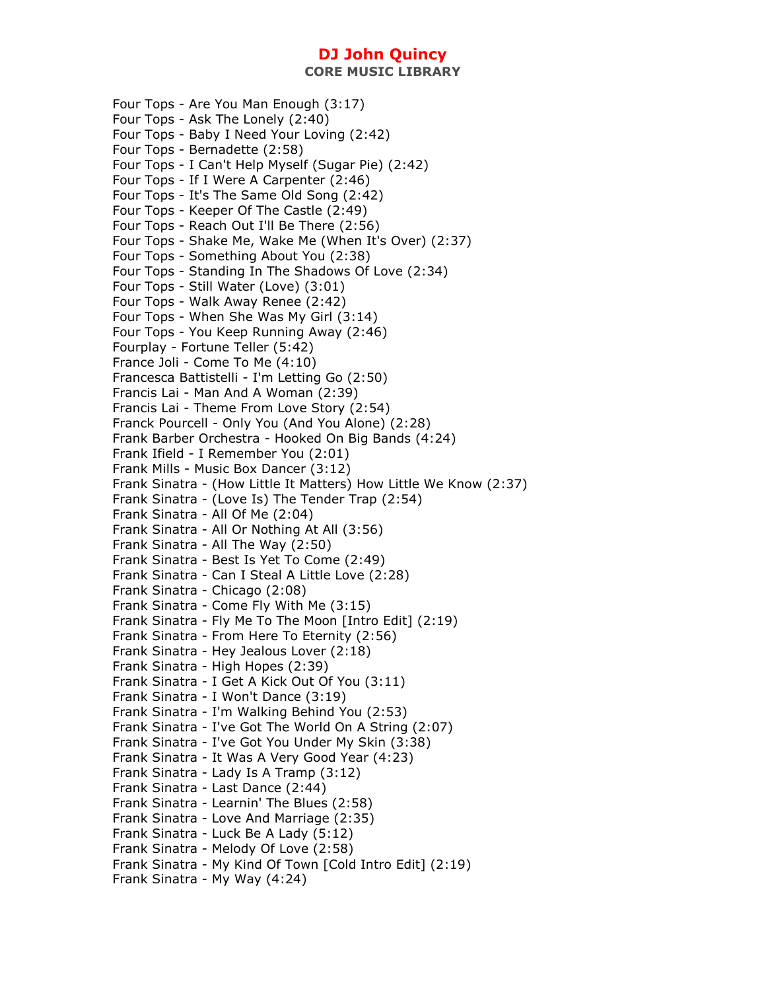**CORE MUSIC LIBRARY** 

Four Tops - Are You Man Enough (3:17) Four Tops - Ask The Lonely (2:40) Four Tops - Baby I Need Your Loving (2:42) Four Tops - Bernadette (2:58) Four Tops - I Can't Help Myself (Sugar Pie) (2:42) Four Tops - If I Were A Carpenter (2:46) Four Tops - It's The Same Old Song (2:42) Four Tops - Keeper Of The Castle (2:49) Four Tops - Reach Out I'll Be There (2:56) Four Tops - Shake Me, Wake Me (When It's Over) (2:37) Four Tops - Something About You (2:38) Four Tops - Standing In The Shadows Of Love (2:34) Four Tops - Still Water (Love) (3:01) Four Tops - Walk Away Renee (2:42) Four Tops - When She Was My Girl (3:14) Four Tops - You Keep Running Away (2:46) Fourplay - Fortune Teller (5:42) France Joli - Come To Me (4:10) Francesca Battistelli - I'm Letting Go (2:50) Francis Lai - Man And A Woman (2:39) Francis Lai - Theme From Love Story (2:54) Franck Pourcell - Only You (And You Alone) (2:28) Frank Barber Orchestra - Hooked On Big Bands (4:24) Frank Ifield - I Remember You (2:01) Frank Mills - Music Box Dancer (3:12) Frank Sinatra - (How Little It Matters) How Little We Know (2:37) Frank Sinatra - (Love Is) The Tender Trap (2:54) Frank Sinatra - All Of Me (2:04) Frank Sinatra - All Or Nothing At All (3:56) Frank Sinatra - All The Way (2:50) Frank Sinatra - Best Is Yet To Come (2:49) Frank Sinatra - Can I Steal A Little Love (2:28) Frank Sinatra - Chicago (2:08) Frank Sinatra - Come Fly With Me (3:15) Frank Sinatra - Fly Me To The Moon [Intro Edit] (2:19) Frank Sinatra - From Here To Eternity (2:56) Frank Sinatra - Hey Jealous Lover (2:18) Frank Sinatra - High Hopes (2:39) Frank Sinatra - I Get A Kick Out Of You (3:11) Frank Sinatra - I Won't Dance (3:19) Frank Sinatra - I'm Walking Behind You (2:53) Frank Sinatra - I've Got The World On A String (2:07) Frank Sinatra - I've Got You Under My Skin (3:38) Frank Sinatra - It Was A Very Good Year (4:23) Frank Sinatra - Lady Is A Tramp (3:12) Frank Sinatra - Last Dance (2:44) Frank Sinatra - Learnin' The Blues (2:58) Frank Sinatra - Love And Marriage (2:35) Frank Sinatra - Luck Be A Lady (5:12) Frank Sinatra - Melody Of Love (2:58) Frank Sinatra - My Kind Of Town [Cold Intro Edit] (2:19) Frank Sinatra - My Way (4:24)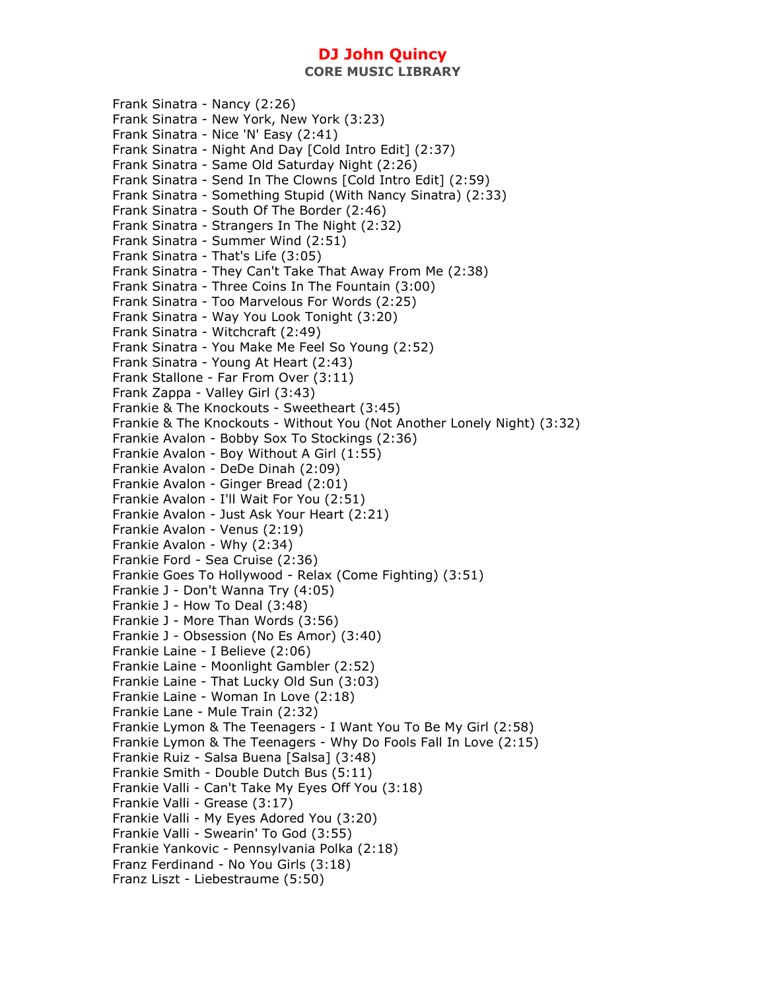**CORE MUSIC LIBRARY** 

Frank Sinatra - Nancy (2:26) Frank Sinatra - New York, New York (3:23) Frank Sinatra - Nice 'N' Easy (2:41) Frank Sinatra - Night And Day [Cold Intro Edit] (2:37) Frank Sinatra - Same Old Saturday Night (2:26) Frank Sinatra - Send In The Clowns [Cold Intro Edit] (2:59) Frank Sinatra - Something Stupid (With Nancy Sinatra) (2:33) Frank Sinatra - South Of The Border (2:46) Frank Sinatra - Strangers In The Night (2:32) Frank Sinatra - Summer Wind (2:51) Frank Sinatra - That's Life (3:05) Frank Sinatra - They Can't Take That Away From Me (2:38) Frank Sinatra - Three Coins In The Fountain (3:00) Frank Sinatra - Too Marvelous For Words (2:25) Frank Sinatra - Way You Look Tonight (3:20) Frank Sinatra - Witchcraft (2:49) Frank Sinatra - You Make Me Feel So Young (2:52) Frank Sinatra - Young At Heart (2:43) Frank Stallone - Far From Over (3:11) Frank Zappa - Valley Girl (3:43) Frankie & The Knockouts - Sweetheart (3:45) Frankie & The Knockouts - Without You (Not Another Lonely Night) (3:32) Frankie Avalon - Bobby Sox To Stockings (2:36) Frankie Avalon - Boy Without A Girl (1:55) Frankie Avalon - DeDe Dinah (2:09) Frankie Avalon - Ginger Bread (2:01) Frankie Avalon - I'll Wait For You (2:51) Frankie Avalon - Just Ask Your Heart (2:21) Frankie Avalon - Venus (2:19) Frankie Avalon - Why (2:34) Frankie Ford - Sea Cruise (2:36) Frankie Goes To Hollywood - Relax (Come Fighting) (3:51) Frankie J - Don't Wanna Try (4:05) Frankie J - How To Deal (3:48) Frankie J - More Than Words (3:56) Frankie J - Obsession (No Es Amor) (3:40) Frankie Laine - I Believe (2:06) Frankie Laine - Moonlight Gambler (2:52) Frankie Laine - That Lucky Old Sun (3:03) Frankie Laine - Woman In Love (2:18) Frankie Lane - Mule Train (2:32) Frankie Lymon & The Teenagers - I Want You To Be My Girl (2:58) Frankie Lymon & The Teenagers - Why Do Fools Fall In Love (2:15) Frankie Ruiz - Salsa Buena [Salsa] (3:48) Frankie Smith - Double Dutch Bus (5:11) Frankie Valli - Can't Take My Eyes Off You (3:18) Frankie Valli - Grease (3:17) Frankie Valli - My Eyes Adored You (3:20) Frankie Valli - Swearin' To God (3:55) Frankie Yankovic - Pennsylvania Polka (2:18) Franz Ferdinand - No You Girls (3:18) Franz Liszt - Liebestraume (5:50)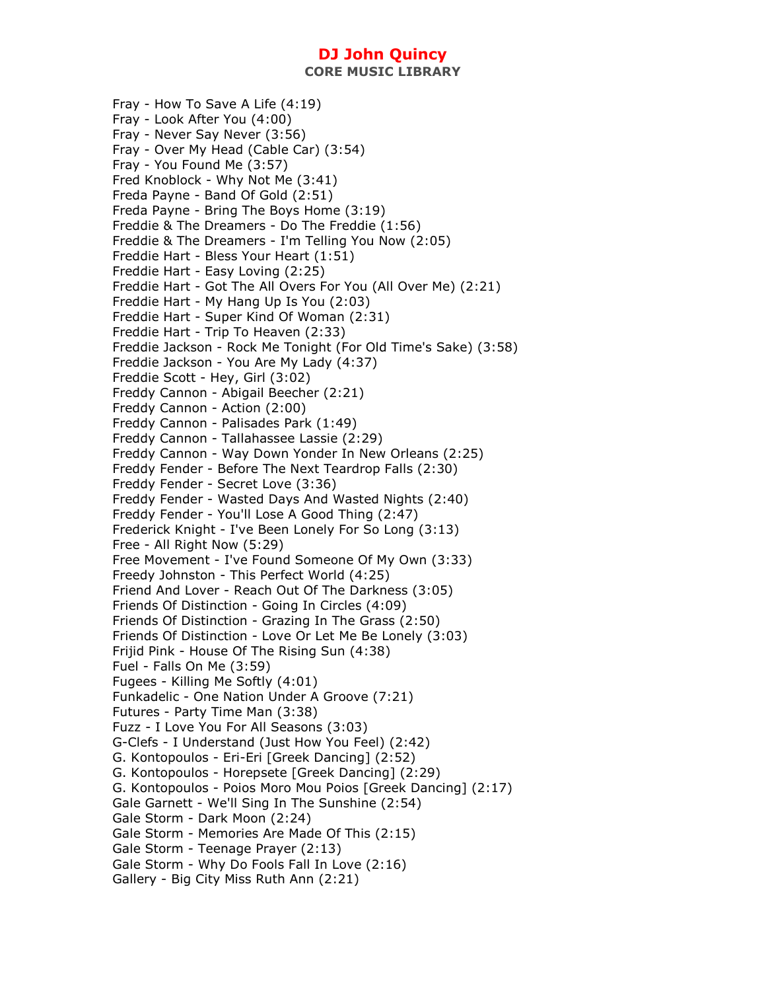**CORE MUSIC LIBRARY** 

Fray - How To Save A Life (4:19) Fray - Look After You (4:00) Fray - Never Say Never (3:56) Fray - Over My Head (Cable Car) (3:54) Fray - You Found Me (3:57) Fred Knoblock - Why Not Me (3:41) Freda Payne - Band Of Gold (2:51) Freda Payne - Bring The Boys Home (3:19) Freddie & The Dreamers - Do The Freddie (1:56) Freddie & The Dreamers - I'm Telling You Now (2:05) Freddie Hart - Bless Your Heart (1:51) Freddie Hart - Easy Loving (2:25) Freddie Hart - Got The All Overs For You (All Over Me) (2:21) Freddie Hart - My Hang Up Is You (2:03) Freddie Hart - Super Kind Of Woman (2:31) Freddie Hart - Trip To Heaven (2:33) Freddie Jackson - Rock Me Tonight (For Old Time's Sake) (3:58) Freddie Jackson - You Are My Lady (4:37) Freddie Scott - Hey, Girl (3:02) Freddy Cannon - Abigail Beecher (2:21) Freddy Cannon - Action (2:00) Freddy Cannon - Palisades Park (1:49) Freddy Cannon - Tallahassee Lassie (2:29) Freddy Cannon - Way Down Yonder In New Orleans (2:25) Freddy Fender - Before The Next Teardrop Falls (2:30) Freddy Fender - Secret Love (3:36) Freddy Fender - Wasted Days And Wasted Nights (2:40) Freddy Fender - You'll Lose A Good Thing (2:47) Frederick Knight - I've Been Lonely For So Long (3:13) Free - All Right Now (5:29) Free Movement - I've Found Someone Of My Own (3:33) Freedy Johnston - This Perfect World (4:25) Friend And Lover - Reach Out Of The Darkness (3:05) Friends Of Distinction - Going In Circles (4:09) Friends Of Distinction - Grazing In The Grass (2:50) Friends Of Distinction - Love Or Let Me Be Lonely (3:03) Frijid Pink - House Of The Rising Sun (4:38) Fuel - Falls On Me (3:59) Fugees - Killing Me Softly (4:01) Funkadelic - One Nation Under A Groove (7:21) Futures - Party Time Man (3:38) Fuzz - I Love You For All Seasons (3:03) G-Clefs - I Understand (Just How You Feel) (2:42) G. Kontopoulos - Eri-Eri [Greek Dancing] (2:52) G. Kontopoulos - Horepsete [Greek Dancing] (2:29) G. Kontopoulos - Poios Moro Mou Poios [Greek Dancing] (2:17) Gale Garnett - We'll Sing In The Sunshine (2:54) Gale Storm - Dark Moon (2:24) Gale Storm - Memories Are Made Of This (2:15) Gale Storm - Teenage Prayer (2:13) Gale Storm - Why Do Fools Fall In Love (2:16) Gallery - Big City Miss Ruth Ann (2:21)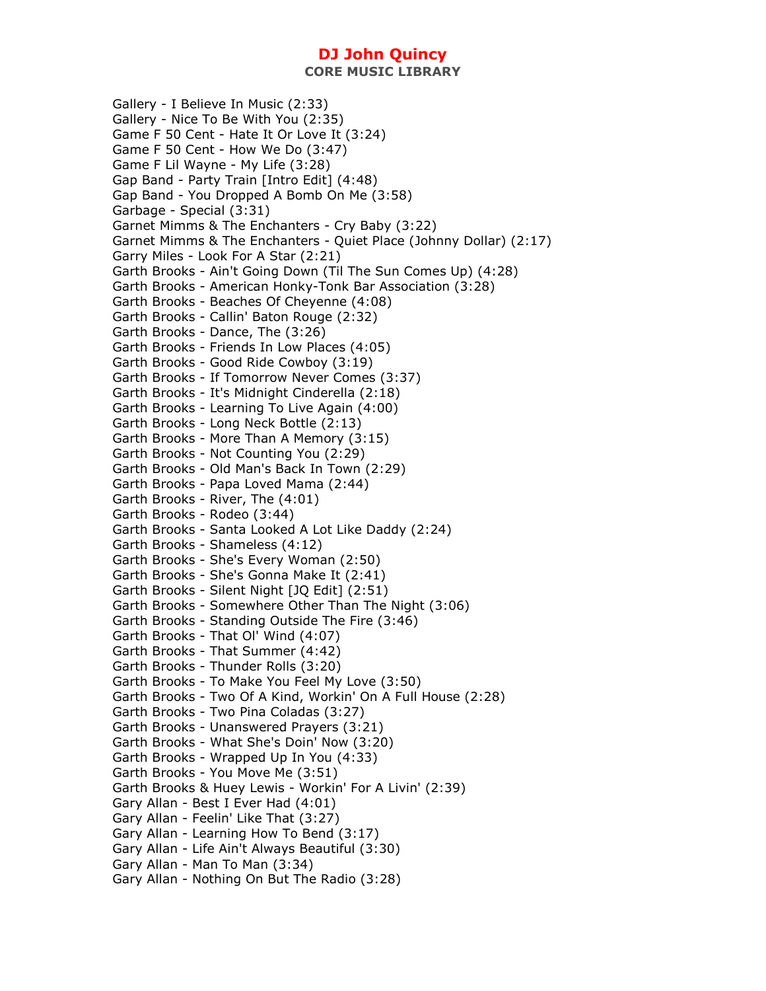**CORE MUSIC LIBRARY** 

Gallery - I Believe In Music (2:33) Gallery - Nice To Be With You (2:35) Game F 50 Cent - Hate It Or Love It (3:24) Game F 50 Cent - How We Do (3:47) Game F Lil Wayne - My Life (3:28) Gap Band - Party Train [Intro Edit] (4:48) Gap Band - You Dropped A Bomb On Me (3:58) Garbage - Special (3:31) Garnet Mimms & The Enchanters - Cry Baby (3:22) Garnet Mimms & The Enchanters - Quiet Place (Johnny Dollar) (2:17) Garry Miles - Look For A Star (2:21) Garth Brooks - Ain't Going Down (Til The Sun Comes Up) (4:28) Garth Brooks - American Honky-Tonk Bar Association (3:28) Garth Brooks - Beaches Of Cheyenne (4:08) Garth Brooks - Callin' Baton Rouge (2:32) Garth Brooks - Dance, The (3:26) Garth Brooks - Friends In Low Places (4:05) Garth Brooks - Good Ride Cowboy (3:19) Garth Brooks - If Tomorrow Never Comes (3:37) Garth Brooks - It's Midnight Cinderella (2:18) Garth Brooks - Learning To Live Again (4:00) Garth Brooks - Long Neck Bottle (2:13) Garth Brooks - More Than A Memory (3:15) Garth Brooks - Not Counting You (2:29) Garth Brooks - Old Man's Back In Town (2:29) Garth Brooks - Papa Loved Mama (2:44) Garth Brooks - River, The (4:01) Garth Brooks - Rodeo (3:44) Garth Brooks - Santa Looked A Lot Like Daddy (2:24) Garth Brooks - Shameless (4:12) Garth Brooks - She's Every Woman (2:50) Garth Brooks - She's Gonna Make It (2:41) Garth Brooks - Silent Night [JQ Edit] (2:51) Garth Brooks - Somewhere Other Than The Night (3:06) Garth Brooks - Standing Outside The Fire (3:46) Garth Brooks - That Ol' Wind (4:07) Garth Brooks - That Summer (4:42) Garth Brooks - Thunder Rolls (3:20) Garth Brooks - To Make You Feel My Love (3:50) Garth Brooks - Two Of A Kind, Workin' On A Full House (2:28) Garth Brooks - Two Pina Coladas (3:27) Garth Brooks - Unanswered Prayers (3:21) Garth Brooks - What She's Doin' Now (3:20) Garth Brooks - Wrapped Up In You (4:33) Garth Brooks - You Move Me (3:51) Garth Brooks & Huey Lewis - Workin' For A Livin' (2:39) Gary Allan - Best I Ever Had (4:01) Gary Allan - Feelin' Like That (3:27) Gary Allan - Learning How To Bend (3:17) Gary Allan - Life Ain't Always Beautiful (3:30) Gary Allan - Man To Man (3:34) Gary Allan - Nothing On But The Radio (3:28)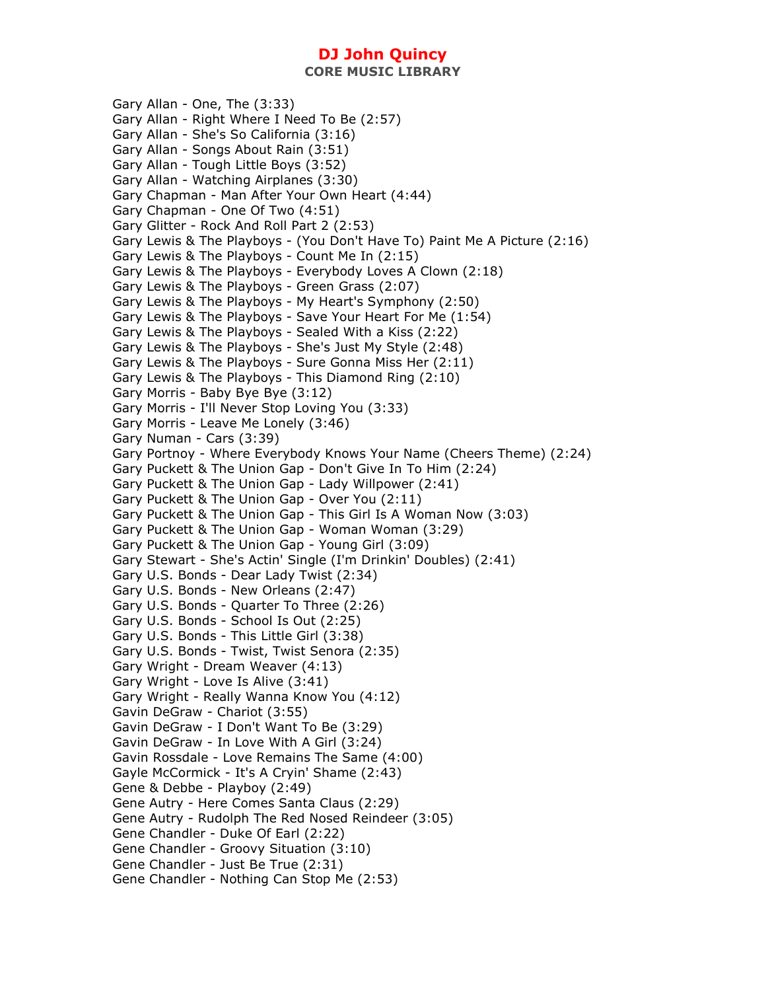**CORE MUSIC LIBRARY** 

Gary Allan - One, The (3:33) Gary Allan - Right Where I Need To Be (2:57) Gary Allan - She's So California (3:16) Gary Allan - Songs About Rain (3:51) Gary Allan - Tough Little Boys (3:52) Gary Allan - Watching Airplanes (3:30) Gary Chapman - Man After Your Own Heart (4:44) Gary Chapman - One Of Two (4:51) Gary Glitter - Rock And Roll Part 2 (2:53) Gary Lewis & The Playboys - (You Don't Have To) Paint Me A Picture (2:16) Gary Lewis & The Playboys - Count Me In (2:15) Gary Lewis & The Playboys - Everybody Loves A Clown (2:18) Gary Lewis & The Playboys - Green Grass (2:07) Gary Lewis & The Playboys - My Heart's Symphony (2:50) Gary Lewis & The Playboys - Save Your Heart For Me (1:54) Gary Lewis & The Playboys - Sealed With a Kiss (2:22) Gary Lewis & The Playboys - She's Just My Style (2:48) Gary Lewis & The Playboys - Sure Gonna Miss Her (2:11) Gary Lewis & The Playboys - This Diamond Ring (2:10) Gary Morris - Baby Bye Bye (3:12) Gary Morris - I'll Never Stop Loving You (3:33) Gary Morris - Leave Me Lonely (3:46) Gary Numan - Cars (3:39) Gary Portnoy - Where Everybody Knows Your Name (Cheers Theme) (2:24) Gary Puckett & The Union Gap - Don't Give In To Him (2:24) Gary Puckett & The Union Gap - Lady Willpower (2:41) Gary Puckett & The Union Gap - Over You (2:11) Gary Puckett & The Union Gap - This Girl Is A Woman Now (3:03) Gary Puckett & The Union Gap - Woman Woman (3:29) Gary Puckett & The Union Gap - Young Girl (3:09) Gary Stewart - She's Actin' Single (I'm Drinkin' Doubles) (2:41) Gary U.S. Bonds - Dear Lady Twist (2:34) Gary U.S. Bonds - New Orleans (2:47) Gary U.S. Bonds - Quarter To Three (2:26) Gary U.S. Bonds - School Is Out (2:25) Gary U.S. Bonds - This Little Girl (3:38) Gary U.S. Bonds - Twist, Twist Senora (2:35) Gary Wright - Dream Weaver (4:13) Gary Wright - Love Is Alive (3:41) Gary Wright - Really Wanna Know You (4:12) Gavin DeGraw - Chariot (3:55) Gavin DeGraw - I Don't Want To Be (3:29) Gavin DeGraw - In Love With A Girl (3:24) Gavin Rossdale - Love Remains The Same (4:00) Gayle McCormick - It's A Cryin' Shame (2:43) Gene & Debbe - Playboy (2:49) Gene Autry - Here Comes Santa Claus (2:29) Gene Autry - Rudolph The Red Nosed Reindeer (3:05) Gene Chandler - Duke Of Earl (2:22) Gene Chandler - Groovy Situation (3:10) Gene Chandler - Just Be True (2:31) Gene Chandler - Nothing Can Stop Me (2:53)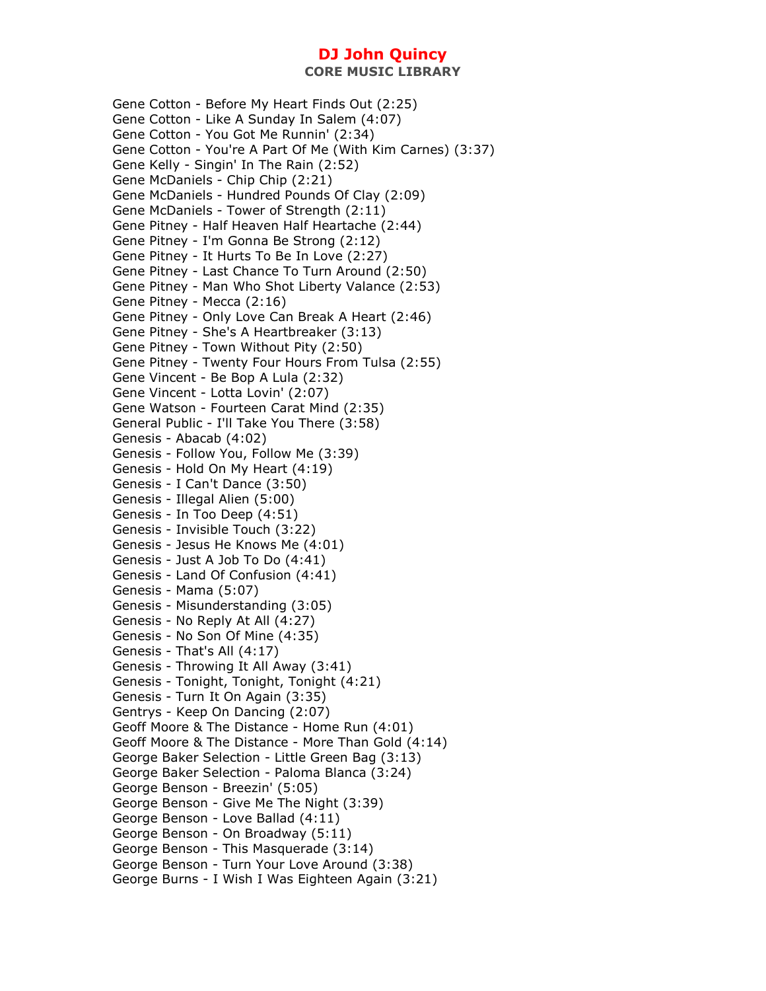Gene Cotton - Before My Heart Finds Out (2:25) Gene Cotton - Like A Sunday In Salem (4:07) Gene Cotton - You Got Me Runnin' (2:34) Gene Cotton - You're A Part Of Me (With Kim Carnes) (3:37) Gene Kelly - Singin' In The Rain (2:52) Gene McDaniels - Chip Chip (2:21) Gene McDaniels - Hundred Pounds Of Clay (2:09) Gene McDaniels - Tower of Strength (2:11) Gene Pitney - Half Heaven Half Heartache (2:44) Gene Pitney - I'm Gonna Be Strong (2:12) Gene Pitney - It Hurts To Be In Love (2:27) Gene Pitney - Last Chance To Turn Around (2:50) Gene Pitney - Man Who Shot Liberty Valance (2:53) Gene Pitney - Mecca (2:16) Gene Pitney - Only Love Can Break A Heart (2:46) Gene Pitney - She's A Heartbreaker (3:13) Gene Pitney - Town Without Pity (2:50) Gene Pitney - Twenty Four Hours From Tulsa (2:55) Gene Vincent - Be Bop A Lula (2:32) Gene Vincent - Lotta Lovin' (2:07) Gene Watson - Fourteen Carat Mind (2:35) General Public - I'll Take You There (3:58) Genesis - Abacab (4:02) Genesis - Follow You, Follow Me (3:39) Genesis - Hold On My Heart (4:19) Genesis - I Can't Dance (3:50) Genesis - Illegal Alien (5:00) Genesis - In Too Deep (4:51) Genesis - Invisible Touch (3:22) Genesis - Jesus He Knows Me (4:01) Genesis - Just A Job To Do (4:41) Genesis - Land Of Confusion (4:41) Genesis - Mama (5:07) Genesis - Misunderstanding (3:05) Genesis - No Reply At All (4:27) Genesis - No Son Of Mine (4:35) Genesis - That's All (4:17) Genesis - Throwing It All Away (3:41) Genesis - Tonight, Tonight, Tonight (4:21) Genesis - Turn It On Again (3:35) Gentrys - Keep On Dancing (2:07) Geoff Moore & The Distance - Home Run (4:01) Geoff Moore & The Distance - More Than Gold (4:14) George Baker Selection - Little Green Bag (3:13) George Baker Selection - Paloma Blanca (3:24) George Benson - Breezin' (5:05) George Benson - Give Me The Night (3:39) George Benson - Love Ballad (4:11) George Benson - On Broadway (5:11) George Benson - This Masquerade (3:14) George Benson - Turn Your Love Around (3:38) George Burns - I Wish I Was Eighteen Again (3:21)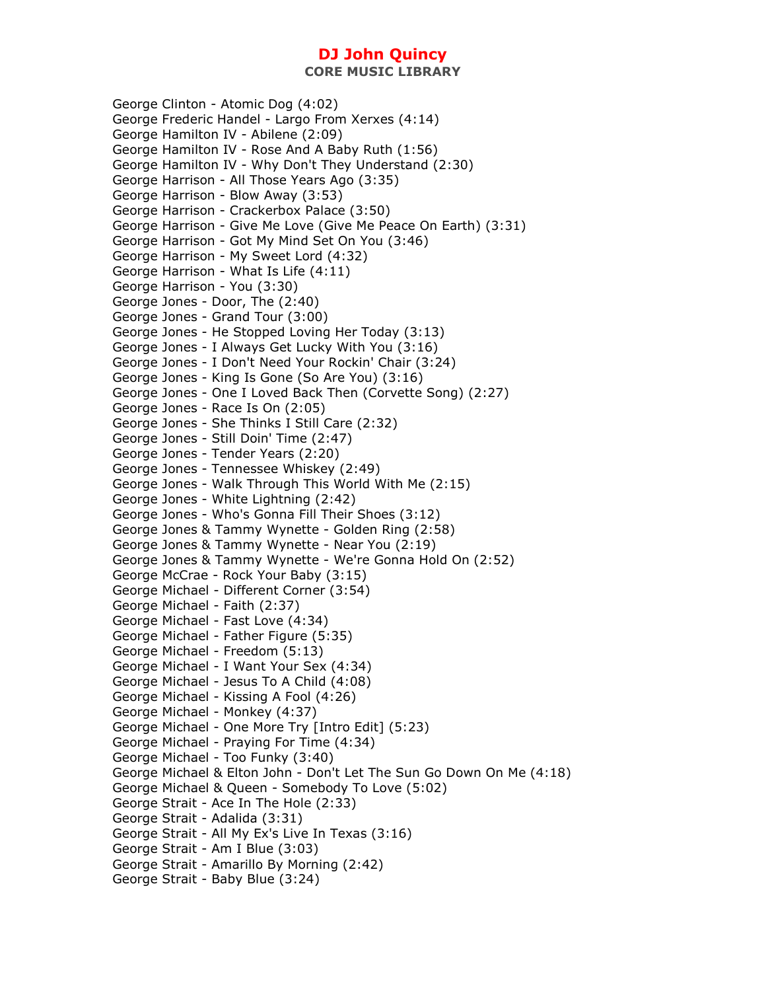**CORE MUSIC LIBRARY** 

George Clinton - Atomic Dog (4:02) George Frederic Handel - Largo From Xerxes (4:14) George Hamilton IV - Abilene (2:09) George Hamilton IV - Rose And A Baby Ruth (1:56) George Hamilton IV - Why Don't They Understand (2:30) George Harrison - All Those Years Ago (3:35) George Harrison - Blow Away (3:53) George Harrison - Crackerbox Palace (3:50) George Harrison - Give Me Love (Give Me Peace On Earth) (3:31) George Harrison - Got My Mind Set On You (3:46) George Harrison - My Sweet Lord (4:32) George Harrison - What Is Life (4:11) George Harrison - You (3:30) George Jones - Door, The (2:40) George Jones - Grand Tour (3:00) George Jones - He Stopped Loving Her Today (3:13) George Jones - I Always Get Lucky With You (3:16) George Jones - I Don't Need Your Rockin' Chair (3:24) George Jones - King Is Gone (So Are You) (3:16) George Jones - One I Loved Back Then (Corvette Song) (2:27) George Jones - Race Is On (2:05) George Jones - She Thinks I Still Care (2:32) George Jones - Still Doin' Time (2:47) George Jones - Tender Years (2:20) George Jones - Tennessee Whiskey (2:49) George Jones - Walk Through This World With Me (2:15) George Jones - White Lightning (2:42) George Jones - Who's Gonna Fill Their Shoes (3:12) George Jones & Tammy Wynette - Golden Ring (2:58) George Jones & Tammy Wynette - Near You (2:19) George Jones & Tammy Wynette - We're Gonna Hold On (2:52) George McCrae - Rock Your Baby (3:15) George Michael - Different Corner (3:54) George Michael - Faith (2:37) George Michael - Fast Love (4:34) George Michael - Father Figure (5:35) George Michael - Freedom (5:13) George Michael - I Want Your Sex (4:34) George Michael - Jesus To A Child (4:08) George Michael - Kissing A Fool (4:26) George Michael - Monkey (4:37) George Michael - One More Try [Intro Edit] (5:23) George Michael - Praying For Time (4:34) George Michael - Too Funky (3:40) George Michael & Elton John - Don't Let The Sun Go Down On Me (4:18) George Michael & Queen - Somebody To Love (5:02) George Strait - Ace In The Hole (2:33) George Strait - Adalida (3:31) George Strait - All My Ex's Live In Texas (3:16) George Strait - Am I Blue (3:03) George Strait - Amarillo By Morning (2:42) George Strait - Baby Blue (3:24)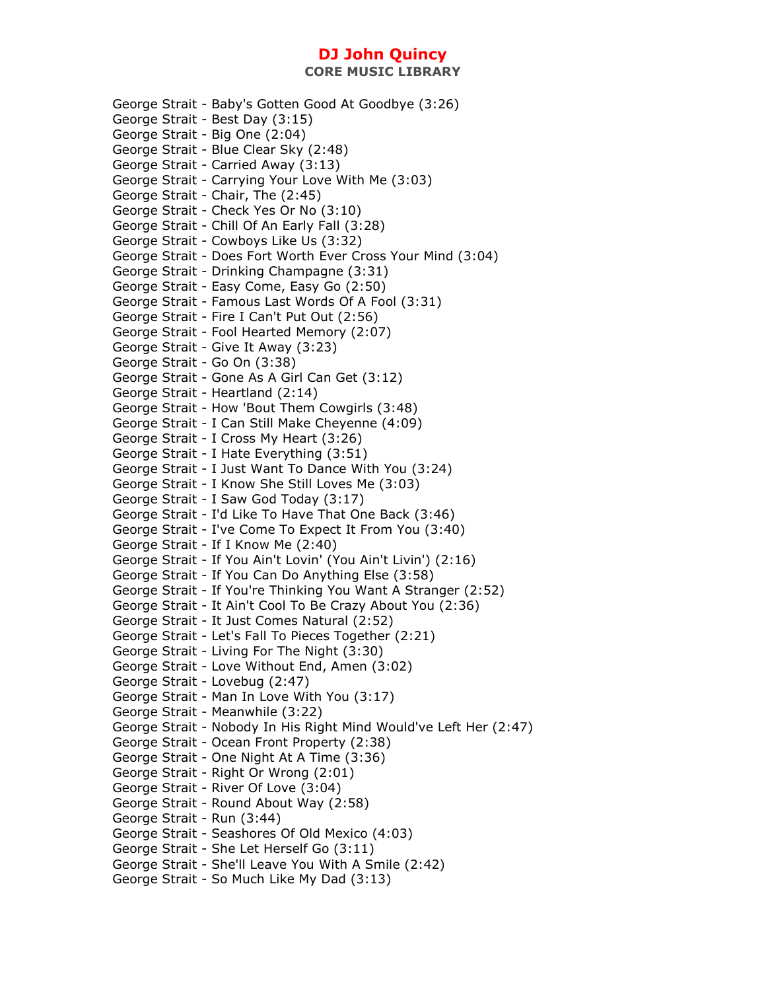**CORE MUSIC LIBRARY** 

George Strait - Baby's Gotten Good At Goodbye (3:26) George Strait - Best Day (3:15) George Strait - Big One (2:04) George Strait - Blue Clear Sky (2:48) George Strait - Carried Away (3:13) George Strait - Carrying Your Love With Me (3:03) George Strait - Chair, The (2:45) George Strait - Check Yes Or No (3:10) George Strait - Chill Of An Early Fall (3:28) George Strait - Cowboys Like Us (3:32) George Strait - Does Fort Worth Ever Cross Your Mind (3:04) George Strait - Drinking Champagne (3:31) George Strait - Easy Come, Easy Go (2:50) George Strait - Famous Last Words Of A Fool (3:31) George Strait - Fire I Can't Put Out (2:56) George Strait - Fool Hearted Memory (2:07) George Strait - Give It Away (3:23) George Strait - Go On (3:38) George Strait - Gone As A Girl Can Get (3:12) George Strait - Heartland (2:14) George Strait - How 'Bout Them Cowgirls (3:48) George Strait - I Can Still Make Cheyenne (4:09) George Strait - I Cross My Heart (3:26) George Strait - I Hate Everything (3:51) George Strait - I Just Want To Dance With You (3:24) George Strait - I Know She Still Loves Me (3:03) George Strait - I Saw God Today (3:17) George Strait - I'd Like To Have That One Back (3:46) George Strait - I've Come To Expect It From You (3:40) George Strait - If I Know Me (2:40) George Strait - If You Ain't Lovin' (You Ain't Livin') (2:16) George Strait - If You Can Do Anything Else (3:58) George Strait - If You're Thinking You Want A Stranger (2:52) George Strait - It Ain't Cool To Be Crazy About You (2:36) George Strait - It Just Comes Natural (2:52) George Strait - Let's Fall To Pieces Together (2:21) George Strait - Living For The Night (3:30) George Strait - Love Without End, Amen (3:02) George Strait - Lovebug (2:47) George Strait - Man In Love With You (3:17) George Strait - Meanwhile (3:22) George Strait - Nobody In His Right Mind Would've Left Her (2:47) George Strait - Ocean Front Property (2:38) George Strait - One Night At A Time (3:36) George Strait - Right Or Wrong (2:01) George Strait - River Of Love (3:04) George Strait - Round About Way (2:58) George Strait - Run (3:44) George Strait - Seashores Of Old Mexico (4:03) George Strait - She Let Herself Go (3:11) George Strait - She'll Leave You With A Smile (2:42) George Strait - So Much Like My Dad (3:13)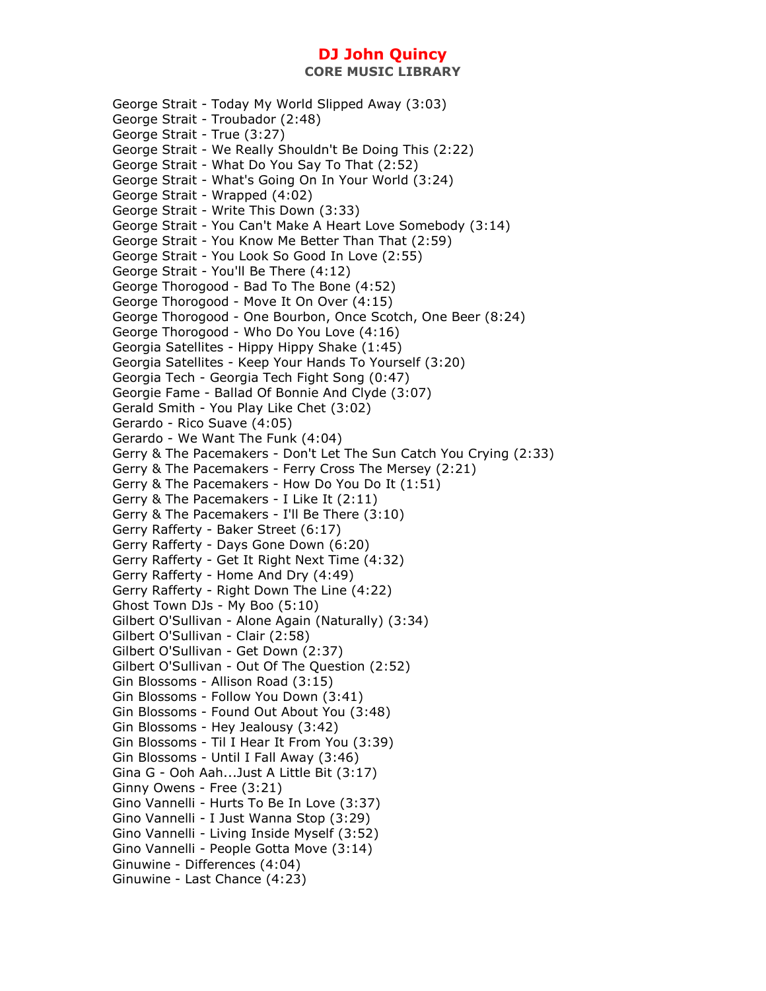**CORE MUSIC LIBRARY** 

George Strait - Today My World Slipped Away (3:03) George Strait - Troubador (2:48) George Strait - True (3:27) George Strait - We Really Shouldn't Be Doing This (2:22) George Strait - What Do You Say To That (2:52) George Strait - What's Going On In Your World (3:24) George Strait - Wrapped (4:02) George Strait - Write This Down (3:33) George Strait - You Can't Make A Heart Love Somebody (3:14) George Strait - You Know Me Better Than That (2:59) George Strait - You Look So Good In Love (2:55) George Strait - You'll Be There (4:12) George Thorogood - Bad To The Bone (4:52) George Thorogood - Move It On Over (4:15) George Thorogood - One Bourbon, Once Scotch, One Beer (8:24) George Thorogood - Who Do You Love (4:16) Georgia Satellites - Hippy Hippy Shake (1:45) Georgia Satellites - Keep Your Hands To Yourself (3:20) Georgia Tech - Georgia Tech Fight Song (0:47) Georgie Fame - Ballad Of Bonnie And Clyde (3:07) Gerald Smith - You Play Like Chet (3:02) Gerardo - Rico Suave (4:05) Gerardo - We Want The Funk (4:04) Gerry & The Pacemakers - Don't Let The Sun Catch You Crying (2:33) Gerry & The Pacemakers - Ferry Cross The Mersey (2:21) Gerry & The Pacemakers - How Do You Do It (1:51) Gerry & The Pacemakers - I Like It (2:11) Gerry & The Pacemakers - I'll Be There (3:10) Gerry Rafferty - Baker Street (6:17) Gerry Rafferty - Days Gone Down (6:20) Gerry Rafferty - Get It Right Next Time (4:32) Gerry Rafferty - Home And Dry (4:49) Gerry Rafferty - Right Down The Line (4:22) Ghost Town DJs - My Boo (5:10) Gilbert O'Sullivan - Alone Again (Naturally) (3:34) Gilbert O'Sullivan - Clair (2:58) Gilbert O'Sullivan - Get Down (2:37) Gilbert O'Sullivan - Out Of The Question (2:52) Gin Blossoms - Allison Road (3:15) Gin Blossoms - Follow You Down (3:41) Gin Blossoms - Found Out About You (3:48) Gin Blossoms - Hey Jealousy (3:42) Gin Blossoms - Til I Hear It From You (3:39) Gin Blossoms - Until I Fall Away (3:46) Gina G - Ooh Aah...Just A Little Bit (3:17) Ginny Owens - Free (3:21) Gino Vannelli - Hurts To Be In Love (3:37) Gino Vannelli - I Just Wanna Stop (3:29) Gino Vannelli - Living Inside Myself (3:52) Gino Vannelli - People Gotta Move (3:14) Ginuwine - Differences (4:04) Ginuwine - Last Chance (4:23)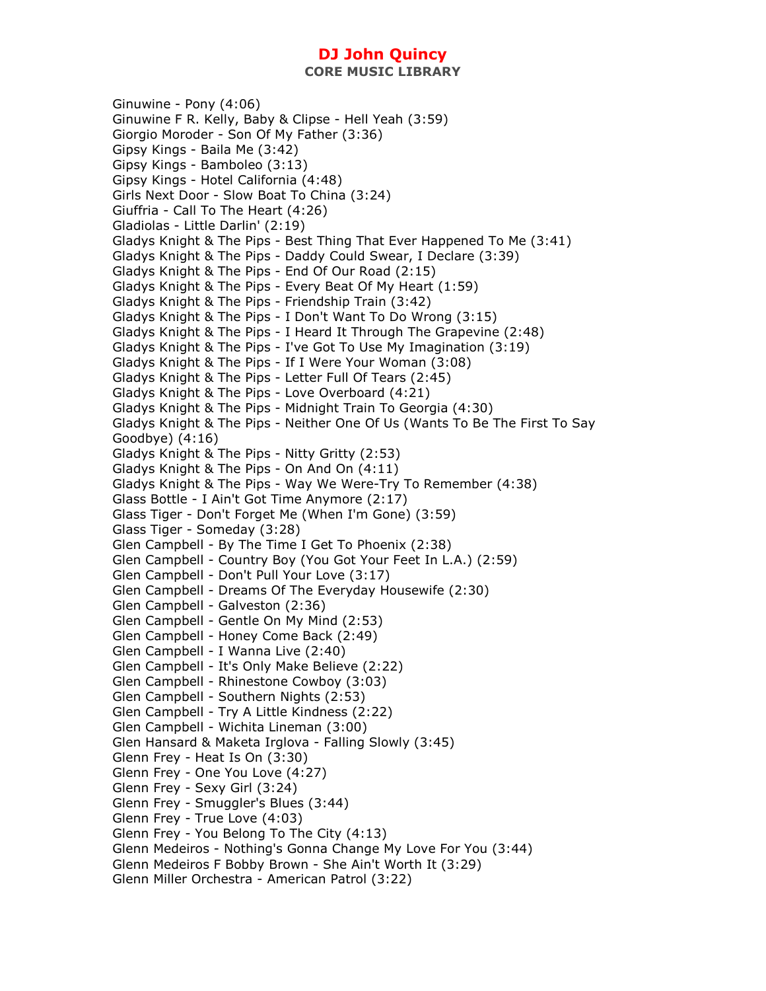**CORE MUSIC LIBRARY** 

Ginuwine - Pony (4:06) Ginuwine F R. Kelly, Baby & Clipse - Hell Yeah (3:59) Giorgio Moroder - Son Of My Father (3:36) Gipsy Kings - Baila Me (3:42) Gipsy Kings - Bamboleo (3:13) Gipsy Kings - Hotel California (4:48) Girls Next Door - Slow Boat To China (3:24) Giuffria - Call To The Heart (4:26) Gladiolas - Little Darlin' (2:19) Gladys Knight & The Pips - Best Thing That Ever Happened To Me (3:41) Gladys Knight & The Pips - Daddy Could Swear, I Declare (3:39) Gladys Knight & The Pips - End Of Our Road (2:15) Gladys Knight & The Pips - Every Beat Of My Heart (1:59) Gladys Knight & The Pips - Friendship Train (3:42) Gladys Knight & The Pips - I Don't Want To Do Wrong (3:15) Gladys Knight & The Pips - I Heard It Through The Grapevine (2:48) Gladys Knight & The Pips - I've Got To Use My Imagination (3:19) Gladys Knight & The Pips - If I Were Your Woman (3:08) Gladys Knight & The Pips - Letter Full Of Tears (2:45) Gladys Knight & The Pips - Love Overboard (4:21) Gladys Knight & The Pips - Midnight Train To Georgia (4:30) Gladys Knight & The Pips - Neither One Of Us (Wants To Be The First To Say Goodbye) (4:16) Gladys Knight & The Pips - Nitty Gritty (2:53) Gladys Knight & The Pips - On And On (4:11) Gladys Knight & The Pips - Way We Were-Try To Remember (4:38) Glass Bottle - I Ain't Got Time Anymore (2:17) Glass Tiger - Don't Forget Me (When I'm Gone) (3:59) Glass Tiger - Someday (3:28) Glen Campbell - By The Time I Get To Phoenix (2:38) Glen Campbell - Country Boy (You Got Your Feet In L.A.) (2:59) Glen Campbell - Don't Pull Your Love (3:17) Glen Campbell - Dreams Of The Everyday Housewife (2:30) Glen Campbell - Galveston (2:36) Glen Campbell - Gentle On My Mind (2:53) Glen Campbell - Honey Come Back (2:49) Glen Campbell - I Wanna Live (2:40) Glen Campbell - It's Only Make Believe (2:22) Glen Campbell - Rhinestone Cowboy (3:03) Glen Campbell - Southern Nights (2:53) Glen Campbell - Try A Little Kindness (2:22) Glen Campbell - Wichita Lineman (3:00) Glen Hansard & Maketa Irglova - Falling Slowly (3:45) Glenn Frey - Heat Is On (3:30) Glenn Frey - One You Love (4:27) Glenn Frey - Sexy Girl (3:24) Glenn Frey - Smuggler's Blues (3:44) Glenn Frey - True Love (4:03) Glenn Frey - You Belong To The City (4:13) Glenn Medeiros - Nothing's Gonna Change My Love For You (3:44) Glenn Medeiros F Bobby Brown - She Ain't Worth It (3:29) Glenn Miller Orchestra - American Patrol (3:22)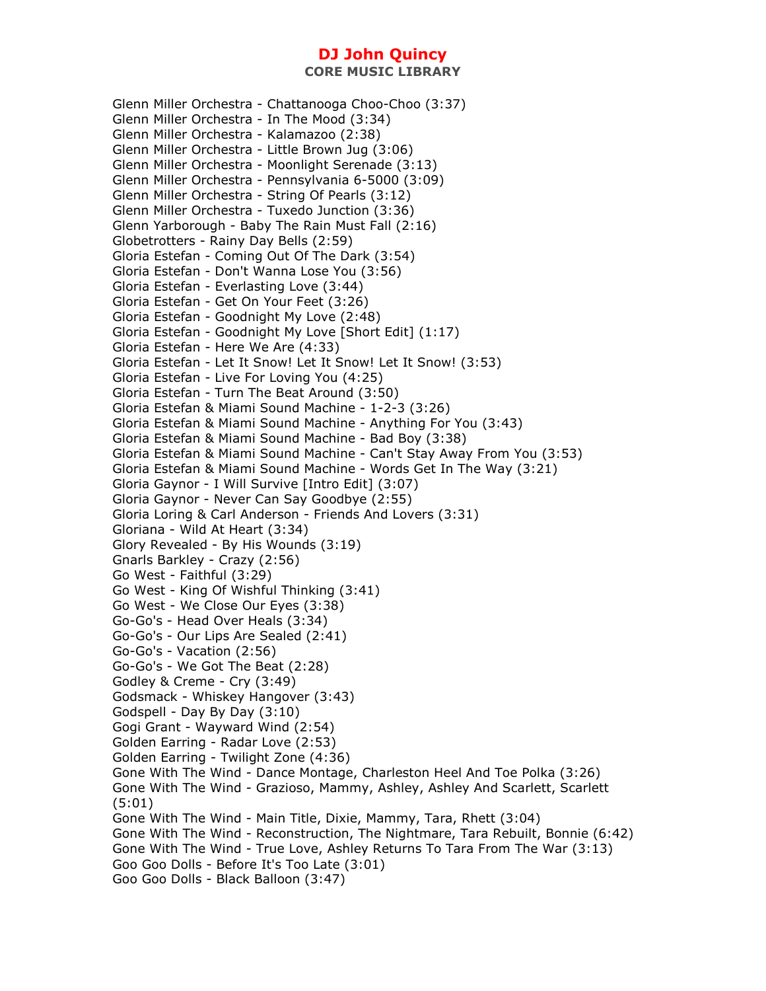Glenn Miller Orchestra - Chattanooga Choo-Choo (3:37) Glenn Miller Orchestra - In The Mood (3:34) Glenn Miller Orchestra - Kalamazoo (2:38) Glenn Miller Orchestra - Little Brown Jug (3:06) Glenn Miller Orchestra - Moonlight Serenade (3:13) Glenn Miller Orchestra - Pennsylvania 6-5000 (3:09) Glenn Miller Orchestra - String Of Pearls (3:12) Glenn Miller Orchestra - Tuxedo Junction (3:36) Glenn Yarborough - Baby The Rain Must Fall (2:16) Globetrotters - Rainy Day Bells (2:59) Gloria Estefan - Coming Out Of The Dark (3:54) Gloria Estefan - Don't Wanna Lose You (3:56) Gloria Estefan - Everlasting Love (3:44) Gloria Estefan - Get On Your Feet (3:26) Gloria Estefan - Goodnight My Love (2:48) Gloria Estefan - Goodnight My Love [Short Edit] (1:17) Gloria Estefan - Here We Are (4:33) Gloria Estefan - Let It Snow! Let It Snow! Let It Snow! (3:53) Gloria Estefan - Live For Loving You (4:25) Gloria Estefan - Turn The Beat Around (3:50) Gloria Estefan & Miami Sound Machine - 1-2-3 (3:26) Gloria Estefan & Miami Sound Machine - Anything For You (3:43) Gloria Estefan & Miami Sound Machine - Bad Boy (3:38) Gloria Estefan & Miami Sound Machine - Can't Stay Away From You (3:53) Gloria Estefan & Miami Sound Machine - Words Get In The Way (3:21) Gloria Gaynor - I Will Survive [Intro Edit] (3:07) Gloria Gaynor - Never Can Say Goodbye (2:55) Gloria Loring & Carl Anderson - Friends And Lovers (3:31) Gloriana - Wild At Heart (3:34) Glory Revealed - By His Wounds (3:19) Gnarls Barkley - Crazy (2:56) Go West - Faithful (3:29) Go West - King Of Wishful Thinking (3:41) Go West - We Close Our Eyes (3:38) Go-Go's - Head Over Heals (3:34) Go-Go's - Our Lips Are Sealed (2:41) Go-Go's - Vacation (2:56) Go-Go's - We Got The Beat (2:28) Godley & Creme - Cry (3:49) Godsmack - Whiskey Hangover (3:43) Godspell - Day By Day (3:10) Gogi Grant - Wayward Wind (2:54) Golden Earring - Radar Love (2:53) Golden Earring - Twilight Zone (4:36) Gone With The Wind - Dance Montage, Charleston Heel And Toe Polka (3:26) Gone With The Wind - Grazioso, Mammy, Ashley, Ashley And Scarlett, Scarlett (5:01) Gone With The Wind - Main Title, Dixie, Mammy, Tara, Rhett (3:04) Gone With The Wind - Reconstruction, The Nightmare, Tara Rebuilt, Bonnie (6:42) Gone With The Wind - True Love, Ashley Returns To Tara From The War (3:13) Goo Goo Dolls - Before It's Too Late (3:01) Goo Goo Dolls - Black Balloon (3:47)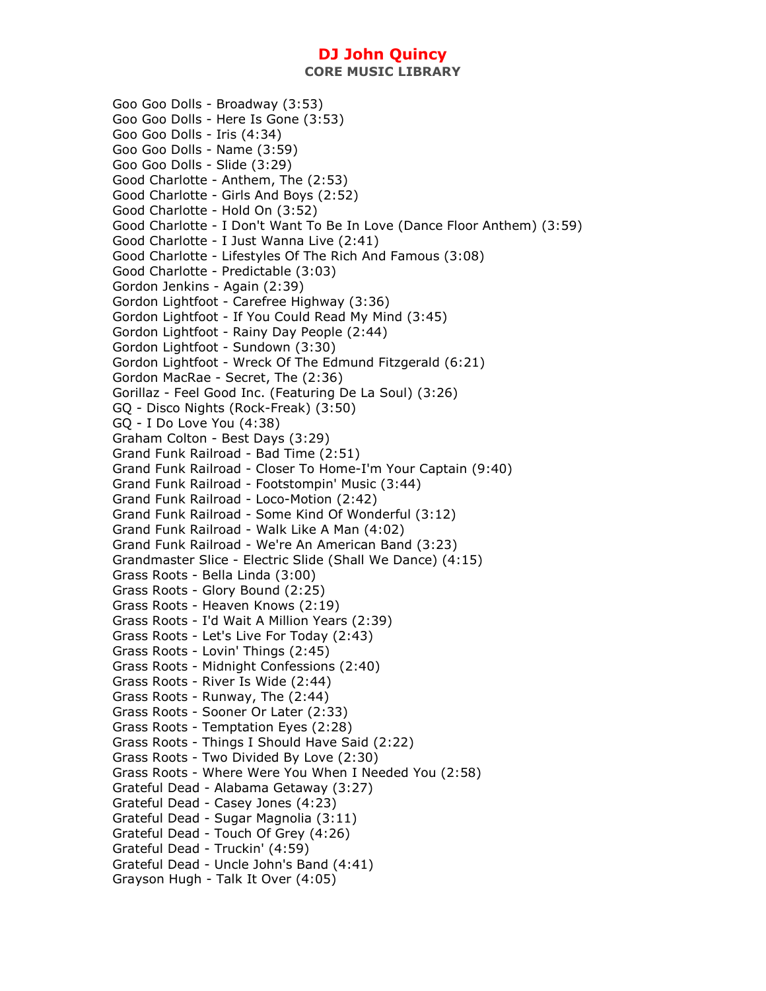**CORE MUSIC LIBRARY** 

Goo Goo Dolls - Broadway (3:53) Goo Goo Dolls - Here Is Gone (3:53) Goo Goo Dolls - Iris (4:34) Goo Goo Dolls - Name (3:59) Goo Goo Dolls - Slide (3:29) Good Charlotte - Anthem, The (2:53) Good Charlotte - Girls And Boys (2:52) Good Charlotte - Hold On (3:52) Good Charlotte - I Don't Want To Be In Love (Dance Floor Anthem) (3:59) Good Charlotte - I Just Wanna Live (2:41) Good Charlotte - Lifestyles Of The Rich And Famous (3:08) Good Charlotte - Predictable (3:03) Gordon Jenkins - Again (2:39) Gordon Lightfoot - Carefree Highway (3:36) Gordon Lightfoot - If You Could Read My Mind (3:45) Gordon Lightfoot - Rainy Day People (2:44) Gordon Lightfoot - Sundown (3:30) Gordon Lightfoot - Wreck Of The Edmund Fitzgerald (6:21) Gordon MacRae - Secret, The (2:36) Gorillaz - Feel Good Inc. (Featuring De La Soul) (3:26) GQ - Disco Nights (Rock-Freak) (3:50) GQ - I Do Love You (4:38) Graham Colton - Best Days (3:29) Grand Funk Railroad - Bad Time (2:51) Grand Funk Railroad - Closer To Home-I'm Your Captain (9:40) Grand Funk Railroad - Footstompin' Music (3:44) Grand Funk Railroad - Loco-Motion (2:42) Grand Funk Railroad - Some Kind Of Wonderful (3:12) Grand Funk Railroad - Walk Like A Man (4:02) Grand Funk Railroad - We're An American Band (3:23) Grandmaster Slice - Electric Slide (Shall We Dance) (4:15) Grass Roots - Bella Linda (3:00) Grass Roots - Glory Bound (2:25) Grass Roots - Heaven Knows (2:19) Grass Roots - I'd Wait A Million Years (2:39) Grass Roots - Let's Live For Today (2:43) Grass Roots - Lovin' Things (2:45) Grass Roots - Midnight Confessions (2:40) Grass Roots - River Is Wide (2:44) Grass Roots - Runway, The (2:44) Grass Roots - Sooner Or Later (2:33) Grass Roots - Temptation Eyes (2:28) Grass Roots - Things I Should Have Said (2:22) Grass Roots - Two Divided By Love (2:30) Grass Roots - Where Were You When I Needed You (2:58) Grateful Dead - Alabama Getaway (3:27) Grateful Dead - Casey Jones (4:23) Grateful Dead - Sugar Magnolia (3:11) Grateful Dead - Touch Of Grey (4:26) Grateful Dead - Truckin' (4:59) Grateful Dead - Uncle John's Band (4:41) Grayson Hugh - Talk It Over (4:05)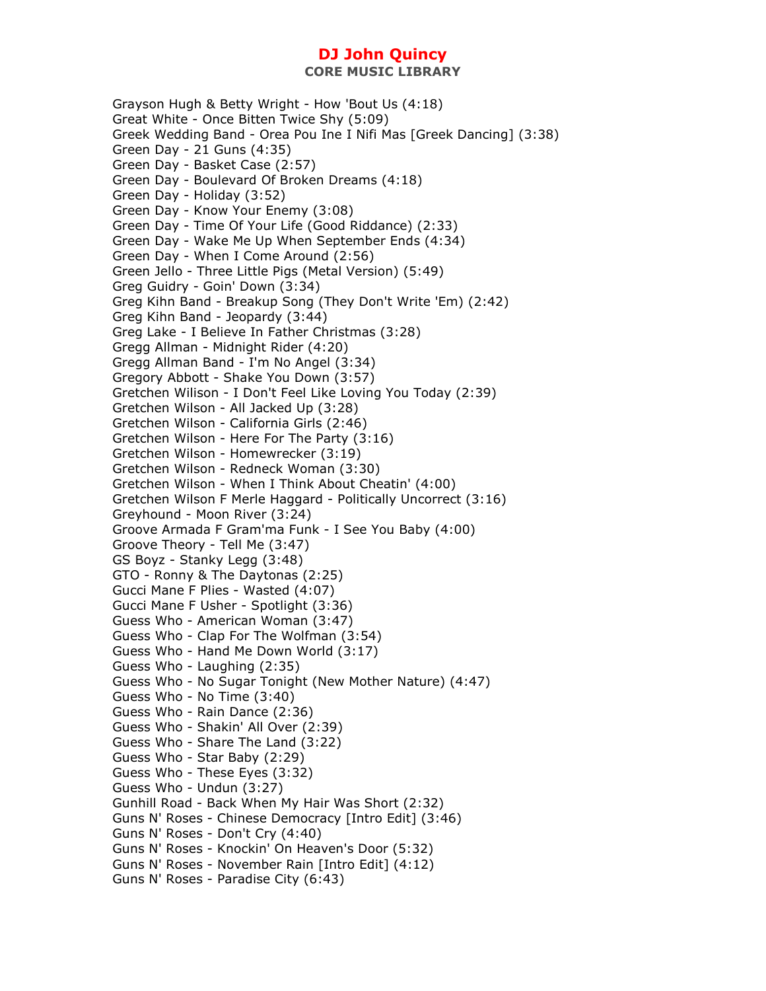Grayson Hugh & Betty Wright - How 'Bout Us (4:18) Great White - Once Bitten Twice Shy (5:09) Greek Wedding Band - Orea Pou Ine I Nifi Mas [Greek Dancing] (3:38) Green Day - 21 Guns (4:35) Green Day - Basket Case (2:57) Green Day - Boulevard Of Broken Dreams (4:18) Green Day - Holiday (3:52) Green Day - Know Your Enemy (3:08) Green Day - Time Of Your Life (Good Riddance) (2:33) Green Day - Wake Me Up When September Ends (4:34) Green Day - When I Come Around (2:56) Green Jello - Three Little Pigs (Metal Version) (5:49) Greg Guidry - Goin' Down (3:34) Greg Kihn Band - Breakup Song (They Don't Write 'Em) (2:42) Greg Kihn Band - Jeopardy (3:44) Greg Lake - I Believe In Father Christmas (3:28) Gregg Allman - Midnight Rider (4:20) Gregg Allman Band - I'm No Angel (3:34) Gregory Abbott - Shake You Down (3:57) Gretchen Wilison - I Don't Feel Like Loving You Today (2:39) Gretchen Wilson - All Jacked Up (3:28) Gretchen Wilson - California Girls (2:46) Gretchen Wilson - Here For The Party (3:16) Gretchen Wilson - Homewrecker (3:19) Gretchen Wilson - Redneck Woman (3:30) Gretchen Wilson - When I Think About Cheatin' (4:00) Gretchen Wilson F Merle Haggard - Politically Uncorrect (3:16) Greyhound - Moon River (3:24) Groove Armada F Gram'ma Funk - I See You Baby (4:00) Groove Theory - Tell Me (3:47) GS Boyz - Stanky Legg (3:48) GTO - Ronny & The Daytonas (2:25) Gucci Mane F Plies - Wasted (4:07) Gucci Mane F Usher - Spotlight (3:36) Guess Who - American Woman (3:47) Guess Who - Clap For The Wolfman (3:54) Guess Who - Hand Me Down World (3:17) Guess Who - Laughing (2:35) Guess Who - No Sugar Tonight (New Mother Nature) (4:47) Guess Who - No Time (3:40) Guess Who - Rain Dance (2:36) Guess Who - Shakin' All Over (2:39) Guess Who - Share The Land (3:22) Guess Who - Star Baby (2:29) Guess Who - These Eyes (3:32) Guess Who - Undun (3:27) Gunhill Road - Back When My Hair Was Short (2:32) Guns N' Roses - Chinese Democracy [Intro Edit] (3:46) Guns N' Roses - Don't Cry (4:40) Guns N' Roses - Knockin' On Heaven's Door (5:32) Guns N' Roses - November Rain [Intro Edit] (4:12) Guns N' Roses - Paradise City (6:43)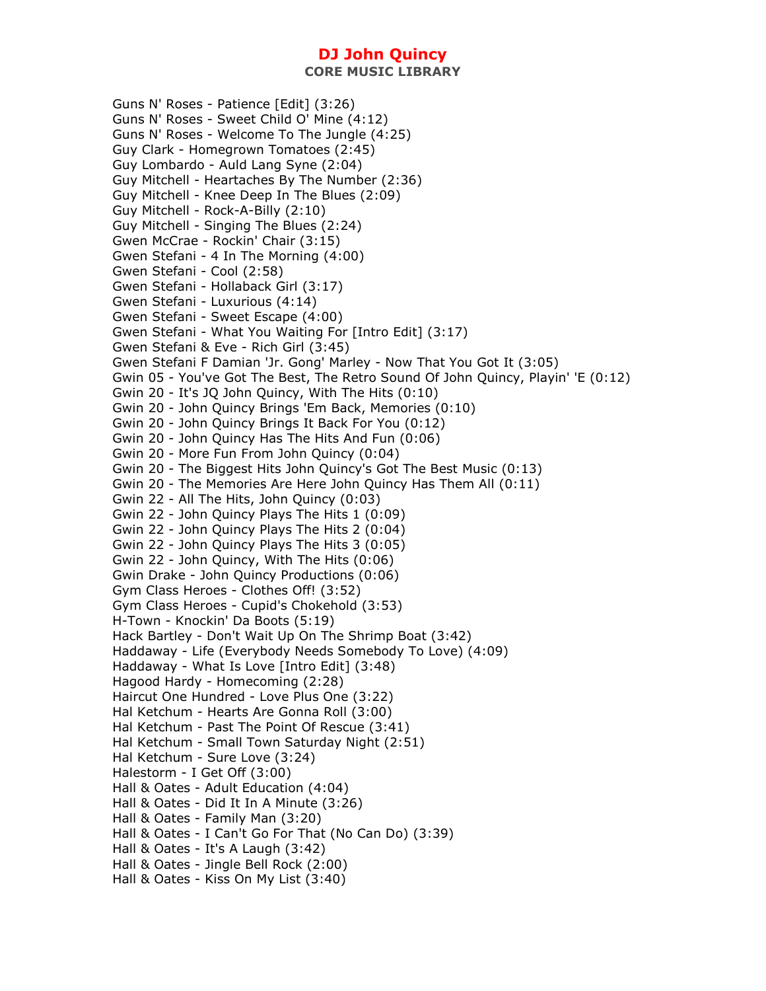Guns N' Roses - Patience [Edit] (3:26) Guns N' Roses - Sweet Child O' Mine (4:12) Guns N' Roses - Welcome To The Jungle (4:25) Guy Clark - Homegrown Tomatoes (2:45) Guy Lombardo - Auld Lang Syne (2:04) Guy Mitchell - Heartaches By The Number (2:36) Guy Mitchell - Knee Deep In The Blues (2:09) Guy Mitchell - Rock-A-Billy (2:10) Guy Mitchell - Singing The Blues (2:24) Gwen McCrae - Rockin' Chair (3:15) Gwen Stefani - 4 In The Morning (4:00) Gwen Stefani - Cool (2:58) Gwen Stefani - Hollaback Girl (3:17) Gwen Stefani - Luxurious (4:14) Gwen Stefani - Sweet Escape (4:00) Gwen Stefani - What You Waiting For [Intro Edit] (3:17) Gwen Stefani & Eve - Rich Girl (3:45) Gwen Stefani F Damian 'Jr. Gong' Marley - Now That You Got It (3:05) Gwin 05 - You've Got The Best, The Retro Sound Of John Quincy, Playin' 'E (0:12) Gwin 20 - It's JQ John Quincy, With The Hits (0:10) Gwin 20 - John Quincy Brings 'Em Back, Memories (0:10) Gwin 20 - John Quincy Brings It Back For You (0:12) Gwin 20 - John Quincy Has The Hits And Fun (0:06) Gwin 20 - More Fun From John Quincy (0:04) Gwin 20 - The Biggest Hits John Quincy's Got The Best Music (0:13) Gwin 20 - The Memories Are Here John Quincy Has Them All (0:11) Gwin 22 - All The Hits, John Quincy (0:03) Gwin 22 - John Quincy Plays The Hits 1 (0:09) Gwin 22 - John Quincy Plays The Hits 2 (0:04) Gwin 22 - John Quincy Plays The Hits 3 (0:05) Gwin 22 - John Quincy, With The Hits (0:06) Gwin Drake - John Quincy Productions (0:06) Gym Class Heroes - Clothes Off! (3:52) Gym Class Heroes - Cupid's Chokehold (3:53) H-Town - Knockin' Da Boots (5:19) Hack Bartley - Don't Wait Up On The Shrimp Boat (3:42) Haddaway - Life (Everybody Needs Somebody To Love) (4:09) Haddaway - What Is Love [Intro Edit] (3:48) Hagood Hardy - Homecoming (2:28) Haircut One Hundred - Love Plus One (3:22) Hal Ketchum - Hearts Are Gonna Roll (3:00) Hal Ketchum - Past The Point Of Rescue (3:41) Hal Ketchum - Small Town Saturday Night (2:51) Hal Ketchum - Sure Love (3:24) Halestorm - I Get Off (3:00) Hall & Oates - Adult Education (4:04) Hall & Oates - Did It In A Minute (3:26) Hall & Oates - Family Man (3:20) Hall & Oates - I Can't Go For That (No Can Do) (3:39) Hall & Oates - It's A Laugh (3:42) Hall & Oates - Jingle Bell Rock (2:00) Hall & Oates - Kiss On My List (3:40)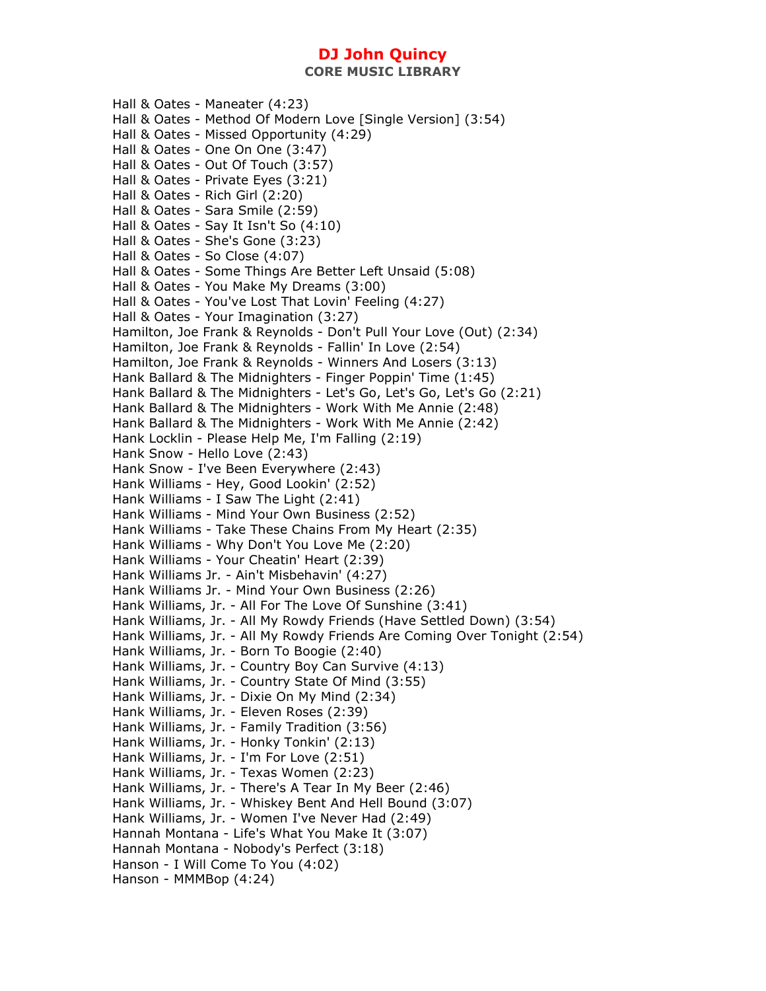Hall & Oates - Maneater (4:23) Hall & Oates - Method Of Modern Love [Single Version] (3:54) Hall & Oates - Missed Opportunity (4:29) Hall & Oates - One On One (3:47) Hall & Oates - Out Of Touch (3:57) Hall & Oates - Private Eyes (3:21) Hall & Oates - Rich Girl (2:20) Hall & Oates - Sara Smile (2:59) Hall & Oates - Say It Isn't So (4:10) Hall & Oates - She's Gone (3:23) Hall & Oates - So Close (4:07) Hall & Oates - Some Things Are Better Left Unsaid (5:08) Hall & Oates - You Make My Dreams (3:00) Hall & Oates - You've Lost That Lovin' Feeling (4:27) Hall & Oates - Your Imagination (3:27) Hamilton, Joe Frank & Reynolds - Don't Pull Your Love (Out) (2:34) Hamilton, Joe Frank & Reynolds - Fallin' In Love (2:54) Hamilton, Joe Frank & Reynolds - Winners And Losers (3:13) Hank Ballard & The Midnighters - Finger Poppin' Time (1:45) Hank Ballard & The Midnighters - Let's Go, Let's Go, Let's Go (2:21) Hank Ballard & The Midnighters - Work With Me Annie (2:48) Hank Ballard & The Midnighters - Work With Me Annie (2:42) Hank Locklin - Please Help Me, I'm Falling (2:19) Hank Snow - Hello Love (2:43) Hank Snow - I've Been Everywhere (2:43) Hank Williams - Hey, Good Lookin' (2:52) Hank Williams - I Saw The Light (2:41) Hank Williams - Mind Your Own Business (2:52) Hank Williams - Take These Chains From My Heart (2:35) Hank Williams - Why Don't You Love Me (2:20) Hank Williams - Your Cheatin' Heart (2:39) Hank Williams Jr. - Ain't Misbehavin' (4:27) Hank Williams Jr. - Mind Your Own Business (2:26) Hank Williams, Jr. - All For The Love Of Sunshine (3:41) Hank Williams, Jr. - All My Rowdy Friends (Have Settled Down) (3:54) Hank Williams, Jr. - All My Rowdy Friends Are Coming Over Tonight (2:54) Hank Williams, Jr. - Born To Boogie (2:40) Hank Williams, Jr. - Country Boy Can Survive (4:13) Hank Williams, Jr. - Country State Of Mind (3:55) Hank Williams, Jr. - Dixie On My Mind (2:34) Hank Williams, Jr. - Eleven Roses (2:39) Hank Williams, Jr. - Family Tradition (3:56) Hank Williams, Jr. - Honky Tonkin' (2:13) Hank Williams, Jr. - I'm For Love (2:51) Hank Williams, Jr. - Texas Women (2:23) Hank Williams, Jr. - There's A Tear In My Beer (2:46) Hank Williams, Jr. - Whiskey Bent And Hell Bound (3:07) Hank Williams, Jr. - Women I've Never Had (2:49) Hannah Montana - Life's What You Make It (3:07) Hannah Montana - Nobody's Perfect (3:18) Hanson - I Will Come To You (4:02) Hanson - MMMBop (4:24)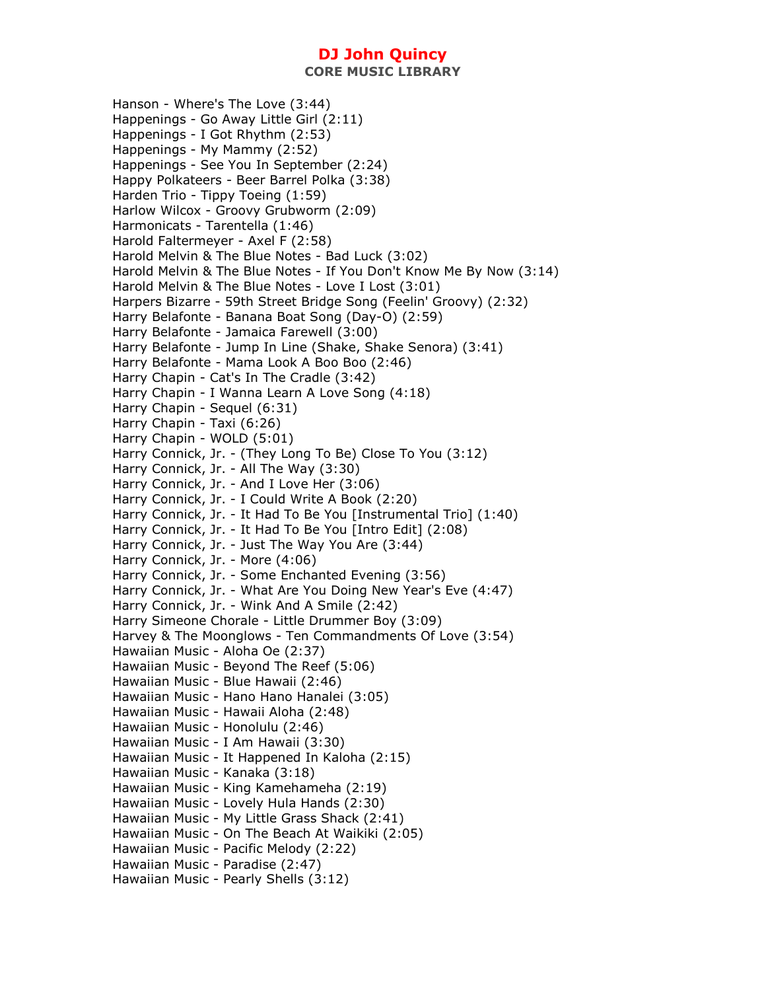**CORE MUSIC LIBRARY** 

Hanson - Where's The Love (3:44) Happenings - Go Away Little Girl (2:11) Happenings - I Got Rhythm (2:53) Happenings - My Mammy (2:52) Happenings - See You In September (2:24) Happy Polkateers - Beer Barrel Polka (3:38) Harden Trio - Tippy Toeing (1:59) Harlow Wilcox - Groovy Grubworm (2:09) Harmonicats - Tarentella (1:46) Harold Faltermeyer - Axel F (2:58) Harold Melvin & The Blue Notes - Bad Luck (3:02) Harold Melvin & The Blue Notes - If You Don't Know Me By Now (3:14) Harold Melvin & The Blue Notes - Love I Lost (3:01) Harpers Bizarre - 59th Street Bridge Song (Feelin' Groovy) (2:32) Harry Belafonte - Banana Boat Song (Day-O) (2:59) Harry Belafonte - Jamaica Farewell (3:00) Harry Belafonte - Jump In Line (Shake, Shake Senora) (3:41) Harry Belafonte - Mama Look A Boo Boo (2:46) Harry Chapin - Cat's In The Cradle (3:42) Harry Chapin - I Wanna Learn A Love Song (4:18) Harry Chapin - Sequel (6:31) Harry Chapin - Taxi (6:26) Harry Chapin - WOLD (5:01) Harry Connick, Jr. - (They Long To Be) Close To You (3:12) Harry Connick, Jr. - All The Way (3:30) Harry Connick, Jr. - And I Love Her (3:06) Harry Connick, Jr. - I Could Write A Book (2:20) Harry Connick, Jr. - It Had To Be You [Instrumental Trio] (1:40) Harry Connick, Jr. - It Had To Be You [Intro Edit] (2:08) Harry Connick, Jr. - Just The Way You Are (3:44) Harry Connick, Jr. - More (4:06) Harry Connick, Jr. - Some Enchanted Evening (3:56) Harry Connick, Jr. - What Are You Doing New Year's Eve (4:47) Harry Connick, Jr. - Wink And A Smile (2:42) Harry Simeone Chorale - Little Drummer Boy (3:09) Harvey & The Moonglows - Ten Commandments Of Love (3:54) Hawaiian Music - Aloha Oe (2:37) Hawaiian Music - Beyond The Reef (5:06) Hawaiian Music - Blue Hawaii (2:46) Hawaiian Music - Hano Hano Hanalei (3:05) Hawaiian Music - Hawaii Aloha (2:48) Hawaiian Music - Honolulu (2:46) Hawaiian Music - I Am Hawaii (3:30) Hawaiian Music - It Happened In Kaloha (2:15) Hawaiian Music - Kanaka (3:18) Hawaiian Music - King Kamehameha (2:19) Hawaiian Music - Lovely Hula Hands (2:30) Hawaiian Music - My Little Grass Shack (2:41) Hawaiian Music - On The Beach At Waikiki (2:05) Hawaiian Music - Pacific Melody (2:22) Hawaiian Music - Paradise (2:47) Hawaiian Music - Pearly Shells (3:12)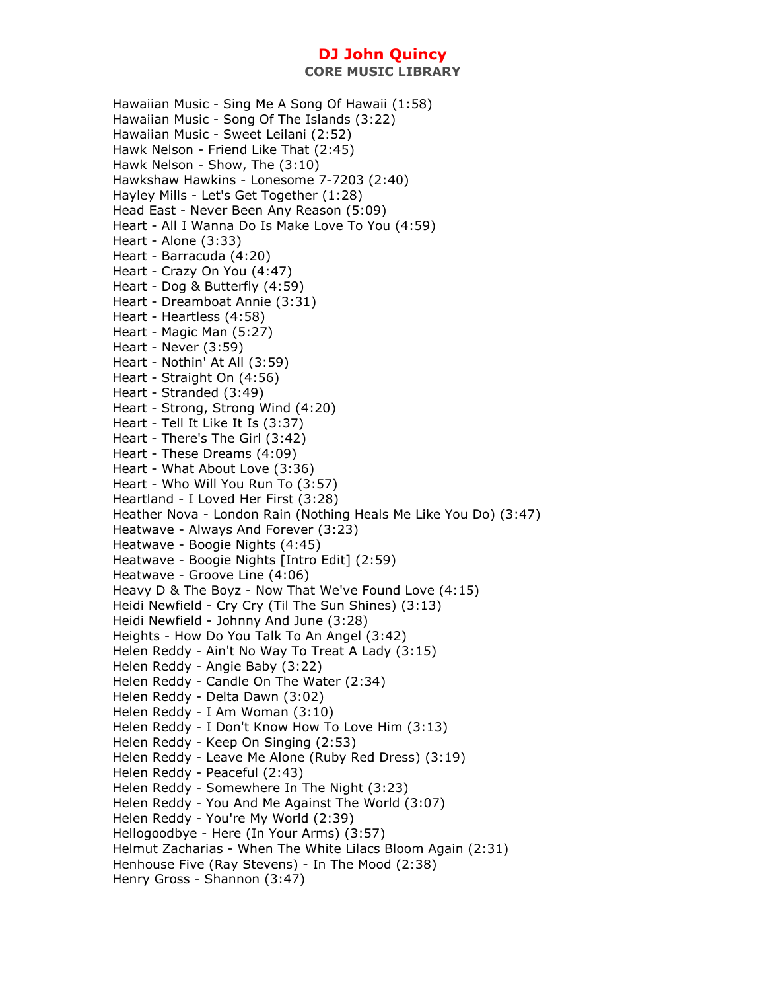Hawaiian Music - Sing Me A Song Of Hawaii (1:58) Hawaiian Music - Song Of The Islands (3:22) Hawaiian Music - Sweet Leilani (2:52) Hawk Nelson - Friend Like That (2:45) Hawk Nelson - Show, The (3:10) Hawkshaw Hawkins - Lonesome 7-7203 (2:40) Hayley Mills - Let's Get Together (1:28) Head East - Never Been Any Reason (5:09) Heart - All I Wanna Do Is Make Love To You (4:59) Heart - Alone (3:33) Heart - Barracuda (4:20) Heart - Crazy On You (4:47) Heart - Dog & Butterfly (4:59) Heart - Dreamboat Annie (3:31) Heart - Heartless (4:58) Heart - Magic Man (5:27) Heart - Never (3:59) Heart - Nothin' At All (3:59) Heart - Straight On (4:56) Heart - Stranded (3:49) Heart - Strong, Strong Wind (4:20) Heart - Tell It Like It Is (3:37) Heart - There's The Girl (3:42) Heart - These Dreams (4:09) Heart - What About Love (3:36) Heart - Who Will You Run To (3:57) Heartland - I Loved Her First (3:28) Heather Nova - London Rain (Nothing Heals Me Like You Do) (3:47) Heatwave - Always And Forever (3:23) Heatwave - Boogie Nights (4:45) Heatwave - Boogie Nights [Intro Edit] (2:59) Heatwave - Groove Line (4:06) Heavy D & The Boyz - Now That We've Found Love (4:15) Heidi Newfield - Cry Cry (Til The Sun Shines) (3:13) Heidi Newfield - Johnny And June (3:28) Heights - How Do You Talk To An Angel (3:42) Helen Reddy - Ain't No Way To Treat A Lady (3:15) Helen Reddy - Angie Baby (3:22) Helen Reddy - Candle On The Water (2:34) Helen Reddy - Delta Dawn (3:02) Helen Reddy - I Am Woman (3:10) Helen Reddy - I Don't Know How To Love Him (3:13) Helen Reddy - Keep On Singing (2:53) Helen Reddy - Leave Me Alone (Ruby Red Dress) (3:19) Helen Reddy - Peaceful (2:43) Helen Reddy - Somewhere In The Night (3:23) Helen Reddy - You And Me Against The World (3:07) Helen Reddy - You're My World (2:39) Hellogoodbye - Here (In Your Arms) (3:57) Helmut Zacharias - When The White Lilacs Bloom Again (2:31) Henhouse Five (Ray Stevens) - In The Mood (2:38) Henry Gross - Shannon (3:47)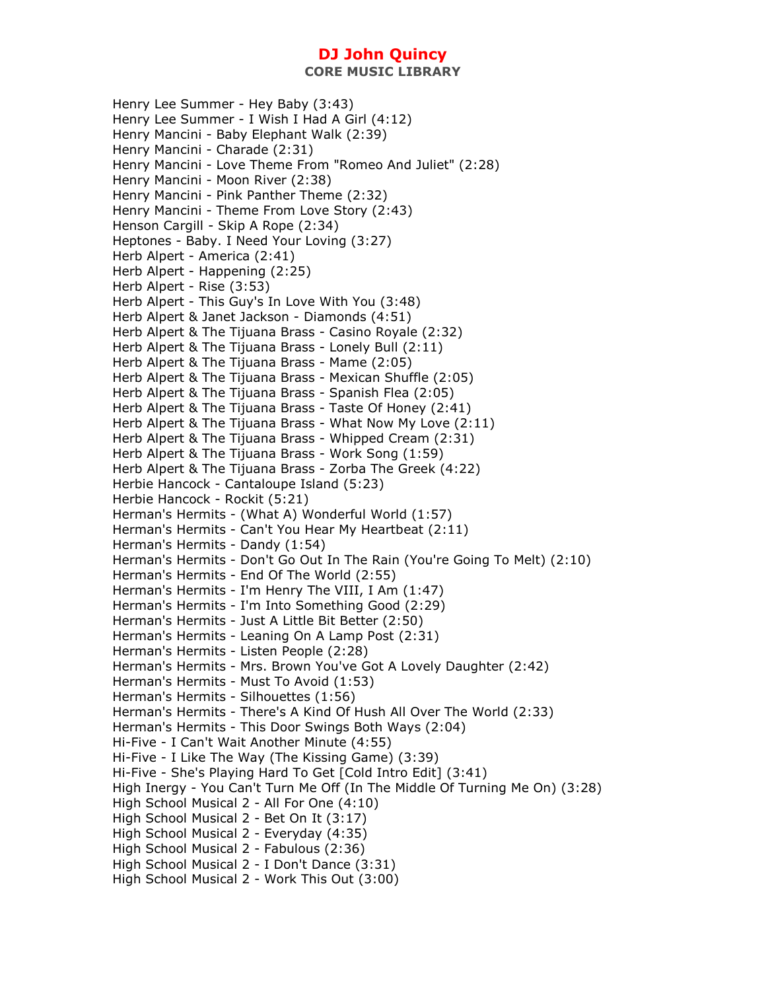Henry Lee Summer - Hey Baby (3:43) Henry Lee Summer - I Wish I Had A Girl (4:12) Henry Mancini - Baby Elephant Walk (2:39) Henry Mancini - Charade (2:31) Henry Mancini - Love Theme From "Romeo And Juliet" (2:28) Henry Mancini - Moon River (2:38) Henry Mancini - Pink Panther Theme (2:32) Henry Mancini - Theme From Love Story (2:43) Henson Cargill - Skip A Rope (2:34) Heptones - Baby. I Need Your Loving (3:27) Herb Alpert - America (2:41) Herb Alpert - Happening (2:25) Herb Alpert - Rise (3:53) Herb Alpert - This Guy's In Love With You (3:48) Herb Alpert & Janet Jackson - Diamonds (4:51) Herb Alpert & The Tijuana Brass - Casino Royale (2:32) Herb Alpert & The Tijuana Brass - Lonely Bull (2:11) Herb Alpert & The Tijuana Brass - Mame (2:05) Herb Alpert & The Tijuana Brass - Mexican Shuffle (2:05) Herb Alpert & The Tijuana Brass - Spanish Flea (2:05) Herb Alpert & The Tijuana Brass - Taste Of Honey (2:41) Herb Alpert & The Tijuana Brass - What Now My Love (2:11) Herb Alpert & The Tijuana Brass - Whipped Cream (2:31) Herb Alpert & The Tijuana Brass - Work Song (1:59) Herb Alpert & The Tijuana Brass - Zorba The Greek (4:22) Herbie Hancock - Cantaloupe Island (5:23) Herbie Hancock - Rockit (5:21) Herman's Hermits - (What A) Wonderful World (1:57) Herman's Hermits - Can't You Hear My Heartbeat (2:11) Herman's Hermits - Dandy (1:54) Herman's Hermits - Don't Go Out In The Rain (You're Going To Melt) (2:10) Herman's Hermits - End Of The World (2:55) Herman's Hermits - I'm Henry The VIII, I Am (1:47) Herman's Hermits - I'm Into Something Good (2:29) Herman's Hermits - Just A Little Bit Better (2:50) Herman's Hermits - Leaning On A Lamp Post (2:31) Herman's Hermits - Listen People (2:28) Herman's Hermits - Mrs. Brown You've Got A Lovely Daughter (2:42) Herman's Hermits - Must To Avoid (1:53) Herman's Hermits - Silhouettes (1:56) Herman's Hermits - There's A Kind Of Hush All Over The World (2:33) Herman's Hermits - This Door Swings Both Ways (2:04) Hi-Five - I Can't Wait Another Minute (4:55) Hi-Five - I Like The Way (The Kissing Game) (3:39) Hi-Five - She's Playing Hard To Get [Cold Intro Edit] (3:41) High Inergy - You Can't Turn Me Off (In The Middle Of Turning Me On) (3:28) High School Musical 2 - All For One (4:10) High School Musical 2 - Bet On It (3:17) High School Musical 2 - Everyday (4:35) High School Musical 2 - Fabulous (2:36) High School Musical 2 - I Don't Dance (3:31) High School Musical 2 - Work This Out (3:00)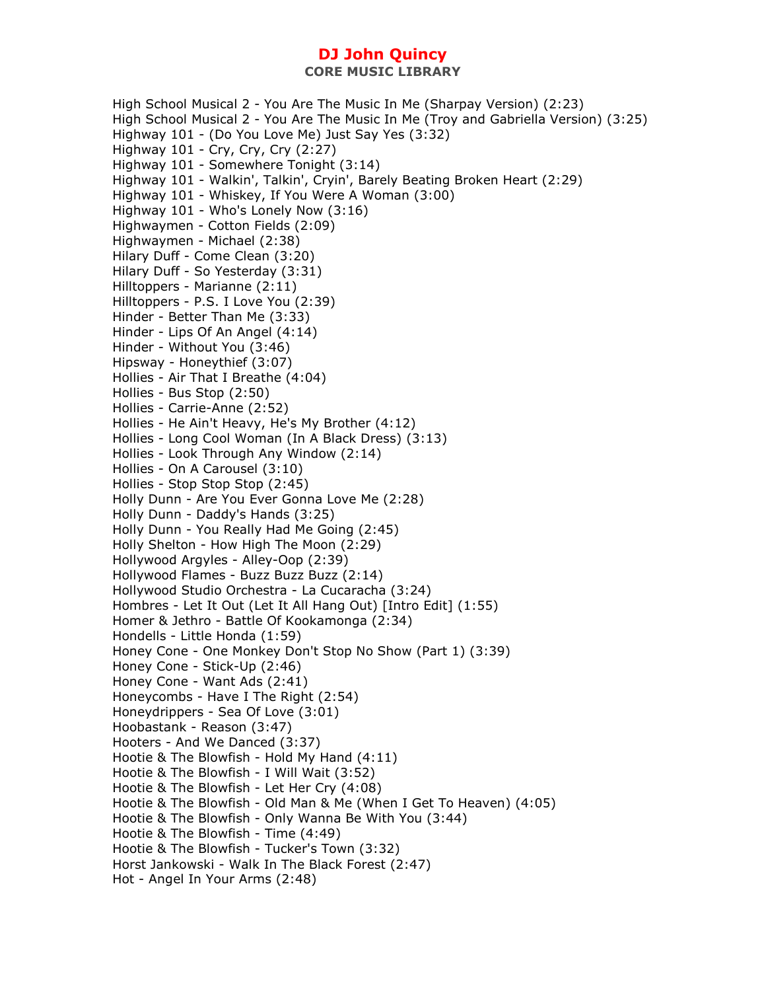High School Musical 2 - You Are The Music In Me (Sharpay Version) (2:23) High School Musical 2 - You Are The Music In Me (Troy and Gabriella Version) (3:25) Highway 101 - (Do You Love Me) Just Say Yes (3:32) Highway 101 - Cry, Cry, Cry (2:27) Highway 101 - Somewhere Tonight (3:14) Highway 101 - Walkin', Talkin', Cryin', Barely Beating Broken Heart (2:29) Highway 101 - Whiskey, If You Were A Woman (3:00) Highway 101 - Who's Lonely Now (3:16) Highwaymen - Cotton Fields (2:09) Highwaymen - Michael (2:38) Hilary Duff - Come Clean (3:20) Hilary Duff - So Yesterday (3:31) Hilltoppers - Marianne (2:11) Hilltoppers - P.S. I Love You (2:39) Hinder - Better Than Me (3:33) Hinder - Lips Of An Angel (4:14) Hinder - Without You (3:46) Hipsway - Honeythief (3:07) Hollies - Air That I Breathe (4:04) Hollies - Bus Stop (2:50) Hollies - Carrie-Anne (2:52) Hollies - He Ain't Heavy, He's My Brother (4:12) Hollies - Long Cool Woman (In A Black Dress) (3:13) Hollies - Look Through Any Window (2:14) Hollies - On A Carousel (3:10) Hollies - Stop Stop Stop (2:45) Holly Dunn - Are You Ever Gonna Love Me (2:28) Holly Dunn - Daddy's Hands (3:25) Holly Dunn - You Really Had Me Going (2:45) Holly Shelton - How High The Moon (2:29) Hollywood Argyles - Alley-Oop (2:39) Hollywood Flames - Buzz Buzz Buzz (2:14) Hollywood Studio Orchestra - La Cucaracha (3:24) Hombres - Let It Out (Let It All Hang Out) [Intro Edit] (1:55) Homer & Jethro - Battle Of Kookamonga (2:34) Hondells - Little Honda (1:59) Honey Cone - One Monkey Don't Stop No Show (Part 1) (3:39) Honey Cone - Stick-Up (2:46) Honey Cone - Want Ads (2:41) Honeycombs - Have I The Right (2:54) Honeydrippers - Sea Of Love (3:01) Hoobastank - Reason (3:47) Hooters - And We Danced (3:37) Hootie & The Blowfish - Hold My Hand (4:11) Hootie & The Blowfish - I Will Wait (3:52) Hootie & The Blowfish - Let Her Cry (4:08) Hootie & The Blowfish - Old Man & Me (When I Get To Heaven) (4:05) Hootie & The Blowfish - Only Wanna Be With You (3:44) Hootie & The Blowfish - Time (4:49) Hootie & The Blowfish - Tucker's Town (3:32) Horst Jankowski - Walk In The Black Forest (2:47) Hot - Angel In Your Arms (2:48)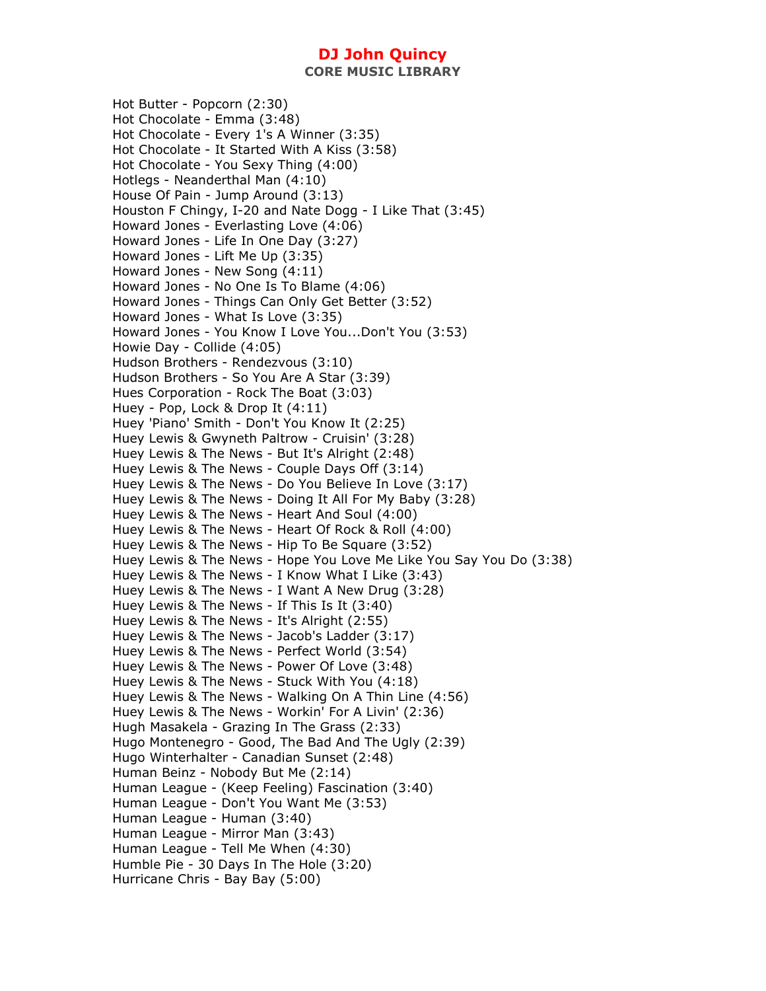**CORE MUSIC LIBRARY** 

Hot Butter - Popcorn (2:30) Hot Chocolate - Emma (3:48) Hot Chocolate - Every 1's A Winner (3:35) Hot Chocolate - It Started With A Kiss (3:58) Hot Chocolate - You Sexy Thing (4:00) Hotlegs - Neanderthal Man (4:10) House Of Pain - Jump Around (3:13) Houston F Chingy, I-20 and Nate Dogg - I Like That (3:45) Howard Jones - Everlasting Love (4:06) Howard Jones - Life In One Day (3:27) Howard Jones - Lift Me Up (3:35) Howard Jones - New Song (4:11) Howard Jones - No One Is To Blame (4:06) Howard Jones - Things Can Only Get Better (3:52) Howard Jones - What Is Love (3:35) Howard Jones - You Know I Love You...Don't You (3:53) Howie Day - Collide (4:05) Hudson Brothers - Rendezvous (3:10) Hudson Brothers - So You Are A Star (3:39) Hues Corporation - Rock The Boat (3:03) Huey - Pop, Lock & Drop It (4:11) Huey 'Piano' Smith - Don't You Know It (2:25) Huey Lewis & Gwyneth Paltrow - Cruisin' (3:28) Huey Lewis & The News - But It's Alright (2:48) Huey Lewis & The News - Couple Days Off (3:14) Huey Lewis & The News - Do You Believe In Love (3:17) Huey Lewis & The News - Doing It All For My Baby (3:28) Huey Lewis & The News - Heart And Soul (4:00) Huey Lewis & The News - Heart Of Rock & Roll (4:00) Huey Lewis & The News - Hip To Be Square (3:52) Huey Lewis & The News - Hope You Love Me Like You Say You Do (3:38) Huey Lewis & The News - I Know What I Like (3:43) Huey Lewis & The News - I Want A New Drug (3:28) Huey Lewis & The News - If This Is It (3:40) Huey Lewis & The News - It's Alright (2:55) Huey Lewis & The News - Jacob's Ladder (3:17) Huey Lewis & The News - Perfect World (3:54) Huey Lewis & The News - Power Of Love (3:48) Huey Lewis & The News - Stuck With You (4:18) Huey Lewis & The News - Walking On A Thin Line (4:56) Huey Lewis & The News - Workin' For A Livin' (2:36) Hugh Masakela - Grazing In The Grass (2:33) Hugo Montenegro - Good, The Bad And The Ugly (2:39) Hugo Winterhalter - Canadian Sunset (2:48) Human Beinz - Nobody But Me (2:14) Human League - (Keep Feeling) Fascination (3:40) Human League - Don't You Want Me (3:53) Human League - Human (3:40) Human League - Mirror Man (3:43) Human League - Tell Me When (4:30) Humble Pie - 30 Days In The Hole (3:20) Hurricane Chris - Bay Bay (5:00)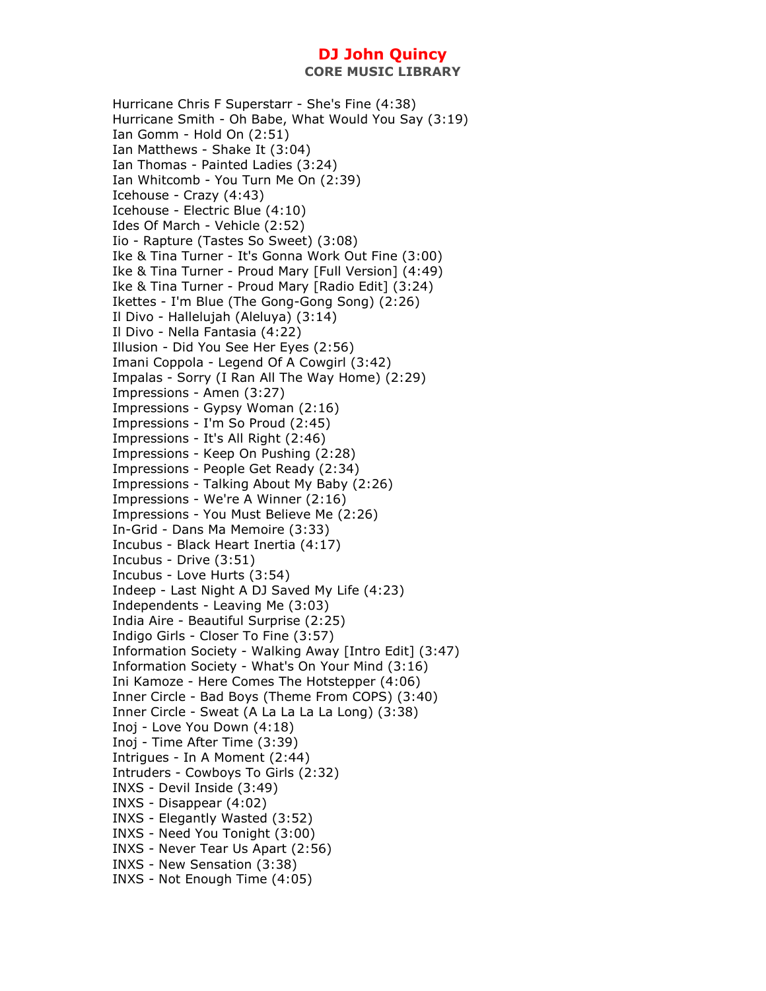Hurricane Chris F Superstarr - She's Fine (4:38) Hurricane Smith - Oh Babe, What Would You Say (3:19) Ian Gomm - Hold On (2:51) Ian Matthews - Shake It (3:04) Ian Thomas - Painted Ladies (3:24) Ian Whitcomb - You Turn Me On (2:39) Icehouse - Crazy (4:43) Icehouse - Electric Blue (4:10) Ides Of March - Vehicle (2:52) Iio - Rapture (Tastes So Sweet) (3:08) Ike & Tina Turner - It's Gonna Work Out Fine (3:00) Ike & Tina Turner - Proud Mary [Full Version] (4:49) Ike & Tina Turner - Proud Mary [Radio Edit] (3:24) Ikettes - I'm Blue (The Gong-Gong Song) (2:26) Il Divo - Hallelujah (Aleluya) (3:14) Il Divo - Nella Fantasia (4:22) Illusion - Did You See Her Eyes (2:56) Imani Coppola - Legend Of A Cowgirl (3:42) Impalas - Sorry (I Ran All The Way Home) (2:29) Impressions - Amen (3:27) Impressions - Gypsy Woman (2:16) Impressions - I'm So Proud (2:45) Impressions - It's All Right (2:46) Impressions - Keep On Pushing (2:28) Impressions - People Get Ready (2:34) Impressions - Talking About My Baby (2:26) Impressions - We're A Winner (2:16) Impressions - You Must Believe Me (2:26) In-Grid - Dans Ma Memoire (3:33) Incubus - Black Heart Inertia (4:17) Incubus - Drive (3:51) Incubus - Love Hurts (3:54) Indeep - Last Night A DJ Saved My Life (4:23) Independents - Leaving Me (3:03) India Aire - Beautiful Surprise (2:25) Indigo Girls - Closer To Fine (3:57) Information Society - Walking Away [Intro Edit] (3:47) Information Society - What's On Your Mind (3:16) Ini Kamoze - Here Comes The Hotstepper (4:06) Inner Circle - Bad Boys (Theme From COPS) (3:40) Inner Circle - Sweat (A La La La La Long) (3:38) Inoj - Love You Down (4:18) Inoj - Time After Time (3:39) Intrigues - In A Moment (2:44) Intruders - Cowboys To Girls (2:32) INXS - Devil Inside (3:49) INXS - Disappear (4:02) INXS - Elegantly Wasted (3:52) INXS - Need You Tonight (3:00) INXS - Never Tear Us Apart (2:56) INXS - New Sensation (3:38) INXS - Not Enough Time (4:05)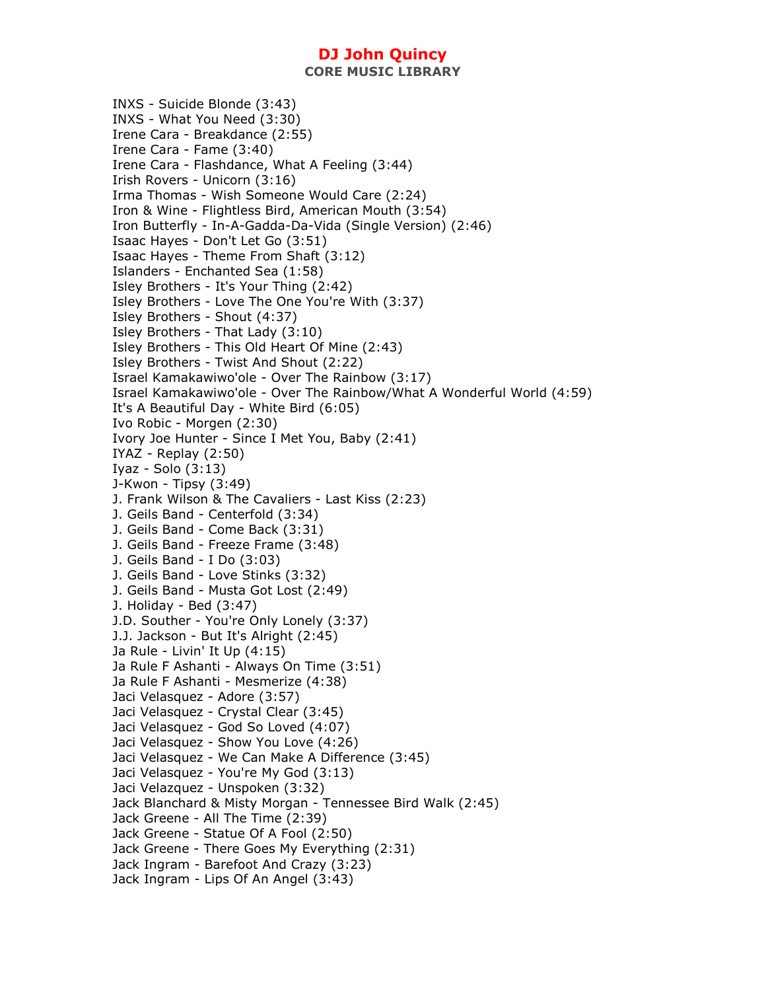**CORE MUSIC LIBRARY** 

INXS - Suicide Blonde (3:43) INXS - What You Need (3:30) Irene Cara - Breakdance (2:55) Irene Cara - Fame (3:40) Irene Cara - Flashdance, What A Feeling (3:44) Irish Rovers - Unicorn (3:16) Irma Thomas - Wish Someone Would Care (2:24) Iron & Wine - Flightless Bird, American Mouth (3:54) Iron Butterfly - In-A-Gadda-Da-Vida (Single Version) (2:46) Isaac Hayes - Don't Let Go (3:51) Isaac Hayes - Theme From Shaft (3:12) Islanders - Enchanted Sea (1:58) Isley Brothers - It's Your Thing (2:42) Isley Brothers - Love The One You're With (3:37) Isley Brothers - Shout (4:37) Isley Brothers - That Lady (3:10) Isley Brothers - This Old Heart Of Mine (2:43) Isley Brothers - Twist And Shout (2:22) Israel Kamakawiwo'ole - Over The Rainbow (3:17) Israel Kamakawiwo'ole - Over The Rainbow/What A Wonderful World (4:59) It's A Beautiful Day - White Bird (6:05) Ivo Robic - Morgen (2:30) Ivory Joe Hunter - Since I Met You, Baby (2:41) IYAZ - Replay (2:50) Iyaz - Solo (3:13) J-Kwon - Tipsy (3:49) J. Frank Wilson & The Cavaliers - Last Kiss (2:23) J. Geils Band - Centerfold (3:34) J. Geils Band - Come Back (3:31) J. Geils Band - Freeze Frame (3:48) J. Geils Band - I Do (3:03) J. Geils Band - Love Stinks (3:32) J. Geils Band - Musta Got Lost (2:49) J. Holiday - Bed (3:47) J.D. Souther - You're Only Lonely (3:37) J.J. Jackson - But It's Alright (2:45) Ja Rule - Livin' It Up (4:15) Ja Rule F Ashanti - Always On Time (3:51) Ja Rule F Ashanti - Mesmerize (4:38) Jaci Velasquez - Adore (3:57) Jaci Velasquez - Crystal Clear (3:45) Jaci Velasquez - God So Loved (4:07) Jaci Velasquez - Show You Love (4:26) Jaci Velasquez - We Can Make A Difference (3:45) Jaci Velasquez - You're My God (3:13) Jaci Velazquez - Unspoken (3:32) Jack Blanchard & Misty Morgan - Tennessee Bird Walk (2:45) Jack Greene - All The Time (2:39) Jack Greene - Statue Of A Fool (2:50) Jack Greene - There Goes My Everything (2:31) Jack Ingram - Barefoot And Crazy (3:23) Jack Ingram - Lips Of An Angel (3:43)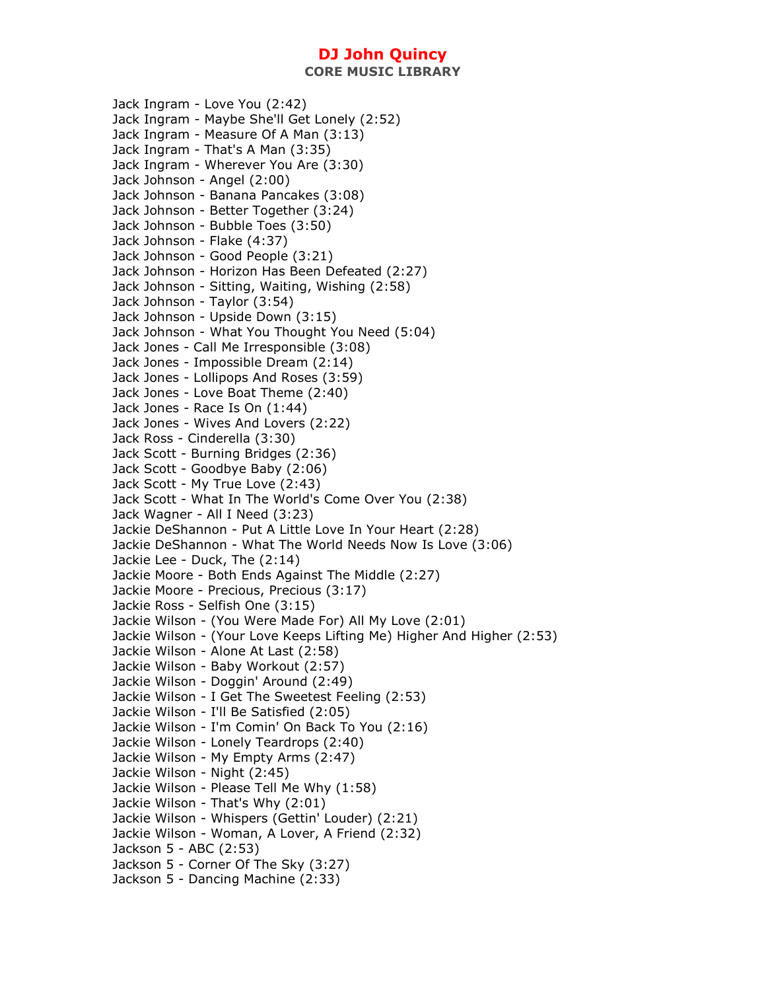Jack Ingram - Love You (2:42) Jack Ingram - Maybe She'll Get Lonely (2:52) Jack Ingram - Measure Of A Man (3:13) Jack Ingram - That's A Man (3:35) Jack Ingram - Wherever You Are (3:30) Jack Johnson - Angel (2:00) Jack Johnson - Banana Pancakes (3:08) Jack Johnson - Better Together (3:24) Jack Johnson - Bubble Toes (3:50) Jack Johnson - Flake (4:37) Jack Johnson - Good People (3:21) Jack Johnson - Horizon Has Been Defeated (2:27) Jack Johnson - Sitting, Waiting, Wishing (2:58) Jack Johnson - Taylor (3:54) Jack Johnson - Upside Down (3:15) Jack Johnson - What You Thought You Need (5:04) Jack Jones - Call Me Irresponsible (3:08) Jack Jones - Impossible Dream (2:14) Jack Jones - Lollipops And Roses (3:59) Jack Jones - Love Boat Theme (2:40) Jack Jones - Race Is On (1:44) Jack Jones - Wives And Lovers (2:22) Jack Ross - Cinderella (3:30) Jack Scott - Burning Bridges (2:36) Jack Scott - Goodbye Baby (2:06) Jack Scott - My True Love (2:43) Jack Scott - What In The World's Come Over You (2:38) Jack Wagner - All I Need (3:23) Jackie DeShannon - Put A Little Love In Your Heart (2:28) Jackie DeShannon - What The World Needs Now Is Love (3:06) Jackie Lee - Duck, The (2:14) Jackie Moore - Both Ends Against The Middle (2:27) Jackie Moore - Precious, Precious (3:17) Jackie Ross - Selfish One (3:15) Jackie Wilson - (You Were Made For) All My Love (2:01) Jackie Wilson - (Your Love Keeps Lifting Me) Higher And Higher (2:53) Jackie Wilson - Alone At Last (2:58) Jackie Wilson - Baby Workout (2:57) Jackie Wilson - Doggin' Around (2:49) Jackie Wilson - I Get The Sweetest Feeling (2:53) Jackie Wilson - I'll Be Satisfied (2:05) Jackie Wilson - I'm Comin' On Back To You (2:16) Jackie Wilson - Lonely Teardrops (2:40) Jackie Wilson - My Empty Arms (2:47) Jackie Wilson - Night (2:45) Jackie Wilson - Please Tell Me Why (1:58) Jackie Wilson - That's Why (2:01) Jackie Wilson - Whispers (Gettin' Louder) (2:21) Jackie Wilson - Woman, A Lover, A Friend (2:32) Jackson 5 - ABC (2:53) Jackson 5 - Corner Of The Sky (3:27) Jackson 5 - Dancing Machine (2:33)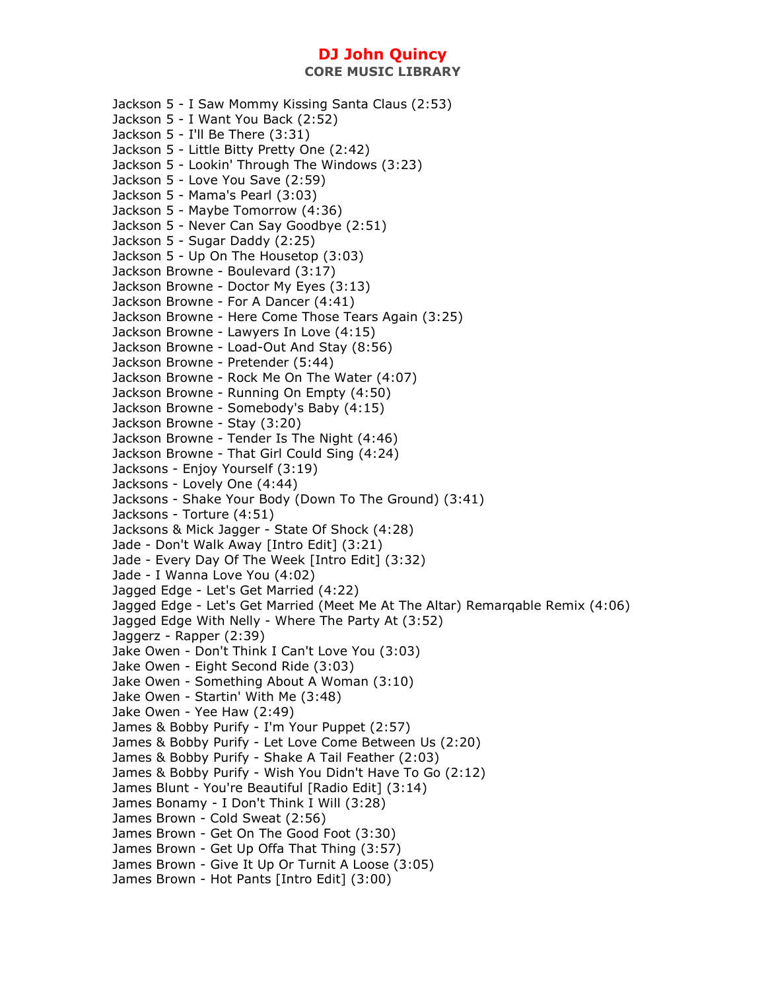**CORE MUSIC LIBRARY** 

Jackson 5 - I Saw Mommy Kissing Santa Claus (2:53) Jackson 5 - I Want You Back (2:52) Jackson 5 - I'll Be There (3:31) Jackson 5 - Little Bitty Pretty One (2:42) Jackson 5 - Lookin' Through The Windows (3:23) Jackson 5 - Love You Save (2:59) Jackson 5 - Mama's Pearl (3:03) Jackson 5 - Maybe Tomorrow (4:36) Jackson 5 - Never Can Say Goodbye (2:51) Jackson 5 - Sugar Daddy (2:25) Jackson 5 - Up On The Housetop (3:03) Jackson Browne - Boulevard (3:17) Jackson Browne - Doctor My Eyes (3:13) Jackson Browne - For A Dancer (4:41) Jackson Browne - Here Come Those Tears Again (3:25) Jackson Browne - Lawyers In Love (4:15) Jackson Browne - Load-Out And Stay (8:56) Jackson Browne - Pretender (5:44) Jackson Browne - Rock Me On The Water (4:07) Jackson Browne - Running On Empty (4:50) Jackson Browne - Somebody's Baby (4:15) Jackson Browne - Stay (3:20) Jackson Browne - Tender Is The Night (4:46) Jackson Browne - That Girl Could Sing (4:24) Jacksons - Enjoy Yourself (3:19) Jacksons - Lovely One (4:44) Jacksons - Shake Your Body (Down To The Ground) (3:41) Jacksons - Torture (4:51) Jacksons & Mick Jagger - State Of Shock (4:28) Jade - Don't Walk Away [Intro Edit] (3:21) Jade - Every Day Of The Week [Intro Edit] (3:32) Jade - I Wanna Love You (4:02) Jagged Edge - Let's Get Married (4:22) Jagged Edge - Let's Get Married (Meet Me At The Altar) Remarqable Remix (4:06) Jagged Edge With Nelly - Where The Party At (3:52) Jaggerz - Rapper (2:39) Jake Owen - Don't Think I Can't Love You (3:03) Jake Owen - Eight Second Ride (3:03) Jake Owen - Something About A Woman (3:10) Jake Owen - Startin' With Me (3:48) Jake Owen - Yee Haw (2:49) James & Bobby Purify - I'm Your Puppet (2:57) James & Bobby Purify - Let Love Come Between Us (2:20) James & Bobby Purify - Shake A Tail Feather (2:03) James & Bobby Purify - Wish You Didn't Have To Go (2:12) James Blunt - You're Beautiful [Radio Edit] (3:14) James Bonamy - I Don't Think I Will (3:28) James Brown - Cold Sweat (2:56) James Brown - Get On The Good Foot (3:30) James Brown - Get Up Offa That Thing (3:57) James Brown - Give It Up Or Turnit A Loose (3:05) James Brown - Hot Pants [Intro Edit] (3:00)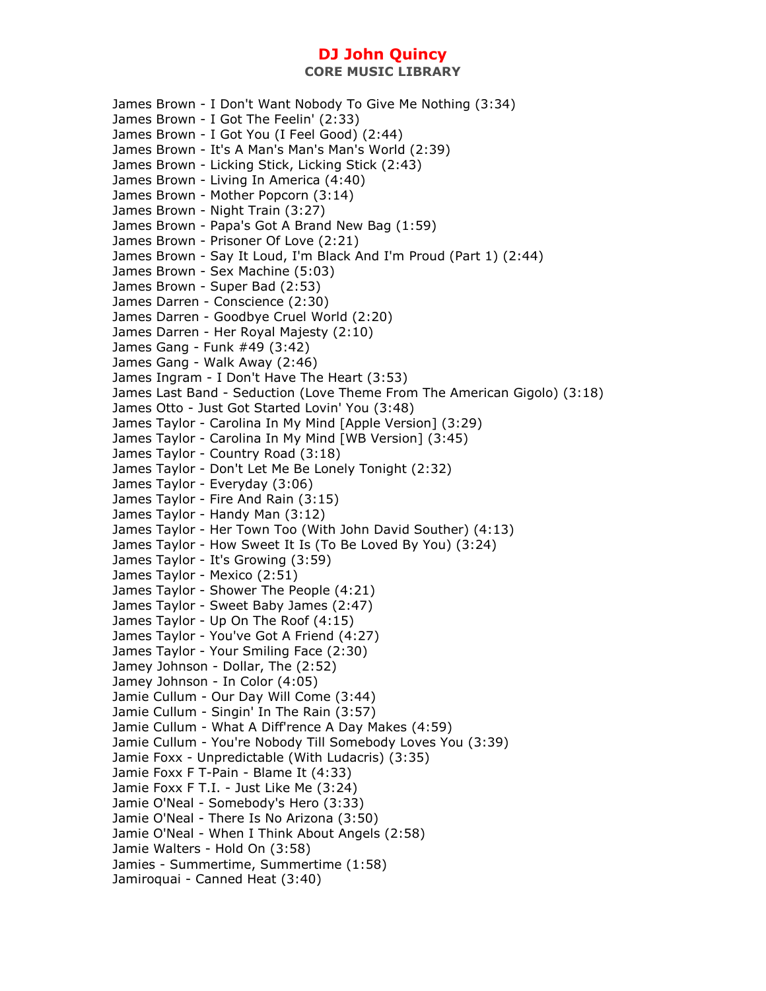James Brown - I Don't Want Nobody To Give Me Nothing (3:34) James Brown - I Got The Feelin' (2:33) James Brown - I Got You (I Feel Good) (2:44) James Brown - It's A Man's Man's Man's World (2:39) James Brown - Licking Stick, Licking Stick (2:43) James Brown - Living In America (4:40) James Brown - Mother Popcorn (3:14) James Brown - Night Train (3:27) James Brown - Papa's Got A Brand New Bag (1:59) James Brown - Prisoner Of Love (2:21) James Brown - Say It Loud, I'm Black And I'm Proud (Part 1) (2:44) James Brown - Sex Machine (5:03) James Brown - Super Bad (2:53) James Darren - Conscience (2:30) James Darren - Goodbye Cruel World (2:20) James Darren - Her Royal Majesty (2:10) James Gang - Funk #49 (3:42) James Gang - Walk Away (2:46) James Ingram - I Don't Have The Heart (3:53) James Last Band - Seduction (Love Theme From The American Gigolo) (3:18) James Otto - Just Got Started Lovin' You (3:48) James Taylor - Carolina In My Mind [Apple Version] (3:29) James Taylor - Carolina In My Mind [WB Version] (3:45) James Taylor - Country Road (3:18) James Taylor - Don't Let Me Be Lonely Tonight (2:32) James Taylor - Everyday (3:06) James Taylor - Fire And Rain (3:15) James Taylor - Handy Man (3:12) James Taylor - Her Town Too (With John David Souther) (4:13) James Taylor - How Sweet It Is (To Be Loved By You) (3:24) James Taylor - It's Growing (3:59) James Taylor - Mexico (2:51) James Taylor - Shower The People (4:21) James Taylor - Sweet Baby James (2:47) James Taylor - Up On The Roof (4:15) James Taylor - You've Got A Friend (4:27) James Taylor - Your Smiling Face (2:30) Jamey Johnson - Dollar, The (2:52) Jamey Johnson - In Color (4:05) Jamie Cullum - Our Day Will Come (3:44) Jamie Cullum - Singin' In The Rain (3:57) Jamie Cullum - What A Diff'rence A Day Makes (4:59) Jamie Cullum - You're Nobody Till Somebody Loves You (3:39) Jamie Foxx - Unpredictable (With Ludacris) (3:35) Jamie Foxx F T-Pain - Blame It (4:33) Jamie Foxx F T.I. - Just Like Me (3:24) Jamie O'Neal - Somebody's Hero (3:33) Jamie O'Neal - There Is No Arizona (3:50) Jamie O'Neal - When I Think About Angels (2:58) Jamie Walters - Hold On (3:58) Jamies - Summertime, Summertime (1:58) Jamiroquai - Canned Heat (3:40)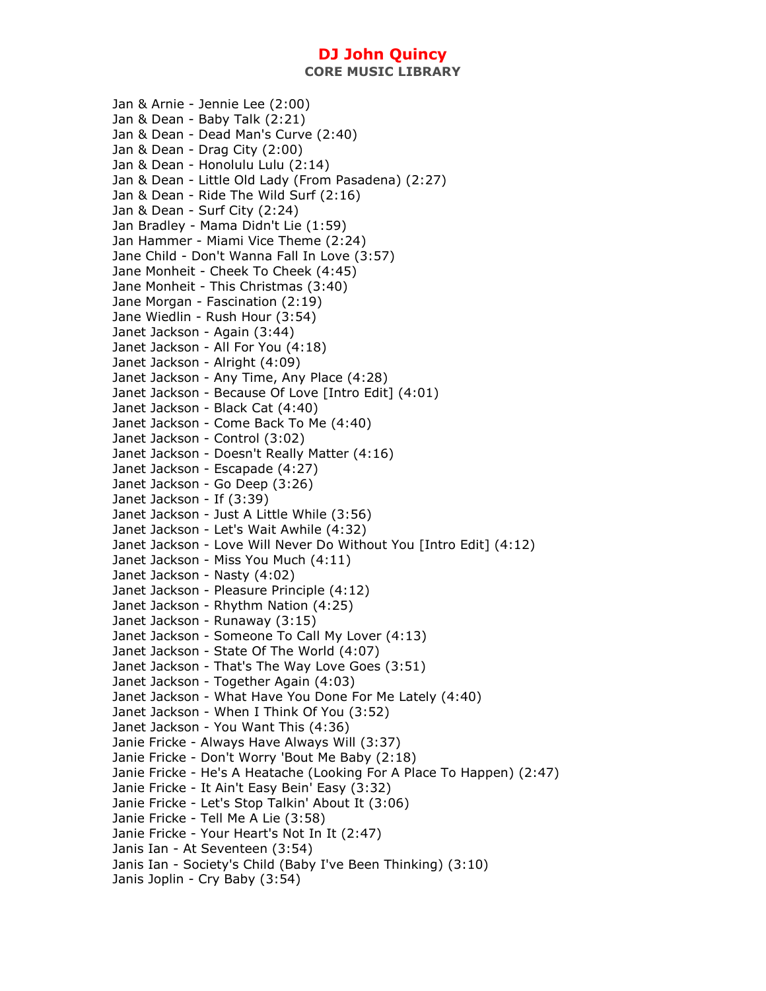**CORE MUSIC LIBRARY** 

Jan & Arnie - Jennie Lee (2:00) Jan & Dean - Baby Talk (2:21) Jan & Dean - Dead Man's Curve (2:40) Jan & Dean - Drag City (2:00) Jan & Dean - Honolulu Lulu (2:14) Jan & Dean - Little Old Lady (From Pasadena) (2:27) Jan & Dean - Ride The Wild Surf (2:16) Jan & Dean - Surf City (2:24) Jan Bradley - Mama Didn't Lie (1:59) Jan Hammer - Miami Vice Theme (2:24) Jane Child - Don't Wanna Fall In Love (3:57) Jane Monheit - Cheek To Cheek (4:45) Jane Monheit - This Christmas (3:40) Jane Morgan - Fascination (2:19) Jane Wiedlin - Rush Hour (3:54) Janet Jackson - Again (3:44) Janet Jackson - All For You (4:18) Janet Jackson - Alright (4:09) Janet Jackson - Any Time, Any Place (4:28) Janet Jackson - Because Of Love [Intro Edit] (4:01) Janet Jackson - Black Cat (4:40) Janet Jackson - Come Back To Me (4:40) Janet Jackson - Control (3:02) Janet Jackson - Doesn't Really Matter (4:16) Janet Jackson - Escapade (4:27) Janet Jackson - Go Deep (3:26) Janet Jackson - If (3:39) Janet Jackson - Just A Little While (3:56) Janet Jackson - Let's Wait Awhile (4:32) Janet Jackson - Love Will Never Do Without You [Intro Edit] (4:12) Janet Jackson - Miss You Much (4:11) Janet Jackson - Nasty (4:02) Janet Jackson - Pleasure Principle (4:12) Janet Jackson - Rhythm Nation (4:25) Janet Jackson - Runaway (3:15) Janet Jackson - Someone To Call My Lover (4:13) Janet Jackson - State Of The World (4:07) Janet Jackson - That's The Way Love Goes (3:51) Janet Jackson - Together Again (4:03) Janet Jackson - What Have You Done For Me Lately (4:40) Janet Jackson - When I Think Of You (3:52) Janet Jackson - You Want This (4:36) Janie Fricke - Always Have Always Will (3:37) Janie Fricke - Don't Worry 'Bout Me Baby (2:18) Janie Fricke - He's A Heatache (Looking For A Place To Happen) (2:47) Janie Fricke - It Ain't Easy Bein' Easy (3:32) Janie Fricke - Let's Stop Talkin' About It (3:06) Janie Fricke - Tell Me A Lie (3:58) Janie Fricke - Your Heart's Not In It (2:47) Janis Ian - At Seventeen (3:54) Janis Ian - Society's Child (Baby I've Been Thinking) (3:10) Janis Joplin - Cry Baby (3:54)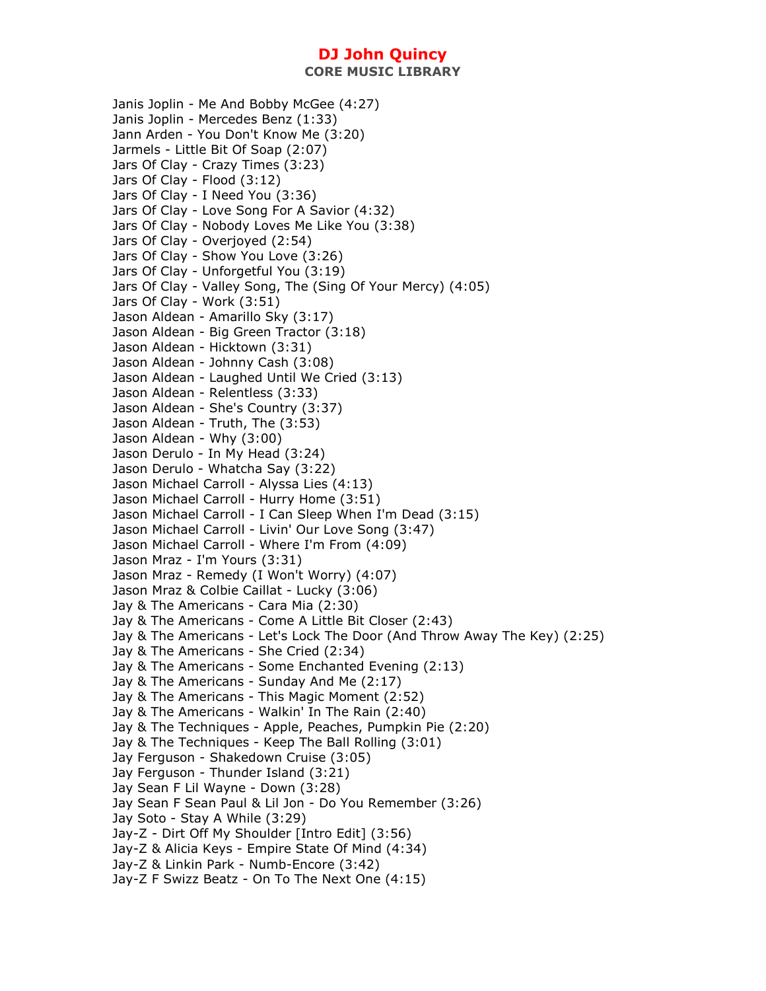**CORE MUSIC LIBRARY** 

Janis Joplin - Me And Bobby McGee (4:27) Janis Joplin - Mercedes Benz (1:33) Jann Arden - You Don't Know Me (3:20) Jarmels - Little Bit Of Soap (2:07) Jars Of Clay - Crazy Times (3:23) Jars Of Clay - Flood (3:12) Jars Of Clay - I Need You (3:36) Jars Of Clay - Love Song For A Savior (4:32) Jars Of Clay - Nobody Loves Me Like You (3:38) Jars Of Clay - Overjoyed (2:54) Jars Of Clay - Show You Love (3:26) Jars Of Clay - Unforgetful You (3:19) Jars Of Clay - Valley Song, The (Sing Of Your Mercy) (4:05) Jars Of Clay - Work (3:51) Jason Aldean - Amarillo Sky (3:17) Jason Aldean - Big Green Tractor (3:18) Jason Aldean - Hicktown (3:31) Jason Aldean - Johnny Cash (3:08) Jason Aldean - Laughed Until We Cried (3:13) Jason Aldean - Relentless (3:33) Jason Aldean - She's Country (3:37) Jason Aldean - Truth, The (3:53) Jason Aldean - Why (3:00) Jason Derulo - In My Head (3:24) Jason Derulo - Whatcha Say (3:22) Jason Michael Carroll - Alyssa Lies (4:13) Jason Michael Carroll - Hurry Home (3:51) Jason Michael Carroll - I Can Sleep When I'm Dead (3:15) Jason Michael Carroll - Livin' Our Love Song (3:47) Jason Michael Carroll - Where I'm From (4:09) Jason Mraz - I'm Yours (3:31) Jason Mraz - Remedy (I Won't Worry) (4:07) Jason Mraz & Colbie Caillat - Lucky (3:06) Jay & The Americans - Cara Mia (2:30) Jay & The Americans - Come A Little Bit Closer (2:43) Jay & The Americans - Let's Lock The Door (And Throw Away The Key) (2:25) Jay & The Americans - She Cried (2:34) Jay & The Americans - Some Enchanted Evening (2:13) Jay & The Americans - Sunday And Me (2:17) Jay & The Americans - This Magic Moment (2:52) Jay & The Americans - Walkin' In The Rain (2:40) Jay & The Techniques - Apple, Peaches, Pumpkin Pie (2:20) Jay & The Techniques - Keep The Ball Rolling (3:01) Jay Ferguson - Shakedown Cruise (3:05) Jay Ferguson - Thunder Island (3:21) Jay Sean F Lil Wayne - Down (3:28) Jay Sean F Sean Paul & Lil Jon - Do You Remember (3:26) Jay Soto - Stay A While (3:29) Jay-Z - Dirt Off My Shoulder [Intro Edit] (3:56) Jay-Z & Alicia Keys - Empire State Of Mind (4:34) Jay-Z & Linkin Park - Numb-Encore (3:42) Jay-Z F Swizz Beatz - On To The Next One (4:15)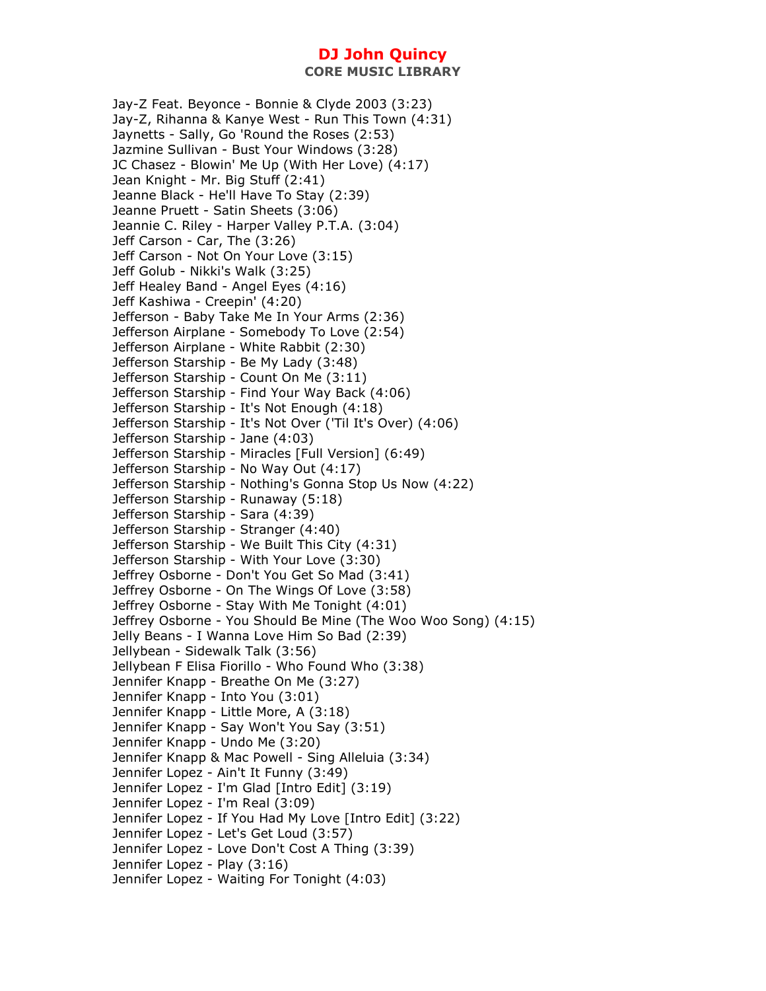Jay-Z Feat. Beyonce - Bonnie & Clyde 2003 (3:23) Jay-Z, Rihanna & Kanye West - Run This Town (4:31) Jaynetts - Sally, Go 'Round the Roses (2:53) Jazmine Sullivan - Bust Your Windows (3:28) JC Chasez - Blowin' Me Up (With Her Love) (4:17) Jean Knight - Mr. Big Stuff (2:41) Jeanne Black - He'll Have To Stay (2:39) Jeanne Pruett - Satin Sheets (3:06) Jeannie C. Riley - Harper Valley P.T.A. (3:04) Jeff Carson - Car, The (3:26) Jeff Carson - Not On Your Love (3:15) Jeff Golub - Nikki's Walk (3:25) Jeff Healey Band - Angel Eyes (4:16) Jeff Kashiwa - Creepin' (4:20) Jefferson - Baby Take Me In Your Arms (2:36) Jefferson Airplane - Somebody To Love (2:54) Jefferson Airplane - White Rabbit (2:30) Jefferson Starship - Be My Lady (3:48) Jefferson Starship - Count On Me (3:11) Jefferson Starship - Find Your Way Back (4:06) Jefferson Starship - It's Not Enough (4:18) Jefferson Starship - It's Not Over ('Til It's Over) (4:06) Jefferson Starship - Jane (4:03) Jefferson Starship - Miracles [Full Version] (6:49) Jefferson Starship - No Way Out (4:17) Jefferson Starship - Nothing's Gonna Stop Us Now (4:22) Jefferson Starship - Runaway (5:18) Jefferson Starship - Sara (4:39) Jefferson Starship - Stranger (4:40) Jefferson Starship - We Built This City (4:31) Jefferson Starship - With Your Love (3:30) Jeffrey Osborne - Don't You Get So Mad (3:41) Jeffrey Osborne - On The Wings Of Love (3:58) Jeffrey Osborne - Stay With Me Tonight (4:01) Jeffrey Osborne - You Should Be Mine (The Woo Woo Song) (4:15) Jelly Beans - I Wanna Love Him So Bad (2:39) Jellybean - Sidewalk Talk (3:56) Jellybean F Elisa Fiorillo - Who Found Who (3:38) Jennifer Knapp - Breathe On Me (3:27) Jennifer Knapp - Into You (3:01) Jennifer Knapp - Little More, A (3:18) Jennifer Knapp - Say Won't You Say (3:51) Jennifer Knapp - Undo Me (3:20) Jennifer Knapp & Mac Powell - Sing Alleluia (3:34) Jennifer Lopez - Ain't It Funny (3:49) Jennifer Lopez - I'm Glad [Intro Edit] (3:19) Jennifer Lopez - I'm Real (3:09) Jennifer Lopez - If You Had My Love [Intro Edit] (3:22) Jennifer Lopez - Let's Get Loud (3:57) Jennifer Lopez - Love Don't Cost A Thing (3:39) Jennifer Lopez - Play (3:16) Jennifer Lopez - Waiting For Tonight (4:03)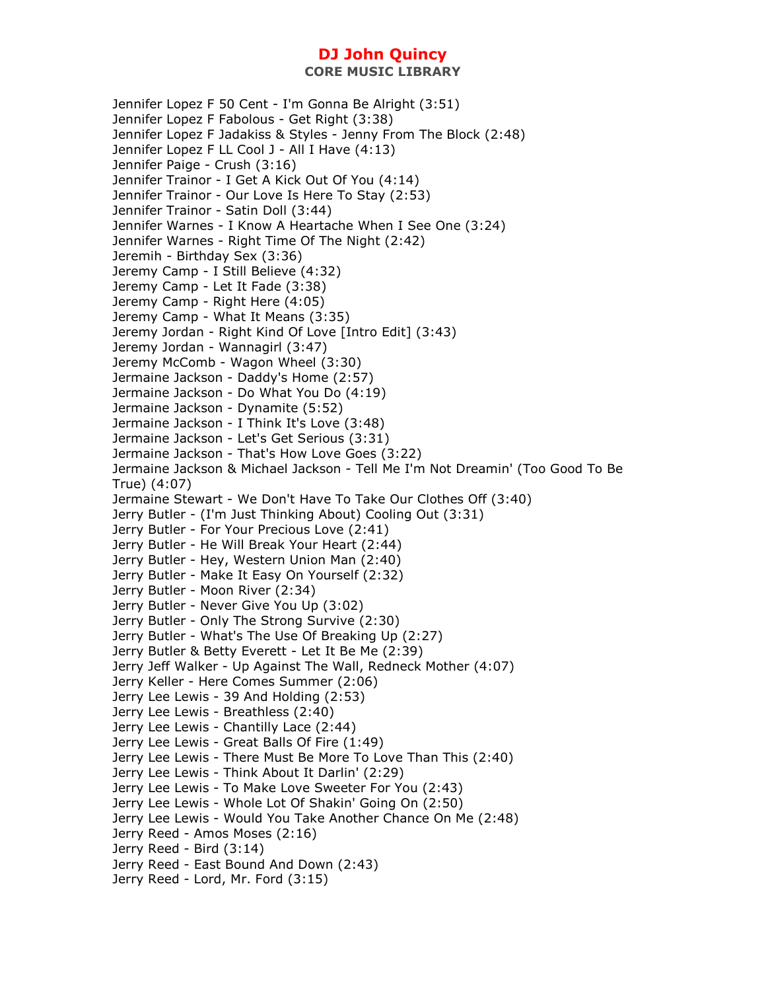Jennifer Lopez F 50 Cent - I'm Gonna Be Alright (3:51) Jennifer Lopez F Fabolous - Get Right (3:38) Jennifer Lopez F Jadakiss & Styles - Jenny From The Block (2:48) Jennifer Lopez F LL Cool J - All I Have (4:13) Jennifer Paige - Crush (3:16) Jennifer Trainor - I Get A Kick Out Of You (4:14) Jennifer Trainor - Our Love Is Here To Stay (2:53) Jennifer Trainor - Satin Doll (3:44) Jennifer Warnes - I Know A Heartache When I See One (3:24) Jennifer Warnes - Right Time Of The Night (2:42) Jeremih - Birthday Sex (3:36) Jeremy Camp - I Still Believe (4:32) Jeremy Camp - Let It Fade (3:38) Jeremy Camp - Right Here (4:05) Jeremy Camp - What It Means (3:35) Jeremy Jordan - Right Kind Of Love [Intro Edit] (3:43) Jeremy Jordan - Wannagirl (3:47) Jeremy McComb - Wagon Wheel (3:30) Jermaine Jackson - Daddy's Home (2:57) Jermaine Jackson - Do What You Do (4:19) Jermaine Jackson - Dynamite (5:52) Jermaine Jackson - I Think It's Love (3:48) Jermaine Jackson - Let's Get Serious (3:31) Jermaine Jackson - That's How Love Goes (3:22) Jermaine Jackson & Michael Jackson - Tell Me I'm Not Dreamin' (Too Good To Be True) (4:07) Jermaine Stewart - We Don't Have To Take Our Clothes Off (3:40) Jerry Butler - (I'm Just Thinking About) Cooling Out (3:31) Jerry Butler - For Your Precious Love (2:41) Jerry Butler - He Will Break Your Heart (2:44) Jerry Butler - Hey, Western Union Man (2:40) Jerry Butler - Make It Easy On Yourself (2:32) Jerry Butler - Moon River (2:34) Jerry Butler - Never Give You Up (3:02) Jerry Butler - Only The Strong Survive (2:30) Jerry Butler - What's The Use Of Breaking Up (2:27) Jerry Butler & Betty Everett - Let It Be Me (2:39) Jerry Jeff Walker - Up Against The Wall, Redneck Mother (4:07) Jerry Keller - Here Comes Summer (2:06) Jerry Lee Lewis - 39 And Holding (2:53) Jerry Lee Lewis - Breathless (2:40) Jerry Lee Lewis - Chantilly Lace (2:44) Jerry Lee Lewis - Great Balls Of Fire (1:49) Jerry Lee Lewis - There Must Be More To Love Than This (2:40) Jerry Lee Lewis - Think About It Darlin' (2:29) Jerry Lee Lewis - To Make Love Sweeter For You (2:43) Jerry Lee Lewis - Whole Lot Of Shakin' Going On (2:50) Jerry Lee Lewis - Would You Take Another Chance On Me (2:48) Jerry Reed - Amos Moses (2:16) Jerry Reed - Bird (3:14) Jerry Reed - East Bound And Down (2:43) Jerry Reed - Lord, Mr. Ford (3:15)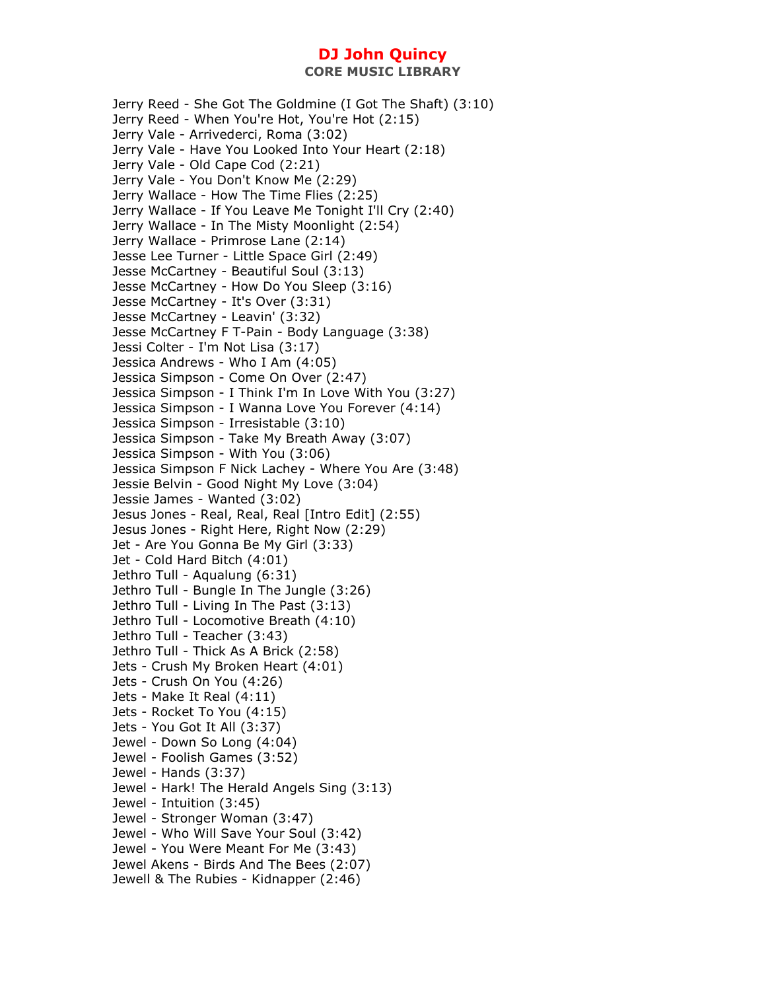Jerry Reed - She Got The Goldmine (I Got The Shaft) (3:10) Jerry Reed - When You're Hot, You're Hot (2:15) Jerry Vale - Arrivederci, Roma (3:02) Jerry Vale - Have You Looked Into Your Heart (2:18) Jerry Vale - Old Cape Cod (2:21) Jerry Vale - You Don't Know Me (2:29) Jerry Wallace - How The Time Flies (2:25) Jerry Wallace - If You Leave Me Tonight I'll Cry (2:40) Jerry Wallace - In The Misty Moonlight (2:54) Jerry Wallace - Primrose Lane (2:14) Jesse Lee Turner - Little Space Girl (2:49) Jesse McCartney - Beautiful Soul (3:13) Jesse McCartney - How Do You Sleep (3:16) Jesse McCartney - It's Over (3:31) Jesse McCartney - Leavin' (3:32) Jesse McCartney F T-Pain - Body Language (3:38) Jessi Colter - I'm Not Lisa (3:17) Jessica Andrews - Who I Am (4:05) Jessica Simpson - Come On Over (2:47) Jessica Simpson - I Think I'm In Love With You (3:27) Jessica Simpson - I Wanna Love You Forever (4:14) Jessica Simpson - Irresistable (3:10) Jessica Simpson - Take My Breath Away (3:07) Jessica Simpson - With You (3:06) Jessica Simpson F Nick Lachey - Where You Are (3:48) Jessie Belvin - Good Night My Love (3:04) Jessie James - Wanted (3:02) Jesus Jones - Real, Real, Real [Intro Edit] (2:55) Jesus Jones - Right Here, Right Now (2:29) Jet - Are You Gonna Be My Girl (3:33) Jet - Cold Hard Bitch (4:01) Jethro Tull - Aqualung (6:31) Jethro Tull - Bungle In The Jungle (3:26) Jethro Tull - Living In The Past (3:13) Jethro Tull - Locomotive Breath (4:10) Jethro Tull - Teacher (3:43) Jethro Tull - Thick As A Brick (2:58) Jets - Crush My Broken Heart (4:01) Jets - Crush On You (4:26) Jets - Make It Real (4:11) Jets - Rocket To You (4:15) Jets - You Got It All (3:37) Jewel - Down So Long (4:04) Jewel - Foolish Games (3:52) Jewel - Hands (3:37) Jewel - Hark! The Herald Angels Sing (3:13) Jewel - Intuition (3:45) Jewel - Stronger Woman (3:47) Jewel - Who Will Save Your Soul (3:42) Jewel - You Were Meant For Me (3:43) Jewel Akens - Birds And The Bees (2:07) Jewell & The Rubies - Kidnapper (2:46)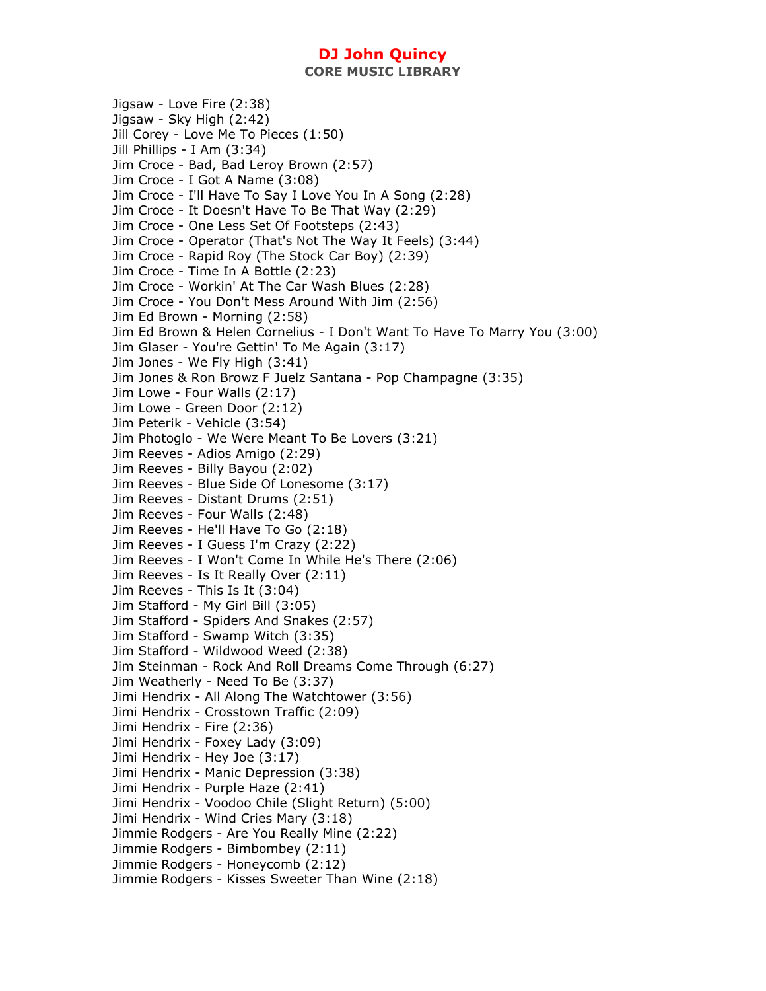**CORE MUSIC LIBRARY** 

Jigsaw - Love Fire (2:38) Jigsaw - Sky High (2:42) Jill Corey - Love Me To Pieces (1:50) Jill Phillips - I Am (3:34) Jim Croce - Bad, Bad Leroy Brown (2:57) Jim Croce - I Got A Name (3:08) Jim Croce - I'll Have To Say I Love You In A Song (2:28) Jim Croce - It Doesn't Have To Be That Way (2:29) Jim Croce - One Less Set Of Footsteps (2:43) Jim Croce - Operator (That's Not The Way It Feels) (3:44) Jim Croce - Rapid Roy (The Stock Car Boy) (2:39) Jim Croce - Time In A Bottle (2:23) Jim Croce - Workin' At The Car Wash Blues (2:28) Jim Croce - You Don't Mess Around With Jim (2:56) Jim Ed Brown - Morning (2:58) Jim Ed Brown & Helen Cornelius - I Don't Want To Have To Marry You (3:00) Jim Glaser - You're Gettin' To Me Again (3:17) Jim Jones - We Fly High (3:41) Jim Jones & Ron Browz F Juelz Santana - Pop Champagne (3:35) Jim Lowe - Four Walls (2:17) Jim Lowe - Green Door (2:12) Jim Peterik - Vehicle (3:54) Jim Photoglo - We Were Meant To Be Lovers (3:21) Jim Reeves - Adios Amigo (2:29) Jim Reeves - Billy Bayou (2:02) Jim Reeves - Blue Side Of Lonesome (3:17) Jim Reeves - Distant Drums (2:51) Jim Reeves - Four Walls (2:48) Jim Reeves - He'll Have To Go (2:18) Jim Reeves - I Guess I'm Crazy (2:22) Jim Reeves - I Won't Come In While He's There (2:06) Jim Reeves - Is It Really Over (2:11) Jim Reeves - This Is It (3:04) Jim Stafford - My Girl Bill (3:05) Jim Stafford - Spiders And Snakes (2:57) Jim Stafford - Swamp Witch (3:35) Jim Stafford - Wildwood Weed (2:38) Jim Steinman - Rock And Roll Dreams Come Through (6:27) Jim Weatherly - Need To Be (3:37) Jimi Hendrix - All Along The Watchtower (3:56) Jimi Hendrix - Crosstown Traffic (2:09) Jimi Hendrix - Fire (2:36) Jimi Hendrix - Foxey Lady (3:09) Jimi Hendrix - Hey Joe (3:17) Jimi Hendrix - Manic Depression (3:38) Jimi Hendrix - Purple Haze (2:41) Jimi Hendrix - Voodoo Chile (Slight Return) (5:00) Jimi Hendrix - Wind Cries Mary (3:18) Jimmie Rodgers - Are You Really Mine (2:22) Jimmie Rodgers - Bimbombey (2:11) Jimmie Rodgers - Honeycomb (2:12) Jimmie Rodgers - Kisses Sweeter Than Wine (2:18)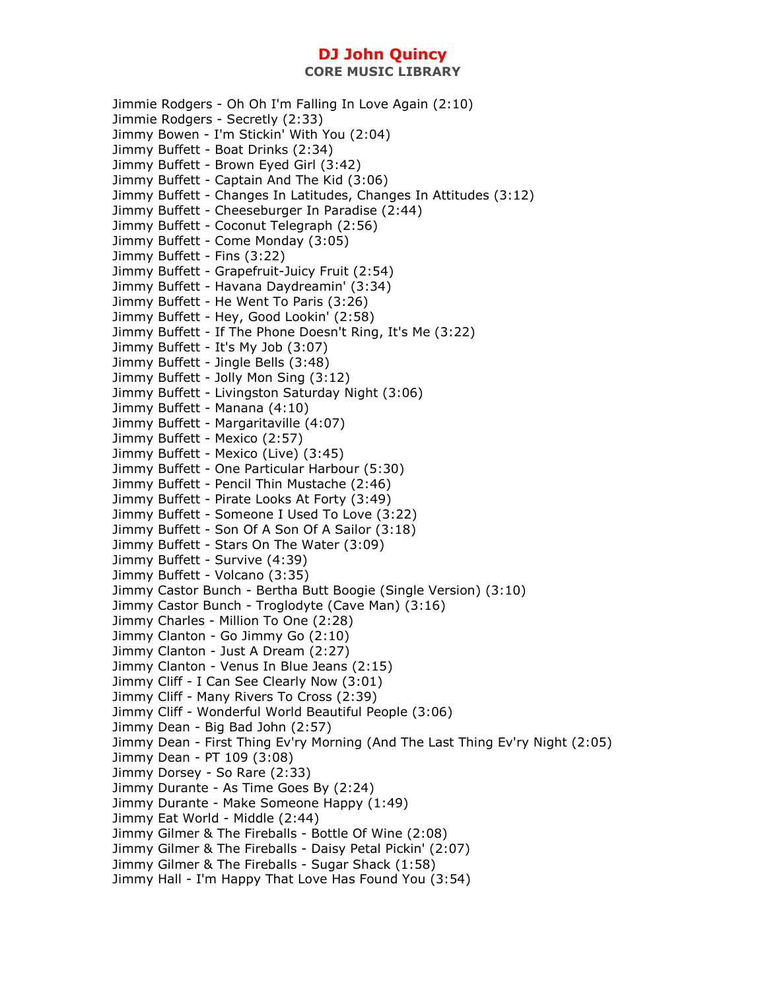**CORE MUSIC LIBRARY** 

Jimmie Rodgers - Oh Oh I'm Falling In Love Again (2:10) Jimmie Rodgers - Secretly (2:33) Jimmy Bowen - I'm Stickin' With You (2:04) Jimmy Buffett - Boat Drinks (2:34) Jimmy Buffett - Brown Eyed Girl (3:42) Jimmy Buffett - Captain And The Kid (3:06) Jimmy Buffett - Changes In Latitudes, Changes In Attitudes (3:12) Jimmy Buffett - Cheeseburger In Paradise (2:44) Jimmy Buffett - Coconut Telegraph (2:56) Jimmy Buffett - Come Monday (3:05) Jimmy Buffett - Fins (3:22) Jimmy Buffett - Grapefruit-Juicy Fruit (2:54) Jimmy Buffett - Havana Daydreamin' (3:34) Jimmy Buffett - He Went To Paris (3:26) Jimmy Buffett - Hey, Good Lookin' (2:58) Jimmy Buffett - If The Phone Doesn't Ring, It's Me (3:22) Jimmy Buffett - It's My Job (3:07) Jimmy Buffett - Jingle Bells (3:48) Jimmy Buffett - Jolly Mon Sing (3:12) Jimmy Buffett - Livingston Saturday Night (3:06) Jimmy Buffett - Manana (4:10) Jimmy Buffett - Margaritaville (4:07) Jimmy Buffett - Mexico (2:57) Jimmy Buffett - Mexico (Live) (3:45) Jimmy Buffett - One Particular Harbour (5:30) Jimmy Buffett - Pencil Thin Mustache (2:46) Jimmy Buffett - Pirate Looks At Forty (3:49) Jimmy Buffett - Someone I Used To Love (3:22) Jimmy Buffett - Son Of A Son Of A Sailor (3:18) Jimmy Buffett - Stars On The Water (3:09) Jimmy Buffett - Survive (4:39) Jimmy Buffett - Volcano (3:35) Jimmy Castor Bunch - Bertha Butt Boogie (Single Version) (3:10) Jimmy Castor Bunch - Troglodyte (Cave Man) (3:16) Jimmy Charles - Million To One (2:28) Jimmy Clanton - Go Jimmy Go (2:10) Jimmy Clanton - Just A Dream (2:27) Jimmy Clanton - Venus In Blue Jeans (2:15) Jimmy Cliff - I Can See Clearly Now (3:01) Jimmy Cliff - Many Rivers To Cross (2:39) Jimmy Cliff - Wonderful World Beautiful People (3:06) Jimmy Dean - Big Bad John (2:57) Jimmy Dean - First Thing Ev'ry Morning (And The Last Thing Ev'ry Night (2:05) Jimmy Dean - PT 109 (3:08) Jimmy Dorsey - So Rare (2:33) Jimmy Durante - As Time Goes By (2:24) Jimmy Durante - Make Someone Happy (1:49) Jimmy Eat World - Middle (2:44) Jimmy Gilmer & The Fireballs - Bottle Of Wine (2:08) Jimmy Gilmer & The Fireballs - Daisy Petal Pickin' (2:07) Jimmy Gilmer & The Fireballs - Sugar Shack (1:58) Jimmy Hall - I'm Happy That Love Has Found You (3:54)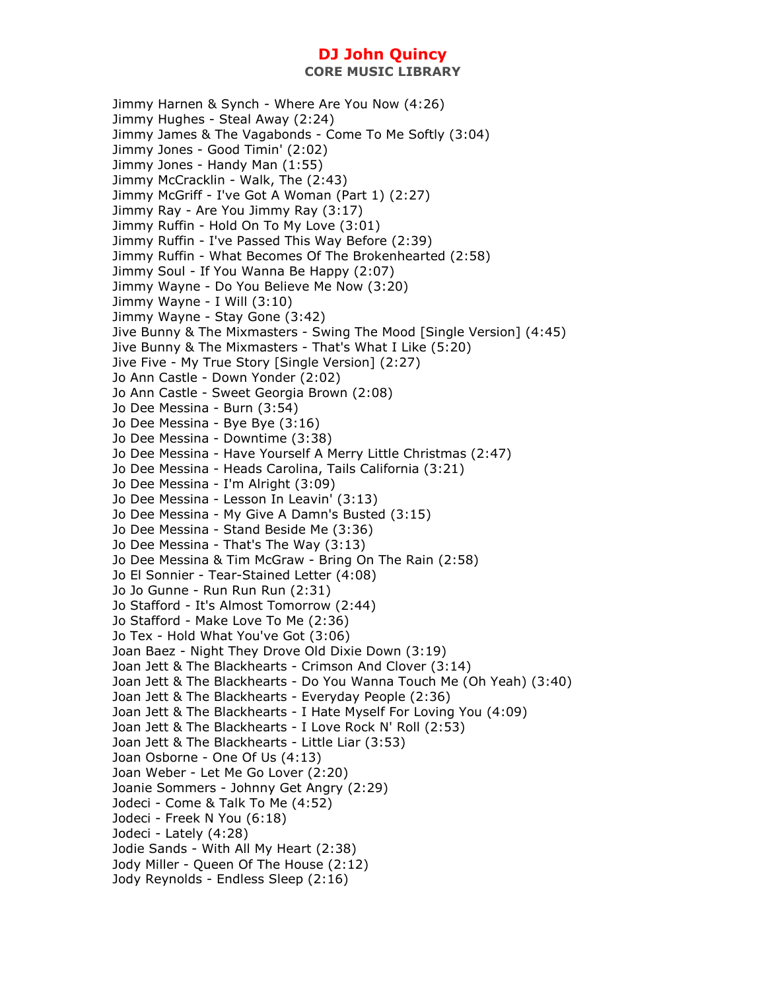**CORE MUSIC LIBRARY** 

Jimmy Harnen & Synch - Where Are You Now (4:26) Jimmy Hughes - Steal Away (2:24) Jimmy James & The Vagabonds - Come To Me Softly (3:04) Jimmy Jones - Good Timin' (2:02) Jimmy Jones - Handy Man (1:55) Jimmy McCracklin - Walk, The (2:43) Jimmy McGriff - I've Got A Woman (Part 1) (2:27) Jimmy Ray - Are You Jimmy Ray (3:17) Jimmy Ruffin - Hold On To My Love (3:01) Jimmy Ruffin - I've Passed This Way Before (2:39) Jimmy Ruffin - What Becomes Of The Brokenhearted (2:58) Jimmy Soul - If You Wanna Be Happy (2:07) Jimmy Wayne - Do You Believe Me Now (3:20) Jimmy Wayne - I Will (3:10) Jimmy Wayne - Stay Gone (3:42) Jive Bunny & The Mixmasters - Swing The Mood [Single Version] (4:45) Jive Bunny & The Mixmasters - That's What I Like (5:20) Jive Five - My True Story [Single Version] (2:27) Jo Ann Castle - Down Yonder (2:02) Jo Ann Castle - Sweet Georgia Brown (2:08) Jo Dee Messina - Burn (3:54) Jo Dee Messina - Bye Bye (3:16) Jo Dee Messina - Downtime (3:38) Jo Dee Messina - Have Yourself A Merry Little Christmas (2:47) Jo Dee Messina - Heads Carolina, Tails California (3:21) Jo Dee Messina - I'm Alright (3:09) Jo Dee Messina - Lesson In Leavin' (3:13) Jo Dee Messina - My Give A Damn's Busted (3:15) Jo Dee Messina - Stand Beside Me (3:36) Jo Dee Messina - That's The Way (3:13) Jo Dee Messina & Tim McGraw - Bring On The Rain (2:58) Jo El Sonnier - Tear-Stained Letter (4:08) Jo Jo Gunne - Run Run Run (2:31) Jo Stafford - It's Almost Tomorrow (2:44) Jo Stafford - Make Love To Me (2:36) Jo Tex - Hold What You've Got (3:06) Joan Baez - Night They Drove Old Dixie Down (3:19) Joan Jett & The Blackhearts - Crimson And Clover (3:14) Joan Jett & The Blackhearts - Do You Wanna Touch Me (Oh Yeah) (3:40) Joan Jett & The Blackhearts - Everyday People (2:36) Joan Jett & The Blackhearts - I Hate Myself For Loving You (4:09) Joan Jett & The Blackhearts - I Love Rock N' Roll (2:53) Joan Jett & The Blackhearts - Little Liar (3:53) Joan Osborne - One Of Us (4:13) Joan Weber - Let Me Go Lover (2:20) Joanie Sommers - Johnny Get Angry (2:29) Jodeci - Come & Talk To Me (4:52) Jodeci - Freek N You (6:18) Jodeci - Lately (4:28) Jodie Sands - With All My Heart (2:38) Jody Miller - Queen Of The House (2:12) Jody Reynolds - Endless Sleep (2:16)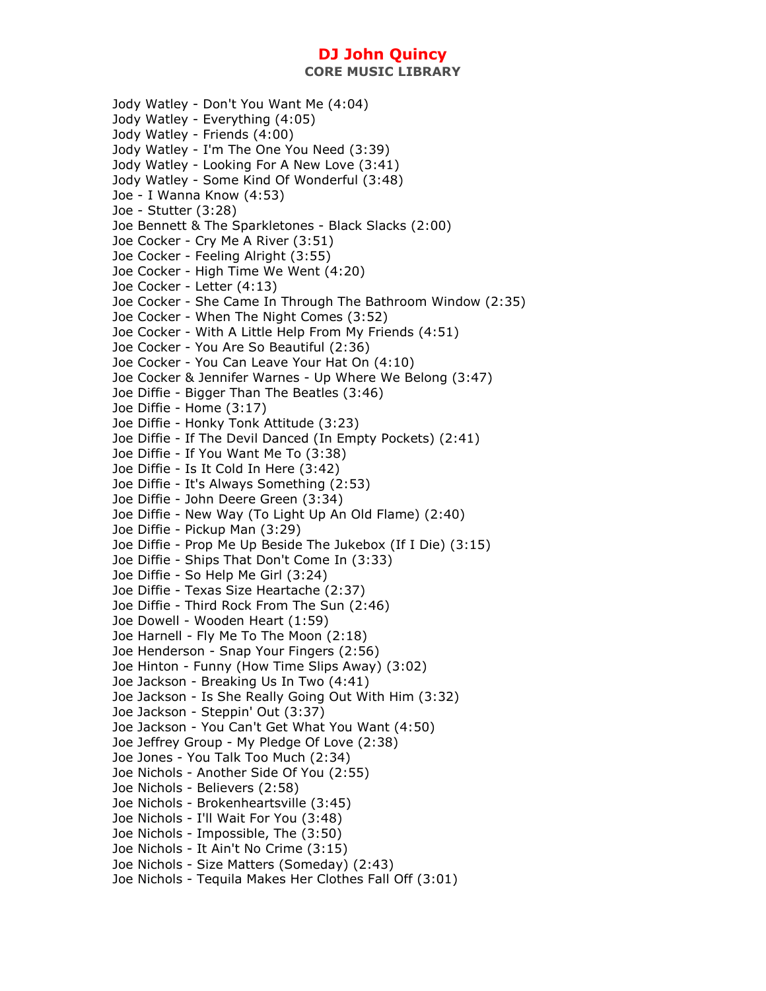**CORE MUSIC LIBRARY** 

Jody Watley - Don't You Want Me (4:04) Jody Watley - Everything (4:05) Jody Watley - Friends (4:00) Jody Watley - I'm The One You Need (3:39) Jody Watley - Looking For A New Love (3:41) Jody Watley - Some Kind Of Wonderful (3:48) Joe - I Wanna Know (4:53) Joe - Stutter (3:28) Joe Bennett & The Sparkletones - Black Slacks (2:00) Joe Cocker - Cry Me A River (3:51) Joe Cocker - Feeling Alright (3:55) Joe Cocker - High Time We Went (4:20) Joe Cocker - Letter (4:13) Joe Cocker - She Came In Through The Bathroom Window (2:35) Joe Cocker - When The Night Comes (3:52) Joe Cocker - With A Little Help From My Friends (4:51) Joe Cocker - You Are So Beautiful (2:36) Joe Cocker - You Can Leave Your Hat On (4:10) Joe Cocker & Jennifer Warnes - Up Where We Belong (3:47) Joe Diffie - Bigger Than The Beatles (3:46) Joe Diffie - Home (3:17) Joe Diffie - Honky Tonk Attitude (3:23) Joe Diffie - If The Devil Danced (In Empty Pockets) (2:41) Joe Diffie - If You Want Me To (3:38) Joe Diffie - Is It Cold In Here (3:42) Joe Diffie - It's Always Something (2:53) Joe Diffie - John Deere Green (3:34) Joe Diffie - New Way (To Light Up An Old Flame) (2:40) Joe Diffie - Pickup Man (3:29) Joe Diffie - Prop Me Up Beside The Jukebox (If I Die) (3:15) Joe Diffie - Ships That Don't Come In (3:33) Joe Diffie - So Help Me Girl (3:24) Joe Diffie - Texas Size Heartache (2:37) Joe Diffie - Third Rock From The Sun (2:46) Joe Dowell - Wooden Heart (1:59) Joe Harnell - Fly Me To The Moon (2:18) Joe Henderson - Snap Your Fingers (2:56) Joe Hinton - Funny (How Time Slips Away) (3:02) Joe Jackson - Breaking Us In Two (4:41) Joe Jackson - Is She Really Going Out With Him (3:32) Joe Jackson - Steppin' Out (3:37) Joe Jackson - You Can't Get What You Want (4:50) Joe Jeffrey Group - My Pledge Of Love (2:38) Joe Jones - You Talk Too Much (2:34) Joe Nichols - Another Side Of You (2:55) Joe Nichols - Believers (2:58) Joe Nichols - Brokenheartsville (3:45) Joe Nichols - I'll Wait For You (3:48) Joe Nichols - Impossible, The (3:50) Joe Nichols - It Ain't No Crime (3:15) Joe Nichols - Size Matters (Someday) (2:43) Joe Nichols - Tequila Makes Her Clothes Fall Off (3:01)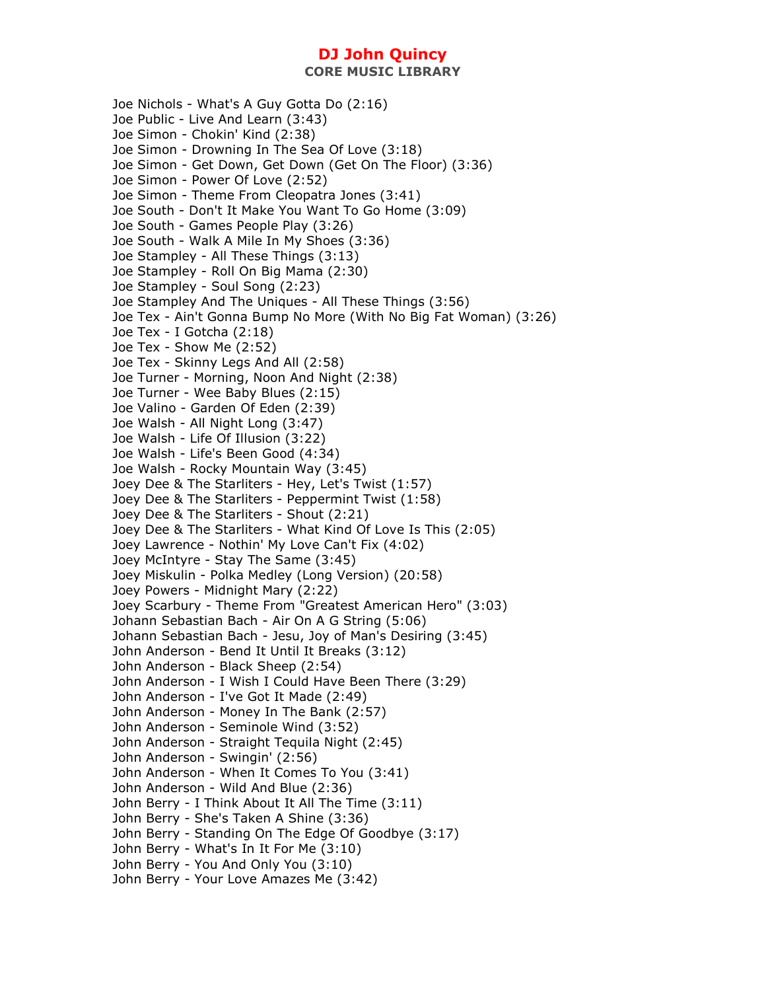Joe Nichols - What's A Guy Gotta Do (2:16) Joe Public - Live And Learn (3:43) Joe Simon - Chokin' Kind (2:38) Joe Simon - Drowning In The Sea Of Love (3:18) Joe Simon - Get Down, Get Down (Get On The Floor) (3:36) Joe Simon - Power Of Love (2:52) Joe Simon - Theme From Cleopatra Jones (3:41) Joe South - Don't It Make You Want To Go Home (3:09) Joe South - Games People Play (3:26) Joe South - Walk A Mile In My Shoes (3:36) Joe Stampley - All These Things (3:13) Joe Stampley - Roll On Big Mama (2:30) Joe Stampley - Soul Song (2:23) Joe Stampley And The Uniques - All These Things (3:56) Joe Tex - Ain't Gonna Bump No More (With No Big Fat Woman) (3:26) Joe Tex - I Gotcha (2:18) Joe Tex - Show Me (2:52) Joe Tex - Skinny Legs And All (2:58) Joe Turner - Morning, Noon And Night (2:38) Joe Turner - Wee Baby Blues (2:15) Joe Valino - Garden Of Eden (2:39) Joe Walsh - All Night Long (3:47) Joe Walsh - Life Of Illusion (3:22) Joe Walsh - Life's Been Good (4:34) Joe Walsh - Rocky Mountain Way (3:45) Joey Dee & The Starliters - Hey, Let's Twist (1:57) Joey Dee & The Starliters - Peppermint Twist (1:58) Joey Dee & The Starliters - Shout (2:21) Joey Dee & The Starliters - What Kind Of Love Is This (2:05) Joey Lawrence - Nothin' My Love Can't Fix (4:02) Joey McIntyre - Stay The Same (3:45) Joey Miskulin - Polka Medley (Long Version) (20:58) Joey Powers - Midnight Mary (2:22) Joey Scarbury - Theme From "Greatest American Hero" (3:03) Johann Sebastian Bach - Air On A G String (5:06) Johann Sebastian Bach - Jesu, Joy of Man's Desiring (3:45) John Anderson - Bend It Until It Breaks (3:12) John Anderson - Black Sheep (2:54) John Anderson - I Wish I Could Have Been There (3:29) John Anderson - I've Got It Made (2:49) John Anderson - Money In The Bank (2:57) John Anderson - Seminole Wind (3:52) John Anderson - Straight Tequila Night (2:45) John Anderson - Swingin' (2:56) John Anderson - When It Comes To You (3:41) John Anderson - Wild And Blue (2:36) John Berry - I Think About It All The Time (3:11) John Berry - She's Taken A Shine (3:36) John Berry - Standing On The Edge Of Goodbye (3:17) John Berry - What's In It For Me (3:10) John Berry - You And Only You (3:10) John Berry - Your Love Amazes Me (3:42)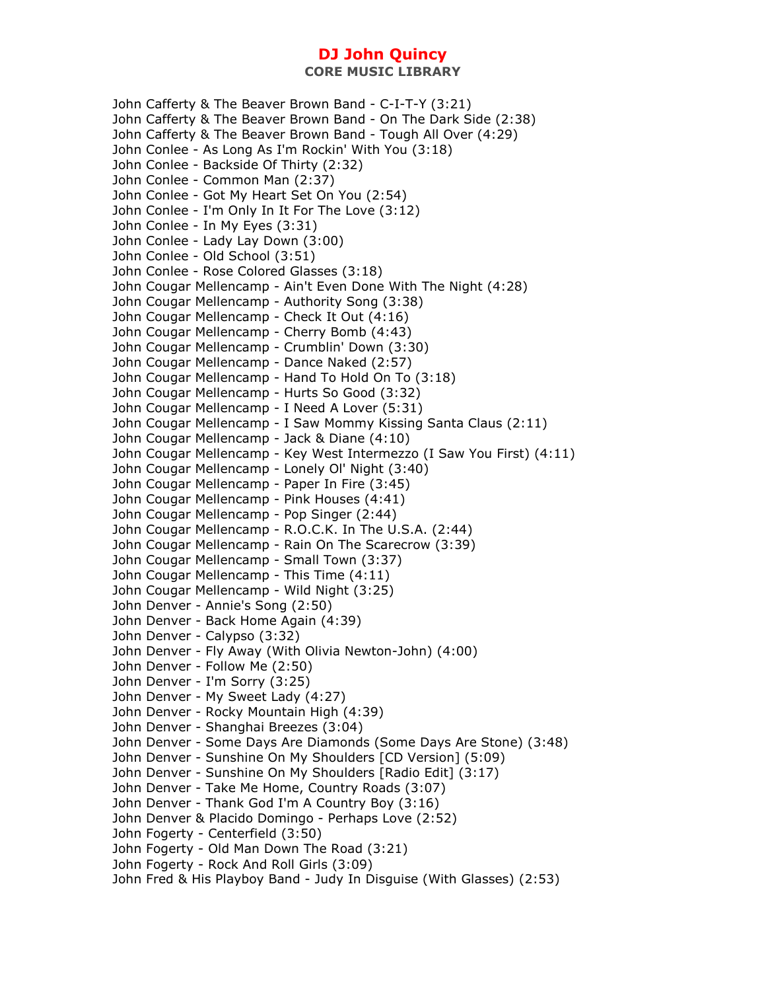John Cafferty & The Beaver Brown Band - C-I-T-Y (3:21) John Cafferty & The Beaver Brown Band - On The Dark Side (2:38) John Cafferty & The Beaver Brown Band - Tough All Over (4:29) John Conlee - As Long As I'm Rockin' With You (3:18) John Conlee - Backside Of Thirty (2:32) John Conlee - Common Man (2:37) John Conlee - Got My Heart Set On You (2:54) John Conlee - I'm Only In It For The Love (3:12) John Conlee - In My Eyes (3:31) John Conlee - Lady Lay Down (3:00) John Conlee - Old School (3:51) John Conlee - Rose Colored Glasses (3:18) John Cougar Mellencamp - Ain't Even Done With The Night (4:28) John Cougar Mellencamp - Authority Song (3:38) John Cougar Mellencamp - Check It Out (4:16) John Cougar Mellencamp - Cherry Bomb (4:43) John Cougar Mellencamp - Crumblin' Down (3:30) John Cougar Mellencamp - Dance Naked (2:57) John Cougar Mellencamp - Hand To Hold On To (3:18) John Cougar Mellencamp - Hurts So Good (3:32) John Cougar Mellencamp - I Need A Lover (5:31) John Cougar Mellencamp - I Saw Mommy Kissing Santa Claus (2:11) John Cougar Mellencamp - Jack & Diane (4:10) John Cougar Mellencamp - Key West Intermezzo (I Saw You First) (4:11) John Cougar Mellencamp - Lonely Ol' Night (3:40) John Cougar Mellencamp - Paper In Fire (3:45) John Cougar Mellencamp - Pink Houses (4:41) John Cougar Mellencamp - Pop Singer (2:44) John Cougar Mellencamp - R.O.C.K. In The U.S.A. (2:44) John Cougar Mellencamp - Rain On The Scarecrow (3:39) John Cougar Mellencamp - Small Town (3:37) John Cougar Mellencamp - This Time (4:11) John Cougar Mellencamp - Wild Night (3:25) John Denver - Annie's Song (2:50) John Denver - Back Home Again (4:39) John Denver - Calypso (3:32) John Denver - Fly Away (With Olivia Newton-John) (4:00) John Denver - Follow Me (2:50) John Denver - I'm Sorry (3:25) John Denver - My Sweet Lady (4:27) John Denver - Rocky Mountain High (4:39) John Denver - Shanghai Breezes (3:04) John Denver - Some Days Are Diamonds (Some Days Are Stone) (3:48) John Denver - Sunshine On My Shoulders [CD Version] (5:09) John Denver - Sunshine On My Shoulders [Radio Edit] (3:17) John Denver - Take Me Home, Country Roads (3:07) John Denver - Thank God I'm A Country Boy (3:16) John Denver & Placido Domingo - Perhaps Love (2:52) John Fogerty - Centerfield (3:50) John Fogerty - Old Man Down The Road (3:21) John Fogerty - Rock And Roll Girls (3:09) John Fred & His Playboy Band - Judy In Disguise (With Glasses) (2:53)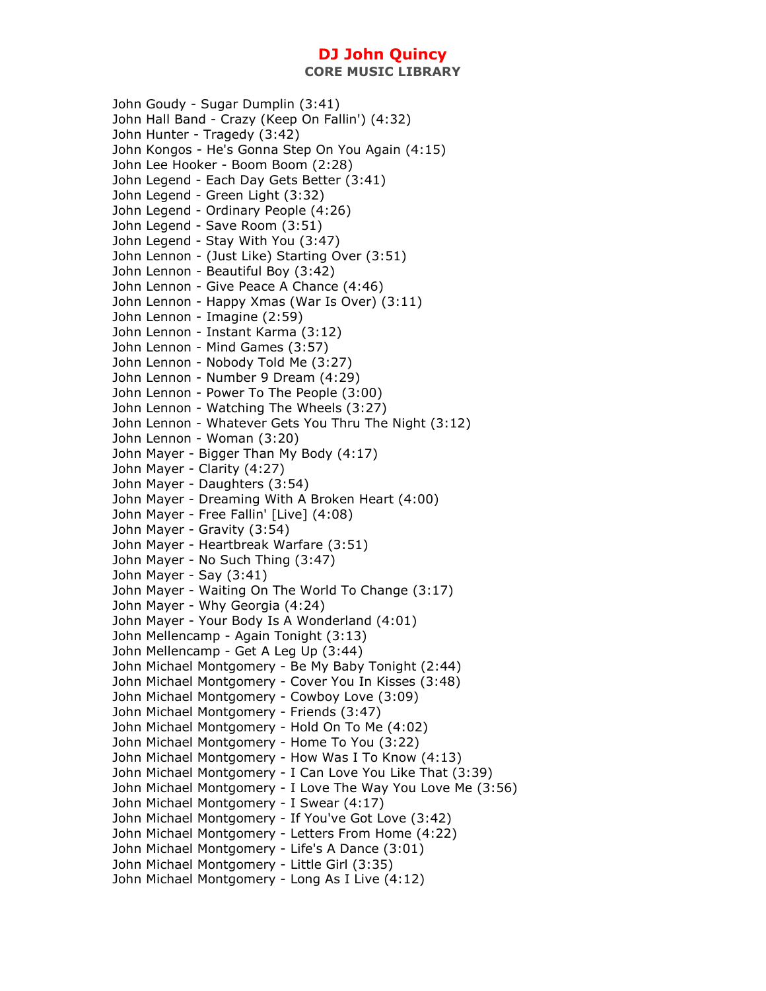John Goudy - Sugar Dumplin (3:41) John Hall Band - Crazy (Keep On Fallin') (4:32) John Hunter - Tragedy (3:42) John Kongos - He's Gonna Step On You Again (4:15) John Lee Hooker - Boom Boom (2:28) John Legend - Each Day Gets Better (3:41) John Legend - Green Light (3:32) John Legend - Ordinary People (4:26) John Legend - Save Room (3:51) John Legend - Stay With You (3:47) John Lennon - (Just Like) Starting Over (3:51) John Lennon - Beautiful Boy (3:42) John Lennon - Give Peace A Chance (4:46) John Lennon - Happy Xmas (War Is Over) (3:11) John Lennon - Imagine (2:59) John Lennon - Instant Karma (3:12) John Lennon - Mind Games (3:57) John Lennon - Nobody Told Me (3:27) John Lennon - Number 9 Dream (4:29) John Lennon - Power To The People (3:00) John Lennon - Watching The Wheels (3:27) John Lennon - Whatever Gets You Thru The Night (3:12) John Lennon - Woman (3:20) John Mayer - Bigger Than My Body (4:17) John Mayer - Clarity (4:27) John Mayer - Daughters (3:54) John Mayer - Dreaming With A Broken Heart (4:00) John Mayer - Free Fallin' [Live] (4:08) John Mayer - Gravity (3:54) John Mayer - Heartbreak Warfare (3:51) John Mayer - No Such Thing (3:47) John Mayer - Say (3:41) John Mayer - Waiting On The World To Change (3:17) John Mayer - Why Georgia (4:24) John Mayer - Your Body Is A Wonderland (4:01) John Mellencamp - Again Tonight (3:13) John Mellencamp - Get A Leg Up (3:44) John Michael Montgomery - Be My Baby Tonight (2:44) John Michael Montgomery - Cover You In Kisses (3:48) John Michael Montgomery - Cowboy Love (3:09) John Michael Montgomery - Friends (3:47) John Michael Montgomery - Hold On To Me (4:02) John Michael Montgomery - Home To You (3:22) John Michael Montgomery - How Was I To Know (4:13) John Michael Montgomery - I Can Love You Like That (3:39) John Michael Montgomery - I Love The Way You Love Me (3:56) John Michael Montgomery - I Swear (4:17) John Michael Montgomery - If You've Got Love (3:42) John Michael Montgomery - Letters From Home (4:22) John Michael Montgomery - Life's A Dance (3:01) John Michael Montgomery - Little Girl (3:35) John Michael Montgomery - Long As I Live (4:12)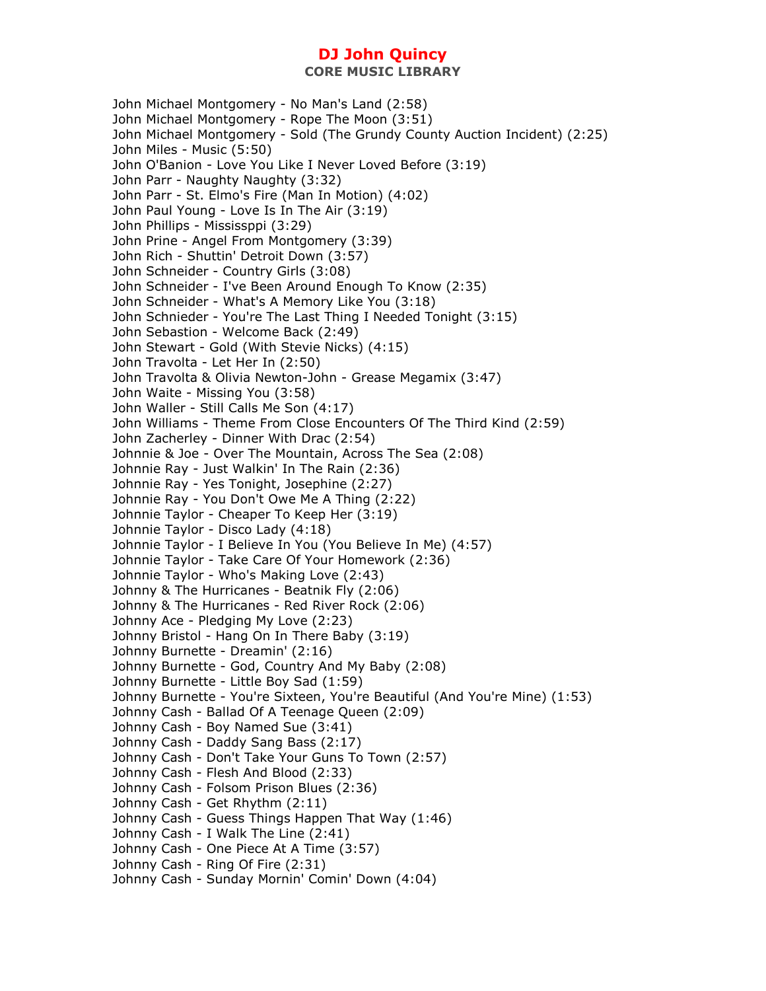John Michael Montgomery - No Man's Land (2:58) John Michael Montgomery - Rope The Moon (3:51) John Michael Montgomery - Sold (The Grundy County Auction Incident) (2:25) John Miles - Music (5:50) John O'Banion - Love You Like I Never Loved Before (3:19) John Parr - Naughty Naughty (3:32) John Parr - St. Elmo's Fire (Man In Motion) (4:02) John Paul Young - Love Is In The Air (3:19) John Phillips - Mississppi (3:29) John Prine - Angel From Montgomery (3:39) John Rich - Shuttin' Detroit Down (3:57) John Schneider - Country Girls (3:08) John Schneider - I've Been Around Enough To Know (2:35) John Schneider - What's A Memory Like You (3:18) John Schnieder - You're The Last Thing I Needed Tonight (3:15) John Sebastion - Welcome Back (2:49) John Stewart - Gold (With Stevie Nicks) (4:15) John Travolta - Let Her In (2:50) John Travolta & Olivia Newton-John - Grease Megamix (3:47) John Waite - Missing You (3:58) John Waller - Still Calls Me Son (4:17) John Williams - Theme From Close Encounters Of The Third Kind (2:59) John Zacherley - Dinner With Drac (2:54) Johnnie & Joe - Over The Mountain, Across The Sea (2:08) Johnnie Ray - Just Walkin' In The Rain (2:36) Johnnie Ray - Yes Tonight, Josephine (2:27) Johnnie Ray - You Don't Owe Me A Thing (2:22) Johnnie Taylor - Cheaper To Keep Her (3:19) Johnnie Taylor - Disco Lady (4:18) Johnnie Taylor - I Believe In You (You Believe In Me) (4:57) Johnnie Taylor - Take Care Of Your Homework (2:36) Johnnie Taylor - Who's Making Love (2:43) Johnny & The Hurricanes - Beatnik Fly (2:06) Johnny & The Hurricanes - Red River Rock (2:06) Johnny Ace - Pledging My Love (2:23) Johnny Bristol - Hang On In There Baby (3:19) Johnny Burnette - Dreamin' (2:16) Johnny Burnette - God, Country And My Baby (2:08) Johnny Burnette - Little Boy Sad (1:59) Johnny Burnette - You're Sixteen, You're Beautiful (And You're Mine) (1:53) Johnny Cash - Ballad Of A Teenage Queen (2:09) Johnny Cash - Boy Named Sue (3:41) Johnny Cash - Daddy Sang Bass (2:17) Johnny Cash - Don't Take Your Guns To Town (2:57) Johnny Cash - Flesh And Blood (2:33) Johnny Cash - Folsom Prison Blues (2:36) Johnny Cash - Get Rhythm (2:11) Johnny Cash - Guess Things Happen That Way (1:46) Johnny Cash - I Walk The Line (2:41) Johnny Cash - One Piece At A Time (3:57) Johnny Cash - Ring Of Fire (2:31) Johnny Cash - Sunday Mornin' Comin' Down (4:04)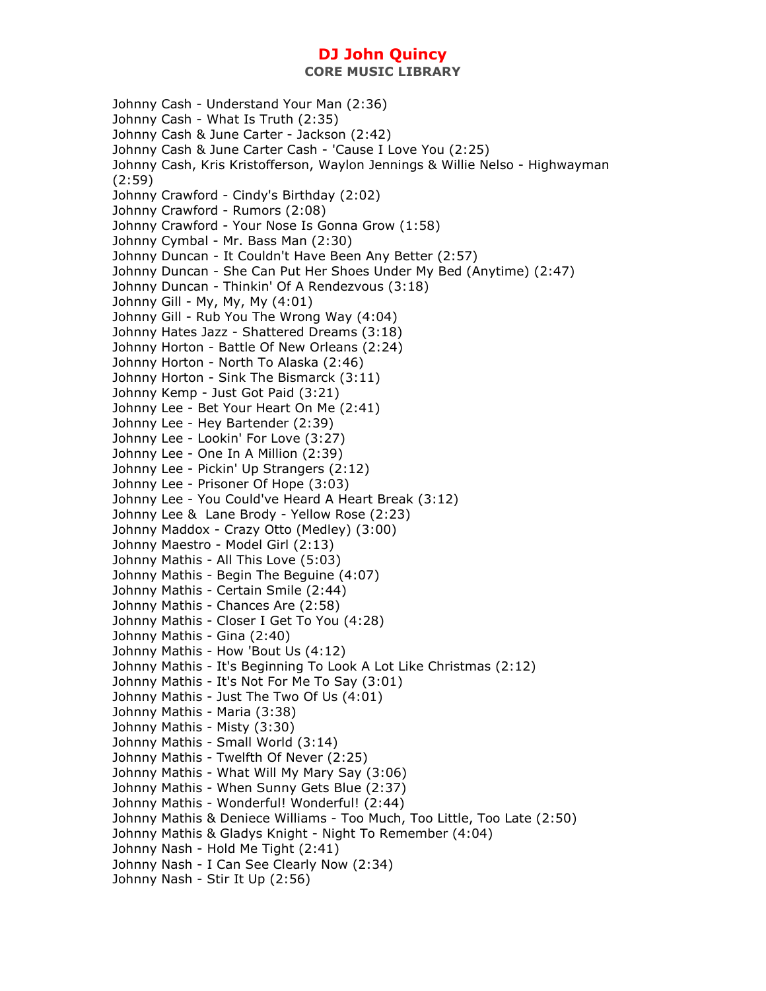**CORE MUSIC LIBRARY** 

Johnny Cash - Understand Your Man (2:36) Johnny Cash - What Is Truth (2:35) Johnny Cash & June Carter - Jackson (2:42) Johnny Cash & June Carter Cash - 'Cause I Love You (2:25) Johnny Cash, Kris Kristofferson, Waylon Jennings & Willie Nelso - Highwayman (2:59) Johnny Crawford - Cindy's Birthday (2:02) Johnny Crawford - Rumors (2:08) Johnny Crawford - Your Nose Is Gonna Grow (1:58) Johnny Cymbal - Mr. Bass Man (2:30) Johnny Duncan - It Couldn't Have Been Any Better (2:57) Johnny Duncan - She Can Put Her Shoes Under My Bed (Anytime) (2:47) Johnny Duncan - Thinkin' Of A Rendezvous (3:18) Johnny Gill - My, My, My (4:01) Johnny Gill - Rub You The Wrong Way (4:04) Johnny Hates Jazz - Shattered Dreams (3:18) Johnny Horton - Battle Of New Orleans (2:24) Johnny Horton - North To Alaska (2:46) Johnny Horton - Sink The Bismarck (3:11) Johnny Kemp - Just Got Paid (3:21) Johnny Lee - Bet Your Heart On Me (2:41) Johnny Lee - Hey Bartender (2:39) Johnny Lee - Lookin' For Love (3:27) Johnny Lee - One In A Million (2:39) Johnny Lee - Pickin' Up Strangers (2:12) Johnny Lee - Prisoner Of Hope (3:03) Johnny Lee - You Could've Heard A Heart Break (3:12) Johnny Lee & Lane Brody - Yellow Rose (2:23) Johnny Maddox - Crazy Otto (Medley) (3:00) Johnny Maestro - Model Girl (2:13) Johnny Mathis - All This Love (5:03) Johnny Mathis - Begin The Beguine (4:07) Johnny Mathis - Certain Smile (2:44) Johnny Mathis - Chances Are (2:58) Johnny Mathis - Closer I Get To You (4:28) Johnny Mathis - Gina (2:40) Johnny Mathis - How 'Bout Us (4:12) Johnny Mathis - It's Beginning To Look A Lot Like Christmas (2:12) Johnny Mathis - It's Not For Me To Say (3:01) Johnny Mathis - Just The Two Of Us (4:01) Johnny Mathis - Maria (3:38) Johnny Mathis - Misty (3:30) Johnny Mathis - Small World (3:14) Johnny Mathis - Twelfth Of Never (2:25) Johnny Mathis - What Will My Mary Say (3:06) Johnny Mathis - When Sunny Gets Blue (2:37) Johnny Mathis - Wonderful! Wonderful! (2:44) Johnny Mathis & Deniece Williams - Too Much, Too Little, Too Late (2:50) Johnny Mathis & Gladys Knight - Night To Remember (4:04) Johnny Nash - Hold Me Tight (2:41) Johnny Nash - I Can See Clearly Now (2:34) Johnny Nash - Stir It Up (2:56)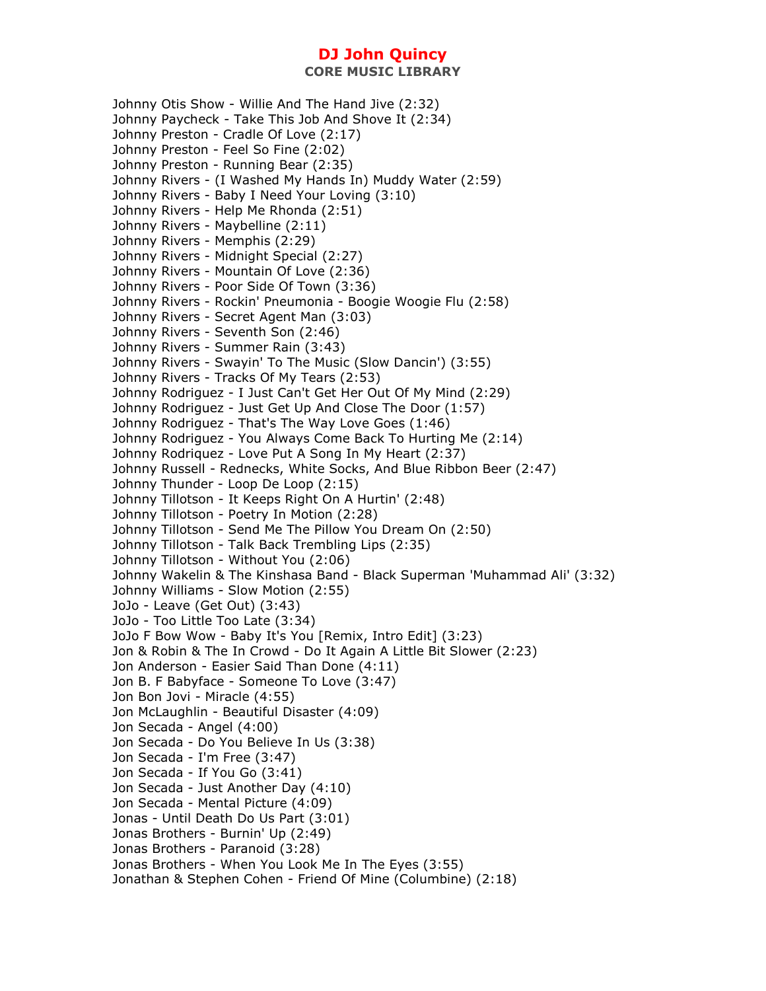**CORE MUSIC LIBRARY** 

Johnny Otis Show - Willie And The Hand Jive (2:32) Johnny Paycheck - Take This Job And Shove It (2:34) Johnny Preston - Cradle Of Love (2:17) Johnny Preston - Feel So Fine (2:02) Johnny Preston - Running Bear (2:35) Johnny Rivers - (I Washed My Hands In) Muddy Water (2:59) Johnny Rivers - Baby I Need Your Loving (3:10) Johnny Rivers - Help Me Rhonda (2:51) Johnny Rivers - Maybelline (2:11) Johnny Rivers - Memphis (2:29) Johnny Rivers - Midnight Special (2:27) Johnny Rivers - Mountain Of Love (2:36) Johnny Rivers - Poor Side Of Town (3:36) Johnny Rivers - Rockin' Pneumonia - Boogie Woogie Flu (2:58) Johnny Rivers - Secret Agent Man (3:03) Johnny Rivers - Seventh Son (2:46) Johnny Rivers - Summer Rain (3:43) Johnny Rivers - Swayin' To The Music (Slow Dancin') (3:55) Johnny Rivers - Tracks Of My Tears (2:53) Johnny Rodriguez - I Just Can't Get Her Out Of My Mind (2:29) Johnny Rodriguez - Just Get Up And Close The Door (1:57) Johnny Rodriguez - That's The Way Love Goes (1:46) Johnny Rodriguez - You Always Come Back To Hurting Me (2:14) Johnny Rodriquez - Love Put A Song In My Heart (2:37) Johnny Russell - Rednecks, White Socks, And Blue Ribbon Beer (2:47) Johnny Thunder - Loop De Loop (2:15) Johnny Tillotson - It Keeps Right On A Hurtin' (2:48) Johnny Tillotson - Poetry In Motion (2:28) Johnny Tillotson - Send Me The Pillow You Dream On (2:50) Johnny Tillotson - Talk Back Trembling Lips (2:35) Johnny Tillotson - Without You (2:06) Johnny Wakelin & The Kinshasa Band - Black Superman 'Muhammad Ali' (3:32) Johnny Williams - Slow Motion (2:55) JoJo - Leave (Get Out) (3:43) JoJo - Too Little Too Late (3:34) JoJo F Bow Wow - Baby It's You [Remix, Intro Edit] (3:23) Jon & Robin & The In Crowd - Do It Again A Little Bit Slower (2:23) Jon Anderson - Easier Said Than Done (4:11) Jon B. F Babyface - Someone To Love (3:47) Jon Bon Jovi - Miracle (4:55) Jon McLaughlin - Beautiful Disaster (4:09) Jon Secada - Angel (4:00) Jon Secada - Do You Believe In Us (3:38) Jon Secada - I'm Free (3:47) Jon Secada - If You Go (3:41) Jon Secada - Just Another Day (4:10) Jon Secada - Mental Picture (4:09) Jonas - Until Death Do Us Part (3:01) Jonas Brothers - Burnin' Up (2:49) Jonas Brothers - Paranoid (3:28) Jonas Brothers - When You Look Me In The Eyes (3:55) Jonathan & Stephen Cohen - Friend Of Mine (Columbine) (2:18)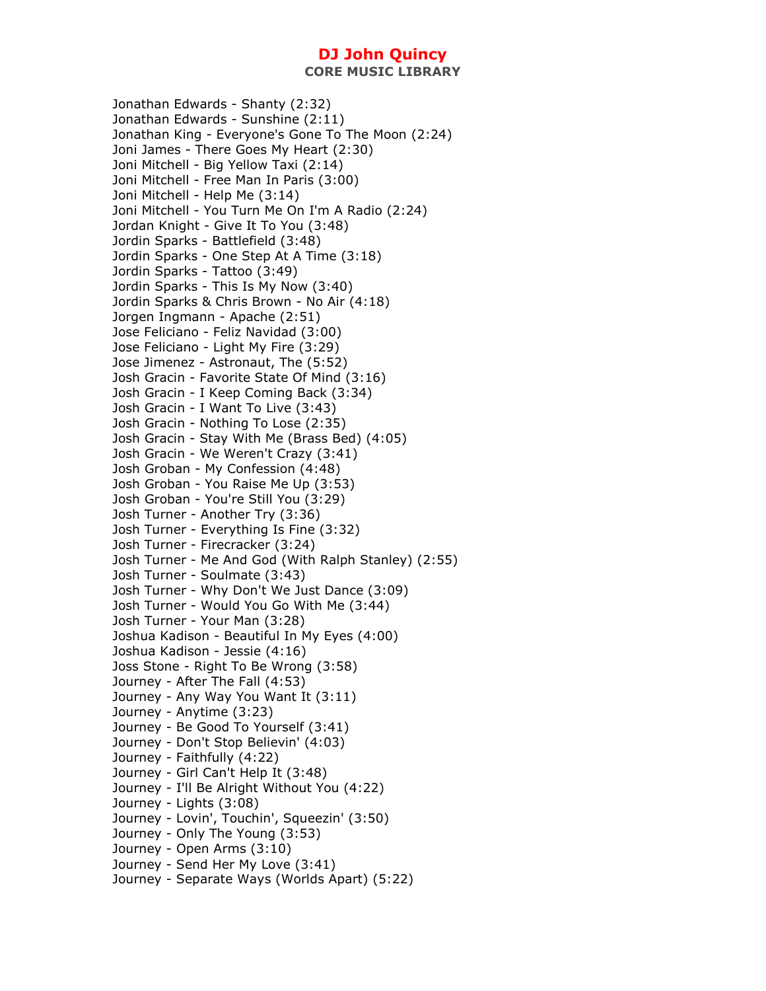**CORE MUSIC LIBRARY** 

Jonathan Edwards - Shanty (2:32) Jonathan Edwards - Sunshine (2:11) Jonathan King - Everyone's Gone To The Moon (2:24) Joni James - There Goes My Heart (2:30) Joni Mitchell - Big Yellow Taxi (2:14) Joni Mitchell - Free Man In Paris (3:00) Joni Mitchell - Help Me (3:14) Joni Mitchell - You Turn Me On I'm A Radio (2:24) Jordan Knight - Give It To You (3:48) Jordin Sparks - Battlefield (3:48) Jordin Sparks - One Step At A Time (3:18) Jordin Sparks - Tattoo (3:49) Jordin Sparks - This Is My Now (3:40) Jordin Sparks & Chris Brown - No Air (4:18) Jorgen Ingmann - Apache (2:51) Jose Feliciano - Feliz Navidad (3:00) Jose Feliciano - Light My Fire (3:29) Jose Jimenez - Astronaut, The (5:52) Josh Gracin - Favorite State Of Mind (3:16) Josh Gracin - I Keep Coming Back (3:34) Josh Gracin - I Want To Live (3:43) Josh Gracin - Nothing To Lose (2:35) Josh Gracin - Stay With Me (Brass Bed) (4:05) Josh Gracin - We Weren't Crazy (3:41) Josh Groban - My Confession (4:48) Josh Groban - You Raise Me Up (3:53) Josh Groban - You're Still You (3:29) Josh Turner - Another Try (3:36) Josh Turner - Everything Is Fine (3:32) Josh Turner - Firecracker (3:24) Josh Turner - Me And God (With Ralph Stanley) (2:55) Josh Turner - Soulmate (3:43) Josh Turner - Why Don't We Just Dance (3:09) Josh Turner - Would You Go With Me (3:44) Josh Turner - Your Man (3:28) Joshua Kadison - Beautiful In My Eyes (4:00) Joshua Kadison - Jessie (4:16) Joss Stone - Right To Be Wrong (3:58) Journey - After The Fall (4:53) Journey - Any Way You Want It (3:11) Journey - Anytime (3:23) Journey - Be Good To Yourself (3:41) Journey - Don't Stop Believin' (4:03) Journey - Faithfully (4:22) Journey - Girl Can't Help It (3:48) Journey - I'll Be Alright Without You (4:22) Journey - Lights (3:08) Journey - Lovin', Touchin', Squeezin' (3:50) Journey - Only The Young (3:53) Journey - Open Arms (3:10) Journey - Send Her My Love (3:41) Journey - Separate Ways (Worlds Apart) (5:22)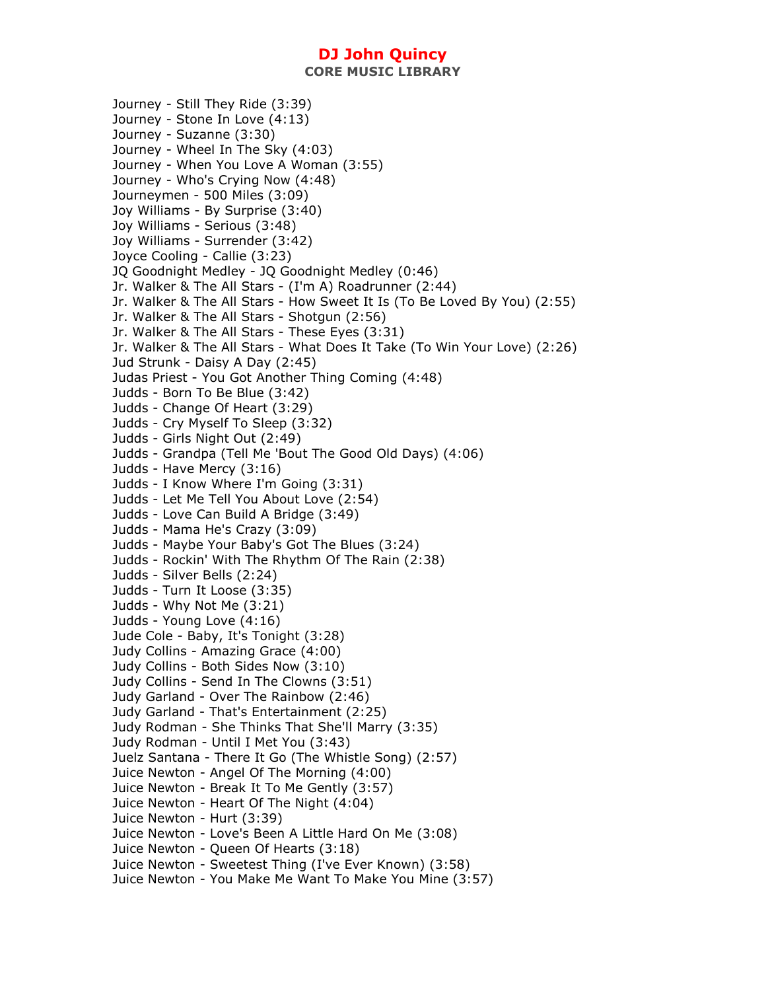Journey - Still They Ride (3:39) Journey - Stone In Love (4:13) Journey - Suzanne (3:30) Journey - Wheel In The Sky (4:03) Journey - When You Love A Woman (3:55) Journey - Who's Crying Now (4:48) Journeymen - 500 Miles (3:09) Joy Williams - By Surprise (3:40) Joy Williams - Serious (3:48) Joy Williams - Surrender (3:42) Joyce Cooling - Callie (3:23) JQ Goodnight Medley - JQ Goodnight Medley (0:46) Jr. Walker & The All Stars - (I'm A) Roadrunner (2:44) Jr. Walker & The All Stars - How Sweet It Is (To Be Loved By You) (2:55) Jr. Walker & The All Stars - Shotgun (2:56) Jr. Walker & The All Stars - These Eyes (3:31) Jr. Walker & The All Stars - What Does It Take (To Win Your Love) (2:26) Jud Strunk - Daisy A Day (2:45) Judas Priest - You Got Another Thing Coming (4:48) Judds - Born To Be Blue (3:42) Judds - Change Of Heart (3:29) Judds - Cry Myself To Sleep (3:32) Judds - Girls Night Out (2:49) Judds - Grandpa (Tell Me 'Bout The Good Old Days) (4:06) Judds - Have Mercy (3:16) Judds - I Know Where I'm Going (3:31) Judds - Let Me Tell You About Love (2:54) Judds - Love Can Build A Bridge (3:49) Judds - Mama He's Crazy (3:09) Judds - Maybe Your Baby's Got The Blues (3:24) Judds - Rockin' With The Rhythm Of The Rain (2:38) Judds - Silver Bells (2:24) Judds - Turn It Loose (3:35) Judds - Why Not Me (3:21) Judds - Young Love (4:16) Jude Cole - Baby, It's Tonight (3:28) Judy Collins - Amazing Grace (4:00) Judy Collins - Both Sides Now (3:10) Judy Collins - Send In The Clowns (3:51) Judy Garland - Over The Rainbow (2:46) Judy Garland - That's Entertainment (2:25) Judy Rodman - She Thinks That She'll Marry (3:35) Judy Rodman - Until I Met You (3:43) Juelz Santana - There It Go (The Whistle Song) (2:57) Juice Newton - Angel Of The Morning (4:00) Juice Newton - Break It To Me Gently (3:57) Juice Newton - Heart Of The Night (4:04) Juice Newton - Hurt (3:39) Juice Newton - Love's Been A Little Hard On Me (3:08) Juice Newton - Queen Of Hearts (3:18) Juice Newton - Sweetest Thing (I've Ever Known) (3:58) Juice Newton - You Make Me Want To Make You Mine (3:57)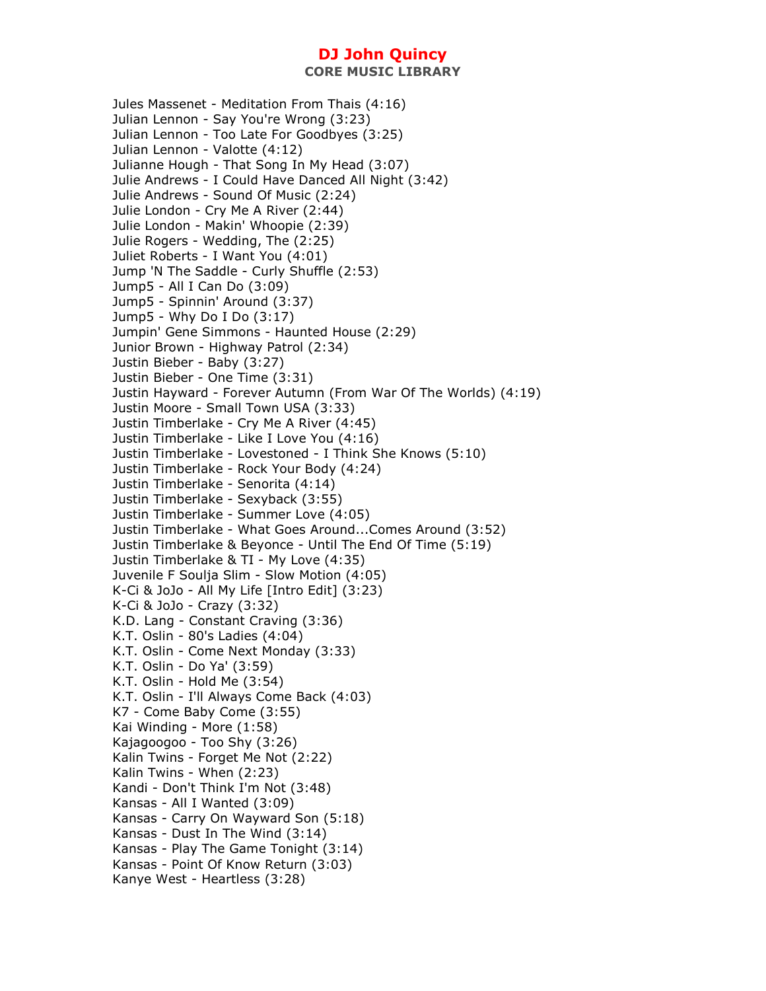Jules Massenet - Meditation From Thais (4:16) Julian Lennon - Say You're Wrong (3:23) Julian Lennon - Too Late For Goodbyes (3:25) Julian Lennon - Valotte (4:12) Julianne Hough - That Song In My Head (3:07) Julie Andrews - I Could Have Danced All Night (3:42) Julie Andrews - Sound Of Music (2:24) Julie London - Cry Me A River (2:44) Julie London - Makin' Whoopie (2:39) Julie Rogers - Wedding, The (2:25) Juliet Roberts - I Want You (4:01) Jump 'N The Saddle - Curly Shuffle (2:53) Jump5 - All I Can Do (3:09) Jump5 - Spinnin' Around (3:37) Jump5 - Why Do I Do (3:17) Jumpin' Gene Simmons - Haunted House (2:29) Junior Brown - Highway Patrol (2:34) Justin Bieber - Baby (3:27) Justin Bieber - One Time (3:31) Justin Hayward - Forever Autumn (From War Of The Worlds) (4:19) Justin Moore - Small Town USA (3:33) Justin Timberlake - Cry Me A River (4:45) Justin Timberlake - Like I Love You (4:16) Justin Timberlake - Lovestoned - I Think She Knows (5:10) Justin Timberlake - Rock Your Body (4:24) Justin Timberlake - Senorita (4:14) Justin Timberlake - Sexyback (3:55) Justin Timberlake - Summer Love (4:05) Justin Timberlake - What Goes Around...Comes Around (3:52) Justin Timberlake & Beyonce - Until The End Of Time (5:19) Justin Timberlake & TI - My Love (4:35) Juvenile F Soulja Slim - Slow Motion (4:05) K-Ci & JoJo - All My Life [Intro Edit] (3:23) K-Ci & JoJo - Crazy (3:32) K.D. Lang - Constant Craving (3:36) K.T. Oslin - 80's Ladies (4:04) K.T. Oslin - Come Next Monday (3:33) K.T. Oslin - Do Ya' (3:59) K.T. Oslin - Hold Me (3:54) K.T. Oslin - I'll Always Come Back (4:03) K7 - Come Baby Come (3:55) Kai Winding - More (1:58) Kajagoogoo - Too Shy (3:26) Kalin Twins - Forget Me Not (2:22) Kalin Twins - When (2:23) Kandi - Don't Think I'm Not (3:48) Kansas - All I Wanted (3:09) Kansas - Carry On Wayward Son (5:18) Kansas - Dust In The Wind (3:14) Kansas - Play The Game Tonight (3:14) Kansas - Point Of Know Return (3:03) Kanye West - Heartless (3:28)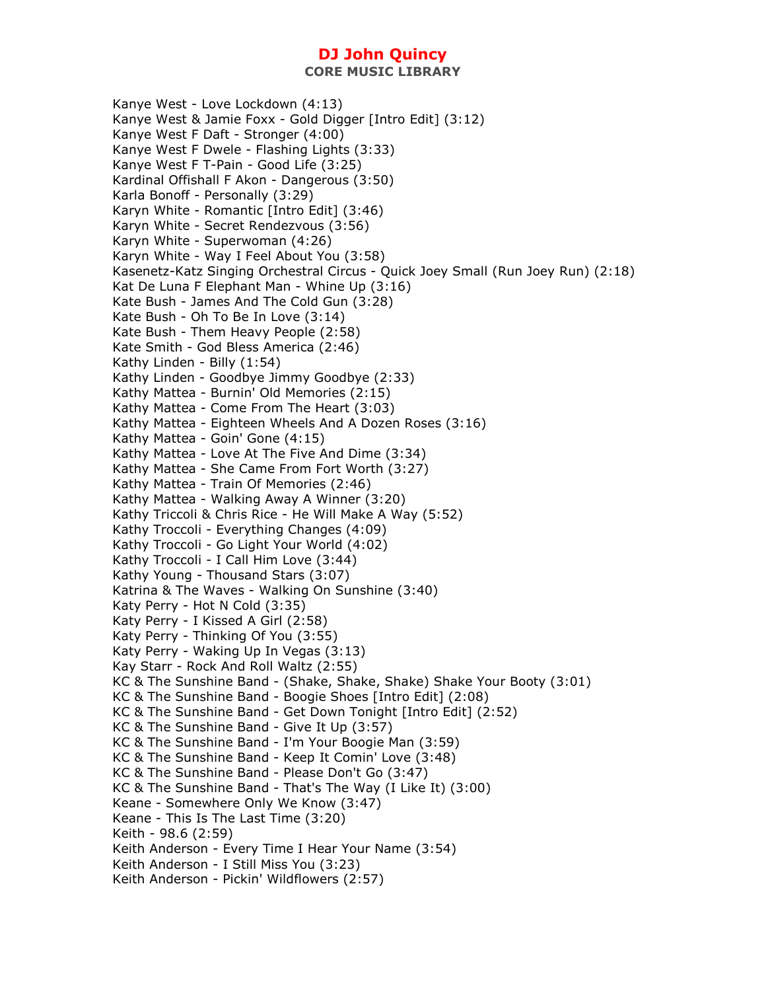Kanye West - Love Lockdown (4:13) Kanye West & Jamie Foxx - Gold Digger [Intro Edit] (3:12) Kanye West F Daft - Stronger (4:00) Kanye West F Dwele - Flashing Lights (3:33) Kanye West F T-Pain - Good Life (3:25) Kardinal Offishall F Akon - Dangerous (3:50) Karla Bonoff - Personally (3:29) Karyn White - Romantic [Intro Edit] (3:46) Karyn White - Secret Rendezvous (3:56) Karyn White - Superwoman (4:26) Karyn White - Way I Feel About You (3:58) Kasenetz-Katz Singing Orchestral Circus - Quick Joey Small (Run Joey Run) (2:18) Kat De Luna F Elephant Man - Whine Up (3:16) Kate Bush - James And The Cold Gun (3:28) Kate Bush - Oh To Be In Love (3:14) Kate Bush - Them Heavy People (2:58) Kate Smith - God Bless America (2:46) Kathy Linden - Billy (1:54) Kathy Linden - Goodbye Jimmy Goodbye (2:33) Kathy Mattea - Burnin' Old Memories (2:15) Kathy Mattea - Come From The Heart (3:03) Kathy Mattea - Eighteen Wheels And A Dozen Roses (3:16) Kathy Mattea - Goin' Gone (4:15) Kathy Mattea - Love At The Five And Dime (3:34) Kathy Mattea - She Came From Fort Worth (3:27) Kathy Mattea - Train Of Memories (2:46) Kathy Mattea - Walking Away A Winner (3:20) Kathy Triccoli & Chris Rice - He Will Make A Way (5:52) Kathy Troccoli - Everything Changes (4:09) Kathy Troccoli - Go Light Your World (4:02) Kathy Troccoli - I Call Him Love (3:44) Kathy Young - Thousand Stars (3:07) Katrina & The Waves - Walking On Sunshine (3:40) Katy Perry - Hot N Cold (3:35) Katy Perry - I Kissed A Girl (2:58) Katy Perry - Thinking Of You (3:55) Katy Perry - Waking Up In Vegas (3:13) Kay Starr - Rock And Roll Waltz (2:55) KC & The Sunshine Band - (Shake, Shake, Shake) Shake Your Booty (3:01) KC & The Sunshine Band - Boogie Shoes [Intro Edit] (2:08) KC & The Sunshine Band - Get Down Tonight [Intro Edit] (2:52) KC & The Sunshine Band - Give It Up (3:57) KC & The Sunshine Band - I'm Your Boogie Man (3:59) KC & The Sunshine Band - Keep It Comin' Love (3:48) KC & The Sunshine Band - Please Don't Go (3:47) KC & The Sunshine Band - That's The Way (I Like It) (3:00) Keane - Somewhere Only We Know (3:47) Keane - This Is The Last Time (3:20) Keith - 98.6 (2:59) Keith Anderson - Every Time I Hear Your Name (3:54) Keith Anderson - I Still Miss You (3:23) Keith Anderson - Pickin' Wildflowers (2:57)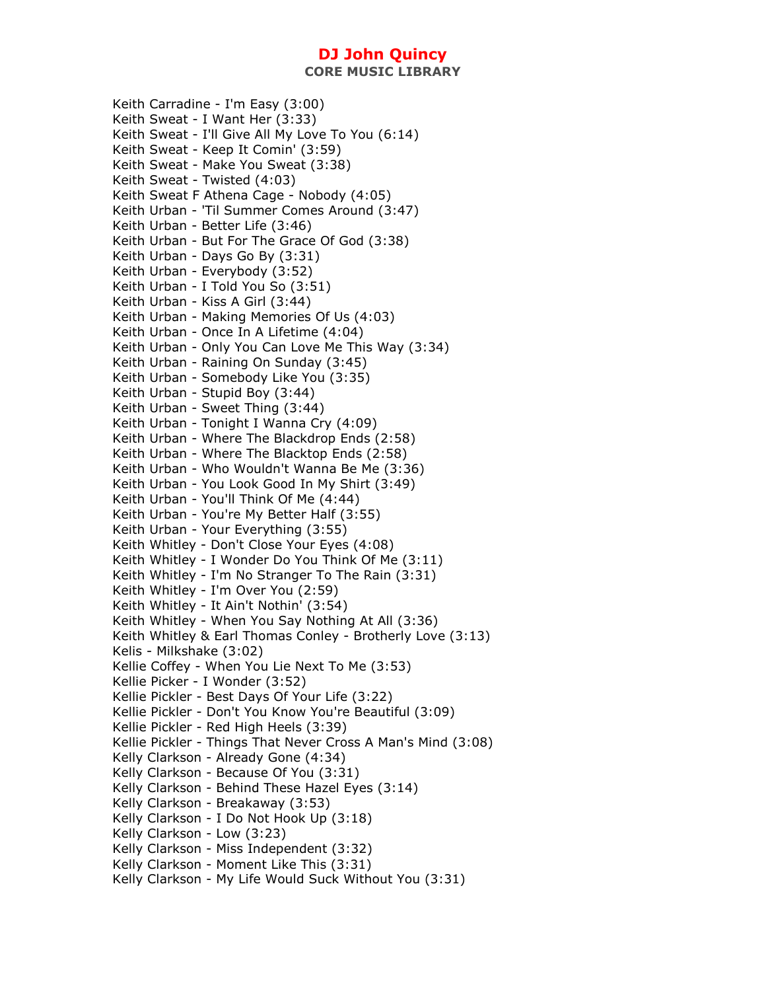**CORE MUSIC LIBRARY** 

Keith Carradine - I'm Easy (3:00) Keith Sweat - I Want Her (3:33) Keith Sweat - I'll Give All My Love To You (6:14) Keith Sweat - Keep It Comin' (3:59) Keith Sweat - Make You Sweat (3:38) Keith Sweat - Twisted (4:03) Keith Sweat F Athena Cage - Nobody (4:05) Keith Urban - 'Til Summer Comes Around (3:47) Keith Urban - Better Life (3:46) Keith Urban - But For The Grace Of God (3:38) Keith Urban - Days Go By (3:31) Keith Urban - Everybody (3:52) Keith Urban - I Told You So (3:51) Keith Urban - Kiss A Girl (3:44) Keith Urban - Making Memories Of Us (4:03) Keith Urban - Once In A Lifetime (4:04) Keith Urban - Only You Can Love Me This Way (3:34) Keith Urban - Raining On Sunday (3:45) Keith Urban - Somebody Like You (3:35) Keith Urban - Stupid Boy (3:44) Keith Urban - Sweet Thing (3:44) Keith Urban - Tonight I Wanna Cry (4:09) Keith Urban - Where The Blackdrop Ends (2:58) Keith Urban - Where The Blacktop Ends (2:58) Keith Urban - Who Wouldn't Wanna Be Me (3:36) Keith Urban - You Look Good In My Shirt (3:49) Keith Urban - You'll Think Of Me (4:44) Keith Urban - You're My Better Half (3:55) Keith Urban - Your Everything (3:55) Keith Whitley - Don't Close Your Eyes (4:08) Keith Whitley - I Wonder Do You Think Of Me (3:11) Keith Whitley - I'm No Stranger To The Rain (3:31) Keith Whitley - I'm Over You (2:59) Keith Whitley - It Ain't Nothin' (3:54) Keith Whitley - When You Say Nothing At All (3:36) Keith Whitley & Earl Thomas Conley - Brotherly Love (3:13) Kelis - Milkshake (3:02) Kellie Coffey - When You Lie Next To Me (3:53) Kellie Picker - I Wonder (3:52) Kellie Pickler - Best Days Of Your Life (3:22) Kellie Pickler - Don't You Know You're Beautiful (3:09) Kellie Pickler - Red High Heels (3:39) Kellie Pickler - Things That Never Cross A Man's Mind (3:08) Kelly Clarkson - Already Gone (4:34) Kelly Clarkson - Because Of You (3:31) Kelly Clarkson - Behind These Hazel Eyes (3:14) Kelly Clarkson - Breakaway (3:53) Kelly Clarkson - I Do Not Hook Up (3:18) Kelly Clarkson - Low (3:23) Kelly Clarkson - Miss Independent (3:32) Kelly Clarkson - Moment Like This (3:31) Kelly Clarkson - My Life Would Suck Without You (3:31)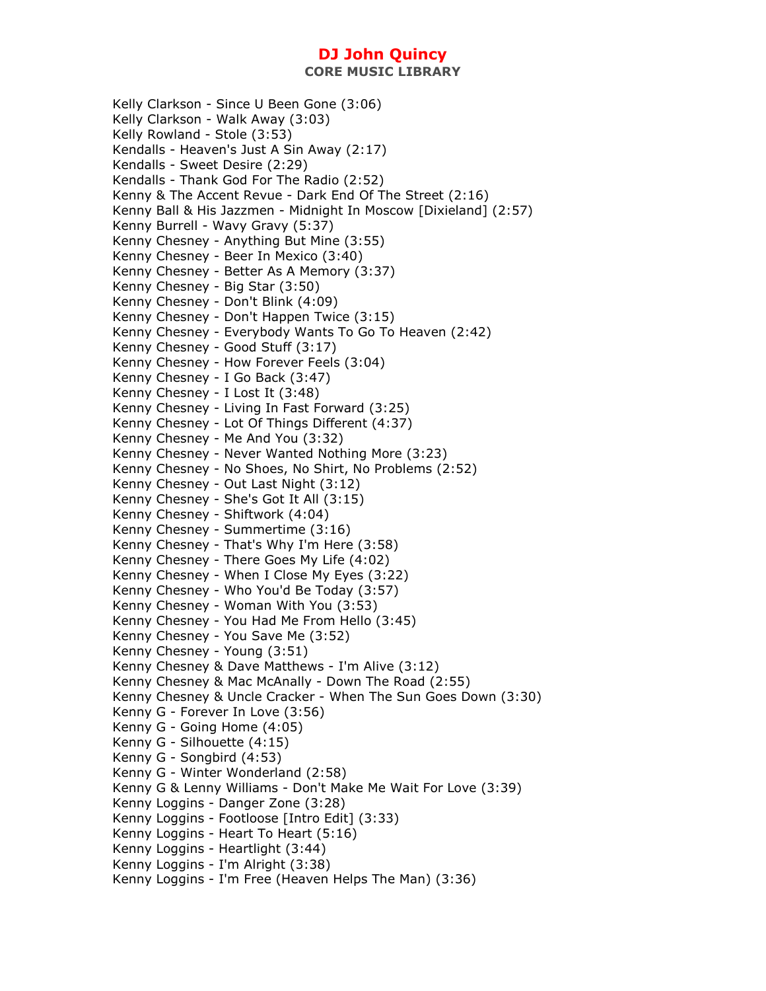Kelly Clarkson - Since U Been Gone (3:06) Kelly Clarkson - Walk Away (3:03) Kelly Rowland - Stole (3:53) Kendalls - Heaven's Just A Sin Away (2:17) Kendalls - Sweet Desire (2:29) Kendalls - Thank God For The Radio (2:52) Kenny & The Accent Revue - Dark End Of The Street (2:16) Kenny Ball & His Jazzmen - Midnight In Moscow [Dixieland] (2:57) Kenny Burrell - Wavy Gravy (5:37) Kenny Chesney - Anything But Mine (3:55) Kenny Chesney - Beer In Mexico (3:40) Kenny Chesney - Better As A Memory (3:37) Kenny Chesney - Big Star (3:50) Kenny Chesney - Don't Blink (4:09) Kenny Chesney - Don't Happen Twice (3:15) Kenny Chesney - Everybody Wants To Go To Heaven (2:42) Kenny Chesney - Good Stuff (3:17) Kenny Chesney - How Forever Feels (3:04) Kenny Chesney - I Go Back (3:47) Kenny Chesney - I Lost It (3:48) Kenny Chesney - Living In Fast Forward (3:25) Kenny Chesney - Lot Of Things Different (4:37) Kenny Chesney - Me And You (3:32) Kenny Chesney - Never Wanted Nothing More (3:23) Kenny Chesney - No Shoes, No Shirt, No Problems (2:52) Kenny Chesney - Out Last Night (3:12) Kenny Chesney - She's Got It All (3:15) Kenny Chesney - Shiftwork (4:04) Kenny Chesney - Summertime (3:16) Kenny Chesney - That's Why I'm Here (3:58) Kenny Chesney - There Goes My Life (4:02) Kenny Chesney - When I Close My Eyes (3:22) Kenny Chesney - Who You'd Be Today (3:57) Kenny Chesney - Woman With You (3:53) Kenny Chesney - You Had Me From Hello (3:45) Kenny Chesney - You Save Me (3:52) Kenny Chesney - Young (3:51) Kenny Chesney & Dave Matthews - I'm Alive (3:12) Kenny Chesney & Mac McAnally - Down The Road (2:55) Kenny Chesney & Uncle Cracker - When The Sun Goes Down (3:30) Kenny G - Forever In Love (3:56) Kenny G - Going Home (4:05) Kenny G - Silhouette (4:15) Kenny G - Songbird (4:53) Kenny G - Winter Wonderland (2:58) Kenny G & Lenny Williams - Don't Make Me Wait For Love (3:39) Kenny Loggins - Danger Zone (3:28) Kenny Loggins - Footloose [Intro Edit] (3:33) Kenny Loggins - Heart To Heart (5:16) Kenny Loggins - Heartlight (3:44) Kenny Loggins - I'm Alright (3:38) Kenny Loggins - I'm Free (Heaven Helps The Man) (3:36)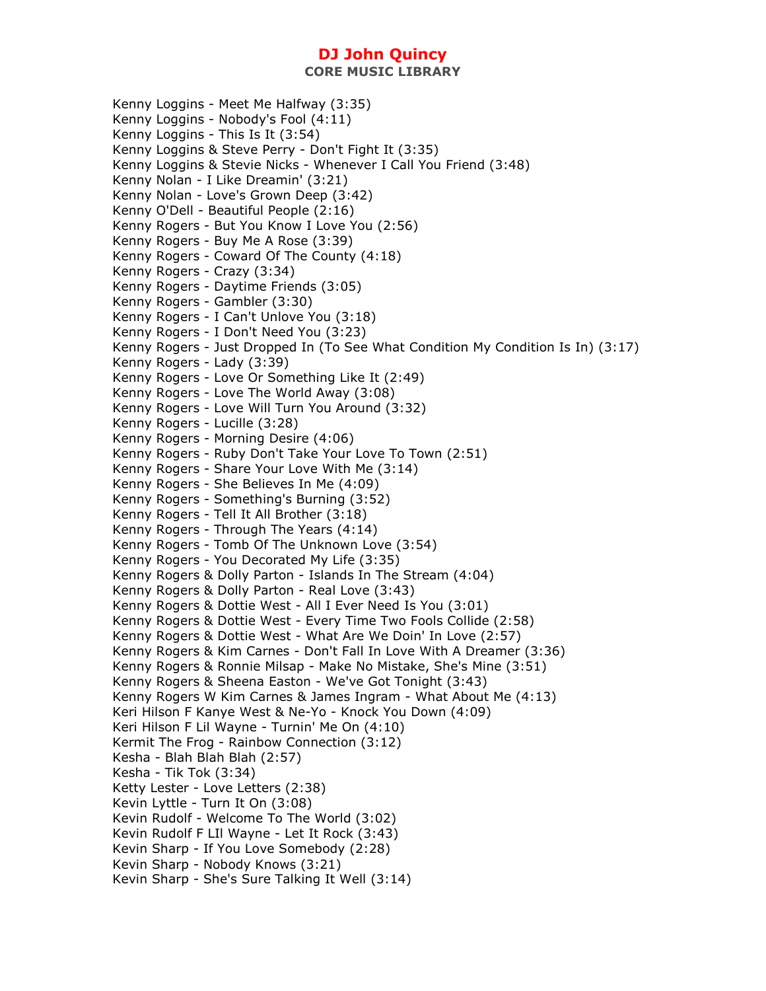**CORE MUSIC LIBRARY** 

Kenny Loggins - Meet Me Halfway (3:35) Kenny Loggins - Nobody's Fool (4:11) Kenny Loggins - This Is It (3:54) Kenny Loggins & Steve Perry - Don't Fight It (3:35) Kenny Loggins & Stevie Nicks - Whenever I Call You Friend (3:48) Kenny Nolan - I Like Dreamin' (3:21) Kenny Nolan - Love's Grown Deep (3:42) Kenny O'Dell - Beautiful People (2:16) Kenny Rogers - But You Know I Love You (2:56) Kenny Rogers - Buy Me A Rose (3:39) Kenny Rogers - Coward Of The County (4:18) Kenny Rogers - Crazy (3:34) Kenny Rogers - Daytime Friends (3:05) Kenny Rogers - Gambler (3:30) Kenny Rogers - I Can't Unlove You (3:18) Kenny Rogers - I Don't Need You (3:23) Kenny Rogers - Just Dropped In (To See What Condition My Condition Is In) (3:17) Kenny Rogers - Lady (3:39) Kenny Rogers - Love Or Something Like It (2:49) Kenny Rogers - Love The World Away (3:08) Kenny Rogers - Love Will Turn You Around (3:32) Kenny Rogers - Lucille (3:28) Kenny Rogers - Morning Desire (4:06) Kenny Rogers - Ruby Don't Take Your Love To Town (2:51) Kenny Rogers - Share Your Love With Me (3:14) Kenny Rogers - She Believes In Me (4:09) Kenny Rogers - Something's Burning (3:52) Kenny Rogers - Tell It All Brother (3:18) Kenny Rogers - Through The Years (4:14) Kenny Rogers - Tomb Of The Unknown Love (3:54) Kenny Rogers - You Decorated My Life (3:35) Kenny Rogers & Dolly Parton - Islands In The Stream (4:04) Kenny Rogers & Dolly Parton - Real Love (3:43) Kenny Rogers & Dottie West - All I Ever Need Is You (3:01) Kenny Rogers & Dottie West - Every Time Two Fools Collide (2:58) Kenny Rogers & Dottie West - What Are We Doin' In Love (2:57) Kenny Rogers & Kim Carnes - Don't Fall In Love With A Dreamer (3:36) Kenny Rogers & Ronnie Milsap - Make No Mistake, She's Mine (3:51) Kenny Rogers & Sheena Easton - We've Got Tonight (3:43) Kenny Rogers W Kim Carnes & James Ingram - What About Me (4:13) Keri Hilson F Kanye West & Ne-Yo - Knock You Down (4:09) Keri Hilson F Lil Wayne - Turnin' Me On (4:10) Kermit The Frog - Rainbow Connection (3:12) Kesha - Blah Blah Blah (2:57) Kesha - Tik Tok (3:34) Ketty Lester - Love Letters (2:38) Kevin Lyttle - Turn It On (3:08) Kevin Rudolf - Welcome To The World (3:02) Kevin Rudolf F LIl Wayne - Let It Rock (3:43) Kevin Sharp - If You Love Somebody (2:28) Kevin Sharp - Nobody Knows (3:21) Kevin Sharp - She's Sure Talking It Well (3:14)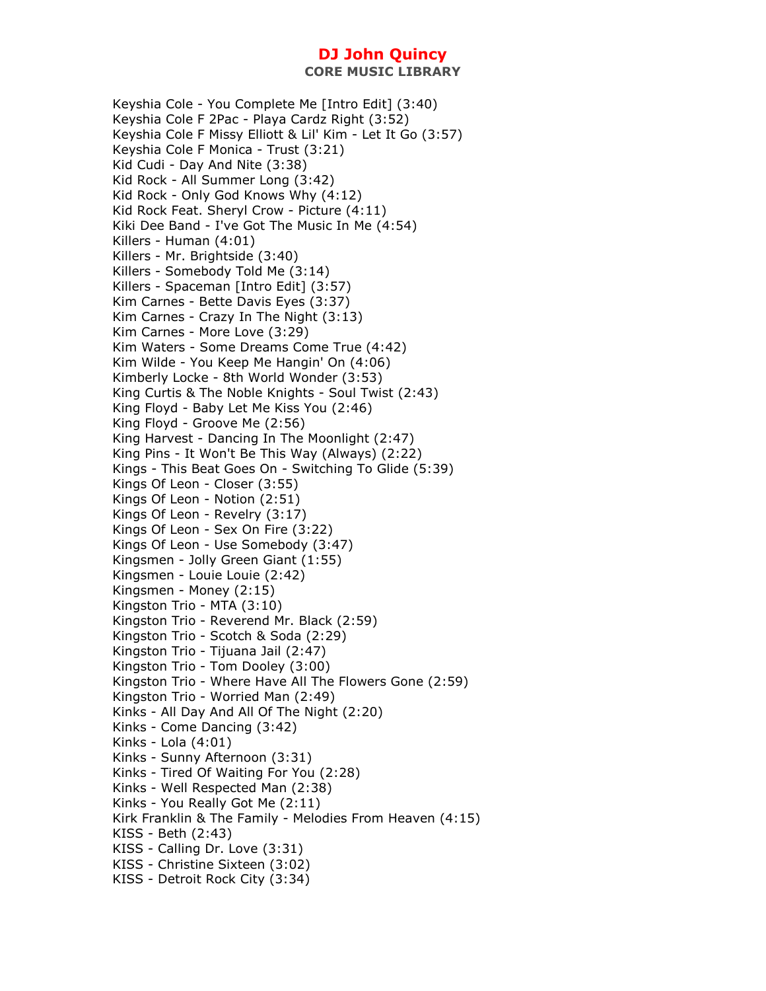Keyshia Cole - You Complete Me [Intro Edit] (3:40) Keyshia Cole F 2Pac - Playa Cardz Right (3:52) Keyshia Cole F Missy Elliott & Lil' Kim - Let It Go (3:57) Keyshia Cole F Monica - Trust (3:21) Kid Cudi - Day And Nite (3:38) Kid Rock - All Summer Long (3:42) Kid Rock - Only God Knows Why (4:12) Kid Rock Feat. Sheryl Crow - Picture (4:11) Kiki Dee Band - I've Got The Music In Me (4:54) Killers - Human (4:01) Killers - Mr. Brightside (3:40) Killers - Somebody Told Me (3:14) Killers - Spaceman [Intro Edit] (3:57) Kim Carnes - Bette Davis Eyes (3:37) Kim Carnes - Crazy In The Night (3:13) Kim Carnes - More Love (3:29) Kim Waters - Some Dreams Come True (4:42) Kim Wilde - You Keep Me Hangin' On (4:06) Kimberly Locke - 8th World Wonder (3:53) King Curtis & The Noble Knights - Soul Twist (2:43) King Floyd - Baby Let Me Kiss You (2:46) King Floyd - Groove Me (2:56) King Harvest - Dancing In The Moonlight (2:47) King Pins - It Won't Be This Way (Always) (2:22) Kings - This Beat Goes On - Switching To Glide (5:39) Kings Of Leon - Closer (3:55) Kings Of Leon - Notion (2:51) Kings Of Leon - Revelry (3:17) Kings Of Leon - Sex On Fire (3:22) Kings Of Leon - Use Somebody (3:47) Kingsmen - Jolly Green Giant (1:55) Kingsmen - Louie Louie (2:42) Kingsmen - Money (2:15) Kingston Trio - MTA (3:10) Kingston Trio - Reverend Mr. Black (2:59) Kingston Trio - Scotch & Soda (2:29) Kingston Trio - Tijuana Jail (2:47) Kingston Trio - Tom Dooley (3:00) Kingston Trio - Where Have All The Flowers Gone (2:59) Kingston Trio - Worried Man (2:49) Kinks - All Day And All Of The Night (2:20) Kinks - Come Dancing (3:42) Kinks - Lola (4:01) Kinks - Sunny Afternoon (3:31) Kinks - Tired Of Waiting For You (2:28) Kinks - Well Respected Man (2:38) Kinks - You Really Got Me (2:11) Kirk Franklin & The Family - Melodies From Heaven (4:15) KISS - Beth (2:43) KISS - Calling Dr. Love (3:31) KISS - Christine Sixteen (3:02) KISS - Detroit Rock City (3:34)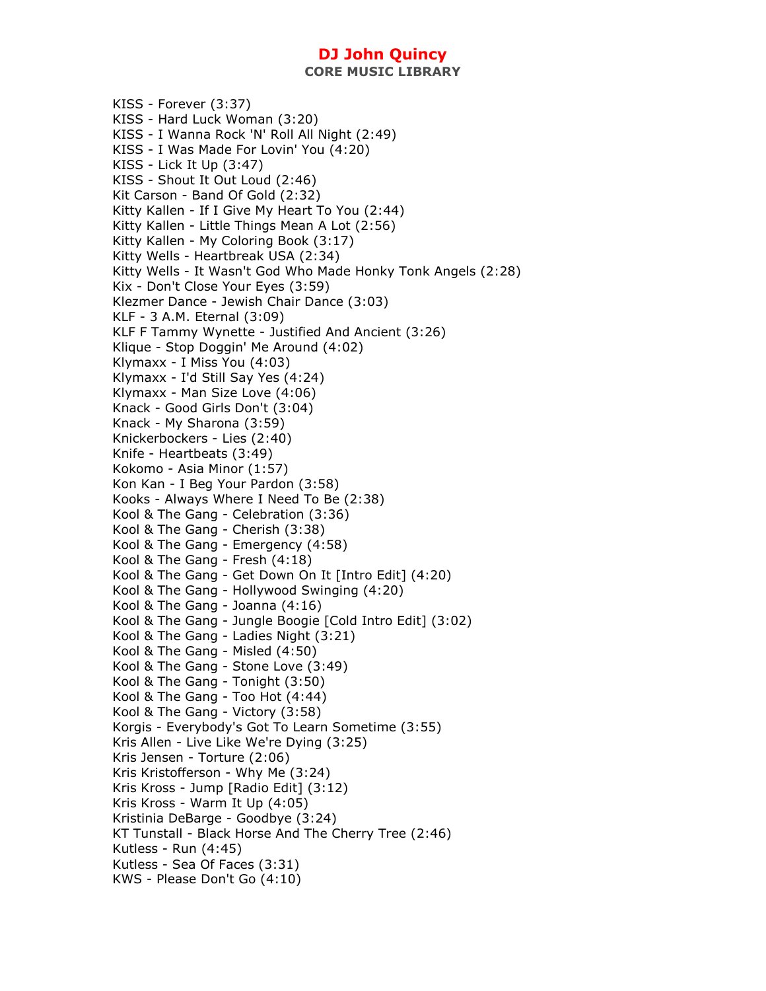KISS - Forever (3:37) KISS - Hard Luck Woman (3:20) KISS - I Wanna Rock 'N' Roll All Night (2:49) KISS - I Was Made For Lovin' You (4:20) KISS - Lick It Up (3:47) KISS - Shout It Out Loud (2:46) Kit Carson - Band Of Gold (2:32) Kitty Kallen - If I Give My Heart To You (2:44) Kitty Kallen - Little Things Mean A Lot (2:56) Kitty Kallen - My Coloring Book (3:17) Kitty Wells - Heartbreak USA (2:34) Kitty Wells - It Wasn't God Who Made Honky Tonk Angels (2:28) Kix - Don't Close Your Eyes (3:59) Klezmer Dance - Jewish Chair Dance (3:03) KLF - 3 A.M. Eternal (3:09) KLF F Tammy Wynette - Justified And Ancient (3:26) Klique - Stop Doggin' Me Around (4:02) Klymaxx - I Miss You (4:03) Klymaxx - I'd Still Say Yes (4:24) Klymaxx - Man Size Love (4:06) Knack - Good Girls Don't (3:04) Knack - My Sharona (3:59) Knickerbockers - Lies (2:40) Knife - Heartbeats (3:49) Kokomo - Asia Minor (1:57) Kon Kan - I Beg Your Pardon (3:58) Kooks - Always Where I Need To Be (2:38) Kool & The Gang - Celebration (3:36) Kool & The Gang - Cherish (3:38) Kool & The Gang - Emergency (4:58) Kool & The Gang - Fresh (4:18) Kool & The Gang - Get Down On It [Intro Edit] (4:20) Kool & The Gang - Hollywood Swinging (4:20) Kool & The Gang - Joanna (4:16) Kool & The Gang - Jungle Boogie [Cold Intro Edit] (3:02) Kool & The Gang - Ladies Night (3:21) Kool & The Gang - Misled (4:50) Kool & The Gang - Stone Love (3:49) Kool & The Gang - Tonight (3:50) Kool & The Gang - Too Hot (4:44) Kool & The Gang - Victory (3:58) Korgis - Everybody's Got To Learn Sometime (3:55) Kris Allen - Live Like We're Dying (3:25) Kris Jensen - Torture (2:06) Kris Kristofferson - Why Me (3:24) Kris Kross - Jump [Radio Edit] (3:12) Kris Kross - Warm It Up (4:05) Kristinia DeBarge - Goodbye (3:24) KT Tunstall - Black Horse And The Cherry Tree (2:46) Kutless - Run (4:45) Kutless - Sea Of Faces (3:31) KWS - Please Don't Go (4:10)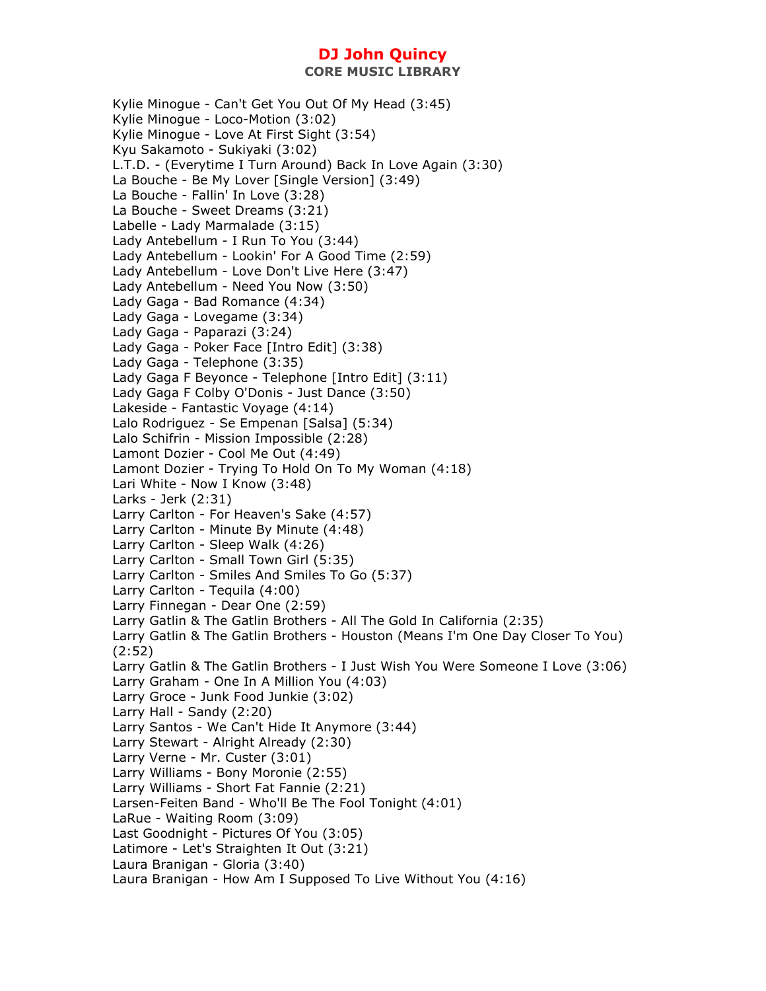**CORE MUSIC LIBRARY** 

Kylie Minogue - Can't Get You Out Of My Head (3:45) Kylie Minogue - Loco-Motion (3:02) Kylie Minogue - Love At First Sight (3:54) Kyu Sakamoto - Sukiyaki (3:02) L.T.D. - (Everytime I Turn Around) Back In Love Again (3:30) La Bouche - Be My Lover [Single Version] (3:49) La Bouche - Fallin' In Love (3:28) La Bouche - Sweet Dreams (3:21) Labelle - Lady Marmalade (3:15) Lady Antebellum - I Run To You (3:44) Lady Antebellum - Lookin' For A Good Time (2:59) Lady Antebellum - Love Don't Live Here (3:47) Lady Antebellum - Need You Now (3:50) Lady Gaga - Bad Romance (4:34) Lady Gaga - Lovegame (3:34) Lady Gaga - Paparazi (3:24) Lady Gaga - Poker Face [Intro Edit] (3:38) Lady Gaga - Telephone (3:35) Lady Gaga F Beyonce - Telephone [Intro Edit] (3:11) Lady Gaga F Colby O'Donis - Just Dance (3:50) Lakeside - Fantastic Voyage (4:14) Lalo Rodriguez - Se Empenan [Salsa] (5:34) Lalo Schifrin - Mission Impossible (2:28) Lamont Dozier - Cool Me Out (4:49) Lamont Dozier - Trying To Hold On To My Woman (4:18) Lari White - Now I Know (3:48) Larks - Jerk (2:31) Larry Carlton - For Heaven's Sake (4:57) Larry Carlton - Minute By Minute (4:48) Larry Carlton - Sleep Walk (4:26) Larry Carlton - Small Town Girl (5:35) Larry Carlton - Smiles And Smiles To Go (5:37) Larry Carlton - Tequila (4:00) Larry Finnegan - Dear One (2:59) Larry Gatlin & The Gatlin Brothers - All The Gold In California (2:35) Larry Gatlin & The Gatlin Brothers - Houston (Means I'm One Day Closer To You) (2:52) Larry Gatlin & The Gatlin Brothers - I Just Wish You Were Someone I Love (3:06) Larry Graham - One In A Million You (4:03) Larry Groce - Junk Food Junkie (3:02) Larry Hall - Sandy (2:20) Larry Santos - We Can't Hide It Anymore (3:44) Larry Stewart - Alright Already (2:30) Larry Verne - Mr. Custer (3:01) Larry Williams - Bony Moronie (2:55) Larry Williams - Short Fat Fannie (2:21) Larsen-Feiten Band - Who'll Be The Fool Tonight (4:01) LaRue - Waiting Room (3:09) Last Goodnight - Pictures Of You (3:05) Latimore - Let's Straighten It Out (3:21) Laura Branigan - Gloria (3:40) Laura Branigan - How Am I Supposed To Live Without You (4:16)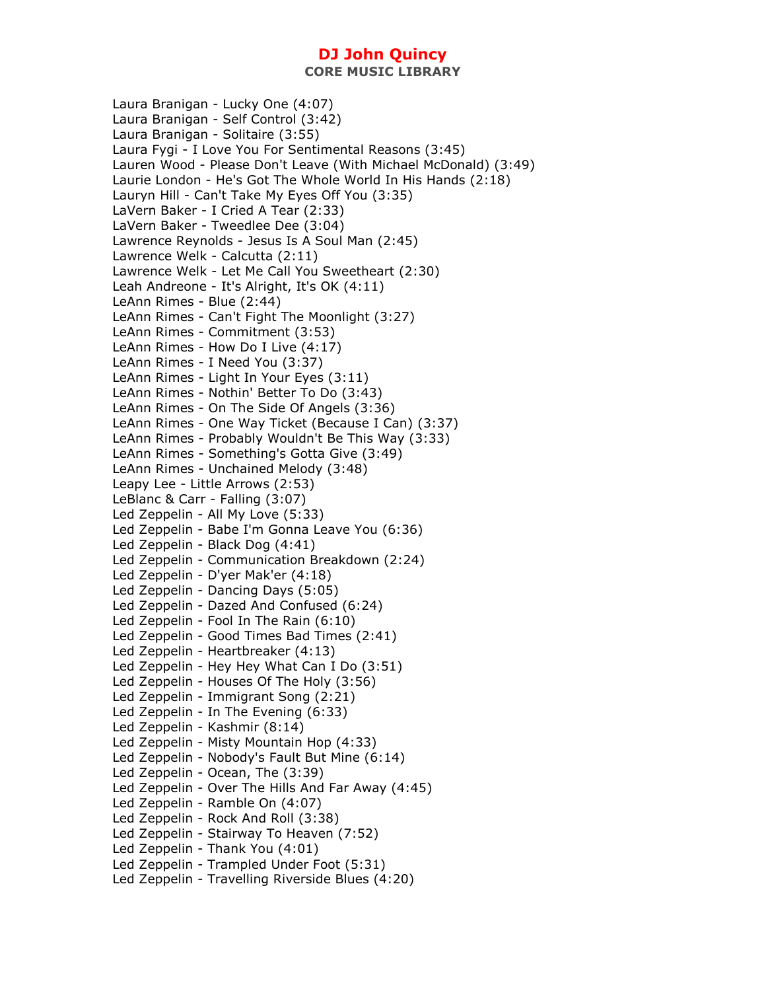**CORE MUSIC LIBRARY** 

Laura Branigan - Lucky One (4:07) Laura Branigan - Self Control (3:42) Laura Branigan - Solitaire (3:55) Laura Fygi - I Love You For Sentimental Reasons (3:45) Lauren Wood - Please Don't Leave (With Michael McDonald) (3:49) Laurie London - He's Got The Whole World In His Hands (2:18) Lauryn Hill - Can't Take My Eyes Off You (3:35) LaVern Baker - I Cried A Tear (2:33) LaVern Baker - Tweedlee Dee (3:04) Lawrence Reynolds - Jesus Is A Soul Man (2:45) Lawrence Welk - Calcutta (2:11) Lawrence Welk - Let Me Call You Sweetheart (2:30) Leah Andreone - It's Alright, It's OK (4:11) LeAnn Rimes - Blue (2:44) LeAnn Rimes - Can't Fight The Moonlight (3:27) LeAnn Rimes - Commitment (3:53) LeAnn Rimes - How Do I Live (4:17) LeAnn Rimes - I Need You (3:37) LeAnn Rimes - Light In Your Eyes (3:11) LeAnn Rimes - Nothin' Better To Do (3:43) LeAnn Rimes - On The Side Of Angels (3:36) LeAnn Rimes - One Way Ticket (Because I Can) (3:37) LeAnn Rimes - Probably Wouldn't Be This Way (3:33) LeAnn Rimes - Something's Gotta Give (3:49) LeAnn Rimes - Unchained Melody (3:48) Leapy Lee - Little Arrows (2:53) LeBlanc & Carr - Falling (3:07) Led Zeppelin - All My Love (5:33) Led Zeppelin - Babe I'm Gonna Leave You (6:36) Led Zeppelin - Black Dog (4:41) Led Zeppelin - Communication Breakdown (2:24) Led Zeppelin - D'yer Mak'er (4:18) Led Zeppelin - Dancing Days (5:05) Led Zeppelin - Dazed And Confused (6:24) Led Zeppelin - Fool In The Rain (6:10) Led Zeppelin - Good Times Bad Times (2:41) Led Zeppelin - Heartbreaker (4:13) Led Zeppelin - Hey Hey What Can I Do (3:51) Led Zeppelin - Houses Of The Holy (3:56) Led Zeppelin - Immigrant Song (2:21) Led Zeppelin - In The Evening (6:33) Led Zeppelin - Kashmir (8:14) Led Zeppelin - Misty Mountain Hop (4:33) Led Zeppelin - Nobody's Fault But Mine (6:14) Led Zeppelin - Ocean, The (3:39) Led Zeppelin - Over The Hills And Far Away (4:45) Led Zeppelin - Ramble On (4:07) Led Zeppelin - Rock And Roll (3:38) Led Zeppelin - Stairway To Heaven (7:52) Led Zeppelin - Thank You (4:01) Led Zeppelin - Trampled Under Foot (5:31) Led Zeppelin - Travelling Riverside Blues (4:20)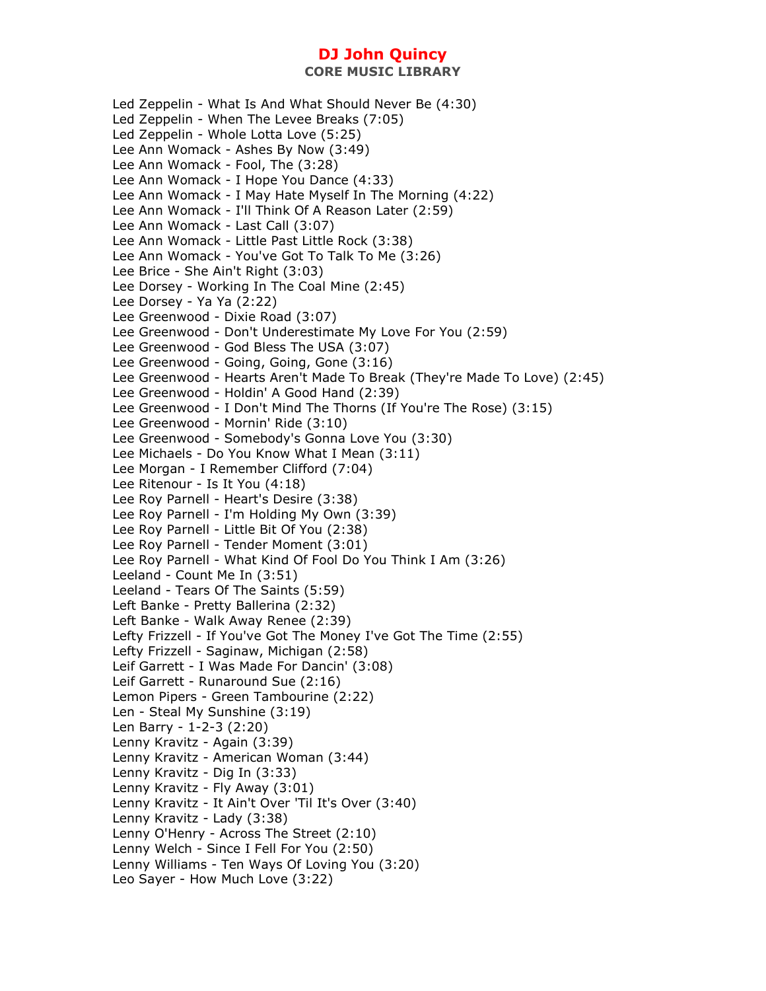**CORE MUSIC LIBRARY** 

Led Zeppelin - What Is And What Should Never Be (4:30) Led Zeppelin - When The Levee Breaks (7:05) Led Zeppelin - Whole Lotta Love (5:25) Lee Ann Womack - Ashes By Now (3:49) Lee Ann Womack - Fool, The (3:28) Lee Ann Womack - I Hope You Dance (4:33) Lee Ann Womack - I May Hate Myself In The Morning (4:22) Lee Ann Womack - I'll Think Of A Reason Later (2:59) Lee Ann Womack - Last Call (3:07) Lee Ann Womack - Little Past Little Rock (3:38) Lee Ann Womack - You've Got To Talk To Me (3:26) Lee Brice - She Ain't Right (3:03) Lee Dorsey - Working In The Coal Mine (2:45) Lee Dorsey - Ya Ya (2:22) Lee Greenwood - Dixie Road (3:07) Lee Greenwood - Don't Underestimate My Love For You (2:59) Lee Greenwood - God Bless The USA (3:07) Lee Greenwood - Going, Going, Gone (3:16) Lee Greenwood - Hearts Aren't Made To Break (They're Made To Love) (2:45) Lee Greenwood - Holdin' A Good Hand (2:39) Lee Greenwood - I Don't Mind The Thorns (If You're The Rose) (3:15) Lee Greenwood - Mornin' Ride (3:10) Lee Greenwood - Somebody's Gonna Love You (3:30) Lee Michaels - Do You Know What I Mean (3:11) Lee Morgan - I Remember Clifford (7:04) Lee Ritenour - Is It You (4:18) Lee Roy Parnell - Heart's Desire (3:38) Lee Roy Parnell - I'm Holding My Own (3:39) Lee Roy Parnell - Little Bit Of You (2:38) Lee Roy Parnell - Tender Moment (3:01) Lee Roy Parnell - What Kind Of Fool Do You Think I Am (3:26) Leeland - Count Me In (3:51) Leeland - Tears Of The Saints (5:59) Left Banke - Pretty Ballerina (2:32) Left Banke - Walk Away Renee (2:39) Lefty Frizzell - If You've Got The Money I've Got The Time (2:55) Lefty Frizzell - Saginaw, Michigan (2:58) Leif Garrett - I Was Made For Dancin' (3:08) Leif Garrett - Runaround Sue (2:16) Lemon Pipers - Green Tambourine (2:22) Len - Steal My Sunshine (3:19) Len Barry - 1-2-3 (2:20) Lenny Kravitz - Again (3:39) Lenny Kravitz - American Woman (3:44) Lenny Kravitz - Dig In (3:33) Lenny Kravitz - Fly Away (3:01) Lenny Kravitz - It Ain't Over 'Til It's Over (3:40) Lenny Kravitz - Lady (3:38) Lenny O'Henry - Across The Street (2:10) Lenny Welch - Since I Fell For You (2:50) Lenny Williams - Ten Ways Of Loving You (3:20) Leo Sayer - How Much Love (3:22)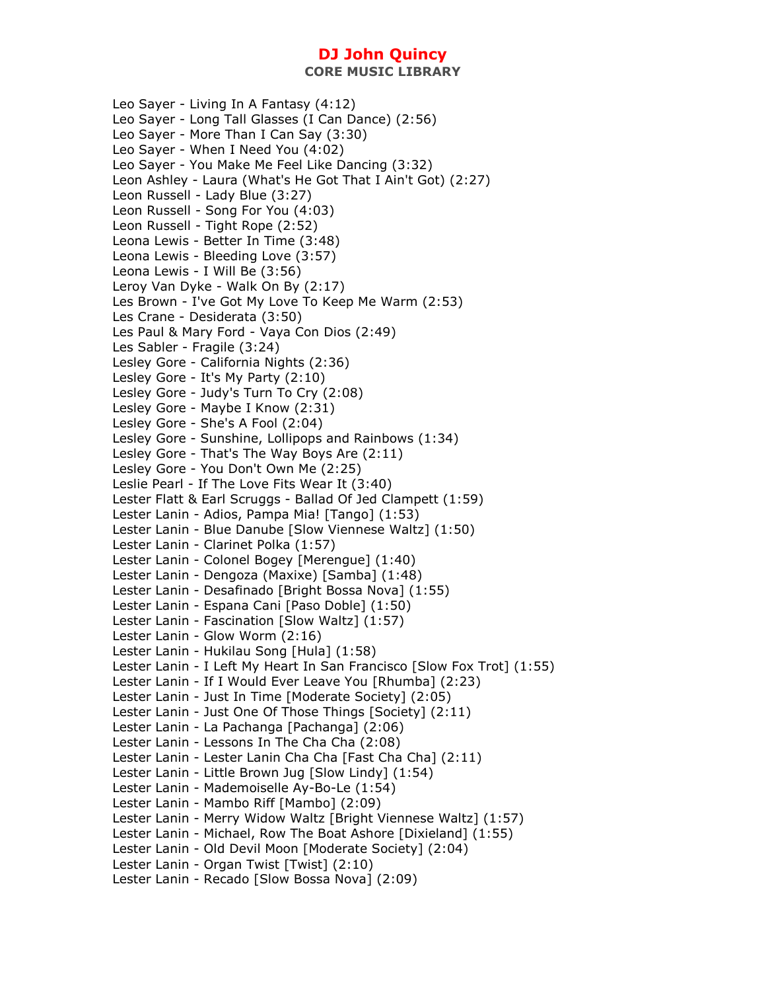**CORE MUSIC LIBRARY** 

Leo Sayer - Living In A Fantasy (4:12) Leo Sayer - Long Tall Glasses (I Can Dance) (2:56) Leo Sayer - More Than I Can Say (3:30) Leo Sayer - When I Need You (4:02) Leo Sayer - You Make Me Feel Like Dancing (3:32) Leon Ashley - Laura (What's He Got That I Ain't Got) (2:27) Leon Russell - Lady Blue (3:27) Leon Russell - Song For You (4:03) Leon Russell - Tight Rope (2:52) Leona Lewis - Better In Time (3:48) Leona Lewis - Bleeding Love (3:57) Leona Lewis - I Will Be (3:56) Leroy Van Dyke - Walk On By (2:17) Les Brown - I've Got My Love To Keep Me Warm (2:53) Les Crane - Desiderata (3:50) Les Paul & Mary Ford - Vaya Con Dios (2:49) Les Sabler - Fragile (3:24) Lesley Gore - California Nights (2:36) Lesley Gore - It's My Party (2:10) Lesley Gore - Judy's Turn To Cry (2:08) Lesley Gore - Maybe I Know (2:31) Lesley Gore - She's A Fool (2:04) Lesley Gore - Sunshine, Lollipops and Rainbows (1:34) Lesley Gore - That's The Way Boys Are (2:11) Lesley Gore - You Don't Own Me (2:25) Leslie Pearl - If The Love Fits Wear It (3:40) Lester Flatt & Earl Scruggs - Ballad Of Jed Clampett (1:59) Lester Lanin - Adios, Pampa Mia! [Tango] (1:53) Lester Lanin - Blue Danube [Slow Viennese Waltz] (1:50) Lester Lanin - Clarinet Polka (1:57) Lester Lanin - Colonel Bogey [Merengue] (1:40) Lester Lanin - Dengoza (Maxixe) [Samba] (1:48) Lester Lanin - Desafinado [Bright Bossa Nova] (1:55) Lester Lanin - Espana Cani [Paso Doble] (1:50) Lester Lanin - Fascination [Slow Waltz] (1:57) Lester Lanin - Glow Worm (2:16) Lester Lanin - Hukilau Song [Hula] (1:58) Lester Lanin - I Left My Heart In San Francisco [Slow Fox Trot] (1:55) Lester Lanin - If I Would Ever Leave You [Rhumba] (2:23) Lester Lanin - Just In Time [Moderate Society] (2:05) Lester Lanin - Just One Of Those Things [Society] (2:11) Lester Lanin - La Pachanga [Pachanga] (2:06) Lester Lanin - Lessons In The Cha Cha (2:08) Lester Lanin - Lester Lanin Cha Cha [Fast Cha Cha] (2:11) Lester Lanin - Little Brown Jug [Slow Lindy] (1:54) Lester Lanin - Mademoiselle Ay-Bo-Le (1:54) Lester Lanin - Mambo Riff [Mambo] (2:09) Lester Lanin - Merry Widow Waltz [Bright Viennese Waltz] (1:57) Lester Lanin - Michael, Row The Boat Ashore [Dixieland] (1:55) Lester Lanin - Old Devil Moon [Moderate Society] (2:04) Lester Lanin - Organ Twist [Twist] (2:10) Lester Lanin - Recado [Slow Bossa Nova] (2:09)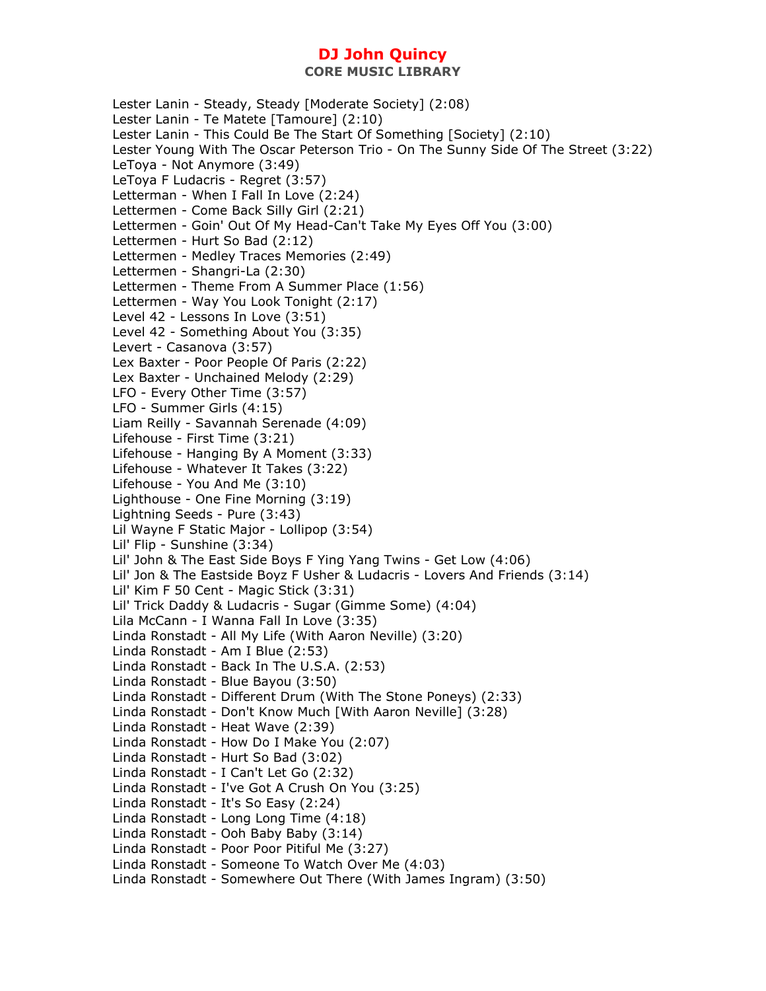Lester Lanin - Steady, Steady [Moderate Society] (2:08) Lester Lanin - Te Matete [Tamoure] (2:10) Lester Lanin - This Could Be The Start Of Something [Society] (2:10) Lester Young With The Oscar Peterson Trio - On The Sunny Side Of The Street (3:22) LeToya - Not Anymore (3:49) LeToya F Ludacris - Regret (3:57) Letterman - When I Fall In Love (2:24) Lettermen - Come Back Silly Girl (2:21) Lettermen - Goin' Out Of My Head-Can't Take My Eyes Off You (3:00) Lettermen - Hurt So Bad (2:12) Lettermen - Medley Traces Memories (2:49) Lettermen - Shangri-La (2:30) Lettermen - Theme From A Summer Place (1:56) Lettermen - Way You Look Tonight (2:17) Level 42 - Lessons In Love (3:51) Level 42 - Something About You (3:35) Levert - Casanova (3:57) Lex Baxter - Poor People Of Paris (2:22) Lex Baxter - Unchained Melody (2:29) LFO - Every Other Time (3:57) LFO - Summer Girls (4:15) Liam Reilly - Savannah Serenade (4:09) Lifehouse - First Time (3:21) Lifehouse - Hanging By A Moment (3:33) Lifehouse - Whatever It Takes (3:22) Lifehouse - You And Me (3:10) Lighthouse - One Fine Morning (3:19) Lightning Seeds - Pure (3:43) Lil Wayne F Static Major - Lollipop (3:54) Lil' Flip - Sunshine (3:34) Lil' John & The East Side Boys F Ying Yang Twins - Get Low (4:06) Lil' Jon & The Eastside Boyz F Usher & Ludacris - Lovers And Friends (3:14) Lil' Kim F 50 Cent - Magic Stick (3:31) Lil' Trick Daddy & Ludacris - Sugar (Gimme Some) (4:04) Lila McCann - I Wanna Fall In Love (3:35) Linda Ronstadt - All My Life (With Aaron Neville) (3:20) Linda Ronstadt - Am I Blue (2:53) Linda Ronstadt - Back In The U.S.A. (2:53) Linda Ronstadt - Blue Bayou (3:50) Linda Ronstadt - Different Drum (With The Stone Poneys) (2:33) Linda Ronstadt - Don't Know Much [With Aaron Neville] (3:28) Linda Ronstadt - Heat Wave (2:39) Linda Ronstadt - How Do I Make You (2:07) Linda Ronstadt - Hurt So Bad (3:02) Linda Ronstadt - I Can't Let Go (2:32) Linda Ronstadt - I've Got A Crush On You (3:25) Linda Ronstadt - It's So Easy (2:24) Linda Ronstadt - Long Long Time (4:18) Linda Ronstadt - Ooh Baby Baby (3:14) Linda Ronstadt - Poor Poor Pitiful Me (3:27) Linda Ronstadt - Someone To Watch Over Me (4:03) Linda Ronstadt - Somewhere Out There (With James Ingram) (3:50)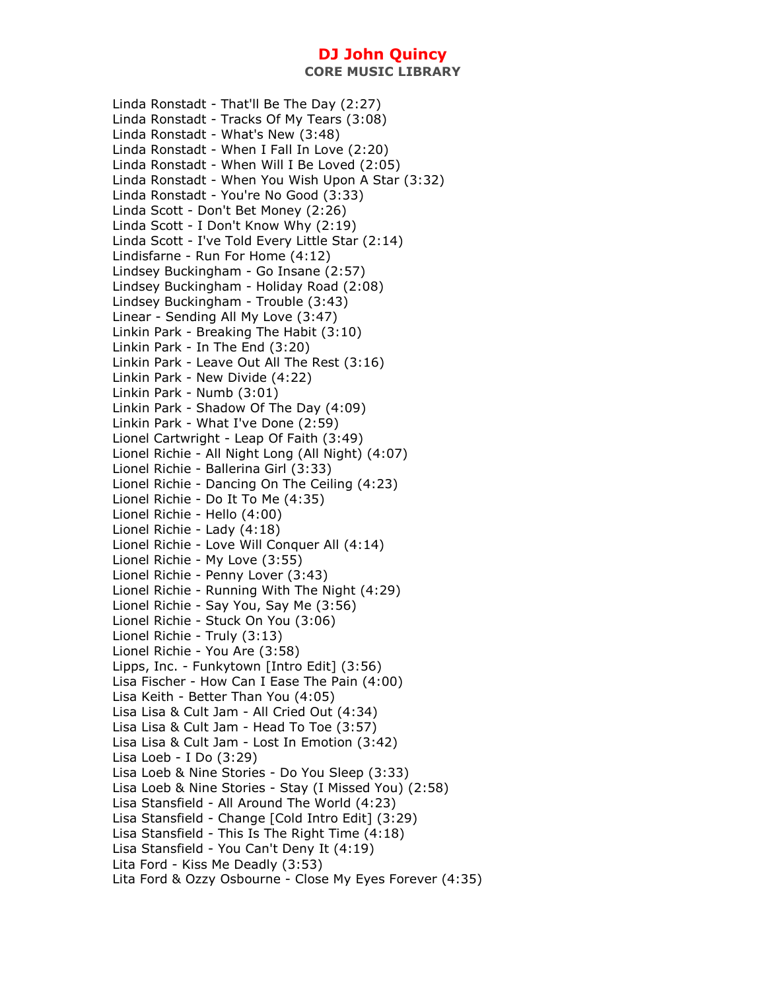Linda Ronstadt - That'll Be The Day (2:27) Linda Ronstadt - Tracks Of My Tears (3:08) Linda Ronstadt - What's New (3:48) Linda Ronstadt - When I Fall In Love (2:20) Linda Ronstadt - When Will I Be Loved (2:05) Linda Ronstadt - When You Wish Upon A Star (3:32) Linda Ronstadt - You're No Good (3:33) Linda Scott - Don't Bet Money (2:26) Linda Scott - I Don't Know Why (2:19) Linda Scott - I've Told Every Little Star (2:14) Lindisfarne - Run For Home (4:12) Lindsey Buckingham - Go Insane (2:57) Lindsey Buckingham - Holiday Road (2:08) Lindsey Buckingham - Trouble (3:43) Linear - Sending All My Love (3:47) Linkin Park - Breaking The Habit (3:10) Linkin Park - In The End (3:20) Linkin Park - Leave Out All The Rest (3:16) Linkin Park - New Divide (4:22) Linkin Park - Numb (3:01) Linkin Park - Shadow Of The Day (4:09) Linkin Park - What I've Done (2:59) Lionel Cartwright - Leap Of Faith (3:49) Lionel Richie - All Night Long (All Night) (4:07) Lionel Richie - Ballerina Girl (3:33) Lionel Richie - Dancing On The Ceiling (4:23) Lionel Richie - Do It To Me (4:35) Lionel Richie - Hello (4:00) Lionel Richie - Lady (4:18) Lionel Richie - Love Will Conquer All (4:14) Lionel Richie - My Love (3:55) Lionel Richie - Penny Lover (3:43) Lionel Richie - Running With The Night (4:29) Lionel Richie - Say You, Say Me (3:56) Lionel Richie - Stuck On You (3:06) Lionel Richie - Truly (3:13) Lionel Richie - You Are (3:58) Lipps, Inc. - Funkytown [Intro Edit] (3:56) Lisa Fischer - How Can I Ease The Pain (4:00) Lisa Keith - Better Than You (4:05) Lisa Lisa & Cult Jam - All Cried Out (4:34) Lisa Lisa & Cult Jam - Head To Toe (3:57) Lisa Lisa & Cult Jam - Lost In Emotion (3:42) Lisa Loeb - I Do (3:29) Lisa Loeb & Nine Stories - Do You Sleep (3:33) Lisa Loeb & Nine Stories - Stay (I Missed You) (2:58) Lisa Stansfield - All Around The World (4:23) Lisa Stansfield - Change [Cold Intro Edit] (3:29) Lisa Stansfield - This Is The Right Time (4:18) Lisa Stansfield - You Can't Deny It (4:19) Lita Ford - Kiss Me Deadly (3:53) Lita Ford & Ozzy Osbourne - Close My Eyes Forever (4:35)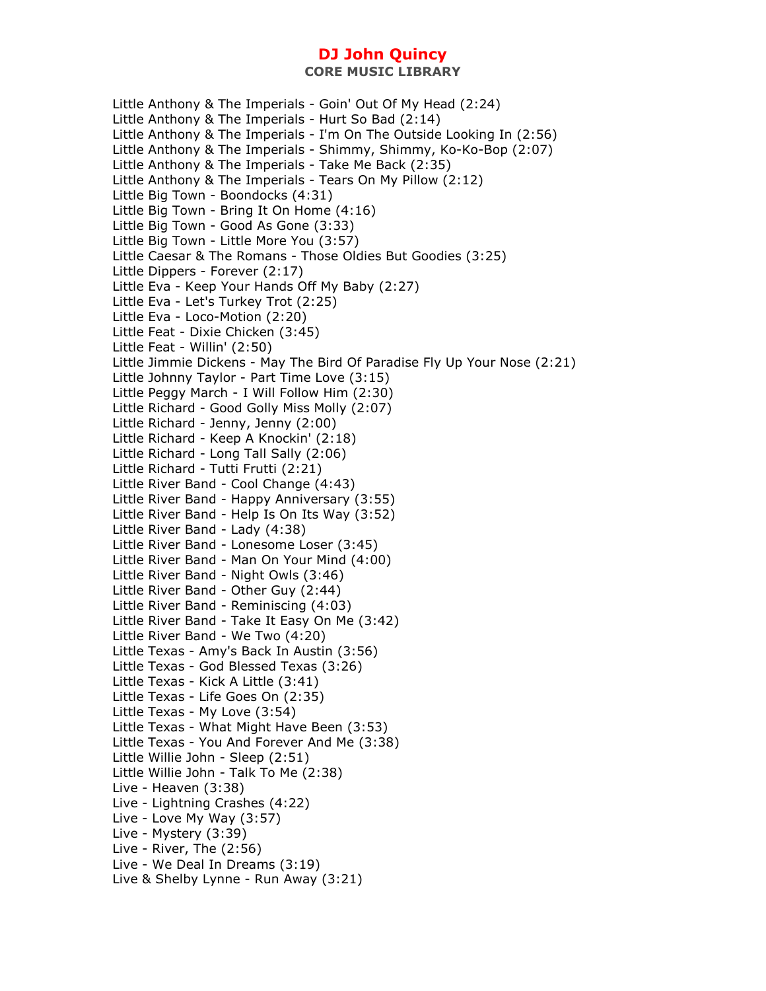Little Anthony & The Imperials - Goin' Out Of My Head (2:24) Little Anthony & The Imperials - Hurt So Bad (2:14) Little Anthony & The Imperials - I'm On The Outside Looking In (2:56) Little Anthony & The Imperials - Shimmy, Shimmy, Ko-Ko-Bop (2:07) Little Anthony & The Imperials - Take Me Back (2:35) Little Anthony & The Imperials - Tears On My Pillow (2:12) Little Big Town - Boondocks (4:31) Little Big Town - Bring It On Home (4:16) Little Big Town - Good As Gone (3:33) Little Big Town - Little More You (3:57) Little Caesar & The Romans - Those Oldies But Goodies (3:25) Little Dippers - Forever (2:17) Little Eva - Keep Your Hands Off My Baby (2:27) Little Eva - Let's Turkey Trot (2:25) Little Eva - Loco-Motion (2:20) Little Feat - Dixie Chicken (3:45) Little Feat - Willin' (2:50) Little Jimmie Dickens - May The Bird Of Paradise Fly Up Your Nose (2:21) Little Johnny Taylor - Part Time Love (3:15) Little Peggy March - I Will Follow Him (2:30) Little Richard - Good Golly Miss Molly (2:07) Little Richard - Jenny, Jenny (2:00) Little Richard - Keep A Knockin' (2:18) Little Richard - Long Tall Sally (2:06) Little Richard - Tutti Frutti (2:21) Little River Band - Cool Change (4:43) Little River Band - Happy Anniversary (3:55) Little River Band - Help Is On Its Way (3:52) Little River Band - Lady (4:38) Little River Band - Lonesome Loser (3:45) Little River Band - Man On Your Mind (4:00) Little River Band - Night Owls (3:46) Little River Band - Other Guy (2:44) Little River Band - Reminiscing (4:03) Little River Band - Take It Easy On Me (3:42) Little River Band - We Two (4:20) Little Texas - Amy's Back In Austin (3:56) Little Texas - God Blessed Texas (3:26) Little Texas - Kick A Little (3:41) Little Texas - Life Goes On (2:35) Little Texas - My Love (3:54) Little Texas - What Might Have Been (3:53) Little Texas - You And Forever And Me (3:38) Little Willie John - Sleep (2:51) Little Willie John - Talk To Me (2:38) Live - Heaven (3:38) Live - Lightning Crashes (4:22) Live - Love My Way (3:57) Live - Mystery (3:39) Live - River, The (2:56) Live - We Deal In Dreams (3:19) Live & Shelby Lynne - Run Away (3:21)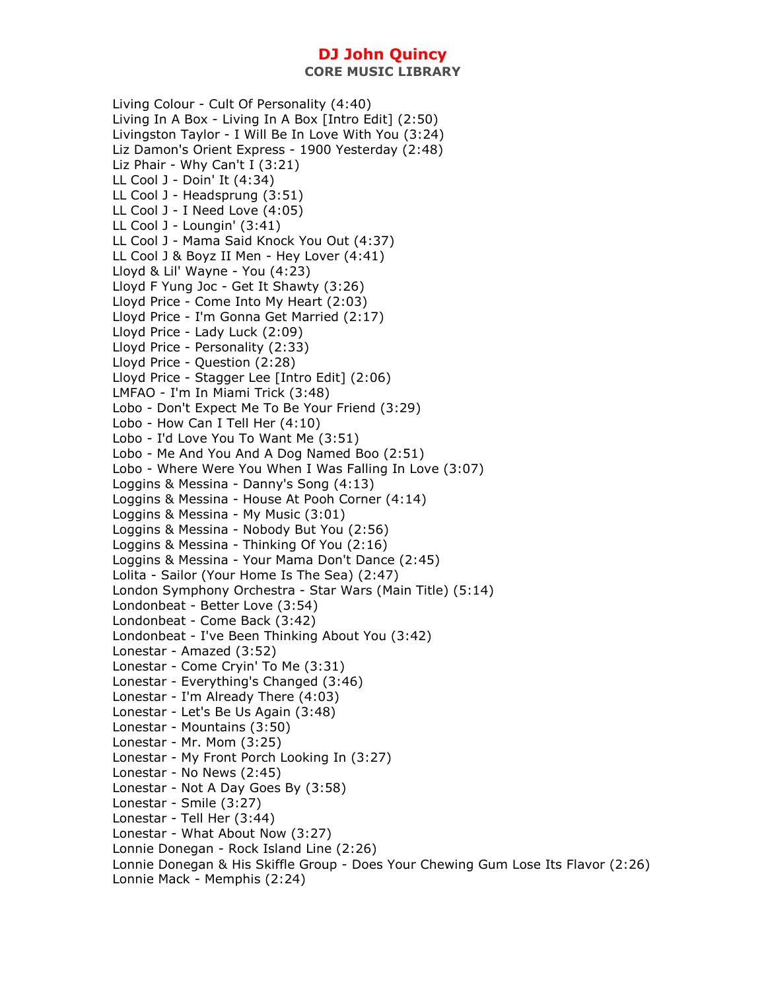Living Colour - Cult Of Personality (4:40) Living In A Box - Living In A Box [Intro Edit] (2:50) Livingston Taylor - I Will Be In Love With You (3:24) Liz Damon's Orient Express - 1900 Yesterday (2:48) Liz Phair - Why Can't I (3:21) LL Cool J - Doin' It (4:34) LL Cool J - Headsprung (3:51) LL Cool J - I Need Love (4:05) LL Cool J - Loungin' (3:41) LL Cool J - Mama Said Knock You Out (4:37) LL Cool J & Boyz II Men - Hey Lover (4:41) Lloyd & Lil' Wayne - You (4:23) Lloyd F Yung Joc - Get It Shawty (3:26) Lloyd Price - Come Into My Heart (2:03) Lloyd Price - I'm Gonna Get Married (2:17) Lloyd Price - Lady Luck (2:09) Lloyd Price - Personality (2:33) Lloyd Price - Question (2:28) Lloyd Price - Stagger Lee [Intro Edit] (2:06) LMFAO - I'm In Miami Trick (3:48) Lobo - Don't Expect Me To Be Your Friend (3:29) Lobo - How Can I Tell Her (4:10) Lobo - I'd Love You To Want Me (3:51) Lobo - Me And You And A Dog Named Boo (2:51) Lobo - Where Were You When I Was Falling In Love (3:07) Loggins & Messina - Danny's Song (4:13) Loggins & Messina - House At Pooh Corner (4:14) Loggins & Messina - My Music (3:01) Loggins & Messina - Nobody But You (2:56) Loggins & Messina - Thinking Of You (2:16) Loggins & Messina - Your Mama Don't Dance (2:45) Lolita - Sailor (Your Home Is The Sea) (2:47) London Symphony Orchestra - Star Wars (Main Title) (5:14) Londonbeat - Better Love (3:54) Londonbeat - Come Back (3:42) Londonbeat - I've Been Thinking About You (3:42) Lonestar - Amazed (3:52) Lonestar - Come Cryin' To Me (3:31) Lonestar - Everything's Changed (3:46) Lonestar - I'm Already There (4:03) Lonestar - Let's Be Us Again (3:48) Lonestar - Mountains (3:50) Lonestar - Mr. Mom (3:25) Lonestar - My Front Porch Looking In (3:27) Lonestar - No News (2:45) Lonestar - Not A Day Goes By (3:58) Lonestar - Smile (3:27) Lonestar - Tell Her (3:44) Lonestar - What About Now (3:27) Lonnie Donegan - Rock Island Line (2:26) Lonnie Donegan & His Skiffle Group - Does Your Chewing Gum Lose Its Flavor (2:26) Lonnie Mack - Memphis (2:24)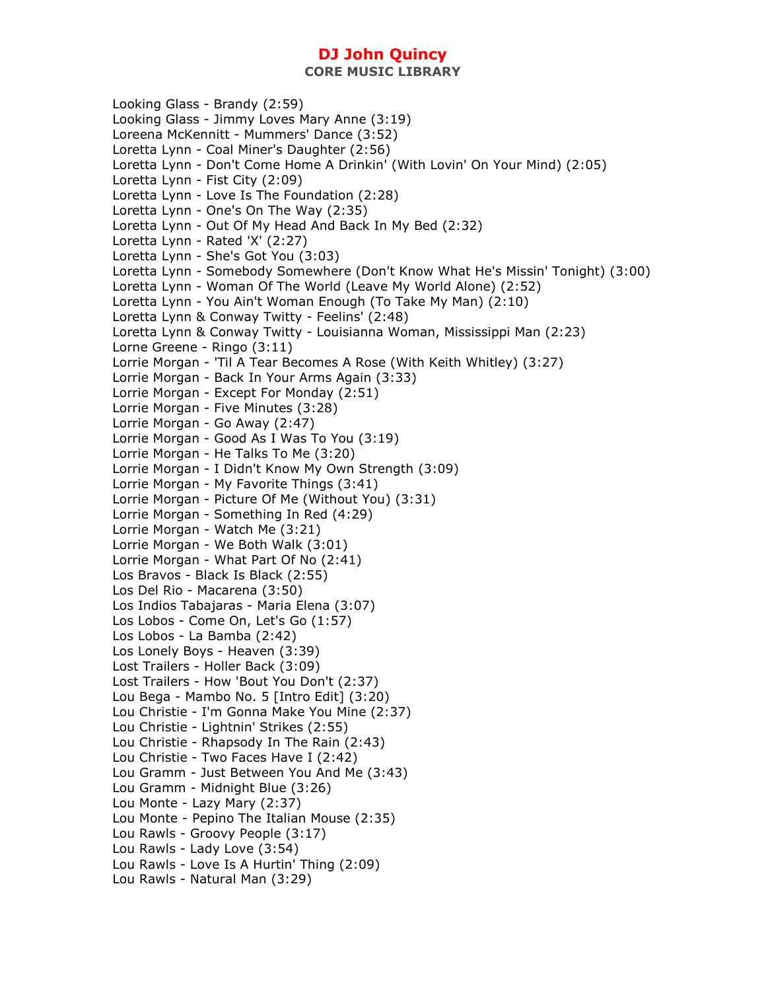**CORE MUSIC LIBRARY** 

Looking Glass - Brandy (2:59) Looking Glass - Jimmy Loves Mary Anne (3:19) Loreena McKennitt - Mummers' Dance (3:52) Loretta Lynn - Coal Miner's Daughter (2:56) Loretta Lynn - Don't Come Home A Drinkin' (With Lovin' On Your Mind) (2:05) Loretta Lynn - Fist City (2:09) Loretta Lynn - Love Is The Foundation (2:28) Loretta Lynn - One's On The Way (2:35) Loretta Lynn - Out Of My Head And Back In My Bed (2:32) Loretta Lynn - Rated 'X' (2:27) Loretta Lynn - She's Got You (3:03) Loretta Lynn - Somebody Somewhere (Don't Know What He's Missin' Tonight) (3:00) Loretta Lynn - Woman Of The World (Leave My World Alone) (2:52) Loretta Lynn - You Ain't Woman Enough (To Take My Man) (2:10) Loretta Lynn & Conway Twitty - Feelins' (2:48) Loretta Lynn & Conway Twitty - Louisianna Woman, Mississippi Man (2:23) Lorne Greene - Ringo (3:11) Lorrie Morgan - 'Til A Tear Becomes A Rose (With Keith Whitley) (3:27) Lorrie Morgan - Back In Your Arms Again (3:33) Lorrie Morgan - Except For Monday (2:51) Lorrie Morgan - Five Minutes (3:28) Lorrie Morgan - Go Away (2:47) Lorrie Morgan - Good As I Was To You (3:19) Lorrie Morgan - He Talks To Me (3:20) Lorrie Morgan - I Didn't Know My Own Strength (3:09) Lorrie Morgan - My Favorite Things (3:41) Lorrie Morgan - Picture Of Me (Without You) (3:31) Lorrie Morgan - Something In Red (4:29) Lorrie Morgan - Watch Me (3:21) Lorrie Morgan - We Both Walk (3:01) Lorrie Morgan - What Part Of No (2:41) Los Bravos - Black Is Black (2:55) Los Del Rio - Macarena (3:50) Los Indios Tabajaras - Maria Elena (3:07) Los Lobos - Come On, Let's Go (1:57) Los Lobos - La Bamba (2:42) Los Lonely Boys - Heaven (3:39) Lost Trailers - Holler Back (3:09) Lost Trailers - How 'Bout You Don't (2:37) Lou Bega - Mambo No. 5 [Intro Edit] (3:20) Lou Christie - I'm Gonna Make You Mine (2:37) Lou Christie - Lightnin' Strikes (2:55) Lou Christie - Rhapsody In The Rain (2:43) Lou Christie - Two Faces Have I (2:42) Lou Gramm - Just Between You And Me (3:43) Lou Gramm - Midnight Blue (3:26) Lou Monte - Lazy Mary (2:37) Lou Monte - Pepino The Italian Mouse (2:35) Lou Rawls - Groovy People (3:17) Lou Rawls - Lady Love (3:54) Lou Rawls - Love Is A Hurtin' Thing (2:09) Lou Rawls - Natural Man (3:29)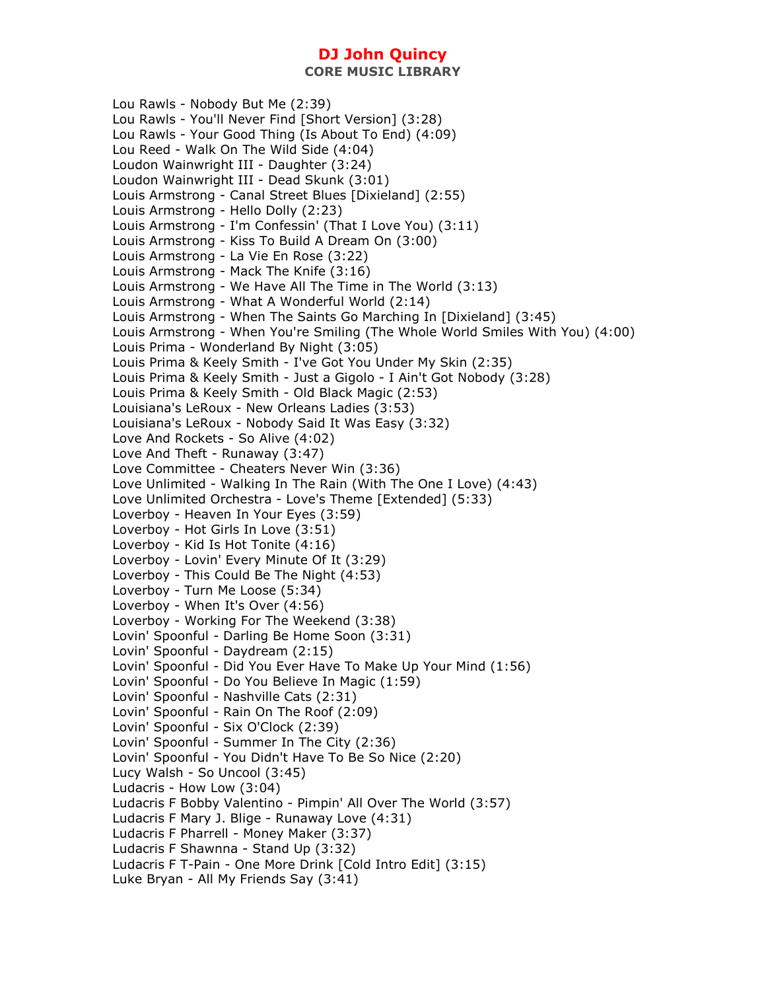Lou Rawls - Nobody But Me (2:39) Lou Rawls - You'll Never Find [Short Version] (3:28) Lou Rawls - Your Good Thing (Is About To End) (4:09) Lou Reed - Walk On The Wild Side (4:04) Loudon Wainwright III - Daughter (3:24) Loudon Wainwright III - Dead Skunk (3:01) Louis Armstrong - Canal Street Blues [Dixieland] (2:55) Louis Armstrong - Hello Dolly (2:23) Louis Armstrong - I'm Confessin' (That I Love You) (3:11) Louis Armstrong - Kiss To Build A Dream On (3:00) Louis Armstrong - La Vie En Rose (3:22) Louis Armstrong - Mack The Knife (3:16) Louis Armstrong - We Have All The Time in The World (3:13) Louis Armstrong - What A Wonderful World (2:14) Louis Armstrong - When The Saints Go Marching In [Dixieland] (3:45) Louis Armstrong - When You're Smiling (The Whole World Smiles With You) (4:00) Louis Prima - Wonderland By Night (3:05) Louis Prima & Keely Smith - I've Got You Under My Skin (2:35) Louis Prima & Keely Smith - Just a Gigolo - I Ain't Got Nobody (3:28) Louis Prima & Keely Smith - Old Black Magic (2:53) Louisiana's LeRoux - New Orleans Ladies (3:53) Louisiana's LeRoux - Nobody Said It Was Easy (3:32) Love And Rockets - So Alive (4:02) Love And Theft - Runaway (3:47) Love Committee - Cheaters Never Win (3:36) Love Unlimited - Walking In The Rain (With The One I Love) (4:43) Love Unlimited Orchestra - Love's Theme [Extended] (5:33) Loverboy - Heaven In Your Eyes (3:59) Loverboy - Hot Girls In Love (3:51) Loverboy - Kid Is Hot Tonite (4:16) Loverboy - Lovin' Every Minute Of It (3:29) Loverboy - This Could Be The Night (4:53) Loverboy - Turn Me Loose (5:34) Loverboy - When It's Over (4:56) Loverboy - Working For The Weekend (3:38) Lovin' Spoonful - Darling Be Home Soon (3:31) Lovin' Spoonful - Daydream (2:15) Lovin' Spoonful - Did You Ever Have To Make Up Your Mind (1:56) Lovin' Spoonful - Do You Believe In Magic (1:59) Lovin' Spoonful - Nashville Cats (2:31) Lovin' Spoonful - Rain On The Roof (2:09) Lovin' Spoonful - Six O'Clock (2:39) Lovin' Spoonful - Summer In The City (2:36) Lovin' Spoonful - You Didn't Have To Be So Nice (2:20) Lucy Walsh - So Uncool (3:45) Ludacris - How Low (3:04) Ludacris F Bobby Valentino - Pimpin' All Over The World (3:57) Ludacris F Mary J. Blige - Runaway Love (4:31) Ludacris F Pharrell - Money Maker (3:37) Ludacris F Shawnna - Stand Up (3:32) Ludacris F T-Pain - One More Drink [Cold Intro Edit] (3:15) Luke Bryan - All My Friends Say (3:41)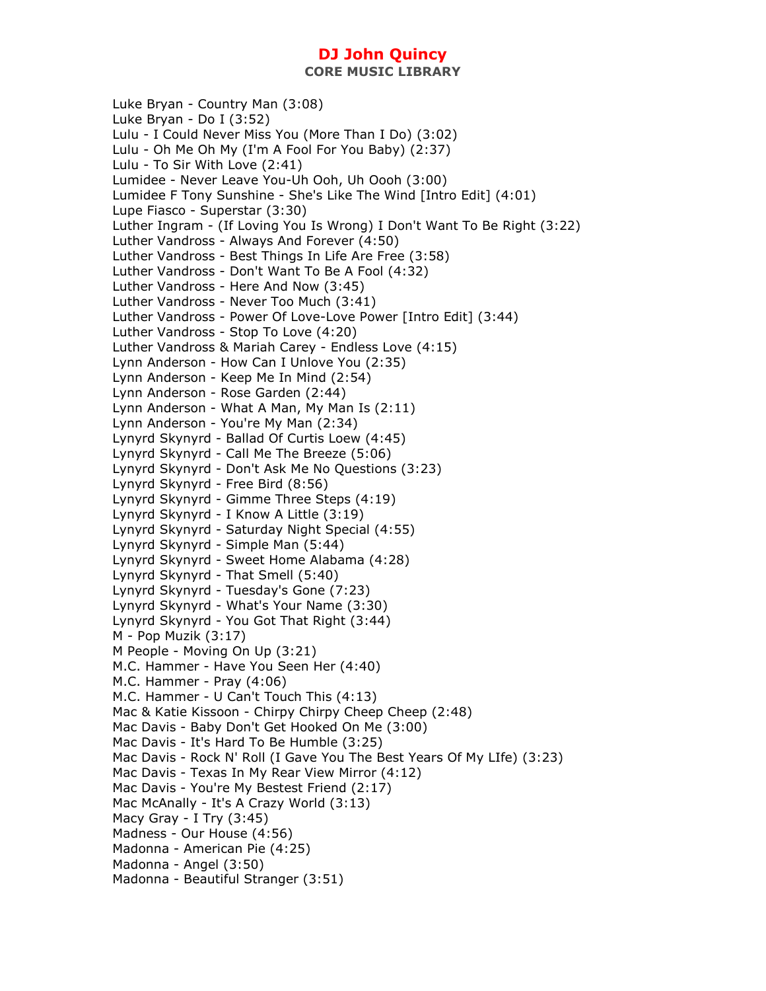Luke Bryan - Country Man (3:08) Luke Bryan - Do I (3:52) Lulu - I Could Never Miss You (More Than I Do) (3:02) Lulu - Oh Me Oh My (I'm A Fool For You Baby) (2:37) Lulu - To Sir With Love (2:41) Lumidee - Never Leave You-Uh Ooh, Uh Oooh (3:00) Lumidee F Tony Sunshine - She's Like The Wind [Intro Edit] (4:01) Lupe Fiasco - Superstar (3:30) Luther Ingram - (If Loving You Is Wrong) I Don't Want To Be Right (3:22) Luther Vandross - Always And Forever (4:50) Luther Vandross - Best Things In Life Are Free (3:58) Luther Vandross - Don't Want To Be A Fool (4:32) Luther Vandross - Here And Now (3:45) Luther Vandross - Never Too Much (3:41) Luther Vandross - Power Of Love-Love Power [Intro Edit] (3:44) Luther Vandross - Stop To Love (4:20) Luther Vandross & Mariah Carey - Endless Love (4:15) Lynn Anderson - How Can I Unlove You (2:35) Lynn Anderson - Keep Me In Mind (2:54) Lynn Anderson - Rose Garden (2:44) Lynn Anderson - What A Man, My Man Is (2:11) Lynn Anderson - You're My Man (2:34) Lynyrd Skynyrd - Ballad Of Curtis Loew (4:45) Lynyrd Skynyrd - Call Me The Breeze (5:06) Lynyrd Skynyrd - Don't Ask Me No Questions (3:23) Lynyrd Skynyrd - Free Bird (8:56) Lynyrd Skynyrd - Gimme Three Steps (4:19) Lynyrd Skynyrd - I Know A Little (3:19) Lynyrd Skynyrd - Saturday Night Special (4:55) Lynyrd Skynyrd - Simple Man (5:44) Lynyrd Skynyrd - Sweet Home Alabama (4:28) Lynyrd Skynyrd - That Smell (5:40) Lynyrd Skynyrd - Tuesday's Gone (7:23) Lynyrd Skynyrd - What's Your Name (3:30) Lynyrd Skynyrd - You Got That Right (3:44) M - Pop Muzik (3:17) M People - Moving On Up (3:21) M.C. Hammer - Have You Seen Her (4:40) M.C. Hammer - Pray (4:06) M.C. Hammer - U Can't Touch This (4:13) Mac & Katie Kissoon - Chirpy Chirpy Cheep Cheep (2:48) Mac Davis - Baby Don't Get Hooked On Me (3:00) Mac Davis - It's Hard To Be Humble (3:25) Mac Davis - Rock N' Roll (I Gave You The Best Years Of My LIfe) (3:23) Mac Davis - Texas In My Rear View Mirror (4:12) Mac Davis - You're My Bestest Friend (2:17) Mac McAnally - It's A Crazy World (3:13) Macy Gray - I Try (3:45) Madness - Our House (4:56) Madonna - American Pie (4:25) Madonna - Angel (3:50) Madonna - Beautiful Stranger (3:51)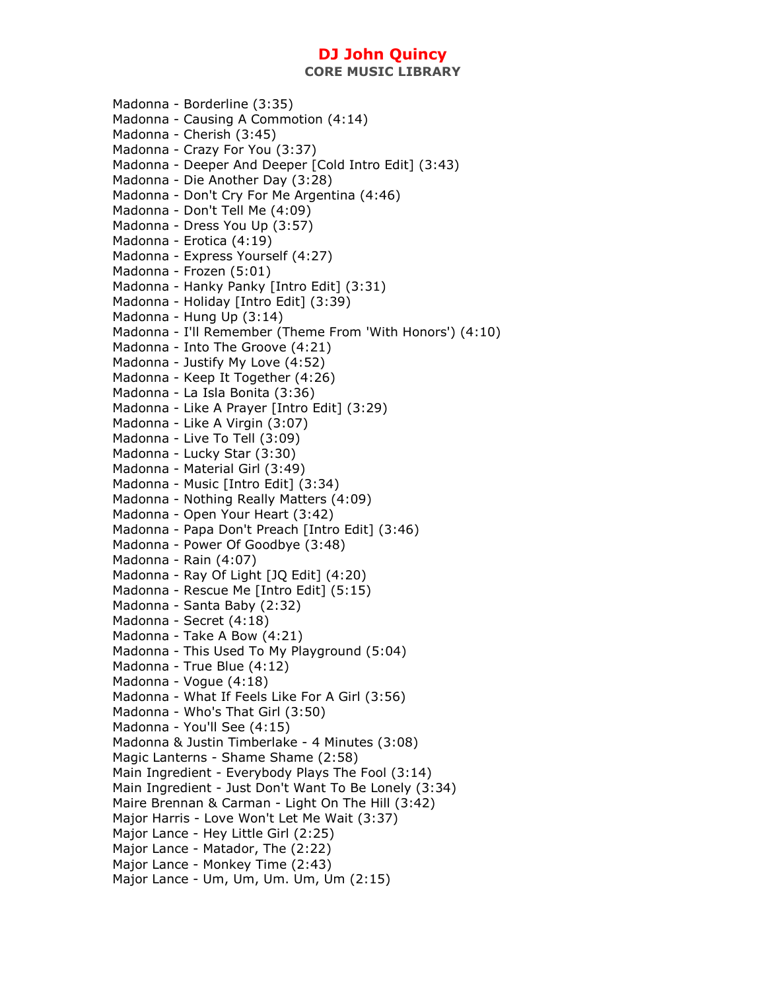Madonna - Borderline (3:35) Madonna - Causing A Commotion (4:14) Madonna - Cherish (3:45) Madonna - Crazy For You (3:37) Madonna - Deeper And Deeper [Cold Intro Edit] (3:43) Madonna - Die Another Day (3:28) Madonna - Don't Cry For Me Argentina (4:46) Madonna - Don't Tell Me (4:09) Madonna - Dress You Up (3:57) Madonna - Erotica (4:19) Madonna - Express Yourself (4:27) Madonna - Frozen (5:01) Madonna - Hanky Panky [Intro Edit] (3:31) Madonna - Holiday [Intro Edit] (3:39) Madonna - Hung Up (3:14) Madonna - I'll Remember (Theme From 'With Honors') (4:10) Madonna - Into The Groove (4:21) Madonna - Justify My Love (4:52) Madonna - Keep It Together (4:26) Madonna - La Isla Bonita (3:36) Madonna - Like A Prayer [Intro Edit] (3:29) Madonna - Like A Virgin (3:07) Madonna - Live To Tell (3:09) Madonna - Lucky Star (3:30) Madonna - Material Girl (3:49) Madonna - Music [Intro Edit] (3:34) Madonna - Nothing Really Matters (4:09) Madonna - Open Your Heart (3:42) Madonna - Papa Don't Preach [Intro Edit] (3:46) Madonna - Power Of Goodbye (3:48) Madonna - Rain (4:07) Madonna - Ray Of Light [JQ Edit] (4:20) Madonna - Rescue Me [Intro Edit] (5:15) Madonna - Santa Baby (2:32) Madonna - Secret (4:18) Madonna - Take A Bow (4:21) Madonna - This Used To My Playground (5:04) Madonna - True Blue (4:12) Madonna - Vogue (4:18) Madonna - What If Feels Like For A Girl (3:56) Madonna - Who's That Girl (3:50) Madonna - You'll See (4:15) Madonna & Justin Timberlake - 4 Minutes (3:08) Magic Lanterns - Shame Shame (2:58) Main Ingredient - Everybody Plays The Fool (3:14) Main Ingredient - Just Don't Want To Be Lonely (3:34) Maire Brennan & Carman - Light On The Hill (3:42) Major Harris - Love Won't Let Me Wait (3:37) Major Lance - Hey Little Girl (2:25) Major Lance - Matador, The (2:22) Major Lance - Monkey Time (2:43) Major Lance - Um, Um, Um. Um, Um (2:15)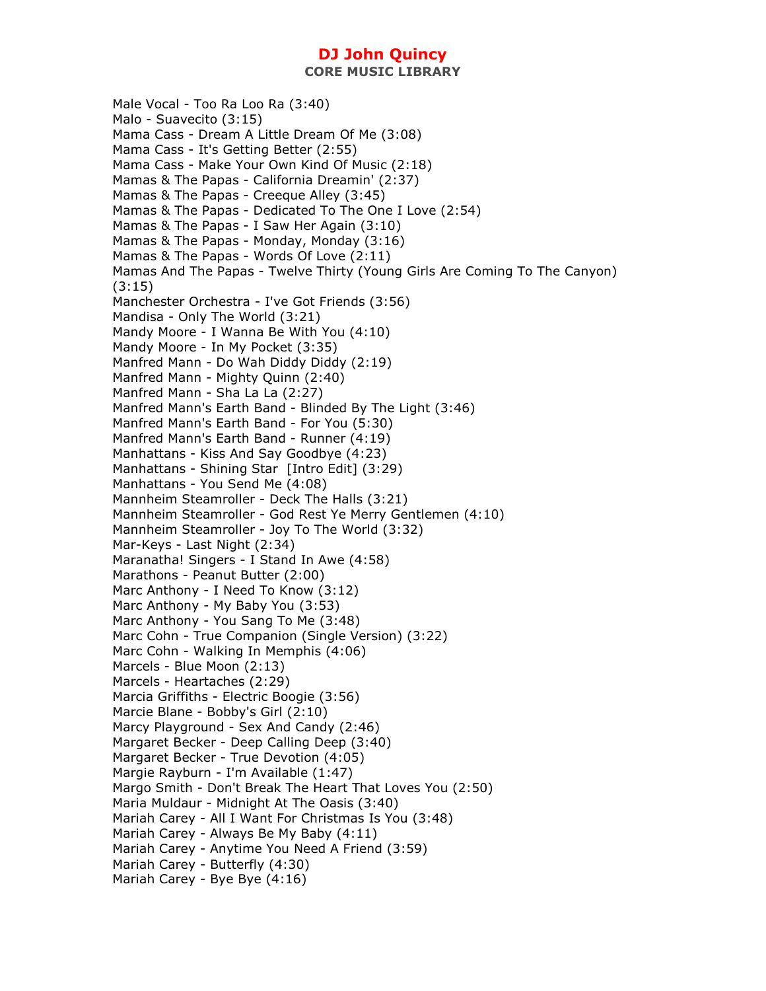**CORE MUSIC LIBRARY** 

Male Vocal - Too Ra Loo Ra (3:40) Malo - Suavecito (3:15) Mama Cass - Dream A Little Dream Of Me (3:08) Mama Cass - It's Getting Better (2:55) Mama Cass - Make Your Own Kind Of Music (2:18) Mamas & The Papas - California Dreamin' (2:37) Mamas & The Papas - Creeque Alley (3:45) Mamas & The Papas - Dedicated To The One I Love (2:54) Mamas & The Papas - I Saw Her Again (3:10) Mamas & The Papas - Monday, Monday (3:16) Mamas & The Papas - Words Of Love (2:11) Mamas And The Papas - Twelve Thirty (Young Girls Are Coming To The Canyon) (3:15) Manchester Orchestra - I've Got Friends (3:56) Mandisa - Only The World (3:21) Mandy Moore - I Wanna Be With You (4:10) Mandy Moore - In My Pocket (3:35) Manfred Mann - Do Wah Diddy Diddy (2:19) Manfred Mann - Mighty Quinn (2:40) Manfred Mann - Sha La La (2:27) Manfred Mann's Earth Band - Blinded By The Light (3:46) Manfred Mann's Earth Band - For You (5:30) Manfred Mann's Earth Band - Runner (4:19) Manhattans - Kiss And Say Goodbye (4:23) Manhattans - Shining Star [Intro Edit] (3:29) Manhattans - You Send Me (4:08) Mannheim Steamroller - Deck The Halls (3:21) Mannheim Steamroller - God Rest Ye Merry Gentlemen (4:10) Mannheim Steamroller - Joy To The World (3:32) Mar-Keys - Last Night (2:34) Maranatha! Singers - I Stand In Awe (4:58) Marathons - Peanut Butter (2:00) Marc Anthony - I Need To Know (3:12) Marc Anthony - My Baby You (3:53) Marc Anthony - You Sang To Me (3:48) Marc Cohn - True Companion (Single Version) (3:22) Marc Cohn - Walking In Memphis (4:06) Marcels - Blue Moon (2:13) Marcels - Heartaches (2:29) Marcia Griffiths - Electric Boogie (3:56) Marcie Blane - Bobby's Girl (2:10) Marcy Playground - Sex And Candy (2:46) Margaret Becker - Deep Calling Deep (3:40) Margaret Becker - True Devotion (4:05) Margie Rayburn - I'm Available (1:47) Margo Smith - Don't Break The Heart That Loves You (2:50) Maria Muldaur - Midnight At The Oasis (3:40) Mariah Carey - All I Want For Christmas Is You (3:48) Mariah Carey - Always Be My Baby (4:11) Mariah Carey - Anytime You Need A Friend (3:59) Mariah Carey - Butterfly (4:30) Mariah Carey - Bye Bye (4:16)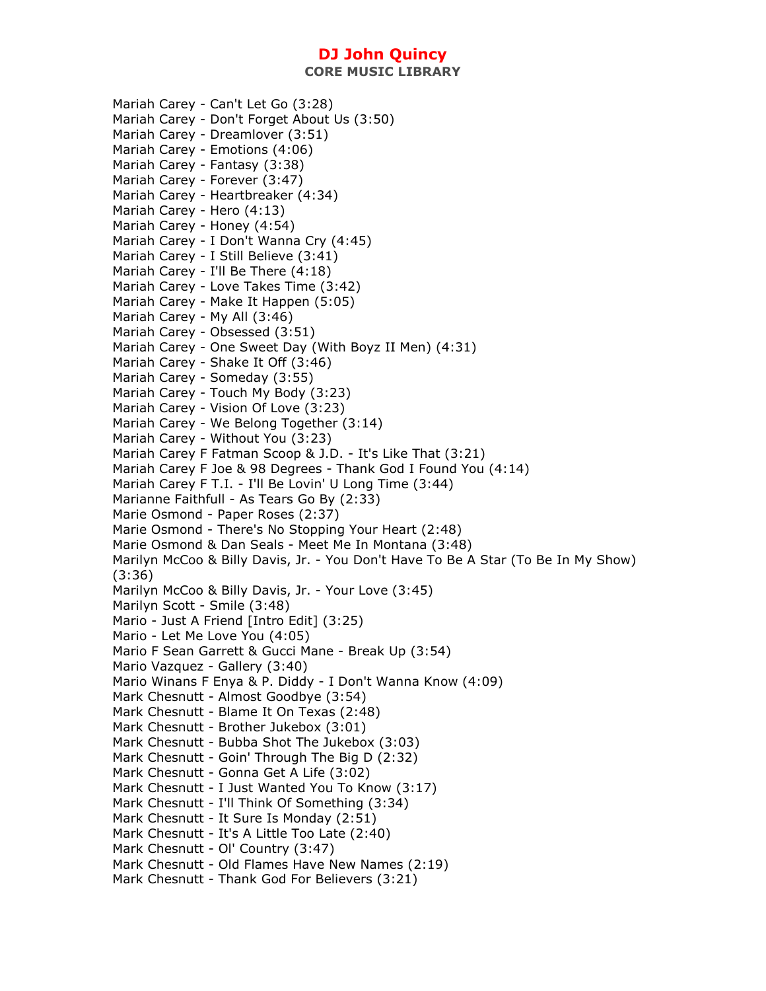**CORE MUSIC LIBRARY** 

Mariah Carey - Can't Let Go (3:28) Mariah Carey - Don't Forget About Us (3:50) Mariah Carey - Dreamlover (3:51) Mariah Carey - Emotions (4:06) Mariah Carey - Fantasy (3:38) Mariah Carey - Forever (3:47) Mariah Carey - Heartbreaker (4:34) Mariah Carey - Hero (4:13) Mariah Carey - Honey (4:54) Mariah Carey - I Don't Wanna Cry (4:45) Mariah Carey - I Still Believe (3:41) Mariah Carey - I'll Be There (4:18) Mariah Carey - Love Takes Time (3:42) Mariah Carey - Make It Happen (5:05) Mariah Carey - My All (3:46) Mariah Carey - Obsessed (3:51) Mariah Carey - One Sweet Day (With Boyz II Men) (4:31) Mariah Carey - Shake It Off (3:46) Mariah Carey - Someday (3:55) Mariah Carey - Touch My Body (3:23) Mariah Carey - Vision Of Love (3:23) Mariah Carey - We Belong Together (3:14) Mariah Carey - Without You (3:23) Mariah Carey F Fatman Scoop & J.D. - It's Like That (3:21) Mariah Carey F Joe & 98 Degrees - Thank God I Found You (4:14) Mariah Carey F T.I. - I'll Be Lovin' U Long Time (3:44) Marianne Faithfull - As Tears Go By (2:33) Marie Osmond - Paper Roses (2:37) Marie Osmond - There's No Stopping Your Heart (2:48) Marie Osmond & Dan Seals - Meet Me In Montana (3:48) Marilyn McCoo & Billy Davis, Jr. - You Don't Have To Be A Star (To Be In My Show) (3:36) Marilyn McCoo & Billy Davis, Jr. - Your Love (3:45) Marilyn Scott - Smile (3:48) Mario - Just A Friend [Intro Edit] (3:25) Mario - Let Me Love You (4:05) Mario F Sean Garrett & Gucci Mane - Break Up (3:54) Mario Vazquez - Gallery (3:40) Mario Winans F Enya & P. Diddy - I Don't Wanna Know (4:09) Mark Chesnutt - Almost Goodbye (3:54) Mark Chesnutt - Blame It On Texas (2:48) Mark Chesnutt - Brother Jukebox (3:01) Mark Chesnutt - Bubba Shot The Jukebox (3:03) Mark Chesnutt - Goin' Through The Big D (2:32) Mark Chesnutt - Gonna Get A Life (3:02) Mark Chesnutt - I Just Wanted You To Know (3:17) Mark Chesnutt - I'll Think Of Something (3:34) Mark Chesnutt - It Sure Is Monday (2:51) Mark Chesnutt - It's A Little Too Late (2:40) Mark Chesnutt - Ol' Country (3:47) Mark Chesnutt - Old Flames Have New Names (2:19) Mark Chesnutt - Thank God For Believers (3:21)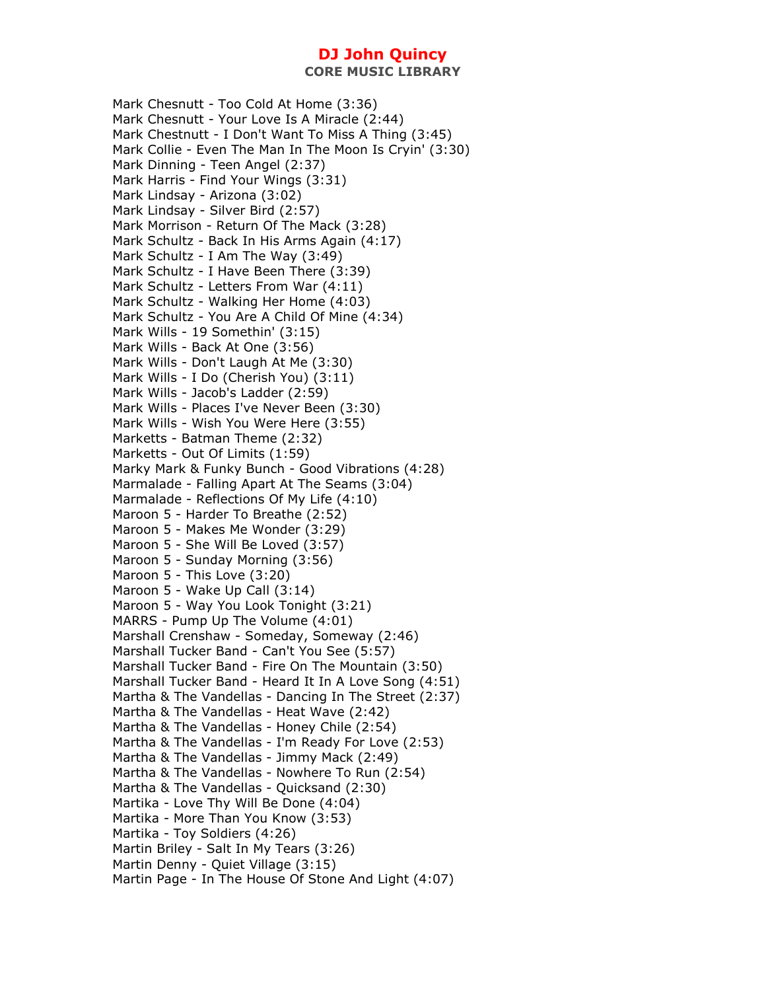Mark Chesnutt - Too Cold At Home (3:36) Mark Chesnutt - Your Love Is A Miracle (2:44) Mark Chestnutt - I Don't Want To Miss A Thing (3:45) Mark Collie - Even The Man In The Moon Is Cryin' (3:30) Mark Dinning - Teen Angel (2:37) Mark Harris - Find Your Wings (3:31) Mark Lindsay - Arizona (3:02) Mark Lindsay - Silver Bird (2:57) Mark Morrison - Return Of The Mack (3:28) Mark Schultz - Back In His Arms Again (4:17) Mark Schultz - I Am The Way (3:49) Mark Schultz - I Have Been There (3:39) Mark Schultz - Letters From War (4:11) Mark Schultz - Walking Her Home (4:03) Mark Schultz - You Are A Child Of Mine (4:34) Mark Wills - 19 Somethin' (3:15) Mark Wills - Back At One (3:56) Mark Wills - Don't Laugh At Me (3:30) Mark Wills - I Do (Cherish You) (3:11) Mark Wills - Jacob's Ladder (2:59) Mark Wills - Places I've Never Been (3:30) Mark Wills - Wish You Were Here (3:55) Marketts - Batman Theme (2:32) Marketts - Out Of Limits (1:59) Marky Mark & Funky Bunch - Good Vibrations (4:28) Marmalade - Falling Apart At The Seams (3:04) Marmalade - Reflections Of My Life (4:10) Maroon 5 - Harder To Breathe (2:52) Maroon 5 - Makes Me Wonder (3:29) Maroon 5 - She Will Be Loved (3:57) Maroon 5 - Sunday Morning (3:56) Maroon 5 - This Love (3:20) Maroon 5 - Wake Up Call (3:14) Maroon 5 - Way You Look Tonight (3:21) MARRS - Pump Up The Volume (4:01) Marshall Crenshaw - Someday, Someway (2:46) Marshall Tucker Band - Can't You See (5:57) Marshall Tucker Band - Fire On The Mountain (3:50) Marshall Tucker Band - Heard It In A Love Song (4:51) Martha & The Vandellas - Dancing In The Street (2:37) Martha & The Vandellas - Heat Wave (2:42) Martha & The Vandellas - Honey Chile (2:54) Martha & The Vandellas - I'm Ready For Love (2:53) Martha & The Vandellas - Jimmy Mack (2:49) Martha & The Vandellas - Nowhere To Run (2:54) Martha & The Vandellas - Quicksand (2:30) Martika - Love Thy Will Be Done (4:04) Martika - More Than You Know (3:53) Martika - Toy Soldiers (4:26) Martin Briley - Salt In My Tears (3:26) Martin Denny - Quiet Village (3:15) Martin Page - In The House Of Stone And Light (4:07)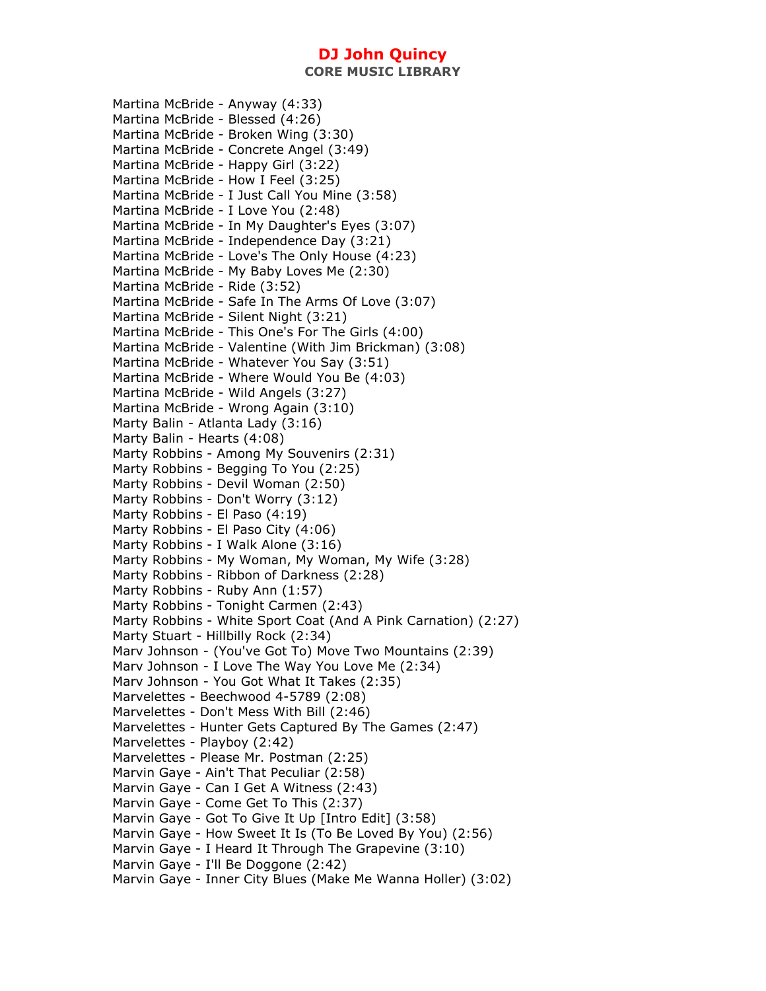**CORE MUSIC LIBRARY** 

Martina McBride - Anyway (4:33) Martina McBride - Blessed (4:26) Martina McBride - Broken Wing (3:30) Martina McBride - Concrete Angel (3:49) Martina McBride - Happy Girl (3:22) Martina McBride - How I Feel (3:25) Martina McBride - I Just Call You Mine (3:58) Martina McBride - I Love You (2:48) Martina McBride - In My Daughter's Eyes (3:07) Martina McBride - Independence Day (3:21) Martina McBride - Love's The Only House (4:23) Martina McBride - My Baby Loves Me (2:30) Martina McBride - Ride (3:52) Martina McBride - Safe In The Arms Of Love (3:07) Martina McBride - Silent Night (3:21) Martina McBride - This One's For The Girls (4:00) Martina McBride - Valentine (With Jim Brickman) (3:08) Martina McBride - Whatever You Say (3:51) Martina McBride - Where Would You Be (4:03) Martina McBride - Wild Angels (3:27) Martina McBride - Wrong Again (3:10) Marty Balin - Atlanta Lady (3:16) Marty Balin - Hearts (4:08) Marty Robbins - Among My Souvenirs (2:31) Marty Robbins - Begging To You (2:25) Marty Robbins - Devil Woman (2:50) Marty Robbins - Don't Worry (3:12) Marty Robbins - El Paso (4:19) Marty Robbins - El Paso City (4:06) Marty Robbins - I Walk Alone (3:16) Marty Robbins - My Woman, My Woman, My Wife (3:28) Marty Robbins - Ribbon of Darkness (2:28) Marty Robbins - Ruby Ann (1:57) Marty Robbins - Tonight Carmen (2:43) Marty Robbins - White Sport Coat (And A Pink Carnation) (2:27) Marty Stuart - Hillbilly Rock (2:34) Marv Johnson - (You've Got To) Move Two Mountains (2:39) Marv Johnson - I Love The Way You Love Me (2:34) Marv Johnson - You Got What It Takes (2:35) Marvelettes - Beechwood 4-5789 (2:08) Marvelettes - Don't Mess With Bill (2:46) Marvelettes - Hunter Gets Captured By The Games (2:47) Marvelettes - Playboy (2:42) Marvelettes - Please Mr. Postman (2:25) Marvin Gaye - Ain't That Peculiar (2:58) Marvin Gaye - Can I Get A Witness (2:43) Marvin Gaye - Come Get To This (2:37) Marvin Gaye - Got To Give It Up [Intro Edit] (3:58) Marvin Gaye - How Sweet It Is (To Be Loved By You) (2:56) Marvin Gaye - I Heard It Through The Grapevine (3:10) Marvin Gaye - I'll Be Doggone (2:42) Marvin Gaye - Inner City Blues (Make Me Wanna Holler) (3:02)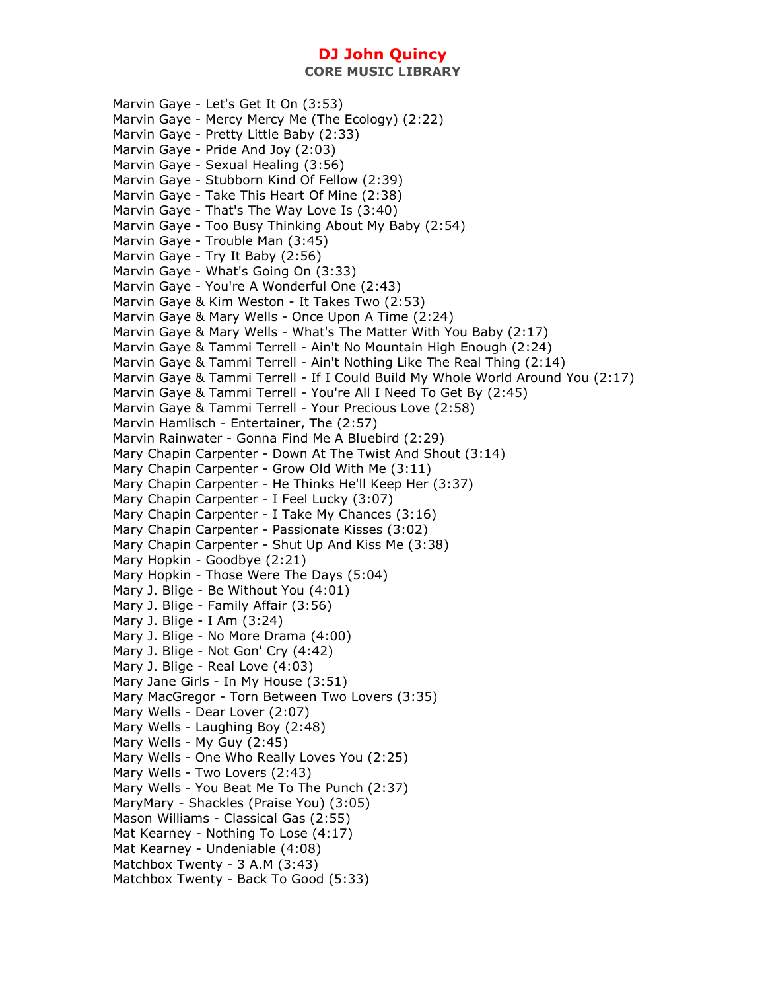**CORE MUSIC LIBRARY** 

Marvin Gaye - Let's Get It On (3:53) Marvin Gaye - Mercy Mercy Me (The Ecology) (2:22) Marvin Gaye - Pretty Little Baby (2:33) Marvin Gaye - Pride And Joy (2:03) Marvin Gaye - Sexual Healing (3:56) Marvin Gaye - Stubborn Kind Of Fellow (2:39) Marvin Gaye - Take This Heart Of Mine (2:38) Marvin Gaye - That's The Way Love Is (3:40) Marvin Gaye - Too Busy Thinking About My Baby (2:54) Marvin Gaye - Trouble Man (3:45) Marvin Gaye - Try It Baby (2:56) Marvin Gaye - What's Going On (3:33) Marvin Gaye - You're A Wonderful One (2:43) Marvin Gaye & Kim Weston - It Takes Two (2:53) Marvin Gaye & Mary Wells - Once Upon A Time (2:24) Marvin Gaye & Mary Wells - What's The Matter With You Baby (2:17) Marvin Gaye & Tammi Terrell - Ain't No Mountain High Enough (2:24) Marvin Gaye & Tammi Terrell - Ain't Nothing Like The Real Thing (2:14) Marvin Gaye & Tammi Terrell - If I Could Build My Whole World Around You (2:17) Marvin Gaye & Tammi Terrell - You're All I Need To Get By (2:45) Marvin Gaye & Tammi Terrell - Your Precious Love (2:58) Marvin Hamlisch - Entertainer, The (2:57) Marvin Rainwater - Gonna Find Me A Bluebird (2:29) Mary Chapin Carpenter - Down At The Twist And Shout (3:14) Mary Chapin Carpenter - Grow Old With Me (3:11) Mary Chapin Carpenter - He Thinks He'll Keep Her (3:37) Mary Chapin Carpenter - I Feel Lucky (3:07) Mary Chapin Carpenter - I Take My Chances (3:16) Mary Chapin Carpenter - Passionate Kisses (3:02) Mary Chapin Carpenter - Shut Up And Kiss Me (3:38) Mary Hopkin - Goodbye (2:21) Mary Hopkin - Those Were The Days (5:04) Mary J. Blige - Be Without You (4:01) Mary J. Blige - Family Affair (3:56) Mary J. Blige - I Am (3:24) Mary J. Blige - No More Drama (4:00) Mary J. Blige - Not Gon' Cry (4:42) Mary J. Blige - Real Love (4:03) Mary Jane Girls - In My House (3:51) Mary MacGregor - Torn Between Two Lovers (3:35) Mary Wells - Dear Lover (2:07) Mary Wells - Laughing Boy (2:48) Mary Wells - My Guy (2:45) Mary Wells - One Who Really Loves You (2:25) Mary Wells - Two Lovers (2:43) Mary Wells - You Beat Me To The Punch (2:37) MaryMary - Shackles (Praise You) (3:05) Mason Williams - Classical Gas (2:55) Mat Kearney - Nothing To Lose (4:17) Mat Kearney - Undeniable (4:08) Matchbox Twenty - 3 A.M (3:43) Matchbox Twenty - Back To Good (5:33)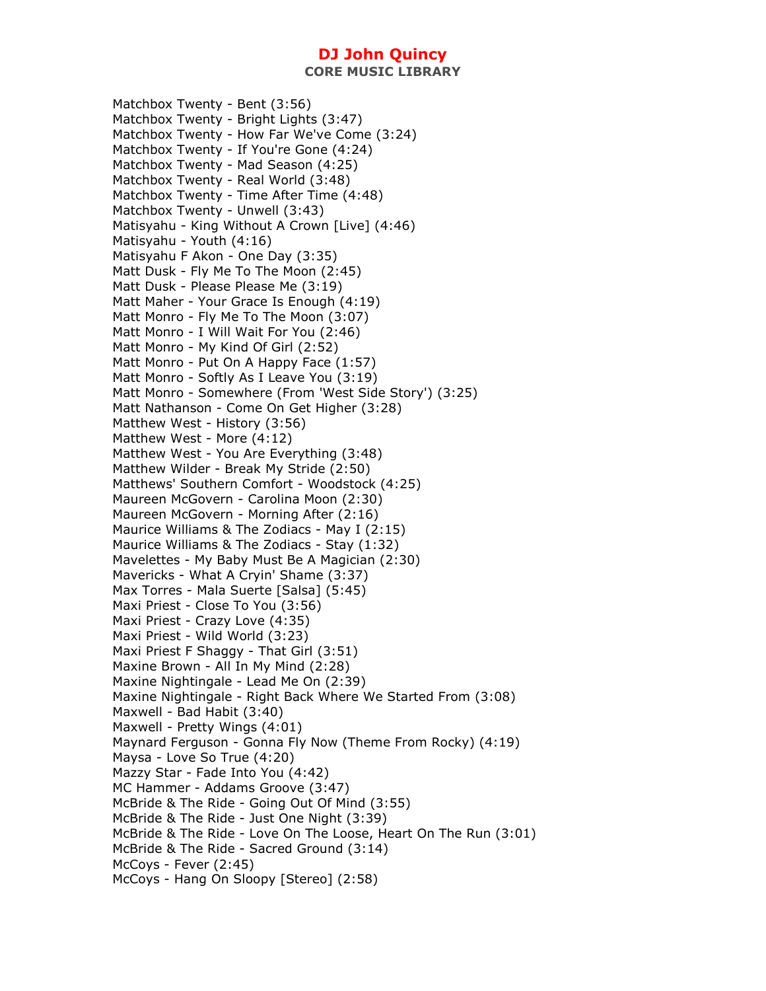**CORE MUSIC LIBRARY** 

Matchbox Twenty - Bent (3:56) Matchbox Twenty - Bright Lights (3:47) Matchbox Twenty - How Far We've Come (3:24) Matchbox Twenty - If You're Gone (4:24) Matchbox Twenty - Mad Season (4:25) Matchbox Twenty - Real World (3:48) Matchbox Twenty - Time After Time (4:48) Matchbox Twenty - Unwell (3:43) Matisyahu - King Without A Crown [Live] (4:46) Matisyahu - Youth (4:16) Matisyahu F Akon - One Day (3:35) Matt Dusk - Fly Me To The Moon (2:45) Matt Dusk - Please Please Me (3:19) Matt Maher - Your Grace Is Enough (4:19) Matt Monro - Fly Me To The Moon (3:07) Matt Monro - I Will Wait For You (2:46) Matt Monro - My Kind Of Girl (2:52) Matt Monro - Put On A Happy Face (1:57) Matt Monro - Softly As I Leave You (3:19) Matt Monro - Somewhere (From 'West Side Story') (3:25) Matt Nathanson - Come On Get Higher (3:28) Matthew West - History (3:56) Matthew West - More (4:12) Matthew West - You Are Everything (3:48) Matthew Wilder - Break My Stride (2:50) Matthews' Southern Comfort - Woodstock (4:25) Maureen McGovern - Carolina Moon (2:30) Maureen McGovern - Morning After (2:16) Maurice Williams & The Zodiacs - May I (2:15) Maurice Williams & The Zodiacs - Stay (1:32) Mavelettes - My Baby Must Be A Magician (2:30) Mavericks - What A Cryin' Shame (3:37) Max Torres - Mala Suerte [Salsa] (5:45) Maxi Priest - Close To You (3:56) Maxi Priest - Crazy Love (4:35) Maxi Priest - Wild World (3:23) Maxi Priest F Shaggy - That Girl (3:51) Maxine Brown - All In My Mind (2:28) Maxine Nightingale - Lead Me On (2:39) Maxine Nightingale - Right Back Where We Started From (3:08) Maxwell - Bad Habit (3:40) Maxwell - Pretty Wings (4:01) Maynard Ferguson - Gonna Fly Now (Theme From Rocky) (4:19) Maysa - Love So True (4:20) Mazzy Star - Fade Into You (4:42) MC Hammer - Addams Groove (3:47) McBride & The Ride - Going Out Of Mind (3:55) McBride & The Ride - Just One Night (3:39) McBride & The Ride - Love On The Loose, Heart On The Run (3:01) McBride & The Ride - Sacred Ground (3:14) McCoys - Fever (2:45) McCoys - Hang On Sloopy [Stereo] (2:58)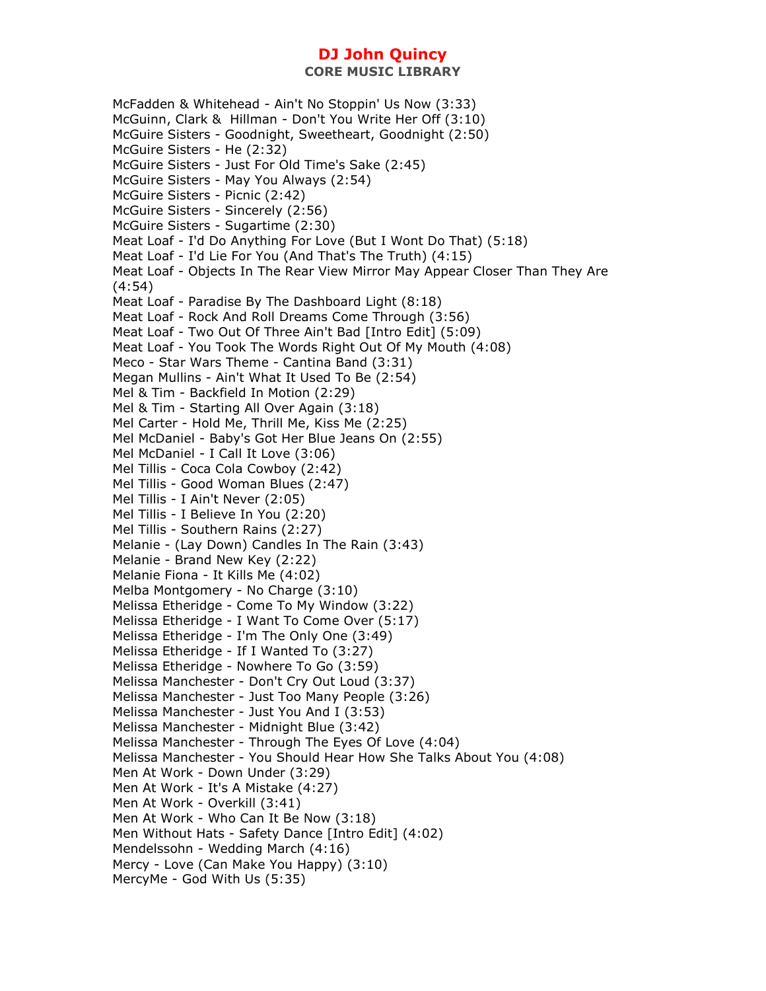McFadden & Whitehead - Ain't No Stoppin' Us Now (3:33) McGuinn, Clark & Hillman - Don't You Write Her Off (3:10) McGuire Sisters - Goodnight, Sweetheart, Goodnight (2:50) McGuire Sisters - He (2:32) McGuire Sisters - Just For Old Time's Sake (2:45) McGuire Sisters - May You Always (2:54) McGuire Sisters - Picnic (2:42) McGuire Sisters - Sincerely (2:56) McGuire Sisters - Sugartime (2:30) Meat Loaf - I'd Do Anything For Love (But I Wont Do That) (5:18) Meat Loaf - I'd Lie For You (And That's The Truth) (4:15) Meat Loaf - Objects In The Rear View Mirror May Appear Closer Than They Are (4:54) Meat Loaf - Paradise By The Dashboard Light (8:18) Meat Loaf - Rock And Roll Dreams Come Through (3:56) Meat Loaf - Two Out Of Three Ain't Bad [Intro Edit] (5:09) Meat Loaf - You Took The Words Right Out Of My Mouth (4:08) Meco - Star Wars Theme - Cantina Band (3:31) Megan Mullins - Ain't What It Used To Be (2:54) Mel & Tim - Backfield In Motion (2:29) Mel & Tim - Starting All Over Again (3:18) Mel Carter - Hold Me, Thrill Me, Kiss Me (2:25) Mel McDaniel - Baby's Got Her Blue Jeans On (2:55) Mel McDaniel - I Call It Love (3:06) Mel Tillis - Coca Cola Cowboy (2:42) Mel Tillis - Good Woman Blues (2:47) Mel Tillis - I Ain't Never (2:05) Mel Tillis - I Believe In You (2:20) Mel Tillis - Southern Rains (2:27) Melanie - (Lay Down) Candles In The Rain (3:43) Melanie - Brand New Key (2:22) Melanie Fiona - It Kills Me (4:02) Melba Montgomery - No Charge (3:10) Melissa Etheridge - Come To My Window (3:22) Melissa Etheridge - I Want To Come Over (5:17) Melissa Etheridge - I'm The Only One (3:49) Melissa Etheridge - If I Wanted To (3:27) Melissa Etheridge - Nowhere To Go (3:59) Melissa Manchester - Don't Cry Out Loud (3:37) Melissa Manchester - Just Too Many People (3:26) Melissa Manchester - Just You And I (3:53) Melissa Manchester - Midnight Blue (3:42) Melissa Manchester - Through The Eyes Of Love (4:04) Melissa Manchester - You Should Hear How She Talks About You (4:08) Men At Work - Down Under (3:29) Men At Work - It's A Mistake (4:27) Men At Work - Overkill (3:41) Men At Work - Who Can It Be Now (3:18) Men Without Hats - Safety Dance [Intro Edit] (4:02) Mendelssohn - Wedding March (4:16) Mercy - Love (Can Make You Happy) (3:10) MercyMe - God With Us (5:35)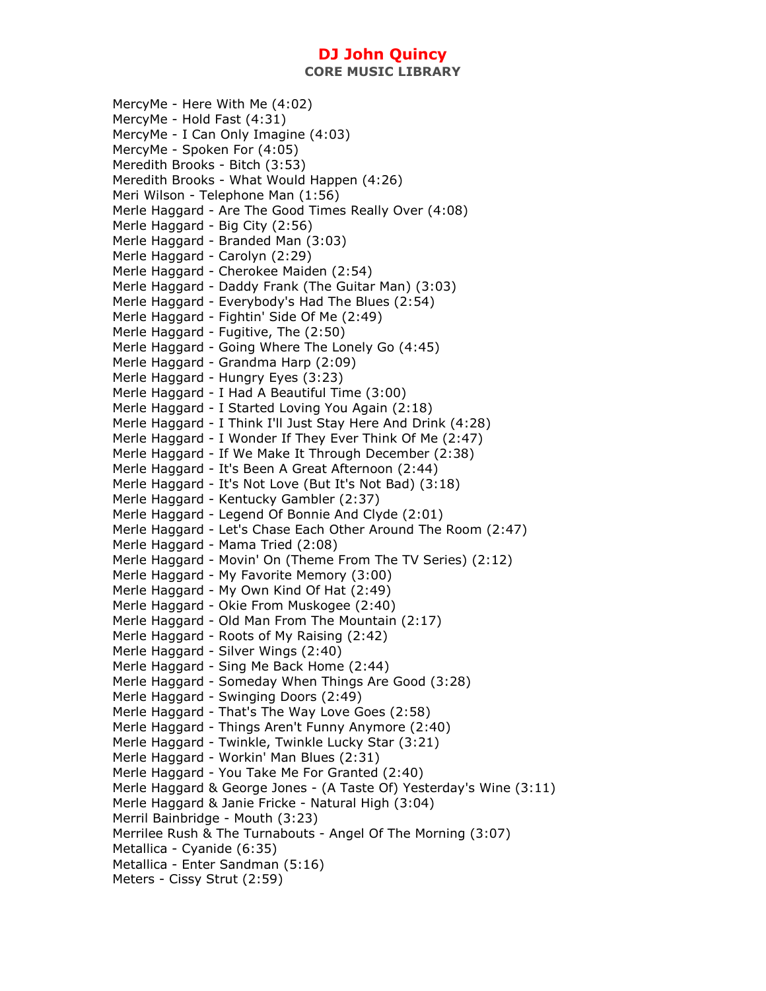**CORE MUSIC LIBRARY** 

MercyMe - Here With Me (4:02) MercyMe - Hold Fast (4:31) MercyMe - I Can Only Imagine (4:03) MercyMe - Spoken For (4:05) Meredith Brooks - Bitch (3:53) Meredith Brooks - What Would Happen (4:26) Meri Wilson - Telephone Man (1:56) Merle Haggard - Are The Good Times Really Over (4:08) Merle Haggard - Big City (2:56) Merle Haggard - Branded Man (3:03) Merle Haggard - Carolyn (2:29) Merle Haggard - Cherokee Maiden (2:54) Merle Haggard - Daddy Frank (The Guitar Man) (3:03) Merle Haggard - Everybody's Had The Blues (2:54) Merle Haggard - Fightin' Side Of Me (2:49) Merle Haggard - Fugitive, The (2:50) Merle Haggard - Going Where The Lonely Go (4:45) Merle Haggard - Grandma Harp (2:09) Merle Haggard - Hungry Eyes (3:23) Merle Haggard - I Had A Beautiful Time (3:00) Merle Haggard - I Started Loving You Again (2:18) Merle Haggard - I Think I'll Just Stay Here And Drink (4:28) Merle Haggard - I Wonder If They Ever Think Of Me (2:47) Merle Haggard - If We Make It Through December (2:38) Merle Haggard - It's Been A Great Afternoon (2:44) Merle Haggard - It's Not Love (But It's Not Bad) (3:18) Merle Haggard - Kentucky Gambler (2:37) Merle Haggard - Legend Of Bonnie And Clyde (2:01) Merle Haggard - Let's Chase Each Other Around The Room (2:47) Merle Haggard - Mama Tried (2:08) Merle Haggard - Movin' On (Theme From The TV Series) (2:12) Merle Haggard - My Favorite Memory (3:00) Merle Haggard - My Own Kind Of Hat (2:49) Merle Haggard - Okie From Muskogee (2:40) Merle Haggard - Old Man From The Mountain (2:17) Merle Haggard - Roots of My Raising (2:42) Merle Haggard - Silver Wings (2:40) Merle Haggard - Sing Me Back Home (2:44) Merle Haggard - Someday When Things Are Good (3:28) Merle Haggard - Swinging Doors (2:49) Merle Haggard - That's The Way Love Goes (2:58) Merle Haggard - Things Aren't Funny Anymore (2:40) Merle Haggard - Twinkle, Twinkle Lucky Star (3:21) Merle Haggard - Workin' Man Blues (2:31) Merle Haggard - You Take Me For Granted (2:40) Merle Haggard & George Jones - (A Taste Of) Yesterday's Wine (3:11) Merle Haggard & Janie Fricke - Natural High (3:04) Merril Bainbridge - Mouth (3:23) Merrilee Rush & The Turnabouts - Angel Of The Morning (3:07) Metallica - Cyanide (6:35) Metallica - Enter Sandman (5:16) Meters - Cissy Strut (2:59)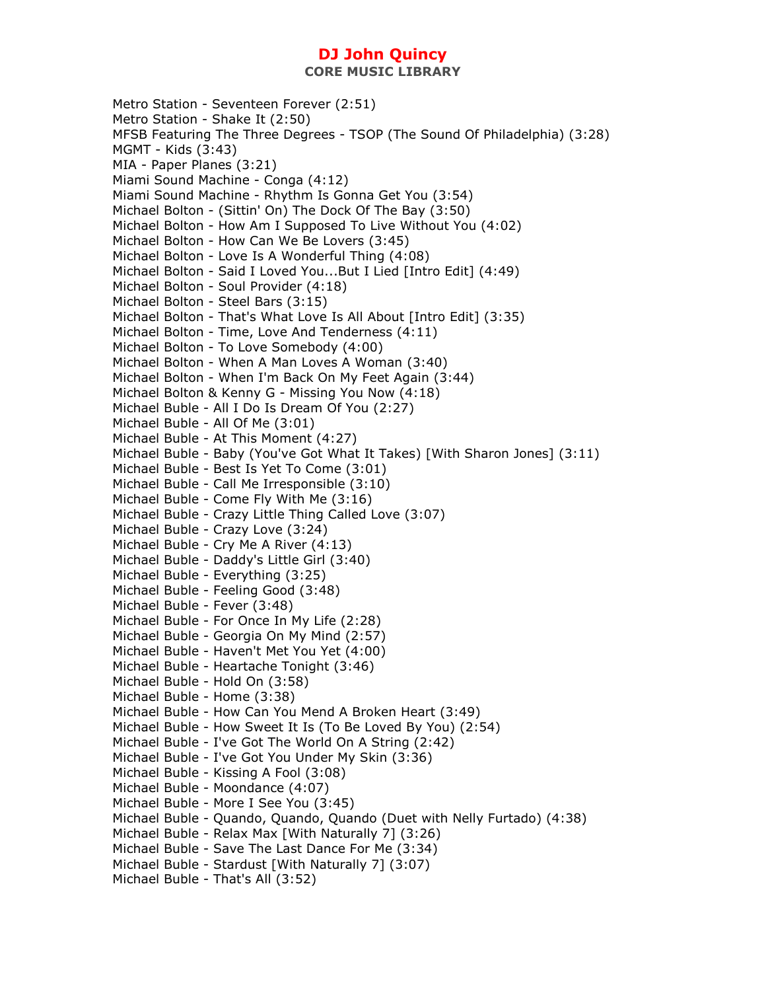Metro Station - Seventeen Forever (2:51) Metro Station - Shake It (2:50) MFSB Featuring The Three Degrees - TSOP (The Sound Of Philadelphia) (3:28) MGMT - Kids (3:43) MIA - Paper Planes (3:21) Miami Sound Machine - Conga (4:12) Miami Sound Machine - Rhythm Is Gonna Get You (3:54) Michael Bolton - (Sittin' On) The Dock Of The Bay (3:50) Michael Bolton - How Am I Supposed To Live Without You (4:02) Michael Bolton - How Can We Be Lovers (3:45) Michael Bolton - Love Is A Wonderful Thing (4:08) Michael Bolton - Said I Loved You...But I Lied [Intro Edit] (4:49) Michael Bolton - Soul Provider (4:18) Michael Bolton - Steel Bars (3:15) Michael Bolton - That's What Love Is All About [Intro Edit] (3:35) Michael Bolton - Time, Love And Tenderness (4:11) Michael Bolton - To Love Somebody (4:00) Michael Bolton - When A Man Loves A Woman (3:40) Michael Bolton - When I'm Back On My Feet Again (3:44) Michael Bolton & Kenny G - Missing You Now (4:18) Michael Buble - All I Do Is Dream Of You (2:27) Michael Buble - All Of Me (3:01) Michael Buble - At This Moment (4:27) Michael Buble - Baby (You've Got What It Takes) [With Sharon Jones] (3:11) Michael Buble - Best Is Yet To Come (3:01) Michael Buble - Call Me Irresponsible (3:10) Michael Buble - Come Fly With Me (3:16) Michael Buble - Crazy Little Thing Called Love (3:07) Michael Buble - Crazy Love (3:24) Michael Buble - Cry Me A River (4:13) Michael Buble - Daddy's Little Girl (3:40) Michael Buble - Everything (3:25) Michael Buble - Feeling Good (3:48) Michael Buble - Fever (3:48) Michael Buble - For Once In My Life (2:28) Michael Buble - Georgia On My Mind (2:57) Michael Buble - Haven't Met You Yet (4:00) Michael Buble - Heartache Tonight (3:46) Michael Buble - Hold On (3:58) Michael Buble - Home (3:38) Michael Buble - How Can You Mend A Broken Heart (3:49) Michael Buble - How Sweet It Is (To Be Loved By You) (2:54) Michael Buble - I've Got The World On A String (2:42) Michael Buble - I've Got You Under My Skin (3:36) Michael Buble - Kissing A Fool (3:08) Michael Buble - Moondance (4:07) Michael Buble - More I See You (3:45) Michael Buble - Quando, Quando, Quando (Duet with Nelly Furtado) (4:38) Michael Buble - Relax Max [With Naturally 7] (3:26) Michael Buble - Save The Last Dance For Me (3:34) Michael Buble - Stardust [With Naturally 7] (3:07) Michael Buble - That's All (3:52)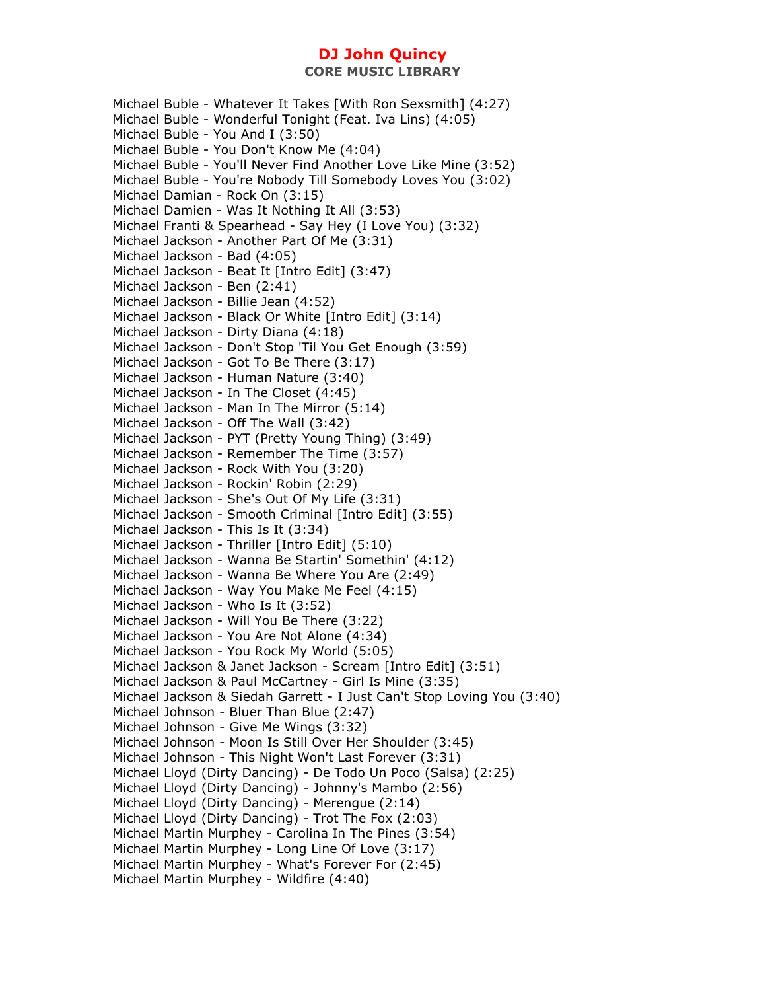**CORE MUSIC LIBRARY** 

Michael Buble - Whatever It Takes [With Ron Sexsmith] (4:27) Michael Buble - Wonderful Tonight (Feat. Iva Lins) (4:05) Michael Buble - You And I (3:50) Michael Buble - You Don't Know Me (4:04) Michael Buble - You'll Never Find Another Love Like Mine (3:52) Michael Buble - You're Nobody Till Somebody Loves You (3:02) Michael Damian - Rock On (3:15) Michael Damien - Was It Nothing It All (3:53) Michael Franti & Spearhead - Say Hey (I Love You) (3:32) Michael Jackson - Another Part Of Me (3:31) Michael Jackson - Bad (4:05) Michael Jackson - Beat It [Intro Edit] (3:47) Michael Jackson - Ben (2:41) Michael Jackson - Billie Jean (4:52) Michael Jackson - Black Or White [Intro Edit] (3:14) Michael Jackson - Dirty Diana (4:18) Michael Jackson - Don't Stop 'Til You Get Enough (3:59) Michael Jackson - Got To Be There (3:17) Michael Jackson - Human Nature (3:40) Michael Jackson - In The Closet (4:45) Michael Jackson - Man In The Mirror (5:14) Michael Jackson - Off The Wall (3:42) Michael Jackson - PYT (Pretty Young Thing) (3:49) Michael Jackson - Remember The Time (3:57) Michael Jackson - Rock With You (3:20) Michael Jackson - Rockin' Robin (2:29) Michael Jackson - She's Out Of My Life (3:31) Michael Jackson - Smooth Criminal [Intro Edit] (3:55) Michael Jackson - This Is It (3:34) Michael Jackson - Thriller [Intro Edit] (5:10) Michael Jackson - Wanna Be Startin' Somethin' (4:12) Michael Jackson - Wanna Be Where You Are (2:49) Michael Jackson - Way You Make Me Feel (4:15) Michael Jackson - Who Is It (3:52) Michael Jackson - Will You Be There (3:22) Michael Jackson - You Are Not Alone (4:34) Michael Jackson - You Rock My World (5:05) Michael Jackson & Janet Jackson - Scream [Intro Edit] (3:51) Michael Jackson & Paul McCartney - Girl Is Mine (3:35) Michael Jackson & Siedah Garrett - I Just Can't Stop Loving You (3:40) Michael Johnson - Bluer Than Blue (2:47) Michael Johnson - Give Me Wings (3:32) Michael Johnson - Moon Is Still Over Her Shoulder (3:45) Michael Johnson - This Night Won't Last Forever (3:31) Michael Lloyd (Dirty Dancing) - De Todo Un Poco (Salsa) (2:25) Michael Lloyd (Dirty Dancing) - Johnny's Mambo (2:56) Michael Lloyd (Dirty Dancing) - Merengue (2:14) Michael Lloyd (Dirty Dancing) - Trot The Fox (2:03) Michael Martin Murphey - Carolina In The Pines (3:54) Michael Martin Murphey - Long Line Of Love (3:17) Michael Martin Murphey - What's Forever For (2:45) Michael Martin Murphey - Wildfire (4:40)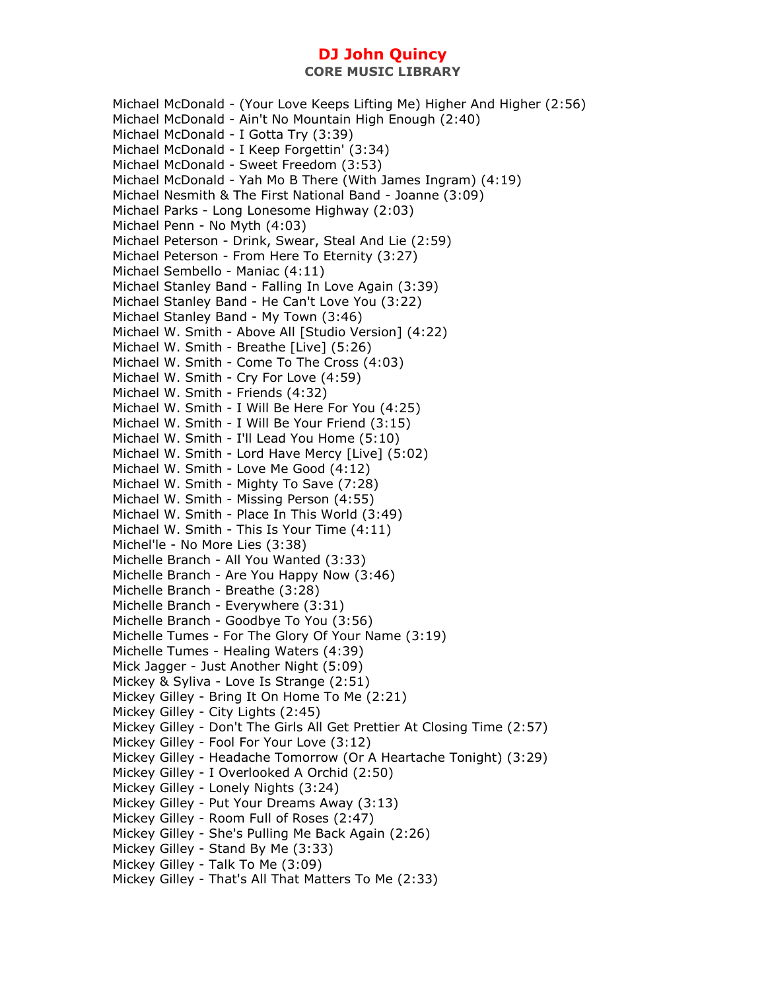Michael McDonald - (Your Love Keeps Lifting Me) Higher And Higher (2:56) Michael McDonald - Ain't No Mountain High Enough (2:40) Michael McDonald - I Gotta Try (3:39) Michael McDonald - I Keep Forgettin' (3:34) Michael McDonald - Sweet Freedom (3:53) Michael McDonald - Yah Mo B There (With James Ingram) (4:19) Michael Nesmith & The First National Band - Joanne (3:09) Michael Parks - Long Lonesome Highway (2:03) Michael Penn - No Myth (4:03) Michael Peterson - Drink, Swear, Steal And Lie (2:59) Michael Peterson - From Here To Eternity (3:27) Michael Sembello - Maniac (4:11) Michael Stanley Band - Falling In Love Again (3:39) Michael Stanley Band - He Can't Love You (3:22) Michael Stanley Band - My Town (3:46) Michael W. Smith - Above All [Studio Version] (4:22) Michael W. Smith - Breathe [Live] (5:26) Michael W. Smith - Come To The Cross (4:03) Michael W. Smith - Cry For Love (4:59) Michael W. Smith - Friends (4:32) Michael W. Smith - I Will Be Here For You (4:25) Michael W. Smith - I Will Be Your Friend (3:15) Michael W. Smith - I'll Lead You Home (5:10) Michael W. Smith - Lord Have Mercy [Live] (5:02) Michael W. Smith - Love Me Good (4:12) Michael W. Smith - Mighty To Save (7:28) Michael W. Smith - Missing Person (4:55) Michael W. Smith - Place In This World (3:49) Michael W. Smith - This Is Your Time (4:11) Michel'le - No More Lies (3:38) Michelle Branch - All You Wanted (3:33) Michelle Branch - Are You Happy Now (3:46) Michelle Branch - Breathe (3:28) Michelle Branch - Everywhere (3:31) Michelle Branch - Goodbye To You (3:56) Michelle Tumes - For The Glory Of Your Name (3:19) Michelle Tumes - Healing Waters (4:39) Mick Jagger - Just Another Night (5:09) Mickey & Syliva - Love Is Strange (2:51) Mickey Gilley - Bring It On Home To Me (2:21) Mickey Gilley - City Lights (2:45) Mickey Gilley - Don't The Girls All Get Prettier At Closing Time (2:57) Mickey Gilley - Fool For Your Love (3:12) Mickey Gilley - Headache Tomorrow (Or A Heartache Tonight) (3:29) Mickey Gilley - I Overlooked A Orchid (2:50) Mickey Gilley - Lonely Nights (3:24) Mickey Gilley - Put Your Dreams Away (3:13) Mickey Gilley - Room Full of Roses (2:47) Mickey Gilley - She's Pulling Me Back Again (2:26) Mickey Gilley - Stand By Me (3:33) Mickey Gilley - Talk To Me (3:09) Mickey Gilley - That's All That Matters To Me (2:33)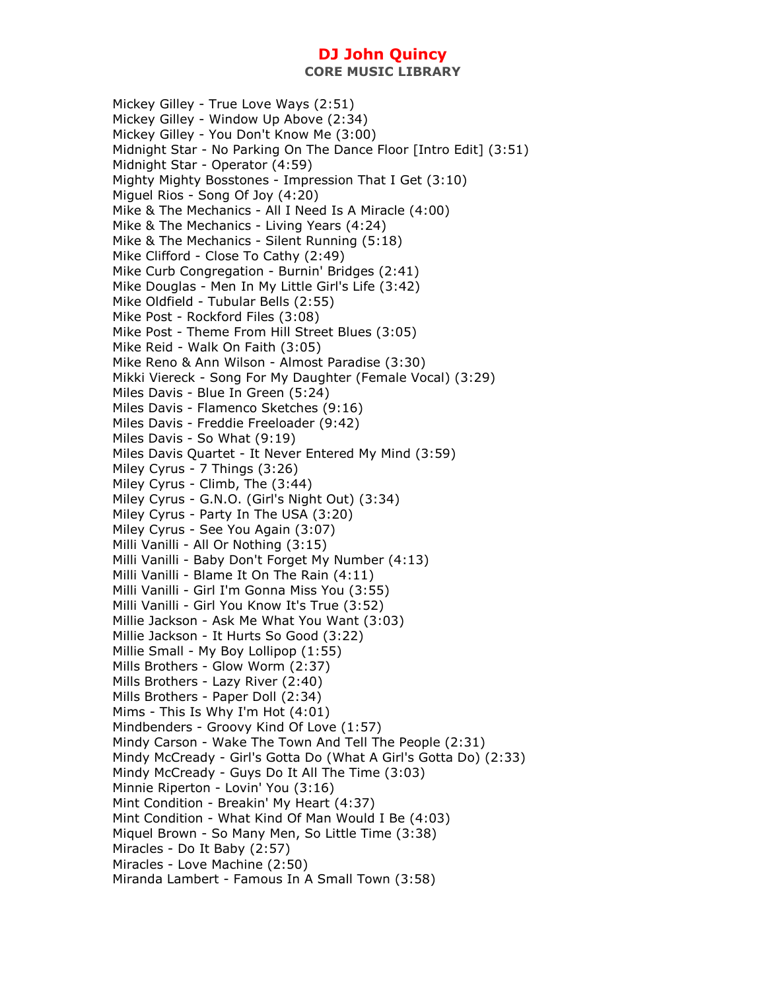**CORE MUSIC LIBRARY** 

Mickey Gilley - True Love Ways (2:51) Mickey Gilley - Window Up Above (2:34) Mickey Gilley - You Don't Know Me (3:00) Midnight Star - No Parking On The Dance Floor [Intro Edit] (3:51) Midnight Star - Operator (4:59) Mighty Mighty Bosstones - Impression That I Get (3:10) Miguel Rios - Song Of Joy (4:20) Mike & The Mechanics - All I Need Is A Miracle (4:00) Mike & The Mechanics - Living Years (4:24) Mike & The Mechanics - Silent Running (5:18) Mike Clifford - Close To Cathy (2:49) Mike Curb Congregation - Burnin' Bridges (2:41) Mike Douglas - Men In My Little Girl's Life (3:42) Mike Oldfield - Tubular Bells (2:55) Mike Post - Rockford Files (3:08) Mike Post - Theme From Hill Street Blues (3:05) Mike Reid - Walk On Faith (3:05) Mike Reno & Ann Wilson - Almost Paradise (3:30) Mikki Viereck - Song For My Daughter (Female Vocal) (3:29) Miles Davis - Blue In Green (5:24) Miles Davis - Flamenco Sketches (9:16) Miles Davis - Freddie Freeloader (9:42) Miles Davis - So What (9:19) Miles Davis Quartet - It Never Entered My Mind (3:59) Miley Cyrus - 7 Things (3:26) Miley Cyrus - Climb, The (3:44) Miley Cyrus - G.N.O. (Girl's Night Out) (3:34) Miley Cyrus - Party In The USA (3:20) Miley Cyrus - See You Again (3:07) Milli Vanilli - All Or Nothing (3:15) Milli Vanilli - Baby Don't Forget My Number (4:13) Milli Vanilli - Blame It On The Rain (4:11) Milli Vanilli - Girl I'm Gonna Miss You (3:55) Milli Vanilli - Girl You Know It's True (3:52) Millie Jackson - Ask Me What You Want (3:03) Millie Jackson - It Hurts So Good (3:22) Millie Small - My Boy Lollipop (1:55) Mills Brothers - Glow Worm (2:37) Mills Brothers - Lazy River (2:40) Mills Brothers - Paper Doll (2:34) Mims - This Is Why I'm Hot (4:01) Mindbenders - Groovy Kind Of Love (1:57) Mindy Carson - Wake The Town And Tell The People (2:31) Mindy McCready - Girl's Gotta Do (What A Girl's Gotta Do) (2:33) Mindy McCready - Guys Do It All The Time (3:03) Minnie Riperton - Lovin' You (3:16) Mint Condition - Breakin' My Heart (4:37) Mint Condition - What Kind Of Man Would I Be (4:03) Miquel Brown - So Many Men, So Little Time (3:38) Miracles - Do It Baby (2:57) Miracles - Love Machine (2:50) Miranda Lambert - Famous In A Small Town (3:58)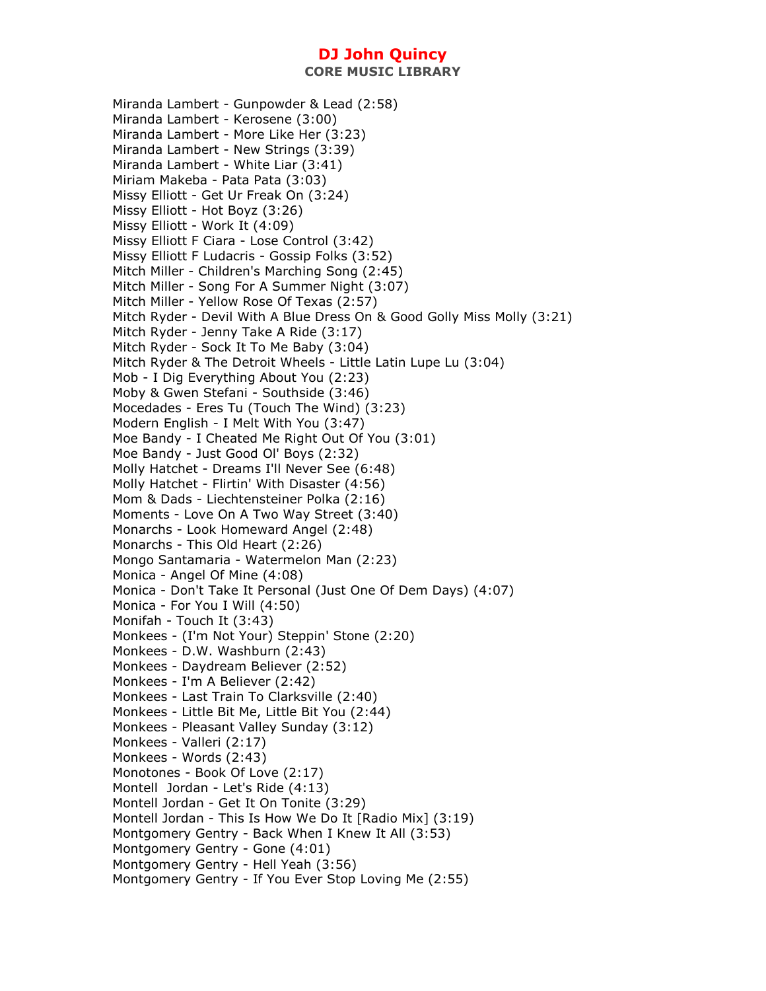Miranda Lambert - Gunpowder & Lead (2:58) Miranda Lambert - Kerosene (3:00) Miranda Lambert - More Like Her (3:23) Miranda Lambert - New Strings (3:39) Miranda Lambert - White Liar (3:41) Miriam Makeba - Pata Pata (3:03) Missy Elliott - Get Ur Freak On (3:24) Missy Elliott - Hot Boyz (3:26) Missy Elliott - Work It (4:09) Missy Elliott F Ciara - Lose Control (3:42) Missy Elliott F Ludacris - Gossip Folks (3:52) Mitch Miller - Children's Marching Song (2:45) Mitch Miller - Song For A Summer Night (3:07) Mitch Miller - Yellow Rose Of Texas (2:57) Mitch Ryder - Devil With A Blue Dress On & Good Golly Miss Molly (3:21) Mitch Ryder - Jenny Take A Ride (3:17) Mitch Ryder - Sock It To Me Baby (3:04) Mitch Ryder & The Detroit Wheels - Little Latin Lupe Lu (3:04) Mob - I Dig Everything About You (2:23) Moby & Gwen Stefani - Southside (3:46) Mocedades - Eres Tu (Touch The Wind) (3:23) Modern English - I Melt With You (3:47) Moe Bandy - I Cheated Me Right Out Of You (3:01) Moe Bandy - Just Good Ol' Boys (2:32) Molly Hatchet - Dreams I'll Never See (6:48) Molly Hatchet - Flirtin' With Disaster (4:56) Mom & Dads - Liechtensteiner Polka (2:16) Moments - Love On A Two Way Street (3:40) Monarchs - Look Homeward Angel (2:48) Monarchs - This Old Heart (2:26) Mongo Santamaria - Watermelon Man (2:23) Monica - Angel Of Mine (4:08) Monica - Don't Take It Personal (Just One Of Dem Days) (4:07) Monica - For You I Will (4:50) Monifah - Touch It (3:43) Monkees - (I'm Not Your) Steppin' Stone (2:20) Monkees - D.W. Washburn (2:43) Monkees - Daydream Believer (2:52) Monkees - I'm A Believer (2:42) Monkees - Last Train To Clarksville (2:40) Monkees - Little Bit Me, Little Bit You (2:44) Monkees - Pleasant Valley Sunday (3:12) Monkees - Valleri (2:17) Monkees - Words (2:43) Monotones - Book Of Love (2:17) Montell Jordan - Let's Ride (4:13) Montell Jordan - Get It On Tonite (3:29) Montell Jordan - This Is How We Do It [Radio Mix] (3:19) Montgomery Gentry - Back When I Knew It All (3:53) Montgomery Gentry - Gone (4:01) Montgomery Gentry - Hell Yeah (3:56) Montgomery Gentry - If You Ever Stop Loving Me (2:55)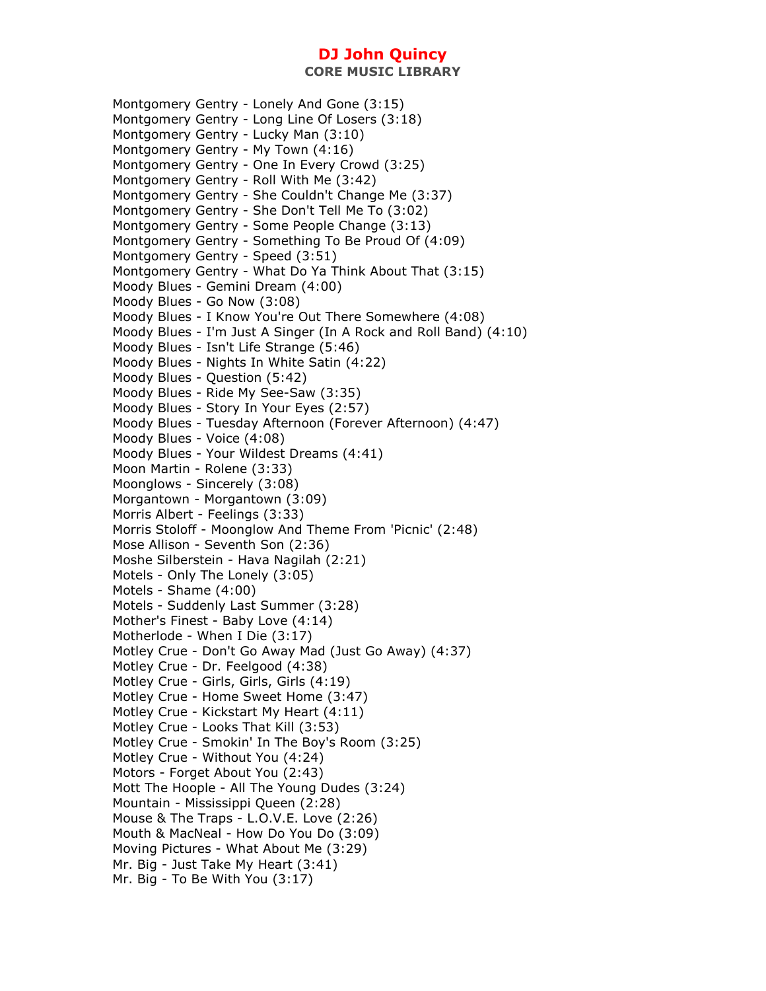Montgomery Gentry - Lonely And Gone (3:15) Montgomery Gentry - Long Line Of Losers (3:18) Montgomery Gentry - Lucky Man (3:10) Montgomery Gentry - My Town (4:16) Montgomery Gentry - One In Every Crowd (3:25) Montgomery Gentry - Roll With Me (3:42) Montgomery Gentry - She Couldn't Change Me (3:37) Montgomery Gentry - She Don't Tell Me To (3:02) Montgomery Gentry - Some People Change (3:13) Montgomery Gentry - Something To Be Proud Of (4:09) Montgomery Gentry - Speed (3:51) Montgomery Gentry - What Do Ya Think About That (3:15) Moody Blues - Gemini Dream (4:00) Moody Blues - Go Now (3:08) Moody Blues - I Know You're Out There Somewhere (4:08) Moody Blues - I'm Just A Singer (In A Rock and Roll Band) (4:10) Moody Blues - Isn't Life Strange (5:46) Moody Blues - Nights In White Satin (4:22) Moody Blues - Question (5:42) Moody Blues - Ride My See-Saw (3:35) Moody Blues - Story In Your Eyes (2:57) Moody Blues - Tuesday Afternoon (Forever Afternoon) (4:47) Moody Blues - Voice (4:08) Moody Blues - Your Wildest Dreams (4:41) Moon Martin - Rolene (3:33) Moonglows - Sincerely (3:08) Morgantown - Morgantown (3:09) Morris Albert - Feelings (3:33) Morris Stoloff - Moonglow And Theme From 'Picnic' (2:48) Mose Allison - Seventh Son (2:36) Moshe Silberstein - Hava Nagilah (2:21) Motels - Only The Lonely (3:05) Motels - Shame (4:00) Motels - Suddenly Last Summer (3:28) Mother's Finest - Baby Love (4:14) Motherlode - When I Die (3:17) Motley Crue - Don't Go Away Mad (Just Go Away) (4:37) Motley Crue - Dr. Feelgood (4:38) Motley Crue - Girls, Girls, Girls (4:19) Motley Crue - Home Sweet Home (3:47) Motley Crue - Kickstart My Heart (4:11) Motley Crue - Looks That Kill (3:53) Motley Crue - Smokin' In The Boy's Room (3:25) Motley Crue - Without You (4:24) Motors - Forget About You (2:43) Mott The Hoople - All The Young Dudes (3:24) Mountain - Mississippi Queen (2:28) Mouse & The Traps - L.O.V.E. Love (2:26) Mouth & MacNeal - How Do You Do (3:09) Moving Pictures - What About Me (3:29) Mr. Big - Just Take My Heart (3:41) Mr. Big - To Be With You (3:17)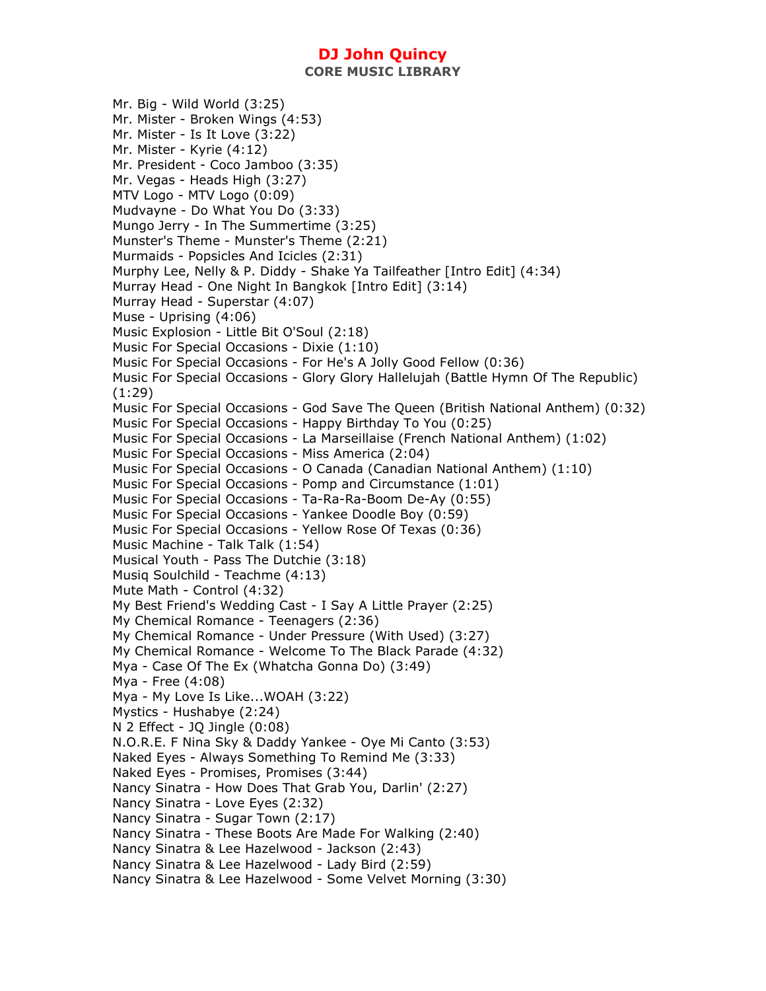Mr. Big - Wild World (3:25) Mr. Mister - Broken Wings (4:53) Mr. Mister - Is It Love (3:22) Mr. Mister - Kyrie (4:12) Mr. President - Coco Jamboo (3:35) Mr. Vegas - Heads High (3:27) MTV Logo - MTV Logo (0:09) Mudvayne - Do What You Do (3:33) Mungo Jerry - In The Summertime (3:25) Munster's Theme - Munster's Theme (2:21) Murmaids - Popsicles And Icicles (2:31) Murphy Lee, Nelly & P. Diddy - Shake Ya Tailfeather [Intro Edit] (4:34) Murray Head - One Night In Bangkok [Intro Edit] (3:14) Murray Head - Superstar (4:07) Muse - Uprising (4:06) Music Explosion - Little Bit O'Soul (2:18) Music For Special Occasions - Dixie (1:10) Music For Special Occasions - For He's A Jolly Good Fellow (0:36) Music For Special Occasions - Glory Glory Hallelujah (Battle Hymn Of The Republic) (1:29) Music For Special Occasions - God Save The Queen (British National Anthem) (0:32) Music For Special Occasions - Happy Birthday To You (0:25) Music For Special Occasions - La Marseillaise (French National Anthem) (1:02) Music For Special Occasions - Miss America (2:04) Music For Special Occasions - O Canada (Canadian National Anthem) (1:10) Music For Special Occasions - Pomp and Circumstance (1:01) Music For Special Occasions - Ta-Ra-Ra-Boom De-Ay (0:55) Music For Special Occasions - Yankee Doodle Boy (0:59) Music For Special Occasions - Yellow Rose Of Texas (0:36) Music Machine - Talk Talk (1:54) Musical Youth - Pass The Dutchie (3:18) Musiq Soulchild - Teachme (4:13) Mute Math - Control (4:32) My Best Friend's Wedding Cast - I Say A Little Prayer (2:25) My Chemical Romance - Teenagers (2:36) My Chemical Romance - Under Pressure (With Used) (3:27) My Chemical Romance - Welcome To The Black Parade (4:32) Mya - Case Of The Ex (Whatcha Gonna Do) (3:49) Mya - Free (4:08) Mya - My Love Is Like...WOAH (3:22) Mystics - Hushabye (2:24) N 2 Effect - JQ Jingle (0:08) N.O.R.E. F Nina Sky & Daddy Yankee - Oye Mi Canto (3:53) Naked Eyes - Always Something To Remind Me (3:33) Naked Eyes - Promises, Promises (3:44) Nancy Sinatra - How Does That Grab You, Darlin' (2:27) Nancy Sinatra - Love Eyes (2:32) Nancy Sinatra - Sugar Town (2:17) Nancy Sinatra - These Boots Are Made For Walking (2:40) Nancy Sinatra & Lee Hazelwood - Jackson (2:43) Nancy Sinatra & Lee Hazelwood - Lady Bird (2:59) Nancy Sinatra & Lee Hazelwood - Some Velvet Morning (3:30)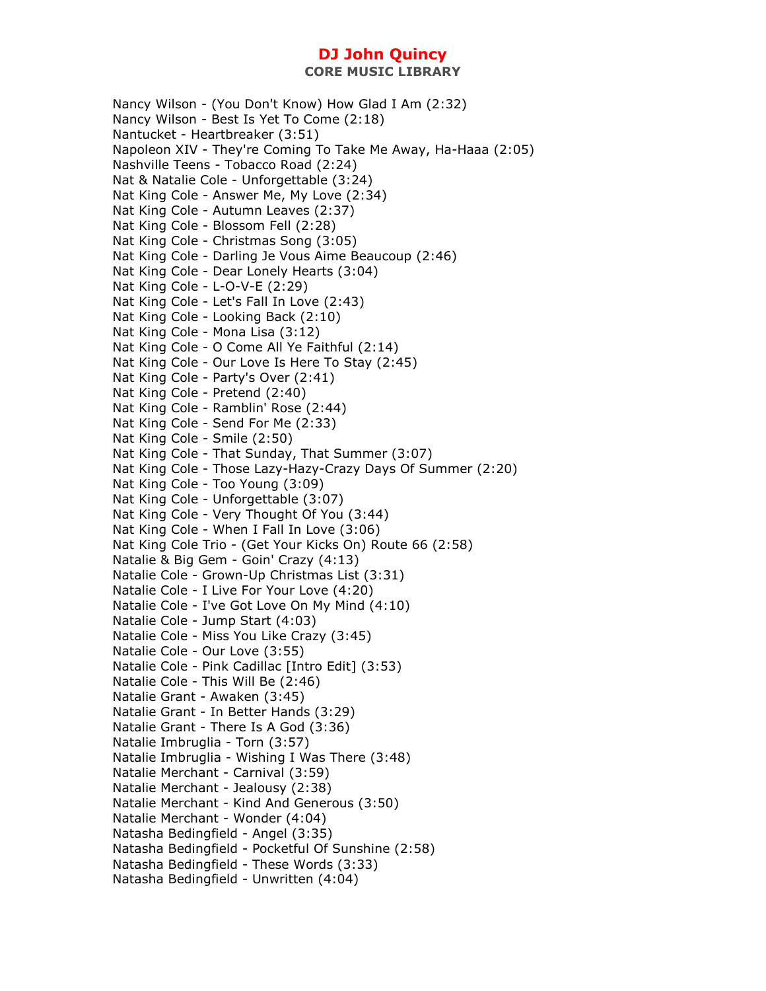Nancy Wilson - (You Don't Know) How Glad I Am (2:32) Nancy Wilson - Best Is Yet To Come (2:18) Nantucket - Heartbreaker (3:51) Napoleon XIV - They're Coming To Take Me Away, Ha-Haaa (2:05) Nashville Teens - Tobacco Road (2:24) Nat & Natalie Cole - Unforgettable (3:24) Nat King Cole - Answer Me, My Love (2:34) Nat King Cole - Autumn Leaves (2:37) Nat King Cole - Blossom Fell (2:28) Nat King Cole - Christmas Song (3:05) Nat King Cole - Darling Je Vous Aime Beaucoup (2:46) Nat King Cole - Dear Lonely Hearts (3:04) Nat King Cole - L-O-V-E (2:29) Nat King Cole - Let's Fall In Love (2:43) Nat King Cole - Looking Back (2:10) Nat King Cole - Mona Lisa (3:12) Nat King Cole - O Come All Ye Faithful (2:14) Nat King Cole - Our Love Is Here To Stay (2:45) Nat King Cole - Party's Over (2:41) Nat King Cole - Pretend (2:40) Nat King Cole - Ramblin' Rose (2:44) Nat King Cole - Send For Me (2:33) Nat King Cole - Smile (2:50) Nat King Cole - That Sunday, That Summer (3:07) Nat King Cole - Those Lazy-Hazy-Crazy Days Of Summer (2:20) Nat King Cole - Too Young (3:09) Nat King Cole - Unforgettable (3:07) Nat King Cole - Very Thought Of You (3:44) Nat King Cole - When I Fall In Love (3:06) Nat King Cole Trio - (Get Your Kicks On) Route 66 (2:58) Natalie & Big Gem - Goin' Crazy (4:13) Natalie Cole - Grown-Up Christmas List (3:31) Natalie Cole - I Live For Your Love (4:20) Natalie Cole - I've Got Love On My Mind (4:10) Natalie Cole - Jump Start (4:03) Natalie Cole - Miss You Like Crazy (3:45) Natalie Cole - Our Love (3:55) Natalie Cole - Pink Cadillac [Intro Edit] (3:53) Natalie Cole - This Will Be (2:46) Natalie Grant - Awaken (3:45) Natalie Grant - In Better Hands (3:29) Natalie Grant - There Is A God (3:36) Natalie Imbruglia - Torn (3:57) Natalie Imbruglia - Wishing I Was There (3:48) Natalie Merchant - Carnival (3:59) Natalie Merchant - Jealousy (2:38) Natalie Merchant - Kind And Generous (3:50) Natalie Merchant - Wonder (4:04) Natasha Bedingfield - Angel (3:35) Natasha Bedingfield - Pocketful Of Sunshine (2:58) Natasha Bedingfield - These Words (3:33) Natasha Bedingfield - Unwritten (4:04)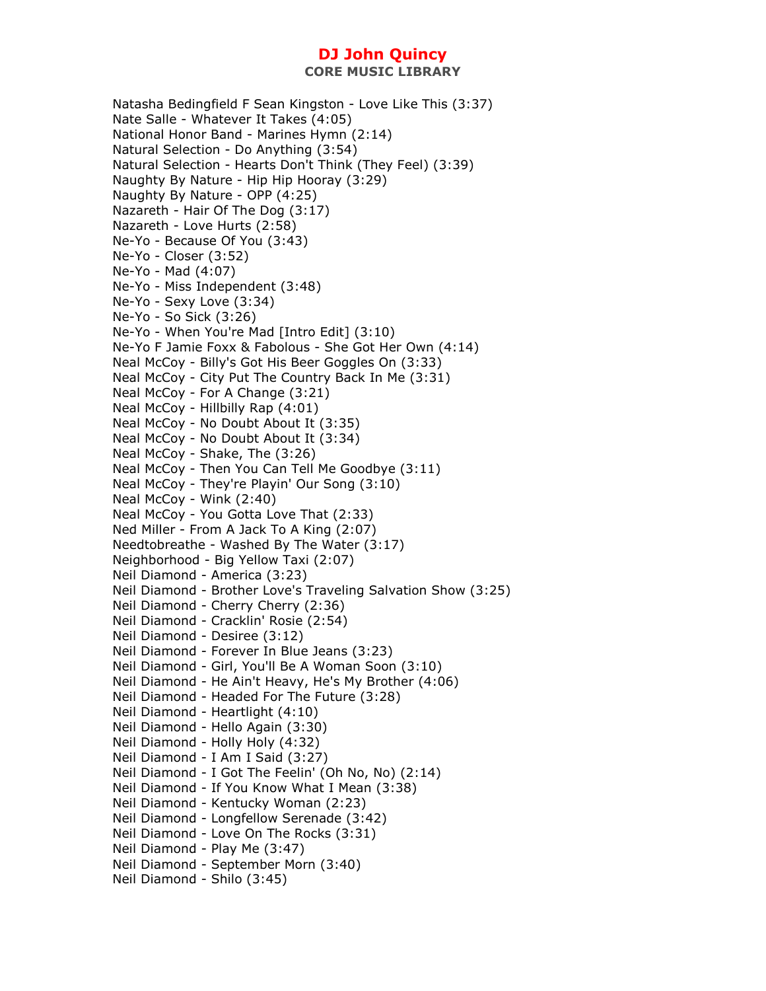Natasha Bedingfield F Sean Kingston - Love Like This (3:37) Nate Salle - Whatever It Takes (4:05) National Honor Band - Marines Hymn (2:14) Natural Selection - Do Anything (3:54) Natural Selection - Hearts Don't Think (They Feel) (3:39) Naughty By Nature - Hip Hip Hooray (3:29) Naughty By Nature - OPP (4:25) Nazareth - Hair Of The Dog (3:17) Nazareth - Love Hurts (2:58) Ne-Yo - Because Of You (3:43) Ne-Yo - Closer (3:52) Ne-Yo - Mad (4:07) Ne-Yo - Miss Independent (3:48) Ne-Yo - Sexy Love (3:34) Ne-Yo - So Sick (3:26) Ne-Yo - When You're Mad [Intro Edit] (3:10) Ne-Yo F Jamie Foxx & Fabolous - She Got Her Own (4:14) Neal McCoy - Billy's Got His Beer Goggles On (3:33) Neal McCoy - City Put The Country Back In Me (3:31) Neal McCoy - For A Change (3:21) Neal McCoy - Hillbilly Rap (4:01) Neal McCoy - No Doubt About It (3:35) Neal McCoy - No Doubt About It (3:34) Neal McCoy - Shake, The (3:26) Neal McCoy - Then You Can Tell Me Goodbye (3:11) Neal McCoy - They're Playin' Our Song (3:10) Neal McCoy - Wink (2:40) Neal McCoy - You Gotta Love That (2:33) Ned Miller - From A Jack To A King (2:07) Needtobreathe - Washed By The Water (3:17) Neighborhood - Big Yellow Taxi (2:07) Neil Diamond - America (3:23) Neil Diamond - Brother Love's Traveling Salvation Show (3:25) Neil Diamond - Cherry Cherry (2:36) Neil Diamond - Cracklin' Rosie (2:54) Neil Diamond - Desiree (3:12) Neil Diamond - Forever In Blue Jeans (3:23) Neil Diamond - Girl, You'll Be A Woman Soon (3:10) Neil Diamond - He Ain't Heavy, He's My Brother (4:06) Neil Diamond - Headed For The Future (3:28) Neil Diamond - Heartlight (4:10) Neil Diamond - Hello Again (3:30) Neil Diamond - Holly Holy (4:32) Neil Diamond - I Am I Said (3:27) Neil Diamond - I Got The Feelin' (Oh No, No) (2:14) Neil Diamond - If You Know What I Mean (3:38) Neil Diamond - Kentucky Woman (2:23) Neil Diamond - Longfellow Serenade (3:42) Neil Diamond - Love On The Rocks (3:31) Neil Diamond - Play Me (3:47) Neil Diamond - September Morn (3:40) Neil Diamond - Shilo (3:45)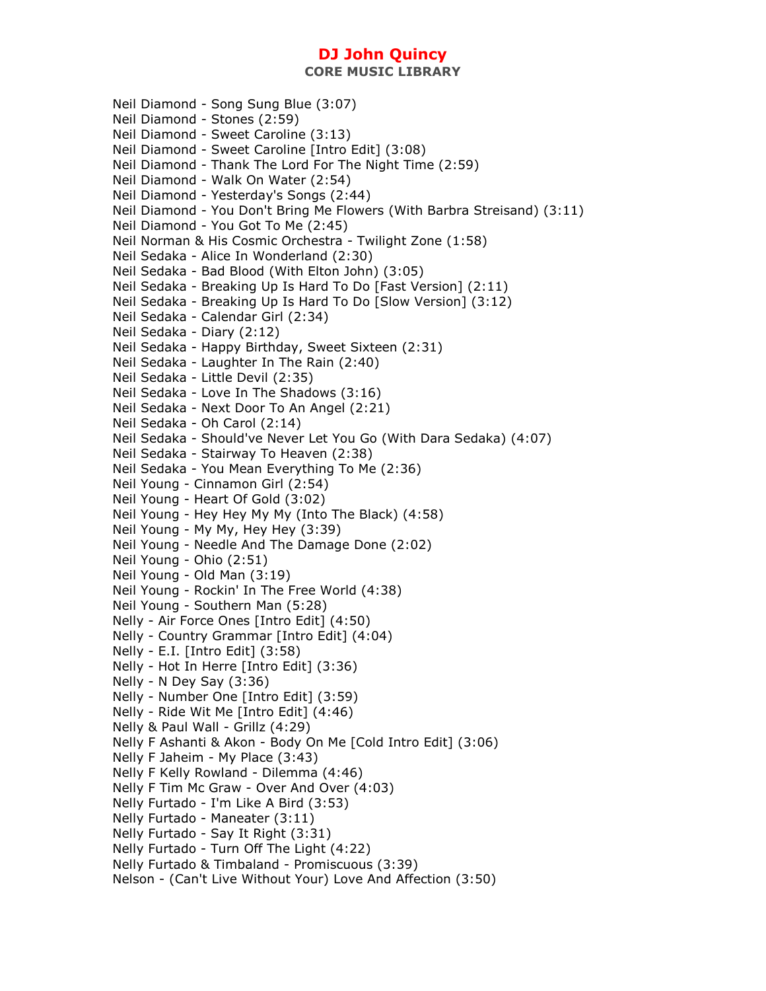**CORE MUSIC LIBRARY** 

Neil Diamond - Song Sung Blue (3:07) Neil Diamond - Stones (2:59) Neil Diamond - Sweet Caroline (3:13) Neil Diamond - Sweet Caroline [Intro Edit] (3:08) Neil Diamond - Thank The Lord For The Night Time (2:59) Neil Diamond - Walk On Water (2:54) Neil Diamond - Yesterday's Songs (2:44) Neil Diamond - You Don't Bring Me Flowers (With Barbra Streisand) (3:11) Neil Diamond - You Got To Me (2:45) Neil Norman & His Cosmic Orchestra - Twilight Zone (1:58) Neil Sedaka - Alice In Wonderland (2:30) Neil Sedaka - Bad Blood (With Elton John) (3:05) Neil Sedaka - Breaking Up Is Hard To Do [Fast Version] (2:11) Neil Sedaka - Breaking Up Is Hard To Do [Slow Version] (3:12) Neil Sedaka - Calendar Girl (2:34) Neil Sedaka - Diary (2:12) Neil Sedaka - Happy Birthday, Sweet Sixteen (2:31) Neil Sedaka - Laughter In The Rain (2:40) Neil Sedaka - Little Devil (2:35) Neil Sedaka - Love In The Shadows (3:16) Neil Sedaka - Next Door To An Angel (2:21) Neil Sedaka - Oh Carol (2:14) Neil Sedaka - Should've Never Let You Go (With Dara Sedaka) (4:07) Neil Sedaka - Stairway To Heaven (2:38) Neil Sedaka - You Mean Everything To Me (2:36) Neil Young - Cinnamon Girl (2:54) Neil Young - Heart Of Gold (3:02) Neil Young - Hey Hey My My (Into The Black) (4:58) Neil Young - My My, Hey Hey (3:39) Neil Young - Needle And The Damage Done (2:02) Neil Young - Ohio (2:51) Neil Young - Old Man (3:19) Neil Young - Rockin' In The Free World (4:38) Neil Young - Southern Man (5:28) Nelly - Air Force Ones [Intro Edit] (4:50) Nelly - Country Grammar [Intro Edit] (4:04) Nelly - E.I. [Intro Edit] (3:58) Nelly - Hot In Herre [Intro Edit] (3:36) Nelly - N Dey Say (3:36) Nelly - Number One [Intro Edit] (3:59) Nelly - Ride Wit Me [Intro Edit] (4:46) Nelly & Paul Wall - Grillz (4:29) Nelly F Ashanti & Akon - Body On Me [Cold Intro Edit] (3:06) Nelly F Jaheim - My Place (3:43) Nelly F Kelly Rowland - Dilemma (4:46) Nelly F Tim Mc Graw - Over And Over (4:03) Nelly Furtado - I'm Like A Bird (3:53) Nelly Furtado - Maneater (3:11) Nelly Furtado - Say It Right (3:31) Nelly Furtado - Turn Off The Light (4:22) Nelly Furtado & Timbaland - Promiscuous (3:39) Nelson - (Can't Live Without Your) Love And Affection (3:50)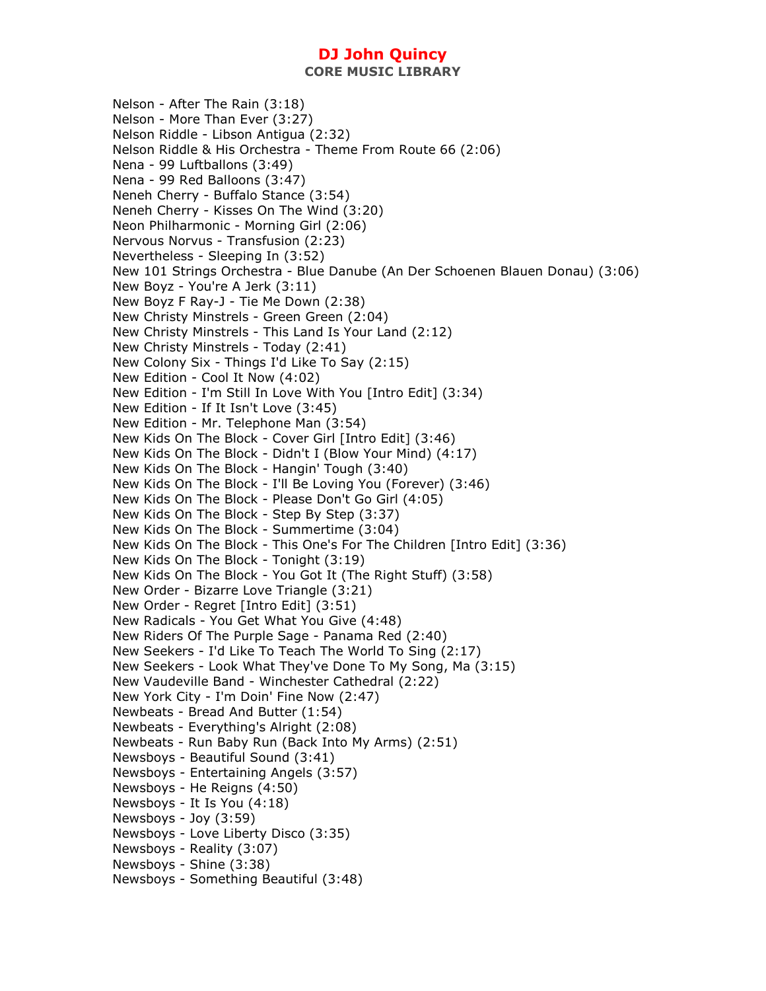**CORE MUSIC LIBRARY** 

Nelson - After The Rain (3:18) Nelson - More Than Ever (3:27) Nelson Riddle - Libson Antigua (2:32) Nelson Riddle & His Orchestra - Theme From Route 66 (2:06) Nena - 99 Luftballons (3:49) Nena - 99 Red Balloons (3:47) Neneh Cherry - Buffalo Stance (3:54) Neneh Cherry - Kisses On The Wind (3:20) Neon Philharmonic - Morning Girl (2:06) Nervous Norvus - Transfusion (2:23) Nevertheless - Sleeping In (3:52) New 101 Strings Orchestra - Blue Danube (An Der Schoenen Blauen Donau) (3:06) New Boyz - You're A Jerk (3:11) New Boyz F Ray-J - Tie Me Down (2:38) New Christy Minstrels - Green Green (2:04) New Christy Minstrels - This Land Is Your Land (2:12) New Christy Minstrels - Today (2:41) New Colony Six - Things I'd Like To Say (2:15) New Edition - Cool It Now (4:02) New Edition - I'm Still In Love With You [Intro Edit] (3:34) New Edition - If It Isn't Love (3:45) New Edition - Mr. Telephone Man (3:54) New Kids On The Block - Cover Girl [Intro Edit] (3:46) New Kids On The Block - Didn't I (Blow Your Mind) (4:17) New Kids On The Block - Hangin' Tough (3:40) New Kids On The Block - I'll Be Loving You (Forever) (3:46) New Kids On The Block - Please Don't Go Girl (4:05) New Kids On The Block - Step By Step (3:37) New Kids On The Block - Summertime (3:04) New Kids On The Block - This One's For The Children [Intro Edit] (3:36) New Kids On The Block - Tonight (3:19) New Kids On The Block - You Got It (The Right Stuff) (3:58) New Order - Bizarre Love Triangle (3:21) New Order - Regret [Intro Edit] (3:51) New Radicals - You Get What You Give (4:48) New Riders Of The Purple Sage - Panama Red (2:40) New Seekers - I'd Like To Teach The World To Sing (2:17) New Seekers - Look What They've Done To My Song, Ma (3:15) New Vaudeville Band - Winchester Cathedral (2:22) New York City - I'm Doin' Fine Now (2:47) Newbeats - Bread And Butter (1:54) Newbeats - Everything's Alright (2:08) Newbeats - Run Baby Run (Back Into My Arms) (2:51) Newsboys - Beautiful Sound (3:41) Newsboys - Entertaining Angels (3:57) Newsboys - He Reigns (4:50) Newsboys - It Is You (4:18) Newsboys - Joy (3:59) Newsboys - Love Liberty Disco (3:35) Newsboys - Reality (3:07) Newsboys - Shine (3:38) Newsboys - Something Beautiful (3:48)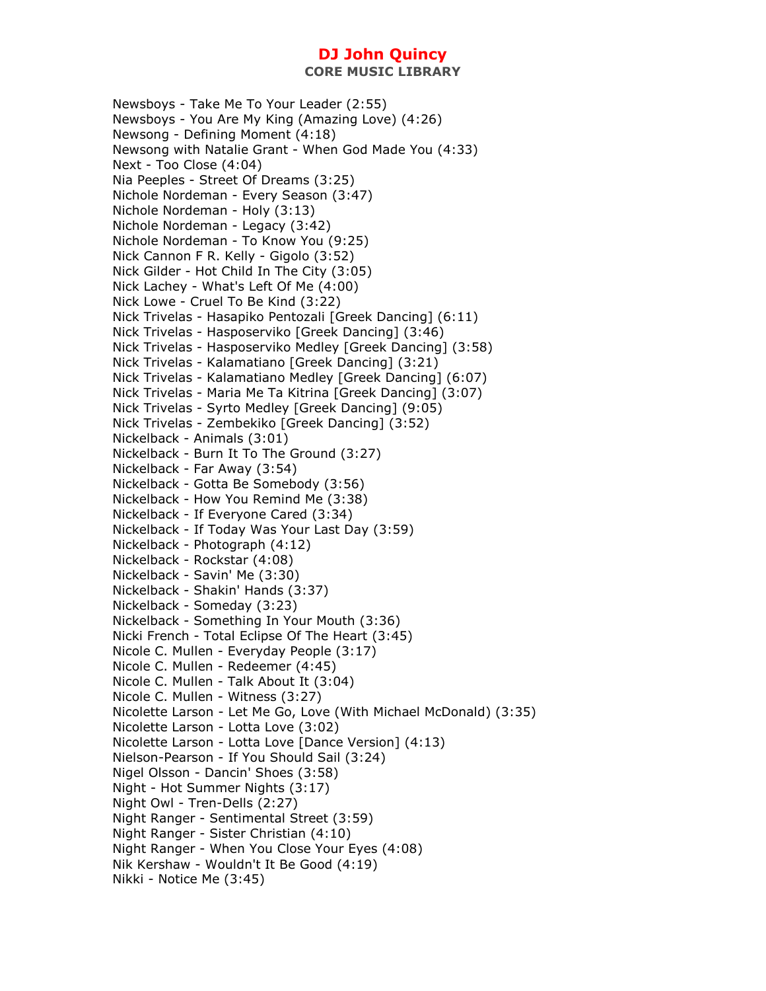**CORE MUSIC LIBRARY** 

Newsboys - Take Me To Your Leader (2:55) Newsboys - You Are My King (Amazing Love) (4:26) Newsong - Defining Moment (4:18) Newsong with Natalie Grant - When God Made You (4:33) Next - Too Close (4:04) Nia Peeples - Street Of Dreams (3:25) Nichole Nordeman - Every Season (3:47) Nichole Nordeman - Holy (3:13) Nichole Nordeman - Legacy (3:42) Nichole Nordeman - To Know You (9:25) Nick Cannon F R. Kelly - Gigolo (3:52) Nick Gilder - Hot Child In The City (3:05) Nick Lachey - What's Left Of Me (4:00) Nick Lowe - Cruel To Be Kind (3:22) Nick Trivelas - Hasapiko Pentozali [Greek Dancing] (6:11) Nick Trivelas - Hasposerviko [Greek Dancing] (3:46) Nick Trivelas - Hasposerviko Medley [Greek Dancing] (3:58) Nick Trivelas - Kalamatiano [Greek Dancing] (3:21) Nick Trivelas - Kalamatiano Medley [Greek Dancing] (6:07) Nick Trivelas - Maria Me Ta Kitrina [Greek Dancing] (3:07) Nick Trivelas - Syrto Medley [Greek Dancing] (9:05) Nick Trivelas - Zembekiko [Greek Dancing] (3:52) Nickelback - Animals (3:01) Nickelback - Burn It To The Ground (3:27) Nickelback - Far Away (3:54) Nickelback - Gotta Be Somebody (3:56) Nickelback - How You Remind Me (3:38) Nickelback - If Everyone Cared (3:34) Nickelback - If Today Was Your Last Day (3:59) Nickelback - Photograph (4:12) Nickelback - Rockstar (4:08) Nickelback - Savin' Me (3:30) Nickelback - Shakin' Hands (3:37) Nickelback - Someday (3:23) Nickelback - Something In Your Mouth (3:36) Nicki French - Total Eclipse Of The Heart (3:45) Nicole C. Mullen - Everyday People (3:17) Nicole C. Mullen - Redeemer (4:45) Nicole C. Mullen - Talk About It (3:04) Nicole C. Mullen - Witness (3:27) Nicolette Larson - Let Me Go, Love (With Michael McDonald) (3:35) Nicolette Larson - Lotta Love (3:02) Nicolette Larson - Lotta Love [Dance Version] (4:13) Nielson-Pearson - If You Should Sail (3:24) Nigel Olsson - Dancin' Shoes (3:58) Night - Hot Summer Nights (3:17) Night Owl - Tren-Dells (2:27) Night Ranger - Sentimental Street (3:59) Night Ranger - Sister Christian (4:10) Night Ranger - When You Close Your Eyes (4:08) Nik Kershaw - Wouldn't It Be Good (4:19) Nikki - Notice Me (3:45)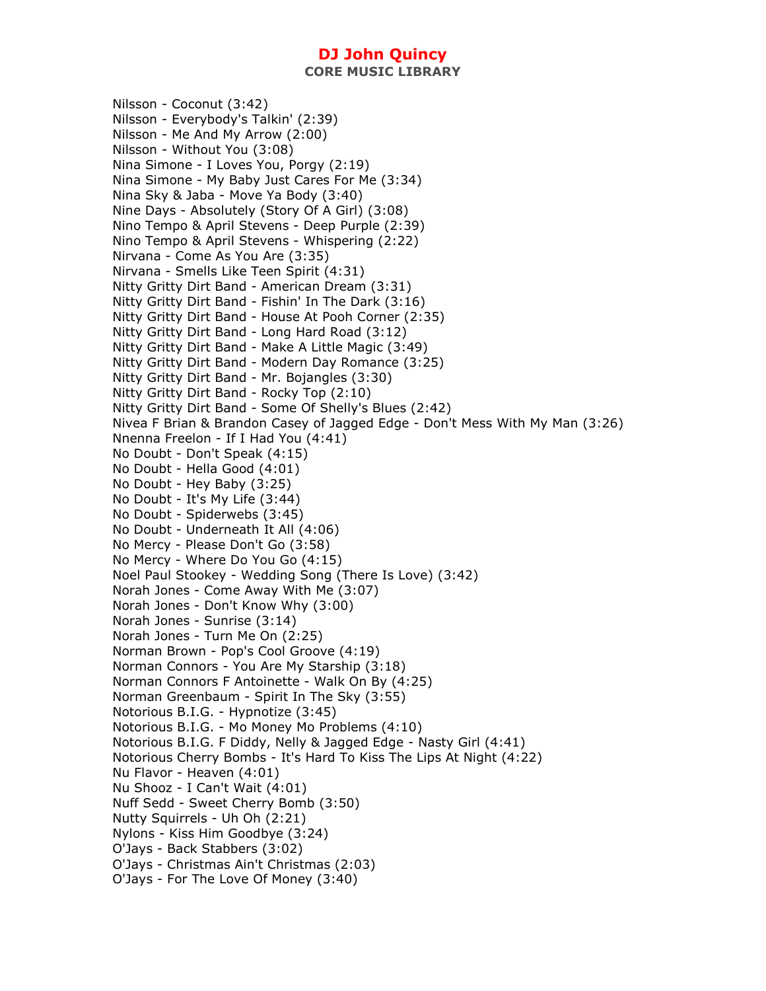Nilsson - Coconut (3:42) Nilsson - Everybody's Talkin' (2:39) Nilsson - Me And My Arrow (2:00) Nilsson - Without You (3:08) Nina Simone - I Loves You, Porgy (2:19) Nina Simone - My Baby Just Cares For Me (3:34) Nina Sky & Jaba - Move Ya Body (3:40) Nine Days - Absolutely (Story Of A Girl) (3:08) Nino Tempo & April Stevens - Deep Purple (2:39) Nino Tempo & April Stevens - Whispering (2:22) Nirvana - Come As You Are (3:35) Nirvana - Smells Like Teen Spirit (4:31) Nitty Gritty Dirt Band - American Dream (3:31) Nitty Gritty Dirt Band - Fishin' In The Dark (3:16) Nitty Gritty Dirt Band - House At Pooh Corner (2:35) Nitty Gritty Dirt Band - Long Hard Road (3:12) Nitty Gritty Dirt Band - Make A Little Magic (3:49) Nitty Gritty Dirt Band - Modern Day Romance (3:25) Nitty Gritty Dirt Band - Mr. Bojangles (3:30) Nitty Gritty Dirt Band - Rocky Top (2:10) Nitty Gritty Dirt Band - Some Of Shelly's Blues (2:42) Nivea F Brian & Brandon Casey of Jagged Edge - Don't Mess With My Man (3:26) Nnenna Freelon - If I Had You (4:41) No Doubt - Don't Speak (4:15) No Doubt - Hella Good (4:01) No Doubt - Hey Baby (3:25) No Doubt - It's My Life (3:44) No Doubt - Spiderwebs (3:45) No Doubt - Underneath It All (4:06) No Mercy - Please Don't Go (3:58) No Mercy - Where Do You Go (4:15) Noel Paul Stookey - Wedding Song (There Is Love) (3:42) Norah Jones - Come Away With Me (3:07) Norah Jones - Don't Know Why (3:00) Norah Jones - Sunrise (3:14) Norah Jones - Turn Me On (2:25) Norman Brown - Pop's Cool Groove (4:19) Norman Connors - You Are My Starship (3:18) Norman Connors F Antoinette - Walk On By (4:25) Norman Greenbaum - Spirit In The Sky (3:55) Notorious B.I.G. - Hypnotize (3:45) Notorious B.I.G. - Mo Money Mo Problems (4:10) Notorious B.I.G. F Diddy, Nelly & Jagged Edge - Nasty Girl (4:41) Notorious Cherry Bombs - It's Hard To Kiss The Lips At Night (4:22) Nu Flavor - Heaven (4:01) Nu Shooz - I Can't Wait (4:01) Nuff Sedd - Sweet Cherry Bomb (3:50) Nutty Squirrels - Uh Oh (2:21) Nylons - Kiss Him Goodbye (3:24) O'Jays - Back Stabbers (3:02) O'Jays - Christmas Ain't Christmas (2:03) O'Jays - For The Love Of Money (3:40)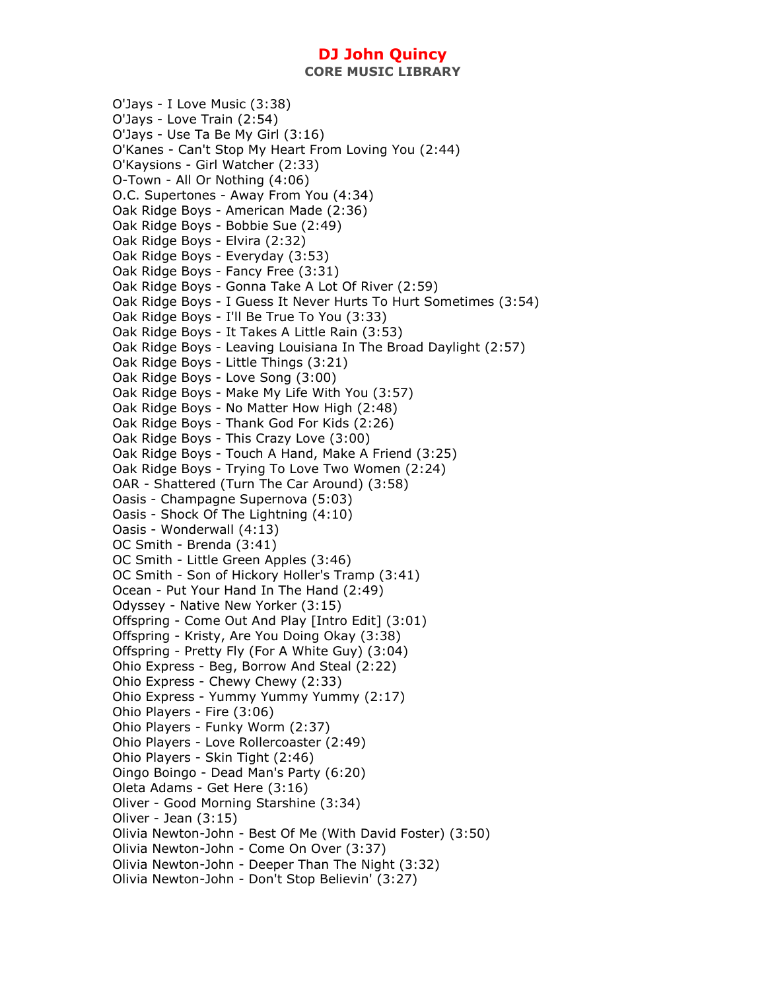**CORE MUSIC LIBRARY** 

O'Jays - I Love Music (3:38) O'Jays - Love Train (2:54) O'Jays - Use Ta Be My Girl (3:16) O'Kanes - Can't Stop My Heart From Loving You (2:44) O'Kaysions - Girl Watcher (2:33) O-Town - All Or Nothing (4:06) O.C. Supertones - Away From You (4:34) Oak Ridge Boys - American Made (2:36) Oak Ridge Boys - Bobbie Sue (2:49) Oak Ridge Boys - Elvira (2:32) Oak Ridge Boys - Everyday (3:53) Oak Ridge Boys - Fancy Free (3:31) Oak Ridge Boys - Gonna Take A Lot Of River (2:59) Oak Ridge Boys - I Guess It Never Hurts To Hurt Sometimes (3:54) Oak Ridge Boys - I'll Be True To You (3:33) Oak Ridge Boys - It Takes A Little Rain (3:53) Oak Ridge Boys - Leaving Louisiana In The Broad Daylight (2:57) Oak Ridge Boys - Little Things (3:21) Oak Ridge Boys - Love Song (3:00) Oak Ridge Boys - Make My Life With You (3:57) Oak Ridge Boys - No Matter How High (2:48) Oak Ridge Boys - Thank God For Kids (2:26) Oak Ridge Boys - This Crazy Love (3:00) Oak Ridge Boys - Touch A Hand, Make A Friend (3:25) Oak Ridge Boys - Trying To Love Two Women (2:24) OAR - Shattered (Turn The Car Around) (3:58) Oasis - Champagne Supernova (5:03) Oasis - Shock Of The Lightning (4:10) Oasis - Wonderwall (4:13) OC Smith - Brenda (3:41) OC Smith - Little Green Apples (3:46) OC Smith - Son of Hickory Holler's Tramp (3:41) Ocean - Put Your Hand In The Hand (2:49) Odyssey - Native New Yorker (3:15) Offspring - Come Out And Play [Intro Edit] (3:01) Offspring - Kristy, Are You Doing Okay (3:38) Offspring - Pretty Fly (For A White Guy) (3:04) Ohio Express - Beg, Borrow And Steal (2:22) Ohio Express - Chewy Chewy (2:33) Ohio Express - Yummy Yummy Yummy (2:17) Ohio Players - Fire (3:06) Ohio Players - Funky Worm (2:37) Ohio Players - Love Rollercoaster (2:49) Ohio Players - Skin Tight (2:46) Oingo Boingo - Dead Man's Party (6:20) Oleta Adams - Get Here (3:16) Oliver - Good Morning Starshine (3:34) Oliver - Jean (3:15) Olivia Newton-John - Best Of Me (With David Foster) (3:50) Olivia Newton-John - Come On Over (3:37) Olivia Newton-John - Deeper Than The Night (3:32) Olivia Newton-John - Don't Stop Believin' (3:27)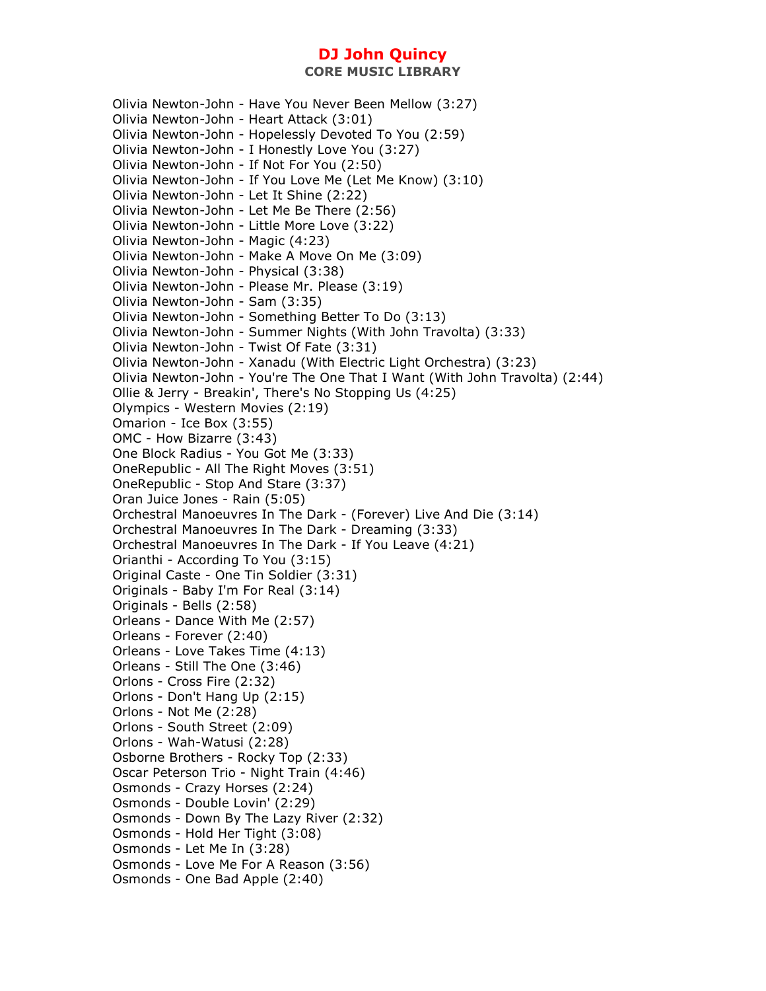Olivia Newton-John - Have You Never Been Mellow (3:27) Olivia Newton-John - Heart Attack (3:01) Olivia Newton-John - Hopelessly Devoted To You (2:59) Olivia Newton-John - I Honestly Love You (3:27) Olivia Newton-John - If Not For You (2:50) Olivia Newton-John - If You Love Me (Let Me Know) (3:10) Olivia Newton-John - Let It Shine (2:22) Olivia Newton-John - Let Me Be There (2:56) Olivia Newton-John - Little More Love (3:22) Olivia Newton-John - Magic (4:23) Olivia Newton-John - Make A Move On Me (3:09) Olivia Newton-John - Physical (3:38) Olivia Newton-John - Please Mr. Please (3:19) Olivia Newton-John - Sam (3:35) Olivia Newton-John - Something Better To Do (3:13) Olivia Newton-John - Summer Nights (With John Travolta) (3:33) Olivia Newton-John - Twist Of Fate (3:31) Olivia Newton-John - Xanadu (With Electric Light Orchestra) (3:23) Olivia Newton-John - You're The One That I Want (With John Travolta) (2:44) Ollie & Jerry - Breakin', There's No Stopping Us (4:25) Olympics - Western Movies (2:19) Omarion - Ice Box (3:55) OMC - How Bizarre (3:43) One Block Radius - You Got Me (3:33) OneRepublic - All The Right Moves (3:51) OneRepublic - Stop And Stare (3:37) Oran Juice Jones - Rain (5:05) Orchestral Manoeuvres In The Dark - (Forever) Live And Die (3:14) Orchestral Manoeuvres In The Dark - Dreaming (3:33) Orchestral Manoeuvres In The Dark - If You Leave (4:21) Orianthi - According To You (3:15) Original Caste - One Tin Soldier (3:31) Originals - Baby I'm For Real (3:14) Originals - Bells (2:58) Orleans - Dance With Me (2:57) Orleans - Forever (2:40) Orleans - Love Takes Time (4:13) Orleans - Still The One (3:46) Orlons - Cross Fire (2:32) Orlons - Don't Hang Up (2:15) Orlons - Not Me (2:28) Orlons - South Street (2:09) Orlons - Wah-Watusi (2:28) Osborne Brothers - Rocky Top (2:33) Oscar Peterson Trio - Night Train (4:46) Osmonds - Crazy Horses (2:24) Osmonds - Double Lovin' (2:29) Osmonds - Down By The Lazy River (2:32) Osmonds - Hold Her Tight (3:08) Osmonds - Let Me In (3:28) Osmonds - Love Me For A Reason (3:56) Osmonds - One Bad Apple (2:40)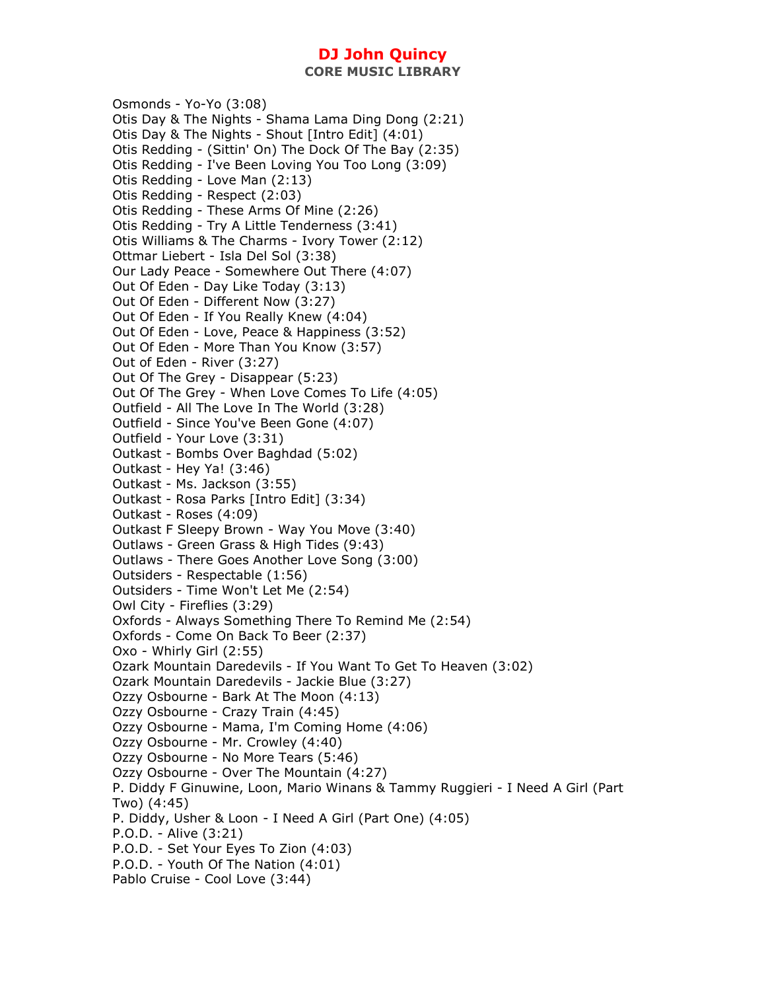**CORE MUSIC LIBRARY** 

Osmonds - Yo-Yo (3:08) Otis Day & The Nights - Shama Lama Ding Dong (2:21) Otis Day & The Nights - Shout [Intro Edit] (4:01) Otis Redding - (Sittin' On) The Dock Of The Bay (2:35) Otis Redding - I've Been Loving You Too Long (3:09) Otis Redding - Love Man (2:13) Otis Redding - Respect (2:03) Otis Redding - These Arms Of Mine (2:26) Otis Redding - Try A Little Tenderness (3:41) Otis Williams & The Charms - Ivory Tower (2:12) Ottmar Liebert - Isla Del Sol (3:38) Our Lady Peace - Somewhere Out There (4:07) Out Of Eden - Day Like Today (3:13) Out Of Eden - Different Now (3:27) Out Of Eden - If You Really Knew (4:04) Out Of Eden - Love, Peace & Happiness (3:52) Out Of Eden - More Than You Know (3:57) Out of Eden - River (3:27) Out Of The Grey - Disappear (5:23) Out Of The Grey - When Love Comes To Life (4:05) Outfield - All The Love In The World (3:28) Outfield - Since You've Been Gone (4:07) Outfield - Your Love (3:31) Outkast - Bombs Over Baghdad (5:02) Outkast - Hey Ya! (3:46) Outkast - Ms. Jackson (3:55) Outkast - Rosa Parks [Intro Edit] (3:34) Outkast - Roses (4:09) Outkast F Sleepy Brown - Way You Move (3:40) Outlaws - Green Grass & High Tides (9:43) Outlaws - There Goes Another Love Song (3:00) Outsiders - Respectable (1:56) Outsiders - Time Won't Let Me (2:54) Owl City - Fireflies (3:29) Oxfords - Always Something There To Remind Me (2:54) Oxfords - Come On Back To Beer (2:37) Oxo - Whirly Girl (2:55) Ozark Mountain Daredevils - If You Want To Get To Heaven (3:02) Ozark Mountain Daredevils - Jackie Blue (3:27) Ozzy Osbourne - Bark At The Moon (4:13) Ozzy Osbourne - Crazy Train (4:45) Ozzy Osbourne - Mama, I'm Coming Home (4:06) Ozzy Osbourne - Mr. Crowley (4:40) Ozzy Osbourne - No More Tears (5:46) Ozzy Osbourne - Over The Mountain (4:27) P. Diddy F Ginuwine, Loon, Mario Winans & Tammy Ruggieri - I Need A Girl (Part Two) (4:45) P. Diddy, Usher & Loon - I Need A Girl (Part One) (4:05) P.O.D. - Alive (3:21) P.O.D. - Set Your Eyes To Zion (4:03) P.O.D. - Youth Of The Nation (4:01) Pablo Cruise - Cool Love (3:44)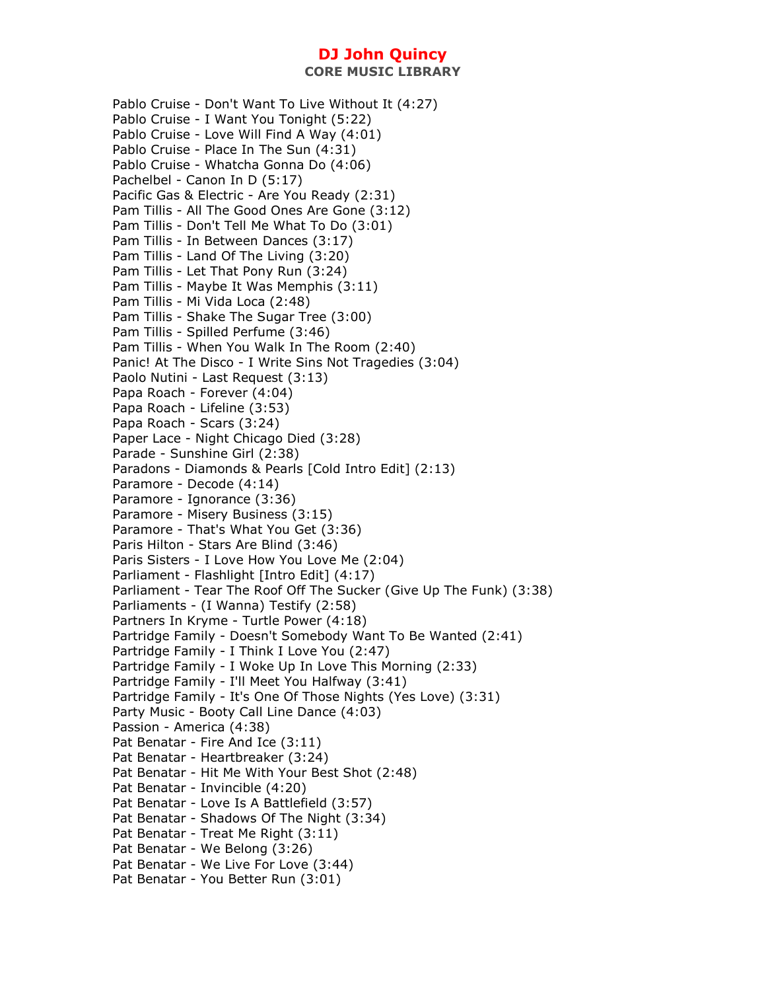Pablo Cruise - Don't Want To Live Without It (4:27) Pablo Cruise - I Want You Tonight (5:22) Pablo Cruise - Love Will Find A Way (4:01) Pablo Cruise - Place In The Sun (4:31) Pablo Cruise - Whatcha Gonna Do (4:06) Pachelbel - Canon In D (5:17) Pacific Gas & Electric - Are You Ready (2:31) Pam Tillis - All The Good Ones Are Gone (3:12) Pam Tillis - Don't Tell Me What To Do (3:01) Pam Tillis - In Between Dances (3:17) Pam Tillis - Land Of The Living (3:20) Pam Tillis - Let That Pony Run (3:24) Pam Tillis - Maybe It Was Memphis (3:11) Pam Tillis - Mi Vida Loca (2:48) Pam Tillis - Shake The Sugar Tree (3:00) Pam Tillis - Spilled Perfume (3:46) Pam Tillis - When You Walk In The Room (2:40) Panic! At The Disco - I Write Sins Not Tragedies (3:04) Paolo Nutini - Last Request (3:13) Papa Roach - Forever (4:04) Papa Roach - Lifeline (3:53) Papa Roach - Scars (3:24) Paper Lace - Night Chicago Died (3:28) Parade - Sunshine Girl (2:38) Paradons - Diamonds & Pearls [Cold Intro Edit] (2:13) Paramore - Decode (4:14) Paramore - Ignorance (3:36) Paramore - Misery Business (3:15) Paramore - That's What You Get (3:36) Paris Hilton - Stars Are Blind (3:46) Paris Sisters - I Love How You Love Me (2:04) Parliament - Flashlight [Intro Edit] (4:17) Parliament - Tear The Roof Off The Sucker (Give Up The Funk) (3:38) Parliaments - (I Wanna) Testify (2:58) Partners In Kryme - Turtle Power (4:18) Partridge Family - Doesn't Somebody Want To Be Wanted (2:41) Partridge Family - I Think I Love You (2:47) Partridge Family - I Woke Up In Love This Morning (2:33) Partridge Family - I'll Meet You Halfway (3:41) Partridge Family - It's One Of Those Nights (Yes Love) (3:31) Party Music - Booty Call Line Dance (4:03) Passion - America (4:38) Pat Benatar - Fire And Ice (3:11) Pat Benatar - Heartbreaker (3:24) Pat Benatar - Hit Me With Your Best Shot (2:48) Pat Benatar - Invincible (4:20) Pat Benatar - Love Is A Battlefield (3:57) Pat Benatar - Shadows Of The Night (3:34) Pat Benatar - Treat Me Right (3:11) Pat Benatar - We Belong (3:26) Pat Benatar - We Live For Love (3:44) Pat Benatar - You Better Run (3:01)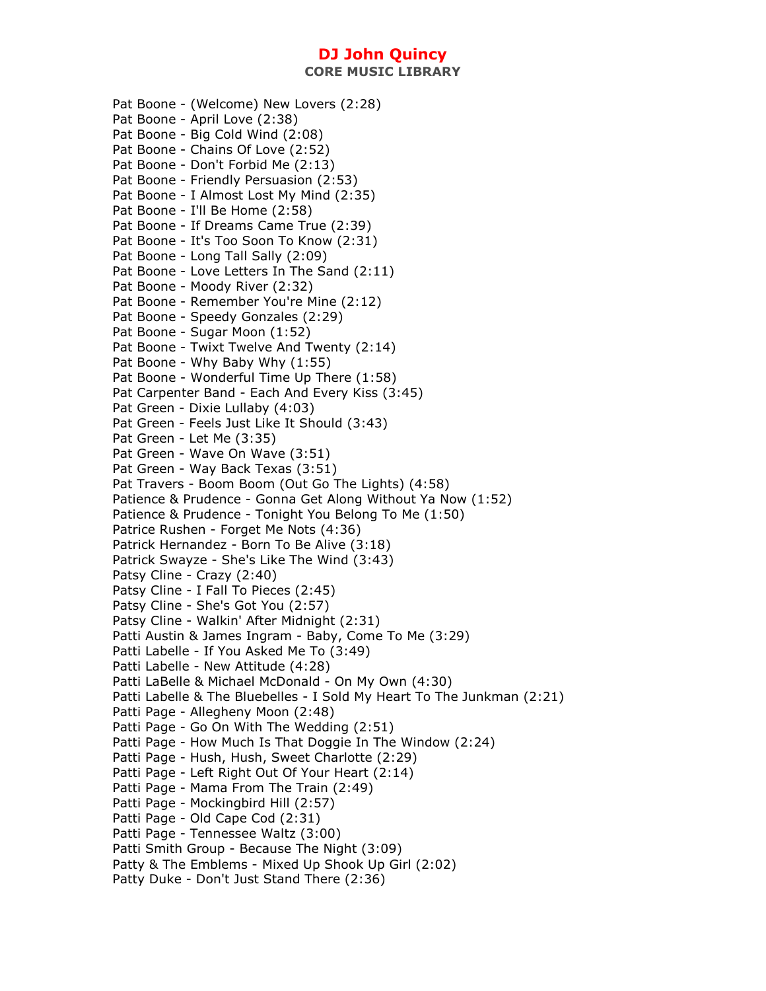**CORE MUSIC LIBRARY** 

Pat Boone - (Welcome) New Lovers (2:28) Pat Boone - April Love (2:38) Pat Boone - Big Cold Wind (2:08) Pat Boone - Chains Of Love (2:52) Pat Boone - Don't Forbid Me (2:13) Pat Boone - Friendly Persuasion (2:53) Pat Boone - I Almost Lost My Mind (2:35) Pat Boone - I'll Be Home (2:58) Pat Boone - If Dreams Came True (2:39) Pat Boone - It's Too Soon To Know (2:31) Pat Boone - Long Tall Sally (2:09) Pat Boone - Love Letters In The Sand (2:11) Pat Boone - Moody River (2:32) Pat Boone - Remember You're Mine (2:12) Pat Boone - Speedy Gonzales (2:29) Pat Boone - Sugar Moon (1:52) Pat Boone - Twixt Twelve And Twenty (2:14) Pat Boone - Why Baby Why (1:55) Pat Boone - Wonderful Time Up There (1:58) Pat Carpenter Band - Each And Every Kiss (3:45) Pat Green - Dixie Lullaby (4:03) Pat Green - Feels Just Like It Should (3:43) Pat Green - Let Me (3:35) Pat Green - Wave On Wave (3:51) Pat Green - Way Back Texas (3:51) Pat Travers - Boom Boom (Out Go The Lights) (4:58) Patience & Prudence - Gonna Get Along Without Ya Now (1:52) Patience & Prudence - Tonight You Belong To Me (1:50) Patrice Rushen - Forget Me Nots (4:36) Patrick Hernandez - Born To Be Alive (3:18) Patrick Swayze - She's Like The Wind (3:43) Patsy Cline - Crazy (2:40) Patsy Cline - I Fall To Pieces (2:45) Patsy Cline - She's Got You (2:57) Patsy Cline - Walkin' After Midnight (2:31) Patti Austin & James Ingram - Baby, Come To Me (3:29) Patti Labelle - If You Asked Me To (3:49) Patti Labelle - New Attitude (4:28) Patti LaBelle & Michael McDonald - On My Own (4:30) Patti Labelle & The Bluebelles - I Sold My Heart To The Junkman (2:21) Patti Page - Allegheny Moon (2:48) Patti Page - Go On With The Wedding (2:51) Patti Page - How Much Is That Doggie In The Window (2:24) Patti Page - Hush, Hush, Sweet Charlotte (2:29) Patti Page - Left Right Out Of Your Heart (2:14) Patti Page - Mama From The Train (2:49) Patti Page - Mockingbird Hill (2:57) Patti Page - Old Cape Cod (2:31) Patti Page - Tennessee Waltz (3:00) Patti Smith Group - Because The Night (3:09) Patty & The Emblems - Mixed Up Shook Up Girl (2:02) Patty Duke - Don't Just Stand There (2:36)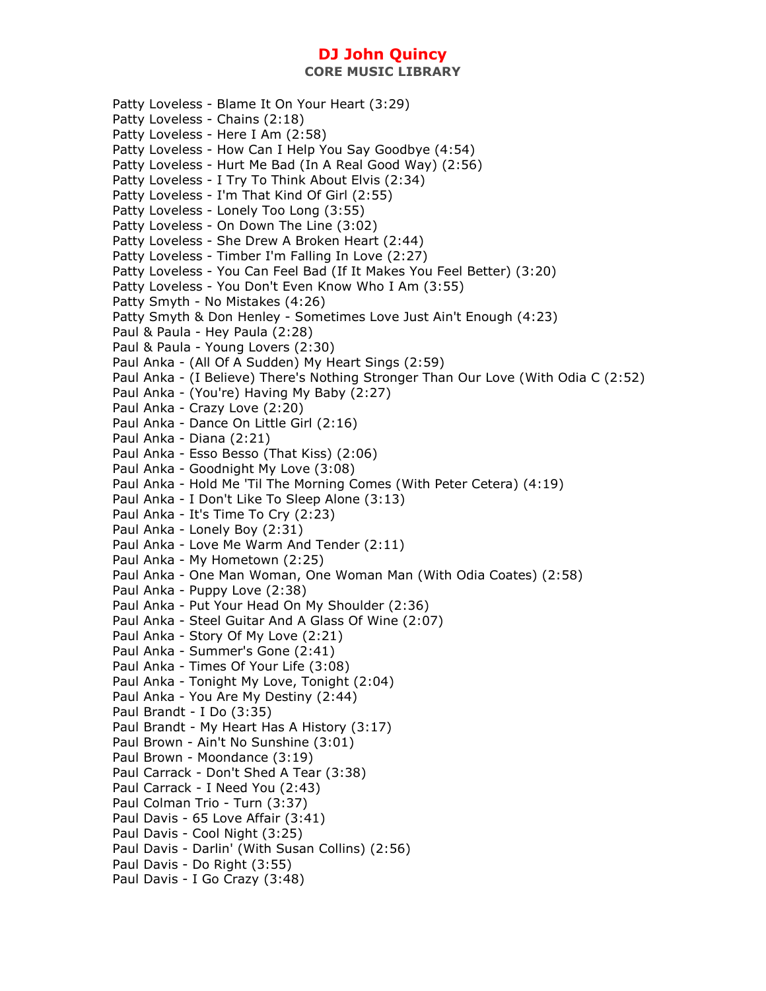**CORE MUSIC LIBRARY** 

Patty Loveless - Blame It On Your Heart (3:29) Patty Loveless - Chains (2:18) Patty Loveless - Here I Am (2:58) Patty Loveless - How Can I Help You Say Goodbye (4:54) Patty Loveless - Hurt Me Bad (In A Real Good Way) (2:56) Patty Loveless - I Try To Think About Elvis (2:34) Patty Loveless - I'm That Kind Of Girl (2:55) Patty Loveless - Lonely Too Long (3:55) Patty Loveless - On Down The Line (3:02) Patty Loveless - She Drew A Broken Heart (2:44) Patty Loveless - Timber I'm Falling In Love (2:27) Patty Loveless - You Can Feel Bad (If It Makes You Feel Better) (3:20) Patty Loveless - You Don't Even Know Who I Am (3:55) Patty Smyth - No Mistakes (4:26) Patty Smyth & Don Henley - Sometimes Love Just Ain't Enough (4:23) Paul & Paula - Hey Paula (2:28) Paul & Paula - Young Lovers (2:30) Paul Anka - (All Of A Sudden) My Heart Sings (2:59) Paul Anka - (I Believe) There's Nothing Stronger Than Our Love (With Odia C (2:52) Paul Anka - (You're) Having My Baby (2:27) Paul Anka - Crazy Love (2:20) Paul Anka - Dance On Little Girl (2:16) Paul Anka - Diana (2:21) Paul Anka - Esso Besso (That Kiss) (2:06) Paul Anka - Goodnight My Love (3:08) Paul Anka - Hold Me 'Til The Morning Comes (With Peter Cetera) (4:19) Paul Anka - I Don't Like To Sleep Alone (3:13) Paul Anka - It's Time To Cry (2:23) Paul Anka - Lonely Boy (2:31) Paul Anka - Love Me Warm And Tender (2:11) Paul Anka - My Hometown (2:25) Paul Anka - One Man Woman, One Woman Man (With Odia Coates) (2:58) Paul Anka - Puppy Love (2:38) Paul Anka - Put Your Head On My Shoulder (2:36) Paul Anka - Steel Guitar And A Glass Of Wine (2:07) Paul Anka - Story Of My Love (2:21) Paul Anka - Summer's Gone (2:41) Paul Anka - Times Of Your Life (3:08) Paul Anka - Tonight My Love, Tonight (2:04) Paul Anka - You Are My Destiny (2:44) Paul Brandt - I Do (3:35) Paul Brandt - My Heart Has A History (3:17) Paul Brown - Ain't No Sunshine (3:01) Paul Brown - Moondance (3:19) Paul Carrack - Don't Shed A Tear (3:38) Paul Carrack - I Need You (2:43) Paul Colman Trio - Turn (3:37) Paul Davis - 65 Love Affair (3:41) Paul Davis - Cool Night (3:25) Paul Davis - Darlin' (With Susan Collins) (2:56) Paul Davis - Do Right (3:55) Paul Davis - I Go Crazy (3:48)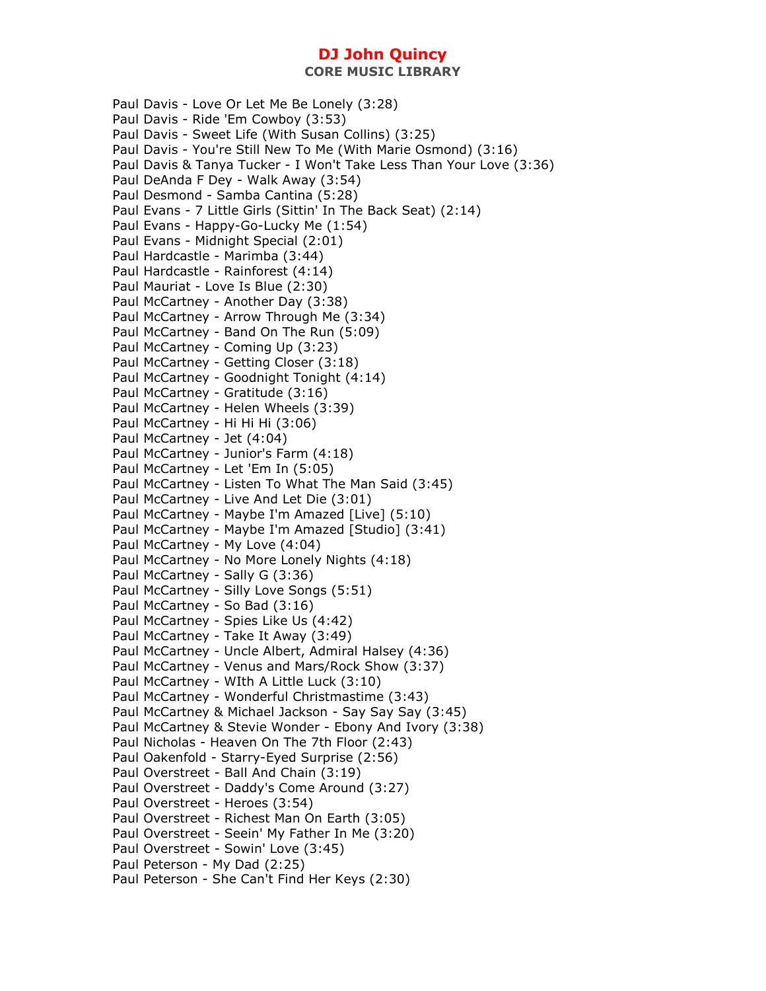Paul Davis - Love Or Let Me Be Lonely (3:28) Paul Davis - Ride 'Em Cowboy (3:53) Paul Davis - Sweet Life (With Susan Collins) (3:25) Paul Davis - You're Still New To Me (With Marie Osmond) (3:16) Paul Davis & Tanya Tucker - I Won't Take Less Than Your Love (3:36) Paul DeAnda F Dey - Walk Away (3:54) Paul Desmond - Samba Cantina (5:28) Paul Evans - 7 Little Girls (Sittin' In The Back Seat) (2:14) Paul Evans - Happy-Go-Lucky Me (1:54) Paul Evans - Midnight Special (2:01) Paul Hardcastle - Marimba (3:44) Paul Hardcastle - Rainforest (4:14) Paul Mauriat - Love Is Blue (2:30) Paul McCartney - Another Day (3:38) Paul McCartney - Arrow Through Me (3:34) Paul McCartney - Band On The Run (5:09) Paul McCartney - Coming Up (3:23) Paul McCartney - Getting Closer (3:18) Paul McCartney - Goodnight Tonight (4:14) Paul McCartney - Gratitude (3:16) Paul McCartney - Helen Wheels (3:39) Paul McCartney - Hi Hi Hi (3:06) Paul McCartney - Jet (4:04) Paul McCartney - Junior's Farm (4:18) Paul McCartney - Let 'Em In (5:05) Paul McCartney - Listen To What The Man Said (3:45) Paul McCartney - Live And Let Die (3:01) Paul McCartney - Maybe I'm Amazed [Live] (5:10) Paul McCartney - Maybe I'm Amazed [Studio] (3:41) Paul McCartney - My Love (4:04) Paul McCartney - No More Lonely Nights (4:18) Paul McCartney - Sally G (3:36) Paul McCartney - Silly Love Songs (5:51) Paul McCartney - So Bad (3:16) Paul McCartney - Spies Like Us (4:42) Paul McCartney - Take It Away (3:49) Paul McCartney - Uncle Albert, Admiral Halsey (4:36) Paul McCartney - Venus and Mars/Rock Show (3:37) Paul McCartney - WIth A Little Luck (3:10) Paul McCartney - Wonderful Christmastime (3:43) Paul McCartney & Michael Jackson - Say Say Say (3:45) Paul McCartney & Stevie Wonder - Ebony And Ivory (3:38) Paul Nicholas - Heaven On The 7th Floor (2:43) Paul Oakenfold - Starry-Eyed Surprise (2:56) Paul Overstreet - Ball And Chain (3:19) Paul Overstreet - Daddy's Come Around (3:27) Paul Overstreet - Heroes (3:54) Paul Overstreet - Richest Man On Earth (3:05) Paul Overstreet - Seein' My Father In Me (3:20) Paul Overstreet - Sowin' Love (3:45) Paul Peterson - My Dad (2:25) Paul Peterson - She Can't Find Her Keys (2:30)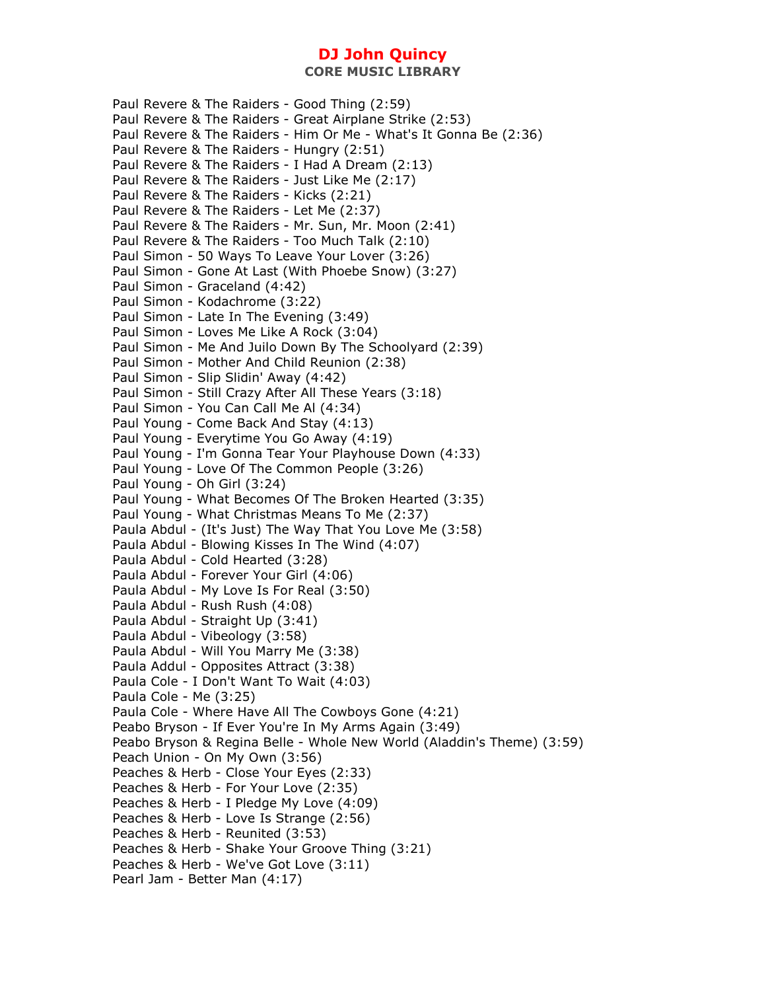**CORE MUSIC LIBRARY** 

Paul Revere & The Raiders - Good Thing (2:59) Paul Revere & The Raiders - Great Airplane Strike (2:53) Paul Revere & The Raiders - Him Or Me - What's It Gonna Be (2:36) Paul Revere & The Raiders - Hungry (2:51) Paul Revere & The Raiders - I Had A Dream (2:13) Paul Revere & The Raiders - Just Like Me (2:17) Paul Revere & The Raiders - Kicks (2:21) Paul Revere & The Raiders - Let Me (2:37) Paul Revere & The Raiders - Mr. Sun, Mr. Moon (2:41) Paul Revere & The Raiders - Too Much Talk (2:10) Paul Simon - 50 Ways To Leave Your Lover (3:26) Paul Simon - Gone At Last (With Phoebe Snow) (3:27) Paul Simon - Graceland (4:42) Paul Simon - Kodachrome (3:22) Paul Simon - Late In The Evening (3:49) Paul Simon - Loves Me Like A Rock (3:04) Paul Simon - Me And Juilo Down By The Schoolyard (2:39) Paul Simon - Mother And Child Reunion (2:38) Paul Simon - Slip Slidin' Away (4:42) Paul Simon - Still Crazy After All These Years (3:18) Paul Simon - You Can Call Me Al (4:34) Paul Young - Come Back And Stay (4:13) Paul Young - Everytime You Go Away (4:19) Paul Young - I'm Gonna Tear Your Playhouse Down (4:33) Paul Young - Love Of The Common People (3:26) Paul Young - Oh Girl (3:24) Paul Young - What Becomes Of The Broken Hearted (3:35) Paul Young - What Christmas Means To Me (2:37) Paula Abdul - (It's Just) The Way That You Love Me (3:58) Paula Abdul - Blowing Kisses In The Wind (4:07) Paula Abdul - Cold Hearted (3:28) Paula Abdul - Forever Your Girl (4:06) Paula Abdul - My Love Is For Real (3:50) Paula Abdul - Rush Rush (4:08) Paula Abdul - Straight Up (3:41) Paula Abdul - Vibeology (3:58) Paula Abdul - Will You Marry Me (3:38) Paula Addul - Opposites Attract (3:38) Paula Cole - I Don't Want To Wait (4:03) Paula Cole - Me (3:25) Paula Cole - Where Have All The Cowboys Gone (4:21) Peabo Bryson - If Ever You're In My Arms Again (3:49) Peabo Bryson & Regina Belle - Whole New World (Aladdin's Theme) (3:59) Peach Union - On My Own (3:56) Peaches & Herb - Close Your Eyes (2:33) Peaches & Herb - For Your Love (2:35) Peaches & Herb - I Pledge My Love (4:09) Peaches & Herb - Love Is Strange (2:56) Peaches & Herb - Reunited (3:53) Peaches & Herb - Shake Your Groove Thing (3:21) Peaches & Herb - We've Got Love (3:11) Pearl Jam - Better Man (4:17)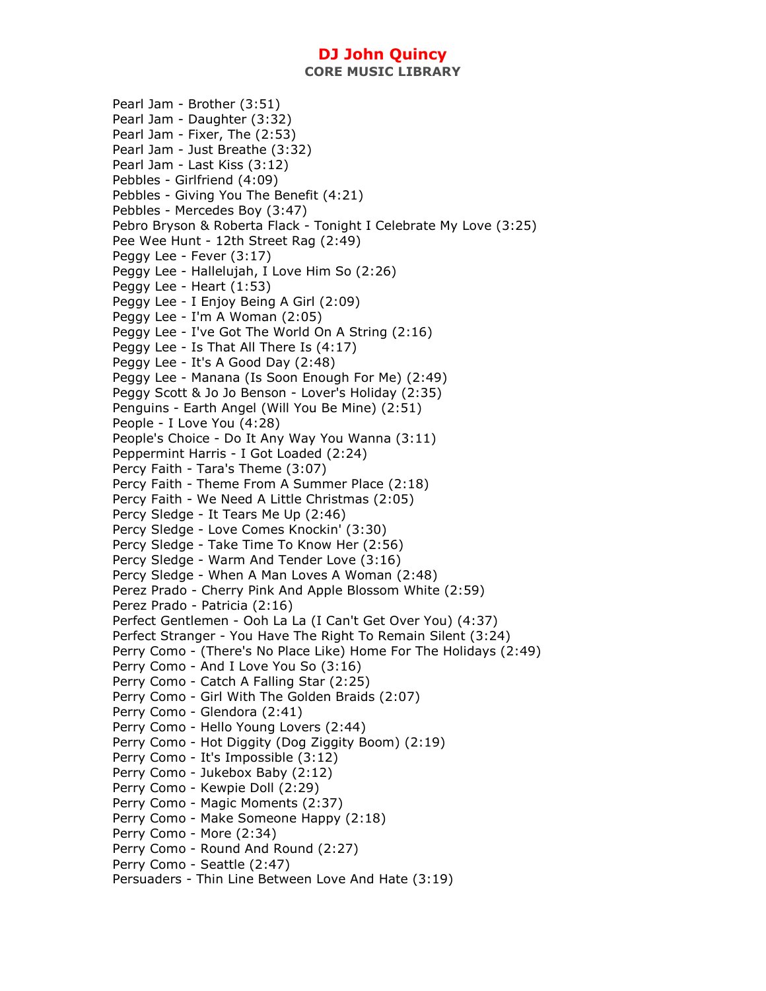**CORE MUSIC LIBRARY** 

Pearl Jam - Brother (3:51) Pearl Jam - Daughter (3:32) Pearl Jam - Fixer, The (2:53) Pearl Jam - Just Breathe (3:32) Pearl Jam - Last Kiss (3:12) Pebbles - Girlfriend (4:09) Pebbles - Giving You The Benefit (4:21) Pebbles - Mercedes Boy (3:47) Pebro Bryson & Roberta Flack - Tonight I Celebrate My Love (3:25) Pee Wee Hunt - 12th Street Rag (2:49) Peggy Lee - Fever (3:17) Peggy Lee - Hallelujah, I Love Him So (2:26) Peggy Lee - Heart (1:53) Peggy Lee - I Enjoy Being A Girl (2:09) Peggy Lee - I'm A Woman (2:05) Peggy Lee - I've Got The World On A String (2:16) Peggy Lee - Is That All There Is (4:17) Peggy Lee - It's A Good Day (2:48) Peggy Lee - Manana (Is Soon Enough For Me) (2:49) Peggy Scott & Jo Jo Benson - Lover's Holiday (2:35) Penguins - Earth Angel (Will You Be Mine) (2:51) People - I Love You (4:28) People's Choice - Do It Any Way You Wanna (3:11) Peppermint Harris - I Got Loaded (2:24) Percy Faith - Tara's Theme (3:07) Percy Faith - Theme From A Summer Place (2:18) Percy Faith - We Need A Little Christmas (2:05) Percy Sledge - It Tears Me Up (2:46) Percy Sledge - Love Comes Knockin' (3:30) Percy Sledge - Take Time To Know Her (2:56) Percy Sledge - Warm And Tender Love (3:16) Percy Sledge - When A Man Loves A Woman (2:48) Perez Prado - Cherry Pink And Apple Blossom White (2:59) Perez Prado - Patricia (2:16) Perfect Gentlemen - Ooh La La (I Can't Get Over You) (4:37) Perfect Stranger - You Have The Right To Remain Silent (3:24) Perry Como - (There's No Place Like) Home For The Holidays (2:49) Perry Como - And I Love You So (3:16) Perry Como - Catch A Falling Star (2:25) Perry Como - Girl With The Golden Braids (2:07) Perry Como - Glendora (2:41) Perry Como - Hello Young Lovers (2:44) Perry Como - Hot Diggity (Dog Ziggity Boom) (2:19) Perry Como - It's Impossible (3:12) Perry Como - Jukebox Baby (2:12) Perry Como - Kewpie Doll (2:29) Perry Como - Magic Moments (2:37) Perry Como - Make Someone Happy (2:18) Perry Como - More (2:34) Perry Como - Round And Round (2:27) Perry Como - Seattle (2:47) Persuaders - Thin Line Between Love And Hate (3:19)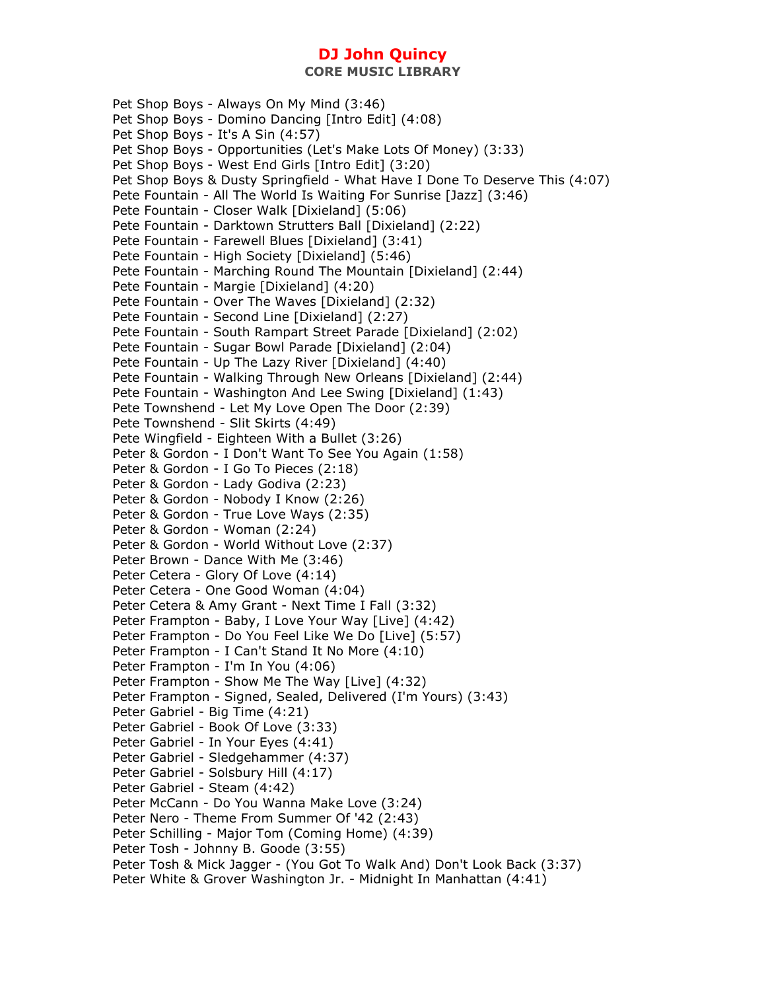Pet Shop Boys - Always On My Mind (3:46) Pet Shop Boys - Domino Dancing [Intro Edit] (4:08) Pet Shop Boys - It's A Sin (4:57) Pet Shop Boys - Opportunities (Let's Make Lots Of Money) (3:33) Pet Shop Boys - West End Girls [Intro Edit] (3:20) Pet Shop Boys & Dusty Springfield - What Have I Done To Deserve This (4:07) Pete Fountain - All The World Is Waiting For Sunrise [Jazz] (3:46) Pete Fountain - Closer Walk [Dixieland] (5:06) Pete Fountain - Darktown Strutters Ball [Dixieland] (2:22) Pete Fountain - Farewell Blues [Dixieland] (3:41) Pete Fountain - High Society [Dixieland] (5:46) Pete Fountain - Marching Round The Mountain [Dixieland] (2:44) Pete Fountain - Margie [Dixieland] (4:20) Pete Fountain - Over The Waves [Dixieland] (2:32) Pete Fountain - Second Line [Dixieland] (2:27) Pete Fountain - South Rampart Street Parade [Dixieland] (2:02) Pete Fountain - Sugar Bowl Parade [Dixieland] (2:04) Pete Fountain - Up The Lazy River [Dixieland] (4:40) Pete Fountain - Walking Through New Orleans [Dixieland] (2:44) Pete Fountain - Washington And Lee Swing [Dixieland] (1:43) Pete Townshend - Let My Love Open The Door (2:39) Pete Townshend - Slit Skirts (4:49) Pete Wingfield - Eighteen With a Bullet (3:26) Peter & Gordon - I Don't Want To See You Again (1:58) Peter & Gordon - I Go To Pieces (2:18) Peter & Gordon - Lady Godiva (2:23) Peter & Gordon - Nobody I Know (2:26) Peter & Gordon - True Love Ways (2:35) Peter & Gordon - Woman (2:24) Peter & Gordon - World Without Love (2:37) Peter Brown - Dance With Me (3:46) Peter Cetera - Glory Of Love (4:14) Peter Cetera - One Good Woman (4:04) Peter Cetera & Amy Grant - Next Time I Fall (3:32) Peter Frampton - Baby, I Love Your Way [Live] (4:42) Peter Frampton - Do You Feel Like We Do [Live] (5:57) Peter Frampton - I Can't Stand It No More (4:10) Peter Frampton - I'm In You (4:06) Peter Frampton - Show Me The Way [Live] (4:32) Peter Frampton - Signed, Sealed, Delivered (I'm Yours) (3:43) Peter Gabriel - Big Time (4:21) Peter Gabriel - Book Of Love (3:33) Peter Gabriel - In Your Eyes (4:41) Peter Gabriel - Sledgehammer (4:37) Peter Gabriel - Solsbury Hill (4:17) Peter Gabriel - Steam (4:42) Peter McCann - Do You Wanna Make Love (3:24) Peter Nero - Theme From Summer Of '42 (2:43) Peter Schilling - Major Tom (Coming Home) (4:39) Peter Tosh - Johnny B. Goode (3:55) Peter Tosh & Mick Jagger - (You Got To Walk And) Don't Look Back (3:37) Peter White & Grover Washington Jr. - Midnight In Manhattan (4:41)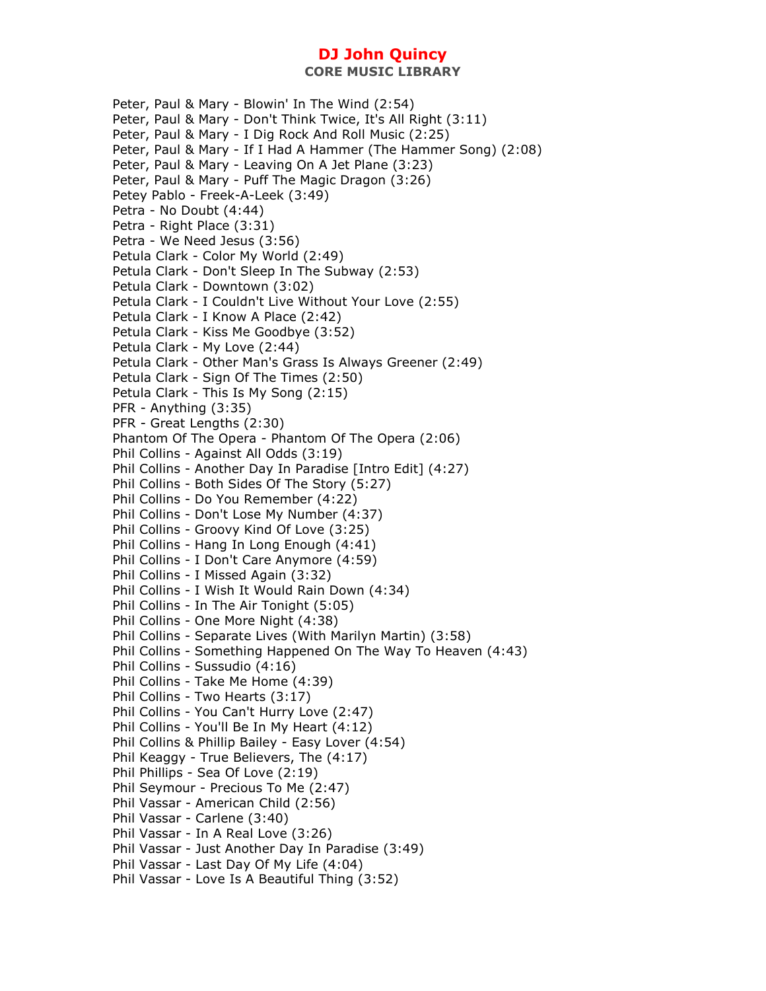Peter, Paul & Mary - Blowin' In The Wind (2:54) Peter, Paul & Mary - Don't Think Twice, It's All Right (3:11) Peter, Paul & Mary - I Dig Rock And Roll Music (2:25) Peter, Paul & Mary - If I Had A Hammer (The Hammer Song) (2:08) Peter, Paul & Mary - Leaving On A Jet Plane (3:23) Peter, Paul & Mary - Puff The Magic Dragon (3:26) Petey Pablo - Freek-A-Leek (3:49) Petra - No Doubt (4:44) Petra - Right Place (3:31) Petra - We Need Jesus (3:56) Petula Clark - Color My World (2:49) Petula Clark - Don't Sleep In The Subway (2:53) Petula Clark - Downtown (3:02) Petula Clark - I Couldn't Live Without Your Love (2:55) Petula Clark - I Know A Place (2:42) Petula Clark - Kiss Me Goodbye (3:52) Petula Clark - My Love (2:44) Petula Clark - Other Man's Grass Is Always Greener (2:49) Petula Clark - Sign Of The Times (2:50) Petula Clark - This Is My Song (2:15) PFR - Anything (3:35) PFR - Great Lengths (2:30) Phantom Of The Opera - Phantom Of The Opera (2:06) Phil Collins - Against All Odds (3:19) Phil Collins - Another Day In Paradise [Intro Edit] (4:27) Phil Collins - Both Sides Of The Story (5:27) Phil Collins - Do You Remember (4:22) Phil Collins - Don't Lose My Number (4:37) Phil Collins - Groovy Kind Of Love (3:25) Phil Collins - Hang In Long Enough (4:41) Phil Collins - I Don't Care Anymore (4:59) Phil Collins - I Missed Again (3:32) Phil Collins - I Wish It Would Rain Down (4:34) Phil Collins - In The Air Tonight (5:05) Phil Collins - One More Night (4:38) Phil Collins - Separate Lives (With Marilyn Martin) (3:58) Phil Collins - Something Happened On The Way To Heaven (4:43) Phil Collins - Sussudio (4:16) Phil Collins - Take Me Home (4:39) Phil Collins - Two Hearts (3:17) Phil Collins - You Can't Hurry Love (2:47) Phil Collins - You'll Be In My Heart (4:12) Phil Collins & Phillip Bailey - Easy Lover (4:54) Phil Keaggy - True Believers, The (4:17) Phil Phillips - Sea Of Love (2:19) Phil Seymour - Precious To Me (2:47) Phil Vassar - American Child (2:56) Phil Vassar - Carlene (3:40) Phil Vassar - In A Real Love (3:26) Phil Vassar - Just Another Day In Paradise (3:49) Phil Vassar - Last Day Of My Life (4:04) Phil Vassar - Love Is A Beautiful Thing (3:52)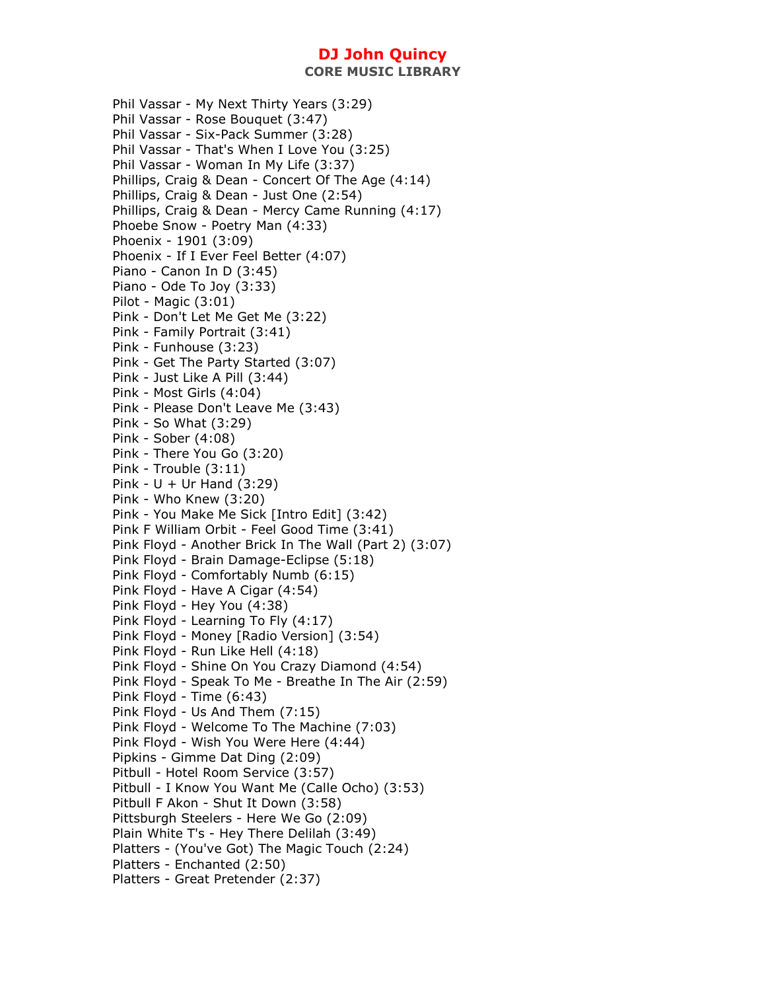**CORE MUSIC LIBRARY** 

Phil Vassar - My Next Thirty Years (3:29) Phil Vassar - Rose Bouquet (3:47) Phil Vassar - Six-Pack Summer (3:28) Phil Vassar - That's When I Love You (3:25) Phil Vassar - Woman In My Life (3:37) Phillips, Craig & Dean - Concert Of The Age (4:14) Phillips, Craig & Dean - Just One (2:54) Phillips, Craig & Dean - Mercy Came Running (4:17) Phoebe Snow - Poetry Man (4:33) Phoenix - 1901 (3:09) Phoenix - If I Ever Feel Better (4:07) Piano - Canon In D (3:45) Piano - Ode To Joy (3:33) Pilot - Magic (3:01) Pink - Don't Let Me Get Me (3:22) Pink - Family Portrait (3:41) Pink - Funhouse (3:23) Pink - Get The Party Started (3:07) Pink - Just Like A Pill (3:44) Pink - Most Girls (4:04) Pink - Please Don't Leave Me (3:43) Pink - So What (3:29) Pink - Sober (4:08) Pink - There You Go (3:20) Pink - Trouble (3:11) Pink -  $U + Ur$  Hand  $(3:29)$ Pink - Who Knew (3:20) Pink - You Make Me Sick [Intro Edit] (3:42) Pink F William Orbit - Feel Good Time (3:41) Pink Floyd - Another Brick In The Wall (Part 2) (3:07) Pink Floyd - Brain Damage-Eclipse (5:18) Pink Floyd - Comfortably Numb (6:15) Pink Floyd - Have A Cigar (4:54) Pink Floyd - Hey You (4:38) Pink Floyd - Learning To Fly (4:17) Pink Floyd - Money [Radio Version] (3:54) Pink Floyd - Run Like Hell (4:18) Pink Floyd - Shine On You Crazy Diamond (4:54) Pink Floyd - Speak To Me - Breathe In The Air (2:59) Pink Floyd - Time (6:43) Pink Floyd - Us And Them (7:15) Pink Floyd - Welcome To The Machine (7:03) Pink Floyd - Wish You Were Here (4:44) Pipkins - Gimme Dat Ding (2:09) Pitbull - Hotel Room Service (3:57) Pitbull - I Know You Want Me (Calle Ocho) (3:53) Pitbull F Akon - Shut It Down (3:58) Pittsburgh Steelers - Here We Go (2:09) Plain White T's - Hey There Delilah (3:49) Platters - (You've Got) The Magic Touch (2:24) Platters - Enchanted (2:50) Platters - Great Pretender (2:37)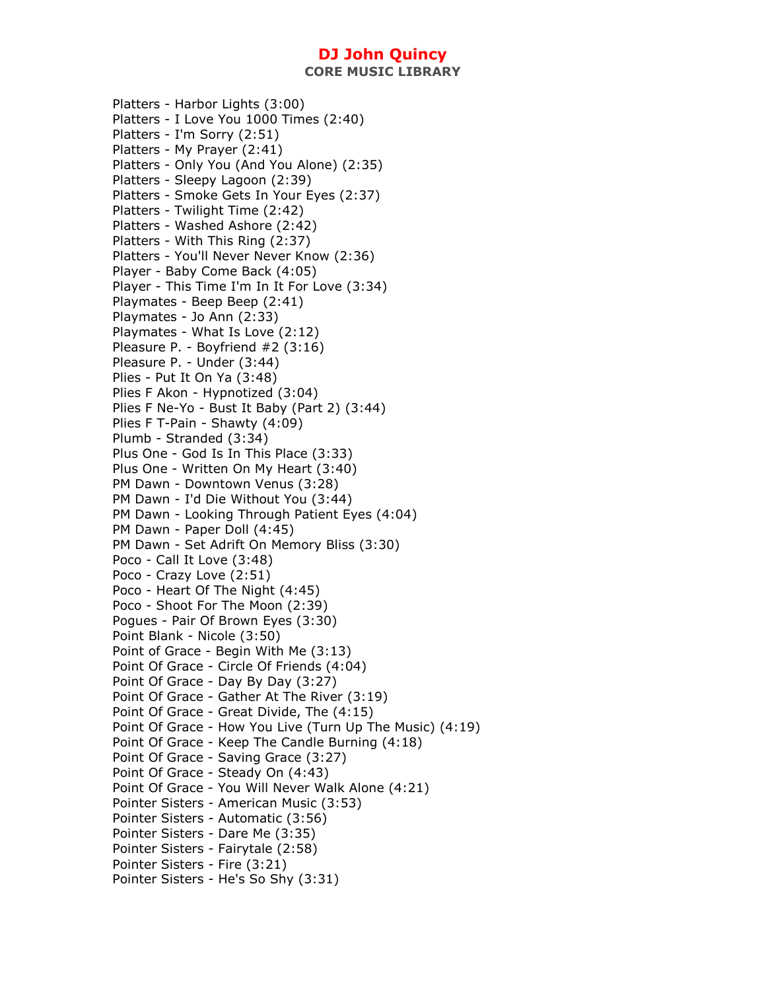**CORE MUSIC LIBRARY** 

Platters - Harbor Lights (3:00) Platters - I Love You 1000 Times (2:40) Platters - I'm Sorry (2:51) Platters - My Prayer (2:41) Platters - Only You (And You Alone) (2:35) Platters - Sleepy Lagoon (2:39) Platters - Smoke Gets In Your Eyes (2:37) Platters - Twilight Time (2:42) Platters - Washed Ashore (2:42) Platters - With This Ring (2:37) Platters - You'll Never Never Know (2:36) Player - Baby Come Back (4:05) Player - This Time I'm In It For Love (3:34) Playmates - Beep Beep (2:41) Playmates - Jo Ann (2:33) Playmates - What Is Love (2:12) Pleasure P. - Boyfriend #2 (3:16) Pleasure P. - Under (3:44) Plies - Put It On Ya (3:48) Plies F Akon - Hypnotized (3:04) Plies F Ne-Yo - Bust It Baby (Part 2) (3:44) Plies F T-Pain - Shawty (4:09) Plumb - Stranded (3:34) Plus One - God Is In This Place (3:33) Plus One - Written On My Heart (3:40) PM Dawn - Downtown Venus (3:28) PM Dawn - I'd Die Without You (3:44) PM Dawn - Looking Through Patient Eyes (4:04) PM Dawn - Paper Doll (4:45) PM Dawn - Set Adrift On Memory Bliss (3:30) Poco - Call It Love (3:48) Poco - Crazy Love (2:51) Poco - Heart Of The Night (4:45) Poco - Shoot For The Moon (2:39) Pogues - Pair Of Brown Eyes (3:30) Point Blank - Nicole (3:50) Point of Grace - Begin With Me (3:13) Point Of Grace - Circle Of Friends (4:04) Point Of Grace - Day By Day (3:27) Point Of Grace - Gather At The River (3:19) Point Of Grace - Great Divide, The (4:15) Point Of Grace - How You Live (Turn Up The Music) (4:19) Point Of Grace - Keep The Candle Burning (4:18) Point Of Grace - Saving Grace (3:27) Point Of Grace - Steady On (4:43) Point Of Grace - You Will Never Walk Alone (4:21) Pointer Sisters - American Music (3:53) Pointer Sisters - Automatic (3:56) Pointer Sisters - Dare Me (3:35) Pointer Sisters - Fairytale (2:58) Pointer Sisters - Fire (3:21) Pointer Sisters - He's So Shy (3:31)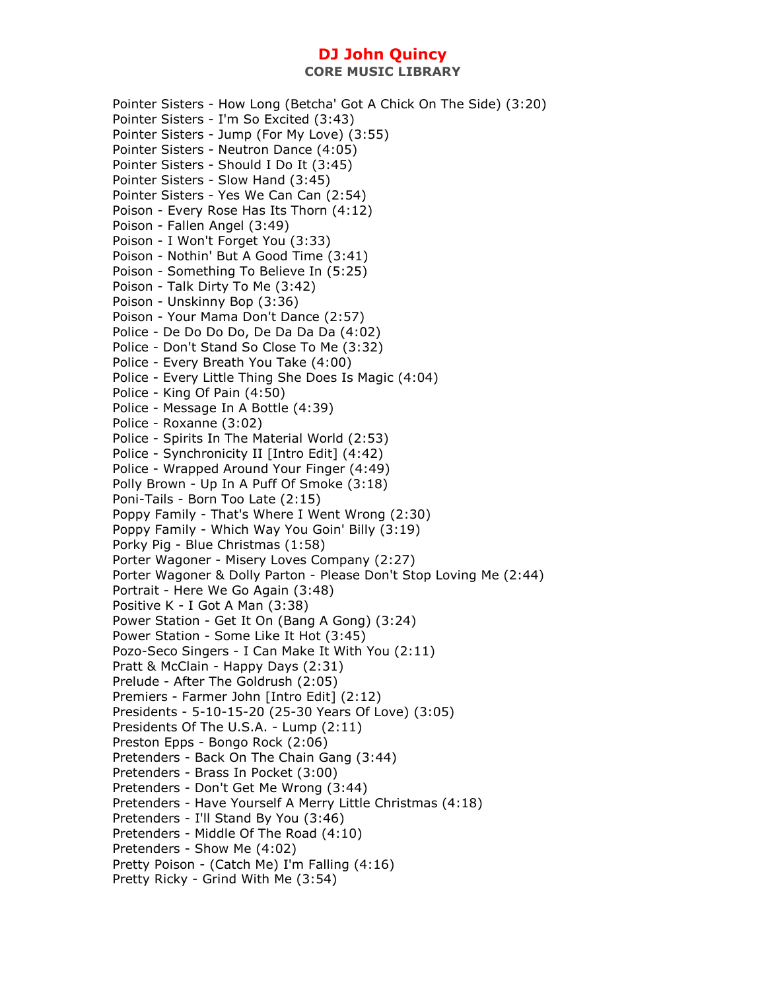Pointer Sisters - How Long (Betcha' Got A Chick On The Side) (3:20) Pointer Sisters - I'm So Excited (3:43) Pointer Sisters - Jump (For My Love) (3:55) Pointer Sisters - Neutron Dance (4:05) Pointer Sisters - Should I Do It (3:45) Pointer Sisters - Slow Hand (3:45) Pointer Sisters - Yes We Can Can (2:54) Poison - Every Rose Has Its Thorn (4:12) Poison - Fallen Angel (3:49) Poison - I Won't Forget You (3:33) Poison - Nothin' But A Good Time (3:41) Poison - Something To Believe In (5:25) Poison - Talk Dirty To Me (3:42) Poison - Unskinny Bop (3:36) Poison - Your Mama Don't Dance (2:57) Police - De Do Do Do, De Da Da Da (4:02) Police - Don't Stand So Close To Me (3:32) Police - Every Breath You Take (4:00) Police - Every Little Thing She Does Is Magic (4:04) Police - King Of Pain (4:50) Police - Message In A Bottle (4:39) Police - Roxanne (3:02) Police - Spirits In The Material World (2:53) Police - Synchronicity II [Intro Edit] (4:42) Police - Wrapped Around Your Finger (4:49) Polly Brown - Up In A Puff Of Smoke (3:18) Poni-Tails - Born Too Late (2:15) Poppy Family - That's Where I Went Wrong (2:30) Poppy Family - Which Way You Goin' Billy (3:19) Porky Pig - Blue Christmas (1:58) Porter Wagoner - Misery Loves Company (2:27) Porter Wagoner & Dolly Parton - Please Don't Stop Loving Me (2:44) Portrait - Here We Go Again (3:48) Positive K - I Got A Man (3:38) Power Station - Get It On (Bang A Gong) (3:24) Power Station - Some Like It Hot (3:45) Pozo-Seco Singers - I Can Make It With You (2:11) Pratt & McClain - Happy Days (2:31) Prelude - After The Goldrush (2:05) Premiers - Farmer John [Intro Edit] (2:12) Presidents - 5-10-15-20 (25-30 Years Of Love) (3:05) Presidents Of The U.S.A. - Lump (2:11) Preston Epps - Bongo Rock (2:06) Pretenders - Back On The Chain Gang (3:44) Pretenders - Brass In Pocket (3:00) Pretenders - Don't Get Me Wrong (3:44) Pretenders - Have Yourself A Merry Little Christmas (4:18) Pretenders - I'll Stand By You (3:46) Pretenders - Middle Of The Road (4:10) Pretenders - Show Me (4:02) Pretty Poison - (Catch Me) I'm Falling (4:16) Pretty Ricky - Grind With Me (3:54)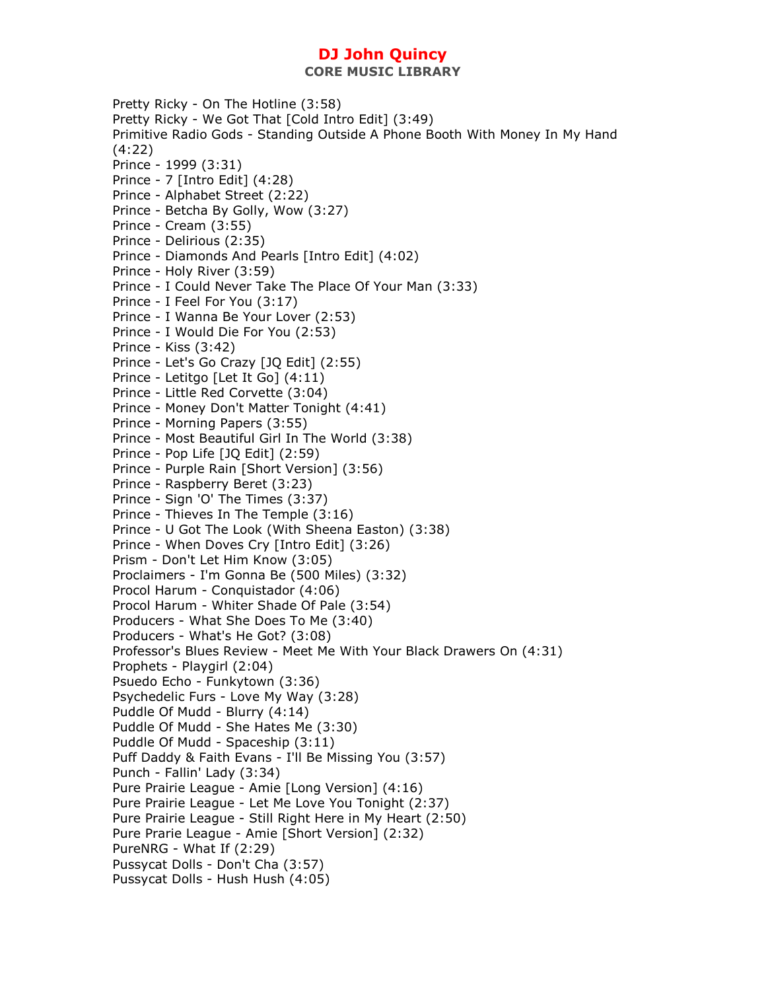**CORE MUSIC LIBRARY** 

Pretty Ricky - On The Hotline (3:58) Pretty Ricky - We Got That [Cold Intro Edit] (3:49) Primitive Radio Gods - Standing Outside A Phone Booth With Money In My Hand (4:22) Prince - 1999 (3:31) Prince - 7 [Intro Edit] (4:28) Prince - Alphabet Street (2:22) Prince - Betcha By Golly, Wow (3:27) Prince - Cream (3:55) Prince - Delirious (2:35) Prince - Diamonds And Pearls [Intro Edit] (4:02) Prince - Holy River (3:59) Prince - I Could Never Take The Place Of Your Man (3:33) Prince - I Feel For You (3:17) Prince - I Wanna Be Your Lover (2:53) Prince - I Would Die For You (2:53) Prince - Kiss (3:42) Prince - Let's Go Crazy [JQ Edit] (2:55) Prince - Letitgo [Let It Go] (4:11) Prince - Little Red Corvette (3:04) Prince - Money Don't Matter Tonight (4:41) Prince - Morning Papers (3:55) Prince - Most Beautiful Girl In The World (3:38) Prince - Pop Life [JQ Edit] (2:59) Prince - Purple Rain [Short Version] (3:56) Prince - Raspberry Beret (3:23) Prince - Sign 'O' The Times (3:37) Prince - Thieves In The Temple (3:16) Prince - U Got The Look (With Sheena Easton) (3:38) Prince - When Doves Cry [Intro Edit] (3:26) Prism - Don't Let Him Know (3:05) Proclaimers - I'm Gonna Be (500 Miles) (3:32) Procol Harum - Conquistador (4:06) Procol Harum - Whiter Shade Of Pale (3:54) Producers - What She Does To Me (3:40) Producers - What's He Got? (3:08) Professor's Blues Review - Meet Me With Your Black Drawers On (4:31) Prophets - Playgirl (2:04) Psuedo Echo - Funkytown (3:36) Psychedelic Furs - Love My Way (3:28) Puddle Of Mudd - Blurry (4:14) Puddle Of Mudd - She Hates Me (3:30) Puddle Of Mudd - Spaceship (3:11) Puff Daddy & Faith Evans - I'll Be Missing You (3:57) Punch - Fallin' Lady (3:34) Pure Prairie League - Amie [Long Version] (4:16) Pure Prairie League - Let Me Love You Tonight (2:37) Pure Prairie League - Still Right Here in My Heart (2:50) Pure Prarie League - Amie [Short Version] (2:32) PureNRG - What If (2:29) Pussycat Dolls - Don't Cha (3:57) Pussycat Dolls - Hush Hush (4:05)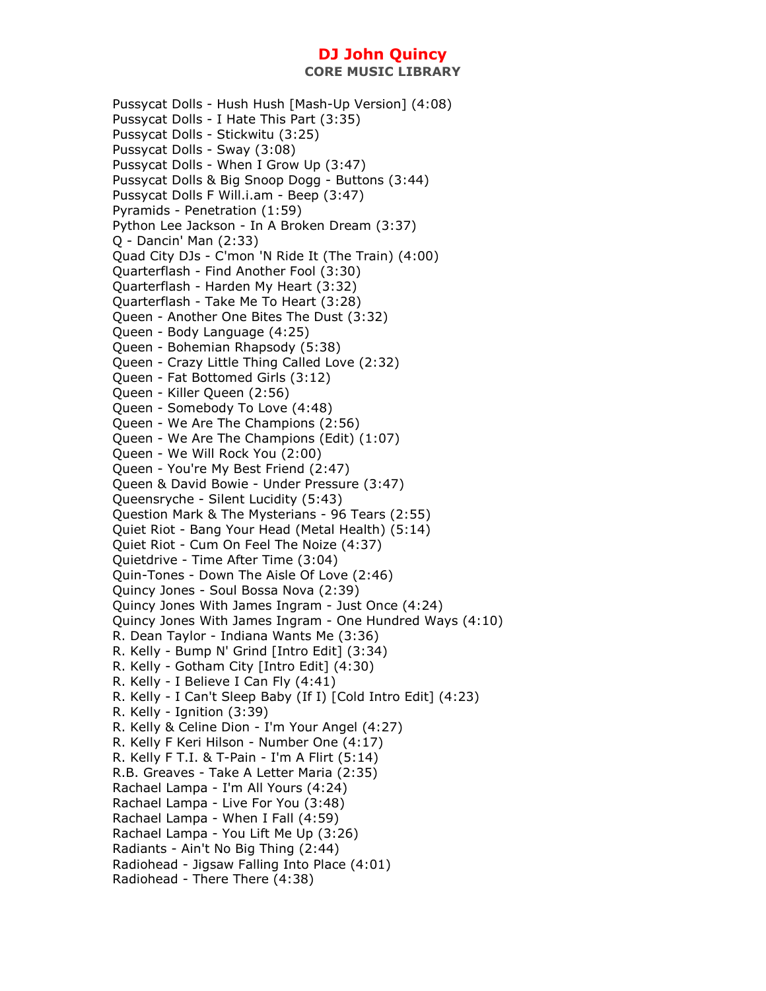Pussycat Dolls - Hush Hush [Mash-Up Version] (4:08) Pussycat Dolls - I Hate This Part (3:35) Pussycat Dolls - Stickwitu (3:25) Pussycat Dolls - Sway (3:08) Pussycat Dolls - When I Grow Up (3:47) Pussycat Dolls & Big Snoop Dogg - Buttons (3:44) Pussycat Dolls F Will.i.am - Beep (3:47) Pyramids - Penetration (1:59) Python Lee Jackson - In A Broken Dream (3:37) Q - Dancin' Man (2:33) Quad City DJs - C'mon 'N Ride It (The Train) (4:00) Quarterflash - Find Another Fool (3:30) Quarterflash - Harden My Heart (3:32) Quarterflash - Take Me To Heart (3:28) Queen - Another One Bites The Dust (3:32) Queen - Body Language (4:25) Queen - Bohemian Rhapsody (5:38) Queen - Crazy Little Thing Called Love (2:32) Queen - Fat Bottomed Girls (3:12) Queen - Killer Queen (2:56) Queen - Somebody To Love (4:48) Queen - We Are The Champions (2:56) Queen - We Are The Champions (Edit) (1:07) Queen - We Will Rock You (2:00) Queen - You're My Best Friend (2:47) Queen & David Bowie - Under Pressure (3:47) Queensryche - Silent Lucidity (5:43) Question Mark & The Mysterians - 96 Tears (2:55) Quiet Riot - Bang Your Head (Metal Health) (5:14) Quiet Riot - Cum On Feel The Noize (4:37) Quietdrive - Time After Time (3:04) Quin-Tones - Down The Aisle Of Love (2:46) Quincy Jones - Soul Bossa Nova (2:39) Quincy Jones With James Ingram - Just Once (4:24) Quincy Jones With James Ingram - One Hundred Ways (4:10) R. Dean Taylor - Indiana Wants Me (3:36) R. Kelly - Bump N' Grind [Intro Edit] (3:34) R. Kelly - Gotham City [Intro Edit] (4:30) R. Kelly - I Believe I Can Fly (4:41) R. Kelly - I Can't Sleep Baby (If I) [Cold Intro Edit] (4:23) R. Kelly - Ignition (3:39) R. Kelly & Celine Dion - I'm Your Angel (4:27) R. Kelly F Keri Hilson - Number One (4:17) R. Kelly F T.I. & T-Pain - I'm A Flirt (5:14) R.B. Greaves - Take A Letter Maria (2:35) Rachael Lampa - I'm All Yours (4:24) Rachael Lampa - Live For You (3:48) Rachael Lampa - When I Fall (4:59) Rachael Lampa - You Lift Me Up (3:26) Radiants - Ain't No Big Thing (2:44) Radiohead - Jigsaw Falling Into Place (4:01) Radiohead - There There (4:38)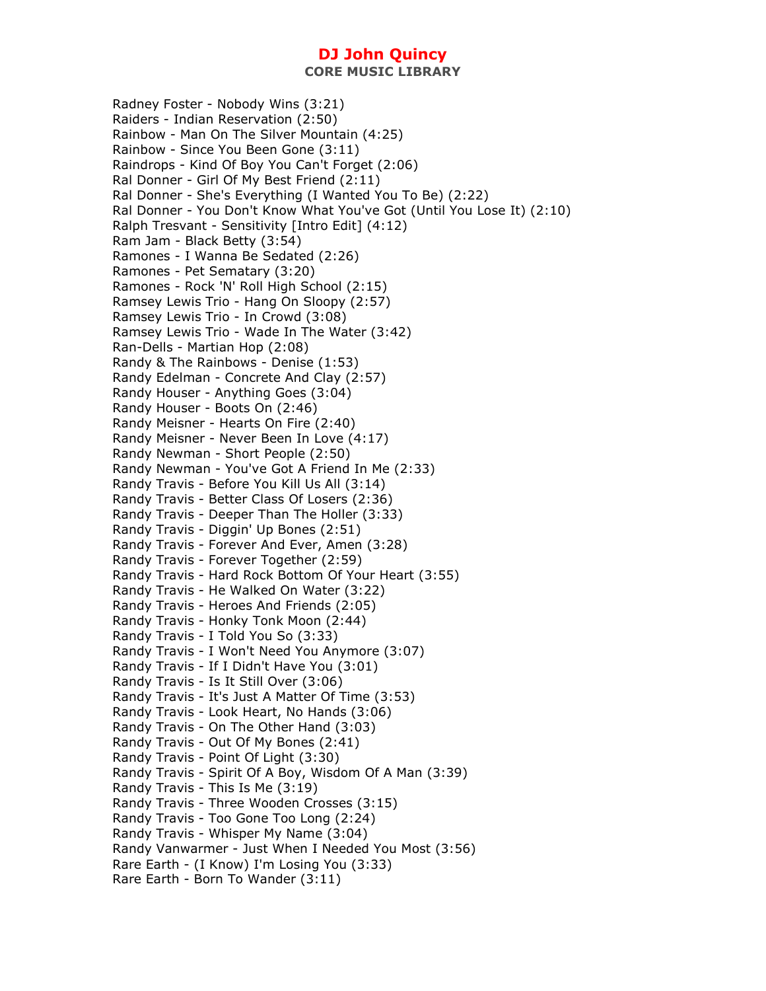**CORE MUSIC LIBRARY** 

Radney Foster - Nobody Wins (3:21) Raiders - Indian Reservation (2:50) Rainbow - Man On The Silver Mountain (4:25) Rainbow - Since You Been Gone (3:11) Raindrops - Kind Of Boy You Can't Forget (2:06) Ral Donner - Girl Of My Best Friend (2:11) Ral Donner - She's Everything (I Wanted You To Be) (2:22) Ral Donner - You Don't Know What You've Got (Until You Lose It) (2:10) Ralph Tresvant - Sensitivity [Intro Edit] (4:12) Ram Jam - Black Betty (3:54) Ramones - I Wanna Be Sedated (2:26) Ramones - Pet Sematary (3:20) Ramones - Rock 'N' Roll High School (2:15) Ramsey Lewis Trio - Hang On Sloopy (2:57) Ramsey Lewis Trio - In Crowd (3:08) Ramsey Lewis Trio - Wade In The Water (3:42) Ran-Dells - Martian Hop (2:08) Randy & The Rainbows - Denise (1:53) Randy Edelman - Concrete And Clay (2:57) Randy Houser - Anything Goes (3:04) Randy Houser - Boots On (2:46) Randy Meisner - Hearts On Fire (2:40) Randy Meisner - Never Been In Love (4:17) Randy Newman - Short People (2:50) Randy Newman - You've Got A Friend In Me (2:33) Randy Travis - Before You Kill Us All (3:14) Randy Travis - Better Class Of Losers (2:36) Randy Travis - Deeper Than The Holler (3:33) Randy Travis - Diggin' Up Bones (2:51) Randy Travis - Forever And Ever, Amen (3:28) Randy Travis - Forever Together (2:59) Randy Travis - Hard Rock Bottom Of Your Heart (3:55) Randy Travis - He Walked On Water (3:22) Randy Travis - Heroes And Friends (2:05) Randy Travis - Honky Tonk Moon (2:44) Randy Travis - I Told You So (3:33) Randy Travis - I Won't Need You Anymore (3:07) Randy Travis - If I Didn't Have You (3:01) Randy Travis - Is It Still Over (3:06) Randy Travis - It's Just A Matter Of Time (3:53) Randy Travis - Look Heart, No Hands (3:06) Randy Travis - On The Other Hand (3:03) Randy Travis - Out Of My Bones (2:41) Randy Travis - Point Of Light (3:30) Randy Travis - Spirit Of A Boy, Wisdom Of A Man (3:39) Randy Travis - This Is Me (3:19) Randy Travis - Three Wooden Crosses (3:15) Randy Travis - Too Gone Too Long (2:24) Randy Travis - Whisper My Name (3:04) Randy Vanwarmer - Just When I Needed You Most (3:56) Rare Earth - (I Know) I'm Losing You (3:33) Rare Earth - Born To Wander (3:11)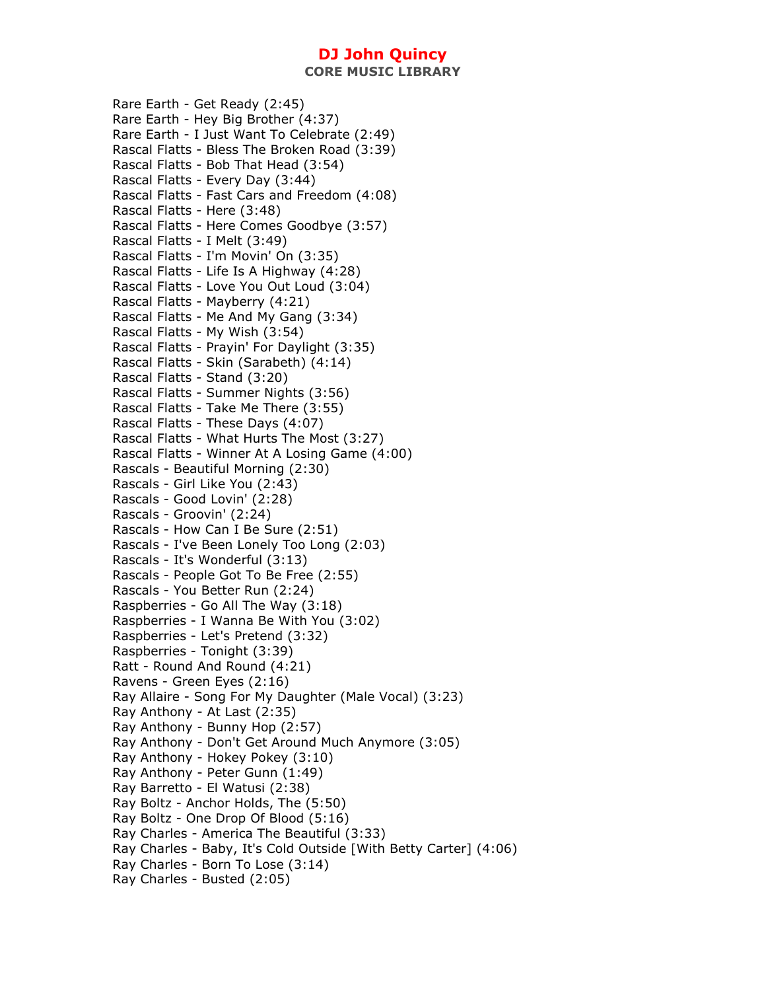**CORE MUSIC LIBRARY** 

Rare Earth - Get Ready (2:45) Rare Earth - Hey Big Brother (4:37) Rare Earth - I Just Want To Celebrate (2:49) Rascal Flatts - Bless The Broken Road (3:39) Rascal Flatts - Bob That Head (3:54) Rascal Flatts - Every Day (3:44) Rascal Flatts - Fast Cars and Freedom (4:08) Rascal Flatts - Here (3:48) Rascal Flatts - Here Comes Goodbye (3:57) Rascal Flatts - I Melt (3:49) Rascal Flatts - I'm Movin' On (3:35) Rascal Flatts - Life Is A Highway (4:28) Rascal Flatts - Love You Out Loud (3:04) Rascal Flatts - Mayberry (4:21) Rascal Flatts - Me And My Gang (3:34) Rascal Flatts - My Wish (3:54) Rascal Flatts - Prayin' For Daylight (3:35) Rascal Flatts - Skin (Sarabeth) (4:14) Rascal Flatts - Stand (3:20) Rascal Flatts - Summer Nights (3:56) Rascal Flatts - Take Me There (3:55) Rascal Flatts - These Days (4:07) Rascal Flatts - What Hurts The Most (3:27) Rascal Flatts - Winner At A Losing Game (4:00) Rascals - Beautiful Morning (2:30) Rascals - Girl Like You (2:43) Rascals - Good Lovin' (2:28) Rascals - Groovin' (2:24) Rascals - How Can I Be Sure (2:51) Rascals - I've Been Lonely Too Long (2:03) Rascals - It's Wonderful (3:13) Rascals - People Got To Be Free (2:55) Rascals - You Better Run (2:24) Raspberries - Go All The Way (3:18) Raspberries - I Wanna Be With You (3:02) Raspberries - Let's Pretend (3:32) Raspberries - Tonight (3:39) Ratt - Round And Round (4:21) Ravens - Green Eyes (2:16) Ray Allaire - Song For My Daughter (Male Vocal) (3:23) Ray Anthony - At Last (2:35) Ray Anthony - Bunny Hop (2:57) Ray Anthony - Don't Get Around Much Anymore (3:05) Ray Anthony - Hokey Pokey (3:10) Ray Anthony - Peter Gunn (1:49) Ray Barretto - El Watusi (2:38) Ray Boltz - Anchor Holds, The (5:50) Ray Boltz - One Drop Of Blood (5:16) Ray Charles - America The Beautiful (3:33) Ray Charles - Baby, It's Cold Outside [With Betty Carter] (4:06) Ray Charles - Born To Lose (3:14) Ray Charles - Busted (2:05)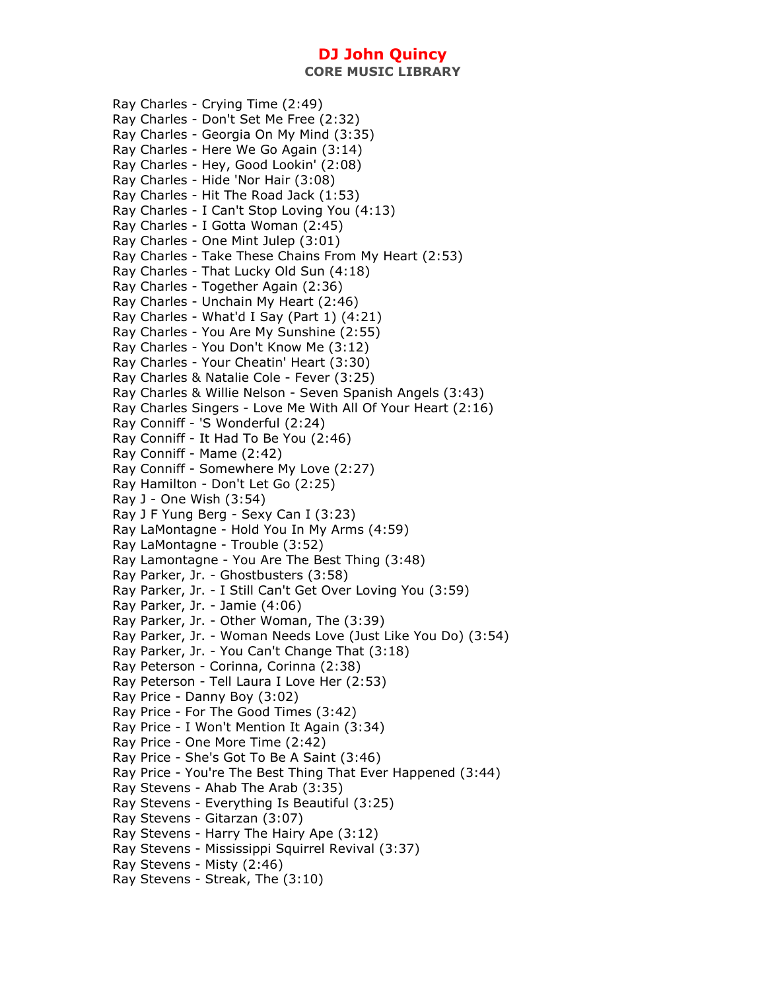**CORE MUSIC LIBRARY** 

Ray Charles - Crying Time (2:49) Ray Charles - Don't Set Me Free (2:32) Ray Charles - Georgia On My Mind (3:35) Ray Charles - Here We Go Again (3:14) Ray Charles - Hey, Good Lookin' (2:08) Ray Charles - Hide 'Nor Hair (3:08) Ray Charles - Hit The Road Jack (1:53) Ray Charles - I Can't Stop Loving You (4:13) Ray Charles - I Gotta Woman (2:45) Ray Charles - One Mint Julep (3:01) Ray Charles - Take These Chains From My Heart (2:53) Ray Charles - That Lucky Old Sun (4:18) Ray Charles - Together Again (2:36) Ray Charles - Unchain My Heart (2:46) Ray Charles - What'd I Say (Part 1) (4:21) Ray Charles - You Are My Sunshine (2:55) Ray Charles - You Don't Know Me (3:12) Ray Charles - Your Cheatin' Heart (3:30) Ray Charles & Natalie Cole - Fever (3:25) Ray Charles & Willie Nelson - Seven Spanish Angels (3:43) Ray Charles Singers - Love Me With All Of Your Heart (2:16) Ray Conniff - 'S Wonderful (2:24) Ray Conniff - It Had To Be You (2:46) Ray Conniff - Mame (2:42) Ray Conniff - Somewhere My Love (2:27) Ray Hamilton - Don't Let Go (2:25) Ray J - One Wish (3:54) Ray J F Yung Berg - Sexy Can I (3:23) Ray LaMontagne - Hold You In My Arms (4:59) Ray LaMontagne - Trouble (3:52) Ray Lamontagne - You Are The Best Thing (3:48) Ray Parker, Jr. - Ghostbusters (3:58) Ray Parker, Jr. - I Still Can't Get Over Loving You (3:59) Ray Parker, Jr. - Jamie (4:06) Ray Parker, Jr. - Other Woman, The (3:39) Ray Parker, Jr. - Woman Needs Love (Just Like You Do) (3:54) Ray Parker, Jr. - You Can't Change That (3:18) Ray Peterson - Corinna, Corinna (2:38) Ray Peterson - Tell Laura I Love Her (2:53) Ray Price - Danny Boy (3:02) Ray Price - For The Good Times (3:42) Ray Price - I Won't Mention It Again (3:34) Ray Price - One More Time (2:42) Ray Price - She's Got To Be A Saint (3:46) Ray Price - You're The Best Thing That Ever Happened (3:44) Ray Stevens - Ahab The Arab (3:35) Ray Stevens - Everything Is Beautiful (3:25) Ray Stevens - Gitarzan (3:07) Ray Stevens - Harry The Hairy Ape (3:12) Ray Stevens - Mississippi Squirrel Revival (3:37) Ray Stevens - Misty (2:46) Ray Stevens - Streak, The (3:10)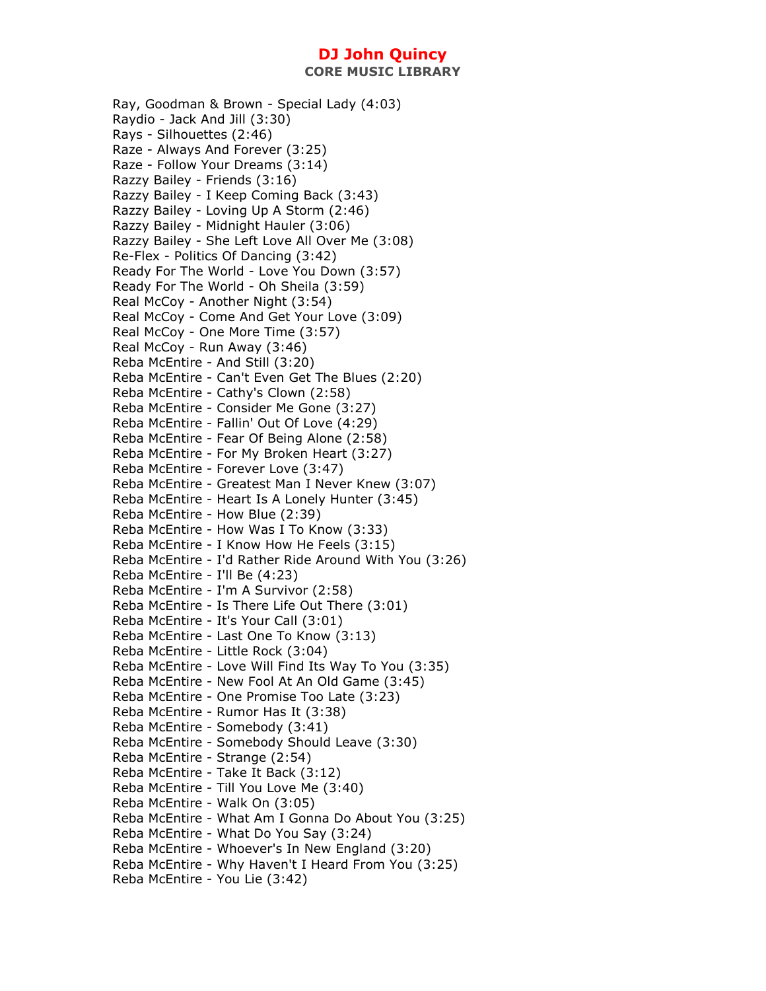Ray, Goodman & Brown - Special Lady (4:03) Raydio - Jack And Jill (3:30) Rays - Silhouettes (2:46) Raze - Always And Forever (3:25) Raze - Follow Your Dreams (3:14) Razzy Bailey - Friends (3:16) Razzy Bailey - I Keep Coming Back (3:43) Razzy Bailey - Loving Up A Storm (2:46) Razzy Bailey - Midnight Hauler (3:06) Razzy Bailey - She Left Love All Over Me (3:08) Re-Flex - Politics Of Dancing (3:42) Ready For The World - Love You Down (3:57) Ready For The World - Oh Sheila (3:59) Real McCoy - Another Night (3:54) Real McCoy - Come And Get Your Love (3:09) Real McCoy - One More Time (3:57) Real McCoy - Run Away (3:46) Reba McEntire - And Still (3:20) Reba McEntire - Can't Even Get The Blues (2:20) Reba McEntire - Cathy's Clown (2:58) Reba McEntire - Consider Me Gone (3:27) Reba McEntire - Fallin' Out Of Love (4:29) Reba McEntire - Fear Of Being Alone (2:58) Reba McEntire - For My Broken Heart (3:27) Reba McEntire - Forever Love (3:47) Reba McEntire - Greatest Man I Never Knew (3:07) Reba McEntire - Heart Is A Lonely Hunter (3:45) Reba McEntire - How Blue (2:39) Reba McEntire - How Was I To Know (3:33) Reba McEntire - I Know How He Feels (3:15) Reba McEntire - I'd Rather Ride Around With You (3:26) Reba McEntire - I'll Be (4:23) Reba McEntire - I'm A Survivor (2:58) Reba McEntire - Is There Life Out There (3:01) Reba McEntire - It's Your Call (3:01) Reba McEntire - Last One To Know (3:13) Reba McEntire - Little Rock (3:04) Reba McEntire - Love Will Find Its Way To You (3:35) Reba McEntire - New Fool At An Old Game (3:45) Reba McEntire - One Promise Too Late (3:23) Reba McEntire - Rumor Has It (3:38) Reba McEntire - Somebody (3:41) Reba McEntire - Somebody Should Leave (3:30) Reba McEntire - Strange (2:54) Reba McEntire - Take It Back (3:12) Reba McEntire - Till You Love Me (3:40) Reba McEntire - Walk On (3:05) Reba McEntire - What Am I Gonna Do About You (3:25) Reba McEntire - What Do You Say (3:24) Reba McEntire - Whoever's In New England (3:20) Reba McEntire - Why Haven't I Heard From You (3:25) Reba McEntire - You Lie (3:42)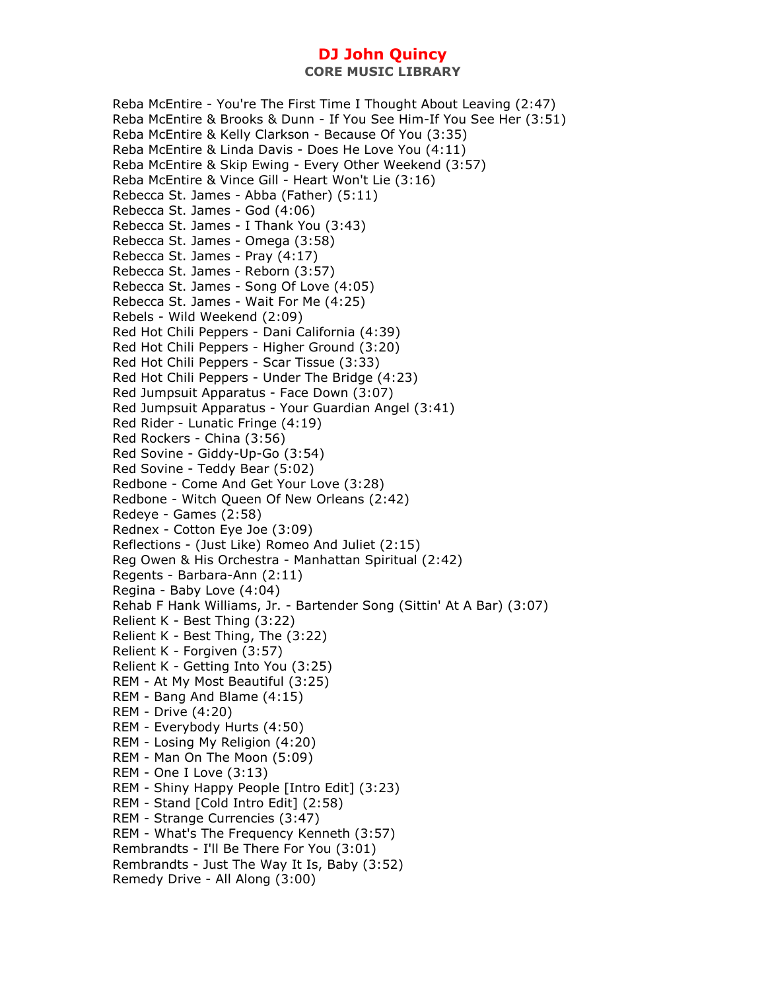Reba McEntire - You're The First Time I Thought About Leaving (2:47) Reba McEntire & Brooks & Dunn - If You See Him-If You See Her (3:51) Reba McEntire & Kelly Clarkson - Because Of You (3:35) Reba McEntire & Linda Davis - Does He Love You (4:11) Reba McEntire & Skip Ewing - Every Other Weekend (3:57) Reba McEntire & Vince Gill - Heart Won't Lie (3:16) Rebecca St. James - Abba (Father) (5:11) Rebecca St. James - God (4:06) Rebecca St. James - I Thank You (3:43) Rebecca St. James - Omega (3:58) Rebecca St. James - Pray (4:17) Rebecca St. James - Reborn (3:57) Rebecca St. James - Song Of Love (4:05) Rebecca St. James - Wait For Me (4:25) Rebels - Wild Weekend (2:09) Red Hot Chili Peppers - Dani California (4:39) Red Hot Chili Peppers - Higher Ground (3:20) Red Hot Chili Peppers - Scar Tissue (3:33) Red Hot Chili Peppers - Under The Bridge (4:23) Red Jumpsuit Apparatus - Face Down (3:07) Red Jumpsuit Apparatus - Your Guardian Angel (3:41) Red Rider - Lunatic Fringe (4:19) Red Rockers - China (3:56) Red Sovine - Giddy-Up-Go (3:54) Red Sovine - Teddy Bear (5:02) Redbone - Come And Get Your Love (3:28) Redbone - Witch Queen Of New Orleans (2:42) Redeye - Games (2:58) Rednex - Cotton Eye Joe (3:09) Reflections - (Just Like) Romeo And Juliet (2:15) Reg Owen & His Orchestra - Manhattan Spiritual (2:42) Regents - Barbara-Ann (2:11) Regina - Baby Love (4:04) Rehab F Hank Williams, Jr. - Bartender Song (Sittin' At A Bar) (3:07) Relient K - Best Thing (3:22) Relient K - Best Thing, The (3:22) Relient K - Forgiven (3:57) Relient K - Getting Into You (3:25) REM - At My Most Beautiful (3:25) REM - Bang And Blame (4:15) REM - Drive (4:20) REM - Everybody Hurts (4:50) REM - Losing My Religion (4:20) REM - Man On The Moon (5:09) REM - One I Love (3:13) REM - Shiny Happy People [Intro Edit] (3:23) REM - Stand [Cold Intro Edit] (2:58) REM - Strange Currencies (3:47) REM - What's The Frequency Kenneth (3:57) Rembrandts - I'll Be There For You (3:01) Rembrandts - Just The Way It Is, Baby (3:52) Remedy Drive - All Along (3:00)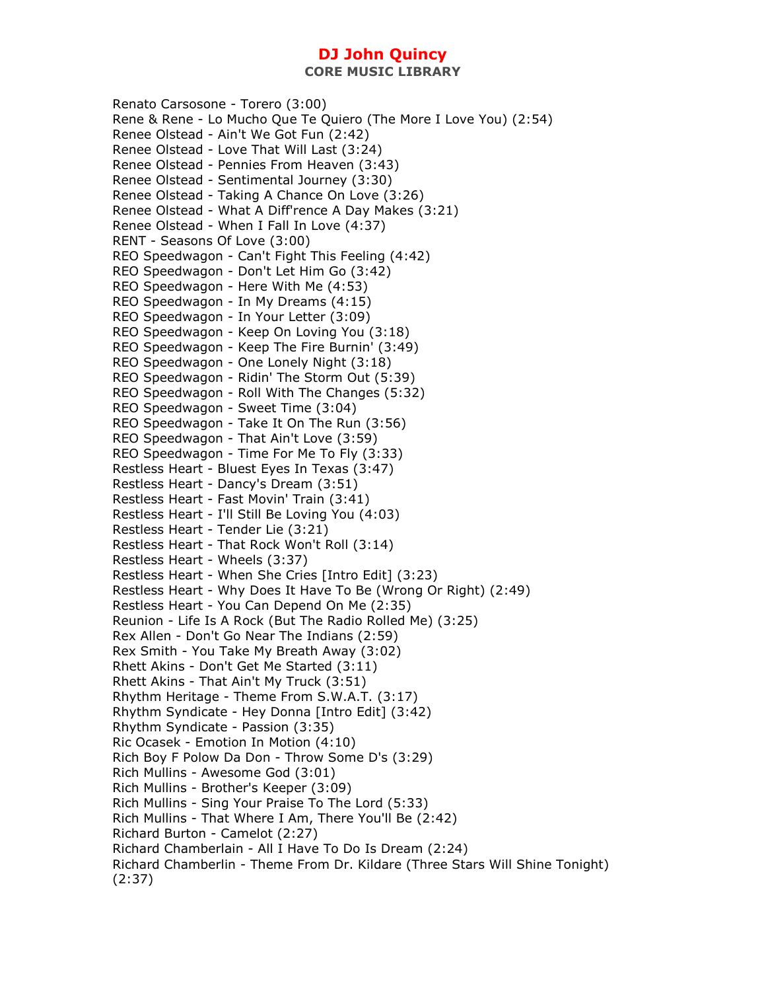**CORE MUSIC LIBRARY** 

Renato Carsosone - Torero (3:00) Rene & Rene - Lo Mucho Que Te Quiero (The More I Love You) (2:54) Renee Olstead - Ain't We Got Fun (2:42) Renee Olstead - Love That Will Last (3:24) Renee Olstead - Pennies From Heaven (3:43) Renee Olstead - Sentimental Journey (3:30) Renee Olstead - Taking A Chance On Love (3:26) Renee Olstead - What A Diff'rence A Day Makes (3:21) Renee Olstead - When I Fall In Love (4:37) RENT - Seasons Of Love (3:00) REO Speedwagon - Can't Fight This Feeling (4:42) REO Speedwagon - Don't Let Him Go (3:42) REO Speedwagon - Here With Me (4:53) REO Speedwagon - In My Dreams (4:15) REO Speedwagon - In Your Letter (3:09) REO Speedwagon - Keep On Loving You (3:18) REO Speedwagon - Keep The Fire Burnin' (3:49) REO Speedwagon - One Lonely Night (3:18) REO Speedwagon - Ridin' The Storm Out (5:39) REO Speedwagon - Roll With The Changes (5:32) REO Speedwagon - Sweet Time (3:04) REO Speedwagon - Take It On The Run (3:56) REO Speedwagon - That Ain't Love (3:59) REO Speedwagon - Time For Me To Fly (3:33) Restless Heart - Bluest Eyes In Texas (3:47) Restless Heart - Dancy's Dream (3:51) Restless Heart - Fast Movin' Train (3:41) Restless Heart - I'll Still Be Loving You (4:03) Restless Heart - Tender Lie (3:21) Restless Heart - That Rock Won't Roll (3:14) Restless Heart - Wheels (3:37) Restless Heart - When She Cries [Intro Edit] (3:23) Restless Heart - Why Does It Have To Be (Wrong Or Right) (2:49) Restless Heart - You Can Depend On Me (2:35) Reunion - Life Is A Rock (But The Radio Rolled Me) (3:25) Rex Allen - Don't Go Near The Indians (2:59) Rex Smith - You Take My Breath Away (3:02) Rhett Akins - Don't Get Me Started (3:11) Rhett Akins - That Ain't My Truck (3:51) Rhythm Heritage - Theme From S.W.A.T. (3:17) Rhythm Syndicate - Hey Donna [Intro Edit] (3:42) Rhythm Syndicate - Passion (3:35) Ric Ocasek - Emotion In Motion (4:10) Rich Boy F Polow Da Don - Throw Some D's (3:29) Rich Mullins - Awesome God (3:01) Rich Mullins - Brother's Keeper (3:09) Rich Mullins - Sing Your Praise To The Lord (5:33) Rich Mullins - That Where I Am, There You'll Be (2:42) Richard Burton - Camelot (2:27) Richard Chamberlain - All I Have To Do Is Dream (2:24) Richard Chamberlin - Theme From Dr. Kildare (Three Stars Will Shine Tonight) (2:37)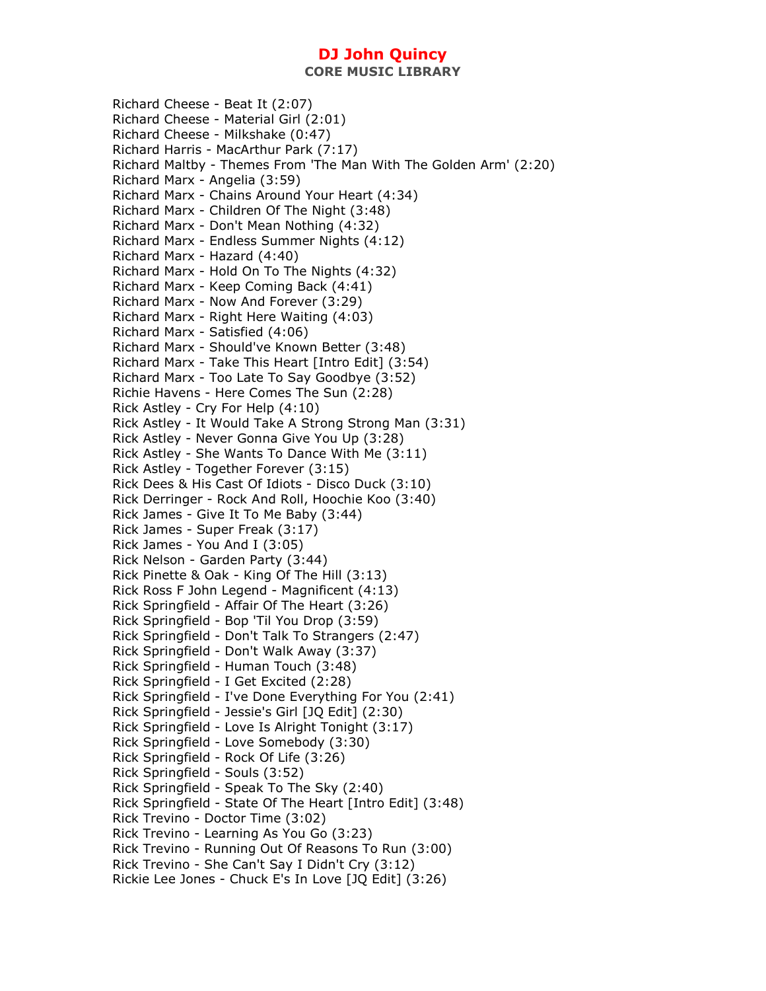**CORE MUSIC LIBRARY** 

Richard Cheese - Beat It (2:07) Richard Cheese - Material Girl (2:01) Richard Cheese - Milkshake (0:47) Richard Harris - MacArthur Park (7:17) Richard Maltby - Themes From 'The Man With The Golden Arm' (2:20) Richard Marx - Angelia (3:59) Richard Marx - Chains Around Your Heart (4:34) Richard Marx - Children Of The Night (3:48) Richard Marx - Don't Mean Nothing (4:32) Richard Marx - Endless Summer Nights (4:12) Richard Marx - Hazard (4:40) Richard Marx - Hold On To The Nights (4:32) Richard Marx - Keep Coming Back (4:41) Richard Marx - Now And Forever (3:29) Richard Marx - Right Here Waiting (4:03) Richard Marx - Satisfied (4:06) Richard Marx - Should've Known Better (3:48) Richard Marx - Take This Heart [Intro Edit] (3:54) Richard Marx - Too Late To Say Goodbye (3:52) Richie Havens - Here Comes The Sun (2:28) Rick Astley - Cry For Help (4:10) Rick Astley - It Would Take A Strong Strong Man (3:31) Rick Astley - Never Gonna Give You Up (3:28) Rick Astley - She Wants To Dance With Me (3:11) Rick Astley - Together Forever (3:15) Rick Dees & His Cast Of Idiots - Disco Duck (3:10) Rick Derringer - Rock And Roll, Hoochie Koo (3:40) Rick James - Give It To Me Baby (3:44) Rick James - Super Freak (3:17) Rick James - You And I (3:05) Rick Nelson - Garden Party (3:44) Rick Pinette & Oak - King Of The Hill (3:13) Rick Ross F John Legend - Magnificent (4:13) Rick Springfield - Affair Of The Heart (3:26) Rick Springfield - Bop 'Til You Drop (3:59) Rick Springfield - Don't Talk To Strangers (2:47) Rick Springfield - Don't Walk Away (3:37) Rick Springfield - Human Touch (3:48) Rick Springfield - I Get Excited (2:28) Rick Springfield - I've Done Everything For You (2:41) Rick Springfield - Jessie's Girl [JQ Edit] (2:30) Rick Springfield - Love Is Alright Tonight (3:17) Rick Springfield - Love Somebody (3:30) Rick Springfield - Rock Of Life (3:26) Rick Springfield - Souls (3:52) Rick Springfield - Speak To The Sky (2:40) Rick Springfield - State Of The Heart [Intro Edit] (3:48) Rick Trevino - Doctor Time (3:02) Rick Trevino - Learning As You Go (3:23) Rick Trevino - Running Out Of Reasons To Run (3:00) Rick Trevino - She Can't Say I Didn't Cry (3:12) Rickie Lee Jones - Chuck E's In Love [JQ Edit] (3:26)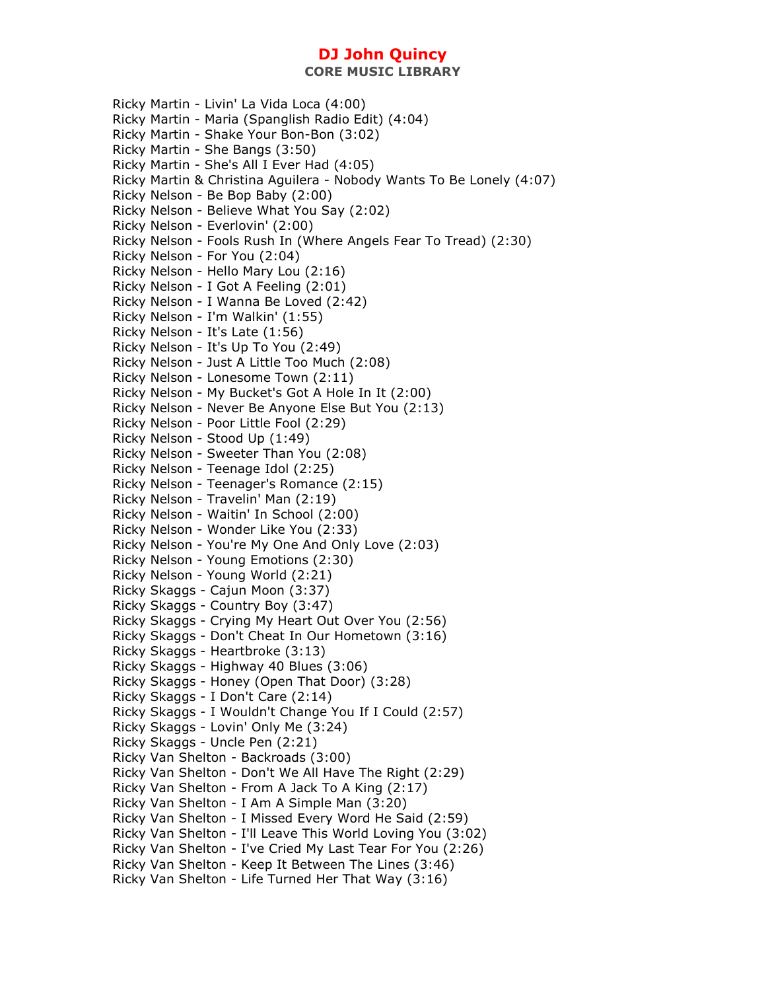Ricky Martin - Livin' La Vida Loca (4:00) Ricky Martin - Maria (Spanglish Radio Edit) (4:04) Ricky Martin - Shake Your Bon-Bon (3:02) Ricky Martin - She Bangs (3:50) Ricky Martin - She's All I Ever Had (4:05) Ricky Martin & Christina Aguilera - Nobody Wants To Be Lonely (4:07) Ricky Nelson - Be Bop Baby (2:00) Ricky Nelson - Believe What You Say (2:02) Ricky Nelson - Everlovin' (2:00) Ricky Nelson - Fools Rush In (Where Angels Fear To Tread) (2:30) Ricky Nelson - For You (2:04) Ricky Nelson - Hello Mary Lou (2:16) Ricky Nelson - I Got A Feeling (2:01) Ricky Nelson - I Wanna Be Loved (2:42) Ricky Nelson - I'm Walkin' (1:55) Ricky Nelson - It's Late (1:56) Ricky Nelson - It's Up To You (2:49) Ricky Nelson - Just A Little Too Much (2:08) Ricky Nelson - Lonesome Town (2:11) Ricky Nelson - My Bucket's Got A Hole In It (2:00) Ricky Nelson - Never Be Anyone Else But You (2:13) Ricky Nelson - Poor Little Fool (2:29) Ricky Nelson - Stood Up (1:49) Ricky Nelson - Sweeter Than You (2:08) Ricky Nelson - Teenage Idol (2:25) Ricky Nelson - Teenager's Romance (2:15) Ricky Nelson - Travelin' Man (2:19) Ricky Nelson - Waitin' In School (2:00) Ricky Nelson - Wonder Like You (2:33) Ricky Nelson - You're My One And Only Love (2:03) Ricky Nelson - Young Emotions (2:30) Ricky Nelson - Young World (2:21) Ricky Skaggs - Cajun Moon (3:37) Ricky Skaggs - Country Boy (3:47) Ricky Skaggs - Crying My Heart Out Over You (2:56) Ricky Skaggs - Don't Cheat In Our Hometown (3:16) Ricky Skaggs - Heartbroke (3:13) Ricky Skaggs - Highway 40 Blues (3:06) Ricky Skaggs - Honey (Open That Door) (3:28) Ricky Skaggs - I Don't Care (2:14) Ricky Skaggs - I Wouldn't Change You If I Could (2:57) Ricky Skaggs - Lovin' Only Me (3:24) Ricky Skaggs - Uncle Pen (2:21) Ricky Van Shelton - Backroads (3:00) Ricky Van Shelton - Don't We All Have The Right (2:29) Ricky Van Shelton - From A Jack To A King (2:17) Ricky Van Shelton - I Am A Simple Man (3:20) Ricky Van Shelton - I Missed Every Word He Said (2:59) Ricky Van Shelton - I'll Leave This World Loving You (3:02) Ricky Van Shelton - I've Cried My Last Tear For You (2:26) Ricky Van Shelton - Keep It Between The Lines (3:46) Ricky Van Shelton - Life Turned Her That Way (3:16)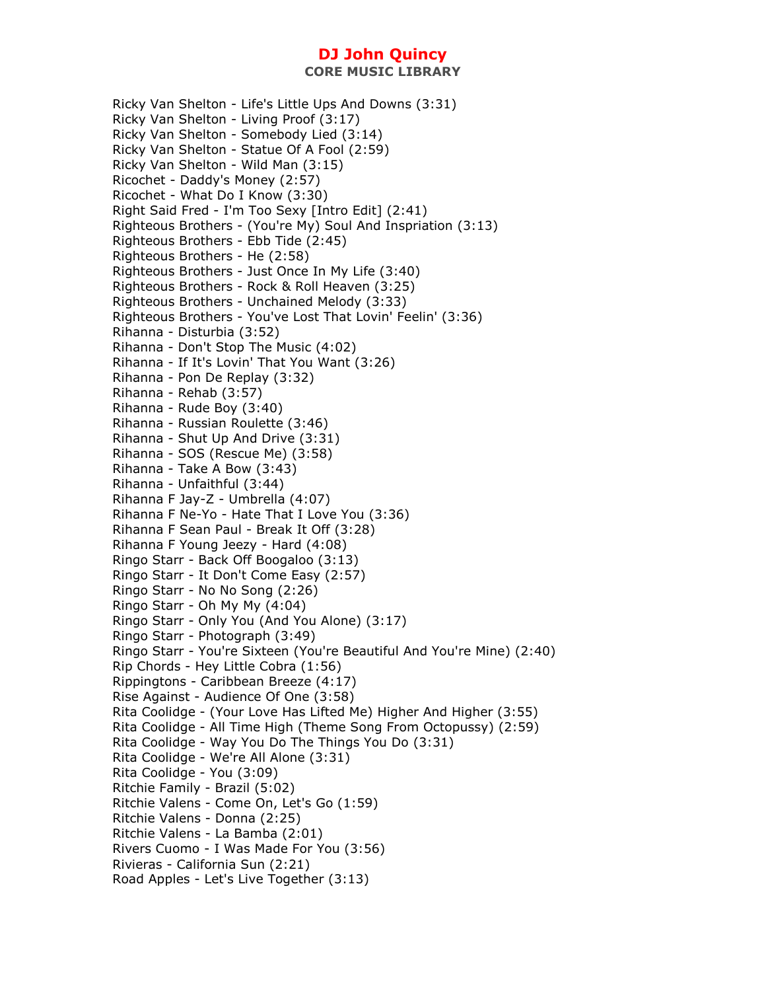Ricky Van Shelton - Life's Little Ups And Downs (3:31) Ricky Van Shelton - Living Proof (3:17) Ricky Van Shelton - Somebody Lied (3:14) Ricky Van Shelton - Statue Of A Fool (2:59) Ricky Van Shelton - Wild Man (3:15) Ricochet - Daddy's Money (2:57) Ricochet - What Do I Know (3:30) Right Said Fred - I'm Too Sexy [Intro Edit] (2:41) Righteous Brothers - (You're My) Soul And Inspriation (3:13) Righteous Brothers - Ebb Tide (2:45) Righteous Brothers - He (2:58) Righteous Brothers - Just Once In My Life (3:40) Righteous Brothers - Rock & Roll Heaven (3:25) Righteous Brothers - Unchained Melody (3:33) Righteous Brothers - You've Lost That Lovin' Feelin' (3:36) Rihanna - Disturbia (3:52) Rihanna - Don't Stop The Music (4:02) Rihanna - If It's Lovin' That You Want (3:26) Rihanna - Pon De Replay (3:32) Rihanna - Rehab (3:57) Rihanna - Rude Boy (3:40) Rihanna - Russian Roulette (3:46) Rihanna - Shut Up And Drive (3:31) Rihanna - SOS (Rescue Me) (3:58) Rihanna - Take A Bow (3:43) Rihanna - Unfaithful (3:44) Rihanna F Jay-Z - Umbrella (4:07) Rihanna F Ne-Yo - Hate That I Love You (3:36) Rihanna F Sean Paul - Break It Off (3:28) Rihanna F Young Jeezy - Hard (4:08) Ringo Starr - Back Off Boogaloo (3:13) Ringo Starr - It Don't Come Easy (2:57) Ringo Starr - No No Song (2:26) Ringo Starr - Oh My My (4:04) Ringo Starr - Only You (And You Alone) (3:17) Ringo Starr - Photograph (3:49) Ringo Starr - You're Sixteen (You're Beautiful And You're Mine) (2:40) Rip Chords - Hey Little Cobra (1:56) Rippingtons - Caribbean Breeze (4:17) Rise Against - Audience Of One (3:58) Rita Coolidge - (Your Love Has Lifted Me) Higher And Higher (3:55) Rita Coolidge - All Time High (Theme Song From Octopussy) (2:59) Rita Coolidge - Way You Do The Things You Do (3:31) Rita Coolidge - We're All Alone (3:31) Rita Coolidge - You (3:09) Ritchie Family - Brazil (5:02) Ritchie Valens - Come On, Let's Go (1:59) Ritchie Valens - Donna (2:25) Ritchie Valens - La Bamba (2:01) Rivers Cuomo - I Was Made For You (3:56) Rivieras - California Sun (2:21) Road Apples - Let's Live Together (3:13)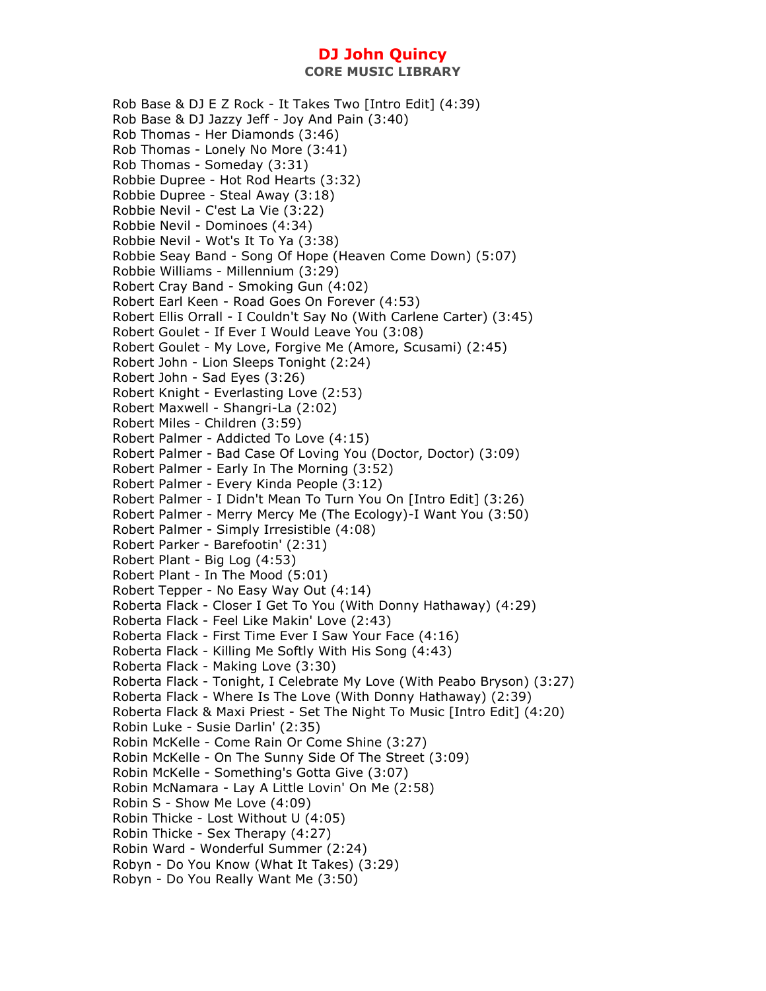Rob Base & DJ E Z Rock - It Takes Two [Intro Edit] (4:39) Rob Base & DJ Jazzy Jeff - Joy And Pain (3:40) Rob Thomas - Her Diamonds (3:46) Rob Thomas - Lonely No More (3:41) Rob Thomas - Someday (3:31) Robbie Dupree - Hot Rod Hearts (3:32) Robbie Dupree - Steal Away (3:18) Robbie Nevil - C'est La Vie (3:22) Robbie Nevil - Dominoes (4:34) Robbie Nevil - Wot's It To Ya (3:38) Robbie Seay Band - Song Of Hope (Heaven Come Down) (5:07) Robbie Williams - Millennium (3:29) Robert Cray Band - Smoking Gun (4:02) Robert Earl Keen - Road Goes On Forever (4:53) Robert Ellis Orrall - I Couldn't Say No (With Carlene Carter) (3:45) Robert Goulet - If Ever I Would Leave You (3:08) Robert Goulet - My Love, Forgive Me (Amore, Scusami) (2:45) Robert John - Lion Sleeps Tonight (2:24) Robert John - Sad Eyes (3:26) Robert Knight - Everlasting Love (2:53) Robert Maxwell - Shangri-La (2:02) Robert Miles - Children (3:59) Robert Palmer - Addicted To Love (4:15) Robert Palmer - Bad Case Of Loving You (Doctor, Doctor) (3:09) Robert Palmer - Early In The Morning (3:52) Robert Palmer - Every Kinda People (3:12) Robert Palmer - I Didn't Mean To Turn You On [Intro Edit] (3:26) Robert Palmer - Merry Mercy Me (The Ecology)-I Want You (3:50) Robert Palmer - Simply Irresistible (4:08) Robert Parker - Barefootin' (2:31) Robert Plant - Big Log (4:53) Robert Plant - In The Mood (5:01) Robert Tepper - No Easy Way Out (4:14) Roberta Flack - Closer I Get To You (With Donny Hathaway) (4:29) Roberta Flack - Feel Like Makin' Love (2:43) Roberta Flack - First Time Ever I Saw Your Face (4:16) Roberta Flack - Killing Me Softly With His Song (4:43) Roberta Flack - Making Love (3:30) Roberta Flack - Tonight, I Celebrate My Love (With Peabo Bryson) (3:27) Roberta Flack - Where Is The Love (With Donny Hathaway) (2:39) Roberta Flack & Maxi Priest - Set The Night To Music [Intro Edit] (4:20) Robin Luke - Susie Darlin' (2:35) Robin McKelle - Come Rain Or Come Shine (3:27) Robin McKelle - On The Sunny Side Of The Street (3:09) Robin McKelle - Something's Gotta Give (3:07) Robin McNamara - Lay A Little Lovin' On Me (2:58) Robin S - Show Me Love (4:09) Robin Thicke - Lost Without U (4:05) Robin Thicke - Sex Therapy (4:27) Robin Ward - Wonderful Summer (2:24) Robyn - Do You Know (What It Takes) (3:29) Robyn - Do You Really Want Me (3:50)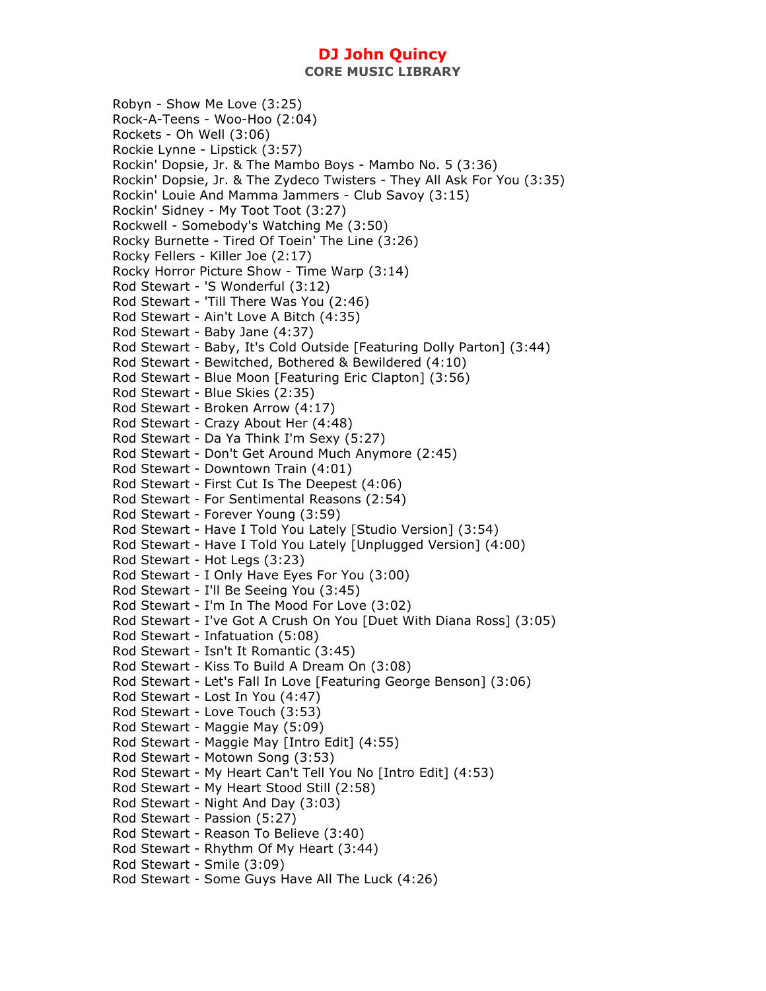Robyn - Show Me Love (3:25) Rock-A-Teens - Woo-Hoo (2:04) Rockets - Oh Well (3:06) Rockie Lynne - Lipstick (3:57) Rockin' Dopsie, Jr. & The Mambo Boys - Mambo No. 5 (3:36) Rockin' Dopsie, Jr. & The Zydeco Twisters - They All Ask For You (3:35) Rockin' Louie And Mamma Jammers - Club Savoy (3:15) Rockin' Sidney - My Toot Toot (3:27) Rockwell - Somebody's Watching Me (3:50) Rocky Burnette - Tired Of Toein' The Line (3:26) Rocky Fellers - Killer Joe (2:17) Rocky Horror Picture Show - Time Warp (3:14) Rod Stewart - 'S Wonderful (3:12) Rod Stewart - 'Till There Was You (2:46) Rod Stewart - Ain't Love A Bitch (4:35) Rod Stewart - Baby Jane (4:37) Rod Stewart - Baby, It's Cold Outside [Featuring Dolly Parton] (3:44) Rod Stewart - Bewitched, Bothered & Bewildered (4:10) Rod Stewart - Blue Moon [Featuring Eric Clapton] (3:56) Rod Stewart - Blue Skies (2:35) Rod Stewart - Broken Arrow (4:17) Rod Stewart - Crazy About Her (4:48) Rod Stewart - Da Ya Think I'm Sexy (5:27) Rod Stewart - Don't Get Around Much Anymore (2:45) Rod Stewart - Downtown Train (4:01) Rod Stewart - First Cut Is The Deepest (4:06) Rod Stewart - For Sentimental Reasons (2:54) Rod Stewart - Forever Young (3:59) Rod Stewart - Have I Told You Lately [Studio Version] (3:54) Rod Stewart - Have I Told You Lately [Unplugged Version] (4:00) Rod Stewart - Hot Legs (3:23) Rod Stewart - I Only Have Eyes For You (3:00) Rod Stewart - I'll Be Seeing You (3:45) Rod Stewart - I'm In The Mood For Love (3:02) Rod Stewart - I've Got A Crush On You [Duet With Diana Ross] (3:05) Rod Stewart - Infatuation (5:08) Rod Stewart - Isn't It Romantic (3:45) Rod Stewart - Kiss To Build A Dream On (3:08) Rod Stewart - Let's Fall In Love [Featuring George Benson] (3:06) Rod Stewart - Lost In You (4:47) Rod Stewart - Love Touch (3:53) Rod Stewart - Maggie May (5:09) Rod Stewart - Maggie May [Intro Edit] (4:55) Rod Stewart - Motown Song (3:53) Rod Stewart - My Heart Can't Tell You No [Intro Edit] (4:53) Rod Stewart - My Heart Stood Still (2:58) Rod Stewart - Night And Day (3:03) Rod Stewart - Passion (5:27) Rod Stewart - Reason To Believe (3:40) Rod Stewart - Rhythm Of My Heart (3:44) Rod Stewart - Smile (3:09) Rod Stewart - Some Guys Have All The Luck (4:26)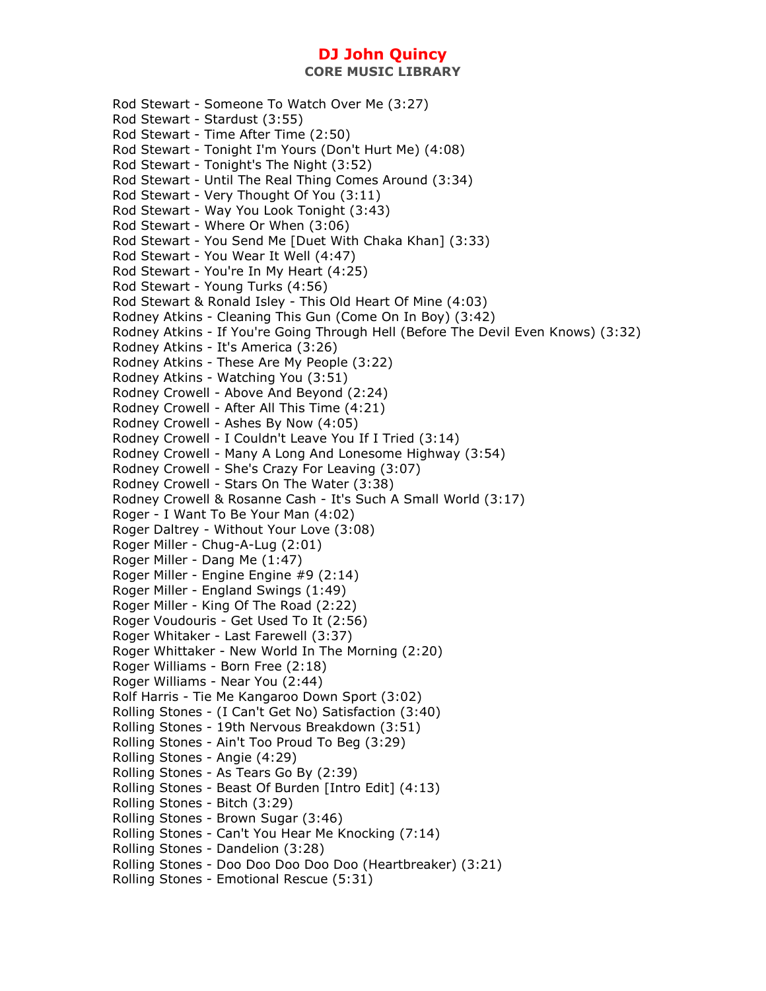**CORE MUSIC LIBRARY** 

Rod Stewart - Someone To Watch Over Me (3:27) Rod Stewart - Stardust (3:55) Rod Stewart - Time After Time (2:50) Rod Stewart - Tonight I'm Yours (Don't Hurt Me) (4:08) Rod Stewart - Tonight's The Night (3:52) Rod Stewart - Until The Real Thing Comes Around (3:34) Rod Stewart - Very Thought Of You (3:11) Rod Stewart - Way You Look Tonight (3:43) Rod Stewart - Where Or When (3:06) Rod Stewart - You Send Me [Duet With Chaka Khan] (3:33) Rod Stewart - You Wear It Well (4:47) Rod Stewart - You're In My Heart (4:25) Rod Stewart - Young Turks (4:56) Rod Stewart & Ronald Isley - This Old Heart Of Mine (4:03) Rodney Atkins - Cleaning This Gun (Come On In Boy) (3:42) Rodney Atkins - If You're Going Through Hell (Before The Devil Even Knows) (3:32) Rodney Atkins - It's America (3:26) Rodney Atkins - These Are My People (3:22) Rodney Atkins - Watching You (3:51) Rodney Crowell - Above And Beyond (2:24) Rodney Crowell - After All This Time (4:21) Rodney Crowell - Ashes By Now (4:05) Rodney Crowell - I Couldn't Leave You If I Tried (3:14) Rodney Crowell - Many A Long And Lonesome Highway (3:54) Rodney Crowell - She's Crazy For Leaving (3:07) Rodney Crowell - Stars On The Water (3:38) Rodney Crowell & Rosanne Cash - It's Such A Small World (3:17) Roger - I Want To Be Your Man (4:02) Roger Daltrey - Without Your Love (3:08) Roger Miller - Chug-A-Lug (2:01) Roger Miller - Dang Me (1:47) Roger Miller - Engine Engine #9 (2:14) Roger Miller - England Swings (1:49) Roger Miller - King Of The Road (2:22) Roger Voudouris - Get Used To It (2:56) Roger Whitaker - Last Farewell (3:37) Roger Whittaker - New World In The Morning (2:20) Roger Williams - Born Free (2:18) Roger Williams - Near You (2:44) Rolf Harris - Tie Me Kangaroo Down Sport (3:02) Rolling Stones - (I Can't Get No) Satisfaction (3:40) Rolling Stones - 19th Nervous Breakdown (3:51) Rolling Stones - Ain't Too Proud To Beg (3:29) Rolling Stones - Angie (4:29) Rolling Stones - As Tears Go By (2:39) Rolling Stones - Beast Of Burden [Intro Edit] (4:13) Rolling Stones - Bitch (3:29) Rolling Stones - Brown Sugar (3:46) Rolling Stones - Can't You Hear Me Knocking (7:14) Rolling Stones - Dandelion (3:28) Rolling Stones - Doo Doo Doo Doo Doo (Heartbreaker) (3:21) Rolling Stones - Emotional Rescue (5:31)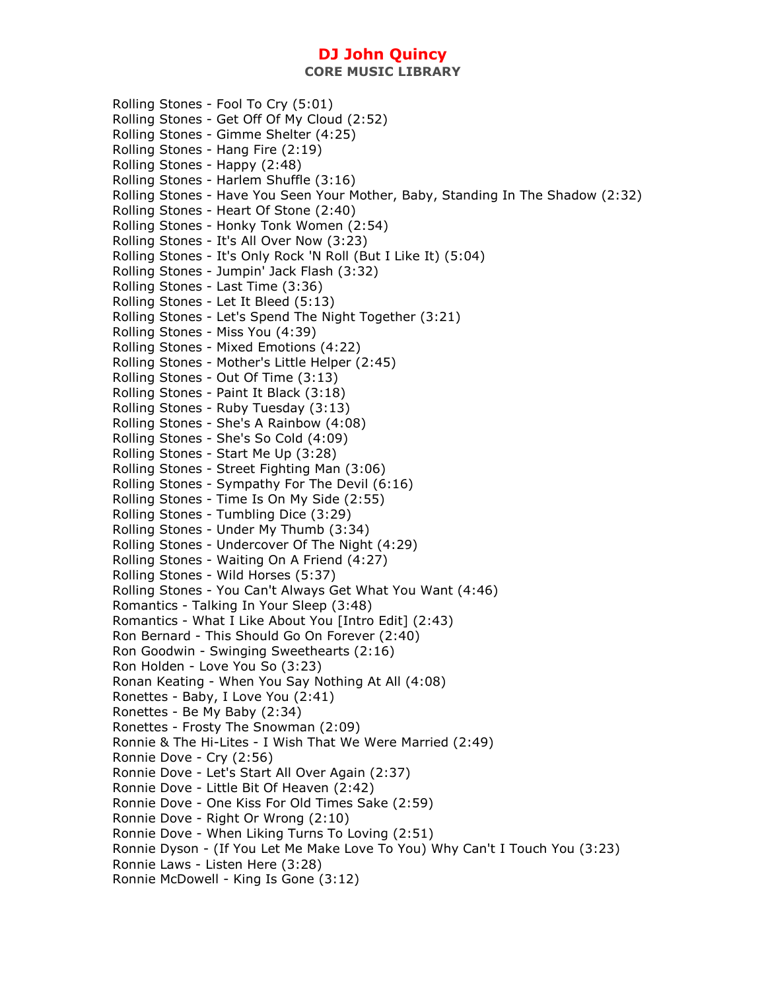Rolling Stones - Fool To Cry (5:01) Rolling Stones - Get Off Of My Cloud (2:52) Rolling Stones - Gimme Shelter (4:25) Rolling Stones - Hang Fire (2:19) Rolling Stones - Happy (2:48) Rolling Stones - Harlem Shuffle (3:16) Rolling Stones - Have You Seen Your Mother, Baby, Standing In The Shadow (2:32) Rolling Stones - Heart Of Stone (2:40) Rolling Stones - Honky Tonk Women (2:54) Rolling Stones - It's All Over Now (3:23) Rolling Stones - It's Only Rock 'N Roll (But I Like It) (5:04) Rolling Stones - Jumpin' Jack Flash (3:32) Rolling Stones - Last Time (3:36) Rolling Stones - Let It Bleed (5:13) Rolling Stones - Let's Spend The Night Together (3:21) Rolling Stones - Miss You (4:39) Rolling Stones - Mixed Emotions (4:22) Rolling Stones - Mother's Little Helper (2:45) Rolling Stones - Out Of Time (3:13) Rolling Stones - Paint It Black (3:18) Rolling Stones - Ruby Tuesday (3:13) Rolling Stones - She's A Rainbow (4:08) Rolling Stones - She's So Cold (4:09) Rolling Stones - Start Me Up (3:28) Rolling Stones - Street Fighting Man (3:06) Rolling Stones - Sympathy For The Devil (6:16) Rolling Stones - Time Is On My Side (2:55) Rolling Stones - Tumbling Dice (3:29) Rolling Stones - Under My Thumb (3:34) Rolling Stones - Undercover Of The Night (4:29) Rolling Stones - Waiting On A Friend (4:27) Rolling Stones - Wild Horses (5:37) Rolling Stones - You Can't Always Get What You Want (4:46) Romantics - Talking In Your Sleep (3:48) Romantics - What I Like About You [Intro Edit] (2:43) Ron Bernard - This Should Go On Forever (2:40) Ron Goodwin - Swinging Sweethearts (2:16) Ron Holden - Love You So (3:23) Ronan Keating - When You Say Nothing At All (4:08) Ronettes - Baby, I Love You (2:41) Ronettes - Be My Baby (2:34) Ronettes - Frosty The Snowman (2:09) Ronnie & The Hi-Lites - I Wish That We Were Married (2:49) Ronnie Dove - Cry (2:56) Ronnie Dove - Let's Start All Over Again (2:37) Ronnie Dove - Little Bit Of Heaven (2:42) Ronnie Dove - One Kiss For Old Times Sake (2:59) Ronnie Dove - Right Or Wrong (2:10) Ronnie Dove - When Liking Turns To Loving (2:51) Ronnie Dyson - (If You Let Me Make Love To You) Why Can't I Touch You (3:23) Ronnie Laws - Listen Here (3:28) Ronnie McDowell - King Is Gone (3:12)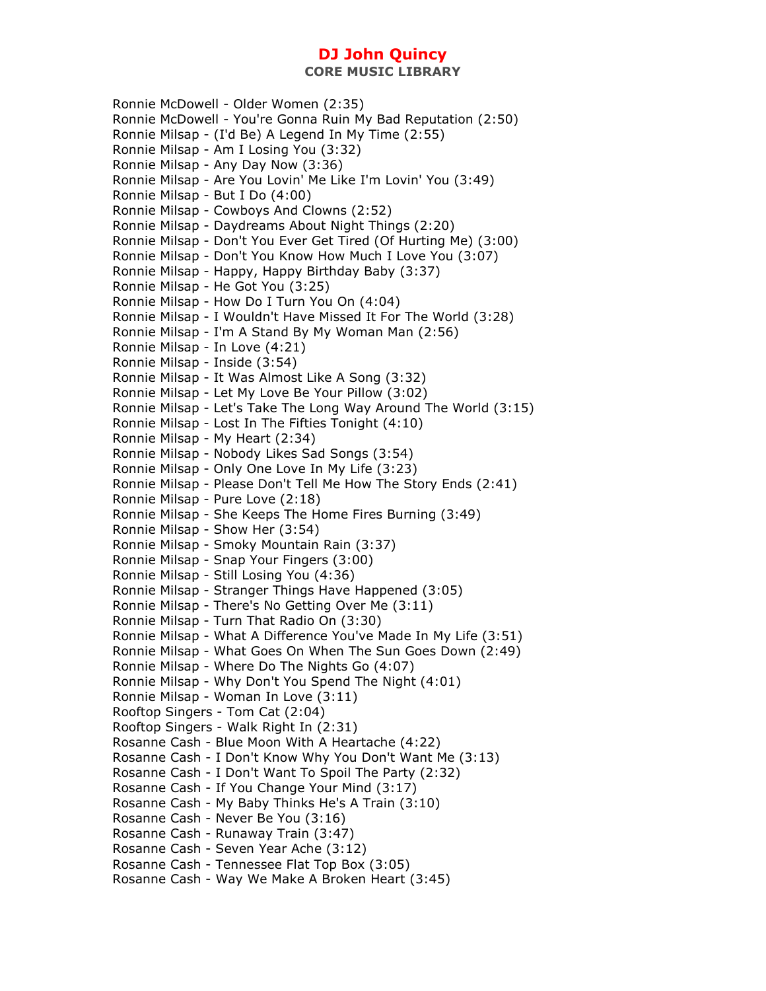**CORE MUSIC LIBRARY** 

Ronnie McDowell - Older Women (2:35) Ronnie McDowell - You're Gonna Ruin My Bad Reputation (2:50) Ronnie Milsap - (I'd Be) A Legend In My Time (2:55) Ronnie Milsap - Am I Losing You (3:32) Ronnie Milsap - Any Day Now (3:36) Ronnie Milsap - Are You Lovin' Me Like I'm Lovin' You (3:49) Ronnie Milsap - But I Do (4:00) Ronnie Milsap - Cowboys And Clowns (2:52) Ronnie Milsap - Daydreams About Night Things (2:20) Ronnie Milsap - Don't You Ever Get Tired (Of Hurting Me) (3:00) Ronnie Milsap - Don't You Know How Much I Love You (3:07) Ronnie Milsap - Happy, Happy Birthday Baby (3:37) Ronnie Milsap - He Got You (3:25) Ronnie Milsap - How Do I Turn You On (4:04) Ronnie Milsap - I Wouldn't Have Missed It For The World (3:28) Ronnie Milsap - I'm A Stand By My Woman Man (2:56) Ronnie Milsap - In Love (4:21) Ronnie Milsap - Inside (3:54) Ronnie Milsap - It Was Almost Like A Song (3:32) Ronnie Milsap - Let My Love Be Your Pillow (3:02) Ronnie Milsap - Let's Take The Long Way Around The World (3:15) Ronnie Milsap - Lost In The Fifties Tonight (4:10) Ronnie Milsap - My Heart (2:34) Ronnie Milsap - Nobody Likes Sad Songs (3:54) Ronnie Milsap - Only One Love In My Life (3:23) Ronnie Milsap - Please Don't Tell Me How The Story Ends (2:41) Ronnie Milsap - Pure Love (2:18) Ronnie Milsap - She Keeps The Home Fires Burning (3:49) Ronnie Milsap - Show Her (3:54) Ronnie Milsap - Smoky Mountain Rain (3:37) Ronnie Milsap - Snap Your Fingers (3:00) Ronnie Milsap - Still Losing You (4:36) Ronnie Milsap - Stranger Things Have Happened (3:05) Ronnie Milsap - There's No Getting Over Me (3:11) Ronnie Milsap - Turn That Radio On (3:30) Ronnie Milsap - What A Difference You've Made In My Life (3:51) Ronnie Milsap - What Goes On When The Sun Goes Down (2:49) Ronnie Milsap - Where Do The Nights Go (4:07) Ronnie Milsap - Why Don't You Spend The Night (4:01) Ronnie Milsap - Woman In Love (3:11) Rooftop Singers - Tom Cat (2:04) Rooftop Singers - Walk Right In (2:31) Rosanne Cash - Blue Moon With A Heartache (4:22) Rosanne Cash - I Don't Know Why You Don't Want Me (3:13) Rosanne Cash - I Don't Want To Spoil The Party (2:32) Rosanne Cash - If You Change Your Mind (3:17) Rosanne Cash - My Baby Thinks He's A Train (3:10) Rosanne Cash - Never Be You (3:16) Rosanne Cash - Runaway Train (3:47) Rosanne Cash - Seven Year Ache (3:12) Rosanne Cash - Tennessee Flat Top Box (3:05) Rosanne Cash - Way We Make A Broken Heart (3:45)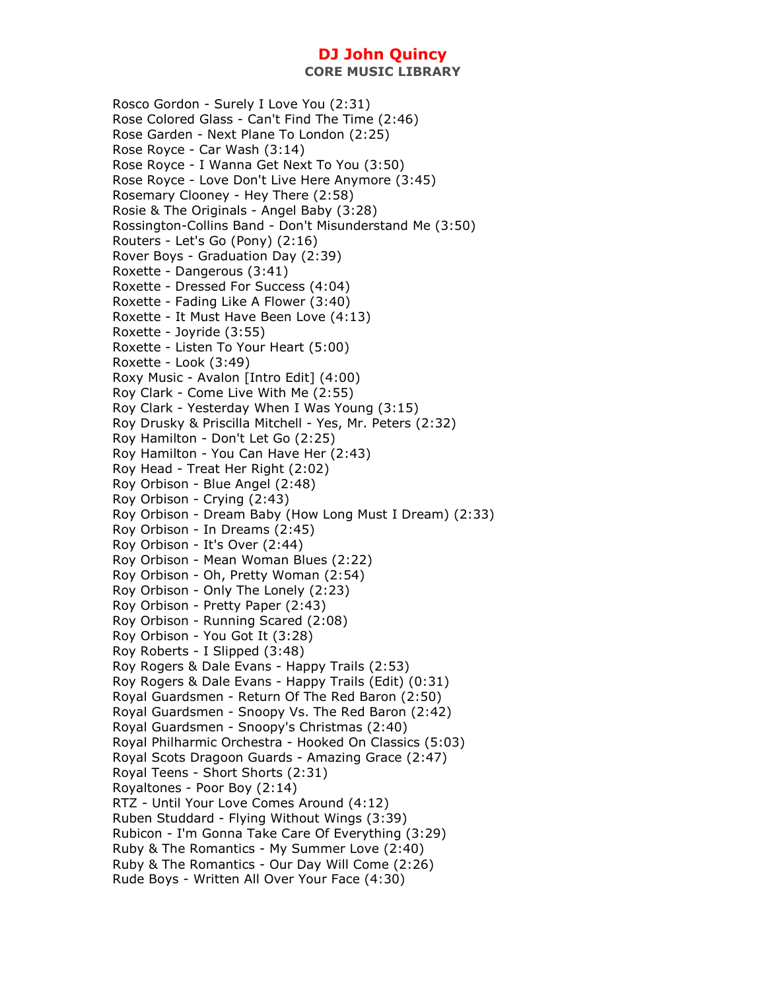Rosco Gordon - Surely I Love You (2:31) Rose Colored Glass - Can't Find The Time (2:46) Rose Garden - Next Plane To London (2:25) Rose Royce - Car Wash (3:14) Rose Royce - I Wanna Get Next To You (3:50) Rose Royce - Love Don't Live Here Anymore (3:45) Rosemary Clooney - Hey There (2:58) Rosie & The Originals - Angel Baby (3:28) Rossington-Collins Band - Don't Misunderstand Me (3:50) Routers - Let's Go (Pony) (2:16) Rover Boys - Graduation Day (2:39) Roxette - Dangerous (3:41) Roxette - Dressed For Success (4:04) Roxette - Fading Like A Flower (3:40) Roxette - It Must Have Been Love (4:13) Roxette - Joyride (3:55) Roxette - Listen To Your Heart (5:00) Roxette - Look (3:49) Roxy Music - Avalon [Intro Edit] (4:00) Roy Clark - Come Live With Me (2:55) Roy Clark - Yesterday When I Was Young (3:15) Roy Drusky & Priscilla Mitchell - Yes, Mr. Peters (2:32) Roy Hamilton - Don't Let Go (2:25) Roy Hamilton - You Can Have Her (2:43) Roy Head - Treat Her Right (2:02) Roy Orbison - Blue Angel (2:48) Roy Orbison - Crying (2:43) Roy Orbison - Dream Baby (How Long Must I Dream) (2:33) Roy Orbison - In Dreams (2:45) Roy Orbison - It's Over (2:44) Roy Orbison - Mean Woman Blues (2:22) Roy Orbison - Oh, Pretty Woman (2:54) Roy Orbison - Only The Lonely (2:23) Roy Orbison - Pretty Paper (2:43) Roy Orbison - Running Scared (2:08) Roy Orbison - You Got It (3:28) Roy Roberts - I Slipped (3:48) Roy Rogers & Dale Evans - Happy Trails (2:53) Roy Rogers & Dale Evans - Happy Trails (Edit) (0:31) Royal Guardsmen - Return Of The Red Baron (2:50) Royal Guardsmen - Snoopy Vs. The Red Baron (2:42) Royal Guardsmen - Snoopy's Christmas (2:40) Royal Philharmic Orchestra - Hooked On Classics (5:03) Royal Scots Dragoon Guards - Amazing Grace (2:47) Royal Teens - Short Shorts (2:31) Royaltones - Poor Boy (2:14) RTZ - Until Your Love Comes Around (4:12) Ruben Studdard - Flying Without Wings (3:39) Rubicon - I'm Gonna Take Care Of Everything (3:29) Ruby & The Romantics - My Summer Love (2:40) Ruby & The Romantics - Our Day Will Come (2:26) Rude Boys - Written All Over Your Face (4:30)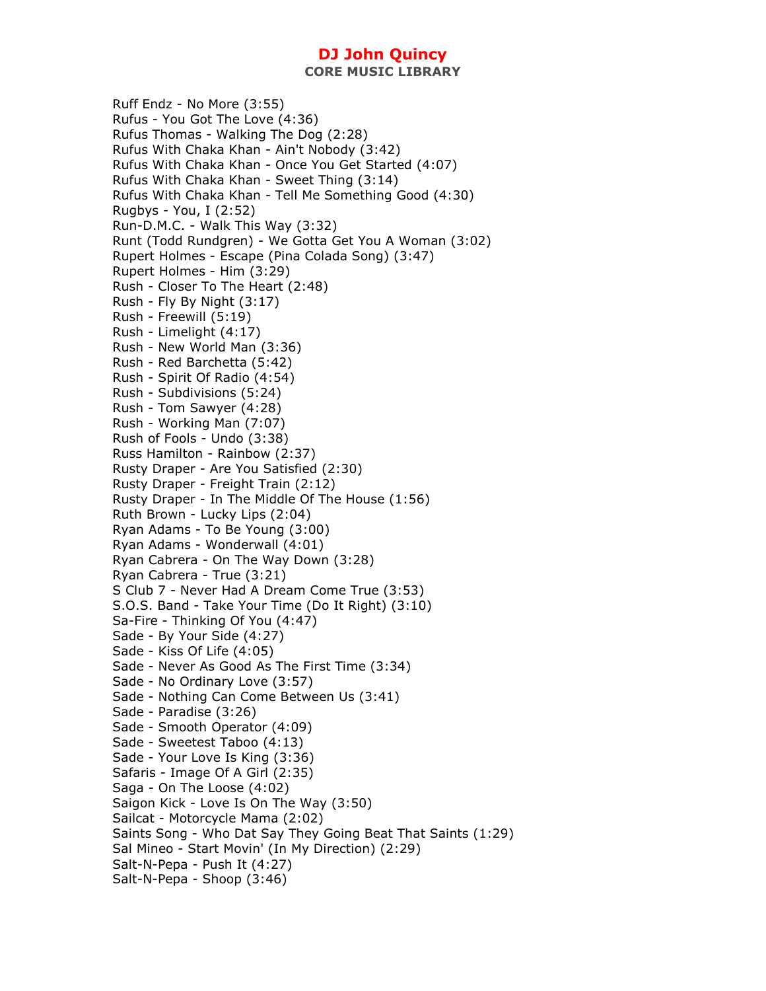**CORE MUSIC LIBRARY** 

Ruff Endz - No More (3:55) Rufus - You Got The Love (4:36) Rufus Thomas - Walking The Dog (2:28) Rufus With Chaka Khan - Ain't Nobody (3:42) Rufus With Chaka Khan - Once You Get Started (4:07) Rufus With Chaka Khan - Sweet Thing (3:14) Rufus With Chaka Khan - Tell Me Something Good (4:30) Rugbys - You, I (2:52) Run-D.M.C. - Walk This Way (3:32) Runt (Todd Rundgren) - We Gotta Get You A Woman (3:02) Rupert Holmes - Escape (Pina Colada Song) (3:47) Rupert Holmes - Him (3:29) Rush - Closer To The Heart (2:48) Rush - Fly By Night (3:17) Rush - Freewill (5:19) Rush - Limelight (4:17) Rush - New World Man (3:36) Rush - Red Barchetta (5:42) Rush - Spirit Of Radio (4:54) Rush - Subdivisions (5:24) Rush - Tom Sawyer (4:28) Rush - Working Man (7:07) Rush of Fools - Undo (3:38) Russ Hamilton - Rainbow (2:37) Rusty Draper - Are You Satisfied (2:30) Rusty Draper - Freight Train (2:12) Rusty Draper - In The Middle Of The House (1:56) Ruth Brown - Lucky Lips (2:04) Ryan Adams - To Be Young (3:00) Ryan Adams - Wonderwall (4:01) Ryan Cabrera - On The Way Down (3:28) Ryan Cabrera - True (3:21) S Club 7 - Never Had A Dream Come True (3:53) S.O.S. Band - Take Your Time (Do It Right) (3:10) Sa-Fire - Thinking Of You (4:47) Sade - By Your Side (4:27) Sade - Kiss Of Life (4:05) Sade - Never As Good As The First Time (3:34) Sade - No Ordinary Love (3:57) Sade - Nothing Can Come Between Us (3:41) Sade - Paradise (3:26) Sade - Smooth Operator (4:09) Sade - Sweetest Taboo (4:13) Sade - Your Love Is King (3:36) Safaris - Image Of A Girl (2:35) Saga - On The Loose (4:02) Saigon Kick - Love Is On The Way (3:50) Sailcat - Motorcycle Mama (2:02) Saints Song - Who Dat Say They Going Beat That Saints (1:29) Sal Mineo - Start Movin' (In My Direction) (2:29) Salt-N-Pepa - Push It (4:27) Salt-N-Pepa - Shoop (3:46)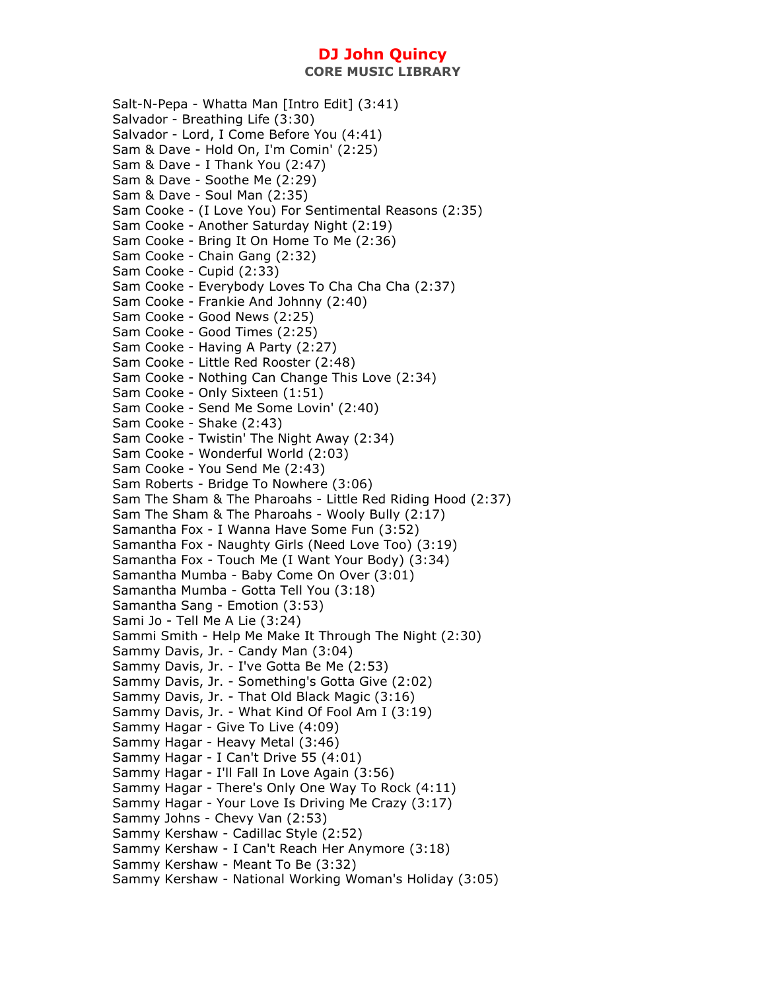Salt-N-Pepa - Whatta Man [Intro Edit] (3:41) Salvador - Breathing Life (3:30) Salvador - Lord, I Come Before You (4:41) Sam & Dave - Hold On, I'm Comin' (2:25) Sam & Dave - I Thank You (2:47) Sam & Dave - Soothe Me (2:29) Sam & Dave - Soul Man (2:35) Sam Cooke - (I Love You) For Sentimental Reasons (2:35) Sam Cooke - Another Saturday Night (2:19) Sam Cooke - Bring It On Home To Me (2:36) Sam Cooke - Chain Gang (2:32) Sam Cooke - Cupid (2:33) Sam Cooke - Everybody Loves To Cha Cha Cha (2:37) Sam Cooke - Frankie And Johnny (2:40) Sam Cooke - Good News (2:25) Sam Cooke - Good Times (2:25) Sam Cooke - Having A Party (2:27) Sam Cooke - Little Red Rooster (2:48) Sam Cooke - Nothing Can Change This Love (2:34) Sam Cooke - Only Sixteen (1:51) Sam Cooke - Send Me Some Lovin' (2:40) Sam Cooke - Shake (2:43) Sam Cooke - Twistin' The Night Away (2:34) Sam Cooke - Wonderful World (2:03) Sam Cooke - You Send Me (2:43) Sam Roberts - Bridge To Nowhere (3:06) Sam The Sham & The Pharoahs - Little Red Riding Hood (2:37) Sam The Sham & The Pharoahs - Wooly Bully (2:17) Samantha Fox - I Wanna Have Some Fun (3:52) Samantha Fox - Naughty Girls (Need Love Too) (3:19) Samantha Fox - Touch Me (I Want Your Body) (3:34) Samantha Mumba - Baby Come On Over (3:01) Samantha Mumba - Gotta Tell You (3:18) Samantha Sang - Emotion (3:53) Sami Jo - Tell Me A Lie (3:24) Sammi Smith - Help Me Make It Through The Night (2:30) Sammy Davis, Jr. - Candy Man (3:04) Sammy Davis, Jr. - I've Gotta Be Me (2:53) Sammy Davis, Jr. - Something's Gotta Give (2:02) Sammy Davis, Jr. - That Old Black Magic (3:16) Sammy Davis, Jr. - What Kind Of Fool Am I (3:19) Sammy Hagar - Give To Live (4:09) Sammy Hagar - Heavy Metal (3:46) Sammy Hagar - I Can't Drive 55 (4:01) Sammy Hagar - I'll Fall In Love Again (3:56) Sammy Hagar - There's Only One Way To Rock (4:11) Sammy Hagar - Your Love Is Driving Me Crazy (3:17) Sammy Johns - Chevy Van (2:53) Sammy Kershaw - Cadillac Style (2:52) Sammy Kershaw - I Can't Reach Her Anymore (3:18) Sammy Kershaw - Meant To Be (3:32) Sammy Kershaw - National Working Woman's Holiday (3:05)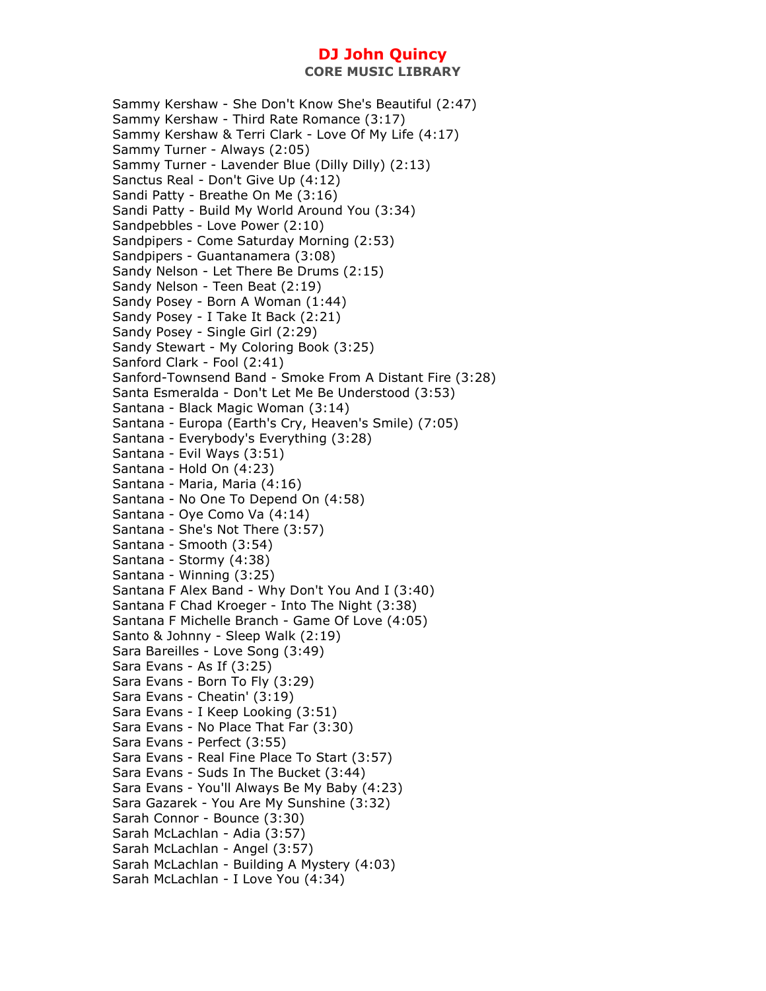Sammy Kershaw - She Don't Know She's Beautiful (2:47) Sammy Kershaw - Third Rate Romance (3:17) Sammy Kershaw & Terri Clark - Love Of My Life (4:17) Sammy Turner - Always (2:05) Sammy Turner - Lavender Blue (Dilly Dilly) (2:13) Sanctus Real - Don't Give Up (4:12) Sandi Patty - Breathe On Me (3:16) Sandi Patty - Build My World Around You (3:34) Sandpebbles - Love Power (2:10) Sandpipers - Come Saturday Morning (2:53) Sandpipers - Guantanamera (3:08) Sandy Nelson - Let There Be Drums (2:15) Sandy Nelson - Teen Beat (2:19) Sandy Posey - Born A Woman (1:44) Sandy Posey - I Take It Back (2:21) Sandy Posey - Single Girl (2:29) Sandy Stewart - My Coloring Book (3:25) Sanford Clark - Fool (2:41) Sanford-Townsend Band - Smoke From A Distant Fire (3:28) Santa Esmeralda - Don't Let Me Be Understood (3:53) Santana - Black Magic Woman (3:14) Santana - Europa (Earth's Cry, Heaven's Smile) (7:05) Santana - Everybody's Everything (3:28) Santana - Evil Ways (3:51) Santana - Hold On (4:23) Santana - Maria, Maria (4:16) Santana - No One To Depend On (4:58) Santana - Oye Como Va (4:14) Santana - She's Not There (3:57) Santana - Smooth (3:54) Santana - Stormy (4:38) Santana - Winning (3:25) Santana F Alex Band - Why Don't You And I (3:40) Santana F Chad Kroeger - Into The Night (3:38) Santana F Michelle Branch - Game Of Love (4:05) Santo & Johnny - Sleep Walk (2:19) Sara Bareilles - Love Song (3:49) Sara Evans - As If (3:25) Sara Evans - Born To Fly (3:29) Sara Evans - Cheatin' (3:19) Sara Evans - I Keep Looking (3:51) Sara Evans - No Place That Far (3:30) Sara Evans - Perfect (3:55) Sara Evans - Real Fine Place To Start (3:57) Sara Evans - Suds In The Bucket (3:44) Sara Evans - You'll Always Be My Baby (4:23) Sara Gazarek - You Are My Sunshine (3:32) Sarah Connor - Bounce (3:30) Sarah McLachlan - Adia (3:57) Sarah McLachlan - Angel (3:57) Sarah McLachlan - Building A Mystery (4:03) Sarah McLachlan - I Love You (4:34)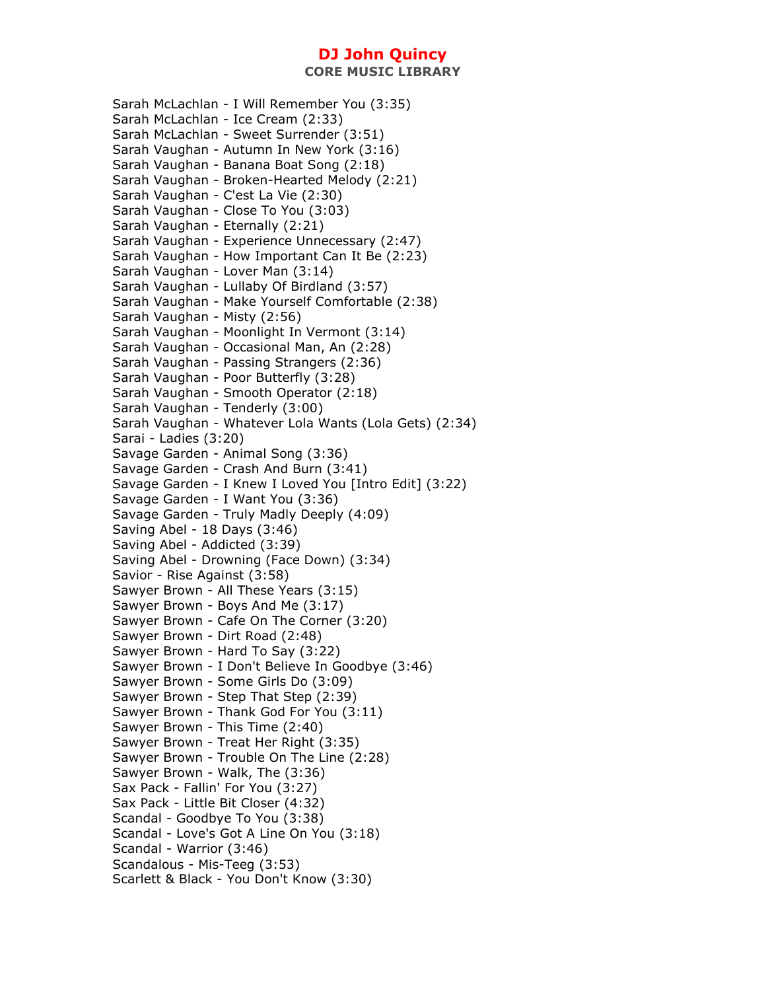Sarah McLachlan - I Will Remember You (3:35) Sarah McLachlan - Ice Cream (2:33) Sarah McLachlan - Sweet Surrender (3:51) Sarah Vaughan - Autumn In New York (3:16) Sarah Vaughan - Banana Boat Song (2:18) Sarah Vaughan - Broken-Hearted Melody (2:21) Sarah Vaughan - C'est La Vie (2:30) Sarah Vaughan - Close To You (3:03) Sarah Vaughan - Eternally (2:21) Sarah Vaughan - Experience Unnecessary (2:47) Sarah Vaughan - How Important Can It Be (2:23) Sarah Vaughan - Lover Man (3:14) Sarah Vaughan - Lullaby Of Birdland (3:57) Sarah Vaughan - Make Yourself Comfortable (2:38) Sarah Vaughan - Misty (2:56) Sarah Vaughan - Moonlight In Vermont (3:14) Sarah Vaughan - Occasional Man, An (2:28) Sarah Vaughan - Passing Strangers (2:36) Sarah Vaughan - Poor Butterfly (3:28) Sarah Vaughan - Smooth Operator (2:18) Sarah Vaughan - Tenderly (3:00) Sarah Vaughan - Whatever Lola Wants (Lola Gets) (2:34) Sarai - Ladies (3:20) Savage Garden - Animal Song (3:36) Savage Garden - Crash And Burn (3:41) Savage Garden - I Knew I Loved You [Intro Edit] (3:22) Savage Garden - I Want You (3:36) Savage Garden - Truly Madly Deeply (4:09) Saving Abel - 18 Days (3:46) Saving Abel - Addicted (3:39) Saving Abel - Drowning (Face Down) (3:34) Savior - Rise Against (3:58) Sawyer Brown - All These Years (3:15) Sawyer Brown - Boys And Me (3:17) Sawyer Brown - Cafe On The Corner (3:20) Sawyer Brown - Dirt Road (2:48) Sawyer Brown - Hard To Say (3:22) Sawyer Brown - I Don't Believe In Goodbye (3:46) Sawyer Brown - Some Girls Do (3:09) Sawyer Brown - Step That Step (2:39) Sawyer Brown - Thank God For You (3:11) Sawyer Brown - This Time (2:40) Sawyer Brown - Treat Her Right (3:35) Sawyer Brown - Trouble On The Line (2:28) Sawyer Brown - Walk, The (3:36) Sax Pack - Fallin' For You (3:27) Sax Pack - Little Bit Closer (4:32) Scandal - Goodbye To You (3:38) Scandal - Love's Got A Line On You (3:18) Scandal - Warrior (3:46) Scandalous - Mis-Teeg (3:53) Scarlett & Black - You Don't Know (3:30)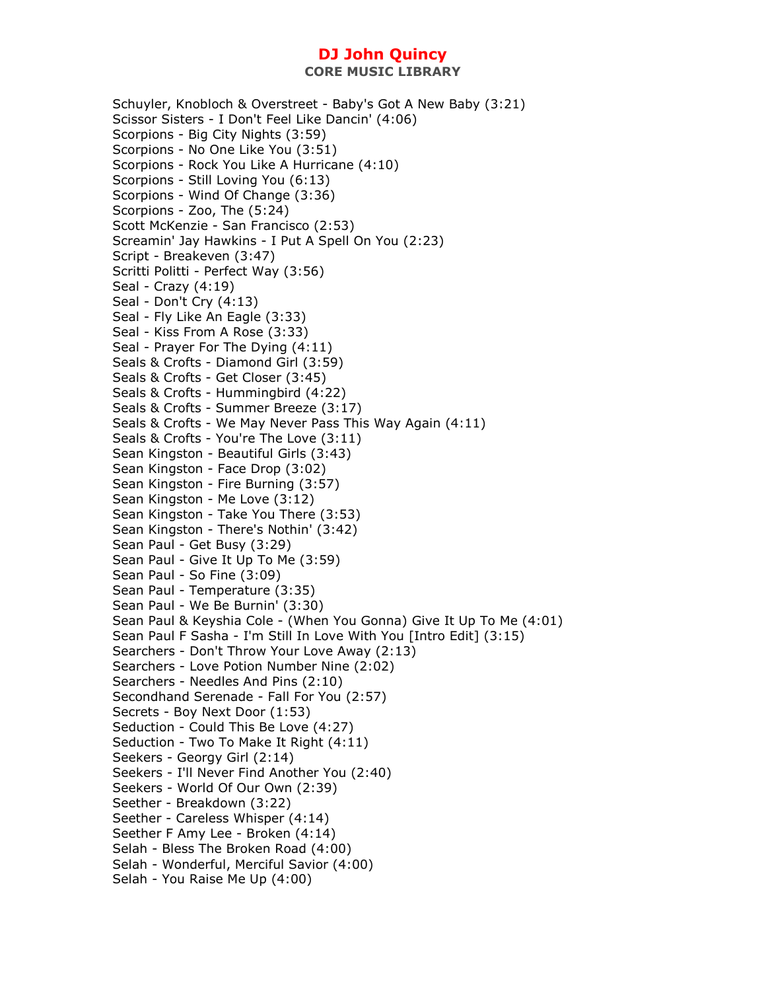**CORE MUSIC LIBRARY** 

Schuyler, Knobloch & Overstreet - Baby's Got A New Baby (3:21) Scissor Sisters - I Don't Feel Like Dancin' (4:06) Scorpions - Big City Nights (3:59) Scorpions - No One Like You (3:51) Scorpions - Rock You Like A Hurricane (4:10) Scorpions - Still Loving You (6:13) Scorpions - Wind Of Change (3:36) Scorpions - Zoo, The (5:24) Scott McKenzie - San Francisco (2:53) Screamin' Jay Hawkins - I Put A Spell On You (2:23) Script - Breakeven (3:47) Scritti Politti - Perfect Way (3:56) Seal - Crazy (4:19) Seal - Don't Cry (4:13) Seal - Fly Like An Eagle (3:33) Seal - Kiss From A Rose (3:33) Seal - Prayer For The Dying (4:11) Seals & Crofts - Diamond Girl (3:59) Seals & Crofts - Get Closer (3:45) Seals & Crofts - Hummingbird (4:22) Seals & Crofts - Summer Breeze (3:17) Seals & Crofts - We May Never Pass This Way Again (4:11) Seals & Crofts - You're The Love (3:11) Sean Kingston - Beautiful Girls (3:43) Sean Kingston - Face Drop (3:02) Sean Kingston - Fire Burning (3:57) Sean Kingston - Me Love (3:12) Sean Kingston - Take You There (3:53) Sean Kingston - There's Nothin' (3:42) Sean Paul - Get Busy (3:29) Sean Paul - Give It Up To Me (3:59) Sean Paul - So Fine (3:09) Sean Paul - Temperature (3:35) Sean Paul - We Be Burnin' (3:30) Sean Paul & Keyshia Cole - (When You Gonna) Give It Up To Me (4:01) Sean Paul F Sasha - I'm Still In Love With You [Intro Edit] (3:15) Searchers - Don't Throw Your Love Away (2:13) Searchers - Love Potion Number Nine (2:02) Searchers - Needles And Pins (2:10) Secondhand Serenade - Fall For You (2:57) Secrets - Boy Next Door (1:53) Seduction - Could This Be Love (4:27) Seduction - Two To Make It Right (4:11) Seekers - Georgy Girl (2:14) Seekers - I'll Never Find Another You (2:40) Seekers - World Of Our Own (2:39) Seether - Breakdown (3:22) Seether - Careless Whisper (4:14) Seether F Amy Lee - Broken (4:14) Selah - Bless The Broken Road (4:00) Selah - Wonderful, Merciful Savior (4:00) Selah - You Raise Me Up (4:00)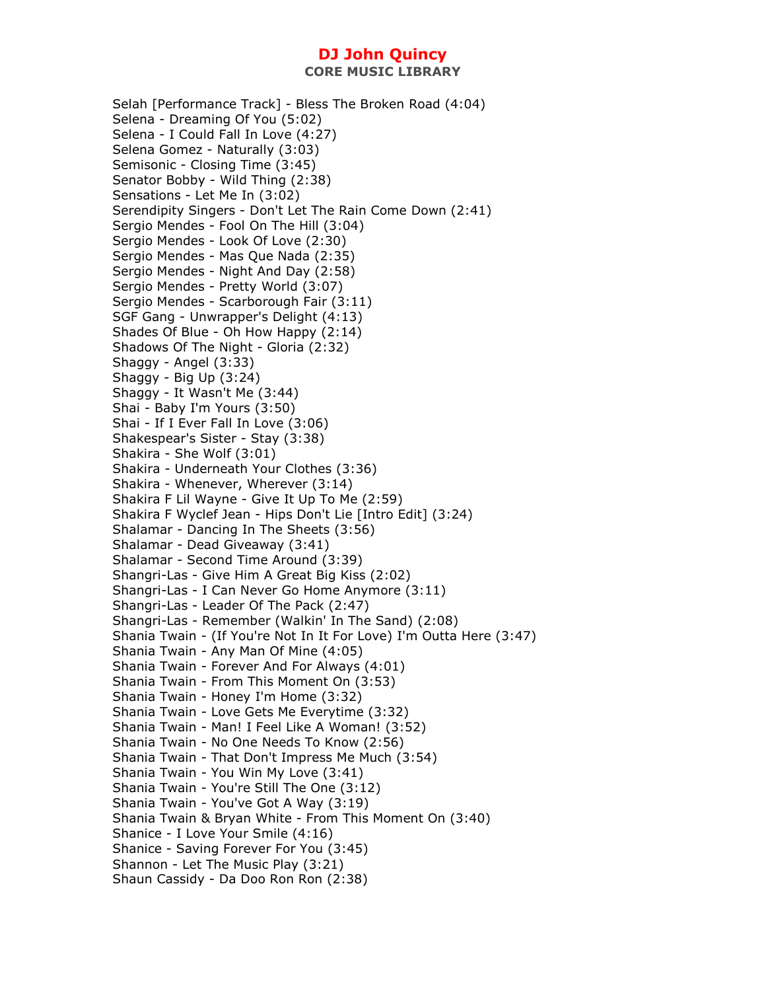**CORE MUSIC LIBRARY** 

Selah [Performance Track] - Bless The Broken Road (4:04) Selena - Dreaming Of You (5:02) Selena - I Could Fall In Love (4:27) Selena Gomez - Naturally (3:03) Semisonic - Closing Time (3:45) Senator Bobby - Wild Thing (2:38) Sensations - Let Me In (3:02) Serendipity Singers - Don't Let The Rain Come Down (2:41) Sergio Mendes - Fool On The Hill (3:04) Sergio Mendes - Look Of Love (2:30) Sergio Mendes - Mas Que Nada (2:35) Sergio Mendes - Night And Day (2:58) Sergio Mendes - Pretty World (3:07) Sergio Mendes - Scarborough Fair (3:11) SGF Gang - Unwrapper's Delight (4:13) Shades Of Blue - Oh How Happy (2:14) Shadows Of The Night - Gloria (2:32) Shaggy - Angel (3:33) Shaggy - Big Up (3:24) Shaggy - It Wasn't Me (3:44) Shai - Baby I'm Yours (3:50) Shai - If I Ever Fall In Love (3:06) Shakespear's Sister - Stay (3:38) Shakira - She Wolf (3:01) Shakira - Underneath Your Clothes (3:36) Shakira - Whenever, Wherever (3:14) Shakira F Lil Wayne - Give It Up To Me (2:59) Shakira F Wyclef Jean - Hips Don't Lie [Intro Edit] (3:24) Shalamar - Dancing In The Sheets (3:56) Shalamar - Dead Giveaway (3:41) Shalamar - Second Time Around (3:39) Shangri-Las - Give Him A Great Big Kiss (2:02) Shangri-Las - I Can Never Go Home Anymore (3:11) Shangri-Las - Leader Of The Pack (2:47) Shangri-Las - Remember (Walkin' In The Sand) (2:08) Shania Twain - (If You're Not In It For Love) I'm Outta Here (3:47) Shania Twain - Any Man Of Mine (4:05) Shania Twain - Forever And For Always (4:01) Shania Twain - From This Moment On (3:53) Shania Twain - Honey I'm Home (3:32) Shania Twain - Love Gets Me Everytime (3:32) Shania Twain - Man! I Feel Like A Woman! (3:52) Shania Twain - No One Needs To Know (2:56) Shania Twain - That Don't Impress Me Much (3:54) Shania Twain - You Win My Love (3:41) Shania Twain - You're Still The One (3:12) Shania Twain - You've Got A Way (3:19) Shania Twain & Bryan White - From This Moment On (3:40) Shanice - I Love Your Smile (4:16) Shanice - Saving Forever For You (3:45) Shannon - Let The Music Play (3:21) Shaun Cassidy - Da Doo Ron Ron (2:38)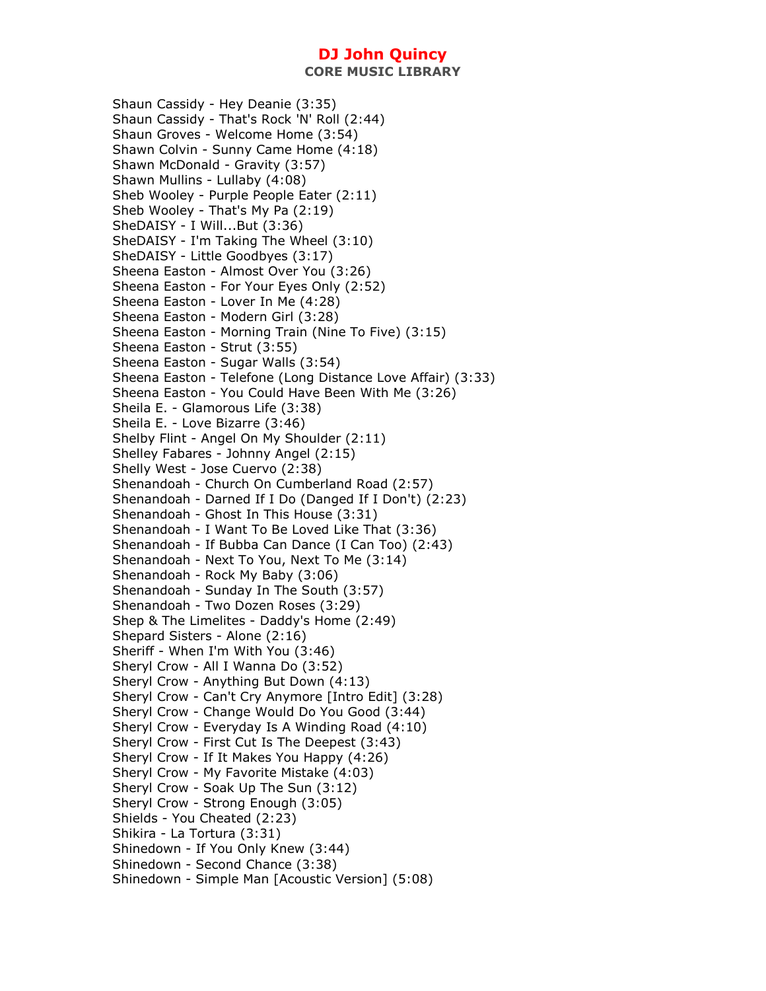**CORE MUSIC LIBRARY** 

Shaun Cassidy - Hey Deanie (3:35) Shaun Cassidy - That's Rock 'N' Roll (2:44) Shaun Groves - Welcome Home (3:54) Shawn Colvin - Sunny Came Home (4:18) Shawn McDonald - Gravity (3:57) Shawn Mullins - Lullaby (4:08) Sheb Wooley - Purple People Eater (2:11) Sheb Wooley - That's My Pa (2:19) SheDAISY - I Will...But (3:36) SheDAISY - I'm Taking The Wheel (3:10) SheDAISY - Little Goodbyes (3:17) Sheena Easton - Almost Over You (3:26) Sheena Easton - For Your Eyes Only (2:52) Sheena Easton - Lover In Me (4:28) Sheena Easton - Modern Girl (3:28) Sheena Easton - Morning Train (Nine To Five) (3:15) Sheena Easton - Strut (3:55) Sheena Easton - Sugar Walls (3:54) Sheena Easton - Telefone (Long Distance Love Affair) (3:33) Sheena Easton - You Could Have Been With Me (3:26) Sheila E. - Glamorous Life (3:38) Sheila E. - Love Bizarre (3:46) Shelby Flint - Angel On My Shoulder (2:11) Shelley Fabares - Johnny Angel (2:15) Shelly West - Jose Cuervo (2:38) Shenandoah - Church On Cumberland Road (2:57) Shenandoah - Darned If I Do (Danged If I Don't) (2:23) Shenandoah - Ghost In This House (3:31) Shenandoah - I Want To Be Loved Like That (3:36) Shenandoah - If Bubba Can Dance (I Can Too) (2:43) Shenandoah - Next To You, Next To Me (3:14) Shenandoah - Rock My Baby (3:06) Shenandoah - Sunday In The South (3:57) Shenandoah - Two Dozen Roses (3:29) Shep & The Limelites - Daddy's Home (2:49) Shepard Sisters - Alone (2:16) Sheriff - When I'm With You (3:46) Sheryl Crow - All I Wanna Do (3:52) Sheryl Crow - Anything But Down (4:13) Sheryl Crow - Can't Cry Anymore [Intro Edit] (3:28) Sheryl Crow - Change Would Do You Good (3:44) Sheryl Crow - Everyday Is A Winding Road (4:10) Sheryl Crow - First Cut Is The Deepest (3:43) Sheryl Crow - If It Makes You Happy (4:26) Sheryl Crow - My Favorite Mistake (4:03) Sheryl Crow - Soak Up The Sun (3:12) Sheryl Crow - Strong Enough (3:05) Shields - You Cheated (2:23) Shikira - La Tortura (3:31) Shinedown - If You Only Knew (3:44) Shinedown - Second Chance (3:38) Shinedown - Simple Man [Acoustic Version] (5:08)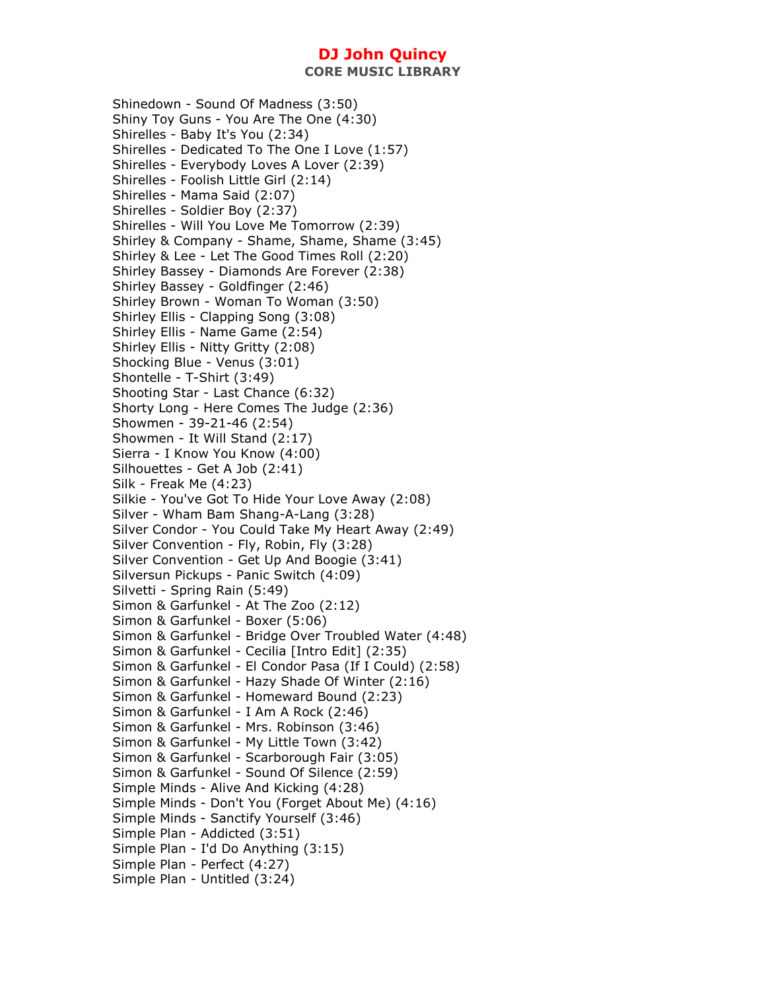Shinedown - Sound Of Madness (3:50) Shiny Toy Guns - You Are The One (4:30) Shirelles - Baby It's You (2:34) Shirelles - Dedicated To The One I Love (1:57) Shirelles - Everybody Loves A Lover (2:39) Shirelles - Foolish Little Girl (2:14) Shirelles - Mama Said (2:07) Shirelles - Soldier Boy (2:37) Shirelles - Will You Love Me Tomorrow (2:39) Shirley & Company - Shame, Shame, Shame (3:45) Shirley & Lee - Let The Good Times Roll (2:20) Shirley Bassey - Diamonds Are Forever (2:38) Shirley Bassey - Goldfinger (2:46) Shirley Brown - Woman To Woman (3:50) Shirley Ellis - Clapping Song (3:08) Shirley Ellis - Name Game (2:54) Shirley Ellis - Nitty Gritty (2:08) Shocking Blue - Venus (3:01) Shontelle - T-Shirt (3:49) Shooting Star - Last Chance (6:32) Shorty Long - Here Comes The Judge (2:36) Showmen - 39-21-46 (2:54) Showmen - It Will Stand (2:17) Sierra - I Know You Know (4:00) Silhouettes - Get A Job (2:41) Silk - Freak Me (4:23) Silkie - You've Got To Hide Your Love Away (2:08) Silver - Wham Bam Shang-A-Lang (3:28) Silver Condor - You Could Take My Heart Away (2:49) Silver Convention - Fly, Robin, Fly (3:28) Silver Convention - Get Up And Boogie (3:41) Silversun Pickups - Panic Switch (4:09) Silvetti - Spring Rain (5:49) Simon & Garfunkel - At The Zoo (2:12) Simon & Garfunkel - Boxer (5:06) Simon & Garfunkel - Bridge Over Troubled Water (4:48) Simon & Garfunkel - Cecilia [Intro Edit] (2:35) Simon & Garfunkel - El Condor Pasa (If I Could) (2:58) Simon & Garfunkel - Hazy Shade Of Winter (2:16) Simon & Garfunkel - Homeward Bound (2:23) Simon & Garfunkel - I Am A Rock (2:46) Simon & Garfunkel - Mrs. Robinson (3:46) Simon & Garfunkel - My Little Town (3:42) Simon & Garfunkel - Scarborough Fair (3:05) Simon & Garfunkel - Sound Of Silence (2:59) Simple Minds - Alive And Kicking (4:28) Simple Minds - Don't You (Forget About Me) (4:16) Simple Minds - Sanctify Yourself (3:46) Simple Plan - Addicted (3:51) Simple Plan - I'd Do Anything (3:15) Simple Plan - Perfect (4:27) Simple Plan - Untitled (3:24)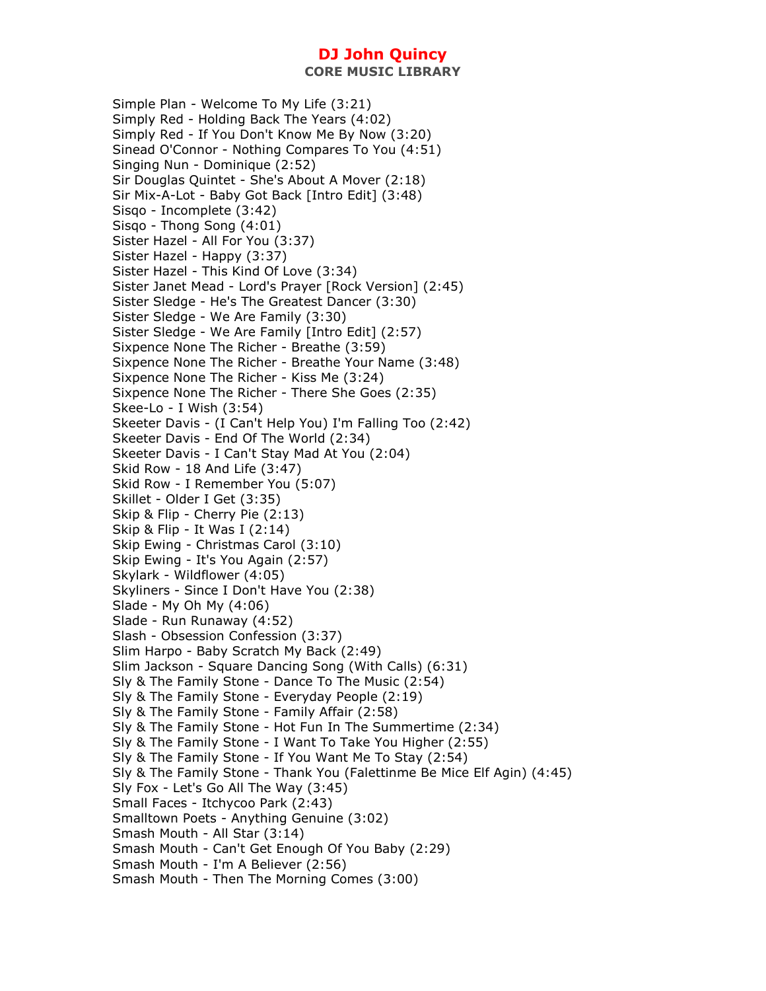Simple Plan - Welcome To My Life (3:21) Simply Red - Holding Back The Years (4:02) Simply Red - If You Don't Know Me By Now (3:20) Sinead O'Connor - Nothing Compares To You (4:51) Singing Nun - Dominique (2:52) Sir Douglas Quintet - She's About A Mover (2:18) Sir Mix-A-Lot - Baby Got Back [Intro Edit] (3:48) Sisqo - Incomplete (3:42) Sisqo - Thong Song (4:01) Sister Hazel - All For You (3:37) Sister Hazel - Happy (3:37) Sister Hazel - This Kind Of Love (3:34) Sister Janet Mead - Lord's Prayer [Rock Version] (2:45) Sister Sledge - He's The Greatest Dancer (3:30) Sister Sledge - We Are Family (3:30) Sister Sledge - We Are Family [Intro Edit] (2:57) Sixpence None The Richer - Breathe (3:59) Sixpence None The Richer - Breathe Your Name (3:48) Sixpence None The Richer - Kiss Me (3:24) Sixpence None The Richer - There She Goes (2:35) Skee-Lo - I Wish (3:54) Skeeter Davis - (I Can't Help You) I'm Falling Too (2:42) Skeeter Davis - End Of The World (2:34) Skeeter Davis - I Can't Stay Mad At You (2:04) Skid Row - 18 And Life (3:47) Skid Row - I Remember You (5:07) Skillet - Older I Get (3:35) Skip & Flip - Cherry Pie (2:13) Skip & Flip - It Was I (2:14) Skip Ewing - Christmas Carol (3:10) Skip Ewing - It's You Again (2:57) Skylark - Wildflower (4:05) Skyliners - Since I Don't Have You (2:38) Slade - My Oh My (4:06) Slade - Run Runaway (4:52) Slash - Obsession Confession (3:37) Slim Harpo - Baby Scratch My Back (2:49) Slim Jackson - Square Dancing Song (With Calls) (6:31) Sly & The Family Stone - Dance To The Music (2:54) Sly & The Family Stone - Everyday People (2:19) Sly & The Family Stone - Family Affair (2:58) Sly & The Family Stone - Hot Fun In The Summertime (2:34) Sly & The Family Stone - I Want To Take You Higher (2:55) Sly & The Family Stone - If You Want Me To Stay (2:54) Sly & The Family Stone - Thank You (Falettinme Be Mice Elf Agin) (4:45) Sly Fox - Let's Go All The Way (3:45) Small Faces - Itchycoo Park (2:43) Smalltown Poets - Anything Genuine (3:02) Smash Mouth - All Star (3:14) Smash Mouth - Can't Get Enough Of You Baby (2:29) Smash Mouth - I'm A Believer (2:56) Smash Mouth - Then The Morning Comes (3:00)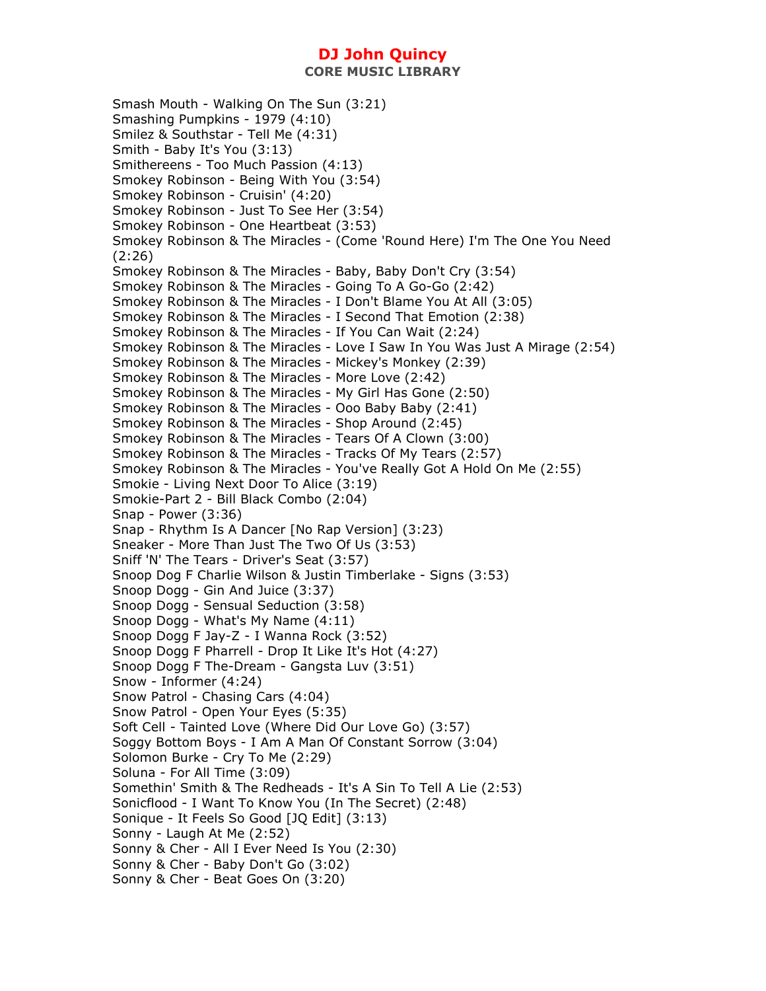Smash Mouth - Walking On The Sun (3:21) Smashing Pumpkins - 1979 (4:10) Smilez & Southstar - Tell Me (4:31) Smith - Baby It's You (3:13) Smithereens - Too Much Passion (4:13) Smokey Robinson - Being With You (3:54) Smokey Robinson - Cruisin' (4:20) Smokey Robinson - Just To See Her (3:54) Smokey Robinson - One Heartbeat (3:53) Smokey Robinson & The Miracles - (Come 'Round Here) I'm The One You Need (2:26) Smokey Robinson & The Miracles - Baby, Baby Don't Cry (3:54) Smokey Robinson & The Miracles - Going To A Go-Go (2:42) Smokey Robinson & The Miracles - I Don't Blame You At All (3:05) Smokey Robinson & The Miracles - I Second That Emotion (2:38) Smokey Robinson & The Miracles - If You Can Wait (2:24) Smokey Robinson & The Miracles - Love I Saw In You Was Just A Mirage (2:54) Smokey Robinson & The Miracles - Mickey's Monkey (2:39) Smokey Robinson & The Miracles - More Love (2:42) Smokey Robinson & The Miracles - My Girl Has Gone (2:50) Smokey Robinson & The Miracles - Ooo Baby Baby (2:41) Smokey Robinson & The Miracles - Shop Around (2:45) Smokey Robinson & The Miracles - Tears Of A Clown (3:00) Smokey Robinson & The Miracles - Tracks Of My Tears (2:57) Smokey Robinson & The Miracles - You've Really Got A Hold On Me (2:55) Smokie - Living Next Door To Alice (3:19) Smokie-Part 2 - Bill Black Combo (2:04) Snap - Power (3:36) Snap - Rhythm Is A Dancer [No Rap Version] (3:23) Sneaker - More Than Just The Two Of Us (3:53) Sniff 'N' The Tears - Driver's Seat (3:57) Snoop Dog F Charlie Wilson & Justin Timberlake - Signs (3:53) Snoop Dogg - Gin And Juice (3:37) Snoop Dogg - Sensual Seduction (3:58) Snoop Dogg - What's My Name (4:11) Snoop Dogg F Jay-Z - I Wanna Rock (3:52) Snoop Dogg F Pharrell - Drop It Like It's Hot (4:27) Snoop Dogg F The-Dream - Gangsta Luv (3:51) Snow - Informer (4:24) Snow Patrol - Chasing Cars (4:04) Snow Patrol - Open Your Eyes (5:35) Soft Cell - Tainted Love (Where Did Our Love Go) (3:57) Soggy Bottom Boys - I Am A Man Of Constant Sorrow (3:04) Solomon Burke - Cry To Me (2:29) Soluna - For All Time (3:09) Somethin' Smith & The Redheads - It's A Sin To Tell A Lie (2:53) Sonicflood - I Want To Know You (In The Secret) (2:48) Sonique - It Feels So Good [JQ Edit] (3:13) Sonny - Laugh At Me (2:52) Sonny & Cher - All I Ever Need Is You (2:30) Sonny & Cher - Baby Don't Go (3:02) Sonny & Cher - Beat Goes On (3:20)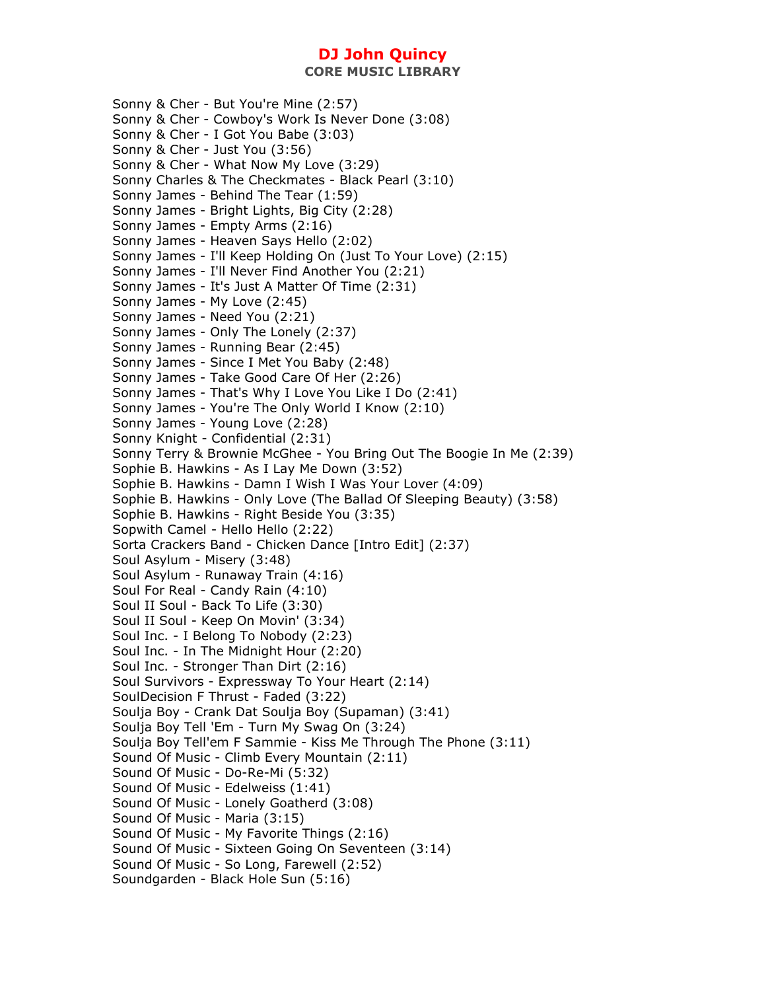**CORE MUSIC LIBRARY** 

Sonny & Cher - But You're Mine (2:57) Sonny & Cher - Cowboy's Work Is Never Done (3:08) Sonny & Cher - I Got You Babe (3:03) Sonny & Cher - Just You (3:56) Sonny & Cher - What Now My Love (3:29) Sonny Charles & The Checkmates - Black Pearl (3:10) Sonny James - Behind The Tear (1:59) Sonny James - Bright Lights, Big City (2:28) Sonny James - Empty Arms (2:16) Sonny James - Heaven Says Hello (2:02) Sonny James - I'll Keep Holding On (Just To Your Love) (2:15) Sonny James - I'll Never Find Another You (2:21) Sonny James - It's Just A Matter Of Time (2:31) Sonny James - My Love (2:45) Sonny James - Need You (2:21) Sonny James - Only The Lonely (2:37) Sonny James - Running Bear (2:45) Sonny James - Since I Met You Baby (2:48) Sonny James - Take Good Care Of Her (2:26) Sonny James - That's Why I Love You Like I Do (2:41) Sonny James - You're The Only World I Know (2:10) Sonny James - Young Love (2:28) Sonny Knight - Confidential (2:31) Sonny Terry & Brownie McGhee - You Bring Out The Boogie In Me (2:39) Sophie B. Hawkins - As I Lay Me Down (3:52) Sophie B. Hawkins - Damn I Wish I Was Your Lover (4:09) Sophie B. Hawkins - Only Love (The Ballad Of Sleeping Beauty) (3:58) Sophie B. Hawkins - Right Beside You (3:35) Sopwith Camel - Hello Hello (2:22) Sorta Crackers Band - Chicken Dance [Intro Edit] (2:37) Soul Asylum - Misery (3:48) Soul Asylum - Runaway Train (4:16) Soul For Real - Candy Rain (4:10) Soul II Soul - Back To Life (3:30) Soul II Soul - Keep On Movin' (3:34) Soul Inc. - I Belong To Nobody (2:23) Soul Inc. - In The Midnight Hour (2:20) Soul Inc. - Stronger Than Dirt (2:16) Soul Survivors - Expressway To Your Heart (2:14) SoulDecision F Thrust - Faded (3:22) Soulja Boy - Crank Dat Soulja Boy (Supaman) (3:41) Soulja Boy Tell 'Em - Turn My Swag On (3:24) Soulja Boy Tell'em F Sammie - Kiss Me Through The Phone (3:11) Sound Of Music - Climb Every Mountain (2:11) Sound Of Music - Do-Re-Mi (5:32) Sound Of Music - Edelweiss (1:41) Sound Of Music - Lonely Goatherd (3:08) Sound Of Music - Maria (3:15) Sound Of Music - My Favorite Things (2:16) Sound Of Music - Sixteen Going On Seventeen (3:14) Sound Of Music - So Long, Farewell (2:52) Soundgarden - Black Hole Sun (5:16)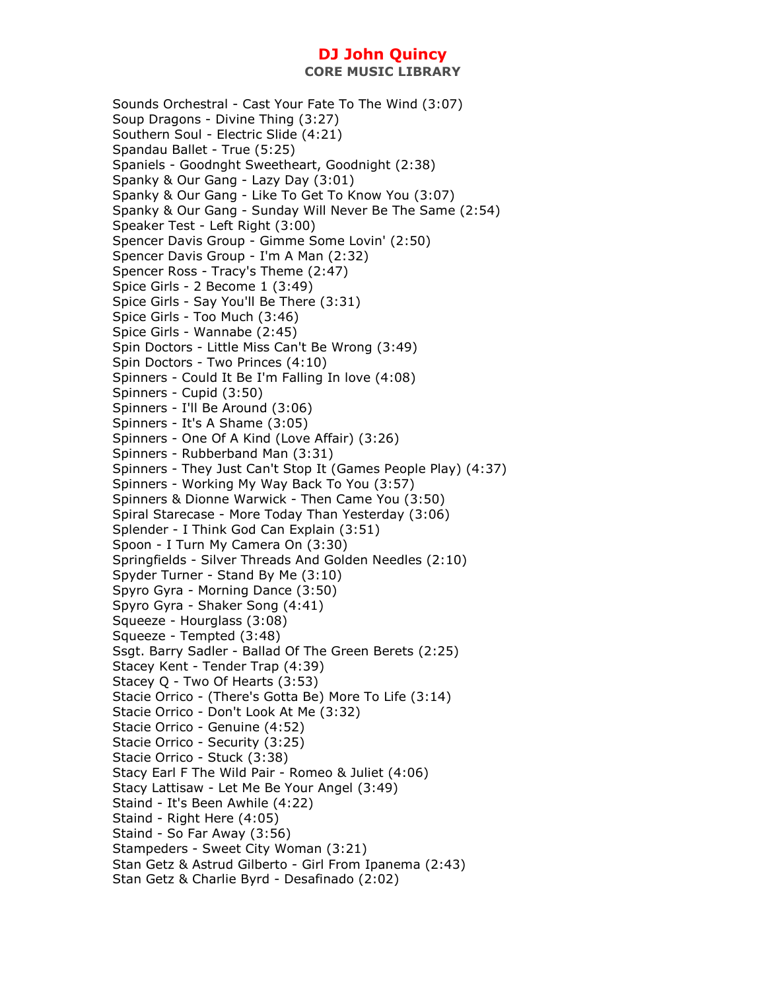**CORE MUSIC LIBRARY** 

Sounds Orchestral - Cast Your Fate To The Wind (3:07) Soup Dragons - Divine Thing (3:27) Southern Soul - Electric Slide (4:21) Spandau Ballet - True (5:25) Spaniels - Goodnght Sweetheart, Goodnight (2:38) Spanky & Our Gang - Lazy Day (3:01) Spanky & Our Gang - Like To Get To Know You (3:07) Spanky & Our Gang - Sunday Will Never Be The Same (2:54) Speaker Test - Left Right (3:00) Spencer Davis Group - Gimme Some Lovin' (2:50) Spencer Davis Group - I'm A Man (2:32) Spencer Ross - Tracy's Theme (2:47) Spice Girls - 2 Become 1 (3:49) Spice Girls - Say You'll Be There (3:31) Spice Girls - Too Much (3:46) Spice Girls - Wannabe (2:45) Spin Doctors - Little Miss Can't Be Wrong (3:49) Spin Doctors - Two Princes (4:10) Spinners - Could It Be I'm Falling In love (4:08) Spinners - Cupid (3:50) Spinners - I'll Be Around (3:06) Spinners - It's A Shame (3:05) Spinners - One Of A Kind (Love Affair) (3:26) Spinners - Rubberband Man (3:31) Spinners - They Just Can't Stop It (Games People Play) (4:37) Spinners - Working My Way Back To You (3:57) Spinners & Dionne Warwick - Then Came You (3:50) Spiral Starecase - More Today Than Yesterday (3:06) Splender - I Think God Can Explain (3:51) Spoon - I Turn My Camera On (3:30) Springfields - Silver Threads And Golden Needles (2:10) Spyder Turner - Stand By Me (3:10) Spyro Gyra - Morning Dance (3:50) Spyro Gyra - Shaker Song (4:41) Squeeze - Hourglass (3:08) Squeeze - Tempted (3:48) Ssgt. Barry Sadler - Ballad Of The Green Berets (2:25) Stacey Kent - Tender Trap (4:39) Stacey Q - Two Of Hearts (3:53) Stacie Orrico - (There's Gotta Be) More To Life (3:14) Stacie Orrico - Don't Look At Me (3:32) Stacie Orrico - Genuine (4:52) Stacie Orrico - Security (3:25) Stacie Orrico - Stuck (3:38) Stacy Earl F The Wild Pair - Romeo & Juliet (4:06) Stacy Lattisaw - Let Me Be Your Angel (3:49) Staind - It's Been Awhile (4:22) Staind - Right Here (4:05) Staind - So Far Away (3:56) Stampeders - Sweet City Woman (3:21) Stan Getz & Astrud Gilberto - Girl From Ipanema (2:43) Stan Getz & Charlie Byrd - Desafinado (2:02)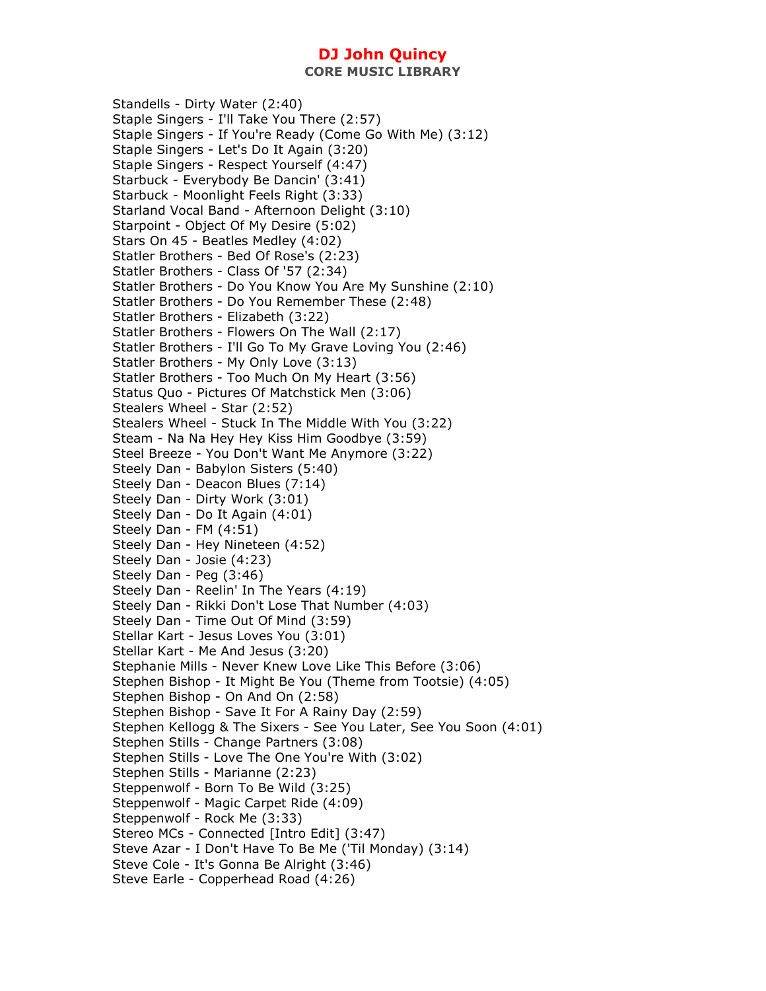Standells - Dirty Water (2:40) Staple Singers - I'll Take You There (2:57) Staple Singers - If You're Ready (Come Go With Me) (3:12) Staple Singers - Let's Do It Again (3:20) Staple Singers - Respect Yourself (4:47) Starbuck - Everybody Be Dancin' (3:41) Starbuck - Moonlight Feels Right (3:33) Starland Vocal Band - Afternoon Delight (3:10) Starpoint - Object Of My Desire (5:02) Stars On 45 - Beatles Medley (4:02) Statler Brothers - Bed Of Rose's (2:23) Statler Brothers - Class Of '57 (2:34) Statler Brothers - Do You Know You Are My Sunshine (2:10) Statler Brothers - Do You Remember These (2:48) Statler Brothers - Elizabeth (3:22) Statler Brothers - Flowers On The Wall (2:17) Statler Brothers - I'll Go To My Grave Loving You (2:46) Statler Brothers - My Only Love (3:13) Statler Brothers - Too Much On My Heart (3:56) Status Quo - Pictures Of Matchstick Men (3:06) Stealers Wheel - Star (2:52) Stealers Wheel - Stuck In The Middle With You (3:22) Steam - Na Na Hey Hey Kiss Him Goodbye (3:59) Steel Breeze - You Don't Want Me Anymore (3:22) Steely Dan - Babylon Sisters (5:40) Steely Dan - Deacon Blues (7:14) Steely Dan - Dirty Work (3:01) Steely Dan - Do It Again (4:01) Steely Dan - FM (4:51) Steely Dan - Hey Nineteen (4:52) Steely Dan - Josie (4:23) Steely Dan - Peg (3:46) Steely Dan - Reelin' In The Years (4:19) Steely Dan - Rikki Don't Lose That Number (4:03) Steely Dan - Time Out Of Mind (3:59) Stellar Kart - Jesus Loves You (3:01) Stellar Kart - Me And Jesus (3:20) Stephanie Mills - Never Knew Love Like This Before (3:06) Stephen Bishop - It Might Be You (Theme from Tootsie) (4:05) Stephen Bishop - On And On (2:58) Stephen Bishop - Save It For A Rainy Day (2:59) Stephen Kellogg & The Sixers - See You Later, See You Soon (4:01) Stephen Stills - Change Partners (3:08) Stephen Stills - Love The One You're With (3:02) Stephen Stills - Marianne (2:23) Steppenwolf - Born To Be Wild (3:25) Steppenwolf - Magic Carpet Ride (4:09) Steppenwolf - Rock Me (3:33) Stereo MCs - Connected [Intro Edit] (3:47) Steve Azar - I Don't Have To Be Me ('Til Monday) (3:14) Steve Cole - It's Gonna Be Alright (3:46) Steve Earle - Copperhead Road (4:26)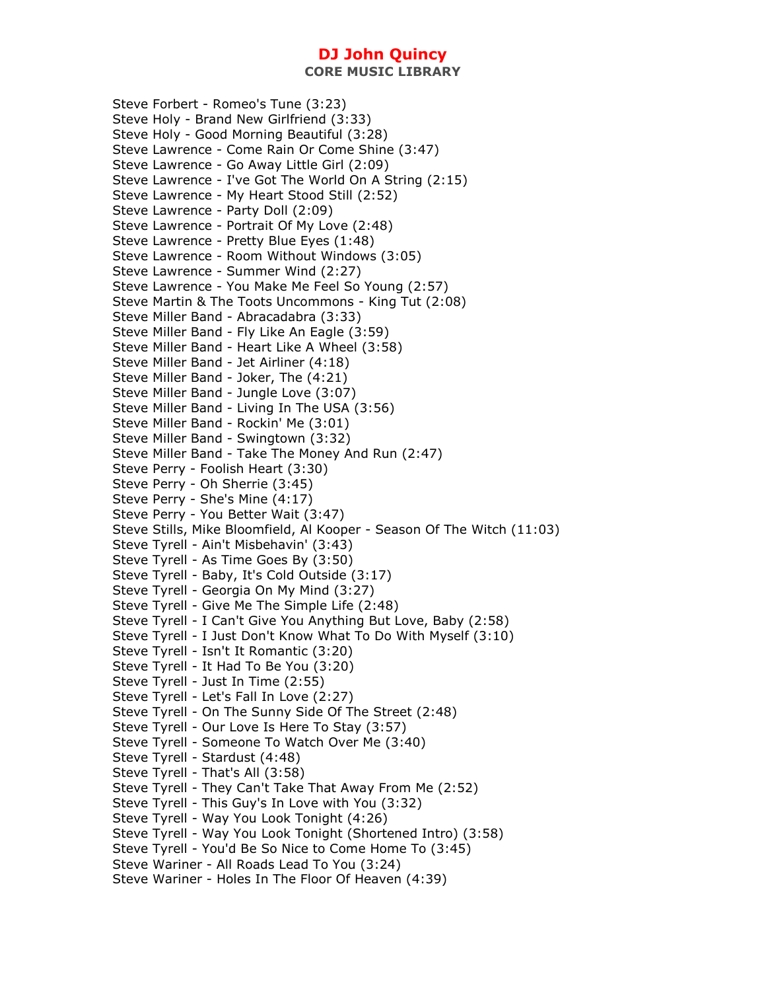Steve Forbert - Romeo's Tune (3:23) Steve Holy - Brand New Girlfriend (3:33) Steve Holy - Good Morning Beautiful (3:28) Steve Lawrence - Come Rain Or Come Shine (3:47) Steve Lawrence - Go Away Little Girl (2:09) Steve Lawrence - I've Got The World On A String (2:15) Steve Lawrence - My Heart Stood Still (2:52) Steve Lawrence - Party Doll (2:09) Steve Lawrence - Portrait Of My Love (2:48) Steve Lawrence - Pretty Blue Eyes (1:48) Steve Lawrence - Room Without Windows (3:05) Steve Lawrence - Summer Wind (2:27) Steve Lawrence - You Make Me Feel So Young (2:57) Steve Martin & The Toots Uncommons - King Tut (2:08) Steve Miller Band - Abracadabra (3:33) Steve Miller Band - Fly Like An Eagle (3:59) Steve Miller Band - Heart Like A Wheel (3:58) Steve Miller Band - Jet Airliner (4:18) Steve Miller Band - Joker, The (4:21) Steve Miller Band - Jungle Love (3:07) Steve Miller Band - Living In The USA (3:56) Steve Miller Band - Rockin' Me (3:01) Steve Miller Band - Swingtown (3:32) Steve Miller Band - Take The Money And Run (2:47) Steve Perry - Foolish Heart (3:30) Steve Perry - Oh Sherrie (3:45) Steve Perry - She's Mine (4:17) Steve Perry - You Better Wait (3:47) Steve Stills, Mike Bloomfield, Al Kooper - Season Of The Witch (11:03) Steve Tyrell - Ain't Misbehavin' (3:43) Steve Tyrell - As Time Goes By (3:50) Steve Tyrell - Baby, It's Cold Outside (3:17) Steve Tyrell - Georgia On My Mind (3:27) Steve Tyrell - Give Me The Simple Life (2:48) Steve Tyrell - I Can't Give You Anything But Love, Baby (2:58) Steve Tyrell - I Just Don't Know What To Do With Myself (3:10) Steve Tyrell - Isn't It Romantic (3:20) Steve Tyrell - It Had To Be You (3:20) Steve Tyrell - Just In Time (2:55) Steve Tyrell - Let's Fall In Love (2:27) Steve Tyrell - On The Sunny Side Of The Street (2:48) Steve Tyrell - Our Love Is Here To Stay (3:57) Steve Tyrell - Someone To Watch Over Me (3:40) Steve Tyrell - Stardust (4:48) Steve Tyrell - That's All (3:58) Steve Tyrell - They Can't Take That Away From Me (2:52) Steve Tyrell - This Guy's In Love with You (3:32) Steve Tyrell - Way You Look Tonight (4:26) Steve Tyrell - Way You Look Tonight (Shortened Intro) (3:58) Steve Tyrell - You'd Be So Nice to Come Home To (3:45) Steve Wariner - All Roads Lead To You (3:24) Steve Wariner - Holes In The Floor Of Heaven (4:39)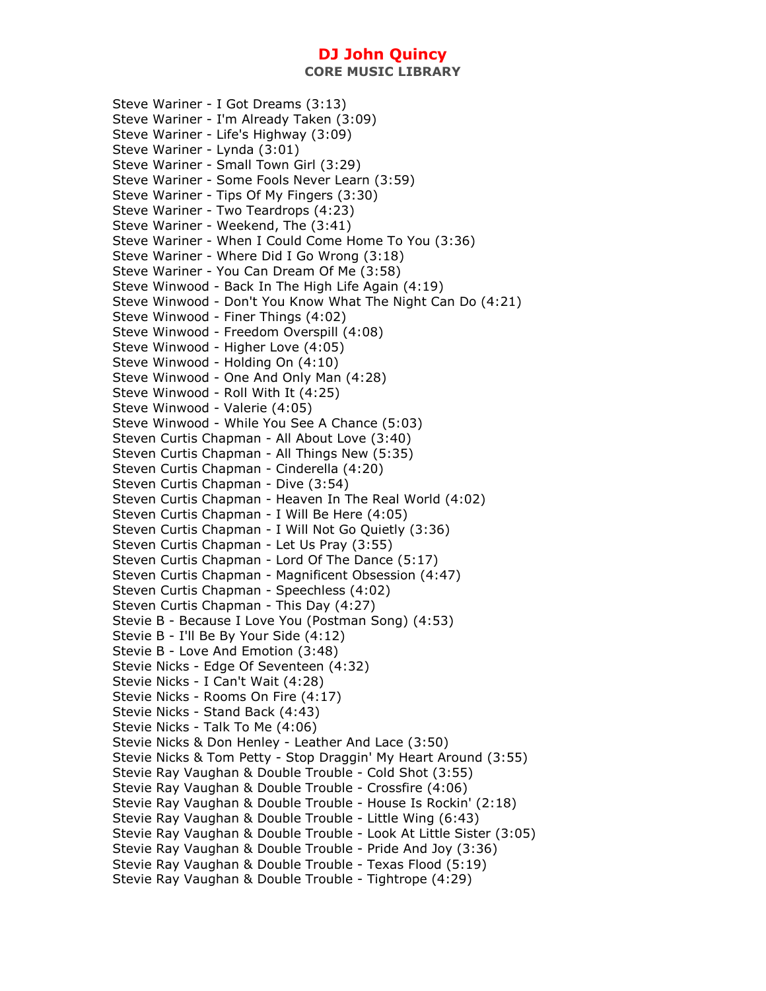**CORE MUSIC LIBRARY** 

Steve Wariner - I Got Dreams (3:13) Steve Wariner - I'm Already Taken (3:09) Steve Wariner - Life's Highway (3:09) Steve Wariner - Lynda (3:01) Steve Wariner - Small Town Girl (3:29) Steve Wariner - Some Fools Never Learn (3:59) Steve Wariner - Tips Of My Fingers (3:30) Steve Wariner - Two Teardrops (4:23) Steve Wariner - Weekend, The (3:41) Steve Wariner - When I Could Come Home To You (3:36) Steve Wariner - Where Did I Go Wrong (3:18) Steve Wariner - You Can Dream Of Me (3:58) Steve Winwood - Back In The High Life Again (4:19) Steve Winwood - Don't You Know What The Night Can Do (4:21) Steve Winwood - Finer Things (4:02) Steve Winwood - Freedom Overspill (4:08) Steve Winwood - Higher Love (4:05) Steve Winwood - Holding On (4:10) Steve Winwood - One And Only Man (4:28) Steve Winwood - Roll With It (4:25) Steve Winwood - Valerie (4:05) Steve Winwood - While You See A Chance (5:03) Steven Curtis Chapman - All About Love (3:40) Steven Curtis Chapman - All Things New (5:35) Steven Curtis Chapman - Cinderella (4:20) Steven Curtis Chapman - Dive (3:54) Steven Curtis Chapman - Heaven In The Real World (4:02) Steven Curtis Chapman - I Will Be Here (4:05) Steven Curtis Chapman - I Will Not Go Quietly (3:36) Steven Curtis Chapman - Let Us Pray (3:55) Steven Curtis Chapman - Lord Of The Dance (5:17) Steven Curtis Chapman - Magnificent Obsession (4:47) Steven Curtis Chapman - Speechless (4:02) Steven Curtis Chapman - This Day (4:27) Stevie B - Because I Love You (Postman Song) (4:53) Stevie B - I'll Be By Your Side (4:12) Stevie B - Love And Emotion (3:48) Stevie Nicks - Edge Of Seventeen (4:32) Stevie Nicks - I Can't Wait (4:28) Stevie Nicks - Rooms On Fire (4:17) Stevie Nicks - Stand Back (4:43) Stevie Nicks - Talk To Me (4:06) Stevie Nicks & Don Henley - Leather And Lace (3:50) Stevie Nicks & Tom Petty - Stop Draggin' My Heart Around (3:55) Stevie Ray Vaughan & Double Trouble - Cold Shot (3:55) Stevie Ray Vaughan & Double Trouble - Crossfire (4:06) Stevie Ray Vaughan & Double Trouble - House Is Rockin' (2:18) Stevie Ray Vaughan & Double Trouble - Little Wing (6:43) Stevie Ray Vaughan & Double Trouble - Look At Little Sister (3:05) Stevie Ray Vaughan & Double Trouble - Pride And Joy (3:36) Stevie Ray Vaughan & Double Trouble - Texas Flood (5:19) Stevie Ray Vaughan & Double Trouble - Tightrope (4:29)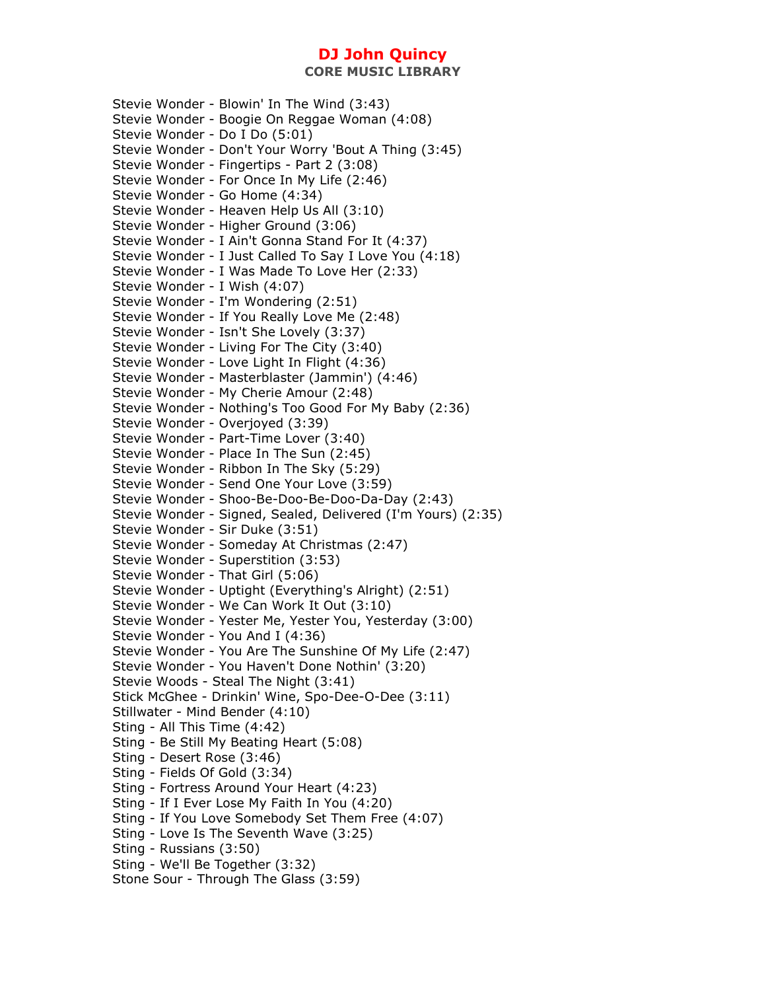Stevie Wonder - Blowin' In The Wind (3:43) Stevie Wonder - Boogie On Reggae Woman (4:08) Stevie Wonder - Do I Do (5:01) Stevie Wonder - Don't Your Worry 'Bout A Thing (3:45) Stevie Wonder - Fingertips - Part 2 (3:08) Stevie Wonder - For Once In My Life (2:46) Stevie Wonder - Go Home (4:34) Stevie Wonder - Heaven Help Us All (3:10) Stevie Wonder - Higher Ground (3:06) Stevie Wonder - I Ain't Gonna Stand For It (4:37) Stevie Wonder - I Just Called To Say I Love You (4:18) Stevie Wonder - I Was Made To Love Her (2:33) Stevie Wonder - I Wish (4:07) Stevie Wonder - I'm Wondering (2:51) Stevie Wonder - If You Really Love Me (2:48) Stevie Wonder - Isn't She Lovely (3:37) Stevie Wonder - Living For The City (3:40) Stevie Wonder - Love Light In Flight (4:36) Stevie Wonder - Masterblaster (Jammin') (4:46) Stevie Wonder - My Cherie Amour (2:48) Stevie Wonder - Nothing's Too Good For My Baby (2:36) Stevie Wonder - Overjoyed (3:39) Stevie Wonder - Part-Time Lover (3:40) Stevie Wonder - Place In The Sun (2:45) Stevie Wonder - Ribbon In The Sky (5:29) Stevie Wonder - Send One Your Love (3:59) Stevie Wonder - Shoo-Be-Doo-Be-Doo-Da-Day (2:43) Stevie Wonder - Signed, Sealed, Delivered (I'm Yours) (2:35) Stevie Wonder - Sir Duke (3:51) Stevie Wonder - Someday At Christmas (2:47) Stevie Wonder - Superstition (3:53) Stevie Wonder - That Girl (5:06) Stevie Wonder - Uptight (Everything's Alright) (2:51) Stevie Wonder - We Can Work It Out (3:10) Stevie Wonder - Yester Me, Yester You, Yesterday (3:00) Stevie Wonder - You And I (4:36) Stevie Wonder - You Are The Sunshine Of My Life (2:47) Stevie Wonder - You Haven't Done Nothin' (3:20) Stevie Woods - Steal The Night (3:41) Stick McGhee - Drinkin' Wine, Spo-Dee-O-Dee (3:11) Stillwater - Mind Bender (4:10) Sting - All This Time (4:42) Sting - Be Still My Beating Heart (5:08) Sting - Desert Rose (3:46) Sting - Fields Of Gold (3:34) Sting - Fortress Around Your Heart (4:23) Sting - If I Ever Lose My Faith In You (4:20) Sting - If You Love Somebody Set Them Free (4:07) Sting - Love Is The Seventh Wave (3:25) Sting - Russians (3:50) Sting - We'll Be Together (3:32) Stone Sour - Through The Glass (3:59)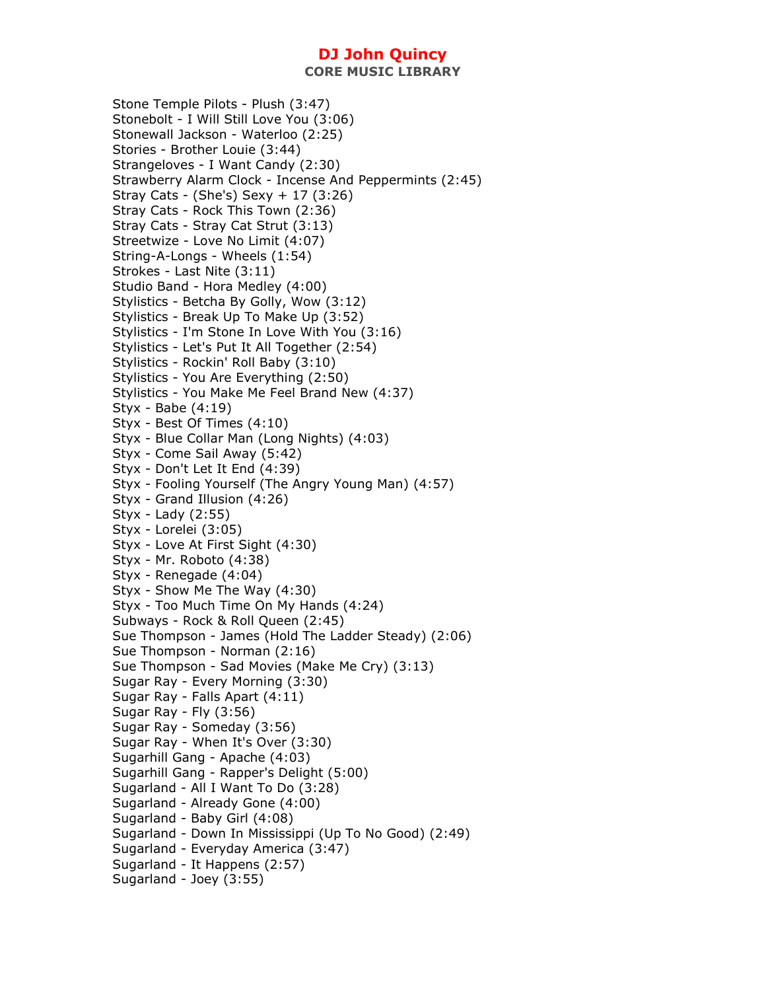Stone Temple Pilots - Plush (3:47) Stonebolt - I Will Still Love You (3:06) Stonewall Jackson - Waterloo (2:25) Stories - Brother Louie (3:44) Strangeloves - I Want Candy (2:30) Strawberry Alarm Clock - Incense And Peppermints (2:45) Stray Cats - (She's) Sexy + 17 (3:26) Stray Cats - Rock This Town (2:36) Stray Cats - Stray Cat Strut (3:13) Streetwize - Love No Limit (4:07) String-A-Longs - Wheels (1:54) Strokes - Last Nite (3:11) Studio Band - Hora Medley (4:00) Stylistics - Betcha By Golly, Wow (3:12) Stylistics - Break Up To Make Up (3:52) Stylistics - I'm Stone In Love With You (3:16) Stylistics - Let's Put It All Together (2:54) Stylistics - Rockin' Roll Baby (3:10) Stylistics - You Are Everything (2:50) Stylistics - You Make Me Feel Brand New (4:37) Styx - Babe (4:19) Styx - Best Of Times (4:10) Styx - Blue Collar Man (Long Nights) (4:03) Styx - Come Sail Away (5:42) Styx - Don't Let It End (4:39) Styx - Fooling Yourself (The Angry Young Man) (4:57) Styx - Grand Illusion (4:26) Styx - Lady (2:55) Styx - Lorelei (3:05) Styx - Love At First Sight (4:30) Styx - Mr. Roboto (4:38) Styx - Renegade (4:04) Styx - Show Me The Way (4:30) Styx - Too Much Time On My Hands (4:24) Subways - Rock & Roll Queen (2:45) Sue Thompson - James (Hold The Ladder Steady) (2:06) Sue Thompson - Norman (2:16) Sue Thompson - Sad Movies (Make Me Cry) (3:13) Sugar Ray - Every Morning (3:30) Sugar Ray - Falls Apart (4:11) Sugar Ray - Fly (3:56) Sugar Ray - Someday (3:56) Sugar Ray - When It's Over (3:30) Sugarhill Gang - Apache (4:03) Sugarhill Gang - Rapper's Delight (5:00) Sugarland - All I Want To Do (3:28) Sugarland - Already Gone (4:00) Sugarland - Baby Girl (4:08) Sugarland - Down In Mississippi (Up To No Good) (2:49) Sugarland - Everyday America (3:47) Sugarland - It Happens (2:57) Sugarland - Joey (3:55)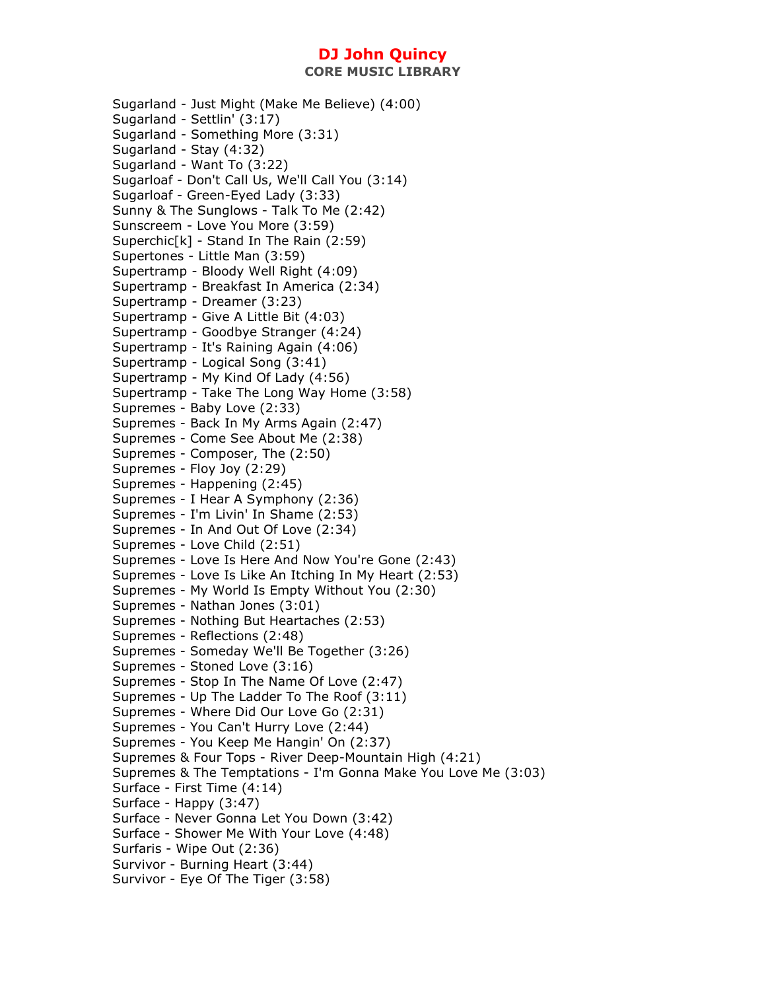Sugarland - Just Might (Make Me Believe) (4:00) Sugarland - Settlin' (3:17) Sugarland - Something More (3:31) Sugarland - Stay (4:32) Sugarland - Want To (3:22) Sugarloaf - Don't Call Us, We'll Call You (3:14) Sugarloaf - Green-Eyed Lady (3:33) Sunny & The Sunglows - Talk To Me (2:42) Sunscreem - Love You More (3:59) Superchic[k] - Stand In The Rain (2:59) Supertones - Little Man (3:59) Supertramp - Bloody Well Right (4:09) Supertramp - Breakfast In America (2:34) Supertramp - Dreamer (3:23) Supertramp - Give A Little Bit (4:03) Supertramp - Goodbye Stranger (4:24) Supertramp - It's Raining Again (4:06) Supertramp - Logical Song (3:41) Supertramp - My Kind Of Lady (4:56) Supertramp - Take The Long Way Home (3:58) Supremes - Baby Love (2:33) Supremes - Back In My Arms Again (2:47) Supremes - Come See About Me (2:38) Supremes - Composer, The (2:50) Supremes - Floy Joy (2:29) Supremes - Happening (2:45) Supremes - I Hear A Symphony (2:36) Supremes - I'm Livin' In Shame (2:53) Supremes - In And Out Of Love (2:34) Supremes - Love Child (2:51) Supremes - Love Is Here And Now You're Gone (2:43) Supremes - Love Is Like An Itching In My Heart (2:53) Supremes - My World Is Empty Without You (2:30) Supremes - Nathan Jones (3:01) Supremes - Nothing But Heartaches (2:53) Supremes - Reflections (2:48) Supremes - Someday We'll Be Together (3:26) Supremes - Stoned Love (3:16) Supremes - Stop In The Name Of Love (2:47) Supremes - Up The Ladder To The Roof (3:11) Supremes - Where Did Our Love Go (2:31) Supremes - You Can't Hurry Love (2:44) Supremes - You Keep Me Hangin' On (2:37) Supremes & Four Tops - River Deep-Mountain High (4:21) Supremes & The Temptations - I'm Gonna Make You Love Me (3:03) Surface - First Time (4:14) Surface - Happy (3:47) Surface - Never Gonna Let You Down (3:42) Surface - Shower Me With Your Love (4:48) Surfaris - Wipe Out (2:36) Survivor - Burning Heart (3:44) Survivor - Eye Of The Tiger (3:58)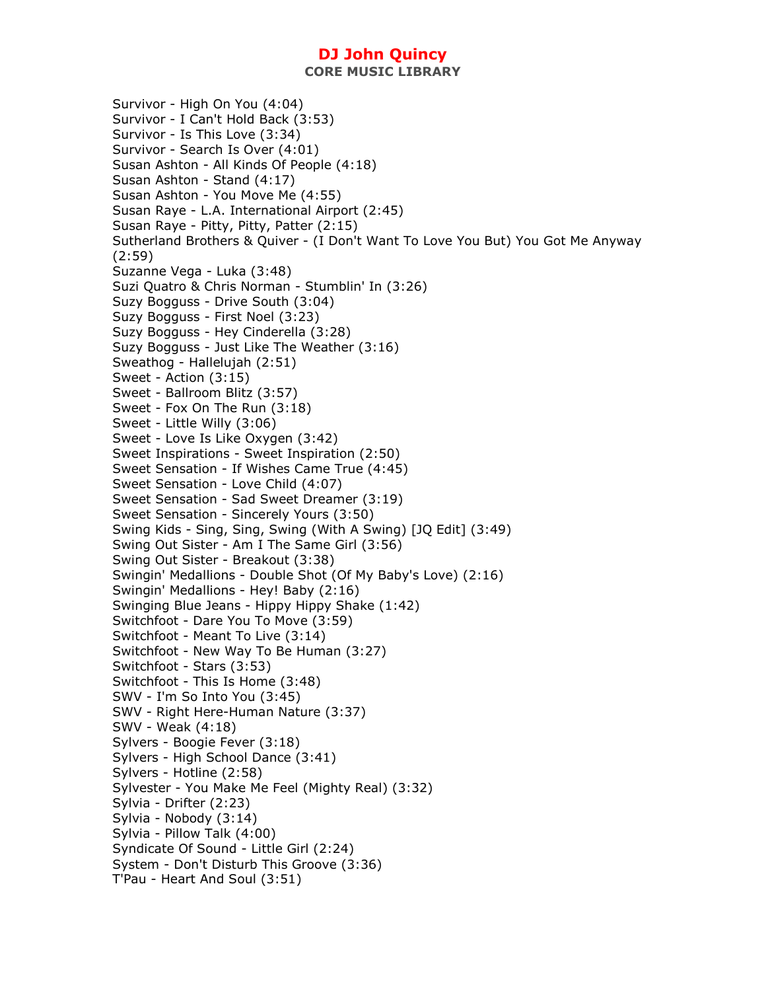**CORE MUSIC LIBRARY** 

Survivor - High On You (4:04) Survivor - I Can't Hold Back (3:53) Survivor - Is This Love (3:34) Survivor - Search Is Over (4:01) Susan Ashton - All Kinds Of People (4:18) Susan Ashton - Stand (4:17) Susan Ashton - You Move Me (4:55) Susan Raye - L.A. International Airport (2:45) Susan Raye - Pitty, Pitty, Patter (2:15) Sutherland Brothers & Quiver - (I Don't Want To Love You But) You Got Me Anyway (2:59) Suzanne Vega - Luka (3:48) Suzi Quatro & Chris Norman - Stumblin' In (3:26) Suzy Bogguss - Drive South (3:04) Suzy Bogguss - First Noel (3:23) Suzy Bogguss - Hey Cinderella (3:28) Suzy Bogguss - Just Like The Weather (3:16) Sweathog - Hallelujah (2:51) Sweet - Action (3:15) Sweet - Ballroom Blitz (3:57) Sweet - Fox On The Run (3:18) Sweet - Little Willy (3:06) Sweet - Love Is Like Oxygen (3:42) Sweet Inspirations - Sweet Inspiration (2:50) Sweet Sensation - If Wishes Came True (4:45) Sweet Sensation - Love Child (4:07) Sweet Sensation - Sad Sweet Dreamer (3:19) Sweet Sensation - Sincerely Yours (3:50) Swing Kids - Sing, Sing, Swing (With A Swing) [JQ Edit] (3:49) Swing Out Sister - Am I The Same Girl (3:56) Swing Out Sister - Breakout (3:38) Swingin' Medallions - Double Shot (Of My Baby's Love) (2:16) Swingin' Medallions - Hey! Baby (2:16) Swinging Blue Jeans - Hippy Hippy Shake (1:42) Switchfoot - Dare You To Move (3:59) Switchfoot - Meant To Live (3:14) Switchfoot - New Way To Be Human (3:27) Switchfoot - Stars (3:53) Switchfoot - This Is Home (3:48) SWV - I'm So Into You (3:45) SWV - Right Here-Human Nature (3:37) SWV - Weak (4:18) Sylvers - Boogie Fever (3:18) Sylvers - High School Dance (3:41) Sylvers - Hotline (2:58) Sylvester - You Make Me Feel (Mighty Real) (3:32) Sylvia - Drifter (2:23) Sylvia - Nobody (3:14) Sylvia - Pillow Talk (4:00) Syndicate Of Sound - Little Girl (2:24) System - Don't Disturb This Groove (3:36) T'Pau - Heart And Soul (3:51)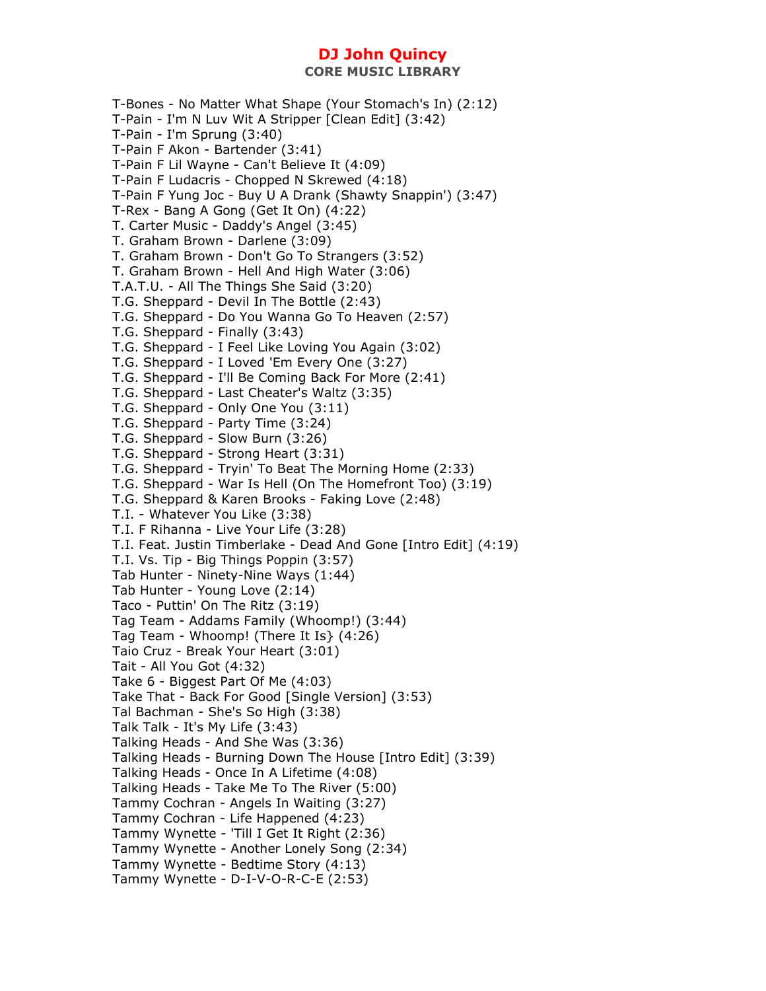**CORE MUSIC LIBRARY** 

T-Bones - No Matter What Shape (Your Stomach's In) (2:12) T-Pain - I'm N Luv Wit A Stripper [Clean Edit] (3:42) T-Pain - I'm Sprung (3:40) T-Pain F Akon - Bartender (3:41) T-Pain F Lil Wayne - Can't Believe It (4:09) T-Pain F Ludacris - Chopped N Skrewed (4:18) T-Pain F Yung Joc - Buy U A Drank (Shawty Snappin') (3:47) T-Rex - Bang A Gong (Get It On) (4:22) T. Carter Music - Daddy's Angel (3:45) T. Graham Brown - Darlene (3:09) T. Graham Brown - Don't Go To Strangers (3:52) T. Graham Brown - Hell And High Water (3:06) T.A.T.U. - All The Things She Said (3:20) T.G. Sheppard - Devil In The Bottle (2:43) T.G. Sheppard - Do You Wanna Go To Heaven (2:57) T.G. Sheppard - Finally (3:43) T.G. Sheppard - I Feel Like Loving You Again (3:02) T.G. Sheppard - I Loved 'Em Every One (3:27) T.G. Sheppard - I'll Be Coming Back For More (2:41) T.G. Sheppard - Last Cheater's Waltz (3:35) T.G. Sheppard - Only One You (3:11) T.G. Sheppard - Party Time (3:24) T.G. Sheppard - Slow Burn (3:26) T.G. Sheppard - Strong Heart (3:31) T.G. Sheppard - Tryin' To Beat The Morning Home (2:33) T.G. Sheppard - War Is Hell (On The Homefront Too) (3:19) T.G. Sheppard & Karen Brooks - Faking Love (2:48) T.I. - Whatever You Like (3:38) T.I. F Rihanna - Live Your Life (3:28) T.I. Feat. Justin Timberlake - Dead And Gone [Intro Edit] (4:19) T.I. Vs. Tip - Big Things Poppin (3:57) Tab Hunter - Ninety-Nine Ways (1:44) Tab Hunter - Young Love (2:14) Taco - Puttin' On The Ritz (3:19) Tag Team - Addams Family (Whoomp!) (3:44) Tag Team - Whoomp! (There It Is} (4:26) Taio Cruz - Break Your Heart (3:01) Tait - All You Got (4:32) Take 6 - Biggest Part Of Me (4:03) Take That - Back For Good [Single Version] (3:53) Tal Bachman - She's So High (3:38) Talk Talk - It's My Life (3:43) Talking Heads - And She Was (3:36) Talking Heads - Burning Down The House [Intro Edit] (3:39) Talking Heads - Once In A Lifetime (4:08) Talking Heads - Take Me To The River (5:00) Tammy Cochran - Angels In Waiting (3:27) Tammy Cochran - Life Happened (4:23) Tammy Wynette - 'Till I Get It Right (2:36) Tammy Wynette - Another Lonely Song (2:34) Tammy Wynette - Bedtime Story (4:13) Tammy Wynette - D-I-V-O-R-C-E (2:53)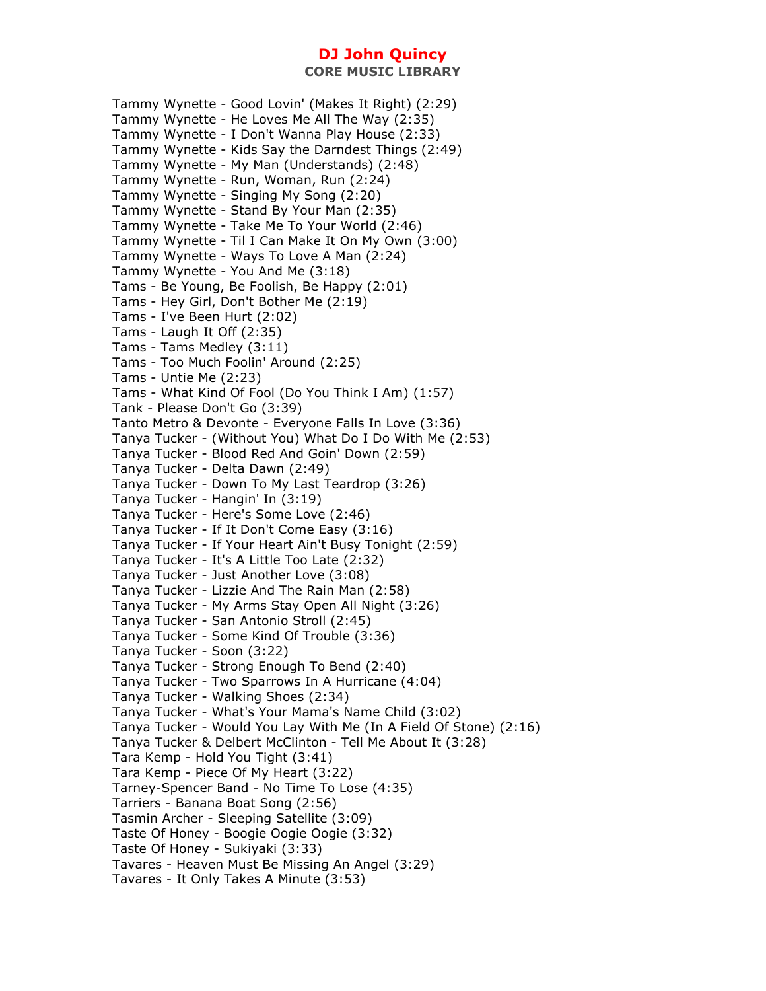Tammy Wynette - Good Lovin' (Makes It Right) (2:29) Tammy Wynette - He Loves Me All The Way (2:35) Tammy Wynette - I Don't Wanna Play House (2:33) Tammy Wynette - Kids Say the Darndest Things (2:49) Tammy Wynette - My Man (Understands) (2:48) Tammy Wynette - Run, Woman, Run (2:24) Tammy Wynette - Singing My Song (2:20) Tammy Wynette - Stand By Your Man (2:35) Tammy Wynette - Take Me To Your World (2:46) Tammy Wynette - Til I Can Make It On My Own (3:00) Tammy Wynette - Ways To Love A Man (2:24) Tammy Wynette - You And Me (3:18) Tams - Be Young, Be Foolish, Be Happy (2:01) Tams - Hey Girl, Don't Bother Me (2:19) Tams - I've Been Hurt (2:02) Tams - Laugh It Off (2:35) Tams - Tams Medley (3:11) Tams - Too Much Foolin' Around (2:25) Tams - Untie Me (2:23) Tams - What Kind Of Fool (Do You Think I Am) (1:57) Tank - Please Don't Go (3:39) Tanto Metro & Devonte - Everyone Falls In Love (3:36) Tanya Tucker - (Without You) What Do I Do With Me (2:53) Tanya Tucker - Blood Red And Goin' Down (2:59) Tanya Tucker - Delta Dawn (2:49) Tanya Tucker - Down To My Last Teardrop (3:26) Tanya Tucker - Hangin' In (3:19) Tanya Tucker - Here's Some Love (2:46) Tanya Tucker - If It Don't Come Easy (3:16) Tanya Tucker - If Your Heart Ain't Busy Tonight (2:59) Tanya Tucker - It's A Little Too Late (2:32) Tanya Tucker - Just Another Love (3:08) Tanya Tucker - Lizzie And The Rain Man (2:58) Tanya Tucker - My Arms Stay Open All Night (3:26) Tanya Tucker - San Antonio Stroll (2:45) Tanya Tucker - Some Kind Of Trouble (3:36) Tanya Tucker - Soon (3:22) Tanya Tucker - Strong Enough To Bend (2:40) Tanya Tucker - Two Sparrows In A Hurricane (4:04) Tanya Tucker - Walking Shoes (2:34) Tanya Tucker - What's Your Mama's Name Child (3:02) Tanya Tucker - Would You Lay With Me (In A Field Of Stone) (2:16) Tanya Tucker & Delbert McClinton - Tell Me About It (3:28) Tara Kemp - Hold You Tight (3:41) Tara Kemp - Piece Of My Heart (3:22) Tarney-Spencer Band - No Time To Lose (4:35) Tarriers - Banana Boat Song (2:56) Tasmin Archer - Sleeping Satellite (3:09) Taste Of Honey - Boogie Oogie Oogie (3:32) Taste Of Honey - Sukiyaki (3:33) Tavares - Heaven Must Be Missing An Angel (3:29) Tavares - It Only Takes A Minute (3:53)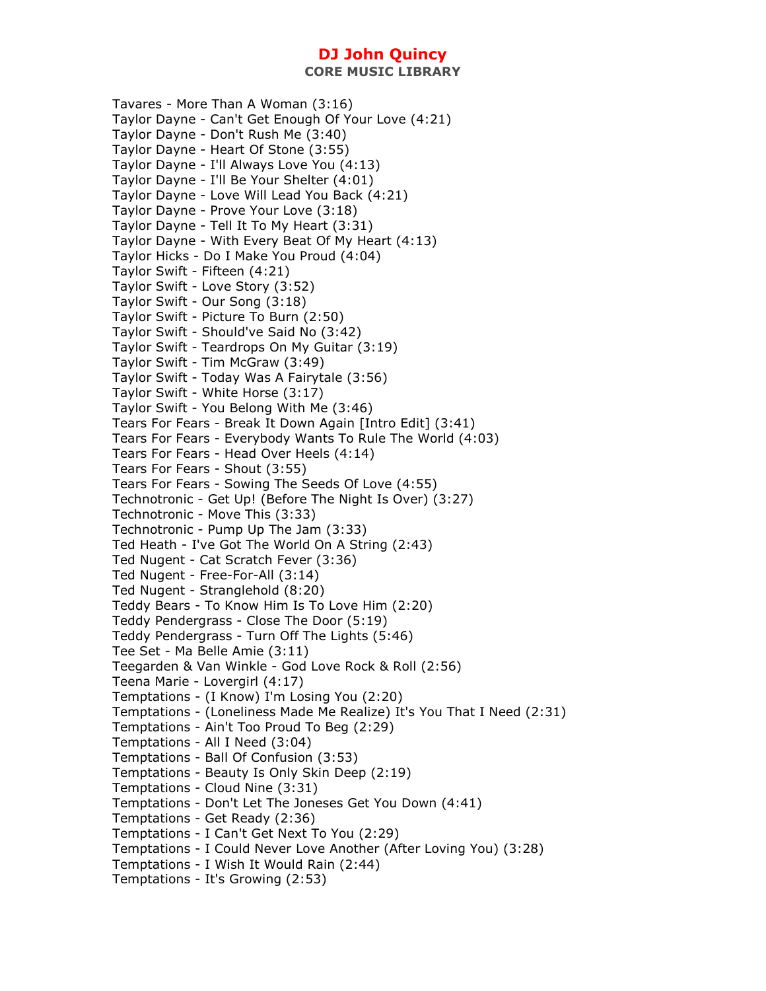**CORE MUSIC LIBRARY** 

Tavares - More Than A Woman (3:16) Taylor Dayne - Can't Get Enough Of Your Love (4:21) Taylor Dayne - Don't Rush Me (3:40) Taylor Dayne - Heart Of Stone (3:55) Taylor Dayne - I'll Always Love You (4:13) Taylor Dayne - I'll Be Your Shelter (4:01) Taylor Dayne - Love Will Lead You Back (4:21) Taylor Dayne - Prove Your Love (3:18) Taylor Dayne - Tell It To My Heart (3:31) Taylor Dayne - With Every Beat Of My Heart (4:13) Taylor Hicks - Do I Make You Proud (4:04) Taylor Swift - Fifteen (4:21) Taylor Swift - Love Story (3:52) Taylor Swift - Our Song (3:18) Taylor Swift - Picture To Burn (2:50) Taylor Swift - Should've Said No (3:42) Taylor Swift - Teardrops On My Guitar (3:19) Taylor Swift - Tim McGraw (3:49) Taylor Swift - Today Was A Fairytale (3:56) Taylor Swift - White Horse (3:17) Taylor Swift - You Belong With Me (3:46) Tears For Fears - Break It Down Again [Intro Edit] (3:41) Tears For Fears - Everybody Wants To Rule The World (4:03) Tears For Fears - Head Over Heels (4:14) Tears For Fears - Shout (3:55) Tears For Fears - Sowing The Seeds Of Love (4:55) Technotronic - Get Up! (Before The Night Is Over) (3:27) Technotronic - Move This (3:33) Technotronic - Pump Up The Jam (3:33) Ted Heath - I've Got The World On A String (2:43) Ted Nugent - Cat Scratch Fever (3:36) Ted Nugent - Free-For-All (3:14) Ted Nugent - Stranglehold (8:20) Teddy Bears - To Know Him Is To Love Him (2:20) Teddy Pendergrass - Close The Door (5:19) Teddy Pendergrass - Turn Off The Lights (5:46) Tee Set - Ma Belle Amie (3:11) Teegarden & Van Winkle - God Love Rock & Roll (2:56) Teena Marie - Lovergirl (4:17) Temptations - (I Know) I'm Losing You (2:20) Temptations - (Loneliness Made Me Realize) It's You That I Need (2:31) Temptations - Ain't Too Proud To Beg (2:29) Temptations - All I Need (3:04) Temptations - Ball Of Confusion (3:53) Temptations - Beauty Is Only Skin Deep (2:19) Temptations - Cloud Nine (3:31) Temptations - Don't Let The Joneses Get You Down (4:41) Temptations - Get Ready (2:36) Temptations - I Can't Get Next To You (2:29) Temptations - I Could Never Love Another (After Loving You) (3:28) Temptations - I Wish It Would Rain (2:44) Temptations - It's Growing (2:53)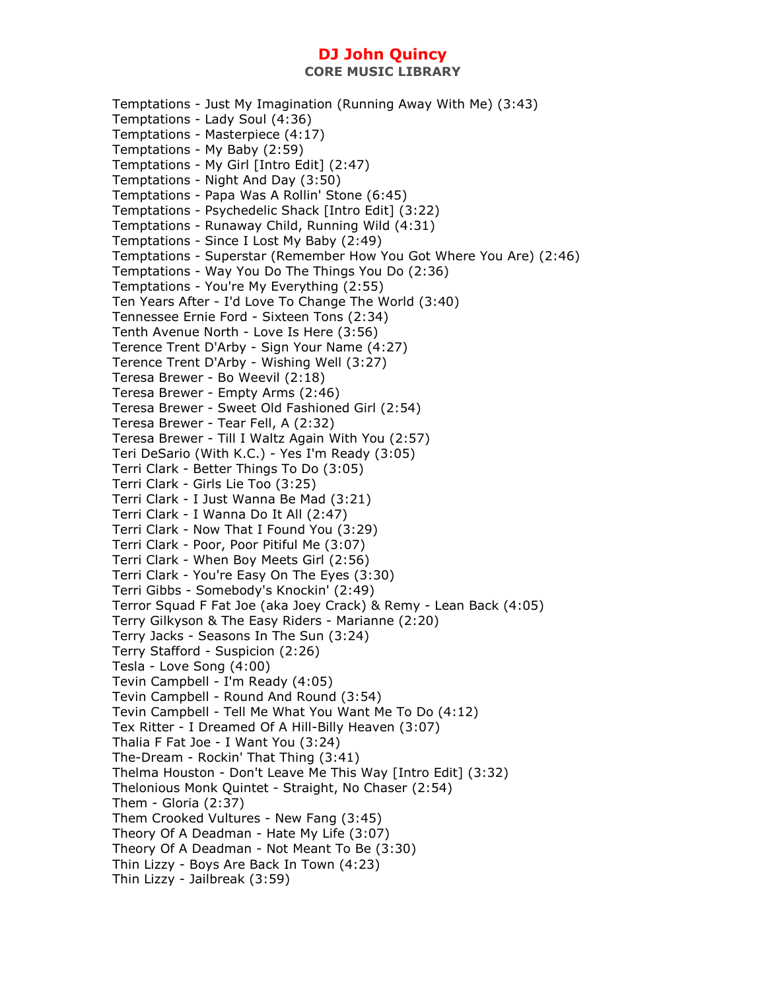**CORE MUSIC LIBRARY** 

Temptations - Just My Imagination (Running Away With Me) (3:43) Temptations - Lady Soul (4:36) Temptations - Masterpiece (4:17) Temptations - My Baby (2:59) Temptations - My Girl [Intro Edit] (2:47) Temptations - Night And Day (3:50) Temptations - Papa Was A Rollin' Stone (6:45) Temptations - Psychedelic Shack [Intro Edit] (3:22) Temptations - Runaway Child, Running Wild (4:31) Temptations - Since I Lost My Baby (2:49) Temptations - Superstar (Remember How You Got Where You Are) (2:46) Temptations - Way You Do The Things You Do (2:36) Temptations - You're My Everything (2:55) Ten Years After - I'd Love To Change The World (3:40) Tennessee Ernie Ford - Sixteen Tons (2:34) Tenth Avenue North - Love Is Here (3:56) Terence Trent D'Arby - Sign Your Name (4:27) Terence Trent D'Arby - Wishing Well (3:27) Teresa Brewer - Bo Weevil (2:18) Teresa Brewer - Empty Arms (2:46) Teresa Brewer - Sweet Old Fashioned Girl (2:54) Teresa Brewer - Tear Fell, A (2:32) Teresa Brewer - Till I Waltz Again With You (2:57) Teri DeSario (With K.C.) - Yes I'm Ready (3:05) Terri Clark - Better Things To Do (3:05) Terri Clark - Girls Lie Too (3:25) Terri Clark - I Just Wanna Be Mad (3:21) Terri Clark - I Wanna Do It All (2:47) Terri Clark - Now That I Found You (3:29) Terri Clark - Poor, Poor Pitiful Me (3:07) Terri Clark - When Boy Meets Girl (2:56) Terri Clark - You're Easy On The Eyes (3:30) Terri Gibbs - Somebody's Knockin' (2:49) Terror Squad F Fat Joe (aka Joey Crack) & Remy - Lean Back (4:05) Terry Gilkyson & The Easy Riders - Marianne (2:20) Terry Jacks - Seasons In The Sun (3:24) Terry Stafford - Suspicion (2:26) Tesla - Love Song (4:00) Tevin Campbell - I'm Ready (4:05) Tevin Campbell - Round And Round (3:54) Tevin Campbell - Tell Me What You Want Me To Do (4:12) Tex Ritter - I Dreamed Of A Hill-Billy Heaven (3:07) Thalia F Fat Joe - I Want You (3:24) The-Dream - Rockin' That Thing (3:41) Thelma Houston - Don't Leave Me This Way [Intro Edit] (3:32) Thelonious Monk Quintet - Straight, No Chaser (2:54) Them - Gloria (2:37) Them Crooked Vultures - New Fang (3:45) Theory Of A Deadman - Hate My Life (3:07) Theory Of A Deadman - Not Meant To Be (3:30) Thin Lizzy - Boys Are Back In Town (4:23) Thin Lizzy - Jailbreak (3:59)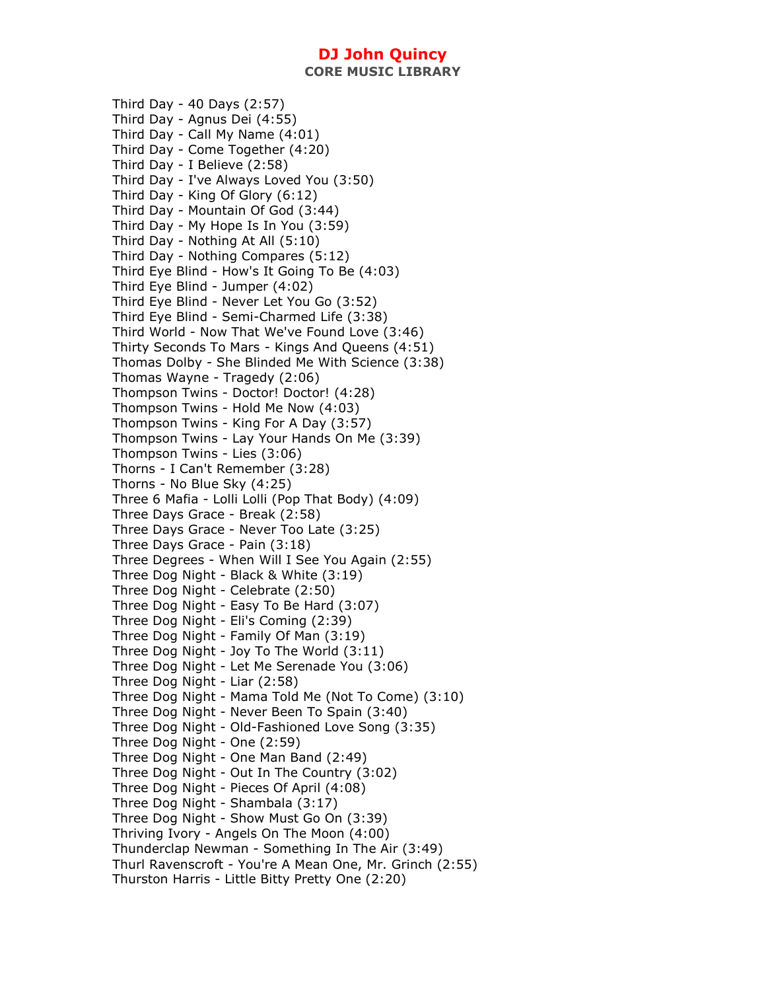**CORE MUSIC LIBRARY** 

Third Day - 40 Days (2:57) Third Day - Agnus Dei (4:55) Third Day - Call My Name (4:01) Third Day - Come Together (4:20) Third Day - I Believe (2:58) Third Day - I've Always Loved You (3:50) Third Day - King Of Glory (6:12) Third Day - Mountain Of God (3:44) Third Day - My Hope Is In You (3:59) Third Day - Nothing At All (5:10) Third Day - Nothing Compares (5:12) Third Eye Blind - How's It Going To Be (4:03) Third Eye Blind - Jumper (4:02) Third Eye Blind - Never Let You Go (3:52) Third Eye Blind - Semi-Charmed Life (3:38) Third World - Now That We've Found Love (3:46) Thirty Seconds To Mars - Kings And Queens (4:51) Thomas Dolby - She Blinded Me With Science (3:38) Thomas Wayne - Tragedy (2:06) Thompson Twins - Doctor! Doctor! (4:28) Thompson Twins - Hold Me Now (4:03) Thompson Twins - King For A Day (3:57) Thompson Twins - Lay Your Hands On Me (3:39) Thompson Twins - Lies (3:06) Thorns - I Can't Remember (3:28) Thorns - No Blue Sky (4:25) Three 6 Mafia - Lolli Lolli (Pop That Body) (4:09) Three Days Grace - Break (2:58) Three Days Grace - Never Too Late (3:25) Three Days Grace - Pain (3:18) Three Degrees - When Will I See You Again (2:55) Three Dog Night - Black & White (3:19) Three Dog Night - Celebrate (2:50) Three Dog Night - Easy To Be Hard (3:07) Three Dog Night - Eli's Coming (2:39) Three Dog Night - Family Of Man (3:19) Three Dog Night - Joy To The World (3:11) Three Dog Night - Let Me Serenade You (3:06) Three Dog Night - Liar (2:58) Three Dog Night - Mama Told Me (Not To Come) (3:10) Three Dog Night - Never Been To Spain (3:40) Three Dog Night - Old-Fashioned Love Song (3:35) Three Dog Night - One (2:59) Three Dog Night - One Man Band (2:49) Three Dog Night - Out In The Country (3:02) Three Dog Night - Pieces Of April (4:08) Three Dog Night - Shambala (3:17) Three Dog Night - Show Must Go On (3:39) Thriving Ivory - Angels On The Moon (4:00) Thunderclap Newman - Something In The Air (3:49) Thurl Ravenscroft - You're A Mean One, Mr. Grinch (2:55) Thurston Harris - Little Bitty Pretty One (2:20)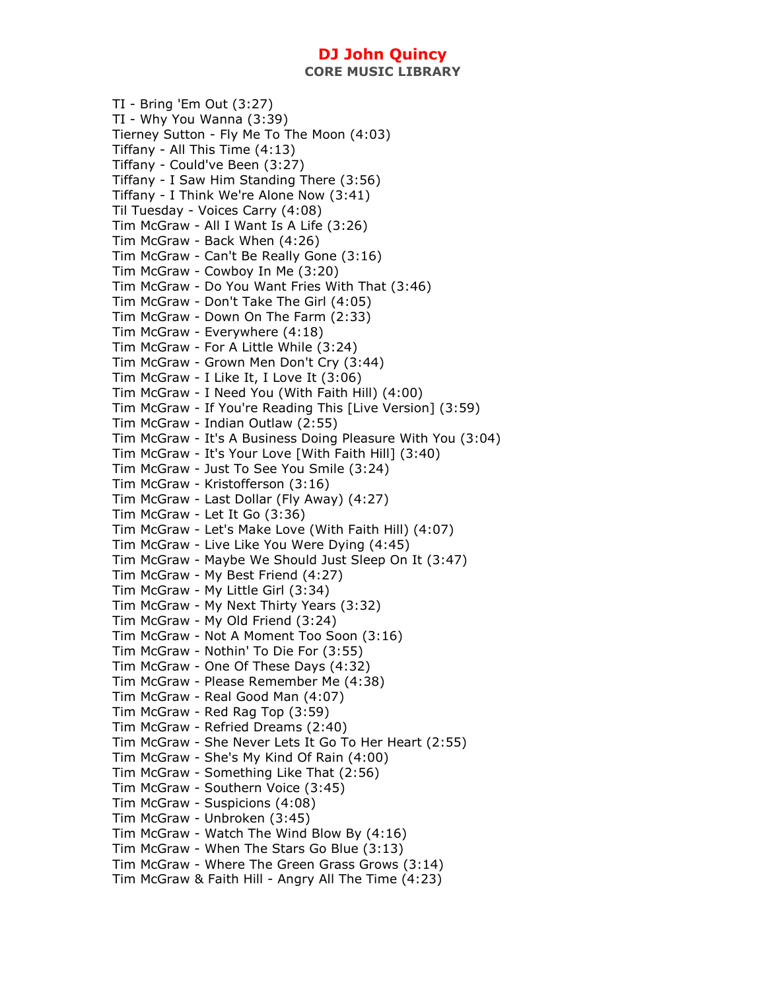TI - Bring 'Em Out (3:27) TI - Why You Wanna (3:39) Tierney Sutton - Fly Me To The Moon (4:03) Tiffany - All This Time (4:13) Tiffany - Could've Been (3:27) Tiffany - I Saw Him Standing There (3:56) Tiffany - I Think We're Alone Now (3:41) Til Tuesday - Voices Carry (4:08) Tim McGraw - All I Want Is A Life (3:26) Tim McGraw - Back When (4:26) Tim McGraw - Can't Be Really Gone (3:16) Tim McGraw - Cowboy In Me (3:20) Tim McGraw - Do You Want Fries With That (3:46) Tim McGraw - Don't Take The Girl (4:05) Tim McGraw - Down On The Farm (2:33) Tim McGraw - Everywhere (4:18) Tim McGraw - For A Little While (3:24) Tim McGraw - Grown Men Don't Cry (3:44) Tim McGraw - I Like It, I Love It (3:06) Tim McGraw - I Need You (With Faith Hill) (4:00) Tim McGraw - If You're Reading This [Live Version] (3:59) Tim McGraw - Indian Outlaw (2:55) Tim McGraw - It's A Business Doing Pleasure With You (3:04) Tim McGraw - It's Your Love [With Faith Hill] (3:40) Tim McGraw - Just To See You Smile (3:24) Tim McGraw - Kristofferson (3:16) Tim McGraw - Last Dollar (Fly Away) (4:27) Tim McGraw - Let It Go (3:36) Tim McGraw - Let's Make Love (With Faith Hill) (4:07) Tim McGraw - Live Like You Were Dying (4:45) Tim McGraw - Maybe We Should Just Sleep On It (3:47) Tim McGraw - My Best Friend (4:27) Tim McGraw - My Little Girl (3:34) Tim McGraw - My Next Thirty Years (3:32) Tim McGraw - My Old Friend (3:24) Tim McGraw - Not A Moment Too Soon (3:16) Tim McGraw - Nothin' To Die For (3:55) Tim McGraw - One Of These Days (4:32) Tim McGraw - Please Remember Me (4:38) Tim McGraw - Real Good Man (4:07) Tim McGraw - Red Rag Top (3:59) Tim McGraw - Refried Dreams (2:40) Tim McGraw - She Never Lets It Go To Her Heart (2:55) Tim McGraw - She's My Kind Of Rain (4:00) Tim McGraw - Something Like That (2:56) Tim McGraw - Southern Voice (3:45) Tim McGraw - Suspicions (4:08) Tim McGraw - Unbroken (3:45) Tim McGraw - Watch The Wind Blow By (4:16) Tim McGraw - When The Stars Go Blue (3:13) Tim McGraw - Where The Green Grass Grows (3:14) Tim McGraw & Faith Hill - Angry All The Time (4:23)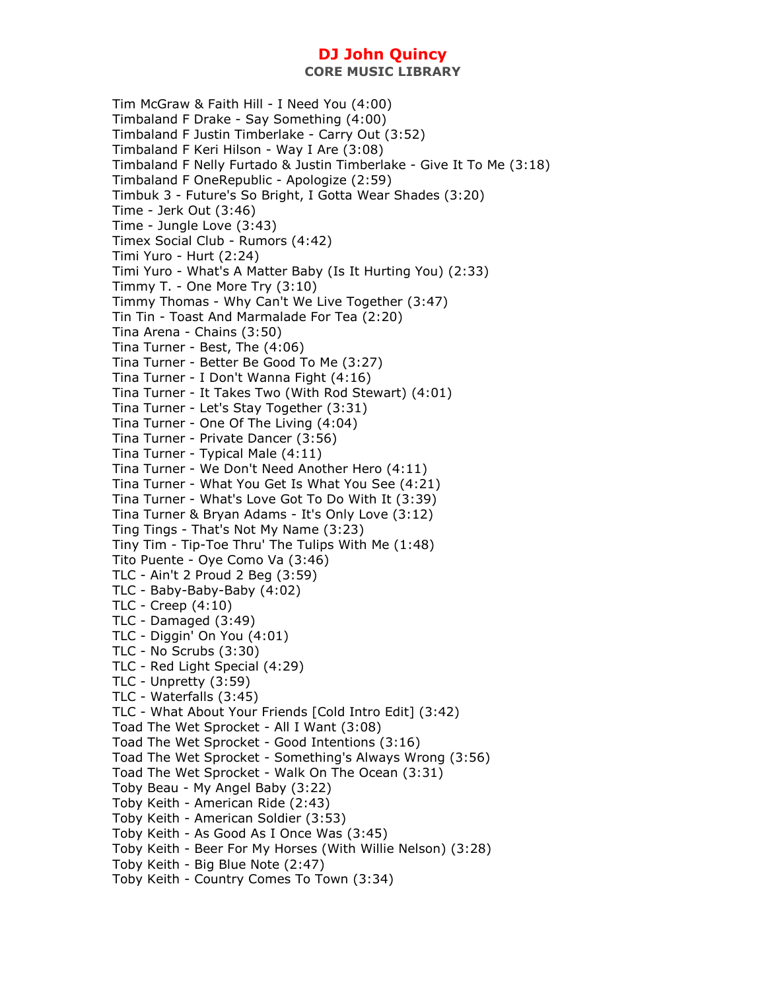Tim McGraw & Faith Hill - I Need You (4:00) Timbaland F Drake - Say Something (4:00) Timbaland F Justin Timberlake - Carry Out (3:52) Timbaland F Keri Hilson - Way I Are (3:08) Timbaland F Nelly Furtado & Justin Timberlake - Give It To Me (3:18) Timbaland F OneRepublic - Apologize (2:59) Timbuk 3 - Future's So Bright, I Gotta Wear Shades (3:20) Time - Jerk Out (3:46) Time - Jungle Love (3:43) Timex Social Club - Rumors (4:42) Timi Yuro - Hurt (2:24) Timi Yuro - What's A Matter Baby (Is It Hurting You) (2:33) Timmy T. - One More Try (3:10) Timmy Thomas - Why Can't We Live Together (3:47) Tin Tin - Toast And Marmalade For Tea (2:20) Tina Arena - Chains (3:50) Tina Turner - Best, The (4:06) Tina Turner - Better Be Good To Me (3:27) Tina Turner - I Don't Wanna Fight (4:16) Tina Turner - It Takes Two (With Rod Stewart) (4:01) Tina Turner - Let's Stay Together (3:31) Tina Turner - One Of The Living (4:04) Tina Turner - Private Dancer (3:56) Tina Turner - Typical Male (4:11) Tina Turner - We Don't Need Another Hero (4:11) Tina Turner - What You Get Is What You See (4:21) Tina Turner - What's Love Got To Do With It (3:39) Tina Turner & Bryan Adams - It's Only Love (3:12) Ting Tings - That's Not My Name (3:23) Tiny Tim - Tip-Toe Thru' The Tulips With Me (1:48) Tito Puente - Oye Como Va (3:46) TLC - Ain't 2 Proud 2 Beg (3:59) TLC - Baby-Baby-Baby (4:02) TLC - Creep (4:10) TLC - Damaged (3:49) TLC - Diggin' On You (4:01) TLC - No Scrubs (3:30) TLC - Red Light Special (4:29) TLC - Unpretty (3:59) TLC - Waterfalls (3:45) TLC - What About Your Friends [Cold Intro Edit] (3:42) Toad The Wet Sprocket - All I Want (3:08) Toad The Wet Sprocket - Good Intentions (3:16) Toad The Wet Sprocket - Something's Always Wrong (3:56) Toad The Wet Sprocket - Walk On The Ocean (3:31) Toby Beau - My Angel Baby (3:22) Toby Keith - American Ride (2:43) Toby Keith - American Soldier (3:53) Toby Keith - As Good As I Once Was (3:45) Toby Keith - Beer For My Horses (With Willie Nelson) (3:28) Toby Keith - Big Blue Note (2:47) Toby Keith - Country Comes To Town (3:34)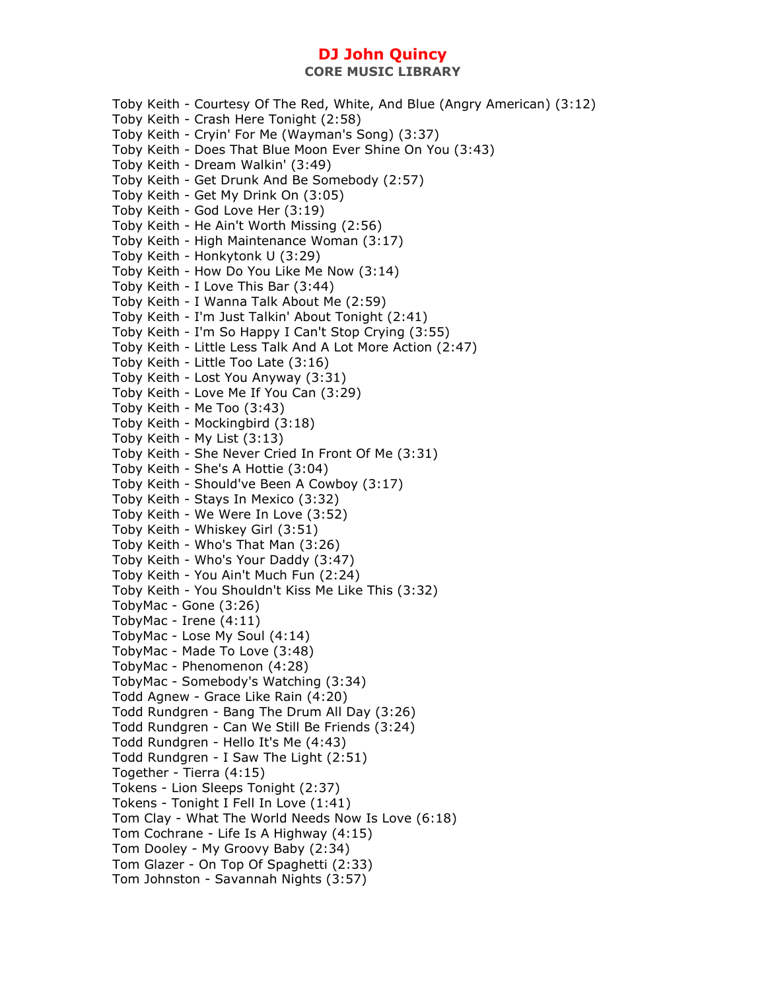Toby Keith - Courtesy Of The Red, White, And Blue (Angry American) (3:12) Toby Keith - Crash Here Tonight (2:58) Toby Keith - Cryin' For Me (Wayman's Song) (3:37) Toby Keith - Does That Blue Moon Ever Shine On You (3:43) Toby Keith - Dream Walkin' (3:49) Toby Keith - Get Drunk And Be Somebody (2:57) Toby Keith - Get My Drink On (3:05) Toby Keith - God Love Her (3:19) Toby Keith - He Ain't Worth Missing (2:56) Toby Keith - High Maintenance Woman (3:17) Toby Keith - Honkytonk U (3:29) Toby Keith - How Do You Like Me Now (3:14) Toby Keith - I Love This Bar (3:44) Toby Keith - I Wanna Talk About Me (2:59) Toby Keith - I'm Just Talkin' About Tonight (2:41) Toby Keith - I'm So Happy I Can't Stop Crying (3:55) Toby Keith - Little Less Talk And A Lot More Action (2:47) Toby Keith - Little Too Late (3:16) Toby Keith - Lost You Anyway (3:31) Toby Keith - Love Me If You Can (3:29) Toby Keith - Me Too (3:43) Toby Keith - Mockingbird (3:18) Toby Keith - My List (3:13) Toby Keith - She Never Cried In Front Of Me (3:31) Toby Keith - She's A Hottie (3:04) Toby Keith - Should've Been A Cowboy (3:17) Toby Keith - Stays In Mexico (3:32) Toby Keith - We Were In Love (3:52) Toby Keith - Whiskey Girl (3:51) Toby Keith - Who's That Man (3:26) Toby Keith - Who's Your Daddy (3:47) Toby Keith - You Ain't Much Fun (2:24) Toby Keith - You Shouldn't Kiss Me Like This (3:32) TobyMac - Gone (3:26) TobyMac - Irene (4:11) TobyMac - Lose My Soul (4:14) TobyMac - Made To Love (3:48) TobyMac - Phenomenon (4:28) TobyMac - Somebody's Watching (3:34) Todd Agnew - Grace Like Rain (4:20) Todd Rundgren - Bang The Drum All Day (3:26) Todd Rundgren - Can We Still Be Friends (3:24) Todd Rundgren - Hello It's Me (4:43) Todd Rundgren - I Saw The Light (2:51) Together - Tierra (4:15) Tokens - Lion Sleeps Tonight (2:37) Tokens - Tonight I Fell In Love (1:41) Tom Clay - What The World Needs Now Is Love (6:18) Tom Cochrane - Life Is A Highway (4:15) Tom Dooley - My Groovy Baby (2:34) Tom Glazer - On Top Of Spaghetti (2:33) Tom Johnston - Savannah Nights (3:57)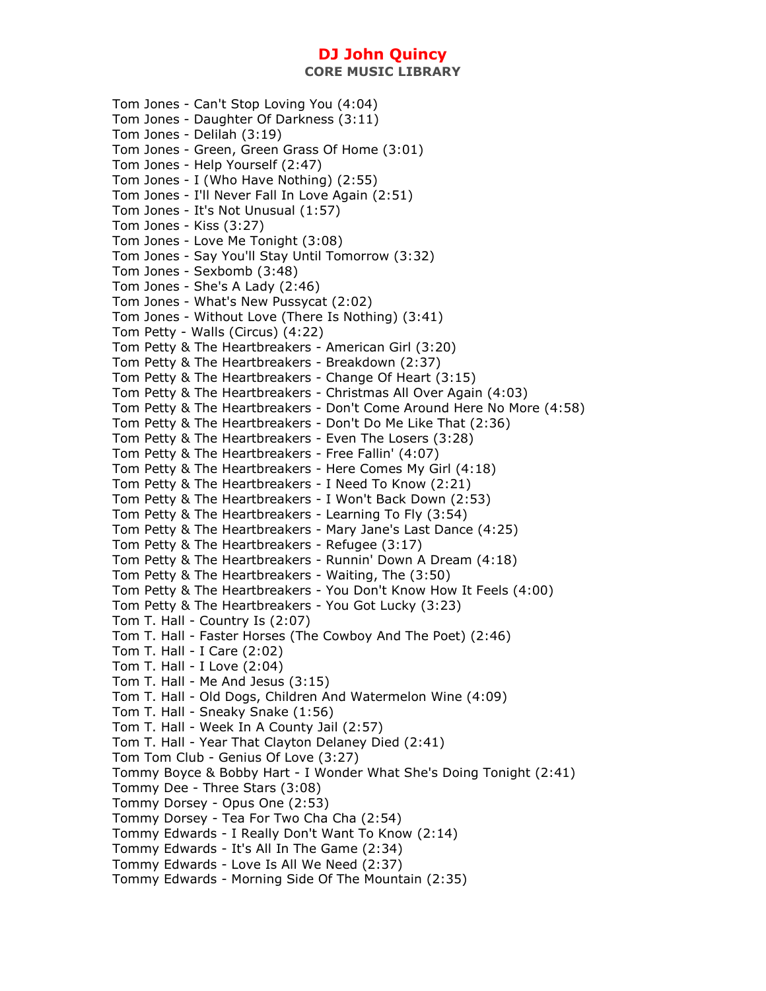Tom Jones - Can't Stop Loving You (4:04) Tom Jones - Daughter Of Darkness (3:11) Tom Jones - Delilah (3:19) Tom Jones - Green, Green Grass Of Home (3:01) Tom Jones - Help Yourself (2:47) Tom Jones - I (Who Have Nothing) (2:55) Tom Jones - I'll Never Fall In Love Again (2:51) Tom Jones - It's Not Unusual (1:57) Tom Jones - Kiss (3:27) Tom Jones - Love Me Tonight (3:08) Tom Jones - Say You'll Stay Until Tomorrow (3:32) Tom Jones - Sexbomb (3:48) Tom Jones - She's A Lady (2:46) Tom Jones - What's New Pussycat (2:02) Tom Jones - Without Love (There Is Nothing) (3:41) Tom Petty - Walls (Circus) (4:22) Tom Petty & The Heartbreakers - American Girl (3:20) Tom Petty & The Heartbreakers - Breakdown (2:37) Tom Petty & The Heartbreakers - Change Of Heart (3:15) Tom Petty & The Heartbreakers - Christmas All Over Again (4:03) Tom Petty & The Heartbreakers - Don't Come Around Here No More (4:58) Tom Petty & The Heartbreakers - Don't Do Me Like That (2:36) Tom Petty & The Heartbreakers - Even The Losers (3:28) Tom Petty & The Heartbreakers - Free Fallin' (4:07) Tom Petty & The Heartbreakers - Here Comes My Girl (4:18) Tom Petty & The Heartbreakers - I Need To Know (2:21) Tom Petty & The Heartbreakers - I Won't Back Down (2:53) Tom Petty & The Heartbreakers - Learning To Fly (3:54) Tom Petty & The Heartbreakers - Mary Jane's Last Dance (4:25) Tom Petty & The Heartbreakers - Refugee (3:17) Tom Petty & The Heartbreakers - Runnin' Down A Dream (4:18) Tom Petty & The Heartbreakers - Waiting, The (3:50) Tom Petty & The Heartbreakers - You Don't Know How It Feels (4:00) Tom Petty & The Heartbreakers - You Got Lucky (3:23) Tom T. Hall - Country Is (2:07) Tom T. Hall - Faster Horses (The Cowboy And The Poet) (2:46) Tom T. Hall - I Care (2:02) Tom T. Hall - I Love (2:04) Tom T. Hall - Me And Jesus (3:15) Tom T. Hall - Old Dogs, Children And Watermelon Wine (4:09) Tom T. Hall - Sneaky Snake (1:56) Tom T. Hall - Week In A County Jail (2:57) Tom T. Hall - Year That Clayton Delaney Died (2:41) Tom Tom Club - Genius Of Love (3:27) Tommy Boyce & Bobby Hart - I Wonder What She's Doing Tonight (2:41) Tommy Dee - Three Stars (3:08) Tommy Dorsey - Opus One (2:53) Tommy Dorsey - Tea For Two Cha Cha (2:54) Tommy Edwards - I Really Don't Want To Know (2:14) Tommy Edwards - It's All In The Game (2:34) Tommy Edwards - Love Is All We Need (2:37) Tommy Edwards - Morning Side Of The Mountain (2:35)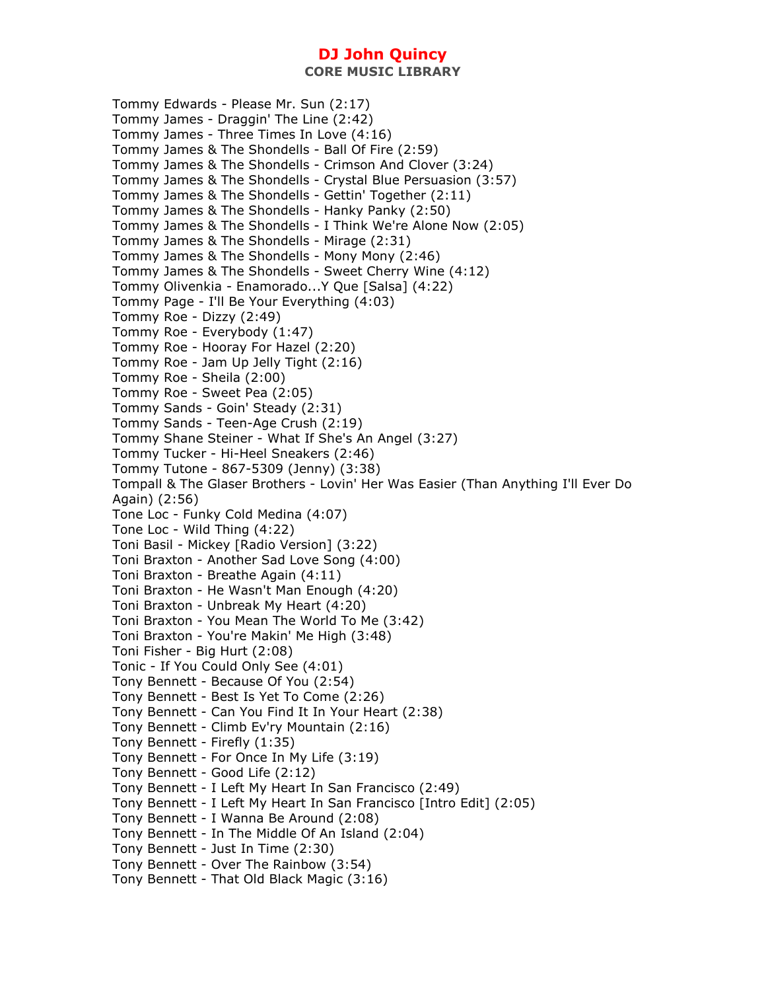Tommy Edwards - Please Mr. Sun (2:17) Tommy James - Draggin' The Line (2:42) Tommy James - Three Times In Love (4:16) Tommy James & The Shondells - Ball Of Fire (2:59) Tommy James & The Shondells - Crimson And Clover (3:24) Tommy James & The Shondells - Crystal Blue Persuasion (3:57) Tommy James & The Shondells - Gettin' Together (2:11) Tommy James & The Shondells - Hanky Panky (2:50) Tommy James & The Shondells - I Think We're Alone Now (2:05) Tommy James & The Shondells - Mirage (2:31) Tommy James & The Shondells - Mony Mony (2:46) Tommy James & The Shondells - Sweet Cherry Wine (4:12) Tommy Olivenkia - Enamorado...Y Que [Salsa] (4:22) Tommy Page - I'll Be Your Everything (4:03) Tommy Roe - Dizzy (2:49) Tommy Roe - Everybody (1:47) Tommy Roe - Hooray For Hazel (2:20) Tommy Roe - Jam Up Jelly Tight (2:16) Tommy Roe - Sheila (2:00) Tommy Roe - Sweet Pea (2:05) Tommy Sands - Goin' Steady (2:31) Tommy Sands - Teen-Age Crush (2:19) Tommy Shane Steiner - What If She's An Angel (3:27) Tommy Tucker - Hi-Heel Sneakers (2:46) Tommy Tutone - 867-5309 (Jenny) (3:38) Tompall & The Glaser Brothers - Lovin' Her Was Easier (Than Anything I'll Ever Do Again) (2:56) Tone Loc - Funky Cold Medina (4:07) Tone Loc - Wild Thing (4:22) Toni Basil - Mickey [Radio Version] (3:22) Toni Braxton - Another Sad Love Song (4:00) Toni Braxton - Breathe Again (4:11) Toni Braxton - He Wasn't Man Enough (4:20) Toni Braxton - Unbreak My Heart (4:20) Toni Braxton - You Mean The World To Me (3:42) Toni Braxton - You're Makin' Me High (3:48) Toni Fisher - Big Hurt (2:08) Tonic - If You Could Only See (4:01) Tony Bennett - Because Of You (2:54) Tony Bennett - Best Is Yet To Come (2:26) Tony Bennett - Can You Find It In Your Heart (2:38) Tony Bennett - Climb Ev'ry Mountain (2:16) Tony Bennett - Firefly (1:35) Tony Bennett - For Once In My Life (3:19) Tony Bennett - Good Life (2:12) Tony Bennett - I Left My Heart In San Francisco (2:49) Tony Bennett - I Left My Heart In San Francisco [Intro Edit] (2:05) Tony Bennett - I Wanna Be Around (2:08) Tony Bennett - In The Middle Of An Island (2:04) Tony Bennett - Just In Time (2:30) Tony Bennett - Over The Rainbow (3:54) Tony Bennett - That Old Black Magic (3:16)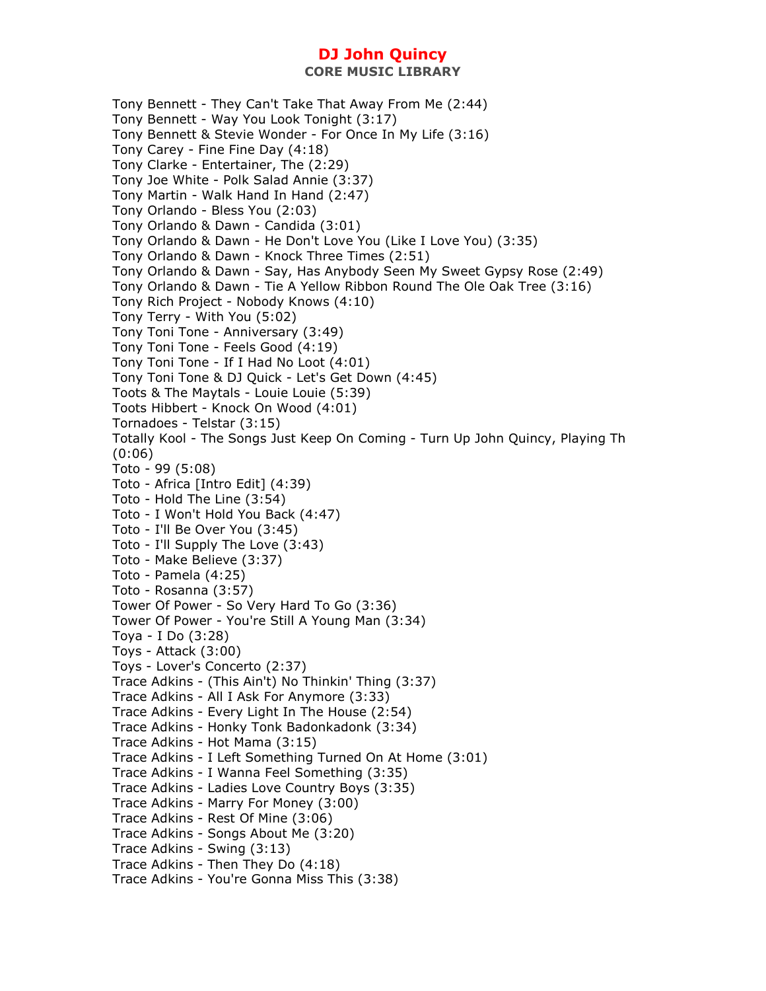Tony Bennett - They Can't Take That Away From Me (2:44) Tony Bennett - Way You Look Tonight (3:17) Tony Bennett & Stevie Wonder - For Once In My Life (3:16) Tony Carey - Fine Fine Day (4:18) Tony Clarke - Entertainer, The (2:29) Tony Joe White - Polk Salad Annie (3:37) Tony Martin - Walk Hand In Hand (2:47) Tony Orlando - Bless You (2:03) Tony Orlando & Dawn - Candida (3:01) Tony Orlando & Dawn - He Don't Love You (Like I Love You) (3:35) Tony Orlando & Dawn - Knock Three Times (2:51) Tony Orlando & Dawn - Say, Has Anybody Seen My Sweet Gypsy Rose (2:49) Tony Orlando & Dawn - Tie A Yellow Ribbon Round The Ole Oak Tree (3:16) Tony Rich Project - Nobody Knows (4:10) Tony Terry - With You (5:02) Tony Toni Tone - Anniversary (3:49) Tony Toni Tone - Feels Good (4:19) Tony Toni Tone - If I Had No Loot (4:01) Tony Toni Tone & DJ Quick - Let's Get Down (4:45) Toots & The Maytals - Louie Louie (5:39) Toots Hibbert - Knock On Wood (4:01) Tornadoes - Telstar (3:15) Totally Kool - The Songs Just Keep On Coming - Turn Up John Quincy, Playing Th (0:06) Toto - 99 (5:08) Toto - Africa [Intro Edit] (4:39) Toto - Hold The Line (3:54) Toto - I Won't Hold You Back (4:47) Toto - I'll Be Over You (3:45) Toto - I'll Supply The Love (3:43) Toto - Make Believe (3:37) Toto - Pamela (4:25) Toto - Rosanna (3:57) Tower Of Power - So Very Hard To Go (3:36) Tower Of Power - You're Still A Young Man (3:34) Toya - I Do (3:28) Toys - Attack (3:00) Toys - Lover's Concerto (2:37) Trace Adkins - (This Ain't) No Thinkin' Thing (3:37) Trace Adkins - All I Ask For Anymore (3:33) Trace Adkins - Every Light In The House (2:54) Trace Adkins - Honky Tonk Badonkadonk (3:34) Trace Adkins - Hot Mama (3:15) Trace Adkins - I Left Something Turned On At Home (3:01) Trace Adkins - I Wanna Feel Something (3:35) Trace Adkins - Ladies Love Country Boys (3:35) Trace Adkins - Marry For Money (3:00) Trace Adkins - Rest Of Mine (3:06) Trace Adkins - Songs About Me (3:20) Trace Adkins - Swing (3:13) Trace Adkins - Then They Do (4:18) Trace Adkins - You're Gonna Miss This (3:38)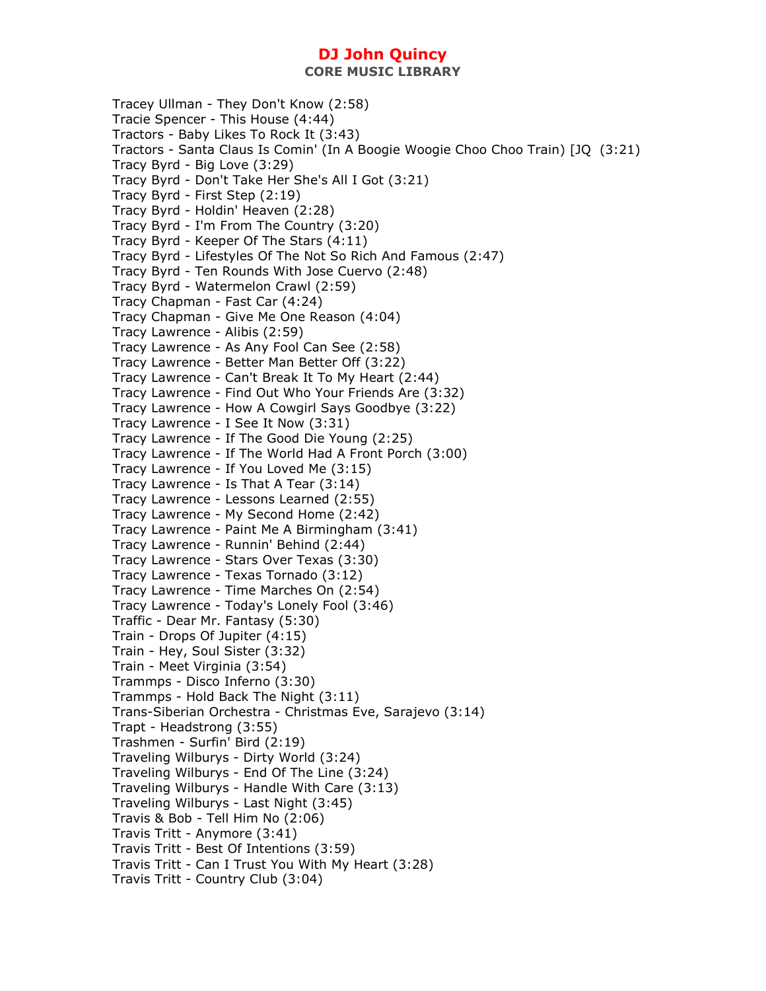**CORE MUSIC LIBRARY** 

Tracey Ullman - They Don't Know (2:58) Tracie Spencer - This House (4:44) Tractors - Baby Likes To Rock It (3:43) Tractors - Santa Claus Is Comin' (In A Boogie Woogie Choo Choo Train) [JQ (3:21) Tracy Byrd - Big Love (3:29) Tracy Byrd - Don't Take Her She's All I Got (3:21) Tracy Byrd - First Step (2:19) Tracy Byrd - Holdin' Heaven (2:28) Tracy Byrd - I'm From The Country (3:20) Tracy Byrd - Keeper Of The Stars (4:11) Tracy Byrd - Lifestyles Of The Not So Rich And Famous (2:47) Tracy Byrd - Ten Rounds With Jose Cuervo (2:48) Tracy Byrd - Watermelon Crawl (2:59) Tracy Chapman - Fast Car (4:24) Tracy Chapman - Give Me One Reason (4:04) Tracy Lawrence - Alibis (2:59) Tracy Lawrence - As Any Fool Can See (2:58) Tracy Lawrence - Better Man Better Off (3:22) Tracy Lawrence - Can't Break It To My Heart (2:44) Tracy Lawrence - Find Out Who Your Friends Are (3:32) Tracy Lawrence - How A Cowgirl Says Goodbye (3:22) Tracy Lawrence - I See It Now (3:31) Tracy Lawrence - If The Good Die Young (2:25) Tracy Lawrence - If The World Had A Front Porch (3:00) Tracy Lawrence - If You Loved Me (3:15) Tracy Lawrence - Is That A Tear (3:14) Tracy Lawrence - Lessons Learned (2:55) Tracy Lawrence - My Second Home (2:42) Tracy Lawrence - Paint Me A Birmingham (3:41) Tracy Lawrence - Runnin' Behind (2:44) Tracy Lawrence - Stars Over Texas (3:30) Tracy Lawrence - Texas Tornado (3:12) Tracy Lawrence - Time Marches On (2:54) Tracy Lawrence - Today's Lonely Fool (3:46) Traffic - Dear Mr. Fantasy (5:30) Train - Drops Of Jupiter (4:15) Train - Hey, Soul Sister (3:32) Train - Meet Virginia (3:54) Trammps - Disco Inferno (3:30) Trammps - Hold Back The Night (3:11) Trans-Siberian Orchestra - Christmas Eve, Sarajevo (3:14) Trapt - Headstrong (3:55) Trashmen - Surfin' Bird (2:19) Traveling Wilburys - Dirty World (3:24) Traveling Wilburys - End Of The Line (3:24) Traveling Wilburys - Handle With Care (3:13) Traveling Wilburys - Last Night (3:45) Travis & Bob - Tell Him No (2:06) Travis Tritt - Anymore (3:41) Travis Tritt - Best Of Intentions (3:59) Travis Tritt - Can I Trust You With My Heart (3:28) Travis Tritt - Country Club (3:04)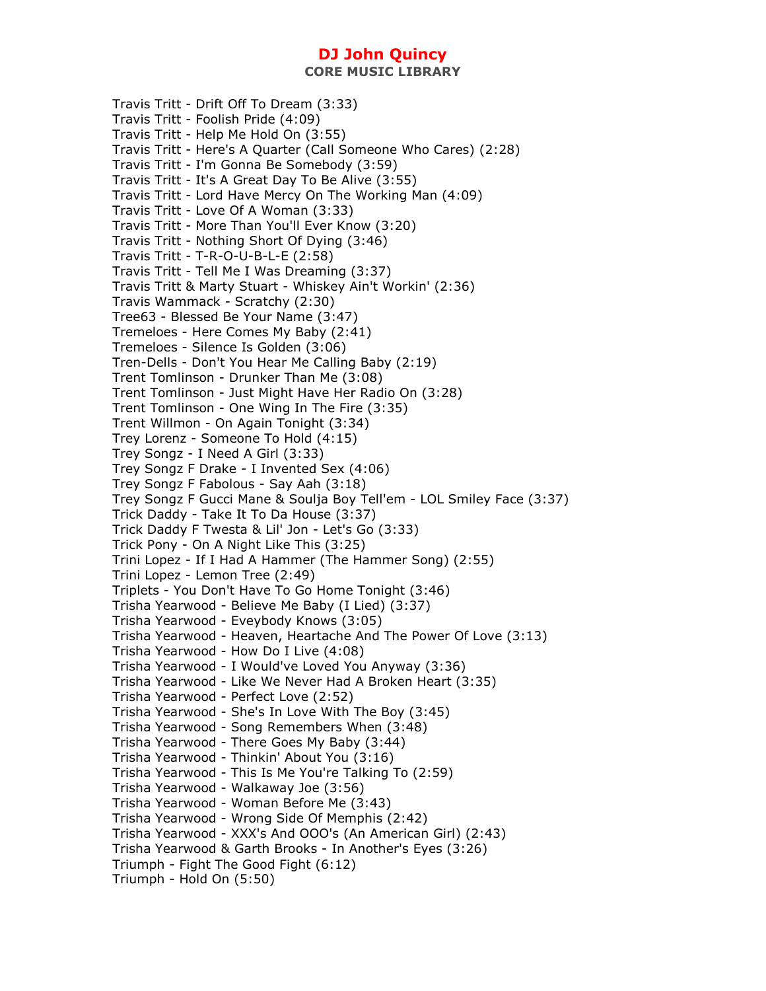**CORE MUSIC LIBRARY** 

Travis Tritt - Drift Off To Dream (3:33) Travis Tritt - Foolish Pride (4:09) Travis Tritt - Help Me Hold On (3:55) Travis Tritt - Here's A Quarter (Call Someone Who Cares) (2:28) Travis Tritt - I'm Gonna Be Somebody (3:59) Travis Tritt - It's A Great Day To Be Alive (3:55) Travis Tritt - Lord Have Mercy On The Working Man (4:09) Travis Tritt - Love Of A Woman (3:33) Travis Tritt - More Than You'll Ever Know (3:20) Travis Tritt - Nothing Short Of Dying (3:46) Travis Tritt - T-R-O-U-B-L-E (2:58) Travis Tritt - Tell Me I Was Dreaming (3:37) Travis Tritt & Marty Stuart - Whiskey Ain't Workin' (2:36) Travis Wammack - Scratchy (2:30) Tree63 - Blessed Be Your Name (3:47) Tremeloes - Here Comes My Baby (2:41) Tremeloes - Silence Is Golden (3:06) Tren-Dells - Don't You Hear Me Calling Baby (2:19) Trent Tomlinson - Drunker Than Me (3:08) Trent Tomlinson - Just Might Have Her Radio On (3:28) Trent Tomlinson - One Wing In The Fire (3:35) Trent Willmon - On Again Tonight (3:34) Trey Lorenz - Someone To Hold (4:15) Trey Songz - I Need A Girl (3:33) Trey Songz F Drake - I Invented Sex (4:06) Trey Songz F Fabolous - Say Aah (3:18) Trey Songz F Gucci Mane & Soulja Boy Tell'em - LOL Smiley Face (3:37) Trick Daddy - Take It To Da House (3:37) Trick Daddy F Twesta & Lil' Jon - Let's Go (3:33) Trick Pony - On A Night Like This (3:25) Trini Lopez - If I Had A Hammer (The Hammer Song) (2:55) Trini Lopez - Lemon Tree (2:49) Triplets - You Don't Have To Go Home Tonight (3:46) Trisha Yearwood - Believe Me Baby (I Lied) (3:37) Trisha Yearwood - Eveybody Knows (3:05) Trisha Yearwood - Heaven, Heartache And The Power Of Love (3:13) Trisha Yearwood - How Do I Live (4:08) Trisha Yearwood - I Would've Loved You Anyway (3:36) Trisha Yearwood - Like We Never Had A Broken Heart (3:35) Trisha Yearwood - Perfect Love (2:52) Trisha Yearwood - She's In Love With The Boy (3:45) Trisha Yearwood - Song Remembers When (3:48) Trisha Yearwood - There Goes My Baby (3:44) Trisha Yearwood - Thinkin' About You (3:16) Trisha Yearwood - This Is Me You're Talking To (2:59) Trisha Yearwood - Walkaway Joe (3:56) Trisha Yearwood - Woman Before Me (3:43) Trisha Yearwood - Wrong Side Of Memphis (2:42) Trisha Yearwood - XXX's And OOO's (An American Girl) (2:43) Trisha Yearwood & Garth Brooks - In Another's Eyes (3:26) Triumph - Fight The Good Fight (6:12) Triumph - Hold On (5:50)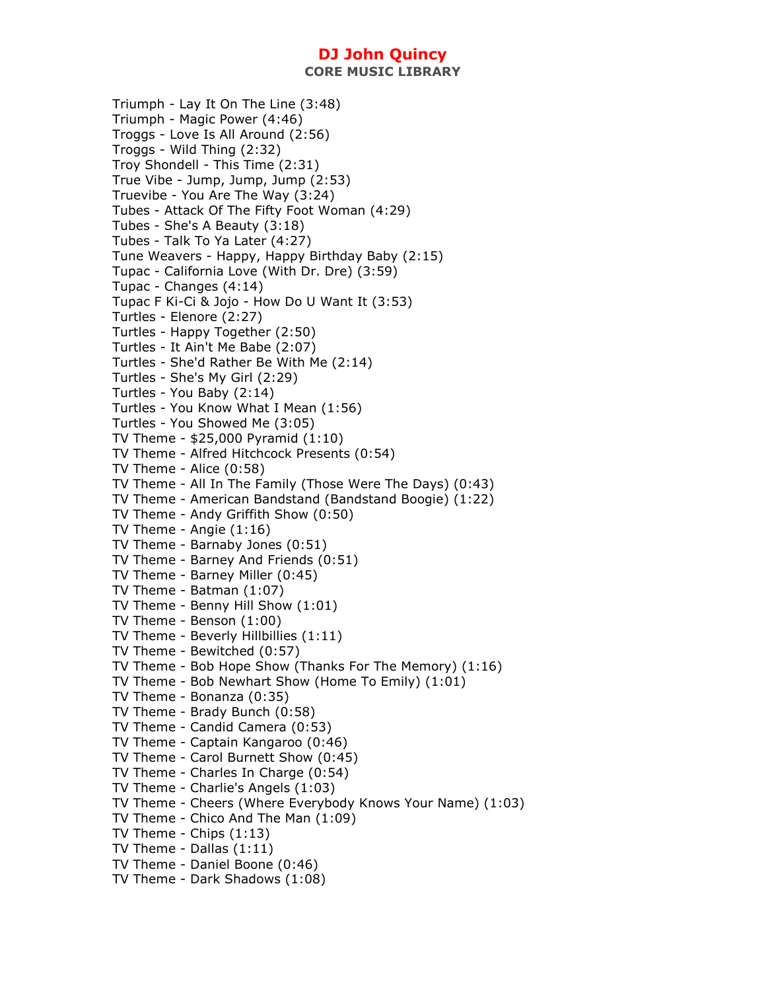**CORE MUSIC LIBRARY** 

Triumph - Lay It On The Line (3:48) Triumph - Magic Power (4:46) Troggs - Love Is All Around (2:56) Troggs - Wild Thing (2:32) Troy Shondell - This Time (2:31) True Vibe - Jump, Jump, Jump (2:53) Truevibe - You Are The Way (3:24) Tubes - Attack Of The Fifty Foot Woman (4:29) Tubes - She's A Beauty (3:18) Tubes - Talk To Ya Later (4:27) Tune Weavers - Happy, Happy Birthday Baby (2:15) Tupac - California Love (With Dr. Dre) (3:59) Tupac - Changes (4:14) Tupac F Ki-Ci & Jojo - How Do U Want It (3:53) Turtles - Elenore (2:27) Turtles - Happy Together (2:50) Turtles - It Ain't Me Babe (2:07) Turtles - She'd Rather Be With Me (2:14) Turtles - She's My Girl (2:29) Turtles - You Baby (2:14) Turtles - You Know What I Mean (1:56) Turtles - You Showed Me (3:05) TV Theme - \$25,000 Pyramid (1:10) TV Theme - Alfred Hitchcock Presents (0:54) TV Theme - Alice (0:58) TV Theme - All In The Family (Those Were The Days) (0:43) TV Theme - American Bandstand (Bandstand Boogie) (1:22) TV Theme - Andy Griffith Show (0:50) TV Theme - Angie (1:16) TV Theme - Barnaby Jones (0:51) TV Theme - Barney And Friends (0:51) TV Theme - Barney Miller (0:45) TV Theme - Batman (1:07) TV Theme - Benny Hill Show (1:01) TV Theme - Benson (1:00) TV Theme - Beverly Hillbillies (1:11) TV Theme - Bewitched (0:57) TV Theme - Bob Hope Show (Thanks For The Memory) (1:16) TV Theme - Bob Newhart Show (Home To Emily) (1:01) TV Theme - Bonanza (0:35) TV Theme - Brady Bunch (0:58) TV Theme - Candid Camera (0:53) TV Theme - Captain Kangaroo (0:46) TV Theme - Carol Burnett Show (0:45) TV Theme - Charles In Charge (0:54) TV Theme - Charlie's Angels (1:03) TV Theme - Cheers (Where Everybody Knows Your Name) (1:03) TV Theme - Chico And The Man (1:09) TV Theme - Chips (1:13) TV Theme - Dallas (1:11) TV Theme - Daniel Boone (0:46) TV Theme - Dark Shadows (1:08)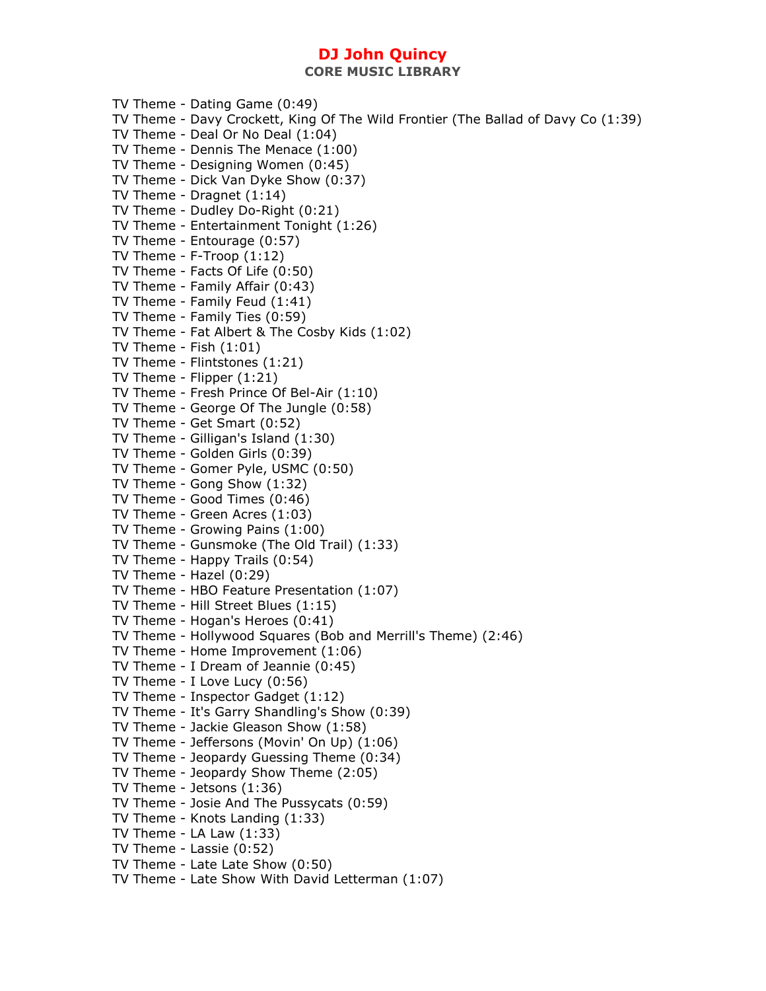TV Theme - Dating Game (0:49) TV Theme - Davy Crockett, King Of The Wild Frontier (The Ballad of Davy Co (1:39) TV Theme - Deal Or No Deal (1:04) TV Theme - Dennis The Menace (1:00) TV Theme - Designing Women (0:45) TV Theme - Dick Van Dyke Show (0:37) TV Theme - Dragnet (1:14) TV Theme - Dudley Do-Right (0:21) TV Theme - Entertainment Tonight (1:26) TV Theme - Entourage (0:57) TV Theme - F-Troop (1:12) TV Theme - Facts Of Life (0:50) TV Theme - Family Affair (0:43) TV Theme - Family Feud (1:41) TV Theme - Family Ties (0:59) TV Theme - Fat Albert & The Cosby Kids (1:02) TV Theme - Fish (1:01) TV Theme - Flintstones (1:21) TV Theme - Flipper (1:21) TV Theme - Fresh Prince Of Bel-Air (1:10) TV Theme - George Of The Jungle (0:58) TV Theme - Get Smart (0:52) TV Theme - Gilligan's Island (1:30) TV Theme - Golden Girls (0:39) TV Theme - Gomer Pyle, USMC (0:50) TV Theme - Gong Show (1:32) TV Theme - Good Times (0:46) TV Theme - Green Acres (1:03) TV Theme - Growing Pains (1:00) TV Theme - Gunsmoke (The Old Trail) (1:33) TV Theme - Happy Trails (0:54) TV Theme - Hazel (0:29) TV Theme - HBO Feature Presentation (1:07) TV Theme - Hill Street Blues (1:15) TV Theme - Hogan's Heroes (0:41) TV Theme - Hollywood Squares (Bob and Merrill's Theme) (2:46) TV Theme - Home Improvement (1:06) TV Theme - I Dream of Jeannie (0:45) TV Theme - I Love Lucy (0:56) TV Theme - Inspector Gadget (1:12) TV Theme - It's Garry Shandling's Show (0:39) TV Theme - Jackie Gleason Show (1:58) TV Theme - Jeffersons (Movin' On Up) (1:06) TV Theme - Jeopardy Guessing Theme (0:34) TV Theme - Jeopardy Show Theme (2:05) TV Theme - Jetsons (1:36) TV Theme - Josie And The Pussycats (0:59) TV Theme - Knots Landing (1:33) TV Theme - LA Law  $(1:33)$ TV Theme - Lassie (0:52) TV Theme - Late Late Show (0:50) TV Theme - Late Show With David Letterman (1:07)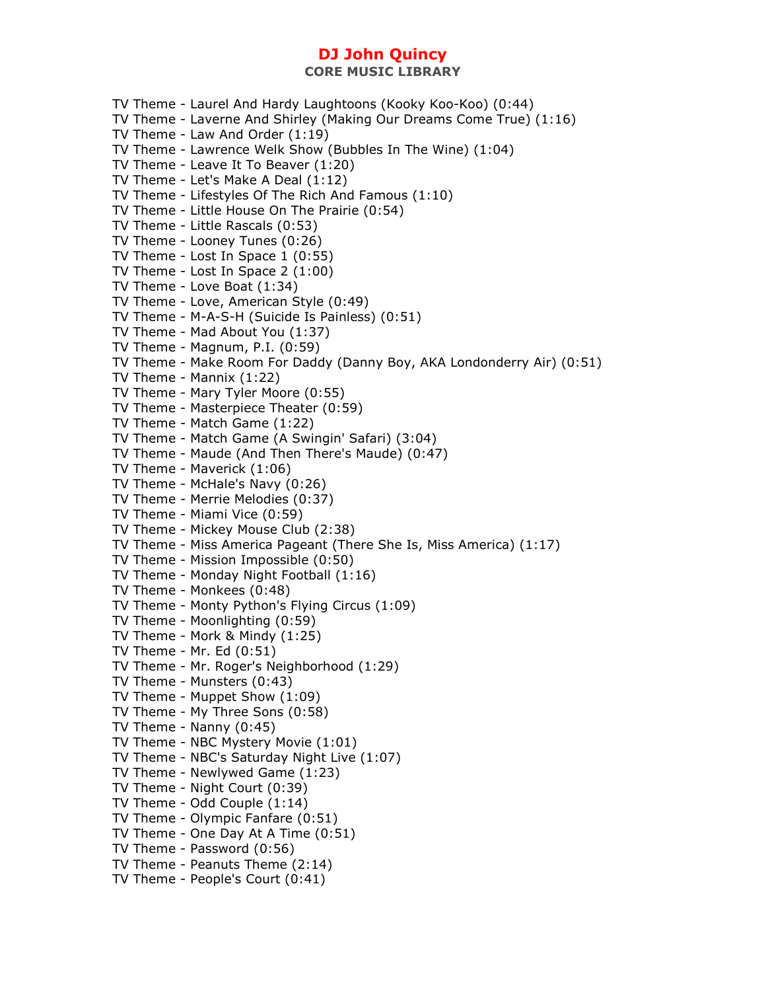TV Theme - Laurel And Hardy Laughtoons (Kooky Koo-Koo) (0:44) TV Theme - Laverne And Shirley (Making Our Dreams Come True) (1:16) TV Theme - Law And Order (1:19) TV Theme - Lawrence Welk Show (Bubbles In The Wine) (1:04) TV Theme - Leave It To Beaver (1:20) TV Theme - Let's Make A Deal (1:12) TV Theme - Lifestyles Of The Rich And Famous (1:10) TV Theme - Little House On The Prairie (0:54) TV Theme - Little Rascals (0:53) TV Theme - Looney Tunes (0:26) TV Theme - Lost In Space 1 (0:55) TV Theme - Lost In Space 2 (1:00) TV Theme - Love Boat (1:34) TV Theme - Love, American Style (0:49) TV Theme - M-A-S-H (Suicide Is Painless) (0:51) TV Theme - Mad About You (1:37) TV Theme - Magnum, P.I. (0:59) TV Theme - Make Room For Daddy (Danny Boy, AKA Londonderry Air) (0:51) TV Theme - Mannix (1:22) TV Theme - Mary Tyler Moore (0:55) TV Theme - Masterpiece Theater (0:59) TV Theme - Match Game (1:22) TV Theme - Match Game (A Swingin' Safari) (3:04) TV Theme - Maude (And Then There's Maude) (0:47) TV Theme - Maverick (1:06) TV Theme - McHale's Navy (0:26) TV Theme - Merrie Melodies (0:37) TV Theme - Miami Vice (0:59) TV Theme - Mickey Mouse Club (2:38) TV Theme - Miss America Pageant (There She Is, Miss America) (1:17) TV Theme - Mission Impossible (0:50) TV Theme - Monday Night Football (1:16) TV Theme - Monkees (0:48) TV Theme - Monty Python's Flying Circus (1:09) TV Theme - Moonlighting (0:59) TV Theme - Mork & Mindy (1:25) TV Theme - Mr. Ed (0:51) TV Theme - Mr. Roger's Neighborhood (1:29) TV Theme - Munsters (0:43) TV Theme - Muppet Show (1:09) TV Theme - My Three Sons (0:58) TV Theme - Nanny (0:45) TV Theme - NBC Mystery Movie (1:01) TV Theme - NBC's Saturday Night Live (1:07) TV Theme - Newlywed Game (1:23) TV Theme - Night Court (0:39) TV Theme - Odd Couple (1:14) TV Theme - Olympic Fanfare (0:51) TV Theme - One Day At A Time (0:51) TV Theme - Password (0:56) TV Theme - Peanuts Theme (2:14) TV Theme - People's Court (0:41)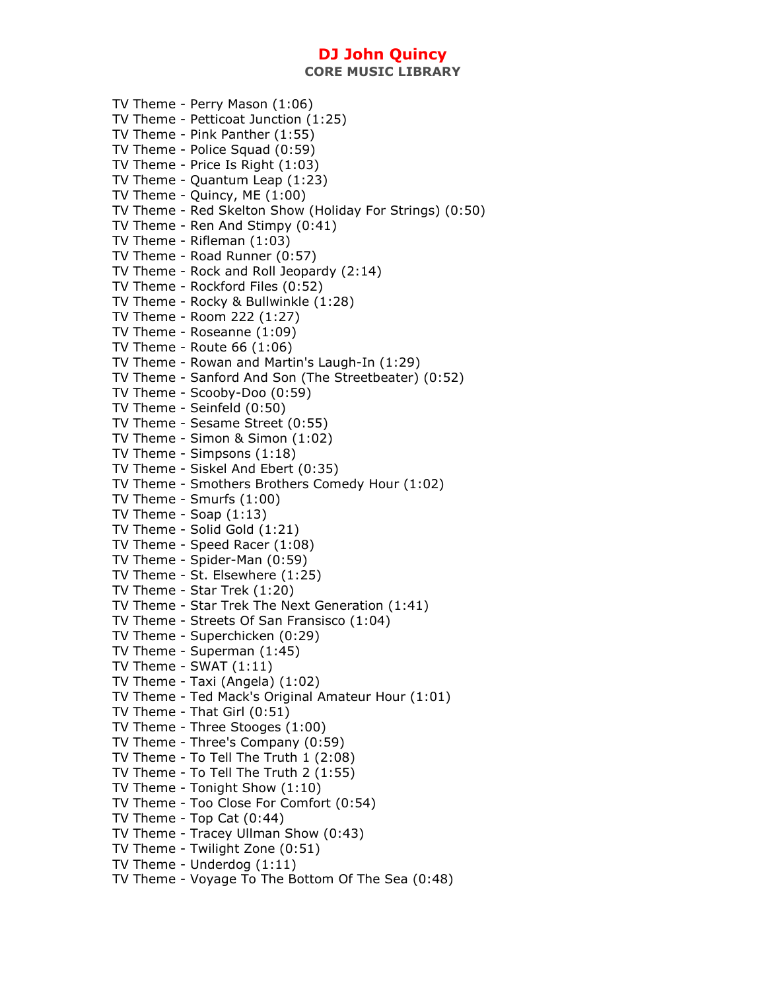### **CORE MUSIC LIBRARY**

| TV Theme - Perry Mason (1:06)<br>TV Theme - Petticoat Junction (1:25)<br>TV Theme - Pink Panther (1:55)<br>TV Theme - Police Squad (0:59)<br>TV Theme - Price Is Right (1:03)<br>TV Theme - Quantum Leap (1:23)<br>TV Theme - Quincy, ME (1:00)<br>TV Theme - Red Skelton Show (Holiday For Strings) (0:50)<br>TV Theme - Ren And Stimpy (0:41)<br>TV Theme - Rifleman (1:03) |
|-------------------------------------------------------------------------------------------------------------------------------------------------------------------------------------------------------------------------------------------------------------------------------------------------------------------------------------------------------------------------------|
| TV Theme - Road Runner (0:57)                                                                                                                                                                                                                                                                                                                                                 |
| TV Theme - Rock and Roll Jeopardy (2:14)                                                                                                                                                                                                                                                                                                                                      |
| TV Theme - Rockford Files (0:52)                                                                                                                                                                                                                                                                                                                                              |
| TV Theme - Rocky & Bullwinkle (1:28)                                                                                                                                                                                                                                                                                                                                          |
| TV Theme - Room 222 (1:27)                                                                                                                                                                                                                                                                                                                                                    |
| TV Theme - Roseanne (1:09)                                                                                                                                                                                                                                                                                                                                                    |
| TV Theme - Route 66 (1:06)                                                                                                                                                                                                                                                                                                                                                    |
| TV Theme - Rowan and Martin's Laugh-In (1:29)                                                                                                                                                                                                                                                                                                                                 |
| TV Theme - Sanford And Son (The Streetbeater) (0:52)                                                                                                                                                                                                                                                                                                                          |
| TV Theme - Scooby-Doo (0:59)<br>TV Theme - Seinfeld (0:50)                                                                                                                                                                                                                                                                                                                    |
| TV Theme - Sesame Street (0:55)                                                                                                                                                                                                                                                                                                                                               |
| TV Theme - Simon & Simon (1:02)                                                                                                                                                                                                                                                                                                                                               |
| TV Theme - Simpsons (1:18)                                                                                                                                                                                                                                                                                                                                                    |
| TV Theme - Siskel And Ebert (0:35)                                                                                                                                                                                                                                                                                                                                            |
| TV Theme - Smothers Brothers Comedy Hour (1:02)                                                                                                                                                                                                                                                                                                                               |
| TV Theme - Smurfs (1:00)                                                                                                                                                                                                                                                                                                                                                      |
| TV Theme - Soap $(1:13)$                                                                                                                                                                                                                                                                                                                                                      |
| TV Theme - Solid Gold (1:21)                                                                                                                                                                                                                                                                                                                                                  |
| TV Theme - Speed Racer (1:08)                                                                                                                                                                                                                                                                                                                                                 |
| TV Theme - Spider-Man (0:59)                                                                                                                                                                                                                                                                                                                                                  |
| TV Theme - St. Elsewhere (1:25)                                                                                                                                                                                                                                                                                                                                               |
| TV Theme - Star Trek (1:20)                                                                                                                                                                                                                                                                                                                                                   |
| TV Theme - Star Trek The Next Generation (1:41)                                                                                                                                                                                                                                                                                                                               |
| TV Theme - Streets Of San Fransisco (1:04)                                                                                                                                                                                                                                                                                                                                    |
| TV Theme - Superchicken (0:29)                                                                                                                                                                                                                                                                                                                                                |
| TV Theme - Superman (1:45)<br>TV Theme - SWAT (1:11)                                                                                                                                                                                                                                                                                                                          |
| TV Theme - Taxi (Angela) (1:02)                                                                                                                                                                                                                                                                                                                                               |
| TV Theme - Ted Mack's Original Amateur Hour (1:01)                                                                                                                                                                                                                                                                                                                            |
| TV Theme - That Girl (0:51)                                                                                                                                                                                                                                                                                                                                                   |
| TV Theme - Three Stooges (1:00)                                                                                                                                                                                                                                                                                                                                               |
| TV Theme - Three's Company (0:59)                                                                                                                                                                                                                                                                                                                                             |
| TV Theme - To Tell The Truth 1 (2:08)                                                                                                                                                                                                                                                                                                                                         |
| TV Theme - To Tell The Truth 2 (1:55)                                                                                                                                                                                                                                                                                                                                         |
| TV Theme - Tonight Show (1:10)                                                                                                                                                                                                                                                                                                                                                |
| TV Theme - Too Close For Comfort (0:54)                                                                                                                                                                                                                                                                                                                                       |
| TV Theme - Top Cat $(0:44)$                                                                                                                                                                                                                                                                                                                                                   |
| TV Theme - Tracey Ullman Show (0:43)                                                                                                                                                                                                                                                                                                                                          |
| TV Theme - Twilight Zone (0:51)                                                                                                                                                                                                                                                                                                                                               |
| TV Theme - Underdog (1:11)                                                                                                                                                                                                                                                                                                                                                    |
| TV Theme - Voyage To The Bottom Of The Sea (0:48)                                                                                                                                                                                                                                                                                                                             |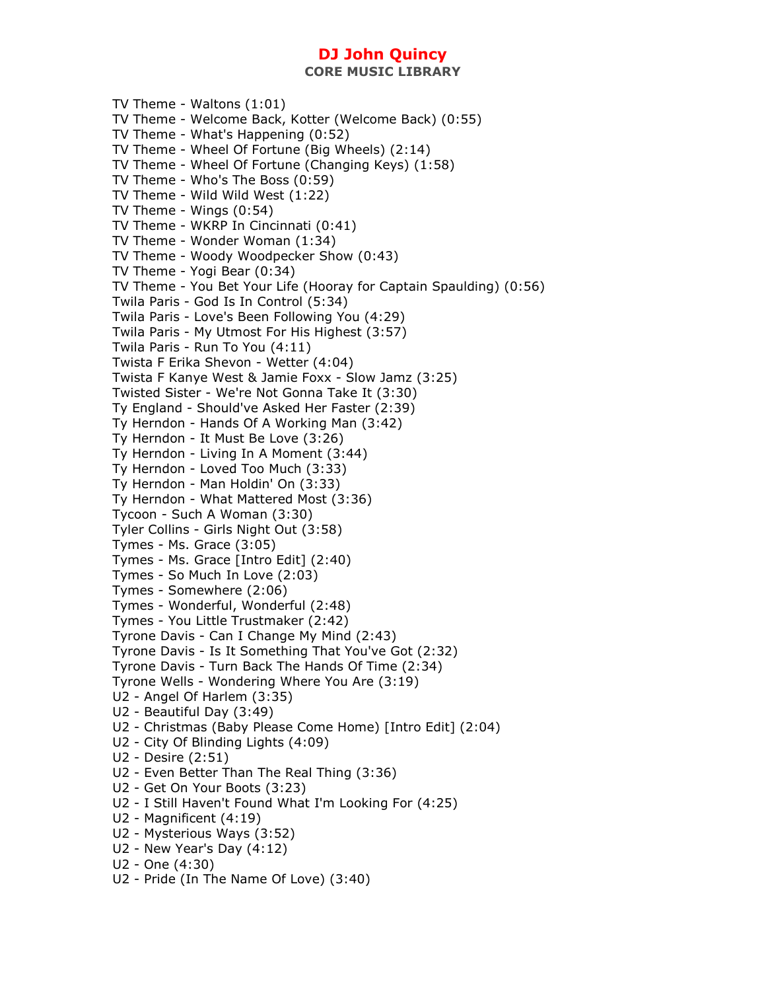**CORE MUSIC LIBRARY** 

TV Theme - Waltons (1:01) TV Theme - Welcome Back, Kotter (Welcome Back) (0:55) TV Theme - What's Happening (0:52) TV Theme - Wheel Of Fortune (Big Wheels) (2:14) TV Theme - Wheel Of Fortune (Changing Keys) (1:58) TV Theme - Who's The Boss (0:59) TV Theme - Wild Wild West (1:22) TV Theme - Wings (0:54) TV Theme - WKRP In Cincinnati (0:41) TV Theme - Wonder Woman (1:34) TV Theme - Woody Woodpecker Show (0:43) TV Theme - Yogi Bear (0:34) TV Theme - You Bet Your Life (Hooray for Captain Spaulding) (0:56) Twila Paris - God Is In Control (5:34) Twila Paris - Love's Been Following You (4:29) Twila Paris - My Utmost For His Highest (3:57) Twila Paris - Run To You (4:11) Twista F Erika Shevon - Wetter (4:04) Twista F Kanye West & Jamie Foxx - Slow Jamz (3:25) Twisted Sister - We're Not Gonna Take It (3:30) Ty England - Should've Asked Her Faster (2:39) Ty Herndon - Hands Of A Working Man (3:42) Ty Herndon - It Must Be Love (3:26) Ty Herndon - Living In A Moment (3:44) Ty Herndon - Loved Too Much (3:33) Ty Herndon - Man Holdin' On (3:33) Ty Herndon - What Mattered Most (3:36) Tycoon - Such A Woman (3:30) Tyler Collins - Girls Night Out (3:58) Tymes - Ms. Grace (3:05) Tymes - Ms. Grace [Intro Edit] (2:40) Tymes - So Much In Love (2:03) Tymes - Somewhere (2:06) Tymes - Wonderful, Wonderful (2:48) Tymes - You Little Trustmaker (2:42) Tyrone Davis - Can I Change My Mind (2:43) Tyrone Davis - Is It Something That You've Got (2:32) Tyrone Davis - Turn Back The Hands Of Time (2:34) Tyrone Wells - Wondering Where You Are (3:19) U2 - Angel Of Harlem (3:35) U2 - Beautiful Day (3:49) U2 - Christmas (Baby Please Come Home) [Intro Edit] (2:04) U2 - City Of Blinding Lights (4:09) U2 - Desire (2:51) U2 - Even Better Than The Real Thing (3:36) U2 - Get On Your Boots (3:23) U2 - I Still Haven't Found What I'm Looking For (4:25) U2 - Magnificent (4:19) U2 - Mysterious Ways (3:52) U2 - New Year's Day (4:12) U2 - One (4:30) U2 - Pride (In The Name Of Love) (3:40)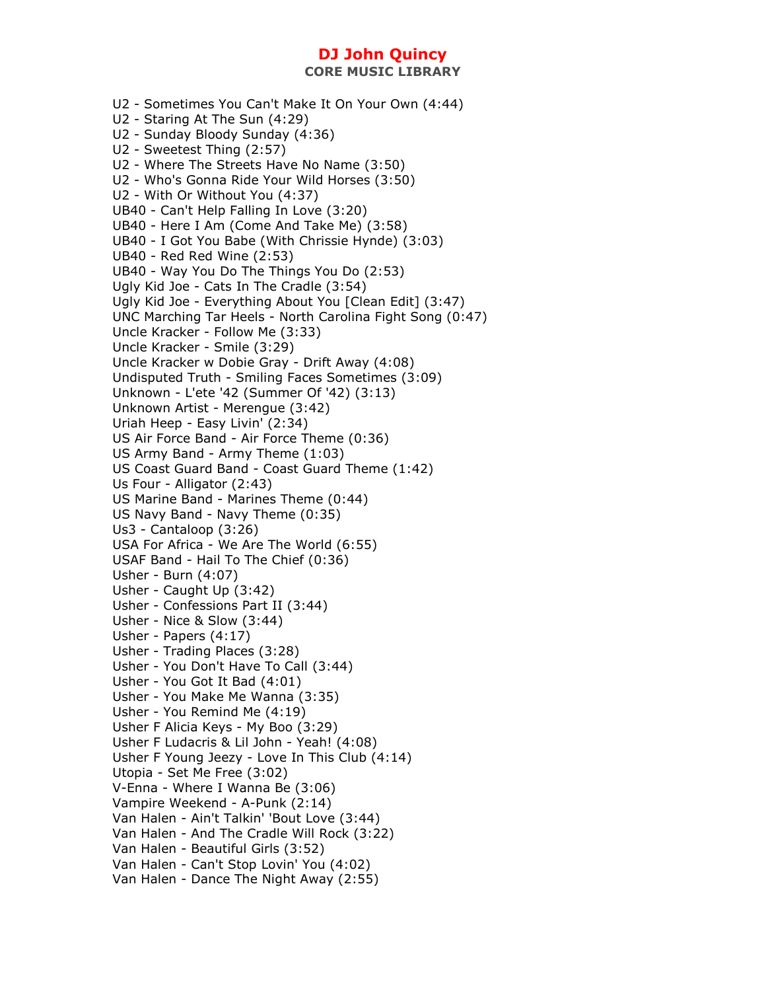**CORE MUSIC LIBRARY** 

U2 - Sometimes You Can't Make It On Your Own (4:44) U2 - Staring At The Sun (4:29) U2 - Sunday Bloody Sunday (4:36) U2 - Sweetest Thing (2:57) U2 - Where The Streets Have No Name (3:50) U2 - Who's Gonna Ride Your Wild Horses (3:50) U2 - With Or Without You (4:37) UB40 - Can't Help Falling In Love (3:20) UB40 - Here I Am (Come And Take Me) (3:58) UB40 - I Got You Babe (With Chrissie Hynde) (3:03) UB40 - Red Red Wine (2:53) UB40 - Way You Do The Things You Do (2:53) Ugly Kid Joe - Cats In The Cradle (3:54) Ugly Kid Joe - Everything About You [Clean Edit] (3:47) UNC Marching Tar Heels - North Carolina Fight Song (0:47) Uncle Kracker - Follow Me (3:33) Uncle Kracker - Smile (3:29) Uncle Kracker w Dobie Gray - Drift Away (4:08) Undisputed Truth - Smiling Faces Sometimes (3:09) Unknown - L'ete '42 (Summer Of '42) (3:13) Unknown Artist - Merengue (3:42) Uriah Heep - Easy Livin' (2:34) US Air Force Band - Air Force Theme (0:36) US Army Band - Army Theme (1:03) US Coast Guard Band - Coast Guard Theme (1:42) Us Four - Alligator (2:43) US Marine Band - Marines Theme (0:44) US Navy Band - Navy Theme (0:35) Us3 - Cantaloop (3:26) USA For Africa - We Are The World (6:55) USAF Band - Hail To The Chief (0:36) Usher - Burn (4:07) Usher - Caught Up (3:42) Usher - Confessions Part II (3:44) Usher - Nice & Slow (3:44) Usher - Papers (4:17) Usher - Trading Places (3:28) Usher - You Don't Have To Call (3:44) Usher - You Got It Bad (4:01) Usher - You Make Me Wanna (3:35) Usher - You Remind Me (4:19) Usher F Alicia Keys - My Boo (3:29) Usher F Ludacris & Lil John - Yeah! (4:08) Usher F Young Jeezy - Love In This Club (4:14) Utopia - Set Me Free (3:02) V-Enna - Where I Wanna Be (3:06) Vampire Weekend - A-Punk (2:14) Van Halen - Ain't Talkin' 'Bout Love (3:44) Van Halen - And The Cradle Will Rock (3:22) Van Halen - Beautiful Girls (3:52) Van Halen - Can't Stop Lovin' You (4:02) Van Halen - Dance The Night Away (2:55)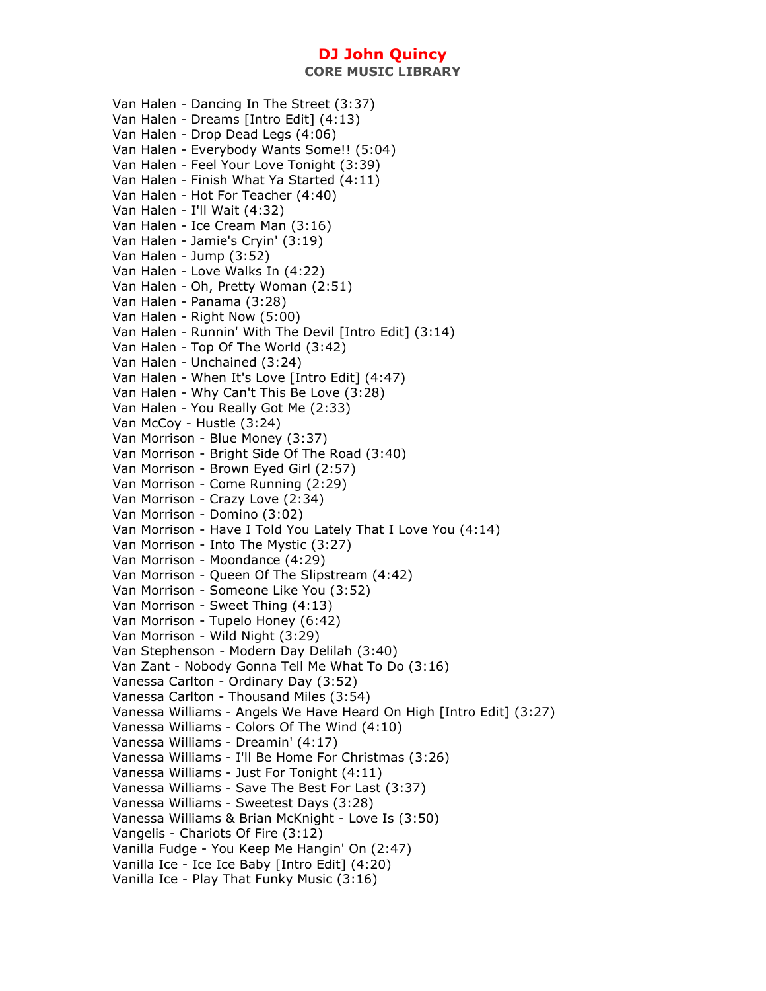Van Halen - Dancing In The Street (3:37) Van Halen - Dreams [Intro Edit] (4:13) Van Halen - Drop Dead Legs (4:06) Van Halen - Everybody Wants Some!! (5:04) Van Halen - Feel Your Love Tonight (3:39) Van Halen - Finish What Ya Started (4:11) Van Halen - Hot For Teacher (4:40) Van Halen - I'll Wait (4:32) Van Halen - Ice Cream Man (3:16) Van Halen - Jamie's Cryin' (3:19) Van Halen - Jump (3:52) Van Halen - Love Walks In (4:22) Van Halen - Oh, Pretty Woman (2:51) Van Halen - Panama (3:28) Van Halen - Right Now (5:00) Van Halen - Runnin' With The Devil [Intro Edit] (3:14) Van Halen - Top Of The World (3:42) Van Halen - Unchained (3:24) Van Halen - When It's Love [Intro Edit] (4:47) Van Halen - Why Can't This Be Love (3:28) Van Halen - You Really Got Me (2:33) Van McCoy - Hustle (3:24) Van Morrison - Blue Money (3:37) Van Morrison - Bright Side Of The Road (3:40) Van Morrison - Brown Eyed Girl (2:57) Van Morrison - Come Running (2:29) Van Morrison - Crazy Love (2:34) Van Morrison - Domino (3:02) Van Morrison - Have I Told You Lately That I Love You (4:14) Van Morrison - Into The Mystic (3:27) Van Morrison - Moondance (4:29) Van Morrison - Queen Of The Slipstream (4:42) Van Morrison - Someone Like You (3:52) Van Morrison - Sweet Thing (4:13) Van Morrison - Tupelo Honey (6:42) Van Morrison - Wild Night (3:29) Van Stephenson - Modern Day Delilah (3:40) Van Zant - Nobody Gonna Tell Me What To Do (3:16) Vanessa Carlton - Ordinary Day (3:52) Vanessa Carlton - Thousand Miles (3:54) Vanessa Williams - Angels We Have Heard On High [Intro Edit] (3:27) Vanessa Williams - Colors Of The Wind (4:10) Vanessa Williams - Dreamin' (4:17) Vanessa Williams - I'll Be Home For Christmas (3:26) Vanessa Williams - Just For Tonight (4:11) Vanessa Williams - Save The Best For Last (3:37) Vanessa Williams - Sweetest Days (3:28) Vanessa Williams & Brian McKnight - Love Is (3:50) Vangelis - Chariots Of Fire (3:12) Vanilla Fudge - You Keep Me Hangin' On (2:47) Vanilla Ice - Ice Ice Baby [Intro Edit] (4:20) Vanilla Ice - Play That Funky Music (3:16)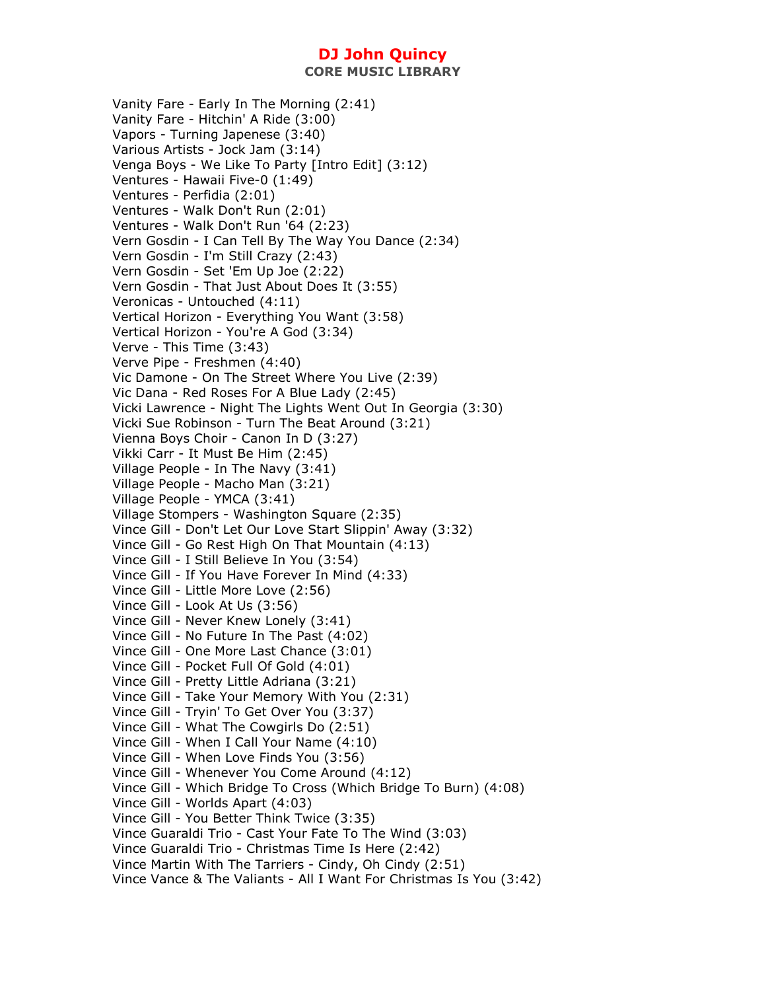Vanity Fare - Early In The Morning (2:41) Vanity Fare - Hitchin' A Ride (3:00) Vapors - Turning Japenese (3:40) Various Artists - Jock Jam (3:14) Venga Boys - We Like To Party [Intro Edit] (3:12) Ventures - Hawaii Five-0 (1:49) Ventures - Perfidia (2:01) Ventures - Walk Don't Run (2:01) Ventures - Walk Don't Run '64 (2:23) Vern Gosdin - I Can Tell By The Way You Dance (2:34) Vern Gosdin - I'm Still Crazy (2:43) Vern Gosdin - Set 'Em Up Joe (2:22) Vern Gosdin - That Just About Does It (3:55) Veronicas - Untouched (4:11) Vertical Horizon - Everything You Want (3:58) Vertical Horizon - You're A God (3:34) Verve - This Time (3:43) Verve Pipe - Freshmen (4:40) Vic Damone - On The Street Where You Live (2:39) Vic Dana - Red Roses For A Blue Lady (2:45) Vicki Lawrence - Night The Lights Went Out In Georgia (3:30) Vicki Sue Robinson - Turn The Beat Around (3:21) Vienna Boys Choir - Canon In D (3:27) Vikki Carr - It Must Be Him (2:45) Village People - In The Navy (3:41) Village People - Macho Man (3:21) Village People - YMCA (3:41) Village Stompers - Washington Square (2:35) Vince Gill - Don't Let Our Love Start Slippin' Away (3:32) Vince Gill - Go Rest High On That Mountain (4:13) Vince Gill - I Still Believe In You (3:54) Vince Gill - If You Have Forever In Mind (4:33) Vince Gill - Little More Love (2:56) Vince Gill - Look At Us (3:56) Vince Gill - Never Knew Lonely (3:41) Vince Gill - No Future In The Past (4:02) Vince Gill - One More Last Chance (3:01) Vince Gill - Pocket Full Of Gold (4:01) Vince Gill - Pretty Little Adriana (3:21) Vince Gill - Take Your Memory With You (2:31) Vince Gill - Tryin' To Get Over You (3:37) Vince Gill - What The Cowgirls Do (2:51) Vince Gill - When I Call Your Name (4:10) Vince Gill - When Love Finds You (3:56) Vince Gill - Whenever You Come Around (4:12) Vince Gill - Which Bridge To Cross (Which Bridge To Burn) (4:08) Vince Gill - Worlds Apart (4:03) Vince Gill - You Better Think Twice (3:35) Vince Guaraldi Trio - Cast Your Fate To The Wind (3:03) Vince Guaraldi Trio - Christmas Time Is Here (2:42) Vince Martin With The Tarriers - Cindy, Oh Cindy (2:51) Vince Vance & The Valiants - All I Want For Christmas Is You (3:42)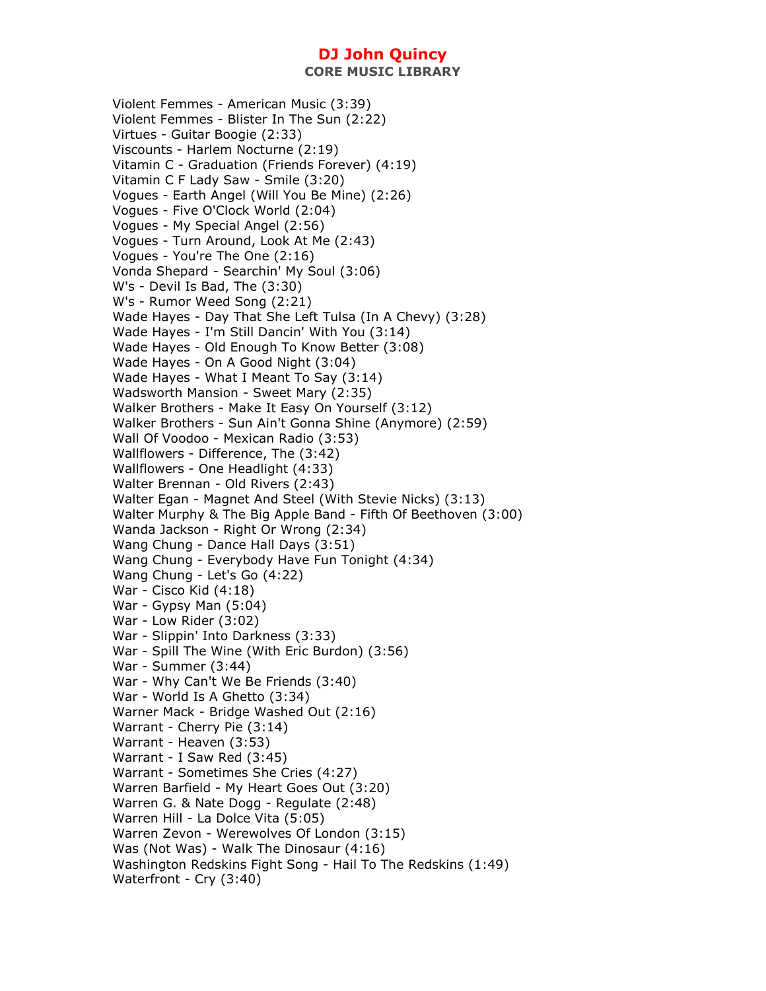Violent Femmes - American Music (3:39) Violent Femmes - Blister In The Sun (2:22) Virtues - Guitar Boogie (2:33) Viscounts - Harlem Nocturne (2:19) Vitamin C - Graduation (Friends Forever) (4:19) Vitamin C F Lady Saw - Smile (3:20) Vogues - Earth Angel (Will You Be Mine) (2:26) Vogues - Five O'Clock World (2:04) Vogues - My Special Angel (2:56) Vogues - Turn Around, Look At Me (2:43) Vogues - You're The One (2:16) Vonda Shepard - Searchin' My Soul (3:06) W's - Devil Is Bad, The (3:30) W's - Rumor Weed Song (2:21) Wade Hayes - Day That She Left Tulsa (In A Chevy) (3:28) Wade Hayes - I'm Still Dancin' With You (3:14) Wade Hayes - Old Enough To Know Better (3:08) Wade Hayes - On A Good Night (3:04) Wade Hayes - What I Meant To Say (3:14) Wadsworth Mansion - Sweet Mary (2:35) Walker Brothers - Make It Easy On Yourself (3:12) Walker Brothers - Sun Ain't Gonna Shine (Anymore) (2:59) Wall Of Voodoo - Mexican Radio (3:53) Wallflowers - Difference, The (3:42) Wallflowers - One Headlight (4:33) Walter Brennan - Old Rivers (2:43) Walter Egan - Magnet And Steel (With Stevie Nicks) (3:13) Walter Murphy & The Big Apple Band - Fifth Of Beethoven (3:00) Wanda Jackson - Right Or Wrong (2:34) Wang Chung - Dance Hall Days (3:51) Wang Chung - Everybody Have Fun Tonight (4:34) Wang Chung - Let's Go (4:22) War - Cisco Kid (4:18) War - Gypsy Man (5:04) War - Low Rider (3:02) War - Slippin' Into Darkness (3:33) War - Spill The Wine (With Eric Burdon) (3:56) War - Summer (3:44) War - Why Can't We Be Friends (3:40) War - World Is A Ghetto (3:34) Warner Mack - Bridge Washed Out (2:16) Warrant - Cherry Pie (3:14) Warrant - Heaven (3:53) Warrant - I Saw Red (3:45) Warrant - Sometimes She Cries (4:27) Warren Barfield - My Heart Goes Out (3:20) Warren G. & Nate Dogg - Regulate (2:48) Warren Hill - La Dolce Vita (5:05) Warren Zevon - Werewolves Of London (3:15) Was (Not Was) - Walk The Dinosaur (4:16) Washington Redskins Fight Song - Hail To The Redskins (1:49) Waterfront - Cry (3:40)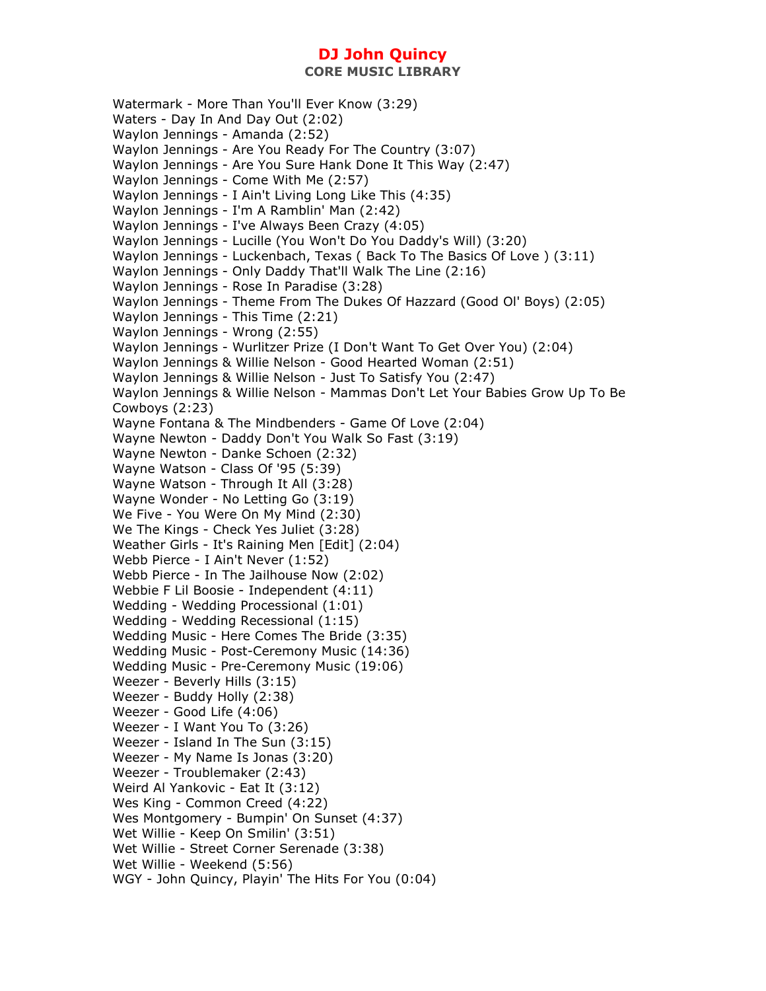**CORE MUSIC LIBRARY** 

Watermark - More Than You'll Ever Know (3:29) Waters - Day In And Day Out (2:02) Waylon Jennings - Amanda (2:52) Waylon Jennings - Are You Ready For The Country (3:07) Waylon Jennings - Are You Sure Hank Done It This Way (2:47) Waylon Jennings - Come With Me (2:57) Waylon Jennings - I Ain't Living Long Like This (4:35) Waylon Jennings - I'm A Ramblin' Man (2:42) Waylon Jennings - I've Always Been Crazy (4:05) Waylon Jennings - Lucille (You Won't Do You Daddy's Will) (3:20) Waylon Jennings - Luckenbach, Texas ( Back To The Basics Of Love ) (3:11) Waylon Jennings - Only Daddy That'll Walk The Line (2:16) Waylon Jennings - Rose In Paradise (3:28) Waylon Jennings - Theme From The Dukes Of Hazzard (Good Ol' Boys) (2:05) Waylon Jennings - This Time (2:21) Waylon Jennings - Wrong (2:55) Waylon Jennings - Wurlitzer Prize (I Don't Want To Get Over You) (2:04) Waylon Jennings & Willie Nelson - Good Hearted Woman (2:51) Waylon Jennings & Willie Nelson - Just To Satisfy You (2:47) Waylon Jennings & Willie Nelson - Mammas Don't Let Your Babies Grow Up To Be Cowboys (2:23) Wayne Fontana & The Mindbenders - Game Of Love (2:04) Wayne Newton - Daddy Don't You Walk So Fast (3:19) Wayne Newton - Danke Schoen (2:32) Wayne Watson - Class Of '95 (5:39) Wayne Watson - Through It All (3:28) Wayne Wonder - No Letting Go (3:19) We Five - You Were On My Mind (2:30) We The Kings - Check Yes Juliet (3:28) Weather Girls - It's Raining Men [Edit] (2:04) Webb Pierce - I Ain't Never (1:52) Webb Pierce - In The Jailhouse Now (2:02) Webbie F Lil Boosie - Independent (4:11) Wedding - Wedding Processional (1:01) Wedding - Wedding Recessional (1:15) Wedding Music - Here Comes The Bride (3:35) Wedding Music - Post-Ceremony Music (14:36) Wedding Music - Pre-Ceremony Music (19:06) Weezer - Beverly Hills (3:15) Weezer - Buddy Holly (2:38) Weezer - Good Life (4:06) Weezer - I Want You To (3:26) Weezer - Island In The Sun (3:15) Weezer - My Name Is Jonas (3:20) Weezer - Troublemaker (2:43) Weird Al Yankovic - Eat It (3:12) Wes King - Common Creed (4:22) Wes Montgomery - Bumpin' On Sunset (4:37) Wet Willie - Keep On Smilin' (3:51) Wet Willie - Street Corner Serenade (3:38) Wet Willie - Weekend (5:56) WGY - John Quincy, Playin' The Hits For You (0:04)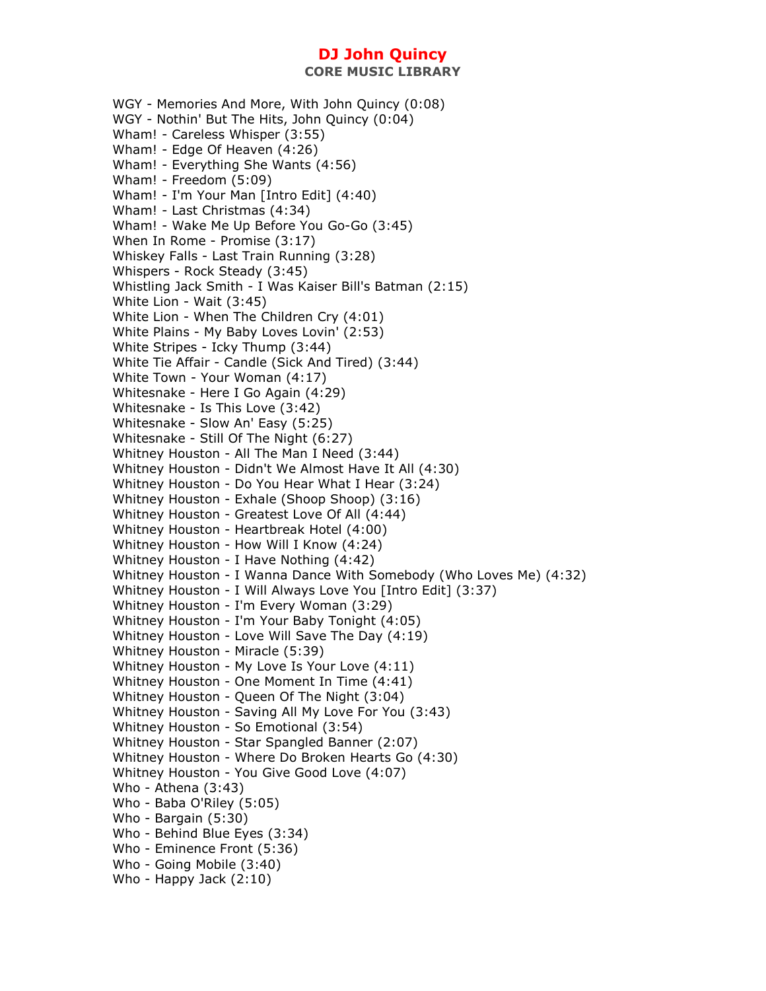WGY - Memories And More, With John Quincy (0:08) WGY - Nothin' But The Hits, John Quincy (0:04) Wham! - Careless Whisper (3:55) Wham! - Edge Of Heaven (4:26) Wham! - Everything She Wants (4:56) Wham! - Freedom (5:09) Wham! - I'm Your Man [Intro Edit] (4:40) Wham! - Last Christmas (4:34) Wham! - Wake Me Up Before You Go-Go (3:45) When In Rome - Promise (3:17) Whiskey Falls - Last Train Running (3:28) Whispers - Rock Steady (3:45) Whistling Jack Smith - I Was Kaiser Bill's Batman (2:15) White Lion - Wait (3:45) White Lion - When The Children Cry (4:01) White Plains - My Baby Loves Lovin' (2:53) White Stripes - Icky Thump (3:44) White Tie Affair - Candle (Sick And Tired) (3:44) White Town - Your Woman (4:17) Whitesnake - Here I Go Again (4:29) Whitesnake - Is This Love (3:42) Whitesnake - Slow An' Easy (5:25) Whitesnake - Still Of The Night (6:27) Whitney Houston - All The Man I Need (3:44) Whitney Houston - Didn't We Almost Have It All (4:30) Whitney Houston - Do You Hear What I Hear (3:24) Whitney Houston - Exhale (Shoop Shoop) (3:16) Whitney Houston - Greatest Love Of All (4:44) Whitney Houston - Heartbreak Hotel (4:00) Whitney Houston - How Will I Know (4:24) Whitney Houston - I Have Nothing (4:42) Whitney Houston - I Wanna Dance With Somebody (Who Loves Me) (4:32) Whitney Houston - I Will Always Love You [Intro Edit] (3:37) Whitney Houston - I'm Every Woman (3:29) Whitney Houston - I'm Your Baby Tonight (4:05) Whitney Houston - Love Will Save The Day (4:19) Whitney Houston - Miracle (5:39) Whitney Houston - My Love Is Your Love (4:11) Whitney Houston - One Moment In Time (4:41) Whitney Houston - Queen Of The Night (3:04) Whitney Houston - Saving All My Love For You (3:43) Whitney Houston - So Emotional (3:54) Whitney Houston - Star Spangled Banner (2:07) Whitney Houston - Where Do Broken Hearts Go (4:30) Whitney Houston - You Give Good Love (4:07) Who - Athena (3:43) Who - Baba O'Riley (5:05) Who - Bargain (5:30) Who - Behind Blue Eyes (3:34) Who - Eminence Front (5:36) Who - Going Mobile (3:40) Who - Happy Jack (2:10)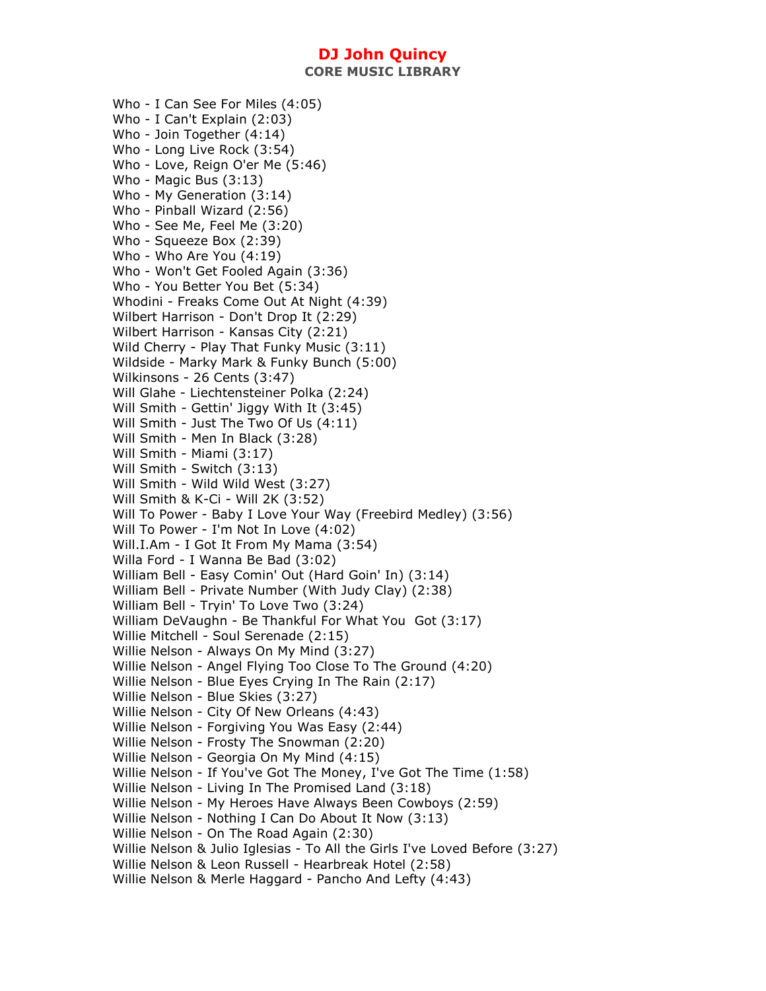Who - I Can See For Miles (4:05) Who - I Can't Explain (2:03) Who - Join Together (4:14) Who - Long Live Rock (3:54) Who - Love, Reign O'er Me (5:46) Who - Magic Bus (3:13) Who - My Generation (3:14) Who - Pinball Wizard (2:56) Who - See Me, Feel Me (3:20) Who - Squeeze Box (2:39) Who - Who Are You (4:19) Who - Won't Get Fooled Again (3:36) Who - You Better You Bet (5:34) Whodini - Freaks Come Out At Night (4:39) Wilbert Harrison - Don't Drop It (2:29) Wilbert Harrison - Kansas City (2:21) Wild Cherry - Play That Funky Music (3:11) Wildside - Marky Mark & Funky Bunch (5:00) Wilkinsons - 26 Cents (3:47) Will Glahe - Liechtensteiner Polka (2:24) Will Smith - Gettin' Jiggy With It (3:45) Will Smith - Just The Two Of Us (4:11) Will Smith - Men In Black (3:28) Will Smith - Miami (3:17) Will Smith - Switch (3:13) Will Smith - Wild Wild West (3:27) Will Smith & K-Ci - Will 2K (3:52) Will To Power - Baby I Love Your Way (Freebird Medley) (3:56) Will To Power - I'm Not In Love (4:02) Will.I.Am - I Got It From My Mama (3:54) Willa Ford - I Wanna Be Bad (3:02) William Bell - Easy Comin' Out (Hard Goin' In) (3:14) William Bell - Private Number (With Judy Clay) (2:38) William Bell - Tryin' To Love Two (3:24) William DeVaughn - Be Thankful For What You Got (3:17) Willie Mitchell - Soul Serenade (2:15) Willie Nelson - Always On My Mind (3:27) Willie Nelson - Angel Flying Too Close To The Ground (4:20) Willie Nelson - Blue Eyes Crying In The Rain (2:17) Willie Nelson - Blue Skies (3:27) Willie Nelson - City Of New Orleans (4:43) Willie Nelson - Forgiving You Was Easy (2:44) Willie Nelson - Frosty The Snowman (2:20) Willie Nelson - Georgia On My Mind (4:15) Willie Nelson - If You've Got The Money, I've Got The Time (1:58) Willie Nelson - Living In The Promised Land (3:18) Willie Nelson - My Heroes Have Always Been Cowboys (2:59) Willie Nelson - Nothing I Can Do About It Now (3:13) Willie Nelson - On The Road Again (2:30) Willie Nelson & Julio Iglesias - To All the Girls I've Loved Before (3:27) Willie Nelson & Leon Russell - Hearbreak Hotel (2:58) Willie Nelson & Merle Haggard - Pancho And Lefty (4:43)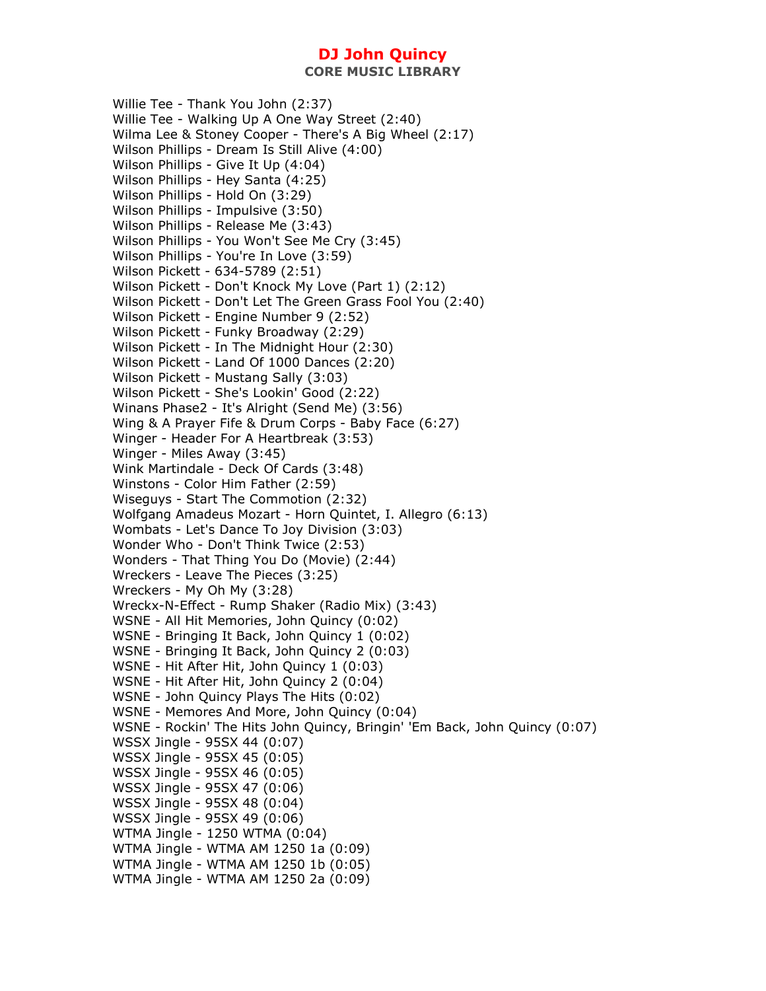**CORE MUSIC LIBRARY** 

Willie Tee - Thank You John (2:37) Willie Tee - Walking Up A One Way Street (2:40) Wilma Lee & Stoney Cooper - There's A Big Wheel (2:17) Wilson Phillips - Dream Is Still Alive (4:00) Wilson Phillips - Give It Up (4:04) Wilson Phillips - Hey Santa (4:25) Wilson Phillips - Hold On (3:29) Wilson Phillips - Impulsive (3:50) Wilson Phillips - Release Me (3:43) Wilson Phillips - You Won't See Me Cry (3:45) Wilson Phillips - You're In Love (3:59) Wilson Pickett - 634-5789 (2:51) Wilson Pickett - Don't Knock My Love (Part 1) (2:12) Wilson Pickett - Don't Let The Green Grass Fool You (2:40) Wilson Pickett - Engine Number 9 (2:52) Wilson Pickett - Funky Broadway (2:29) Wilson Pickett - In The Midnight Hour (2:30) Wilson Pickett - Land Of 1000 Dances (2:20) Wilson Pickett - Mustang Sally (3:03) Wilson Pickett - She's Lookin' Good (2:22) Winans Phase2 - It's Alright (Send Me) (3:56) Wing & A Prayer Fife & Drum Corps - Baby Face (6:27) Winger - Header For A Heartbreak (3:53) Winger - Miles Away (3:45) Wink Martindale - Deck Of Cards (3:48) Winstons - Color Him Father (2:59) Wiseguys - Start The Commotion (2:32) Wolfgang Amadeus Mozart - Horn Quintet, I. Allegro (6:13) Wombats - Let's Dance To Joy Division (3:03) Wonder Who - Don't Think Twice (2:53) Wonders - That Thing You Do (Movie) (2:44) Wreckers - Leave The Pieces (3:25) Wreckers - My Oh My (3:28) Wreckx-N-Effect - Rump Shaker (Radio Mix) (3:43) WSNE - All Hit Memories, John Quincy (0:02) WSNE - Bringing It Back, John Quincy 1 (0:02) WSNE - Bringing It Back, John Quincy 2 (0:03) WSNE - Hit After Hit, John Quincy 1 (0:03) WSNE - Hit After Hit, John Quincy 2 (0:04) WSNE - John Quincy Plays The Hits (0:02) WSNE - Memores And More, John Quincy (0:04) WSNE - Rockin' The Hits John Quincy, Bringin' 'Em Back, John Quincy (0:07) WSSX Jingle - 95SX 44 (0:07) WSSX Jingle - 95SX 45 (0:05) WSSX Jingle - 95SX 46 (0:05) WSSX Jingle - 95SX 47 (0:06) WSSX Jingle - 95SX 48 (0:04) WSSX Jingle - 95SX 49 (0:06) WTMA Jingle - 1250 WTMA (0:04) WTMA Jingle - WTMA AM 1250 1a (0:09) WTMA Jingle - WTMA AM 1250 1b (0:05) WTMA Jingle - WTMA AM 1250 2a (0:09)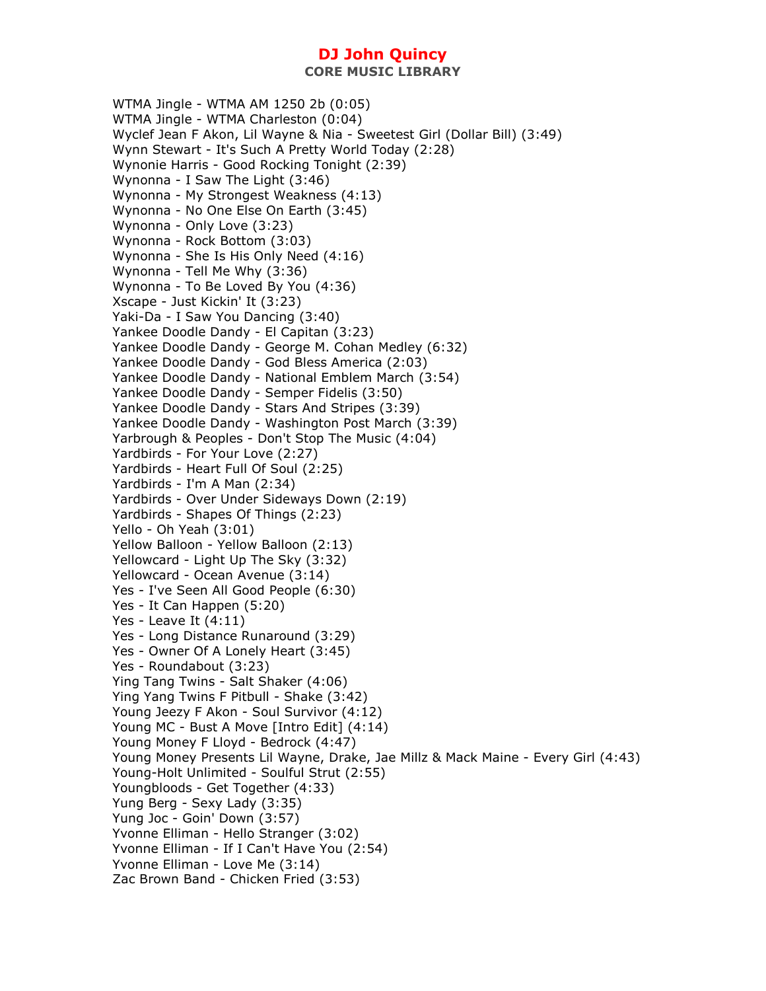WTMA Jingle - WTMA AM 1250 2b (0:05) WTMA Jingle - WTMA Charleston (0:04) Wyclef Jean F Akon, Lil Wayne & Nia - Sweetest Girl (Dollar Bill) (3:49) Wynn Stewart - It's Such A Pretty World Today (2:28) Wynonie Harris - Good Rocking Tonight (2:39) Wynonna - I Saw The Light (3:46) Wynonna - My Strongest Weakness (4:13) Wynonna - No One Else On Earth (3:45) Wynonna - Only Love (3:23) Wynonna - Rock Bottom (3:03) Wynonna - She Is His Only Need (4:16) Wynonna - Tell Me Why (3:36) Wynonna - To Be Loved By You (4:36) Xscape - Just Kickin' It (3:23) Yaki-Da - I Saw You Dancing (3:40) Yankee Doodle Dandy - El Capitan (3:23) Yankee Doodle Dandy - George M. Cohan Medley (6:32) Yankee Doodle Dandy - God Bless America (2:03) Yankee Doodle Dandy - National Emblem March (3:54) Yankee Doodle Dandy - Semper Fidelis (3:50) Yankee Doodle Dandy - Stars And Stripes (3:39) Yankee Doodle Dandy - Washington Post March (3:39) Yarbrough & Peoples - Don't Stop The Music (4:04) Yardbirds - For Your Love (2:27) Yardbirds - Heart Full Of Soul (2:25) Yardbirds - I'm A Man (2:34) Yardbirds - Over Under Sideways Down (2:19) Yardbirds - Shapes Of Things (2:23) Yello - Oh Yeah (3:01) Yellow Balloon - Yellow Balloon (2:13) Yellowcard - Light Up The Sky (3:32) Yellowcard - Ocean Avenue (3:14) Yes - I've Seen All Good People (6:30) Yes - It Can Happen (5:20) Yes - Leave It (4:11) Yes - Long Distance Runaround (3:29) Yes - Owner Of A Lonely Heart (3:45) Yes - Roundabout (3:23) Ying Tang Twins - Salt Shaker (4:06) Ying Yang Twins F Pitbull - Shake (3:42) Young Jeezy F Akon - Soul Survivor (4:12) Young MC - Bust A Move [Intro Edit] (4:14) Young Money F Lloyd - Bedrock (4:47) Young Money Presents Lil Wayne, Drake, Jae Millz & Mack Maine - Every Girl (4:43) Young-Holt Unlimited - Soulful Strut (2:55) Youngbloods - Get Together (4:33) Yung Berg - Sexy Lady (3:35) Yung Joc - Goin' Down (3:57) Yvonne Elliman - Hello Stranger (3:02) Yvonne Elliman - If I Can't Have You (2:54) Yvonne Elliman - Love Me (3:14) Zac Brown Band - Chicken Fried (3:53)